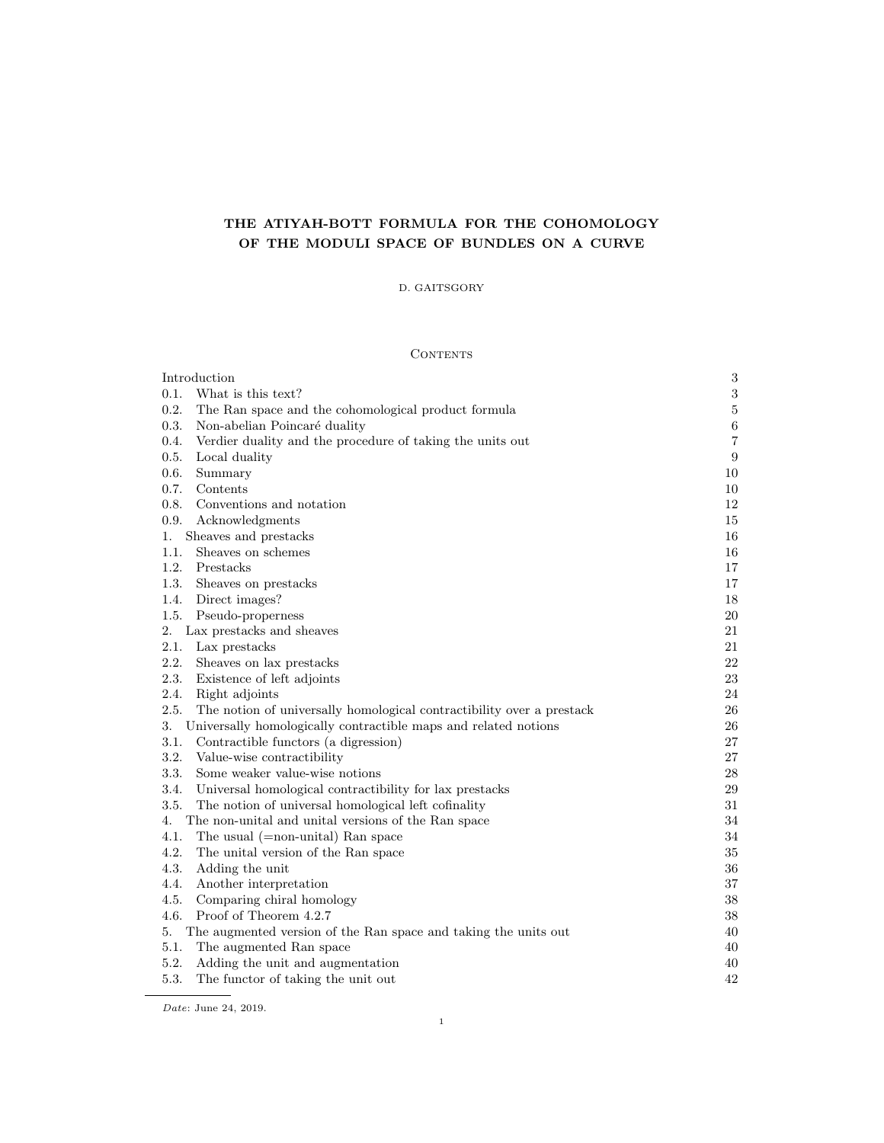# THE ATIYAH-BOTT FORMULA FOR THE COHOMOLOGY OF THE MODULI SPACE OF BUNDLES ON A CURVE

## D. GAITSGORY

## **CONTENTS**

| Introduction                                                                  | 3              |
|-------------------------------------------------------------------------------|----------------|
| What is this text?<br>0.1.                                                    | $\sqrt{3}$     |
| 0.2.<br>The Ran space and the cohomological product formula                   | $\bf 5$        |
| 0.3.<br>Non-abelian Poincaré duality                                          | $\,6$          |
| Verdier duality and the procedure of taking the units out<br>0.4.             | $\overline{7}$ |
| 0.5.<br>Local duality                                                         | 9              |
| 0.6.<br>Summary                                                               | 10             |
| 0.7.<br>Contents                                                              | 10             |
| 0.8.<br>Conventions and notation                                              | 12             |
| 0.9.<br>Acknowledgments                                                       | 15             |
| Sheaves and prestacks<br>1.                                                   | 16             |
| Sheaves on schemes<br>1.1.                                                    | 16             |
| 1.2.<br>Prestacks                                                             | 17             |
| 1.3.<br>Sheaves on prestacks                                                  | 17             |
| 1.4.<br>Direct images?                                                        | 18             |
| 1.5.<br>Pseudo-properness                                                     | 20             |
| Lax prestacks and sheaves<br>2.                                               | 21             |
| 2.1.<br>Lax prestacks                                                         | 21             |
| 2.2.<br>Sheaves on lax prestacks                                              | 22             |
| 2.3.<br>Existence of left adjoints                                            | 23             |
| 2.4.<br>Right adjoints                                                        | 24             |
| 2.5.<br>The notion of universally homological contractibility over a prestack | 26             |
| Universally homologically contractible maps and related notions<br>3.         | 26             |
| 3.1.<br>Contractible functors (a digression)                                  | 27             |
| 3.2.<br>Value-wise contractibility                                            | 27             |
| 3.3.<br>Some weaker value-wise notions                                        | $\,28$         |
| Universal homological contractibility for lax prestacks<br>3.4.               | 29             |
| 3.5.<br>The notion of universal homological left cofinality                   | 31             |
| The non-unital and unital versions of the Ran space<br>4.                     | 34             |
| 4.1.<br>The usual $(=$ non-unital) Ran space                                  | 34             |
| 4.2.<br>The unital version of the Ran space                                   | 35             |
| 4.3.<br>Adding the unit                                                       | 36             |
| 4.4.<br>Another interpretation                                                | 37             |
| 4.5.<br>Comparing chiral homology                                             | 38             |
| Proof of Theorem 4.2.7<br>4.6.                                                | 38             |
| The augmented version of the Ran space and taking the units out<br>5.         | 40             |
| 5.1.<br>The augmented Ran space                                               | 40             |
| 5.2.<br>Adding the unit and augmentation                                      | 40             |
| 5.3.<br>The functor of taking the unit out                                    | 42             |
|                                                                               |                |

Date: June 24, 2019.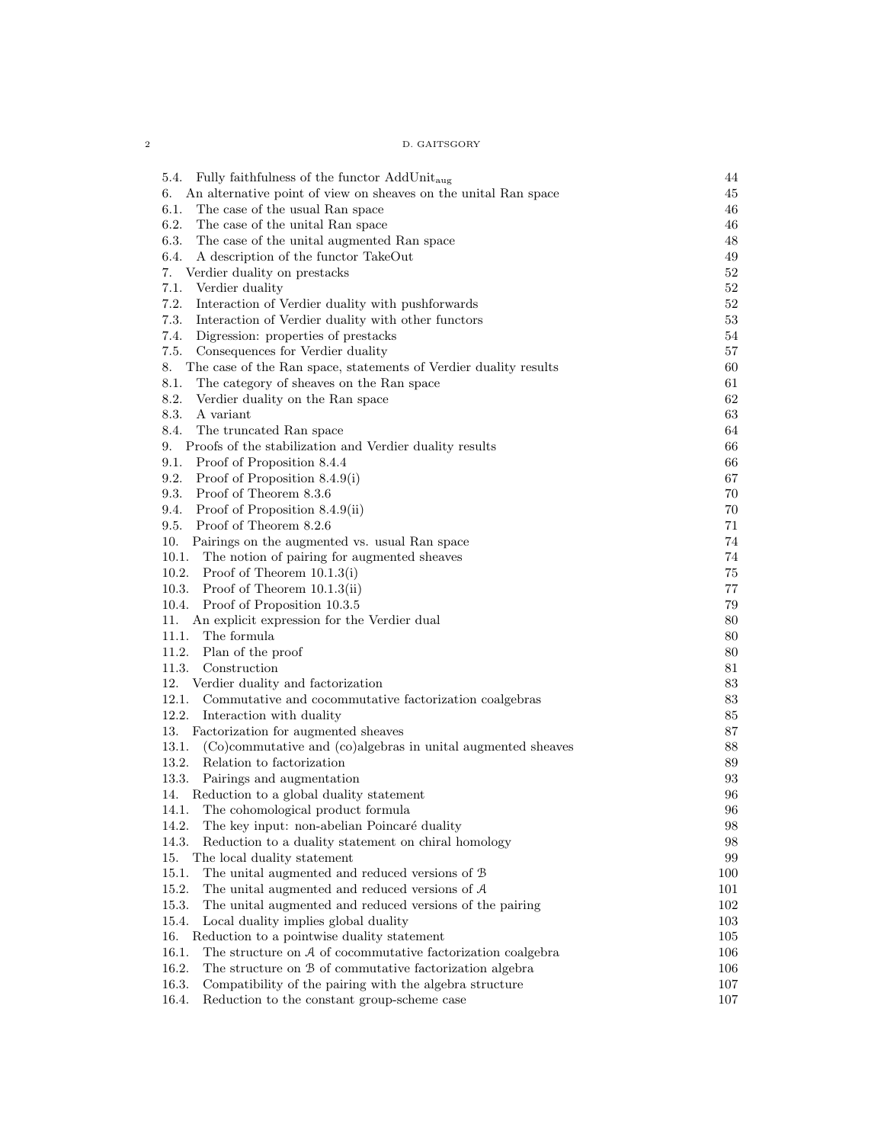| D. GAITSGORY |
|--------------|
|              |

| 5.4.                                                                   | 44  |
|------------------------------------------------------------------------|-----|
| Fully faithfulness of the functor $AddUnit_{aug}$                      |     |
| An alternative point of view on sheaves on the unital Ran space<br>6.  | 45  |
| 6.1.<br>The case of the usual Ran space                                | 46  |
| 6.2.<br>The case of the unital Ran space                               | 46  |
| 6.3.<br>The case of the unital augmented Ran space                     | 48  |
| A description of the functor TakeOut<br>6.4.                           | 49  |
| 7.<br>Verdier duality on prestacks                                     | 52  |
| 7.1.<br>Verdier duality                                                | 52  |
| 7.2.<br>Interaction of Verdier duality with pushforwards               | 52  |
| 7.3.<br>Interaction of Verdier duality with other functors             | 53  |
| 7.4.<br>Digression: properties of prestacks                            | 54  |
| 7.5.<br>Consequences for Verdier duality                               | 57  |
| The case of the Ran space, statements of Verdier duality results<br>8. | 60  |
| 8.1.<br>The category of sheaves on the Ran space                       | 61  |
| 8.2.<br>Verdier duality on the Ran space                               | 62  |
| 8.3.<br>A variant                                                      | 63  |
| 8.4.<br>The truncated Ran space                                        | 64  |
| Proofs of the stabilization and Verdier duality results<br>9.          | 66  |
| Proof of Proposition 8.4.4<br>9.1.                                     | 66  |
| 9.2.<br>Proof of Proposition $8.4.9(i)$                                | 67  |
| 9.3.<br>Proof of Theorem 8.3.6                                         | 70  |
| 9.4.<br>Proof of Proposition 8.4.9(ii)                                 | 70  |
| Proof of Theorem 8.2.6<br>9.5.                                         | 71  |
| Pairings on the augmented vs. usual Ran space<br>10.                   | 74  |
| 10.1.<br>The notion of pairing for augmented sheaves                   | 74  |
| 10.2.<br>Proof of Theorem $10.1.3(i)$                                  | 75  |
| 10.3.<br>Proof of Theorem $10.1.3(ii)$                                 | 77  |
| 10.4.<br>Proof of Proposition 10.3.5                                   | 79  |
| An explicit expression for the Verdier dual<br>11.                     | 80  |
| 11.1.<br>The formula                                                   | 80  |
| 11.2.<br>Plan of the proof                                             | 80  |
| 11.3.<br>Construction                                                  | 81  |
| 12.<br>Verdier duality and factorization                               | 83  |
| 12.1.<br>Commutative and cocommutative factorization coalgebras        | 83  |
| 12.2.                                                                  | 85  |
| Interaction with duality                                               | 87  |
| Factorization for augmented sheaves<br>13.                             |     |
| 13.1.<br>(Co)commutative and (co)algebras in unital augmented sheaves  | 88  |
| 13.2.<br>Relation to factorization                                     | 89  |
| 13.3.<br>Pairings and augmentation                                     | 93  |
| Reduction to a global duality statement<br>14.                         | 96  |
| The cohomological product formula<br>14.1.                             | 96  |
| 14.2.<br>The key input: non-abelian Poincaré duality                   | 98  |
| 14.3.<br>Reduction to a duality statement on chiral homology           | 98  |
| 15.<br>The local duality statement                                     | 99  |
| 15.1.<br>The unital augmented and reduced versions of B                | 100 |
| 15.2.<br>The unital augmented and reduced versions of $A$              | 101 |
| 15.3.<br>The unital augmented and reduced versions of the pairing      | 102 |
| 15.4.<br>Local duality implies global duality                          | 103 |
| 16.<br>Reduction to a pointwise duality statement                      | 105 |
| 16.1.<br>The structure on $A$ of cocommutative factorization coalgebra | 106 |
| 16.2.<br>The structure on B of commutative factorization algebra       | 106 |
| 16.3.<br>Compatibility of the pairing with the algebra structure       | 107 |
| 16.4.<br>Reduction to the constant group-scheme case                   | 107 |

 $\overline{2}$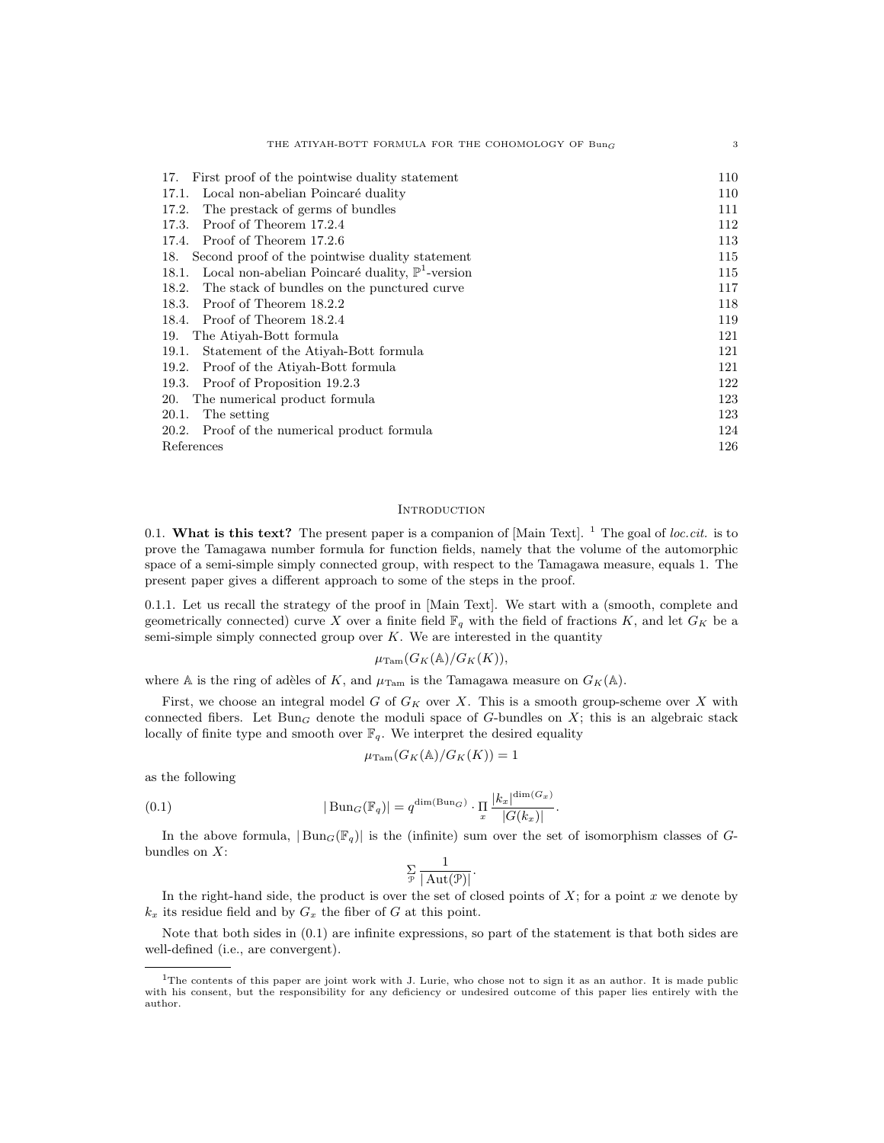| THE ATIYAH-BOTT FORMULA FOR THE COHOMOLOGY OF $Bun_G$                | 3   |
|----------------------------------------------------------------------|-----|
| First proof of the pointwise duality statement<br>17.                | 110 |
| Local non-abelian Poincaré duality<br>17.1.                          | 110 |
| The prestack of germs of bundles<br>17.2.                            | 111 |
| Proof of Theorem 17.2.4<br>17.3.                                     | 112 |
| Proof of Theorem 17.2.6<br>17.4.                                     | 113 |
| Second proof of the pointwise duality statement<br>18.               | 115 |
| Local non-abelian Poincaré duality, $\mathbb{P}^1$ -version<br>18.1. | 115 |
| The stack of bundles on the punctured curve<br>18.2.                 | 117 |
| Proof of Theorem 18.2.2<br>18.3.                                     | 118 |
| Proof of Theorem 18.2.4<br>18.4.                                     | 119 |
| The Atiyah-Bott formula<br>19.                                       | 121 |
| Statement of the Atiyah-Bott formula<br>19.1.                        | 121 |
| Proof of the Atiyah-Bott formula<br>19.2.                            | 121 |
| Proof of Proposition 19.2.3<br>19.3.                                 | 122 |
| The numerical product formula<br>20.                                 | 123 |
| The setting<br>20.1.                                                 | 123 |
| 20.2. Proof of the numerical product formula                         | 124 |
| References                                                           | 126 |

## **INTRODUCTION**

0.1. What is this text? The present paper is a companion of  $[Main Text]$ . <sup>1</sup> The goal of *loc.cit.* is to prove the Tamagawa number formula for function fields, namely that the volume of the automorphic space of a semi-simple simply connected group, with respect to the Tamagawa measure, equals 1. The present paper gives a different approach to some of the steps in the proof.

0.1.1. Let us recall the strategy of the proof in [Main Text]. We start with a (smooth, complete and geometrically connected) curve X over a finite field  $\mathbb{F}_q$  with the field of fractions K, and let  $G_K$  be a semi-simple simply connected group over  $K$ . We are interested in the quantity

$$
\mu_{\mathrm{Tam}}(G_K(\mathbb{A})/G_K(K)),
$$

where A is the ring of adèles of K, and  $\mu_{\text{Tam}}$  is the Tamagawa measure on  $G_K(\mathbb{A})$ .

First, we choose an integral model  $G$  of  $G_K$  over  $X$ . This is a smooth group-scheme over  $X$  with connected fibers. Let  $Bun_G$  denote the moduli space of G-bundles on  $X$ ; this is an algebraic stack locally of finite type and smooth over  $\mathbb{F}_q$ . We interpret the desired equality

$$
\mu_{\mathrm{Tam}}(G_K(\mathbb{A})/G_K(K)) = 1
$$

as the following

(0.1) 
$$
|\text{Bun}_G(\mathbb{F}_q)| = q^{\dim(\text{Bun}_G)} \cdot \prod_x \frac{|k_x|^{\dim(G_x)}}{|G(k_x)|}.
$$

In the above formula,  $|\text{Bun}_G(\mathbb{F}_q)|$  is the (infinite) sum over the set of isomorphism classes of Gbundles on  $X$ :

$$
\sum_{\mathcal{P}}\frac{1}{|\operatorname{Aut}(\mathcal{P})|}.
$$

In the right-hand side, the product is over the set of closed points of  $X$ ; for a point  $x$  we denote by  $k_x$  its residue field and by  $G_x$  the fiber of G at this point.

Note that both sides in (0.1) are infinite expressions, so part of the statement is that both sides are well-defined (i.e., are convergent).

<sup>&</sup>lt;sup>1</sup>The contents of this paper are joint work with J. Lurie, who chose not to sign it as an author. It is made public with his consent, but the responsibility for any deficiency or undesired outcome of this paper lies entirely with the author.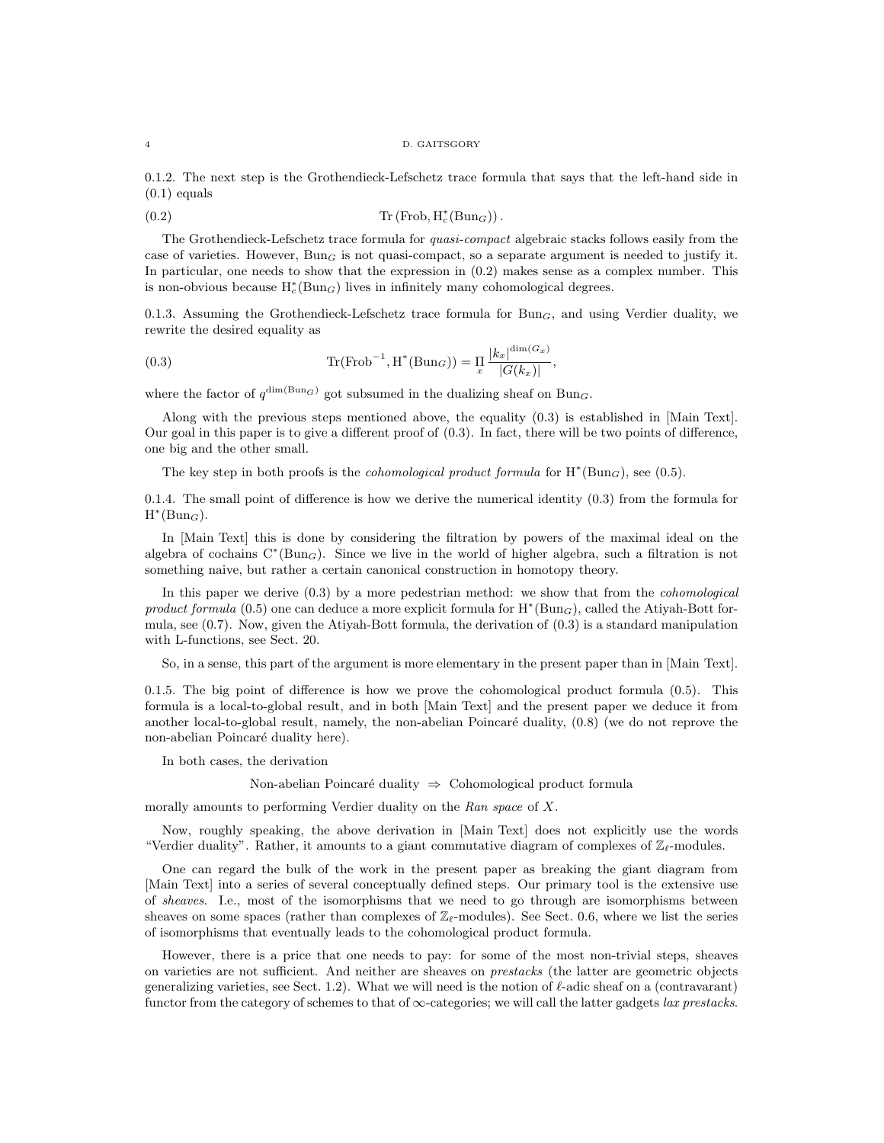#### 4 D. GAITSGORY

0.1.2. The next step is the Grothendieck-Lefschetz trace formula that says that the left-hand side in  $(0.1)$  equals

(0.2)  $\text{Tr}(\text{Frob}, \text{H}_c^*(\text{Bun}_G)).$ 

The Grothendieck-Lefschetz trace formula for quasi-compact algebraic stacks follows easily from the case of varieties. However,  $Bun_G$  is not quasi-compact, so a separate argument is needed to justify it. In particular, one needs to show that the expression in  $(0.2)$  makes sense as a complex number. This is non-obvious because  $H_c^*(Bun_G)$  lives in infinitely many cohomological degrees.

0.1.3. Assuming the Grothendieck-Lefschetz trace formula for  $Bun_G$ , and using Verdier duality, we rewrite the desired equality as

(0.3) 
$$
\operatorname{Tr}(\operatorname{Frob}^{-1}, \operatorname{H}^*(\operatorname{Bun}_G)) = \operatorname{H}_{x} \frac{|k_x|^{\dim(G_x)}}{|G(k_x)|},
$$

where the factor of  $q^{\dim(\text{Bun}_G)}$  got subsumed in the dualizing sheaf on Bun<sub>G</sub>.

Along with the previous steps mentioned above, the equality (0.3) is established in [Main Text]. Our goal in this paper is to give a different proof of (0.3). In fact, there will be two points of difference, one big and the other small.

The key step in both proofs is the *cohomological product formula* for  $H^*(Bun_G)$ , see (0.5).

0.1.4. The small point of difference is how we derive the numerical identity (0.3) from the formula for  $H^*(Bun_G)$ .

In [Main Text] this is done by considering the filtration by powers of the maximal ideal on the algebra of cochains  $C*(Bun_G)$ . Since we live in the world of higher algebra, such a filtration is not something naive, but rather a certain canonical construction in homotopy theory.

In this paper we derive  $(0.3)$  by a more pedestrian method: we show that from the *cohomological* product formula (0.5) one can deduce a more explicit formula for  $H^*(Bun_G)$ , called the Atiyah-Bott formula, see (0.7). Now, given the Atiyah-Bott formula, the derivation of (0.3) is a standard manipulation with L-functions, see Sect. 20.

So, in a sense, this part of the argument is more elementary in the present paper than in [Main Text].

0.1.5. The big point of difference is how we prove the cohomological product formula (0.5). This formula is a local-to-global result, and in both [Main Text] and the present paper we deduce it from another local-to-global result, namely, the non-abelian Poincaré duality,  $(0.8)$  (we do not reprove the non-abelian Poincaré duality here).

In both cases, the derivation

Non-abelian Poincaré duality  $\Rightarrow$  Cohomological product formula

morally amounts to performing Verdier duality on the Ran space of X.

Now, roughly speaking, the above derivation in [Main Text] does not explicitly use the words "Verdier duality". Rather, it amounts to a giant commutative diagram of complexes of  $\mathbb{Z}_{\ell}$ -modules.

One can regard the bulk of the work in the present paper as breaking the giant diagram from [Main Text] into a series of several conceptually defined steps. Our primary tool is the extensive use of sheaves. I.e., most of the isomorphisms that we need to go through are isomorphisms between sheaves on some spaces (rather than complexes of  $\mathbb{Z}_{\ell}$ -modules). See Sect. 0.6, where we list the series of isomorphisms that eventually leads to the cohomological product formula.

However, there is a price that one needs to pay: for some of the most non-trivial steps, sheaves on varieties are not sufficient. And neither are sheaves on prestacks (the latter are geometric objects generalizing varieties, see Sect. 1.2). What we will need is the notion of  $\ell$ -adic sheaf on a (contravarant) functor from the category of schemes to that of  $\infty$ -categories; we will call the latter gadgets *lax prestacks*.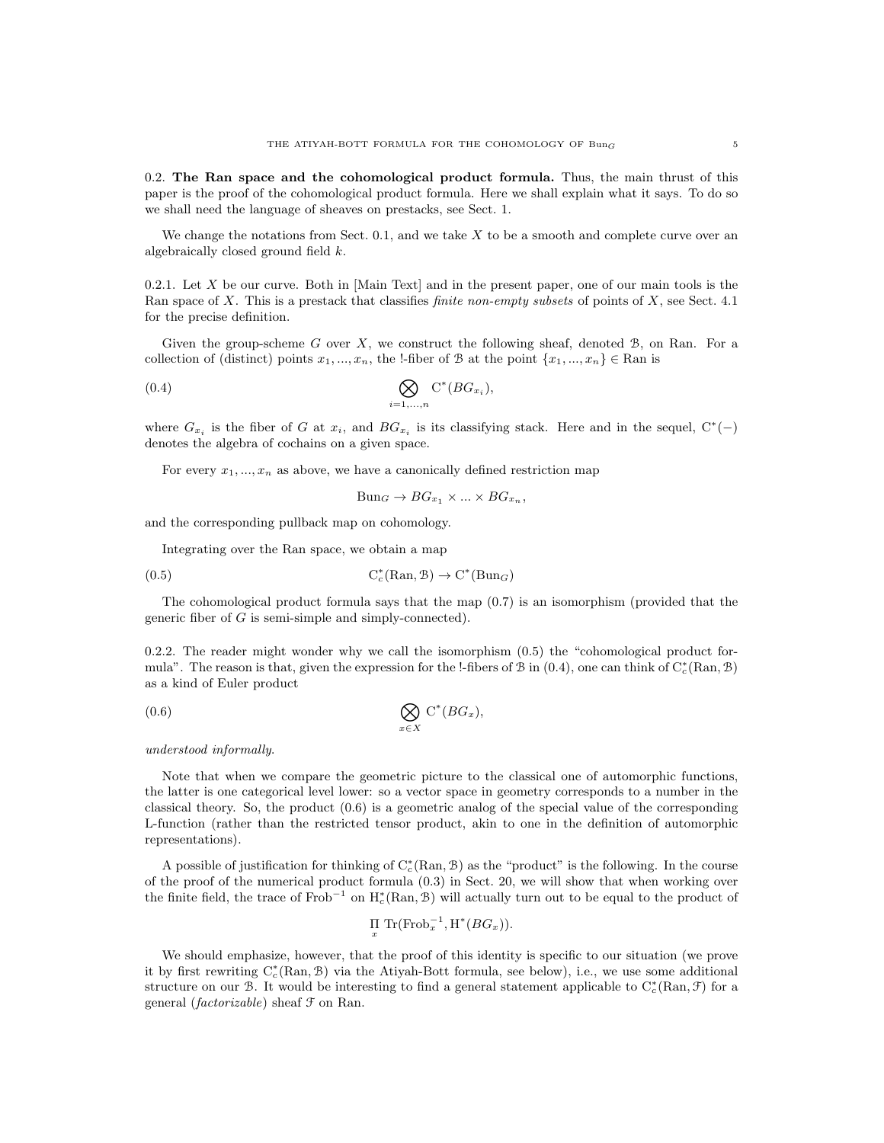0.2. The Ran space and the cohomological product formula. Thus, the main thrust of this paper is the proof of the cohomological product formula. Here we shall explain what it says. To do so we shall need the language of sheaves on prestacks, see Sect. 1.

We change the notations from Sect.  $0.1$ , and we take  $X$  to be a smooth and complete curve over an algebraically closed ground field k.

0.2.1. Let  $X$  be our curve. Both in [Main Text] and in the present paper, one of our main tools is the Ran space of X. This is a prestack that classifies *finite non-empty subsets* of points of X, see Sect. 4.1 for the precise definition.

Given the group-scheme  $G$  over  $X$ , we construct the following sheaf, denoted  $\mathcal{B}$ , on Ran. For a collection of (distinct) points  $x_1, ..., x_n$ , the !-fiber of B at the point  $\{x_1, ..., x_n\} \in \mathbb{R}$ an is

$$
(0.4) \qquad \bigotimes_{i=1,...,n} C^*(BG_{x_i}),
$$

where  $G_{x_i}$  is the fiber of G at  $x_i$ , and  $BG_{x_i}$  is its classifying stack. Here and in the sequel,  $C^*(-)$ denotes the algebra of cochains on a given space.

For every  $x_1, ..., x_n$  as above, we have a canonically defined restriction map

 $Bun_G \to BG_{x_1} \times ... \times BG_{x_n}$ 

and the corresponding pullback map on cohomology.

Integrating over the Ran space, we obtain a map

(0.5) 
$$
C_c^*(\text{Ran}, \mathcal{B}) \to C^*(\text{Bun}_G)
$$

The cohomological product formula says that the map (0.7) is an isomorphism (provided that the generic fiber of  $G$  is semi-simple and simply-connected).

0.2.2. The reader might wonder why we call the isomorphism  $(0.5)$  the "cohomological product formula". The reason is that, given the expression for the !-fibers of  $\mathcal B$  in (0.4), one can think of  $C_c^*(\text{Ran}, \mathcal B)$ as a kind of Euler product

$$
(0.6) \t\t \t\t \mathop{\bigotimes}\limits_{x \in X} C^*(BG_x),
$$

understood informally.

Note that when we compare the geometric picture to the classical one of automorphic functions, the latter is one categorical level lower: so a vector space in geometry corresponds to a number in the classical theory. So, the product (0.6) is a geometric analog of the special value of the corresponding L-function (rather than the restricted tensor product, akin to one in the definition of automorphic representations).

A possible of justification for thinking of  $C_c^*(\text{Ran}, \mathcal{B})$  as the "product" is the following. In the course of the proof of the numerical product formula (0.3) in Sect. 20, we will show that when working over the finite field, the trace of Frob<sup>-1</sup> on  $H_c^*(\text{Ran}, \mathcal{B})$  will actually turn out to be equal to the product of

$$
\prod_x \text{Tr}(\text{Frob}_x^{-1}, \text{H}^*(BG_x)).
$$

We should emphasize, however, that the proof of this identity is specific to our situation (we prove it by first rewriting  $C_c^*(\text{Ran}, \mathcal{B})$  via the Atiyah-Bott formula, see below), i.e., we use some additional structure on our B. It would be interesting to find a general statement applicable to  $C_c^*(\text{Ran}, \mathcal{F})$  for a general (factorizable) sheaf F on Ran.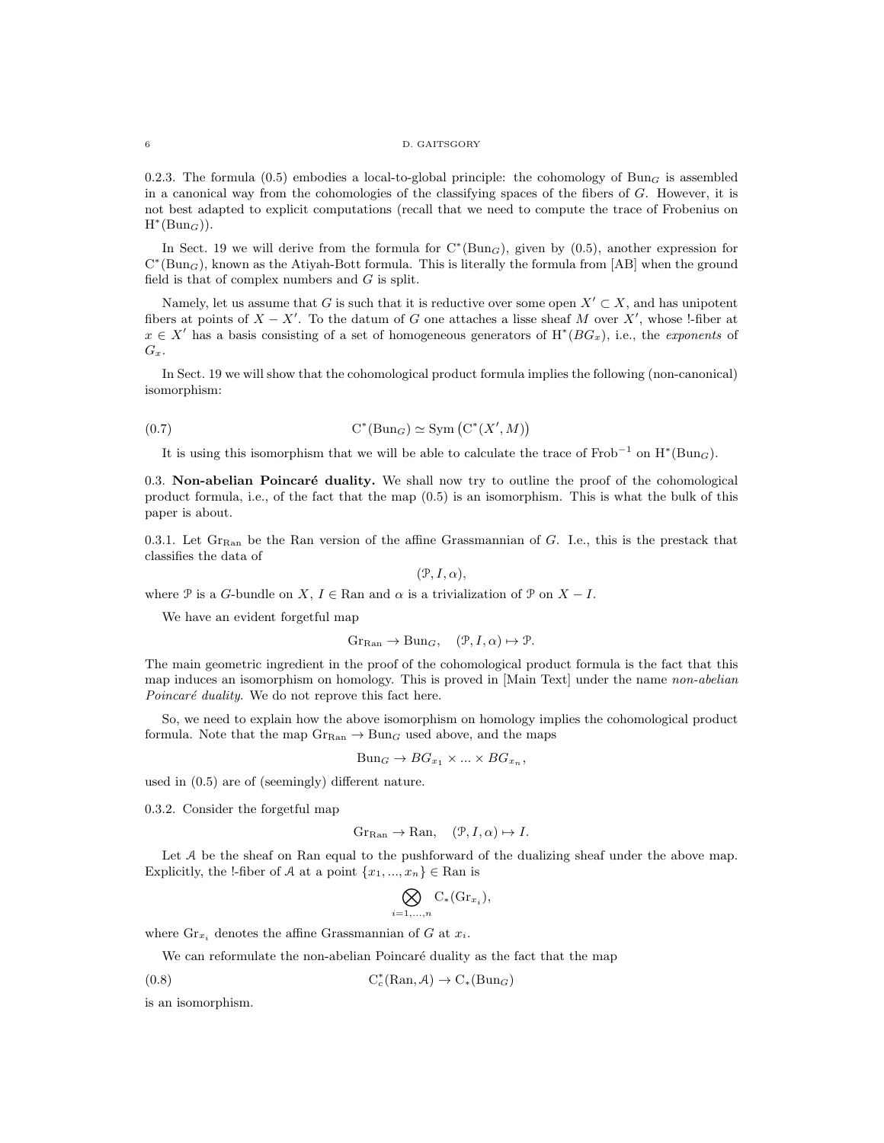#### 6 D. GAITSGORY

0.2.3. The formula (0.5) embodies a local-to-global principle: the cohomology of Bun<sub>G</sub> is assembled in a canonical way from the cohomologies of the classifying spaces of the fibers of G. However, it is not best adapted to explicit computations (recall that we need to compute the trace of Frobenius on  $H^*(Bun_G)$ ).

In Sect. 19 we will derive from the formula for  $C^*(Bun_G)$ , given by  $(0.5)$ , another expression for  $C^*(Bun_G)$ , known as the Atiyah-Bott formula. This is literally the formula from [AB] when the ground field is that of complex numbers and  $G$  is split.

Namely, let us assume that G is such that it is reductive over some open  $X' \subset X$ , and has unipotent fibers at points of  $X - X'$ . To the datum of G one attaches a lisse sheaf M over  $X'$ , whose !-fiber at  $x \in X'$  has a basis consisting of a set of homogeneous generators of  $H^*(BG_x)$ , i.e., the exponents of  $G_x$ .

In Sect. 19 we will show that the cohomological product formula implies the following (non-canonical) isomorphism:

$$
C^*(Bun_G) \simeq \text{Sym}\left(C^*(X',M)\right)
$$

It is using this isomorphism that we will be able to calculate the trace of  $Frob^{-1}$  on  $H^*(Bun_G)$ .

 $0.3.$  Non-abelian Poincaré duality. We shall now try to outline the proof of the cohomological product formula, i.e., of the fact that the map (0.5) is an isomorphism. This is what the bulk of this paper is about.

0.3.1. Let  $\mathrm{Gr}_{\mathrm{Ran}}$  be the Ran version of the affine Grassmannian of G. I.e., this is the prestack that classifies the data of

 $(\mathcal{P}, I, \alpha),$ 

where P is a G-bundle on X,  $I \in \mathbb{R}$ an and  $\alpha$  is a trivialization of P on  $X - I$ .

We have an evident forgetful map

$$
Gr_{\text{Ran}} \to \text{Bun}_G, \quad (\mathcal{P}, I, \alpha) \mapsto \mathcal{P}.
$$

The main geometric ingredient in the proof of the cohomological product formula is the fact that this map induces an isomorphism on homology. This is proved in [Main Text] under the name non-abelian Poincaré duality. We do not reprove this fact here.

So, we need to explain how the above isomorphism on homology implies the cohomological product formula. Note that the map  $G_{\text{Ran}} \to \text{Bun}_G$  used above, and the maps

$$
Bun_G \to BG_{x_1} \times ... \times BG_{x_n},
$$

used in (0.5) are of (seemingly) different nature.

0.3.2. Consider the forgetful map

$$
Gr_{\text{Ran}} \to \text{Ran}, \quad (\mathcal{P}, I, \alpha) \mapsto I.
$$

Let A be the sheaf on Ran equal to the pushforward of the dualizing sheaf under the above map. Explicitly, the !-fiber of A at a point  $\{x_1, ..., x_n\} \in \mathbb{R}$ an is

$$
\bigotimes_{i=1,\ldots,n} C_*(\mathrm{Gr}_{x_i}),
$$

where  $\mathrm{Gr}_{x_i}$  denotes the affine Grassmannian of G at  $x_i$ .

We can reformulate the non-abelian Poincaré duality as the fact that the map

(0.8)  $C_c^*$  $C_c^*(\text{Ran}, \mathcal{A}) \to C_*(\text{Bun}_G)$ 

is an isomorphism.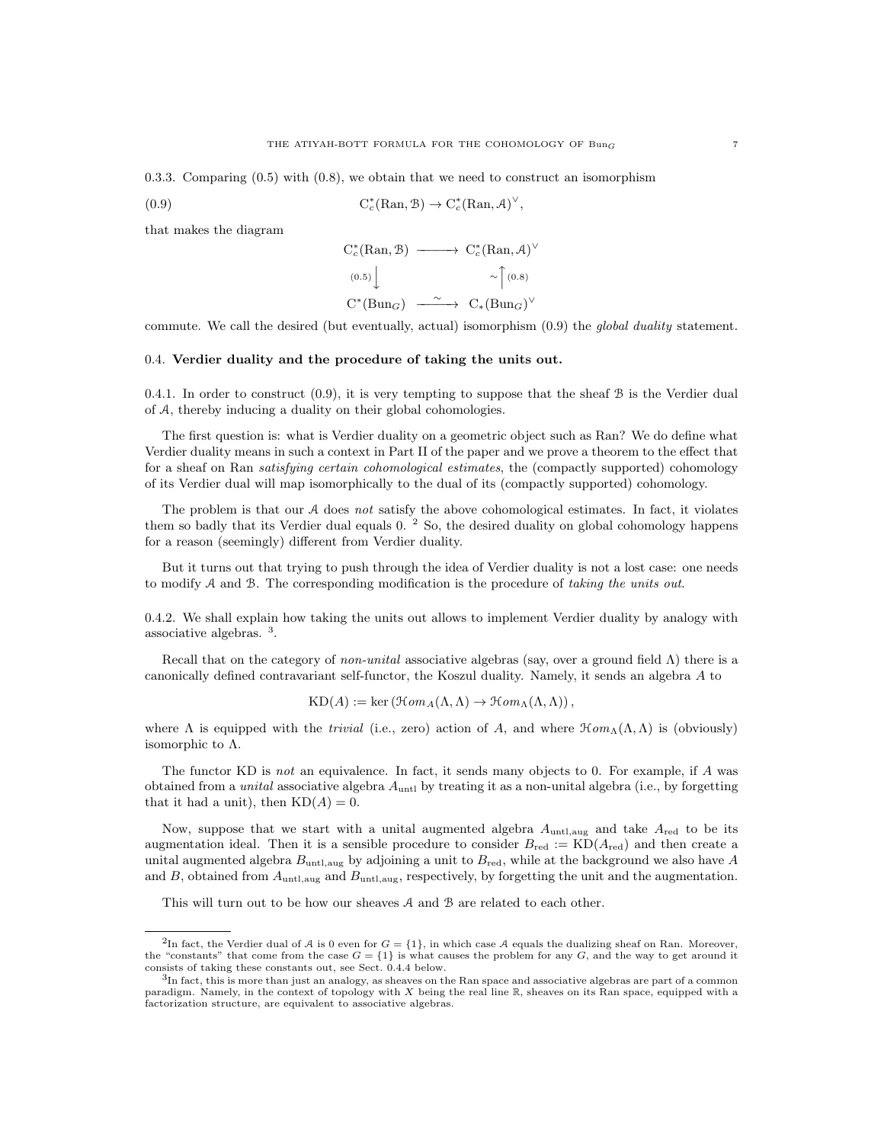0.3.3. Comparing (0.5) with (0.8), we obtain that we need to construct an isomorphism

(0.9) 
$$
C_c^*(\text{Ran}, \mathcal{B}) \to C_c^*(\text{Ran}, \mathcal{A})^{\vee},
$$

that makes the diagram

$$
C_c^*(\text{Ran}, \mathcal{B}) \longrightarrow C_c^*(\text{Ran}, \mathcal{A})^{\vee}
$$
  
\n
$$
\begin{array}{c} (0.5) \downarrow \\ C^*(\text{Bun}_G) \longrightarrow C_*(\text{Bun}_G)^{\vee} \end{array}
$$
  
\n
$$
C^*(\text{Bun}_G) \longrightarrow C_*(\text{Bun}_G)^{\vee}
$$

commute. We call the desired (but eventually, actual) isomorphism (0.9) the *global duality* statement.

## 0.4. Verdier duality and the procedure of taking the units out.

0.4.1. In order to construct  $(0.9)$ , it is very tempting to suppose that the sheaf  $\beta$  is the Verdier dual of A, thereby inducing a duality on their global cohomologies.

The first question is: what is Verdier duality on a geometric object such as Ran? We do define what Verdier duality means in such a context in Part II of the paper and we prove a theorem to the effect that for a sheaf on Ran satisfying certain cohomological estimates, the (compactly supported) cohomology of its Verdier dual will map isomorphically to the dual of its (compactly supported) cohomology.

The problem is that our A does not satisfy the above cohomological estimates. In fact, it violates them so badly that its Verdier dual equals 0. <sup>2</sup> So, the desired duality on global cohomology happens for a reason (seemingly) different from Verdier duality.

But it turns out that trying to push through the idea of Verdier duality is not a lost case: one needs to modify  $A$  and  $B$ . The corresponding modification is the procedure of taking the units out.

0.4.2. We shall explain how taking the units out allows to implement Verdier duality by analogy with associative algebras. <sup>3</sup> .

Recall that on the category of non-unital associative algebras (say, over a ground field  $\Lambda$ ) there is a canonically defined contravariant self-functor, the Koszul duality. Namely, it sends an algebra A to

$$
KD(A) := \ker (\mathcal{H}om_A(\Lambda, \Lambda) \to \mathcal{H}om_A(\Lambda, \Lambda)),
$$

where  $\Lambda$  is equipped with the trivial (i.e., zero) action of A, and where  $\mathcal{H}om_{\Lambda}(\Lambda,\Lambda)$  is (obviously) isomorphic to  $\Lambda$ .

The functor KD is not an equivalence. In fact, it sends many objects to 0. For example, if A was obtained from a *unital* associative algebra  $A<sub>unt1</sub>$  by treating it as a non-unital algebra (i.e., by forgetting that it had a unit), then  $KD(A) = 0$ .

Now, suppose that we start with a unital augmented algebra  $A_{\text{untl,aug}}$  and take  $A_{\text{red}}$  to be its augmentation ideal. Then it is a sensible procedure to consider  $B_{\text{red}} := \text{KD}(A_{\text{red}})$  and then create a unital augmented algebra  $B_{\text{untl,aug}}$  by adjoining a unit to  $B_{\text{red}}$ , while at the background we also have A and B, obtained from  $A_{\text{untl,aug}}$  and  $B_{\text{untl,aug}}$ , respectively, by forgetting the unit and the augmentation.

This will turn out to be how our sheaves A and B are related to each other.

<sup>&</sup>lt;sup>2</sup>In fact, the Verdier dual of A is 0 even for  $G = \{1\}$ , in which case A equals the dualizing sheaf on Ran. Moreover, the "constants" that come from the case  $G = \{1\}$  is what causes the problem for any G, and the way to get around it consists of taking these constants out, see Sect. 0.4.4 below.

<sup>3</sup>In fact, this is more than just an analogy, as sheaves on the Ran space and associative algebras are part of a common paradigm. Namely, in the context of topology with X being the real line R, sheaves on its Ran space, equipped with a factorization structure, are equivalent to associative algebras.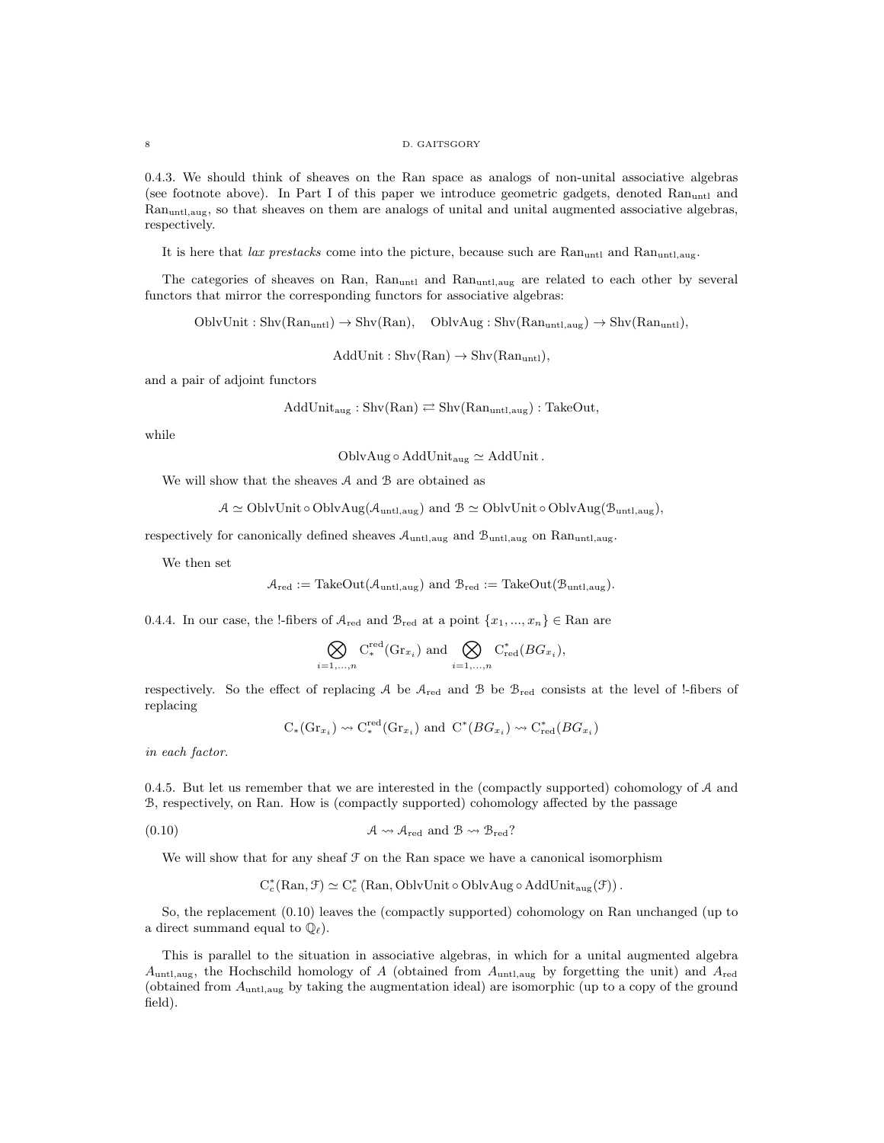#### 8 D. GAITSGORY

0.4.3. We should think of sheaves on the Ran space as analogs of non-unital associative algebras (see footnote above). In Part I of this paper we introduce geometric gadgets, denoted  $\text{Ran}_{\text{untl}}$  and Ranuntl,aug, so that sheaves on them are analogs of unital and unital augmented associative algebras, respectively.

It is here that lax prestacks come into the picture, because such are  $\text{Ran}_{\text{untl}}$  and  $\text{Ran}_{\text{untl},\text{aug}}$ .

The categories of sheaves on Ran, Ran<sub>untl</sub> and Ran<sub>untl,aug</sub> are related to each other by several functors that mirror the corresponding functors for associative algebras:

 $OblvUnit : Shv(Ran<sub>untl</sub>) \rightarrow Shv(Ran), \quad OblvAug : Shv(Ran<sub>untl,aug</sub>) \rightarrow Shv(Ran<sub>untl</sub>),$ 

 $AddUnit : Shv(Ran) \rightarrow Shv(Ran<sub>untl</sub>),$ 

and a pair of adjoint functors

$$
AddUnit_{aug}: Shv(Ran) \rightleftarrows Shv(Ranuntl,aug) : TakeOut,
$$

while

OblvAug  $\circ$  AddUnit<sub>aug</sub>  $\simeq$  AddUnit.

We will show that the sheaves  $A$  and  $B$  are obtained as

 $A \simeq \text{OblvUnit} \circ \text{OblvAug}(\mathcal{A}_{\text{untl,aug}})$  and  $B \simeq \text{OblvUnit} \circ \text{OblvAug}(\mathcal{B}_{\text{untl,aug}})$ ,

respectively for canonically defined sheaves  $A_{\text{untl,aug}}$  and  $B_{\text{untl,aug}}$  on  $\text{Ran}_{\text{untl,aug}}$ .

We then set

$$
\mathcal{A}_{red} := \text{TakeOut}(\mathcal{A}_{untl,aug}) \text{ and } \mathcal{B}_{red} := \text{TakeOut}(\mathcal{B}_{untl,aug}).
$$

0.4.4. In our case, the !-fibers of  $A_{\text{red}}$  and  $B_{\text{red}}$  at a point  $\{x_1, ..., x_n\} \in \text{Ran are}$ 

$$
\bigotimes_{i=1,...,n} \mathrm{C}^{\mathrm{red}}_*(\mathrm{Gr}_{x_i}) \text{ and } \bigotimes_{i=1,...,n} \mathrm{C}^*_{\mathrm{red}}(BG_{x_i}),
$$

respectively. So the effect of replacing A be Ared and B be Bred consists at the level of !-fibers of replacing

$$
C_*(\mathrm{Gr}_{x_i}) \rightsquigarrow C_*^{\text{red}}(\mathrm{Gr}_{x_i})
$$
 and  $C^*(BG_{x_i}) \rightsquigarrow C_{\text{red}}^*(BG_{x_i})$ 

in each factor.

0.4.5. But let us remember that we are interested in the (compactly supported) cohomology of  $A$  and B, respectively, on Ran. How is (compactly supported) cohomology affected by the passage

$$
(0.10) \t\t \t\t \mathcal{A} \leadsto \mathcal{A}_{red} \text{ and } \mathcal{B} \leadsto \mathcal{B}_{red}?
$$

We will show that for any sheaf  $\mathcal F$  on the Ran space we have a canonical isomorphism

$$
C_c^*(\mathrm{Ran}, \mathcal{F}) \simeq C_c^*(\mathrm{Ran}, \mathrm{OblvUnit} \circ \mathrm{OblvAug} \circ \mathrm{AddUnit}_{\mathrm{aug}}(\mathcal{F})).
$$

So, the replacement (0.10) leaves the (compactly supported) cohomology on Ran unchanged (up to a direct summand equal to  $\mathbb{Q}_{\ell}$ .

This is parallel to the situation in associative algebras, in which for a unital augmented algebra  $A_{\text{untl,aug}}$ , the Hochschild homology of A (obtained from  $A_{\text{untl,aug}}$  by forgetting the unit) and  $A_{\text{red}}$ (obtained from  $A_{\text{untl,aug}}$  by taking the augmentation ideal) are isomorphic (up to a copy of the ground field).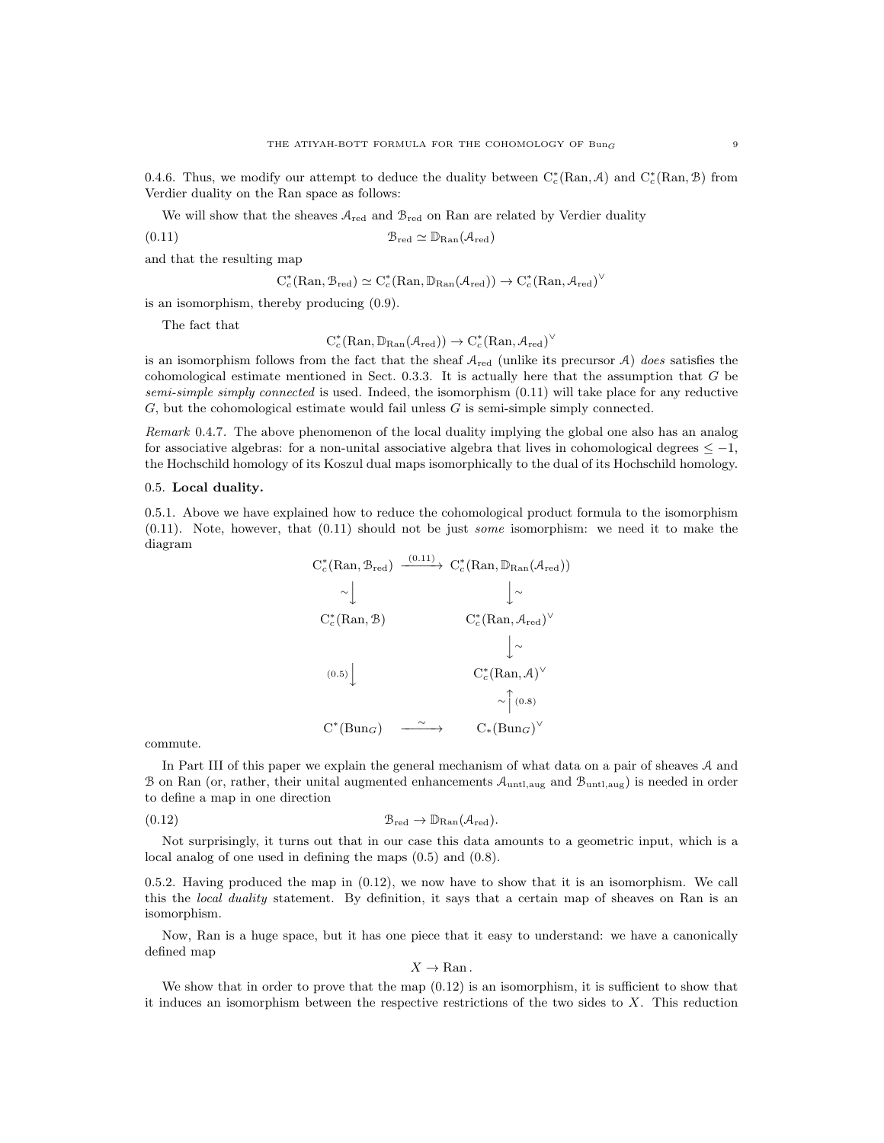0.4.6. Thus, we modify our attempt to deduce the duality between  $C_c^*(\text{Ran}, \mathcal{A})$  and  $C_c^*(\text{Ran}, \mathcal{B})$  from Verdier duality on the Ran space as follows:

We will show that the sheaves  $A_{\text{red}}$  and  $B_{\text{red}}$  on Ran are related by Verdier duality

(0.11) Bred ' DRan(Ared)

and that the resulting map

$$
C_c^*(\mathrm{Ran}, \mathcal{B}_{red}) \simeq C_c^*(\mathrm{Ran}, \mathbb{D}_{\mathrm{Ran}}(\mathcal{A}_{red})) \to C_c^*(\mathrm{Ran}, \mathcal{A}_{red})^{\vee}
$$

is an isomorphism, thereby producing (0.9).

The fact that

$$
C_c^*(\mathrm{Ran}, \mathbb{D}_{\mathrm{Ran}}(\mathcal{A}_{\mathrm{red}})) \to C_c^*(\mathrm{Ran}, \mathcal{A}_{\mathrm{red}})^\vee
$$

is an isomorphism follows from the fact that the sheaf  $A_{\text{red}}$  (unlike its precursor A) does satisfies the cohomological estimate mentioned in Sect. 0.3.3. It is actually here that the assumption that G be semi-simple simply connected is used. Indeed, the isomorphism  $(0.11)$  will take place for any reductive  $G$ , but the cohomological estimate would fail unless  $G$  is semi-simple simply connected.

Remark 0.4.7. The above phenomenon of the local duality implying the global one also has an analog for associative algebras: for a non-unital associative algebra that lives in cohomological degrees  $\leq -1$ , the Hochschild homology of its Koszul dual maps isomorphically to the dual of its Hochschild homology.

## 0.5. Local duality.

0.5.1. Above we have explained how to reduce the cohomological product formula to the isomorphism  $(0.11)$ . Note, however, that  $(0.11)$  should not be just some isomorphism: we need it to make the diagram  $(0.11)$ 

$$
C_c^*(\text{Ran}, \mathcal{B}_{\text{red}}) \xrightarrow{(0.11)} C_c^*(\text{Ran}, \mathbb{D}_{\text{Ran}}(\mathcal{A}_{\text{red}}))
$$
  
\n
$$
\sim \downarrow \qquad \qquad \downarrow \sim
$$
  
\n
$$
C_c^*(\text{Ran}, \mathcal{B}) \qquad \qquad C_c^*(\text{Ran}, \mathcal{A}_{\text{red}})^\vee
$$
  
\n
$$
\downarrow \sim
$$
  
\n
$$
(0.5) \downarrow \qquad \qquad C_c^*(\text{Ran}, \mathcal{A})^\vee
$$
  
\n
$$
\sim \uparrow (0.8)
$$
  
\n
$$
C^*(\text{Bun}_G) \xrightarrow{\sim} C_*(\text{Bun}_G)^\vee
$$

commute.

In Part III of this paper we explain the general mechanism of what data on a pair of sheaves A and B on Ran (or, rather, their unital augmented enhancements  $A_{\text{untl,aug}}$  and  $B_{\text{untl,aug}}$ ) is needed in order to define a map in one direction

(0.12) Bred → DRan(Ared).

Not surprisingly, it turns out that in our case this data amounts to a geometric input, which is a local analog of one used in defining the maps (0.5) and (0.8).

0.5.2. Having produced the map in (0.12), we now have to show that it is an isomorphism. We call this the *local duality* statement. By definition, it says that a certain map of sheaves on Ran is an isomorphism.

Now, Ran is a huge space, but it has one piece that it easy to understand: we have a canonically defined map

$$
X\to \operatorname{Ran}.
$$

We show that in order to prove that the map  $(0.12)$  is an isomorphism, it is sufficient to show that it induces an isomorphism between the respective restrictions of the two sides to  $X$ . This reduction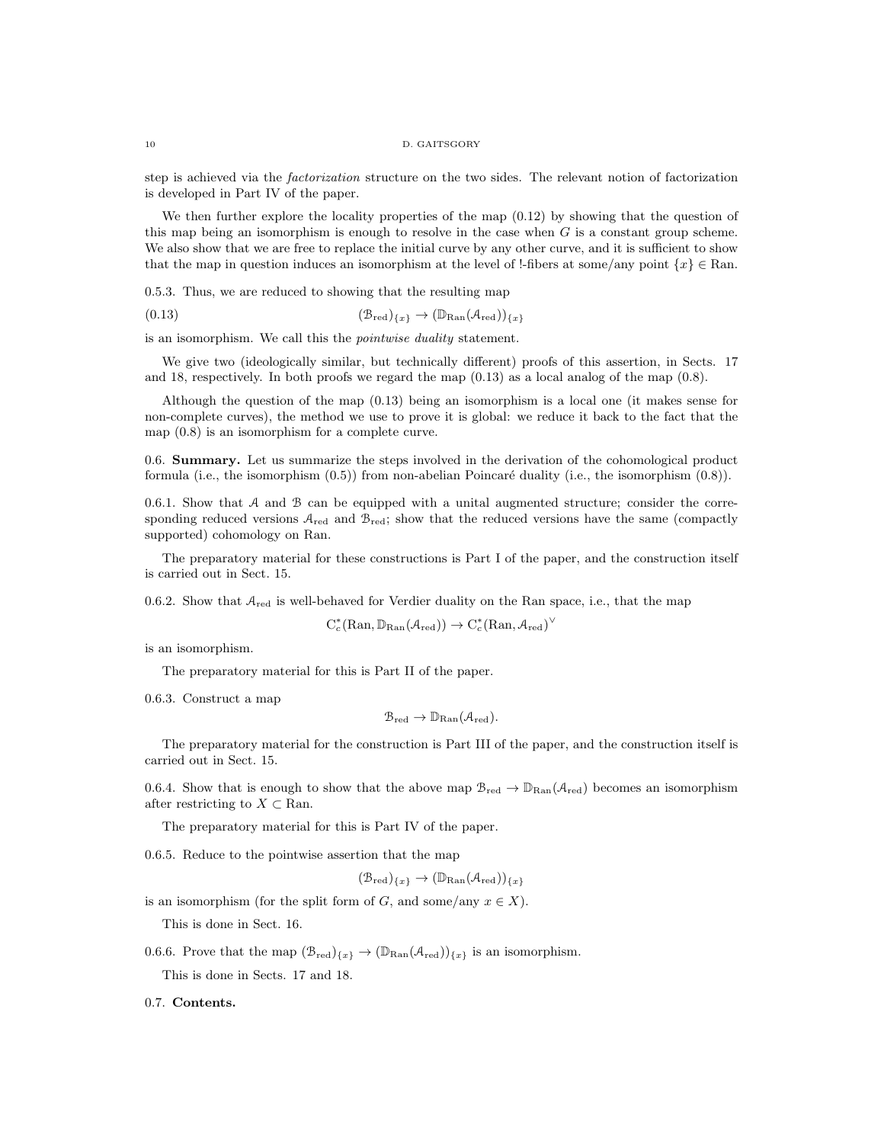step is achieved via the factorization structure on the two sides. The relevant notion of factorization is developed in Part IV of the paper.

We then further explore the locality properties of the map  $(0.12)$  by showing that the question of this map being an isomorphism is enough to resolve in the case when  $G$  is a constant group scheme. We also show that we are free to replace the initial curve by any other curve, and it is sufficient to show that the map in question induces an isomorphism at the level of !-fibers at some/any point  $\{x\} \in \text{Ran}$ .

0.5.3. Thus, we are reduced to showing that the resulting map

$$
(0.13) \qquad (\mathcal{B}_{red})_{\{x\}} \to (\mathbb{D}_{\text{Ran}}(\mathcal{A}_{red}))_{\{x\}}
$$

is an isomorphism. We call this the pointwise duality statement.

We give two (ideologically similar, but technically different) proofs of this assertion, in Sects. 17 and 18, respectively. In both proofs we regard the map (0.13) as a local analog of the map (0.8).

Although the question of the map (0.13) being an isomorphism is a local one (it makes sense for non-complete curves), the method we use to prove it is global: we reduce it back to the fact that the map (0.8) is an isomorphism for a complete curve.

0.6. Summary. Let us summarize the steps involved in the derivation of the cohomological product formula (i.e., the isomorphism  $(0.5)$ ) from non-abelian Poincaré duality (i.e., the isomorphism  $(0.8)$ ).

0.6.1. Show that  $A$  and  $B$  can be equipped with a unital augmented structure; consider the corresponding reduced versions  $A_{\text{red}}$  and  $B_{\text{red}}$ ; show that the reduced versions have the same (compactly supported) cohomology on Ran.

The preparatory material for these constructions is Part I of the paper, and the construction itself is carried out in Sect. 15.

0.6.2. Show that  $A_{red}$  is well-behaved for Verdier duality on the Ran space, i.e., that the map

$$
C_c^*(\mathrm{Ran},\mathbb{D}_{\mathrm{Ran}}(\mathcal{A}_{\mathrm{red}}))\to C_c^*(\mathrm{Ran},\mathcal{A}_{\mathrm{red}})^\vee
$$

is an isomorphism.

The preparatory material for this is Part II of the paper.

0.6.3. Construct a map

$$
\mathcal{B}_{\mathrm{red}} \to \mathbb{D}_{\mathrm{Ran}}(\mathcal{A}_{\mathrm{red}}).
$$

The preparatory material for the construction is Part III of the paper, and the construction itself is carried out in Sect. 15.

0.6.4. Show that is enough to show that the above map  $\mathcal{B}_{red} \to \mathbb{D}_{\text{Ran}}(\mathcal{A}_{red})$  becomes an isomorphism after restricting to  $X \subset \mathbb{R}$ an.

The preparatory material for this is Part IV of the paper.

0.6.5. Reduce to the pointwise assertion that the map

 $(\mathcal{B}_{\text{red}})_{\{x\}} \to (\mathbb{D}_{\text{Ran}}(\mathcal{A}_{\text{red}}))_{\{x\}}$ 

is an isomorphism (for the split form of G, and some/any  $x \in X$ ). This is done in Sect. 16.

0.6.6. Prove that the map  $(\mathcal{B}_{red})_{\{x\}} \to (\mathbb{D}_{\text{Ran}}(\mathcal{A}_{red}))_{\{x\}}$  is an isomorphism.

This is done in Sects. 17 and 18.

0.7. Contents.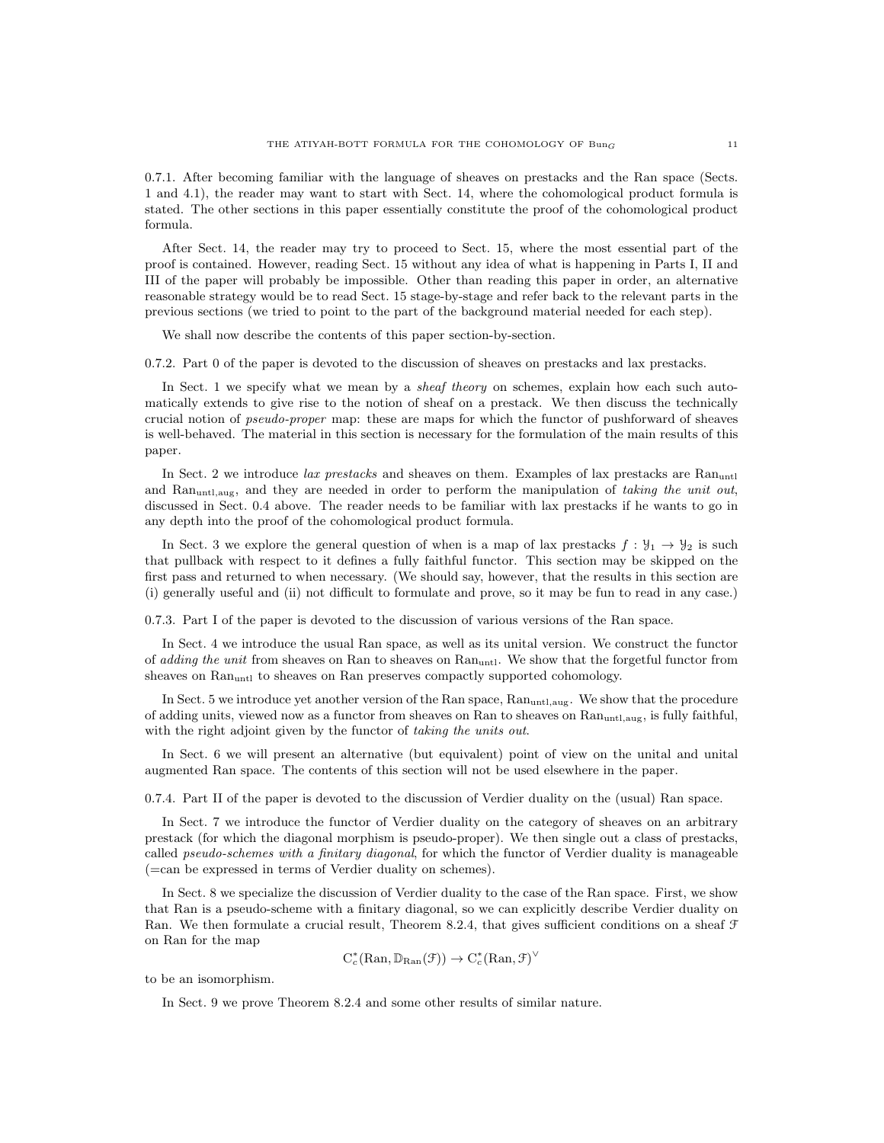0.7.1. After becoming familiar with the language of sheaves on prestacks and the Ran space (Sects. 1 and 4.1), the reader may want to start with Sect. 14, where the cohomological product formula is stated. The other sections in this paper essentially constitute the proof of the cohomological product formula.

After Sect. 14, the reader may try to proceed to Sect. 15, where the most essential part of the proof is contained. However, reading Sect. 15 without any idea of what is happening in Parts I, II and III of the paper will probably be impossible. Other than reading this paper in order, an alternative reasonable strategy would be to read Sect. 15 stage-by-stage and refer back to the relevant parts in the previous sections (we tried to point to the part of the background material needed for each step).

We shall now describe the contents of this paper section-by-section.

0.7.2. Part 0 of the paper is devoted to the discussion of sheaves on prestacks and lax prestacks.

In Sect. 1 we specify what we mean by a *sheaf theory* on schemes, explain how each such automatically extends to give rise to the notion of sheaf on a prestack. We then discuss the technically crucial notion of pseudo-proper map: these are maps for which the functor of pushforward of sheaves is well-behaved. The material in this section is necessary for the formulation of the main results of this paper.

In Sect. 2 we introduce lax prestacks and sheaves on them. Examples of lax prestacks are Ranuntl and Ran<sub>untl,aug</sub>, and they are needed in order to perform the manipulation of taking the unit out, discussed in Sect. 0.4 above. The reader needs to be familiar with lax prestacks if he wants to go in any depth into the proof of the cohomological product formula.

In Sect. 3 we explore the general question of when is a map of lax prestacks  $f: \mathcal{Y}_1 \to \mathcal{Y}_2$  is such that pullback with respect to it defines a fully faithful functor. This section may be skipped on the first pass and returned to when necessary. (We should say, however, that the results in this section are (i) generally useful and (ii) not difficult to formulate and prove, so it may be fun to read in any case.)

0.7.3. Part I of the paper is devoted to the discussion of various versions of the Ran space.

In Sect. 4 we introduce the usual Ran space, as well as its unital version. We construct the functor of *adding the unit* from sheaves on Ran to sheaves on Ran<sub>untl</sub>. We show that the forgetful functor from sheaves on Ran<sub>untl</sub> to sheaves on Ran preserves compactly supported cohomology.

In Sect. 5 we introduce yet another version of the Ran space, Ran<sub>untlaug</sub>. We show that the procedure of adding units, viewed now as a functor from sheaves on Ran to sheaves on Ranuntl,aug, is fully faithful, with the right adjoint given by the functor of taking the units out.

In Sect. 6 we will present an alternative (but equivalent) point of view on the unital and unital augmented Ran space. The contents of this section will not be used elsewhere in the paper.

0.7.4. Part II of the paper is devoted to the discussion of Verdier duality on the (usual) Ran space.

In Sect. 7 we introduce the functor of Verdier duality on the category of sheaves on an arbitrary prestack (for which the diagonal morphism is pseudo-proper). We then single out a class of prestacks, called pseudo-schemes with a finitary diagonal, for which the functor of Verdier duality is manageable (=can be expressed in terms of Verdier duality on schemes).

In Sect. 8 we specialize the discussion of Verdier duality to the case of the Ran space. First, we show that Ran is a pseudo-scheme with a finitary diagonal, so we can explicitly describe Verdier duality on Ran. We then formulate a crucial result, Theorem 8.2.4, that gives sufficient conditions on a sheaf F on Ran for the map

$$
C_c^*(\mathrm{Ran}, \mathbb{D}_{\mathrm{Ran}}(\mathcal{F})) \to C_c^*(\mathrm{Ran}, \mathcal{F})^{\vee}
$$

to be an isomorphism.

In Sect. 9 we prove Theorem 8.2.4 and some other results of similar nature.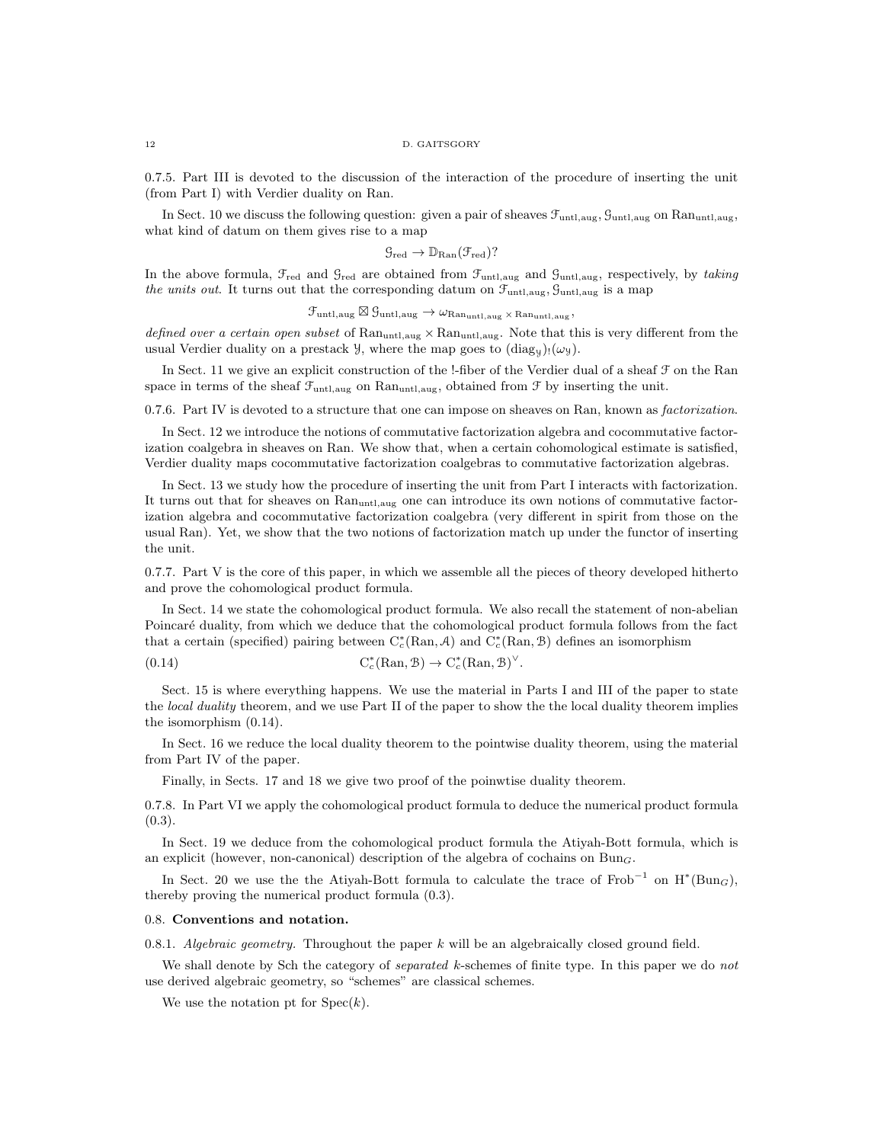0.7.5. Part III is devoted to the discussion of the interaction of the procedure of inserting the unit (from Part I) with Verdier duality on Ran.

In Sect. 10 we discuss the following question: given a pair of sheaves  $\mathcal{F}_{\text{unt,aug}}$ ,  $\mathcal{G}_{\text{unt,aug}}$  on Ranuntl, aug, what kind of datum on them gives rise to a map

$$
\mathcal{G}_{\mathrm{red}} \to \mathbb{D}_{\mathrm{Ran}}(\mathcal{F}_{\mathrm{red}})?
$$

In the above formula,  $\mathcal{F}_{\text{red}}$  and  $\mathcal{G}_{\text{red}}$  are obtained from  $\mathcal{F}_{\text{unt,aug}}$  and  $\mathcal{G}_{\text{unt,aug}}$ , respectively, by taking the units out. It turns out that the corresponding datum on  $\mathcal{F}_{\text{unt,aug}}$ ,  $\mathcal{G}_{\text{unt,aug}}$  is a map

 $\mathcal{F}_{\text{untl,aug}} \boxtimes \mathcal{G}_{\text{untl,aug}} \rightarrow \omega_{\text{Ran}_{\text{untl,aug}}} \times \text{Ran}_{\text{untl,aug}}$ 

defined over a certain open subset of  $\text{Ran}_{\text{untl},\text{aug}} \times \text{Ran}_{\text{untl},\text{aug}}$ . Note that this is very different from the usual Verdier duality on a prestack  $\mathcal{Y}$ , where the map goes to  $(\text{diag}_y)_! (\omega_y)$ .

In Sect. 11 we give an explicit construction of the !-fiber of the Verdier dual of a sheaf  $\mathcal F$  on the Ran space in terms of the sheaf  $\mathcal{F}_{\text{untl,aug}}$  on Ran<sub>untl,aug</sub>, obtained from  $\mathcal{F}$  by inserting the unit.

0.7.6. Part IV is devoted to a structure that one can impose on sheaves on Ran, known as *factorization*.

In Sect. 12 we introduce the notions of commutative factorization algebra and cocommutative factorization coalgebra in sheaves on Ran. We show that, when a certain cohomological estimate is satisfied, Verdier duality maps cocommutative factorization coalgebras to commutative factorization algebras.

In Sect. 13 we study how the procedure of inserting the unit from Part I interacts with factorization. It turns out that for sheaves on Ranuntl,aug one can introduce its own notions of commutative factorization algebra and cocommutative factorization coalgebra (very different in spirit from those on the usual Ran). Yet, we show that the two notions of factorization match up under the functor of inserting the unit.

0.7.7. Part V is the core of this paper, in which we assemble all the pieces of theory developed hitherto and prove the cohomological product formula.

In Sect. 14 we state the cohomological product formula. We also recall the statement of non-abelian Poincaré duality, from which we deduce that the cohomological product formula follows from the fact that a certain (specified) pairing between  $C_c^*(\text{Ran}, A)$  and  $C_c^*(\text{Ran}, B)$  defines an isomorphism

$$
(0.14) \tCc*(\text{Ran}, \mathcal{B}) \to Cc*(\text{Ran}, \mathcal{B})^{\vee}.
$$

Sect. 15 is where everything happens. We use the material in Parts I and III of the paper to state the *local duality* theorem, and we use Part II of the paper to show the the local duality theorem implies the isomorphism (0.14).

In Sect. 16 we reduce the local duality theorem to the pointwise duality theorem, using the material from Part IV of the paper.

Finally, in Sects. 17 and 18 we give two proof of the poinwtise duality theorem.

0.7.8. In Part VI we apply the cohomological product formula to deduce the numerical product formula  $(0.3)$ .

In Sect. 19 we deduce from the cohomological product formula the Atiyah-Bott formula, which is an explicit (however, non-canonical) description of the algebra of cochains on  $Bun<sub>G</sub>$ .

In Sect. 20 we use the the Atiyah-Bott formula to calculate the trace of Frob<sup>-1</sup> on  $H^*(Bun_G)$ , thereby proving the numerical product formula (0.3).

### 0.8. Conventions and notation.

0.8.1. Algebraic geometry. Throughout the paper  $k$  will be an algebraically closed ground field.

We shall denote by Sch the category of *separated k*-schemes of finite type. In this paper we do not use derived algebraic geometry, so "schemes" are classical schemes.

We use the notation pt for  $Spec(k)$ .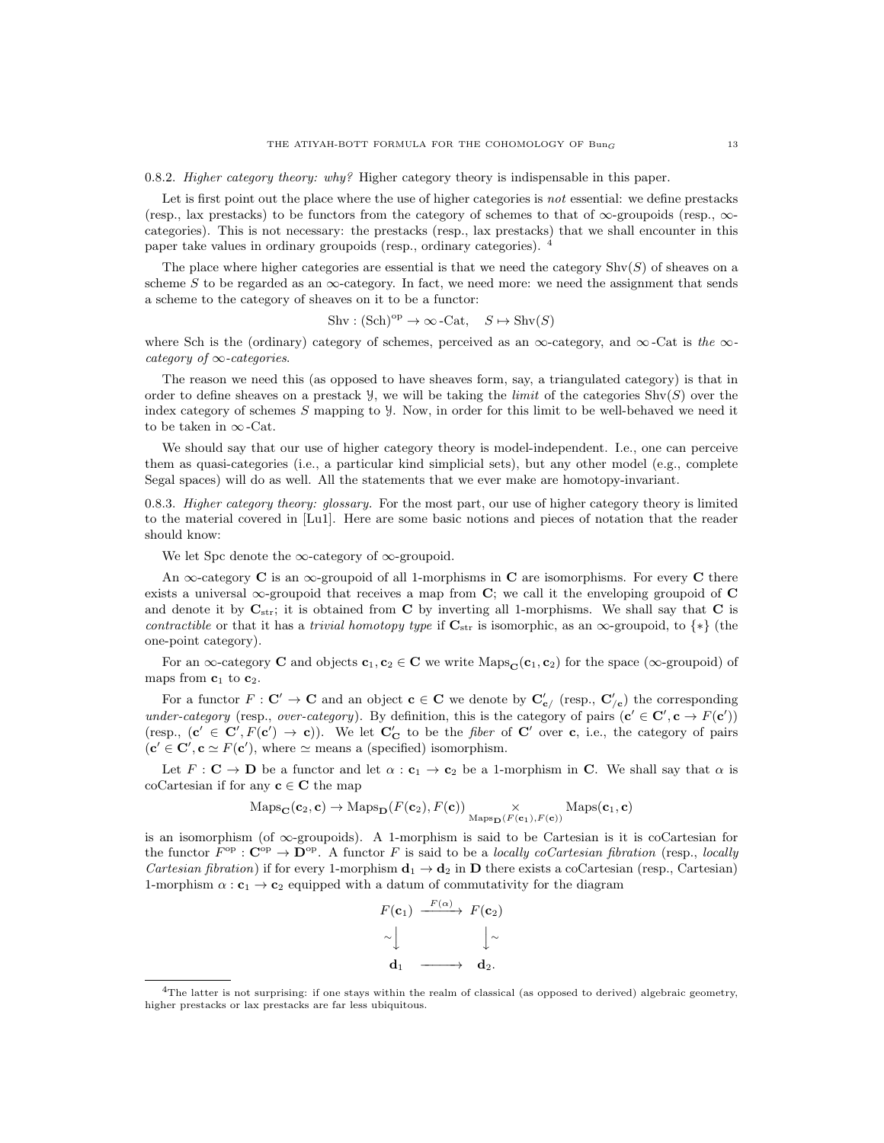0.8.2. *Higher category theory: why?* Higher category theory is indispensable in this paper.

Let is first point out the place where the use of higher categories is not essential: we define prestacks (resp., lax prestacks) to be functors from the category of schemes to that of  $\infty$ -groupoids (resp.,  $\infty$ categories). This is not necessary: the prestacks (resp., lax prestacks) that we shall encounter in this paper take values in ordinary groupoids (resp., ordinary categories). <sup>4</sup>

The place where higher categories are essential is that we need the category  $\text{Shv}(S)$  of sheaves on a scheme S to be regarded as an  $\infty$ -category. In fact, we need more: we need the assignment that sends a scheme to the category of sheaves on it to be a functor:

$$
Shv : (Sch)^{op} \to \infty\negthinspace - \negthinspace Cat, \quad S \mapsto Shv(S)
$$

where Sch is the (ordinary) category of schemes, perceived as an  $\infty$ -category, and  $\infty$ -Cat is the  $\infty$ category of  $\infty$ -categories.

The reason we need this (as opposed to have sheaves form, say, a triangulated category) is that in order to define sheaves on a prestack  $\mathcal{Y}$ , we will be taking the *limit* of the categories Shv(S) over the index category of schemes S mapping to Y. Now, in order for this limit to be well-behaved we need it to be taken in  $\infty$ -Cat.

We should say that our use of higher category theory is model-independent. I.e., one can perceive them as quasi-categories (i.e., a particular kind simplicial sets), but any other model (e.g., complete Segal spaces) will do as well. All the statements that we ever make are homotopy-invariant.

0.8.3. Higher category theory: glossary. For the most part, our use of higher category theory is limited to the material covered in [Lu1]. Here are some basic notions and pieces of notation that the reader should know:

We let Spc denote the  $\infty$ -category of  $\infty$ -groupoid.

An  $\infty$ -category **C** is an  $\infty$ -groupoid of all 1-morphisms in **C** are isomorphisms. For every **C** there exists a universal  $\infty$ -groupoid that receives a map from  $\mathbf{C}$ ; we call it the enveloping groupoid of  $\mathbf{C}$ and denote it by  $C_{str}$ ; it is obtained from C by inverting all 1-morphisms. We shall say that C is contractible or that it has a trivial homotopy type if  $C_{str}$  is isomorphic, as an ∞-groupoid, to {\*} (the one-point category).

For an  $\infty$ -category **C** and objects  $c_1, c_2 \in \mathbb{C}$  we write Maps<sub>C</sub>( $c_1, c_2$ ) for the space ( $\infty$ -groupoid) of maps from  $c_1$  to  $c_2$ .

For a functor  $F: \mathbf{C}' \to \mathbf{C}$  and an object  $\mathbf{c} \in \mathbf{C}$  we denote by  $\mathbf{C}'_{\mathbf{c}'}$  (resp.,  $\mathbf{C}'_{/\mathbf{c}}$ ) the corresponding under-category (resp., over-category). By definition, this is the category of pairs  $(c' \in C', c \to F(c'))$ (resp.,  $(c' \in C', F(c') \to c)$ ). We let  $C'_C$  to be the *fiber* of C' over c, i.e., the category of pairs  $(c' \in \mathbf{C}', \mathbf{c} \simeq F(\mathbf{c}'),$  where  $\simeq$  means a (specified) isomorphism.

Let  $F: \mathbf{C} \to \mathbf{D}$  be a functor and let  $\alpha: \mathbf{c}_1 \to \mathbf{c}_2$  be a 1-morphism in C. We shall say that  $\alpha$  is coCartesian if for any  $c \in C$  the map

$$
\mathrm{Maps}_{\mathbf{C}}(\mathbf{c}_2, \mathbf{c}) \to \mathrm{Maps}_{\mathbf{D}}(F(\mathbf{c}_2), F(\mathbf{c})) \underset{\mathrm{Maps}_{\mathbf{D}}(F(\mathbf{c}_1), F(\mathbf{c}))}{\times} \mathrm{Maps}(\mathbf{c}_1, \mathbf{c})
$$

is an isomorphism (of  $\infty$ -groupoids). A 1-morphism is said to be Cartesian is it is coCartesian for the functor  $F^{\rm op}:$   $\mathbb{C}^{\rm op}\to\mathbb{D}^{\rm op}$ . A functor F is said to be a locally coCartesian fibration (resp., locally *Cartesian fibration*) if for every 1-morphism  $\mathbf{d}_1 \rightarrow \mathbf{d}_2$  in **D** there exists a coCartesian (resp., Cartesian) 1-morphism  $\alpha : \mathbf{c}_1 \to \mathbf{c}_2$  equipped with a datum of commutativity for the diagram

$$
F(\mathbf{c}_1) \xrightarrow{F(\alpha)} F(\mathbf{c}_2) \sim \downarrow \sim \downarrow \sim \mathbf{d}_1 \xrightarrow{\qquad \qquad } \mathbf{d}_2.
$$

<sup>4</sup>The latter is not surprising: if one stays within the realm of classical (as opposed to derived) algebraic geometry, higher prestacks or lax prestacks are far less ubiquitous.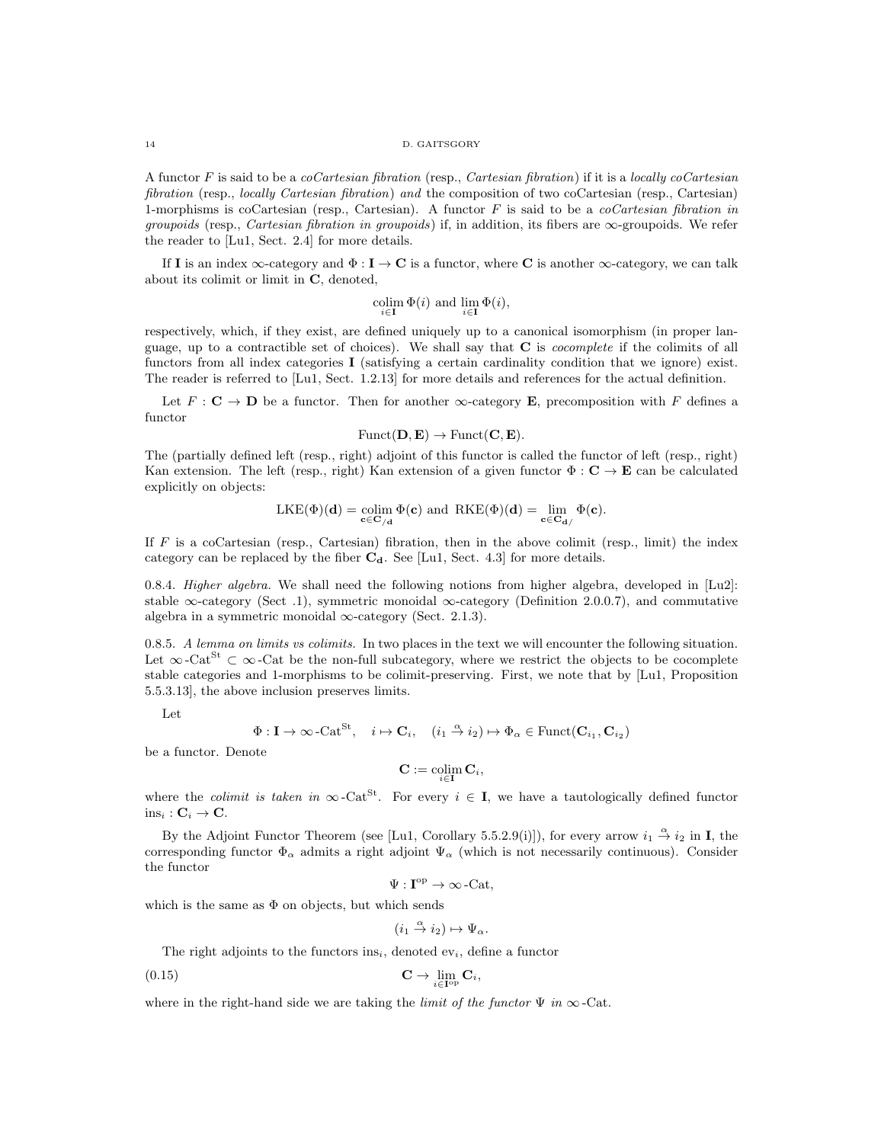#### 14 D. GAITSGORY

A functor F is said to be a coCartesian fibration (resp., Cartesian fibration) if it is a locally coCartesian fibration (resp., *locally Cartesian fibration*) and the composition of two coCartesian (resp., Cartesian) 1-morphisms is coCartesian (resp., Cartesian). A functor  $F$  is said to be a *coCartesian fibration in* groupoids (resp., Cartesian fibration in groupoids) if, in addition, its fibers are  $\infty$ -groupoids. We refer the reader to [Lu1, Sect. 2.4] for more details.

If I is an index  $\infty$ -category and  $\Phi : I \to \mathbf{C}$  is a functor, where C is another  $\infty$ -category, we can talk about its colimit or limit in C, denoted,

$$
\operatornamewithlimits{colim}_{i\in\mathbf{I}} \Phi(i) \text{ and } \lim_{i\in\mathbf{I}} \Phi(i),
$$

respectively, which, if they exist, are defined uniquely up to a canonical isomorphism (in proper language, up to a contractible set of choices). We shall say that  $C$  is *cocomplete* if the colimits of all functors from all index categories I (satisfying a certain cardinality condition that we ignore) exist. The reader is referred to [Lu1, Sect. 1.2.13] for more details and references for the actual definition.

Let  $F: \mathbf{C} \to \mathbf{D}$  be a functor. Then for another  $\infty$ -category **E**, precomposition with F defines a functor

$$
Funct(\mathbf{D}, \mathbf{E}) \to Funct(\mathbf{C}, \mathbf{E}).
$$

The (partially defined left (resp., right) adjoint of this functor is called the functor of left (resp., right) Kan extension. The left (resp., right) Kan extension of a given functor  $\Phi : \mathbf{C} \to \mathbf{E}$  can be calculated explicitly on objects:

$$
\mathrm{LKE}(\Phi)(\mathbf{d}) = \underset{\mathbf{c} \in \mathbf{C}_{/d}}{\mathrm{colim}} \Phi(\mathbf{c}) \text{ and } \mathrm{RKE}(\Phi)(\mathbf{d}) = \underset{\mathbf{c} \in \mathbf{C}_{\mathbf{d}/}}{\mathrm{lim}} \Phi(\mathbf{c}).
$$

If  $F$  is a coCartesian (resp., Cartesian) fibration, then in the above colimit (resp., limit) the index category can be replaced by the fiber  $C_d$ . See [Lu1, Sect. 4.3] for more details.

0.8.4. Higher algebra. We shall need the following notions from higher algebra, developed in [Lu2]: stable  $\infty$ -category (Sect .1), symmetric monoidal  $\infty$ -category (Definition 2.0.0.7), and commutative algebra in a symmetric monoidal  $\infty$ -category (Sect. 2.1.3).

0.8.5. A lemma on limits vs colimits. In two places in the text we will encounter the following situation. Let  $\infty$ -Cat $^{S_t} \subset \infty$ -Cat be the non-full subcategory, where we restrict the objects to be cocomplete stable categories and 1-morphisms to be colimit-preserving. First, we note that by [Lu1, Proposition 5.5.3.13], the above inclusion preserves limits.

Let

$$
\Phi: \mathbf{I} \to \infty \text{-Cat}^{\text{St}}, \quad i \mapsto \mathbf{C}_i, \quad (i_1 \stackrel{\alpha}{\to} i_2) \mapsto \Phi_\alpha \in \text{Funct}(\mathbf{C}_{i_1}, \mathbf{C}_{i_2})
$$

be a functor. Denote

$$
\mathbf{C} := \operatornamewithlimits{colim}_{i \in \mathbf{I}} \mathbf{C}_i,
$$

where the *colimit is taken in*  $\infty$ -Cat<sup>St</sup>. For every  $i \in I$ , we have a tautologically defined functor  $ins_i : C_i \rightarrow C.$ 

By the Adjoint Functor Theorem (see [Lu1, Corollary 5.5.2.9(i)]), for every arrow  $i_1 \stackrel{\alpha}{\rightarrow} i_2$  in I, the corresponding functor  $\Phi_{\alpha}$  admits a right adjoint  $\Psi_{\alpha}$  (which is not necessarily continuous). Consider the functor

$$
\Psi:\mathbf{I}^{\mathrm{op}}\to\infty\text{-}\mathrm{Cat},
$$

which is the same as  $\Phi$  on objects, but which sends

$$
(i_1 \stackrel{\alpha}{\to} i_2) \mapsto \Psi_\alpha.
$$

The right adjoints to the functors ins<sub>i</sub>, denoted  $ev_i$ , define a functor

$$
\mathbf{C} \to \lim_{i \in \mathbf{I}^{\mathrm{op}}} \mathbf{C}_i,
$$

where in the right-hand side we are taking the *limit of the functor*  $\Psi$  *in*  $\infty$ -Cat.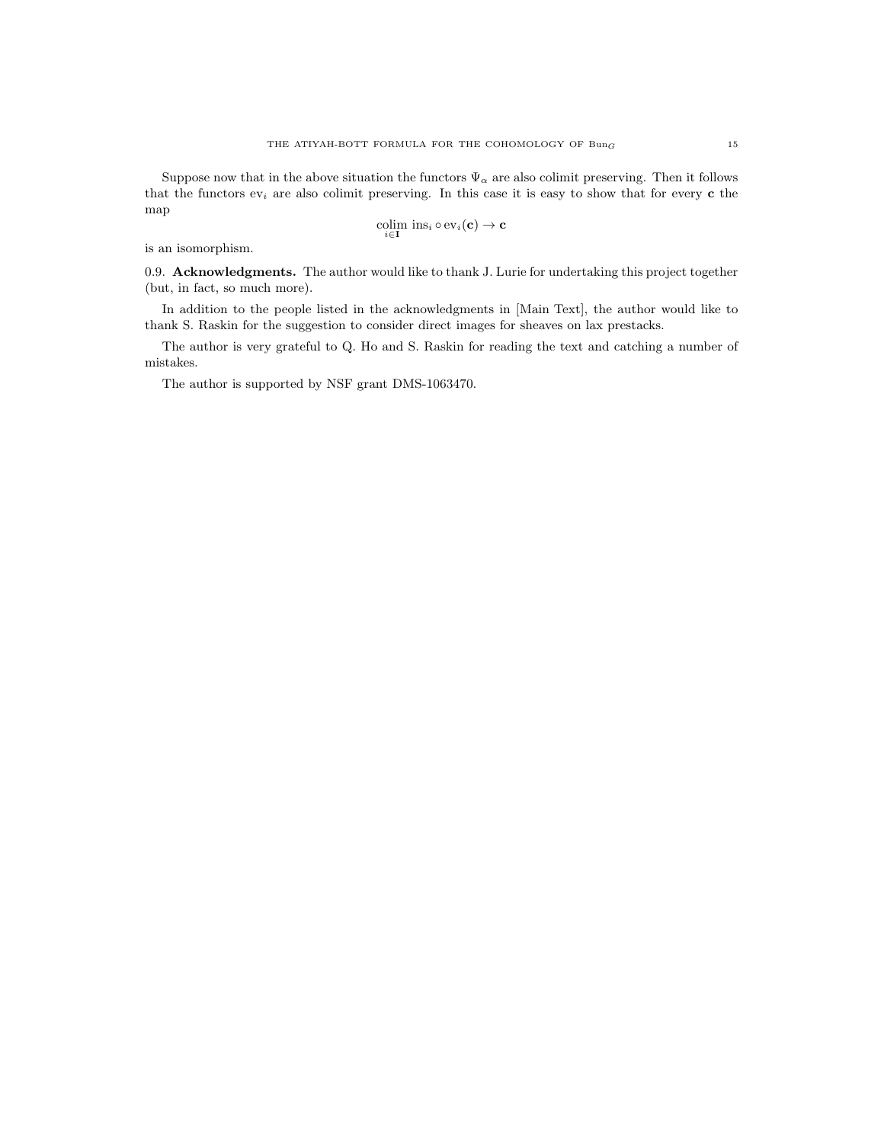Suppose now that in the above situation the functors  $\Psi_{\alpha}$  are also colimit preserving. Then it follows that the functors  $ev_i$  are also colimit preserving. In this case it is easy to show that for every c the map

$$
\underset{i \in \mathbf{I}}{\text{colim}} \ \text{ins}_i \circ \text{ev}_i(\mathbf{c}) \to \mathbf{c}
$$

is an isomorphism.

0.9. Acknowledgments. The author would like to thank J. Lurie for undertaking this project together (but, in fact, so much more).

In addition to the people listed in the acknowledgments in [Main Text], the author would like to thank S. Raskin for the suggestion to consider direct images for sheaves on lax prestacks.

The author is very grateful to Q. Ho and S. Raskin for reading the text and catching a number of mistakes.

The author is supported by NSF grant DMS-1063470.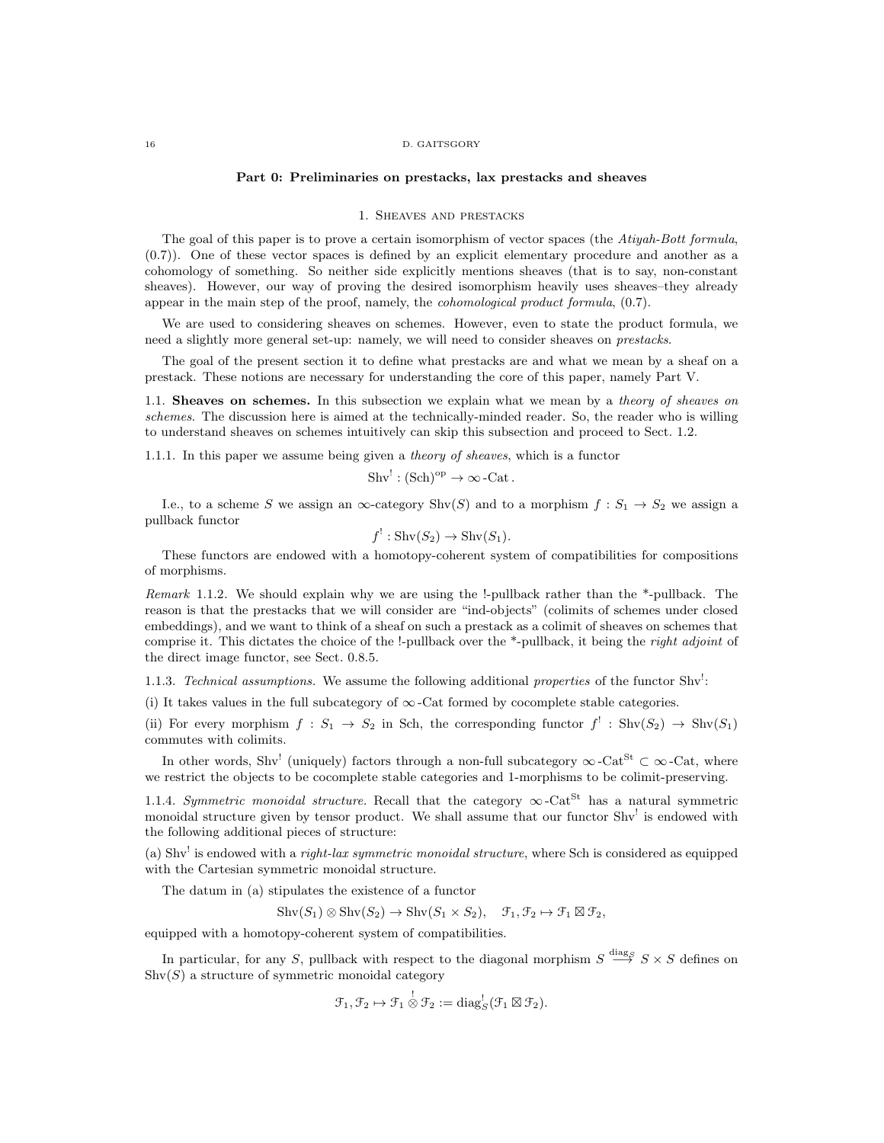#### 16 D. GAITSGORY

#### Part 0: Preliminaries on prestacks, lax prestacks and sheaves

### 1. Sheaves and prestacks

The goal of this paper is to prove a certain isomorphism of vector spaces (the Atiyah-Bott formula, (0.7)). One of these vector spaces is defined by an explicit elementary procedure and another as a cohomology of something. So neither side explicitly mentions sheaves (that is to say, non-constant sheaves). However, our way of proving the desired isomorphism heavily uses sheaves–they already appear in the main step of the proof, namely, the *cohomological product formula*,  $(0.7)$ .

We are used to considering sheaves on schemes. However, even to state the product formula, we need a slightly more general set-up: namely, we will need to consider sheaves on prestacks.

The goal of the present section it to define what prestacks are and what we mean by a sheaf on a prestack. These notions are necessary for understanding the core of this paper, namely Part V.

1.1. Sheaves on schemes. In this subsection we explain what we mean by a *theory of sheaves on* schemes. The discussion here is aimed at the technically-minded reader. So, the reader who is willing to understand sheaves on schemes intuitively can skip this subsection and proceed to Sect. 1.2.

1.1.1. In this paper we assume being given a theory of sheaves, which is a functor

$$
Shv^{!}: (Sch)^{op} \to \infty\text{-Cat}.
$$

I.e., to a scheme S we assign an  $\infty$ -category Shv $(S)$  and to a morphism  $f : S_1 \to S_2$  we assign a pullback functor

$$
f^!: \operatorname{Shv}(S_2) \to \operatorname{Shv}(S_1).
$$

These functors are endowed with a homotopy-coherent system of compatibilities for compositions of morphisms.

Remark 1.1.2. We should explain why we are using the !-pullback rather than the  $*$ -pullback. The reason is that the prestacks that we will consider are "ind-objects" (colimits of schemes under closed embeddings), and we want to think of a sheaf on such a prestack as a colimit of sheaves on schemes that comprise it. This dictates the choice of the !-pullback over the \*-pullback, it being the *right adjoint* of the direct image functor, see Sect. 0.8.5.

1.1.3. Technical assumptions. We assume the following additional properties of the functor  $Shv'$ :

(i) It takes values in the full subcategory of  $\infty$ -Cat formed by cocomplete stable categories.

(ii) For every morphism  $f : S_1 \to S_2$  in Sch, the corresponding functor  $f' : \text{Shv}(S_2) \to \text{Shv}(S_1)$ commutes with colimits.

In other words, Shv<sup>!</sup> (uniquely) factors through a non-full subcategory  $\infty$ -Cat<sup>St</sup>  $\subset \infty$ -Cat, where we restrict the objects to be cocomplete stable categories and 1-morphisms to be colimit-preserving.

1.1.4. Symmetric monoidal structure. Recall that the category  $\infty$ -Cat<sup>St</sup> has a natural symmetric monoidal structure given by tensor product. We shall assume that our functor Shv<sup>!</sup> is endowed with the following additional pieces of structure:

(a) Shv<sup>1</sup> is endowed with a *right-lax symmetric monoidal structure*, where Sch is considered as equipped with the Cartesian symmetric monoidal structure.

The datum in (a) stipulates the existence of a functor

$$
Shv(S_1) \otimes Shv(S_2) \to Shv(S_1 \times S_2), \quad \mathcal{F}_1, \mathcal{F}_2 \mapsto \mathcal{F}_1 \boxtimes \mathcal{F}_2,
$$

equipped with a homotopy-coherent system of compatibilities.

In particular, for any S, pullback with respect to the diagonal morphism  $S \stackrel{\text{diag}}{\longrightarrow} S \times S$  defines on  $\text{Shv}(S)$  a structure of symmetric monoidal category

$$
\mathcal{F}_1, \mathcal{F}_2 \mapsto \mathcal{F}_1 \overset{!}{\otimes} \mathcal{F}_2 := \text{diag}_{S}^! (\mathcal{F}_1 \boxtimes \mathcal{F}_2).
$$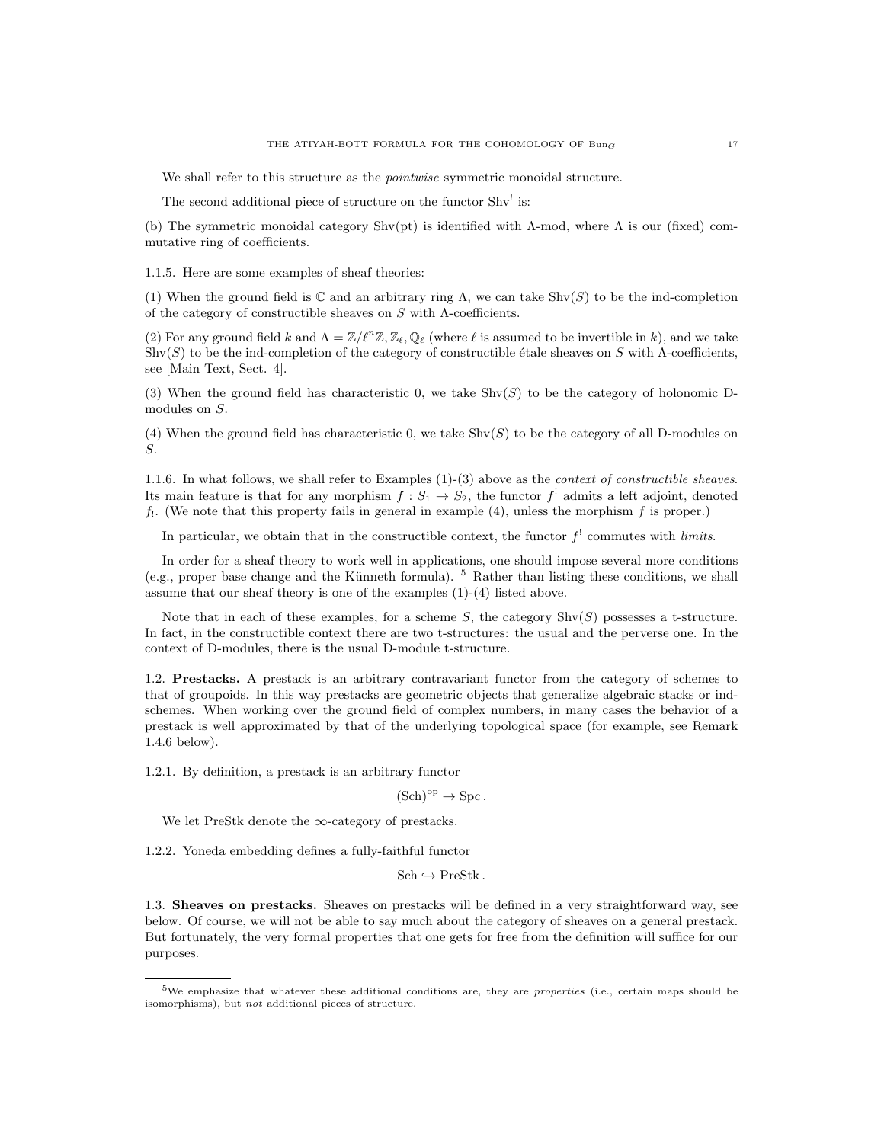We shall refer to this structure as the *pointwise* symmetric monoidal structure.

The second additional piece of structure on the functor Shv<sup>!</sup> is:

(b) The symmetric monoidal category  $\text{Shv}(\text{pt})$  is identified with  $\Lambda$ -mod, where  $\Lambda$  is our (fixed) commutative ring of coefficients.

1.1.5. Here are some examples of sheaf theories:

(1) When the ground field is  $\mathbb C$  and an arbitrary ring  $\Lambda$ , we can take Shv(S) to be the ind-completion of the category of constructible sheaves on  $S$  with  $\Lambda$ -coefficients.

(2) For any ground field k and  $\Lambda = \mathbb{Z}/\ell^n\mathbb{Z}, \mathbb{Z}_\ell, \mathbb{Q}_\ell$  (where  $\ell$  is assumed to be invertible in k), and we take  $\text{Shv}(S)$  to be the ind-completion of the category of constructible étale sheaves on S with Λ-coefficients, see [Main Text, Sect. 4].

(3) When the ground field has characteristic 0, we take  $\text{Shv}(S)$  to be the category of holonomic Dmodules on S.

(4) When the ground field has characteristic 0, we take  $\text{Shv}(S)$  to be the category of all D-modules on S.

1.1.6. In what follows, we shall refer to Examples (1)-(3) above as the context of constructible sheaves. Its main feature is that for any morphism  $f: S_1 \to S_2$ , the functor  $f^!$  admits a left adjoint, denoted  $f_1$ . (We note that this property fails in general in example (4), unless the morphism f is proper.)

In particular, we obtain that in the constructible context, the functor  $f^{\dagger}$  commutes with *limits*.

In order for a sheaf theory to work well in applications, one should impose several more conditions (e.g., proper base change and the Künneth formula).  $5$  Rather than listing these conditions, we shall assume that our sheaf theory is one of the examples (1)-(4) listed above.

Note that in each of these examples, for a scheme  $S$ , the category  $\text{Shv}(S)$  possesses a t-structure. In fact, in the constructible context there are two t-structures: the usual and the perverse one. In the context of D-modules, there is the usual D-module t-structure.

1.2. Prestacks. A prestack is an arbitrary contravariant functor from the category of schemes to that of groupoids. In this way prestacks are geometric objects that generalize algebraic stacks or indschemes. When working over the ground field of complex numbers, in many cases the behavior of a prestack is well approximated by that of the underlying topological space (for example, see Remark 1.4.6 below).

1.2.1. By definition, a prestack is an arbitrary functor

 $(Sch)^{op} \rightarrow Spc$ .

We let PreStk denote the  $\infty$ -category of prestacks.

1.2.2. Yoneda embedding defines a fully-faithful functor

 $Sch \hookrightarrow PreStk$ .

1.3. Sheaves on prestacks. Sheaves on prestacks will be defined in a very straightforward way, see below. Of course, we will not be able to say much about the category of sheaves on a general prestack. But fortunately, the very formal properties that one gets for free from the definition will suffice for our purposes.

 $5$ We emphasize that whatever these additional conditions are, they are *properties* (i.e., certain maps should be isomorphisms), but not additional pieces of structure.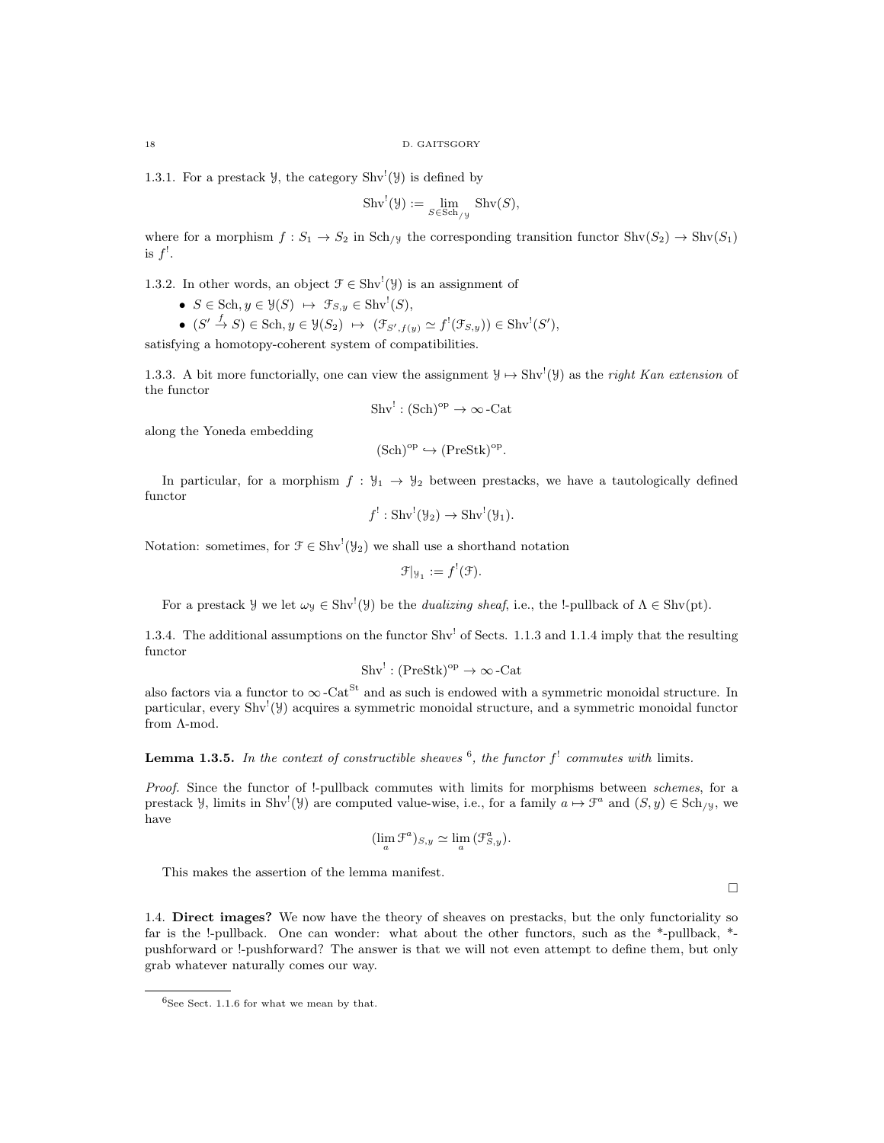1.3.1. For a prestack  $\mathcal{Y}$ , the category Shv<sup>!</sup>( $\mathcal{Y}$ ) is defined by

$$
Shv^{!}(\mathcal{Y}) := \lim_{S \in Sch_{/\mathcal{Y}}} Shv(S),
$$

where for a morphism  $f : S_1 \to S_2$  in Sch<sub>/Y</sub> the corresponding transition functor Shv $(S_2) \to \text{Shv}(S_1)$ is  $f^!$ .

1.3.2. In other words, an object  $\mathcal{F} \in \text{Shv}^! (\mathcal{Y})$  is an assignment of

- $S \in Sch, y \in \mathcal{Y}(S) \ \mapsto \ \mathcal{F}_{S,y} \in Shv^!(S),$
- $(S' \stackrel{f}{\to} S) \in Sch, y \in \mathcal{Y}(S_2) \mapsto (\mathcal{F}_{S',f(y)} \simeq f^!(\mathcal{F}_{S,y})) \in Shv^!(S'),$

satisfying a homotopy-coherent system of compatibilities.

1.3.3. A bit more functorially, one can view the assignment  $\mathcal{Y} \mapsto \text{Shv}^{\prime}(\mathcal{Y})$  as the *right Kan extension* of the functor

 $\text{Shv}^! : (\text{Sch})^{\text{op}} \to \infty$ -Cat

along the Yoneda embedding

$$
(\mathrm{Sch})^{\mathrm{op}} \hookrightarrow (\mathrm{PreStk})^{\mathrm{op}}.
$$

In particular, for a morphism  $f : \mathcal{Y}_1 \to \mathcal{Y}_2$  between prestacks, we have a tautologically defined functor

$$
f^!: \text{Shv}^!(\mathcal{Y}_2) \to \text{Shv}^!(\mathcal{Y}_1).
$$

Notation: sometimes, for  $\mathcal{F} \in \text{Shv}^!(\mathcal{Y}_2)$  we shall use a shorthand notation

$$
\mathcal{F}|_{\mathcal{Y}_1} := f^!(\mathcal{F}).
$$

For a prestack *y* we let  $\omega_y \in Shv'(\mathcal{Y})$  be the *dualizing sheaf*, i.e., the !-pullback of  $\Lambda \in Shv(pt)$ .

1.3.4. The additional assumptions on the functor Shv<sup>1</sup> of Sects. 1.1.3 and 1.1.4 imply that the resulting functor

$$
Shv': (PreStk)^{op} \to \infty\text{-Cat}
$$

also factors via a functor to  $\infty$ -Cat<sup>St</sup> and as such is endowed with a symmetric monoidal structure. In particular, every Shv<sup>1</sup>(y) acquires a symmetric monoidal structure, and a symmetric monoidal functor from Λ-mod.

**Lemma 1.3.5.** In the context of constructible sheaves  $\mathbf{6}$ , the functor  $f^{\perp}$  commutes with limits.

Proof. Since the functor of !-pullback commutes with limits for morphisms between schemes, for a prestack  $\mathcal{Y}$ , limits in Shv<sup>!</sup>( $\mathcal{Y}$ ) are computed value-wise, i.e., for a family  $a \mapsto \mathcal{F}^a$  and  $(S, y) \in Sch_{/\mathcal{Y}}$ , we have

$$
(\lim_{a} \mathcal{F}^{a})_{S,y} \simeq \lim_{a} (\mathcal{F}^{a}_{S,y}).
$$

This makes the assertion of the lemma manifest.

 $\Box$ 

1.4. Direct images? We now have the theory of sheaves on prestacks, but the only functoriality so far is the !-pullback. One can wonder: what about the other functors, such as the \*-pullback, \* pushforward or !-pushforward? The answer is that we will not even attempt to define them, but only grab whatever naturally comes our way.

 $6$ See Sect. 1.1.6 for what we mean by that.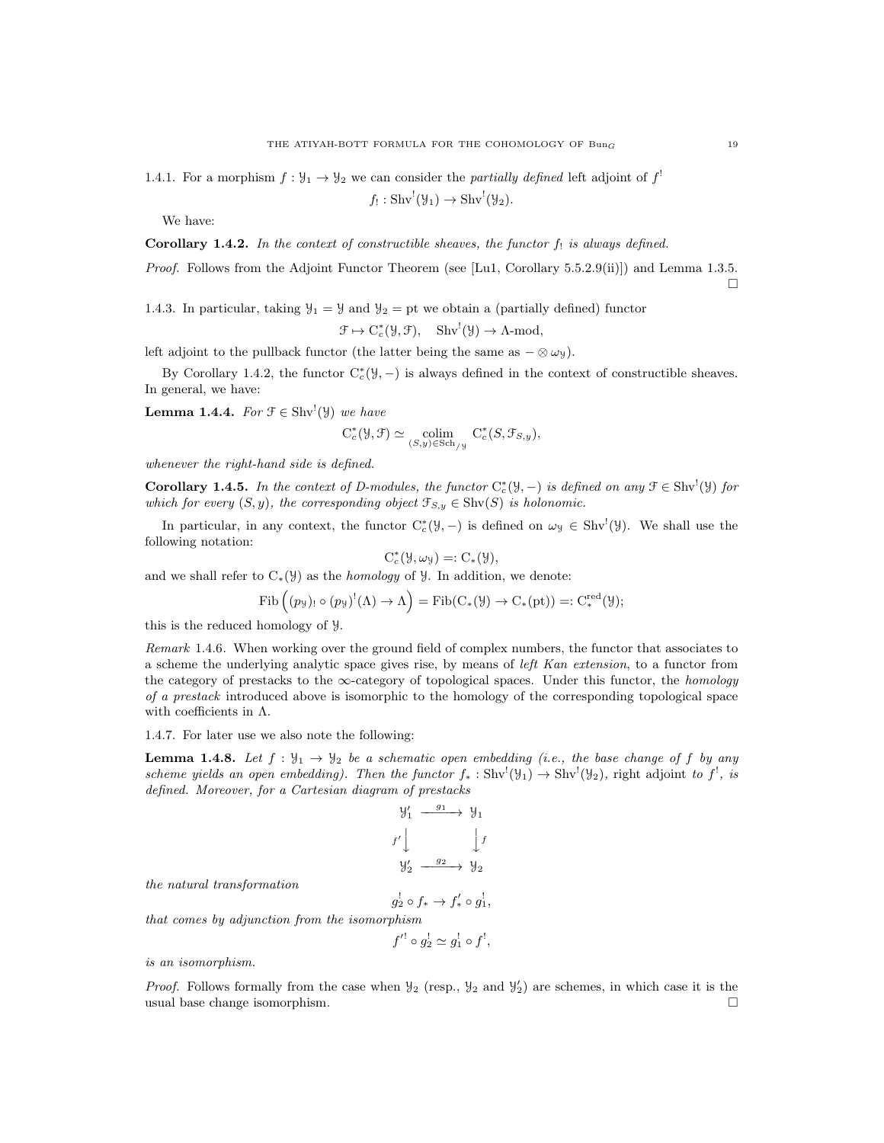1.4.1. For a morphism  $f: \mathcal{Y}_1 \to \mathcal{Y}_2$  we can consider the *partially defined* left adjoint of  $f^!$ 

$$
f_! : Shv^!(\mathcal{Y}_1) \to Shv^!(\mathcal{Y}_2).
$$

We have:

Corollary 1.4.2. In the context of constructible sheaves, the functor 
$$
f_!
$$
 is always defined.

Proof. Follows from the Adjoint Functor Theorem (see [Lu1, Corollary 5.5.2.9(ii)]) and Lemma 1.3.5.  $\Box$ 

1.4.3. In particular, taking  $\mathcal{Y}_1 = \mathcal{Y}$  and  $\mathcal{Y}_2 =$  pt we obtain a (partially defined) functor

$$
\mapsto C_c^*(\mathcal{Y}, \mathcal{F}), \quad \mathrm{Shv}^!(\mathcal{Y}) \to \Lambda\text{-mod},
$$

left adjoint to the pullback functor (the latter being the same as  $-\otimes \omega_y$ ).

 $\mathcal{F}$ 

By Corollary 1.4.2, the functor  $C_c^*(\mathcal{Y},-)$  is always defined in the context of constructible sheaves. In general, we have:

**Lemma 1.4.4.** For  $\mathcal{F} \in \text{Shv}^!(\mathcal{Y})$  we have

$$
C_c^*(\mathcal{Y}, \mathcal{F}) \simeq \underset{(S, y) \in Sch_{/\mathcal{Y}}}{\text{colim}} C_c^*(S, \mathcal{F}_{S, y}),
$$

whenever the right-hand side is defined.

**Corollary 1.4.5.** In the context of D-modules, the functor  $C_c^*(\mathcal{Y},-)$  is defined on any  $\mathcal{F} \in Shv^!(\mathcal{Y})$  for which for every  $(S, y)$ , the corresponding object  $\mathfrak{F}_{S, y} \in \text{Shv}(S)$  is holonomic.

In particular, in any context, the functor  $C_c^*(\mathcal{Y},-)$  is defined on  $\omega_{\mathcal{Y}} \in Shv^!(\mathcal{Y})$ . We shall use the following notation:

$$
C_c^*(\mathcal{Y}, \omega_{\mathcal{Y}}) =: C_*(\mathcal{Y}),
$$

and we shall refer to  $C_*(\mathcal{Y})$  as the *homology* of  $\mathcal{Y}$ . In addition, we denote:

$$
\mathrm{Fib}\left((p_{\mathcal{Y}})_{!}\circ (p_{\mathcal{Y}})^!(\Lambda)\to \Lambda\right)=\mathrm{Fib}(C_*(\mathcal{Y})\to C_*(pt))=:C_*^{\mathrm{red}}(\mathcal{Y});
$$

this is the reduced homology of Y.

Remark 1.4.6. When working over the ground field of complex numbers, the functor that associates to a scheme the underlying analytic space gives rise, by means of left Kan extension, to a functor from the category of prestacks to the  $\infty$ -category of topological spaces. Under this functor, the *homology* of a prestack introduced above is isomorphic to the homology of the corresponding topological space with coefficients in  $\Lambda$ .

1.4.7. For later use we also note the following:

**Lemma 1.4.8.** Let  $f : \mathcal{Y}_1 \to \mathcal{Y}_2$  be a schematic open embedding (i.e., the base change of f by any scheme yields an open embedding). Then the functor  $f_* : Shv'(\mathcal{Y}_1) \to Shv'(\mathcal{Y}_2)$ , right adjoint to  $f^!$ , is defined. Moreover, for a Cartesian diagram of prestacks

$$
\begin{array}{ccc}\n\mathbf{y}'_1 & \xrightarrow{g_1} & \mathbf{y}_1 \\
f' & & \downarrow f \\
\mathbf{y}'_2 & \xrightarrow{g_2} & \mathbf{y}_2\n\end{array}
$$

the natural transformation

$$
g_2^! \circ f_* \to f'_* \circ g_1^!,
$$

that comes by adjunction from the isomorphism

$$
f'^! \circ g_2^! \simeq g_1^! \circ f^!,
$$

is an isomorphism.

*Proof.* Follows formally from the case when  $\mathcal{Y}_2$  (resp.,  $\mathcal{Y}_2$  and  $\mathcal{Y}'_2$ ) are schemes, in which case it is the usual base change isomorphism.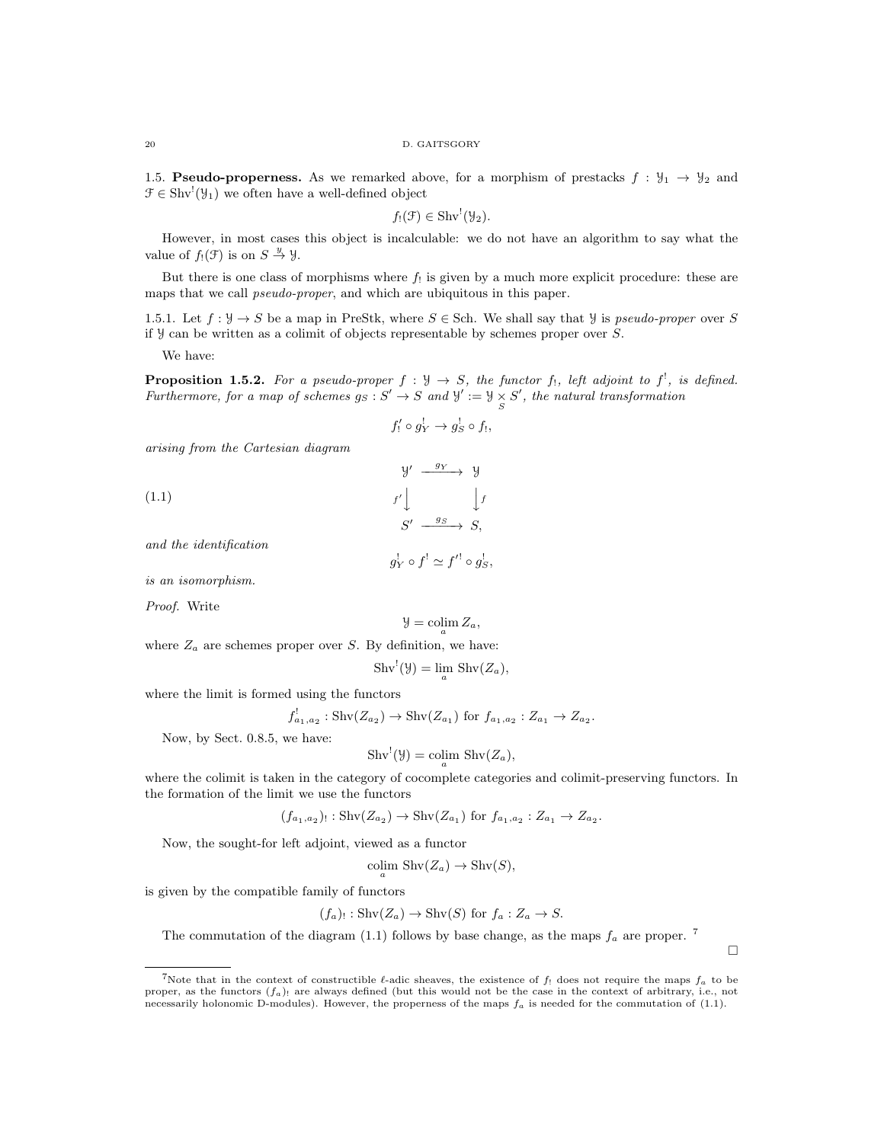1.5. **Pseudo-properness.** As we remarked above, for a morphism of prestacks  $f : \mathcal{Y}_1 \rightarrow \mathcal{Y}_2$  and  $\mathcal{F} \in \text{Shv}^!(\mathcal{Y}_1)$  we often have a well-defined object

 $f_!(\mathfrak{F}) \in \mathrm{Shv}^!(\mathfrak{Y}_2).$ 

However, in most cases this object is incalculable: we do not have an algorithm to say what the value of  $f_!(\mathfrak{F})$  is on  $S \stackrel{y}{\rightarrow} \mathfrak{Y}$ .

But there is one class of morphisms where  $f_!$  is given by a much more explicit procedure: these are maps that we call pseudo-proper, and which are ubiquitous in this paper.

1.5.1. Let  $f: \mathcal{Y} \to S$  be a map in PreStk, where  $S \in$  Sch. We shall say that  $\mathcal{Y}$  is pseudo-proper over S if  $\mathcal Y$  can be written as a colimit of objects representable by schemes proper over  $S$ .

We have:

**Proposition 1.5.2.** For a pseudo-proper  $f : \mathcal{Y} \to S$ , the functor  $f_1$ , left adjoint to  $f^!$ , is defined. Furthermore, for a map of schemes  $g_S : S' \to S$  and  $\mathcal{Y}' := \mathcal{Y} \times S'$ , the natural transformation

$$
f_!' \circ g_Y^! \to g_S^! \circ f_!,
$$

 $q_{\rm V}$ 

arising from the Cartesian diagram

(1.1) 
$$
\begin{array}{ccc}\n & \mathcal{Y}' & \xrightarrow{g_Y} & \mathcal{Y} \\
 & f' & \downarrow f \\
 & S' & \xrightarrow{g_S} & S,\n\end{array}
$$

and the identification

$$
g_Y^! \circ f^! \simeq f'^! \circ g_S^!,
$$

is an isomorphism.

Proof. Write

$$
\mathcal{Y}=\operatornamewithlimits{colim}_a Z_a,
$$

where  $Z_a$  are schemes proper over S. By definition, we have:

$$
Shv^{!}(\mathcal{Y}) = \lim_{a} Shv(Z_{a}),
$$

where the limit is formed using the functors

$$
f_{a_1,a_2}^!: \text{Shv}(Z_{a_2}) \to \text{Shv}(Z_{a_1}) \text{ for } f_{a_1,a_2}: Z_{a_1} \to Z_{a_2}.
$$

Now, by Sect. 0.8.5, we have:

$$
Shv^{!}(\mathcal{Y}) = \operatorname{colim}_{a} Shv(Z_{a}),
$$

where the colimit is taken in the category of cocomplete categories and colimit-preserving functors. In the formation of the limit we use the functors

$$
(f_{a_1,a_2})_! : \text{Shv}(Z_{a_2}) \to \text{Shv}(Z_{a_1}) \text{ for } f_{a_1,a_2} : Z_{a_1} \to Z_{a_2}.
$$

Now, the sought-for left adjoint, viewed as a functor

$$
\operatorname{colim}_{a} \operatorname{Shv}(Z_a) \to \operatorname{Shv}(S),
$$

is given by the compatible family of functors

$$
(f_a)
$$
: Shv( $Z_a$ )  $\rightarrow$  Shv( $S$ ) for  $f_a: Z_a \rightarrow S$ .

The commutation of the diagram (1.1) follows by base change, as the maps  $f_a$  are proper.<sup>7</sup>

 $\Box$ 

<sup>&</sup>lt;sup>7</sup>Note that in the context of constructible  $\ell$ -adic sheaves, the existence of  $f_!$  does not require the maps  $f_a$  to be proper, as the functors  $(f_a)$  are always defined (but this would not be the case in the context of arbitrary, i.e., not necessarily holonomic D-modules). However, the properness of the maps  $f_a$  is needed for the commutation of (1.1).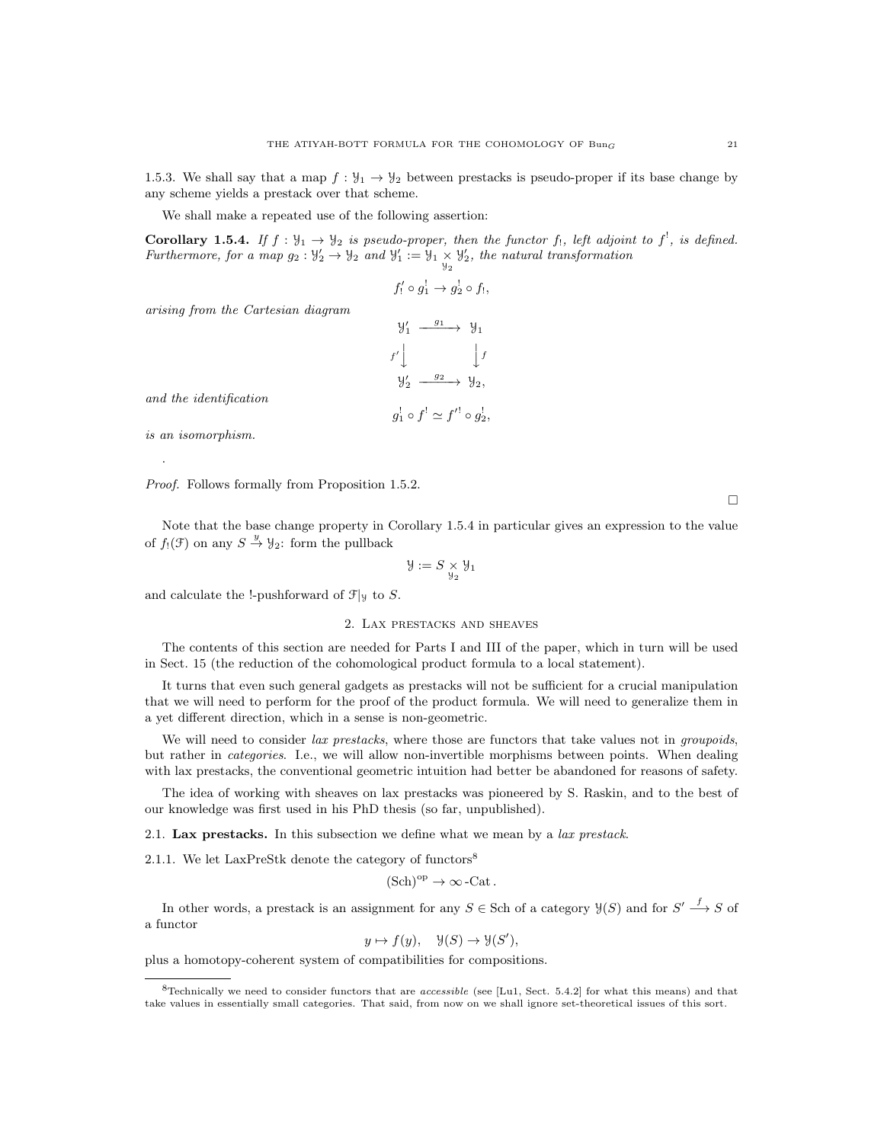1.5.3. We shall say that a map  $f : \mathcal{Y}_1 \to \mathcal{Y}_2$  between prestacks is pseudo-proper if its base change by any scheme yields a prestack over that scheme.

We shall make a repeated use of the following assertion:

**Corollary 1.5.4.** If  $f: \mathcal{Y}_1 \to \mathcal{Y}_2$  is pseudo-proper, then the functor f<sub>1</sub>, left adjoint to f<sup>1</sup>, is defined. Furthermore, for a map  $g_2: \mathcal{Y}'_2 \to \mathcal{Y}_2$  and  $\mathcal{Y}'_1 := \mathcal{Y}_1 \times \mathcal{Y}'_2$ , the natural transformation

$$
f'_! \circ g_1^! \to g_2^! \circ f_!,
$$

arising from the Cartesian diagram

$$
\begin{array}{ccc}\n\mathbf{y}'_1 & \xrightarrow{g_1} & \mathbf{y}_1 \\
f' \downarrow & & \downarrow f \\
\mathbf{y}'_2 & \xrightarrow{g_2} & \mathbf{y}_2, \\
g_1^1 \circ f^1 \simeq f'^1 \circ g_2^1,\n\end{array}
$$

and the identification

is an isomorphism.

.

Proof. Follows formally from Proposition 1.5.2.

 $\Box$ 

Note that the base change property in Corollary 1.5.4 in particular gives an expression to the value of  $f_!(\mathfrak{F})$  on any  $S \stackrel{y}{\rightarrow} \mathfrak{Y}_2$ : form the pullback

$$
\mathcal{Y}:=S\underset{\mathcal{Y}_2}{\times}\mathcal{Y}_1
$$

and calculate the !-pushforward of  $\mathcal{F}|y$  to S.

## 2. Lax prestacks and sheaves

The contents of this section are needed for Parts I and III of the paper, which in turn will be used in Sect. 15 (the reduction of the cohomological product formula to a local statement).

It turns that even such general gadgets as prestacks will not be sufficient for a crucial manipulation that we will need to perform for the proof of the product formula. We will need to generalize them in a yet different direction, which in a sense is non-geometric.

We will need to consider lax prestacks, where those are functors that take values not in groupoids, but rather in categories. I.e., we will allow non-invertible morphisms between points. When dealing with lax prestacks, the conventional geometric intuition had better be abandoned for reasons of safety.

The idea of working with sheaves on lax prestacks was pioneered by S. Raskin, and to the best of our knowledge was first used in his PhD thesis (so far, unpublished).

2.1. Lax prestacks. In this subsection we define what we mean by a lax prestack.

2.1.1. We let LaxPreStk denote the category of functors<sup>8</sup>

$$
(\mathrm{Sch})^{\mathrm{op}} \to \infty\,\text{-}\mathrm{Cat}\,.
$$

In other words, a prestack is an assignment for any  $S \in$  Sch of a category  $\mathcal{Y}(S)$  and for  $S' \stackrel{f}{\longrightarrow} S$  of a functor

$$
y \mapsto f(y), \quad \mathcal{Y}(S) \to \mathcal{Y}(S'),
$$

plus a homotopy-coherent system of compatibilities for compositions.

 $8$ Technically we need to consider functors that are *accessible* (see [Lu1, Sect. 5.4.2] for what this means) and that take values in essentially small categories. That said, from now on we shall ignore set-theoretical issues of this sort.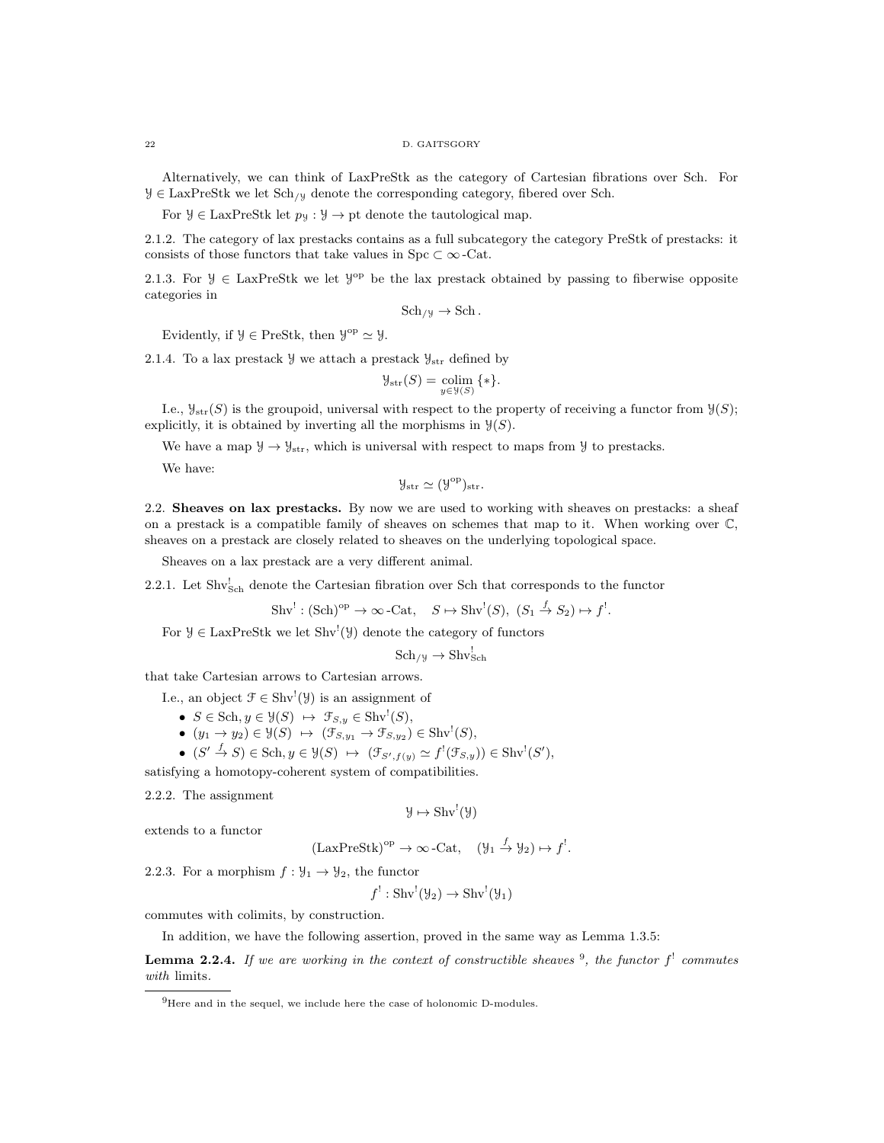#### 22 D. GAITSGORY

Alternatively, we can think of LaxPreStk as the category of Cartesian fibrations over Sch. For  $\mathcal{Y} \in \text{LaxPreStk}$  we let  $\text{Sch}_{\mathcal{Y}}$  denote the corresponding category, fibered over Sch.

For  $\mathcal{Y} \in \text{LaxPreStk}$  let  $p_{\mathcal{Y}} : \mathcal{Y} \to \text{pt}$  denote the tautological map.

2.1.2. The category of lax prestacks contains as a full subcategory the category PreStk of prestacks: it consists of those functors that take values in Spc  $\subset \infty$ -Cat.

2.1.3. For  $\mathcal{Y} \in \text{LaxPreStk}$  we let  $\mathcal{Y}^{op}$  be the lax prestack obtained by passing to fiberwise opposite categories in

$$
Sch_{/y} \to Sch.
$$

Evidently, if  $\mathcal{Y} \in \text{PreStk}$ , then  $\mathcal{Y}^{\text{op}} \simeq \mathcal{Y}$ .

2.1.4. To a lax prestack  $\mathcal{Y}$  we attach a prestack  $\mathcal{Y}_{str}$  defined by

$$
\mathcal{Y}_{\text{str}}(S) = \underset{y \in \mathcal{Y}(S)}{\text{colim}} \{ * \}.
$$

I.e.,  $\mathcal{Y}_{str}(S)$  is the groupoid, universal with respect to the property of receiving a functor from  $\mathcal{Y}(S)$ ; explicitly, it is obtained by inverting all the morphisms in  $\mathcal{Y}(S)$ .

We have a map  $\mathcal{Y} \to \mathcal{Y}_{str}$ , which is universal with respect to maps from  $\mathcal{Y}$  to prestacks.

We have:

$$
\mathcal{Y}_{\rm str} \simeq (\mathcal{Y}^{\rm op})_{\rm str}.
$$

2.2. Sheaves on lax prestacks. By now we are used to working with sheaves on prestacks: a sheaf on a prestack is a compatible family of sheaves on schemes that map to it. When working over C, sheaves on a prestack are closely related to sheaves on the underlying topological space.

Sheaves on a lax prestack are a very different animal.

2.2.1. Let Shv<sub>Sch</sub> denote the Cartesian fibration over Sch that corresponds to the functor

$$
Shv^{!}: (\mathbf{Sch})^{\mathrm{op}} \to \infty\text{-}\mathbf{Cat}, \quad S \mapsto \mathbf{Shv}^{!}(S), \ (S_1 \xrightarrow{f} S_2) \mapsto f^{!}.
$$

For  $\mathcal{Y} \in \text{LaxPreStk}$  we let  $\text{Shv}^!(\mathcal{Y})$  denote the category of functors

$$
Sch_{/y} \to Shv_{Sch}^!
$$

that take Cartesian arrows to Cartesian arrows.

I.e., an object  $\mathcal{F} \in \text{Shv}^!(\mathcal{Y})$  is an assignment of

- $S \in Sch, y \in \mathcal{Y}(S) \ \mapsto \ \mathcal{F}_{S,y} \in Shv^!(S),$
- $(y_1 \rightarrow y_2) \in \mathcal{Y}(S) \rightarrow (\mathcal{F}_{S,y_1} \rightarrow \mathcal{F}_{S,y_2}) \in \text{Shv}^!(S)$ ,
- $(S' \stackrel{f}{\to} S) \in Sch, y \in \mathcal{Y}(S) \mapsto (\mathcal{F}_{S',f(y)} \simeq f^{!}(\mathcal{F}_{S,y})) \in Shv^{!}(S'),$

satisfying a homotopy-coherent system of compatibilities.

2.2.2. The assignment

$$
\mathcal{Y} \mapsto \mathrm{Shv}^!(\mathcal{Y})
$$

extends to a functor

$$
(\text{LaxPreStk})^{\text{op}} \to \infty\text{-Cat}, \quad (\mathcal{Y}_1 \stackrel{f}{\to} \mathcal{Y}_2) \mapsto f^!.
$$

2.2.3. For a morphism  $f: \mathcal{Y}_1 \to \mathcal{Y}_2$ , the functor

$$
f^!: \mathop{\text{Shv}}\nolimits^!(\mathfrak{Y}_2) \to \mathop{\text{Shv}}\nolimits^!(\mathfrak{Y}_1)
$$

commutes with colimits, by construction.

In addition, we have the following assertion, proved in the same way as Lemma 1.3.5:

**Lemma 2.2.4.** If we are working in the context of constructible sheaves  $9$ , the functor  $f'$  commutes with limits.

 $^{9}$ Here and in the sequel, we include here the case of holonomic D-modules.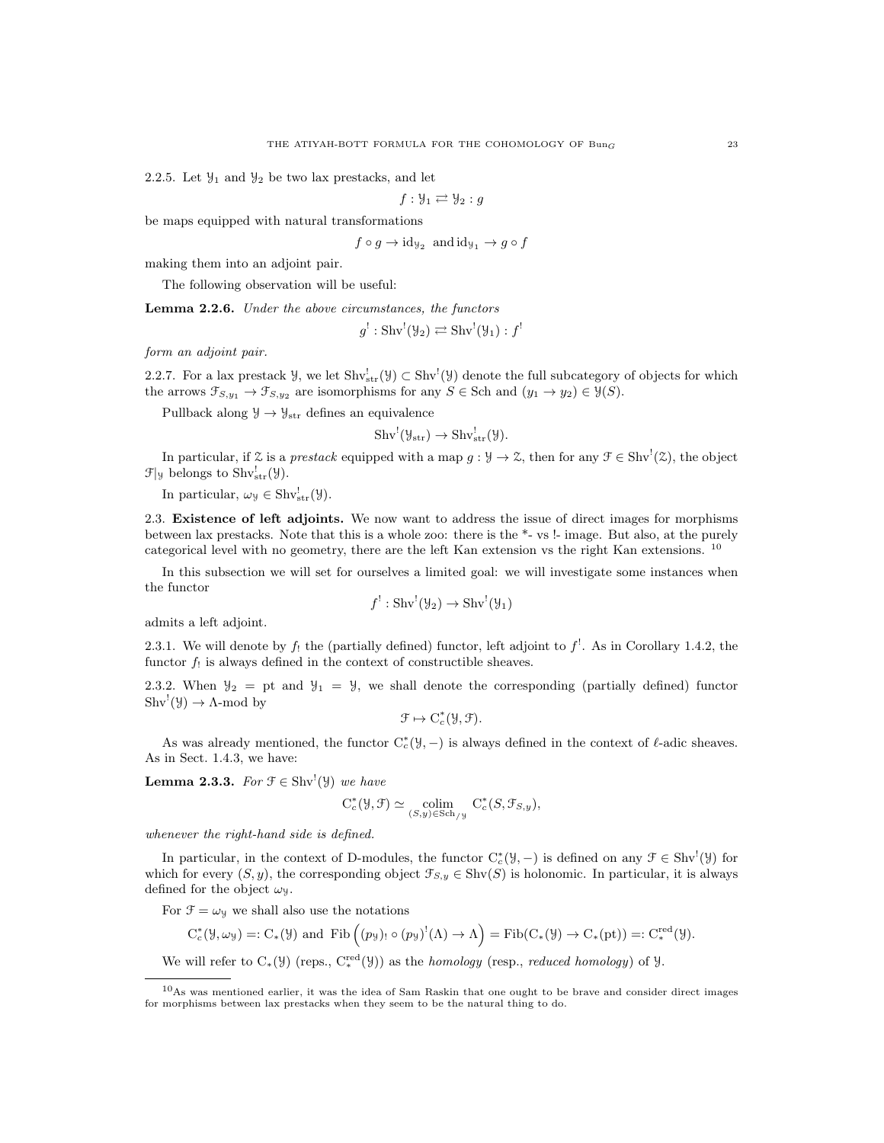2.2.5. Let  $\mathcal{Y}_1$  and  $\mathcal{Y}_2$  be two lax prestacks, and let

$$
f: \mathcal{Y}_1 \rightleftarrows \mathcal{Y}_2 : g
$$

be maps equipped with natural transformations

$$
f \circ g \to id_{\mathcal{Y}_2}
$$
 and  $id_{\mathcal{Y}_1} \to g \circ f$ 

making them into an adjoint pair.

The following observation will be useful:

Lemma 2.2.6. Under the above circumstances, the functors

$$
g^!: \operatorname{Shv}^!(\mathcal{Y}_2) \rightleftarrows \operatorname{Shv}^!(\mathcal{Y}_1):f^!
$$

form an adjoint pair.

2.2.7. For a lax prestack  $\mathcal{Y}$ , we let  $\text{Shv}_{str}^{!}(\mathcal{Y}) \subset \text{Shv}^{!}(\mathcal{Y})$  denote the full subcategory of objects for which the arrows  $\mathfrak{F}_{S,y_1} \to \mathfrak{F}_{S,y_2}$  are isomorphisms for any  $S \in$  Sch and  $(y_1 \to y_2) \in \mathcal{Y}(S)$ .

Pullback along  $\mathcal{Y} \to \mathcal{Y}_{str}$  defines an equivalence

$$
Shv^!(\mathcal{Y}_{str}) \to Shv^!_{str}(\mathcal{Y}).
$$

In particular, if  $\mathcal Z$  is a prestack equipped with a map  $g: \mathcal Y \to \mathcal Z$ , then for any  $\mathcal F \in \text{Shv}^1(\mathcal Z)$ , the object  $\mathfrak{F}|y$  belongs to  $\text{Shv}^!_{\text{str}}(\mathcal{Y})$ .

In particular,  $\omega_{\mathcal{Y}} \in \text{Shv}^!_{str}(\mathcal{Y}).$ 

2.3. Existence of left adjoints. We now want to address the issue of direct images for morphisms between lax prestacks. Note that this is a whole zoo: there is the \*- vs !- image. But also, at the purely categorical level with no geometry, there are the left Kan extension vs the right Kan extensions. <sup>10</sup>

In this subsection we will set for ourselves a limited goal: we will investigate some instances when the functor

$$
f^!: \mathop{\text{Shv}}\nolimits^!(\mathfrak{Y}_2) \to \mathop{\text{Shv}}\nolimits^!(\mathfrak{Y}_1)
$$

admits a left adjoint.

2.3.1. We will denote by  $f_!$  the (partially defined) functor, left adjoint to  $f^!$ . As in Corollary 1.4.2, the functor  $f_!$  is always defined in the context of constructible sheaves.

2.3.2. When  $\mathcal{Y}_2 =$  pt and  $\mathcal{Y}_1 = \mathcal{Y}$ , we shall denote the corresponding (partially defined) functor  $\text{Shv}^!(\mathcal{Y}) \to \Lambda\text{-mod by}$ 

$$
\mathcal{F} \mapsto C_c^*(\mathcal{Y}, \mathcal{F}).
$$

As was already mentioned, the functor  $C_c^*(\mathcal{Y},-)$  is always defined in the context of  $\ell$ -adic sheaves. As in Sect. 1.4.3, we have:

**Lemma 2.3.3.** For  $\mathcal{F} \in \text{Shv}^!(\mathcal{Y})$  we have

$$
C_c^*(\mathcal{Y}, \mathcal{F}) \simeq \underset{(S, y) \in Sch_{/\mathcal{Y}}}{\text{colim}} C_c^*(S, \mathcal{F}_{S, y}),
$$

whenever the right-hand side is defined.

In particular, in the context of D-modules, the functor  $C_c^*(\mathcal{Y},-)$  is defined on any  $\mathcal{F} \in \text{Shv}^!(\mathcal{Y})$  for which for every  $(S, y)$ , the corresponding object  $\mathcal{F}_{S, y} \in \text{Shv}(S)$  is holonomic. In particular, it is always defined for the object  $\omega_y$ .

For  $\mathfrak{F} = \omega_{\mathfrak{Y}}$  we shall also use the notations

$$
C_c^*(\mathcal{Y}, \omega_{\mathcal{Y}}) =: C_*(\mathcal{Y}) \text{ and } \text{Fib}((p_{\mathcal{Y}})_! \circ (p_{\mathcal{Y}})^!(\Lambda) \to \Lambda) = \text{Fib}(C_*(\mathcal{Y}) \to C_*(pt)) =: C_*^{\text{red}}(\mathcal{Y}).
$$

We will refer to  $C_*(\mathcal{Y})$  (reps.,  $C_*^{\text{red}}(\mathcal{Y})$ ) as the *homology* (resp., *reduced homology*) of  $\mathcal{Y}$ .

<sup>10</sup>As was mentioned earlier, it was the idea of Sam Raskin that one ought to be brave and consider direct images for morphisms between lax prestacks when they seem to be the natural thing to do.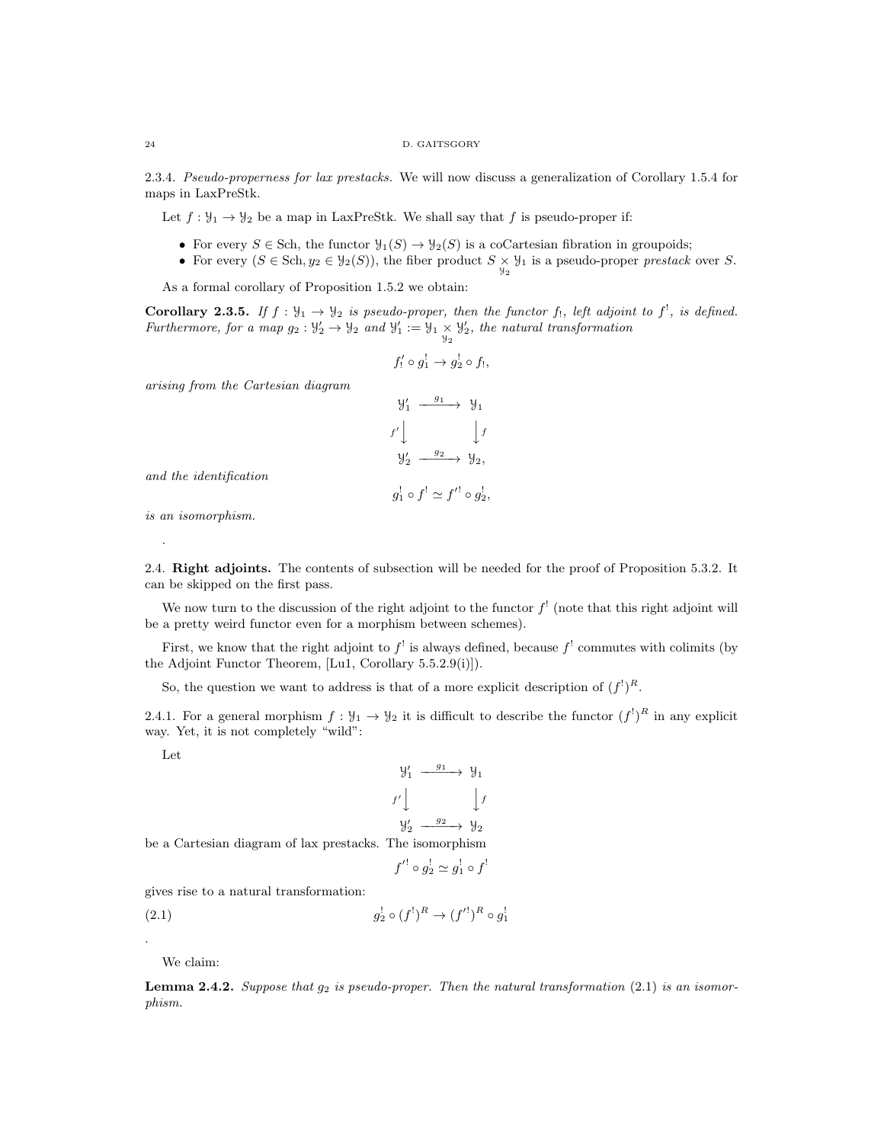2.3.4. Pseudo-properness for lax prestacks. We will now discuss a generalization of Corollary 1.5.4 for maps in LaxPreStk.

Let  $f: \mathcal{Y}_1 \to \mathcal{Y}_2$  be a map in LaxPreStk. We shall say that f is pseudo-proper if:

- For every  $S \in$  Sch, the functor  $\mathcal{Y}_1(S) \to \mathcal{Y}_2(S)$  is a coCartesian fibration in groupoids;
- For every  $(S \in Sch, y_2 \in \mathcal{Y}_2(S))$ , the fiber product  $S \times \mathcal{Y}_1$  is a pseudo-proper prestack over S.

As a formal corollary of Proposition 1.5.2 we obtain:

**Corollary 2.3.5.** If  $f : \mathcal{Y}_1 \to \mathcal{Y}_2$  is pseudo-proper, then the functor f<sub>1</sub>, left adjoint to f<sup>1</sup>, is defined. Furthermore, for a map  $g_2: \mathcal{Y}'_2 \to \mathcal{Y}_2$  and  $\mathcal{Y}'_1 := \mathcal{Y}_1 \times \mathcal{Y}'_2$ , the natural transformation

$$
f_!'\circ g_1^! \to g_2^! \circ f_!,
$$

arising from the Cartesian diagram

$$
\begin{array}{ccc}\n\mathcal{Y}'_1 & \xrightarrow{g_1} & \mathcal{Y}_1 \\
f' \downarrow & & \downarrow f \\
\mathcal{Y}'_2 & \xrightarrow{g_2} & \mathcal{Y}_2,\n\end{array}
$$

and the identification

$$
g_1^! \circ f^! \simeq f'^! \circ g_2^!,
$$

is an isomorphism.

.

2.4. Right adjoints. The contents of subsection will be needed for the proof of Proposition 5.3.2. It can be skipped on the first pass.

We now turn to the discussion of the right adjoint to the functor  $f^{\dagger}$  (note that this right adjoint will be a pretty weird functor even for a morphism between schemes).

First, we know that the right adjoint to  $f^{\dagger}$  is always defined, because  $f^{\dagger}$  commutes with colimits (by the Adjoint Functor Theorem, [Lu1, Corollary 5.5.2.9(i)]).

So, the question we want to address is that of a more explicit description of  $(f<sup>!</sup>)<sup>R</sup>$ .

2.4.1. For a general morphism  $f: \mathcal{Y}_1 \to \mathcal{Y}_2$  it is difficult to describe the functor  $(f^!)^R$  in any explicit way. Yet, it is not completely "wild":

Let

$$
\begin{array}{ccc}\n\mathcal{Y}'_1 & \xrightarrow{g_1} & \mathcal{Y}_1 \\
f' \downarrow & & \downarrow f \\
\mathcal{Y}'_2 & \xrightarrow{g_2} & \mathcal{Y}_2\n\end{array}
$$

be a Cartesian diagram of lax prestacks. The isomorphism

$$
f'^! \circ g_2^! \simeq g_1^! \circ f^!
$$

gives rise to a natural transformation:

(2.1) 
$$
g_2^! \circ (f^!)^R \to (f'^!)^R \circ g_1^!
$$

We claim:

.

**Lemma 2.4.2.** Suppose that  $g_2$  is pseudo-proper. Then the natural transformation (2.1) is an isomorphism.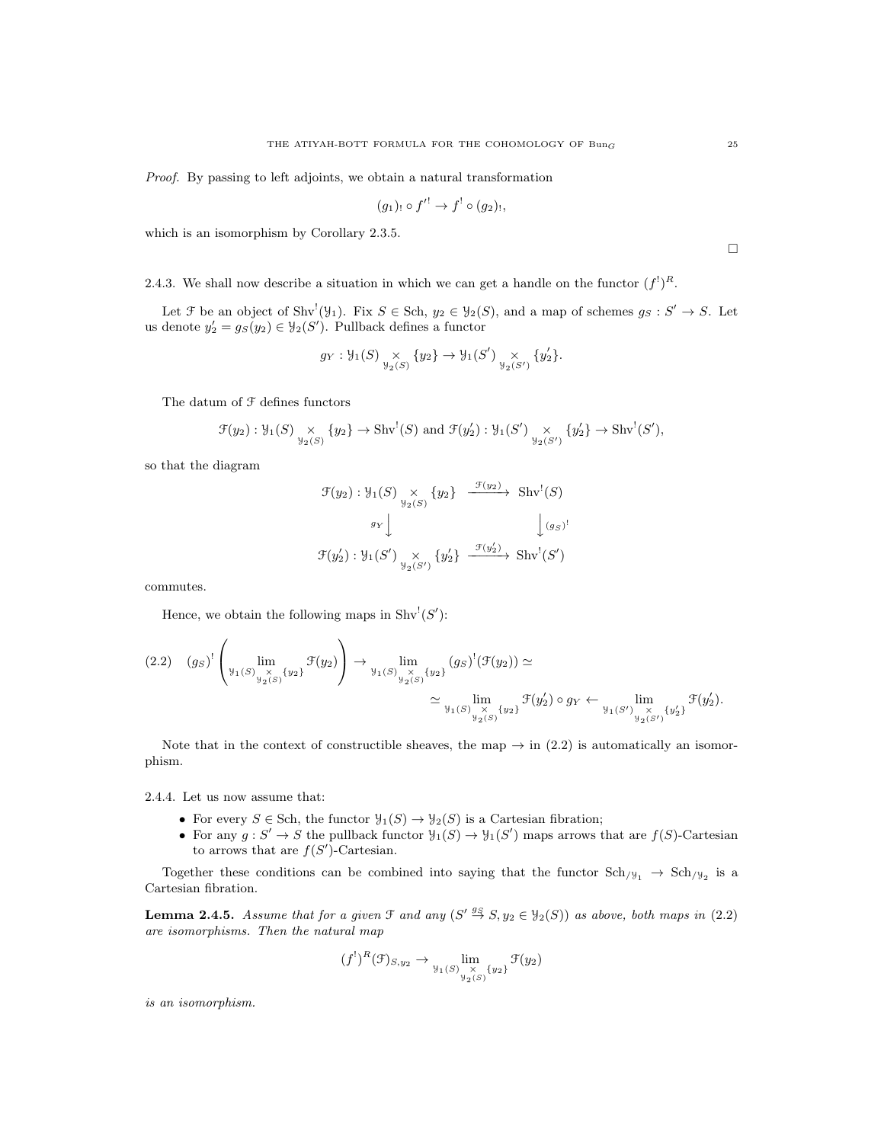Proof. By passing to left adjoints, we obtain a natural transformation

$$
(g_1)_! \circ f'^! \to f^! \circ (g_2)_!,
$$

which is an isomorphism by Corollary 2.3.5.

2.4.3. We shall now describe a situation in which we can get a handle on the functor 
$$
(f^!)^R
$$
.

Let  $\mathcal F$  be an object of Shv<sup>!</sup> $(\mathcal Y_1)$ . Fix  $S \in$  Sch,  $y_2 \in \mathcal Y_2(S)$ , and a map of schemes  $g_S : S' \to S$ . Let us denote  $y_2' = g_S(y_2) \in \mathcal{Y}_2(S')$ . Pullback defines a functor

$$
g_Y
$$
:  $\mathcal{Y}_1(S) \underset{\mathcal{Y}_2(S)}{\times} \{y_2\} \to \mathcal{Y}_1(S') \underset{\mathcal{Y}_2(S')}{\times} \{y_2'\}.$ 

The datum of  $\mathcal F$  defines functors

$$
\mathcal{F}(y_2): \mathcal{Y}_1(S) \underset{\mathcal{Y}_2(S)}{\times} \{y_2\} \to \text{Shv}^!(S) \text{ and } \mathcal{F}(y_2'): \mathcal{Y}_1(S') \underset{\mathcal{Y}_2(S')}{\times} \{y_2'\} \to \text{Shv}^!(S'),
$$

so that the diagram

$$
\mathcal{F}(y_2) : \mathcal{Y}_1(S) \underset{\mathcal{Y}_2(S)}{\times} \{y_2\} \xrightarrow{\mathcal{F}(y_2)} \text{Shv}^!(S)
$$
  

$$
\mathcal{F}(y_2') : \mathcal{Y}_1(S') \underset{\mathcal{Y}_2(S')}{\times} \{y_2'\} \xrightarrow{\mathcal{F}(y_2')} \text{Shv}^!(S')
$$

commutes.

Hence, we obtain the following maps in  $\text{Shv}^!(S')$ :

 $\bar{ }$ 

$$
(2.2) \quad (g_S)^! \left( \lim_{y_1(S) \underset{y_2(S)}{\times} \{y_2\}} \mathcal{F}(y_2) \right) \to \lim_{y_1(S) \underset{y_2(S)}{\times} \{y_2\}} (g_S)^! (\mathcal{F}(y_2)) \simeq
$$
  

$$
\simeq \lim_{y_1(S) \underset{y_2(S)}{\times} \{y_2\}} \mathcal{F}(y_2') \circ g_Y \leftarrow \lim_{y_1(S') \underset{y_2(S')}{\times} \{y_2\}} \mathcal{F}(y_2').
$$

Note that in the context of constructible sheaves, the map  $\rightarrow$  in (2.2) is automatically an isomorphism.

2.4.4. Let us now assume that:

 $\overline{ }$ 

- For every  $S \in Sch$ , the functor  $\mathcal{Y}_1(S) \to \mathcal{Y}_2(S)$  is a Cartesian fibration;
- For any  $g: S' \to S$  the pullback functor  $\mathcal{Y}_1(S) \to \mathcal{Y}_1(S')$  maps arrows that are  $f(S)$ -Cartesian to arrows that are  $f(S')$ -Cartesian.

Together these conditions can be combined into saying that the functor  $Sch_{/y_1} \rightarrow Sch_{/y_2}$  is a Cartesian fibration.

**Lemma 2.4.5.** Assume that for a given  $\mathcal{F}$  and any  $(S' \overset{g_S}{\to} S, y_2 \in \mathcal{Y}_2(S))$  as above, both maps in (2.2) are isomorphisms. Then the natural map

$$
(f^!)^R(\mathcal{F})_{S,y_2} \to \lim_{\substack{y_1(S) \underset{y_2(S)}{\times} \{y_2\}}} \mathcal{F}(y_2)
$$

is an isomorphism.

 $\Box$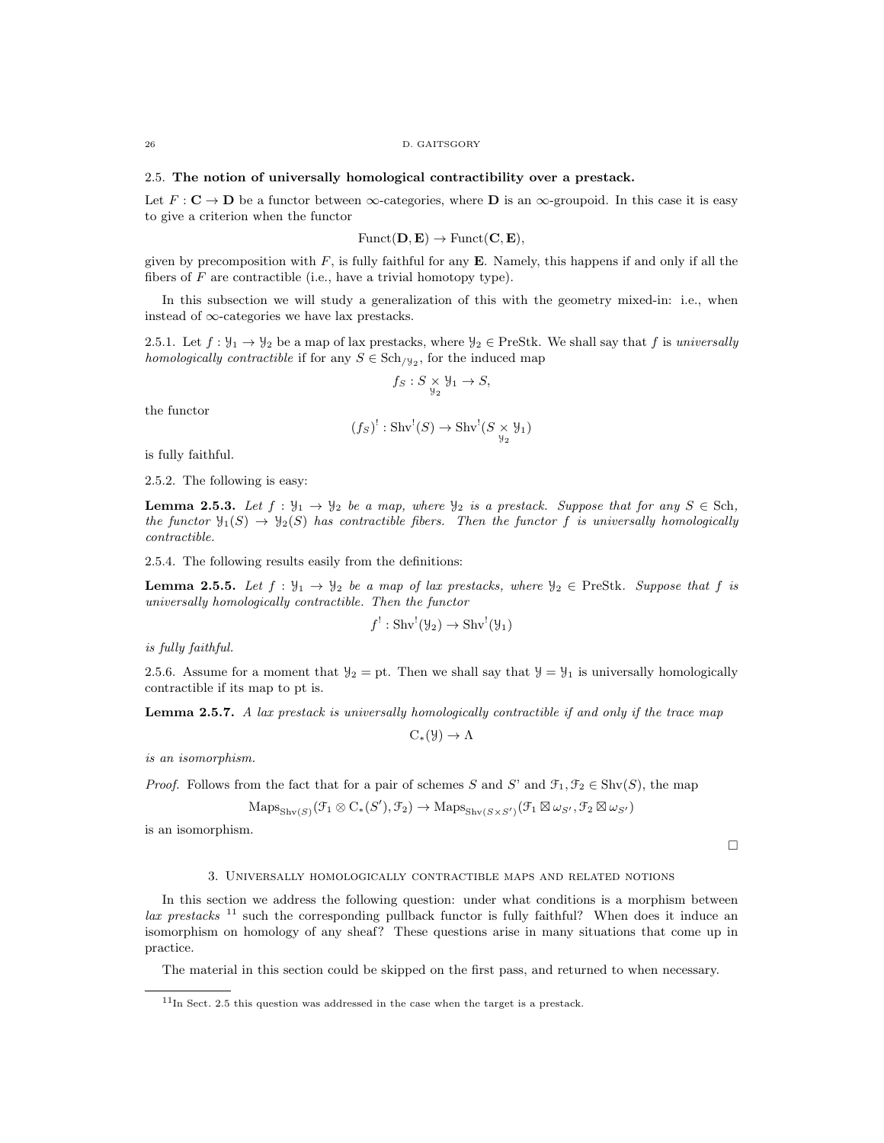## 2.5. The notion of universally homological contractibility over a prestack.

Let  $F: \mathbf{C} \to \mathbf{D}$  be a functor between  $\infty$ -categories, where  $\mathbf{D}$  is an  $\infty$ -groupoid. In this case it is easy to give a criterion when the functor

$$
Funct(D, E) \rightarrow Funct(C, E),
$$

given by precomposition with  $F$ , is fully faithful for any **E**. Namely, this happens if and only if all the fibers of  $F$  are contractible (i.e., have a trivial homotopy type).

In this subsection we will study a generalization of this with the geometry mixed-in: i.e., when instead of ∞-categories we have lax prestacks.

2.5.1. Let  $f: \mathcal{Y}_1 \to \mathcal{Y}_2$  be a map of lax prestacks, where  $\mathcal{Y}_2 \in \text{PreStk.}$  We shall say that f is universally homologically contractible if for any  $S \in Sch_{/\mathcal{Y}_2}$ , for the induced map

$$
f_S: S \underset{\mathcal{Y}_2}{\times} \mathcal{Y}_1 \to S,
$$

the functor

$$
(f_S)^!: \operatorname{Shv}^!(S) \to \operatorname{Shv}^!(S \underset{\mathcal{Y}_2}{\times} \mathcal{Y}_1)
$$

is fully faithful.

2.5.2. The following is easy:

**Lemma 2.5.3.** Let  $f : \mathcal{Y}_1 \to \mathcal{Y}_2$  be a map, where  $\mathcal{Y}_2$  is a prestack. Suppose that for any  $S \in$  Sch, the functor  $\mathcal{Y}_1(S) \to \mathcal{Y}_2(S)$  has contractible fibers. Then the functor f is universally homologically contractible.

2.5.4. The following results easily from the definitions:

**Lemma 2.5.5.** Let  $f : \mathcal{Y}_1 \to \mathcal{Y}_2$  be a map of lax prestacks, where  $\mathcal{Y}_2 \in \text{PreStk.}$  Suppose that f is universally homologically contractible. Then the functor

$$
f': \text{Shv}^!(\mathcal{Y}_2) \to \text{Shv}^!(\mathcal{Y}_1)
$$

is fully faithful.

2.5.6. Assume for a moment that  $\mathcal{Y}_2 = \text{pt}$ . Then we shall say that  $\mathcal{Y} = \mathcal{Y}_1$  is universally homologically contractible if its map to pt is.

**Lemma 2.5.7.** A lax prestack is universally homologically contractible if and only if the trace map

 $C_*(\mathcal{Y}) \to \Lambda$ 

is an isomorphism.

*Proof.* Follows from the fact that for a pair of schemes S and S' and  $\mathcal{F}_1, \mathcal{F}_2 \in \text{Shv}(S)$ , the map

$$
\mathrm{Maps}_{\mathrm{Shv}(S)}(\mathcal{F}_1 \otimes C_*(S'), \mathcal{F}_2) \to \mathrm{Maps}_{\mathrm{Shv}(S \times S')}(\mathcal{F}_1 \boxtimes \omega_{S'}, \mathcal{F}_2 \boxtimes \omega_{S'})
$$

is an isomorphism.

```
\Box
```
## 3. Universally homologically contractible maps and related notions

In this section we address the following question: under what conditions is a morphism between  $\alpha$  prestacks  $^{11}$  such the corresponding pullback functor is fully faithful? When does it induce an isomorphism on homology of any sheaf? These questions arise in many situations that come up in practice.

The material in this section could be skipped on the first pass, and returned to when necessary.

 $11$ In Sect. 2.5 this question was addressed in the case when the target is a prestack.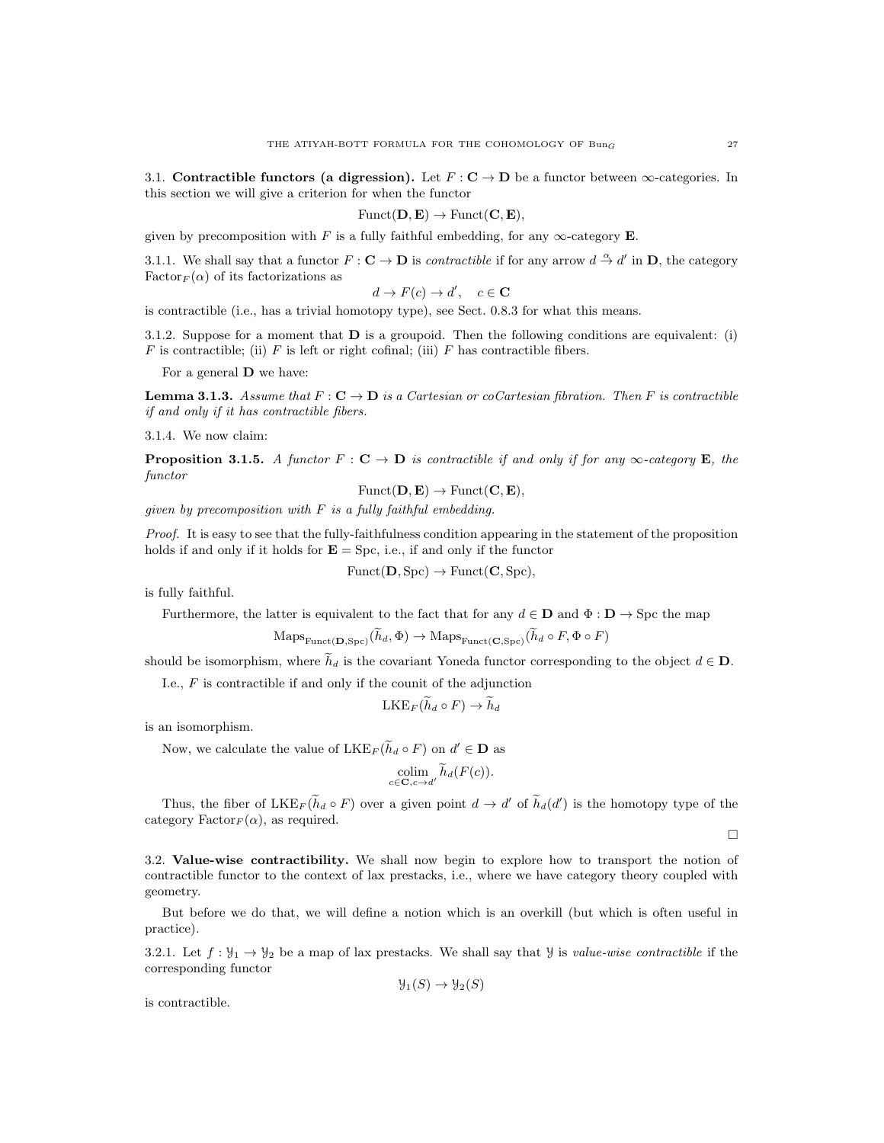3.1. Contractible functors (a digression). Let  $F: \mathbf{C} \to \mathbf{D}$  be a functor between  $\infty$ -categories. In this section we will give a criterion for when the functor

$$
Funct(\mathbf{D}, \mathbf{E}) \to Funct(\mathbf{C}, \mathbf{E}),
$$

given by precomposition with F is a fully faithful embedding, for any  $\infty$ -category E.

3.1.1. We shall say that a functor  $F: \mathbf{C} \to \mathbf{D}$  is *contractible* if for any arrow  $d \stackrel{\alpha}{\to} d'$  in **D**, the category Factor<sub>F</sub> $(\alpha)$  of its factorizations as

$$
d \to F(c) \to d', \quad c \in \mathbf{C}
$$

is contractible (i.e., has a trivial homotopy type), see Sect. 0.8.3 for what this means.

3.1.2. Suppose for a moment that  **is a groupoid. Then the following conditions are equivalent: (i)**  $F$  is contractible; (ii)  $F$  is left or right cofinal; (iii)  $F$  has contractible fibers.

For a general D we have:

**Lemma 3.1.3.** Assume that  $F: \mathbb{C} \to \mathbb{D}$  is a Cartesian or coCartesian fibration. Then F is contractible if and only if it has contractible fibers.

3.1.4. We now claim:

**Proposition 3.1.5.** A functor  $F : \mathbf{C} \to \mathbf{D}$  is contractible if and only if for any  $\infty$ -category **E**, the functor

 $\text{Funct}(\mathbf{D}, \mathbf{E}) \rightarrow \text{Funct}(\mathbf{C}, \mathbf{E}),$ 

given by precomposition with  $F$  is a fully faithful embedding.

Proof. It is easy to see that the fully-faithfulness condition appearing in the statement of the proposition holds if and only if it holds for  $\mathbf{E} = \text{Spc}$ , i.e., if and only if the functor

$$
Funct(D, Spc) \rightarrow Funct(C, Spc),
$$

is fully faithful.

Furthermore, the latter is equivalent to the fact that for any  $d \in \mathbf{D}$  and  $\Phi : \mathbf{D} \to \text{Spc}$  the map

$$
Maps_{\text{Funct}(\mathbf{D}, \text{Spc})}(h_d, \Phi) \to Maps_{\text{Funct}(\mathbf{C}, \text{Spc})}(h_d \circ F, \Phi \circ F)
$$

should be isomorphism, where  $\tilde{h}_d$  is the covariant Yoneda functor corresponding to the object  $d \in \mathbf{D}$ .

I.e.,  $F$  is contractible if and only if the counit of the adjunction

$$
\mathrm{LKE}_F(\widetilde{h}_d \circ F) \to \widetilde{h}_d
$$

is an isomorphism.

Now, we calculate the value of  $LKE_F(\tilde{h}_d \circ F)$  on  $d' \in \mathbf{D}$  as

$$
\underset{c \in \mathbf{C}, c \to d'}{\text{colim}} \widetilde{h}_d(F(c)).
$$

Thus, the fiber of  $LKE_F(\tilde{h}_d \circ F)$  over a given point  $d \to d'$  of  $\tilde{h}_d(d')$  is the homotopy type of the category  $\text{Factor}_F(\alpha)$ , as required.

 $\Box$ 

3.2. Value-wise contractibility. We shall now begin to explore how to transport the notion of contractible functor to the context of lax prestacks, i.e., where we have category theory coupled with geometry.

But before we do that, we will define a notion which is an overkill (but which is often useful in practice).

3.2.1. Let  $f: \mathcal{Y}_1 \to \mathcal{Y}_2$  be a map of lax prestacks. We shall say that Y is value-wise contractible if the corresponding functor

$$
\mathcal{Y}_1(S) \to \mathcal{Y}_2(S)
$$

is contractible.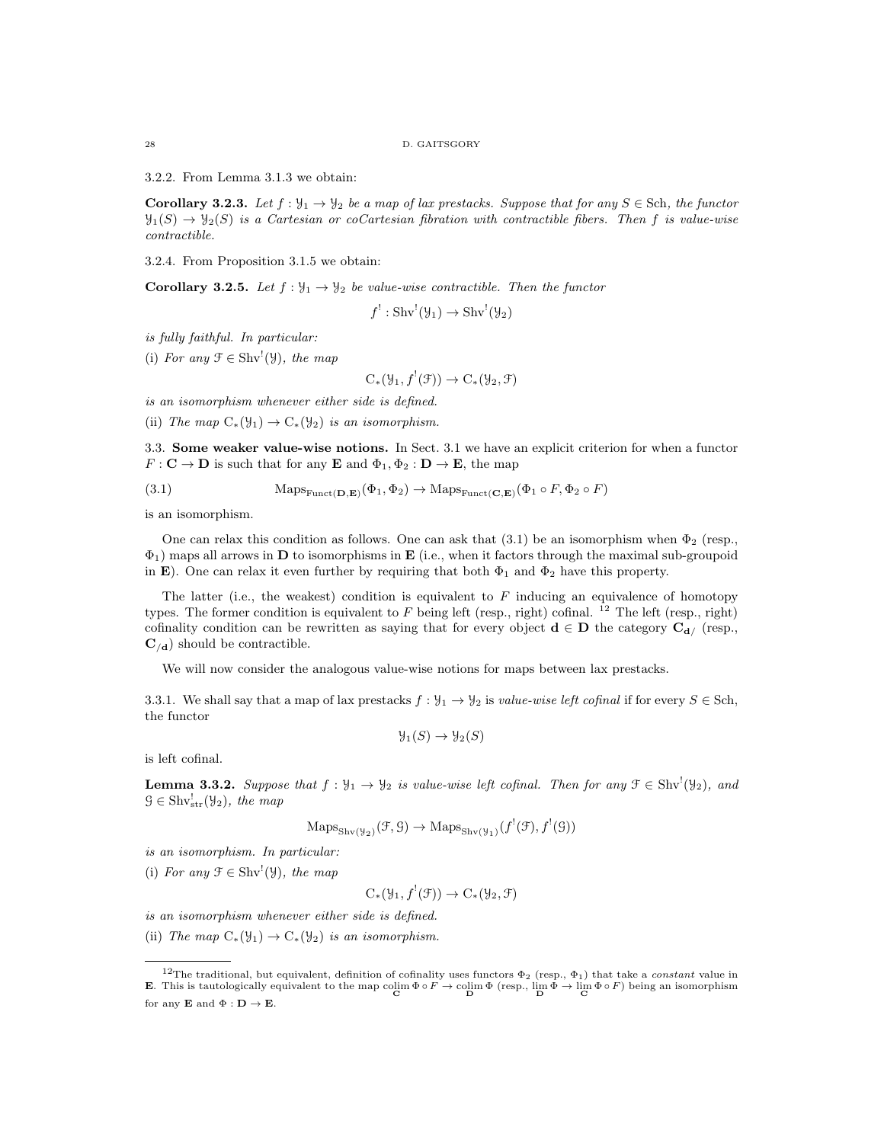3.2.2. From Lemma 3.1.3 we obtain:

**Corollary 3.2.3.** Let  $f: \mathcal{Y}_1 \to \mathcal{Y}_2$  be a map of lax prestacks. Suppose that for any  $S \in \mathcal{S}$ ch, the functor  $\mathcal{Y}_1(S) \to \mathcal{Y}_2(S)$  is a Cartesian or coCartesian fibration with contractible fibers. Then f is value-wise contractible.

3.2.4. From Proposition 3.1.5 we obtain:

**Corollary 3.2.5.** Let  $f : \mathcal{Y}_1 \to \mathcal{Y}_2$  be value-wise contractible. Then the functor

$$
f' : \text{Shv}'(\mathcal{Y}_1) \to \text{Shv}'(\mathcal{Y}_2)
$$

is fully faithful. In particular:

(i) For any  $\mathcal{F} \in \text{Shv}^!(\mathcal{Y})$ , the map

 $C_*(\mathcal{Y}_1, f^!(\mathcal{F})) \to C_*(\mathcal{Y}_2, \mathcal{F})$ 

is an isomorphism whenever either side is defined.

(ii) The map  $C_*(\mathcal{Y}_1) \to C_*(\mathcal{Y}_2)$  is an isomorphism.

3.3. Some weaker value-wise notions. In Sect. 3.1 we have an explicit criterion for when a functor  $F: \mathbf{C} \to \mathbf{D}$  is such that for any **E** and  $\Phi_1, \Phi_2: \mathbf{D} \to \mathbf{E}$ , the map

(3.1) 
$$
\text{Maps}_{\text{Funct}(\mathbf{D}, \mathbf{E})}(\Phi_1, \Phi_2) \to \text{Maps}_{\text{Funct}(\mathbf{C}, \mathbf{E})}(\Phi_1 \circ F, \Phi_2 \circ F)
$$

is an isomorphism.

One can relax this condition as follows. One can ask that  $(3.1)$  be an isomorphism when  $\Phi_2$  (resp.,  $\Phi_1$ ) maps all arrows in **D** to isomorphisms in **E** (i.e., when it factors through the maximal sub-groupoid in E). One can relax it even further by requiring that both  $\Phi_1$  and  $\Phi_2$  have this property.

The latter (i.e., the weakest) condition is equivalent to  $F$  inducing an equivalence of homotopy types. The former condition is equivalent to F being left (resp., right) cofinal.  $^{12}$  The left (resp., right) cofinality condition can be rewritten as saying that for every object  $\mathbf{d} \in \mathbf{D}$  the category  $\mathbf{C}_{\mathbf{d}}$ / (resp.,  $\mathbf{C}_{/\mathbf{d}}$ ) should be contractible.

We will now consider the analogous value-wise notions for maps between lax prestacks.

3.3.1. We shall say that a map of lax prestacks  $f : \mathcal{Y}_1 \to \mathcal{Y}_2$  is value-wise left cofinal if for every  $S \in$  Sch, the functor

$$
\mathcal{Y}_1(S) \to \mathcal{Y}_2(S)
$$

is left cofinal.

**Lemma 3.3.2.** Suppose that  $f: \mathcal{Y}_1 \to \mathcal{Y}_2$  is value-wise left cofinal. Then for any  $\mathcal{F} \in \text{Shv}^1(\mathcal{Y}_2)$ , and  $\mathcal{G} \in \text{Shv}_{str}^{!}(\mathcal{Y}_2)$ , the map

$$
\mathrm{Maps}_{\mathrm{Shv}(\mathcal{Y}_2)}(\mathcal{F}, \mathcal{G}) \to \mathrm{Maps}_{\mathrm{Shv}(\mathcal{Y}_1)}(f^!(\mathcal{F}), f^!(\mathcal{G}))
$$

is an isomorphism. In particular:

(i) For any  $\mathcal{F} \in \text{Shv}^!(\mathcal{Y})$ , the map

 $C_*(\mathcal{Y}_1, f^!(\mathcal{F})) \to C_*(\mathcal{Y}_2, \mathcal{F})$ 

is an isomorphism whenever either side is defined.

(ii) The map  $C_*(\mathcal{Y}_1) \to C_*(\mathcal{Y}_2)$  is an isomorphism.

<sup>&</sup>lt;sup>12</sup>The traditional, but equivalent, definition of cofinality uses functors  $\Phi_2$  (resp.,  $\Phi_1$ ) that take a *constant* value in **E**. This is tautologically equivalent to the map  $\text{colim } \Phi \circ F \to \text{colim } \Phi \text{ (resp., } \lim_{D} \Phi \to \lim_{D} \Phi \circ F)$  being an isomorphism for any **E** and  $\Phi : \mathbf{D} \to \mathbf{E}$ .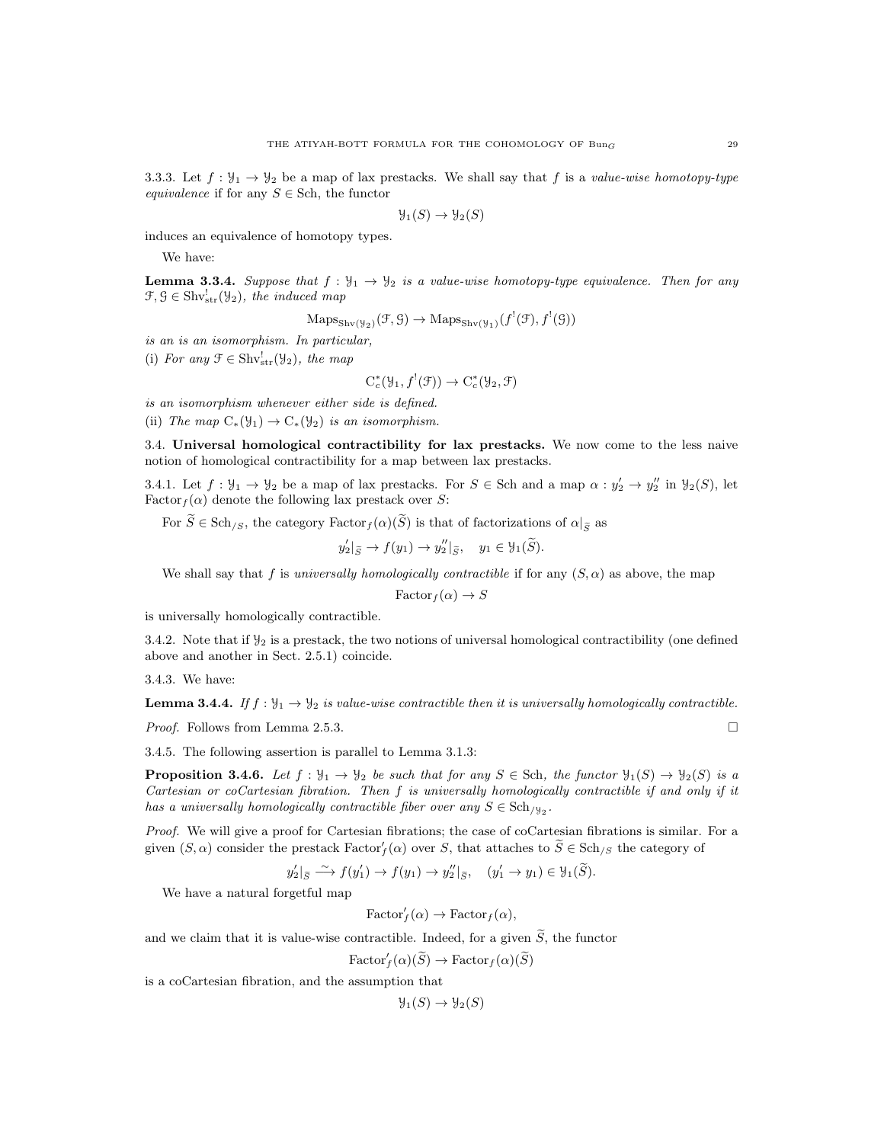3.3.3. Let  $f: \mathcal{Y}_1 \to \mathcal{Y}_2$  be a map of lax prestacks. We shall say that f is a value-wise homotopy-type equivalence if for any  $S \in$  Sch, the functor

$$
\mathcal{Y}_1(S) \to \mathcal{Y}_2(S)
$$

induces an equivalence of homotopy types.

We have:

**Lemma 3.3.4.** Suppose that  $f : \mathcal{Y}_1 \to \mathcal{Y}_2$  is a value-wise homotopy-type equivalence. Then for any  $\mathcal{F}, \mathcal{G} \in \text{Shv}_{str}^{!}(\mathcal{Y}_2)$ , the induced map

$$
\mathrm{Maps}_{\mathrm{Shv}(\mathcal{Y}_2)}(\mathcal{F}, \mathcal{G}) \to \mathrm{Maps}_{\mathrm{Shv}(\mathcal{Y}_1)}(f^!(\mathcal{F}), f^!(\mathcal{G}))
$$

is an is an isomorphism. In particular,

(i) For any  $\mathfrak{F} \in \text{Shv}^!_{str}(\mathcal{Y}_2)$ , the map

$$
C_c^*(\mathcal{Y}_1, f^!(\mathcal{F})) \to C_c^*(\mathcal{Y}_2, \mathcal{F})
$$

is an isomorphism whenever either side is defined.

(ii) The map  $C_*(\mathcal{Y}_1) \to C_*(\mathcal{Y}_2)$  is an isomorphism.

3.4. Universal homological contractibility for lax prestacks. We now come to the less naive notion of homological contractibility for a map between lax prestacks.

3.4.1. Let  $f: \mathcal{Y}_1 \to \mathcal{Y}_2$  be a map of lax prestacks. For  $S \in$  Sch and a map  $\alpha: y_2' \to y_2''$  in  $\mathcal{Y}_2(S)$ , let Factor $f(\alpha)$  denote the following lax prestack over S:

For  $\widetilde{S} \in \text{Sch}_{/S}$ , the category  $\text{Factor}_f(\alpha)(\widetilde{S})$  is that of factorizations of  $\alpha|_{\widetilde{S}}$  as

$$
y'_2|_{\widetilde{S}} \to f(y_1) \to y''_2|_{\widetilde{S}}, \quad y_1 \in \mathcal{Y}_1(\widetilde{S}).
$$

We shall say that f is universally homologically contractible if for any  $(S, \alpha)$  as above, the map

 $\text{Factor}_f(\alpha) \to S$ 

is universally homologically contractible.

3.4.2. Note that if  $\mathcal{Y}_2$  is a prestack, the two notions of universal homological contractibility (one defined above and another in Sect. 2.5.1) coincide.

3.4.3. We have:

**Lemma 3.4.4.** If  $f: \mathcal{Y}_1 \to \mathcal{Y}_2$  is value-wise contractible then it is universally homologically contractible.

*Proof.* Follows from Lemma 2.5.3.  $\square$ 

3.4.5. The following assertion is parallel to Lemma 3.1.3:

**Proposition 3.4.6.** Let  $f: \mathcal{Y}_1 \to \mathcal{Y}_2$  be such that for any  $S \in \text{Sch}$ , the functor  $\mathcal{Y}_1(S) \to \mathcal{Y}_2(S)$  is a Cartesian or coCartesian fibration. Then f is universally homologically contractible if and only if it has a universally homologically contractible fiber over any  $S \in \text{Sch}_{/\mathcal{Y}_2}$ .

Proof. We will give a proof for Cartesian fibrations; the case of coCartesian fibrations is similar. For a given  $(S, \alpha)$  consider the prestack  $Factor'_f(\alpha)$  over S, that attaches to  $\widetilde{S} \in Sch_{/S}$  the category of

$$
y_2'|\tilde{g} \xrightarrow{\sim} f(y_1') \rightarrow f(y_1) \rightarrow y_2''|\tilde{g}, \quad (y_1' \rightarrow y_1) \in \mathcal{Y}_1(\tilde{S}).
$$

We have a natural forgetful map

$$
\text{Factor}'_f(\alpha) \to \text{Factor}_f(\alpha),
$$

and we claim that it is value-wise contractible. Indeed, for a given  $\widetilde{S}$ , the functor

 $\text{Factor}_f'(\alpha)(\widetilde{S}) \to \text{Factor}_f(\alpha)(\widetilde{S})$ 

is a coCartesian fibration, and the assumption that

$$
\mathcal{Y}_1(S) \to \mathcal{Y}_2(S)
$$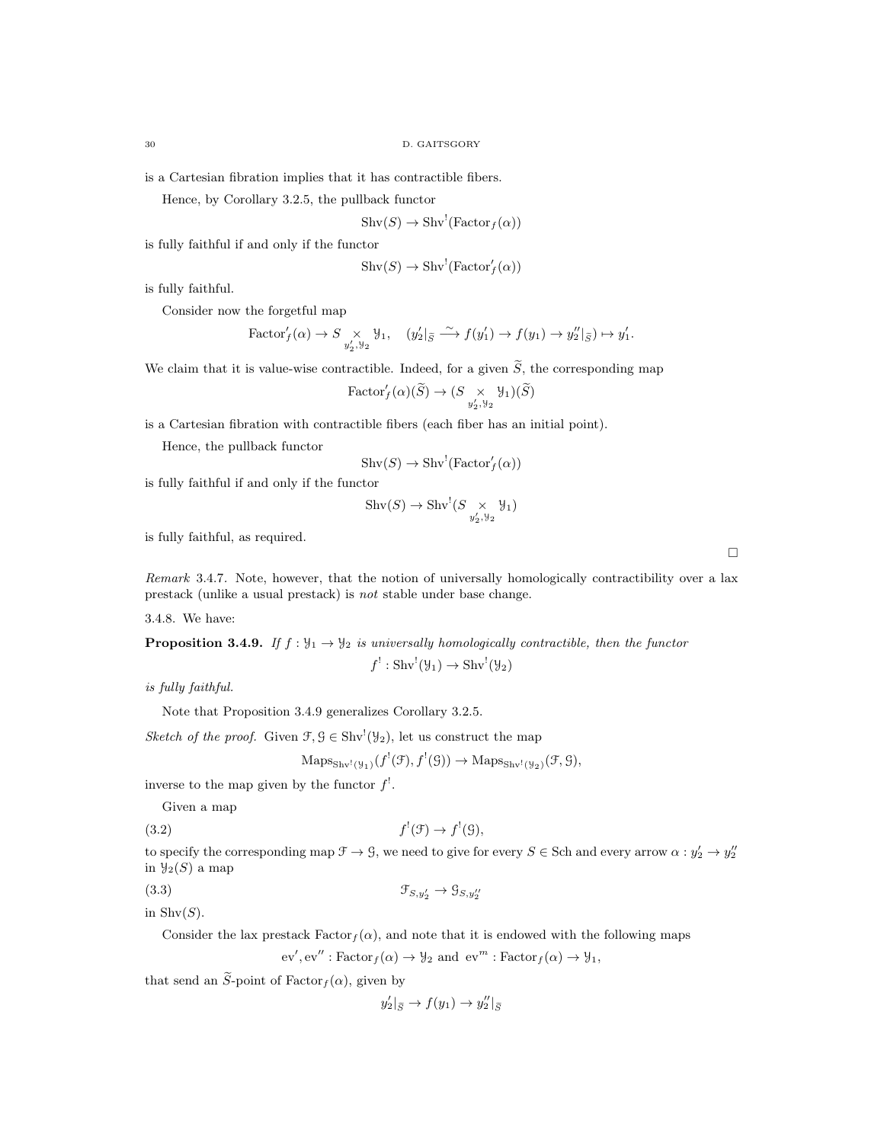is a Cartesian fibration implies that it has contractible fibers.

Hence, by Corollary 3.2.5, the pullback functor

$$
Shv(S) \to Shv!(Factorf(\alpha))
$$

is fully faithful if and only if the functor

$$
Shv(S) \to Shv!(Factor'_{f}(\alpha))
$$

is fully faithful.

Consider now the forgetful map

$$
\text{Factor}'_f(\alpha) \to S \underset{y'_2, y_2}{\times} y_1, \quad (y'_2|_{\widetilde{S}} \xrightarrow{\sim} f(y'_1) \to f(y_1) \to y''_2|_{\widetilde{S}}) \mapsto y'_1.
$$

We claim that it is value-wise contractible. Indeed, for a given  $\widetilde{S}$ , the corresponding map

$$
\text{Factor}'_f(\alpha)(\widetilde{S}) \to (S \underset{y'_2, y_2}{\times} \mathcal{Y}_1)(\widetilde{S})
$$

is a Cartesian fibration with contractible fibers (each fiber has an initial point).

Hence, the pullback functor

 $\text{Shv}(S) \to \text{Shv}^! (\text{Factor}'_f(\alpha))$ 

is fully faithful if and only if the functor

$$
\mathrm{Shv}(S) \to \mathrm{Shv}^!(S \underset{y'_2, y_2}{\times} \mathcal{Y}_1)
$$

is fully faithful, as required.

Remark 3.4.7. Note, however, that the notion of universally homologically contractibility over a lax prestack (unlike a usual prestack) is not stable under base change.

3.4.8. We have:

**Proposition 3.4.9.** If  $f : \mathcal{Y}_1 \to \mathcal{Y}_2$  is universally homologically contractible, then the functor

 $f' : \text{Shv}^{!}(\mathcal{Y}_1) \to \text{Shv}^{!}(\mathcal{Y}_2)$ 

is fully faithful.

```
Note that Proposition 3.4.9 generalizes Corollary 3.2.5.
```
Sketch of the proof. Given  $\mathcal{F}, \mathcal{G} \in \text{Shv}^1(\mathcal{Y}_2)$ , let us construct the map

$$
Maps_{\text{Shv}^!(\mathcal{Y}_1)}(f^!(\mathcal{F}), f^!(\mathcal{G})) \to Maps_{\text{Shv}^!(\mathcal{Y}_2)}(\mathcal{F}, \mathcal{G}),
$$

inverse to the map given by the functor  $f^!$ .

Given a map

 $(3.2)$  f  $f'(\mathfrak{F}) \to f'(\mathfrak{G}),$ 

to specify the corresponding map 
$$
\mathcal{F} \to \mathcal{G}
$$
, we need to give for every  $S \in$  Sch and every arrow  $\alpha : y'_2 \to y''_2$   
in  $\mathcal{Y}_2(S)$  a map

(3.3)  $\mathcal{F}_{S,y'_2} \to \mathcal{G}_{S,y''_2}$ 

in  $\text{Shv}(S)$ .

Consider the lax prestack  $Factor_f(\alpha)$ , and note that it is endowed with the following maps

 $\mathrm{ev}', \mathrm{ev}'' : \mathrm{Factor}_f(\alpha) \to \mathcal{Y}_2 \text{ and } \mathrm{ev}^m : \mathrm{Factor}_f(\alpha) \to \mathcal{Y}_1,$ 

that send an  $\widetilde{S}$ -point of Factor $_f(\alpha)$ , given by

$$
y_2' |_{\widetilde{S}} \to f(y_1) \to y_2'' |_{\widetilde{S}}
$$

 $\Box$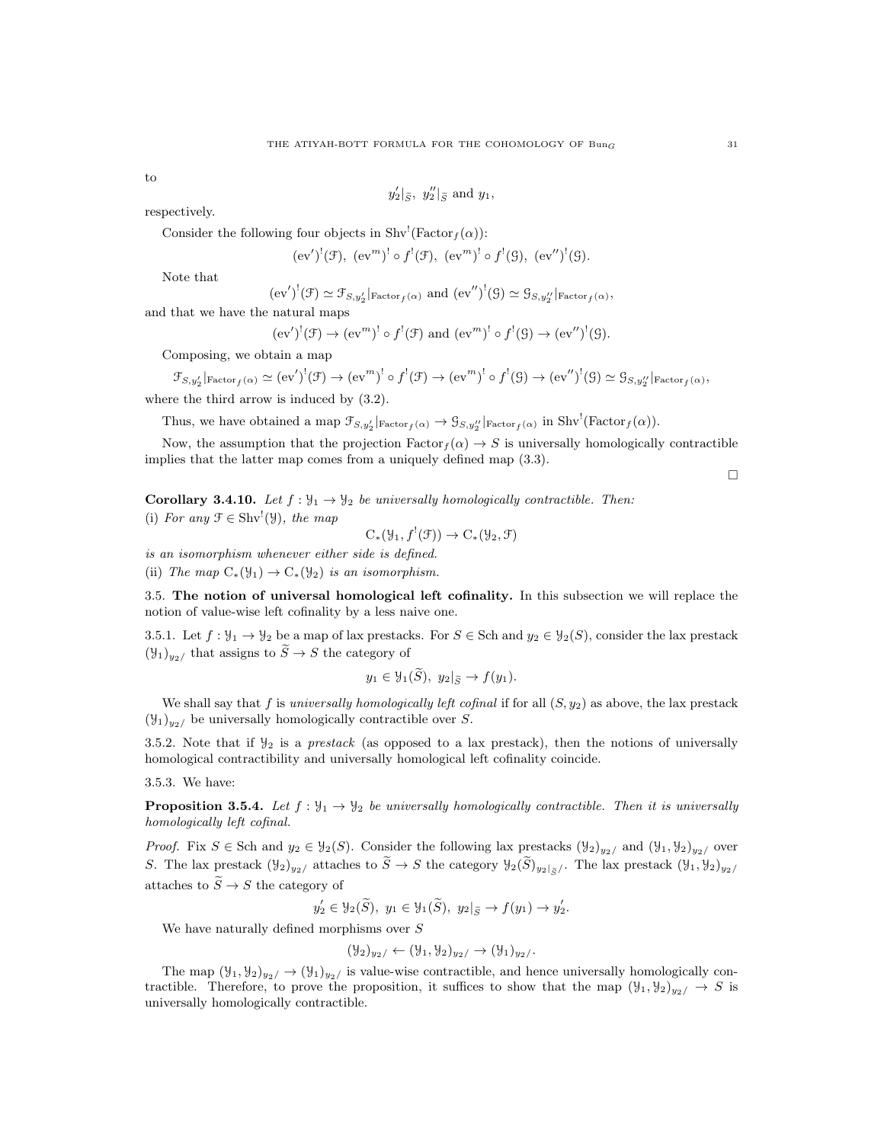to

 $y_2'|_{\tilde{S}}$ ,  $y_2''|_{\tilde{S}}$  and  $y_1$ ,

respectively.

Consider the following four objects in Shv<sup>!</sup>(Factor<sub>f</sub>( $\alpha$ )):

$$
(ev')^!(f)
$$
,  $(ev''')^! \circ f'(\mathcal{F})$ ,  $(ev''')^! \circ f'(\mathcal{G})$ ,  $(ev'')^!(\mathcal{G})$ .

Note that

 $\mathfrak{F}_{S_1}$ 

$$
(ev')^!(\mathcal{F}) \simeq \mathcal{F}_{S,y_2'}|_{\text{Factor}_f(\alpha)}
$$
 and  $(ev'')^!(\mathcal{G}) \simeq \mathcal{G}_{S,y_2''}|_{\text{Factor}_f(\alpha)},$ 

and that we have the natural maps

$$
(ev')^!(\mathfrak{F}) \to (ev^m)^! \circ f^!(\mathfrak{F})
$$
 and  $(ev^m)^! \circ f^!(\mathfrak{G}) \to (ev'')^!(\mathfrak{G}).$ 

Composing, we obtain a map

$$
y_2' |_{\text{Factor}_f(\alpha)} \simeq (\text{ev}')^!(\mathcal{F}) \to (\text{ev}^m)^! \circ f^!(\mathcal{F}) \to (\text{ev}^m)^! \circ f^!(\mathcal{G}) \to (\text{ev}'')^!(\mathcal{G}) \simeq \mathcal{G}_{S,y_2''} |_{\text{Factor}_f(\alpha)},
$$

where the third arrow is induced by (3.2).

Thus, we have obtained a map  $\mathcal{F}_{S,y_2'}|_{\text{Factor}_f(\alpha)} \to \mathcal{G}_{S,y_2''}|_{\text{Factor}_f(\alpha)}$  in  $\text{Shv}^!(\text{Factor}_f(\alpha))$ .

Now, the assumption that the projection  $Factor_f(\alpha) \rightarrow S$  is universally homologically contractible implies that the latter map comes from a uniquely defined map (3.3).

**Corollary 3.4.10.** Let  $f : \mathcal{Y}_1 \to \mathcal{Y}_2$  be universally homologically contractible. Then: (i) For any  $\mathcal{F} \in \text{Shv}^!(\mathcal{Y})$ , the map

$$
C_*(\mathcal{Y}_1, f^!(\mathcal{F})) \to C_*(\mathcal{Y}_2, \mathcal{F})
$$

is an isomorphism whenever either side is defined.

(ii) The map  $C_*(\mathcal{Y}_1) \to C_*(\mathcal{Y}_2)$  is an isomorphism.

3.5. The notion of universal homological left cofinality. In this subsection we will replace the notion of value-wise left cofinality by a less naive one.

3.5.1. Let  $f: \mathcal{Y}_1 \to \mathcal{Y}_2$  be a map of lax prestacks. For  $S \in \text{Sch}$  and  $y_2 \in \mathcal{Y}_2(S)$ , consider the lax prestack  $(\mathcal{Y}_1)_{y_2}$  that assigns to  $\widetilde{S} \to S$  the category of

$$
y_1 \in \mathcal{Y}_1(\tilde{S}), \ y_2|_{\tilde{S}} \to f(y_1).
$$

We shall say that f is universally homologically left cofinal if for all  $(S, y_2)$  as above, the lax prestack  $(\mathcal{Y}_1)_{y_2}$  be universally homologically contractible over S.

3.5.2. Note that if  $\mathcal{Y}_2$  is a *prestack* (as opposed to a lax prestack), then the notions of universally homological contractibility and universally homological left cofinality coincide.

3.5.3. We have:

**Proposition 3.5.4.** Let  $f : \mathcal{Y}_1 \to \mathcal{Y}_2$  be universally homologically contractible. Then it is universally homologically left cofinal.

*Proof.* Fix  $S \in$  Sch and  $y_2 \in \mathcal{Y}_2(S)$ . Consider the following lax prestacks  $(\mathcal{Y}_2)_{y_2}$  and  $(\mathcal{Y}_1, \mathcal{Y}_2)_{y_2}$  over S. The lax prestack  $(\mathcal{Y}_2)_{y_2}$  attaches to  $\widetilde{S} \to S$  the category  $\mathcal{Y}_2(\widetilde{S})_{y_2|\widetilde{S}}$ . The lax prestack  $(\mathcal{Y}_1, \mathcal{Y}_2)_{y_2}$ attaches to  $\widetilde{S} \to S$  the category of

$$
y'_2 \in \mathcal{Y}_2(\widetilde{S}), y_1 \in \mathcal{Y}_1(\widetilde{S}), y_2|_{\widetilde{S}} \to f(y_1) \to y'_2.
$$

We have naturally defined morphisms over S

$$
(\mathcal{Y}_2)_{y_2} \leftarrow (\mathcal{Y}_1, \mathcal{Y}_2)_{y_2} \leftarrow (\mathcal{Y}_1)_{y_2}.
$$

The map  $(\mathcal{Y}_1, \mathcal{Y}_2)_{y_2} \to (\mathcal{Y}_1)_{y_2}$  is value-wise contractible, and hence universally homologically contractible. Therefore, to prove the proposition, it suffices to show that the map  $(\mathcal{Y}_1, \mathcal{Y}_2)_{y_2} \rightarrow S$  is universally homologically contractible.

 $\Box$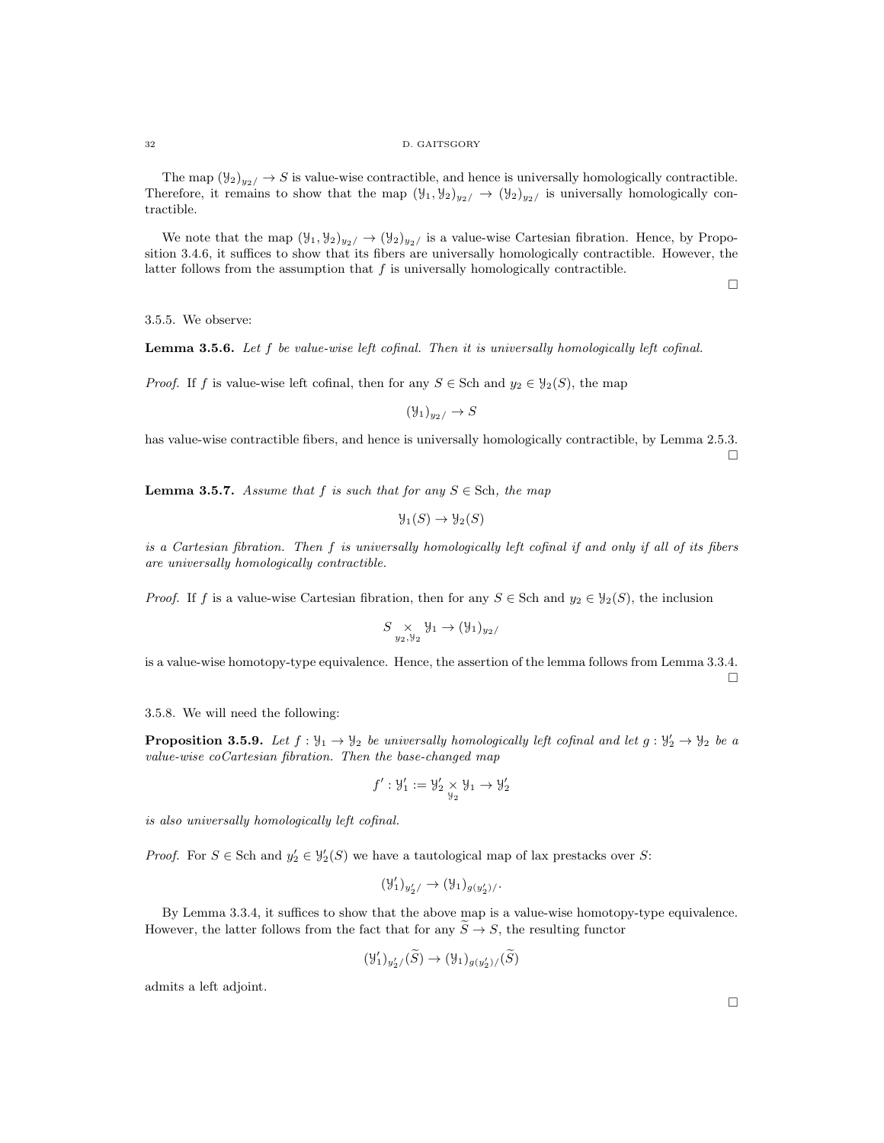The map  $(\mathcal{Y}_2)_{y_2}/\to S$  is value-wise contractible, and hence is universally homologically contractible. Therefore, it remains to show that the map  $(\mathcal{Y}_1, \mathcal{Y}_2)_{y_2} \to (\mathcal{Y}_2)_{y_2}$  is universally homologically contractible.

We note that the map  $(\mathcal{Y}_1, \mathcal{Y}_2)_{y_2} \rightarrow (\mathcal{Y}_2)_{y_2}$  is a value-wise Cartesian fibration. Hence, by Proposition 3.4.6, it suffices to show that its fibers are universally homologically contractible. However, the latter follows from the assumption that  $f$  is universally homologically contractible.

 $\Box$ 

3.5.5. We observe:

Lemma 3.5.6. Let f be value-wise left cofinal. Then it is universally homologically left cofinal.

*Proof.* If f is value-wise left cofinal, then for any  $S \in$  Sch and  $y_2 \in \mathcal{Y}_2(S)$ , the map

$$
(\mathcal{Y}_1)_{y_2} \to S
$$

has value-wise contractible fibers, and hence is universally homologically contractible, by Lemma 2.5.3. П

**Lemma 3.5.7.** Assume that f is such that for any  $S \in$  Sch, the map

$$
\mathcal{Y}_1(S) \to \mathcal{Y}_2(S)
$$

is a Cartesian fibration. Then f is universally homologically left cofinal if and only if all of its fibers are universally homologically contractible.

*Proof.* If f is a value-wise Cartesian fibration, then for any  $S \in$  Sch and  $y_2 \in \mathcal{Y}_2(S)$ , the inclusion

$$
S \underset{y_2, y_2}{\times} \mathcal{Y}_1 \to (\mathcal{Y}_1)_{y_2/}
$$

is a value-wise homotopy-type equivalence. Hence, the assertion of the lemma follows from Lemma 3.3.4. П

## 3.5.8. We will need the following:

**Proposition 3.5.9.** Let  $f: \mathcal{Y}_1 \to \mathcal{Y}_2$  be universally homologically left cofinal and let  $g: \mathcal{Y}'_2 \to \mathcal{Y}_2$  be a value-wise coCartesian fibration. Then the base-changed map

$$
f':\mathcal{Y}_1':=\mathcal{Y}_2'\underset{\mathcal{Y}_2}{\times}\mathcal{Y}_1\rightarrow\mathcal{Y}_2'
$$

is also universally homologically left cofinal.

*Proof.* For  $S \in \text{Sch}$  and  $y_2' \in \mathcal{Y}_2'(S)$  we have a tautological map of lax prestacks over S:

$$
(\mathcal{Y}_1')_{y_2'}/\rightarrow (\mathcal{Y}_1)_{g(y_2')}/.
$$

By Lemma 3.3.4, it suffices to show that the above map is a value-wise homotopy-type equivalence. However, the latter follows from the fact that for any  $\widetilde{S} \to S$ , the resulting functor

$$
(\mathcal{Y}'_1)_{y'_2/}(\widetilde{S}) \to (\mathcal{Y}_1)_{g(y'_2)/}(\widetilde{S})
$$

admits a left adjoint.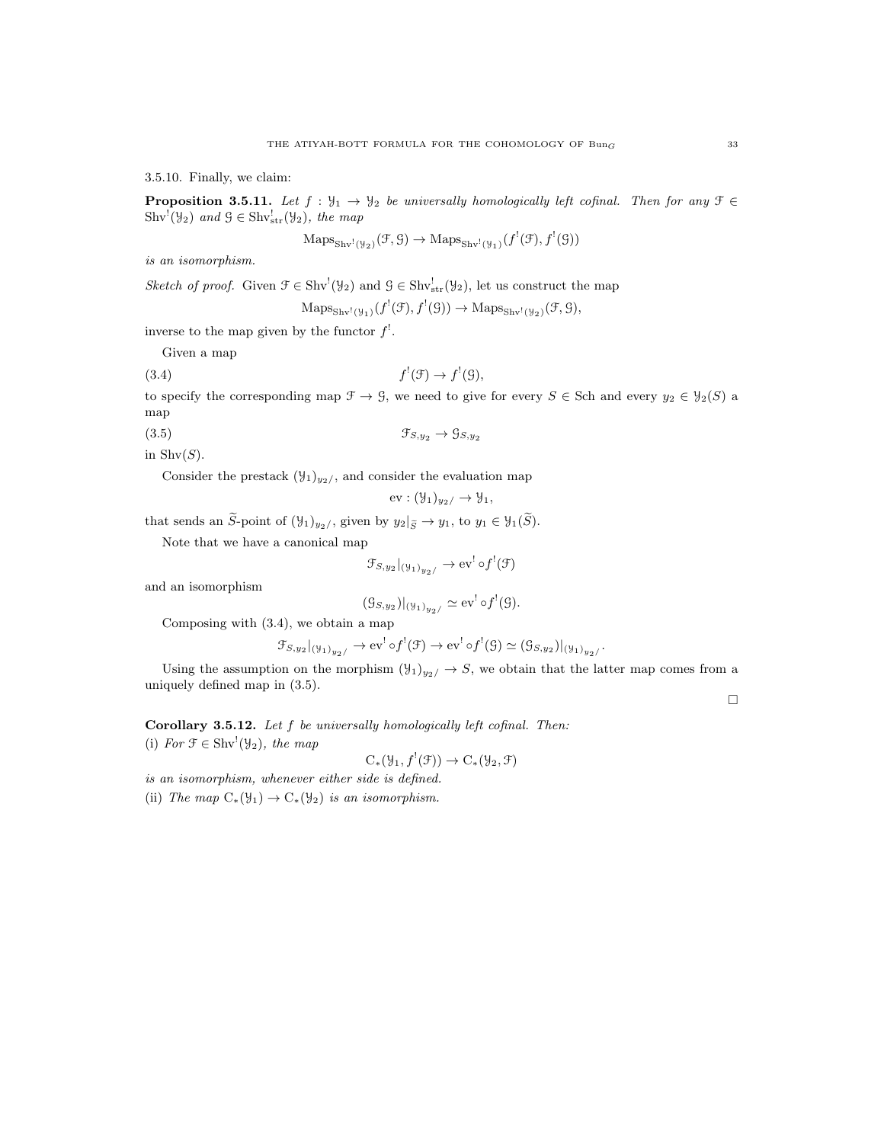3.5.10. Finally, we claim:

**Proposition 3.5.11.** Let  $f : \mathcal{Y}_1 \to \mathcal{Y}_2$  be universally homologically left cofinal. Then for any  $\mathcal{F} \in$  $\text{Shv}^!(\mathcal{Y}_2)$  and  $\mathcal{G} \in \text{Shv}^!_{\text{str}}(\mathcal{Y}_2)$ , the map

$$
\mathrm{Maps}_{\mathrm{Shv}^!(\mathcal{Y}_2)}(\mathcal{F}, \mathcal{G}) \to \mathrm{Maps}_{\mathrm{Shv}^!(\mathcal{Y}_1)}(f^!(\mathcal{F}), f^!(\mathcal{G}))
$$

is an isomorphism.

Sketch of proof. Given  $\mathcal{F} \in Shv^!(\mathcal{Y}_2)$  and  $\mathcal{G} \in Shv^!_{str}(\mathcal{Y}_2)$ , let us construct the map

 $\mathrm{Maps}_{\mathrm{Shv}^1(\mathcal{Y}_1)}(f^!(\mathcal{F}), f^!(\mathcal{G})) \to \mathrm{Maps}_{\mathrm{Shv}^1(\mathcal{Y}_2)}(\mathcal{F}, \mathcal{G}),$ 

inverse to the map given by the functor  $f'$ .

Given a map

 $(3.4)$ 

$$
f^!(\mathfrak{F}) \to f^!(\mathfrak{G}),
$$

to specify the corresponding map  $\mathcal{F} \to \mathcal{G}$ , we need to give for every  $S \in$  Sch and every  $y_2 \in \mathcal{Y}_2(S)$  a map

(3.5)  $\mathfrak{F}_{S,y_2} \to \mathfrak{G}_{S,y_2}$ 

in  $\text{Shv}(S)$ .

Consider the prestack  $(\mathcal{Y}_1)_{y_2}$ , and consider the evaluation map

$$
ev: (\mathcal{Y}_1)_{y_2} \to \mathcal{Y}_1,
$$

that sends an  $\widetilde{S}$ -point of  $(\mathcal{Y}_1)_{y_2}$ , given by  $y_2|_{\widetilde{S}} \to y_1$ , to  $y_1 \in \mathcal{Y}_1(\widetilde{S})$ .

Note that we have a canonical map

$$
\mathcal{F}_{S,y_2}|_{(\mathfrak{Y}_1)_{y_2/}} \to \text{ev}^! \circ f^!(\mathfrak{F})
$$

and an isomorphism

$$
(\mathcal{G}_{S,y_2})|_{(\mathcal{Y}_1)_{y_2/}} \simeq \text{ev}^! \circ f^!(\mathcal{G}).
$$

Composing with (3.4), we obtain a map

$$
\mathcal{F}_{S,y_2}|_{(\mathcal{Y}_1)_{y_2/}} \to \text{ev}^! \circ f^!(\mathcal{F}) \to \text{ev}^! \circ f^!(\mathcal{G}) \simeq (\mathcal{G}_{S,y_2})|_{(\mathcal{Y}_1)_{y_2/}}.
$$

Using the assumption on the morphism  $(\mathcal{Y}_1)_{y_2} \to S$ , we obtain that the latter map comes from a uniquely defined map in (3.5).

 $\Box$ 

Corollary 3.5.12. Let f be universally homologically left cofinal. Then: (i) For  $\mathcal{F} \in \text{Shv}^!(\mathcal{Y}_2)$ , the map

$$
C_*(\mathcal{Y}_1, f^!(\mathcal{F})) \to C_*(\mathcal{Y}_2, \mathcal{F})
$$

is an isomorphism, whenever either side is defined.

(ii) The map  $C_*(\mathcal{Y}_1) \to C_*(\mathcal{Y}_2)$  is an isomorphism.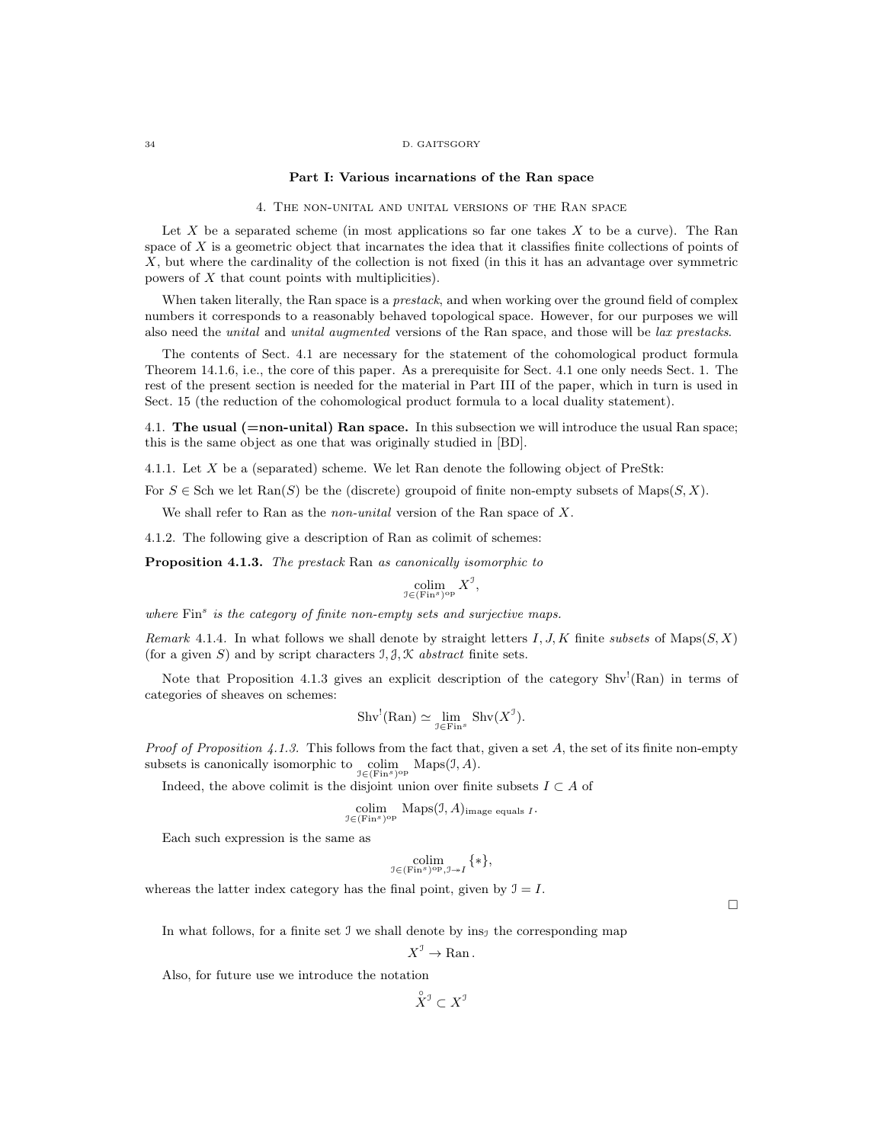#### 34 D. GAITSGORY

### Part I: Various incarnations of the Ran space

## 4. The non-unital and unital versions of the Ran space

Let  $X$  be a separated scheme (in most applications so far one takes  $X$  to be a curve). The Ran space of X is a geometric object that incarnates the idea that it classifies finite collections of points of X, but where the cardinality of the collection is not fixed (in this it has an advantage over symmetric powers of X that count points with multiplicities).

When taken literally, the Ran space is a *prestack*, and when working over the ground field of complex numbers it corresponds to a reasonably behaved topological space. However, for our purposes we will also need the unital and unital augmented versions of the Ran space, and those will be lax prestacks.

The contents of Sect. 4.1 are necessary for the statement of the cohomological product formula Theorem 14.1.6, i.e., the core of this paper. As a prerequisite for Sect. 4.1 one only needs Sect. 1. The rest of the present section is needed for the material in Part III of the paper, which in turn is used in Sect. 15 (the reduction of the cohomological product formula to a local duality statement).

4.1. The usual  $(=non-unital)$  Ran space. In this subsection we will introduce the usual Ran space; this is the same object as one that was originally studied in [BD].

4.1.1. Let X be a (separated) scheme. We let Ran denote the following object of PreStk:

For  $S \in Sch$  we let  $\text{Ran}(S)$  be the (discrete) groupoid of finite non-empty subsets of  $\text{Maps}(S, X)$ .

We shall refer to Ran as the *non-unital* version of the Ran space of X.

4.1.2. The following give a description of Ran as colimit of schemes:

Proposition 4.1.3. The prestack Ran as canonically isomorphic to

$$
\operatornamewithlimits{colim}_{\mathfrak I\in(\operatorname{Fin}^s)^{\operatorname{op}}}X^{\mathfrak I},
$$

where Fin<sup>s</sup> is the category of finite non-empty sets and surjective maps.

Remark 4.1.4. In what follows we shall denote by straight letters I, J, K finite subsets of Maps $(S, X)$ (for a given S) and by script characters  $\mathcal{I}, \mathcal{J}, \mathcal{K}$  abstract finite sets.

Note that Proposition 4.1.3 gives an explicit description of the category  $Shv<sup>1</sup>(Ran)$  in terms of categories of sheaves on schemes:

$$
\text{Shv}^!(\text{Ran}) \simeq \lim_{\mathcal{I} \in \text{Fin}^s} \text{Shv}(X^{\mathcal{I}}).
$$

*Proof of Proposition 4.1.3.* This follows from the fact that, given a set  $A$ , the set of its finite non-empty subsets is canonically isomorphic to  $\operatorname{colim}_{\mathfrak{I} \in (\text{Fin}^s)^{\text{op}}}$  Maps( $\mathfrak{I}, A$ ).

Indeed, the above colimit is the disjoint union over finite subsets  $I\subset A$  of

$$
\underset{\mathbb{J}\in(\text{Fin}^s)^{\text{op}}}{\text{colim}}\ \text{Maps}(\mathbb{J},A)_{\text{image equals }I}.
$$

Each such expression is the same as

$$
\underset{\mathbb{J}\in(\mathrm{Fin}^s)^{\mathrm{op}},\mathbb{J}\twoheadrightarrow I}{\mathrm{colim}}\{\ast\},
$$

whereas the latter index category has the final point, given by  $\mathcal{I} = I$ .

 $\Box$ 

In what follows, for a finite set J we shall denote by  $ins_1$  the corresponding map

$$
X^{\mathcal{I}} \to \operatorname{Ran}.
$$

Also, for future use we introduce the notation

 $\overset{\circ}{X}^{\mathcal{I}} \subset X^{\mathcal{I}}$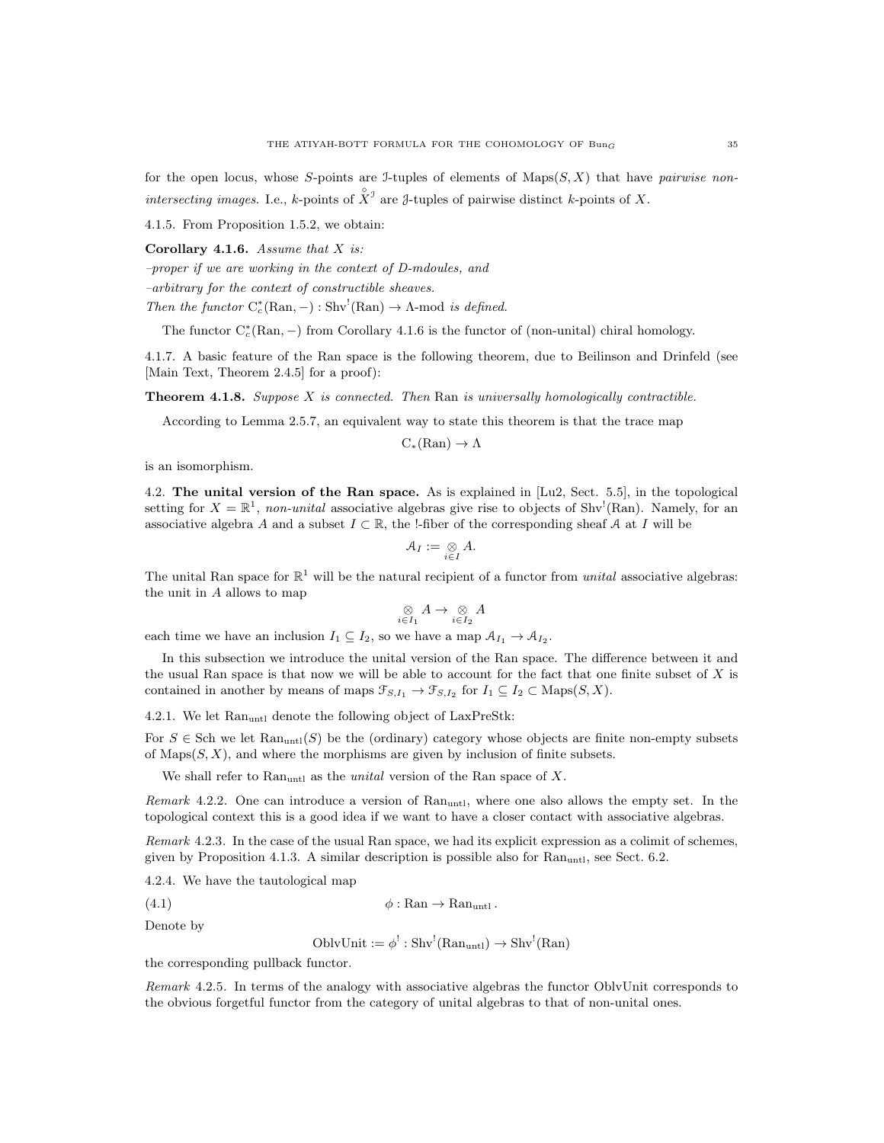for the open locus, whose S-points are J-tuples of elements of  $Maps(S, X)$  that have pairwise nonintersecting images. I.e., k-points of  $\hat{X}^{\mathcal{I}}$  are *J*-tuples of pairwise distinct k-points of X.

4.1.5. From Proposition 1.5.2, we obtain:

Corollary 4.1.6. Assume that  $X$  is:

–proper if we are working in the context of D-mdoules, and

–arbitrary for the context of constructible sheaves.

Then the functor  $C_c^*(\text{Ran}, -): \text{Shv}^!(\text{Ran}) \to \Lambda \text{-mod } i s \text{ defined.}$ 

The functor  $C_c^*(\text{Ran}, -)$  from Corollary 4.1.6 is the functor of (non-unital) chiral homology.

4.1.7. A basic feature of the Ran space is the following theorem, due to Beilinson and Drinfeld (see [Main Text, Theorem 2.4.5] for a proof):

**Theorem 4.1.8.** Suppose  $X$  is connected. Then  $\text{Ran}$  is universally homologically contractible.

According to Lemma 2.5.7, an equivalent way to state this theorem is that the trace map

 $C_*(\text{Ran}) \to \Lambda$ 

is an isomorphism.

4.2. The unital version of the Ran space. As is explained in [Lu2, Sect. 5.5], in the topological setting for  $X = \mathbb{R}^1$ , non-unital associative algebras give rise to objects of Shv<sup>!</sup>(Ran). Namely, for an associative algebra A and a subset  $I \subset \mathbb{R}$ , the !-fiber of the corresponding sheaf A at I will be

$$
\mathcal{A}_I := \underset{i \in I}{\otimes} A.
$$

The unital Ran space for  $\mathbb{R}^1$  will be the natural recipient of a functor from *unital* associative algebras: the unit in  $A$  allows to map

$$
\underset{i\in I_1}{\otimes} A \to \underset{i\in I_2}{\otimes} A
$$

each time we have an inclusion  $I_1 \subseteq I_2$ , so we have a map  $\mathcal{A}_{I_1} \to \mathcal{A}_{I_2}$ .

In this subsection we introduce the unital version of the Ran space. The difference between it and the usual Ran space is that now we will be able to account for the fact that one finite subset of  $X$  is contained in another by means of maps  $\mathcal{F}_{S,I_1} \to \mathcal{F}_{S,I_2}$  for  $I_1 \subseteq I_2 \subset \text{Maps}(S,X)$ .

4.2.1. We let Ran<sub>untl</sub> denote the following object of LaxPreStk:

For  $S \in$  Sch we let  $\text{Ran}_{\text{untl}}(S)$  be the (ordinary) category whose objects are finite non-empty subsets of  $Maps(S, X)$ , and where the morphisms are given by inclusion of finite subsets.

We shall refer to  $\text{Ran}_{\text{untl}}$  as the *unital* version of the Ran space of X.

Remark 4.2.2. One can introduce a version of  $\text{Ran}_{\text{unt1}}$ , where one also allows the empty set. In the topological context this is a good idea if we want to have a closer contact with associative algebras.

Remark 4.2.3. In the case of the usual Ran space, we had its explicit expression as a colimit of schemes, given by Proposition 4.1.3. A similar description is possible also for  $\text{Ran}_{\text{unt1}}$ , see Sect. 6.2.

4.2.4. We have the tautological map

$$
\phi: \text{Ran} \to \text{Ran}_{\text{unt1}}.
$$

Denote by

$$
OblvUnit := \phi^! : Shv^!(Ran_{untl}) \to Shv^!(Ran)
$$

the corresponding pullback functor.

Remark 4.2.5. In terms of the analogy with associative algebras the functor OblvUnit corresponds to the obvious forgetful functor from the category of unital algebras to that of non-unital ones.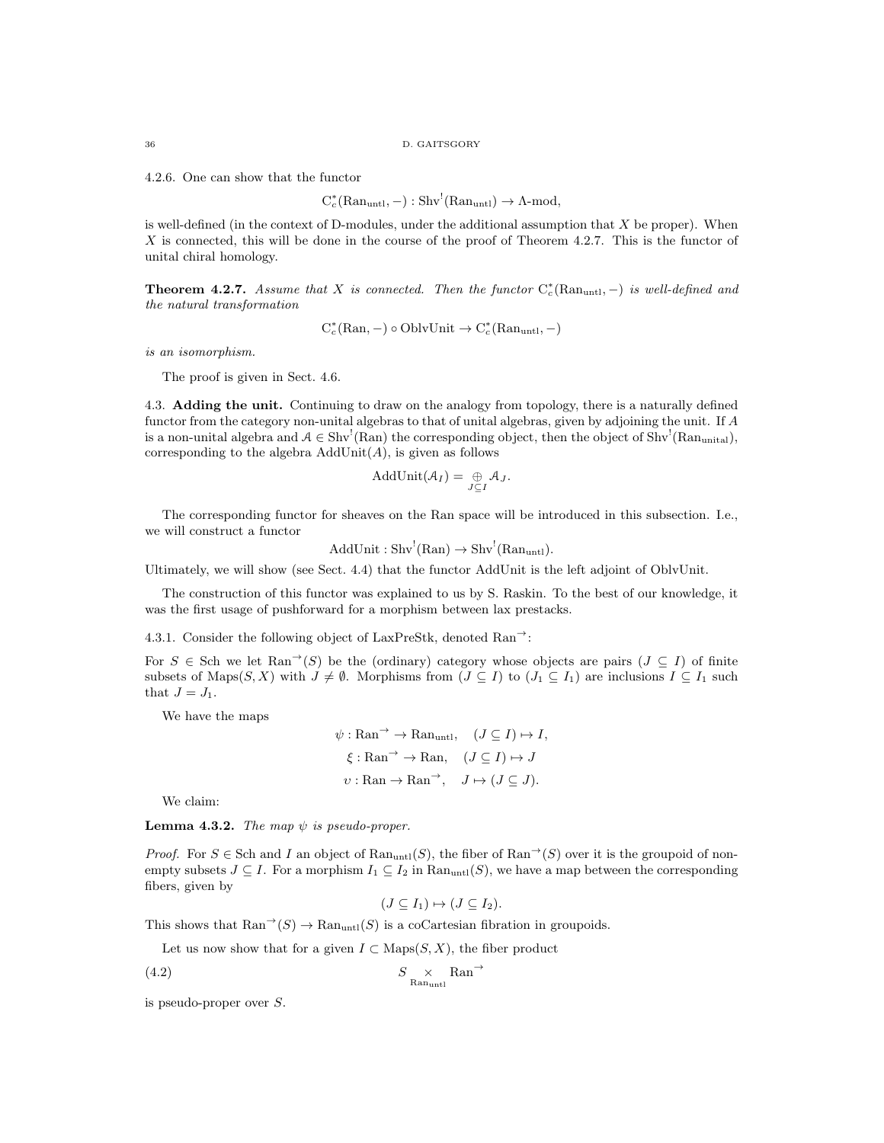4.2.6. One can show that the functor

$$
C_c^*(\mathrm{Ran}_{\mathrm{unt1}}, -): \mathrm{Shv}^!(\mathrm{Ran}_{\mathrm{unt1}}) \to \Lambda\text{-mod},
$$

is well-defined (in the context of D-modules, under the additional assumption that  $X$  be proper). When X is connected, this will be done in the course of the proof of Theorem 4.2.7. This is the functor of unital chiral homology.

**Theorem 4.2.7.** Assume that X is connected. Then the functor  $C_c^*(\text{Ran}_{untl},-)$  is well-defined and the natural transformation

$$
C_c^*(\text{Ran}, -)
$$
o OblvUnit  $\rightarrow C_c^*(\text{Ran}_{\text{unt1}}, -)$ 

is an isomorphism.

The proof is given in Sect. 4.6.

4.3. Adding the unit. Continuing to draw on the analogy from topology, there is a naturally defined functor from the category non-unital algebras to that of unital algebras, given by adjoining the unit. If A is a non-unital algebra and  $A \in Shv^!(\text{Ran})$  the corresponding object, then the object of  $Shv^!(\text{Ran}_{unital})$ , corresponding to the algebra  $AddUnit(A)$ , is given as follows

$$
AddUnit(\mathcal{A}_I)=\bigoplus_{J\subseteq I}\mathcal{A}_J.
$$

The corresponding functor for sheaves on the Ran space will be introduced in this subsection. I.e., we will construct a functor

 $AddUnit : Shv<sup>!</sup>(Ran) \rightarrow Shv<sup>!</sup>(Ran<sub>untl</sub>).$ 

Ultimately, we will show (see Sect. 4.4) that the functor AddUnit is the left adjoint of OblvUnit.

The construction of this functor was explained to us by S. Raskin. To the best of our knowledge, it was the first usage of pushforward for a morphism between lax prestacks.

4.3.1. Consider the following object of LaxPreStk, denoted  $\text{Ran}^{\rightarrow}$ :

For  $S \in$  Sch we let Ran<sup>→</sup>(S) be the (ordinary) category whose objects are pairs ( $J \subseteq I$ ) of finite subsets of Maps $(S, X)$  with  $J \neq \emptyset$ . Morphisms from  $(J \subseteq I)$  to  $(J_1 \subseteq I_1)$  are inclusions  $I \subseteq I_1$  such that  $J = J_1$ .

We have the maps

$$
\psi : \text{Ran} \to \text{Ran}_{\text{untl}}, \quad (J \subseteq I) \mapsto I,
$$
  

$$
\xi : \text{Ran} \to \text{Ran}, \quad (J \subseteq I) \mapsto J
$$
  

$$
\upsilon : \text{Ran} \to \text{Ran} \to \quad J \mapsto (J \subseteq J).
$$

We claim:

**Lemma 4.3.2.** The map  $\psi$  is pseudo-proper.

*Proof.* For  $S \in \text{Sch}$  and I an object of  $\text{Ran}_{\text{untl}}(S)$ , the fiber of  $\text{Ran}^{\rightarrow}(S)$  over it is the groupoid of nonempty subsets  $J \subseteq I$ . For a morphism  $I_1 \subseteq I_2$  in  $\text{Ran}_{\text{untl}}(S)$ , we have a map between the corresponding fibers, given by

$$
(J\subseteq I_1)\mapsto (J\subseteq I_2).
$$

This shows that  $\text{Ran}^{\rightarrow}(S) \rightarrow \text{Ran}_{\text{untl}}(S)$  is a coCartesian fibration in groupoids.

Let us now show that for a given  $I \subset \text{Maps}(S, X)$ , the fiber product

$$
(4.2) \t\t\t S \t \t \t  $\times$  Ran<sup>→</sup>   
 Ran<sub>unt1</sub>
$$

is pseudo-proper over S.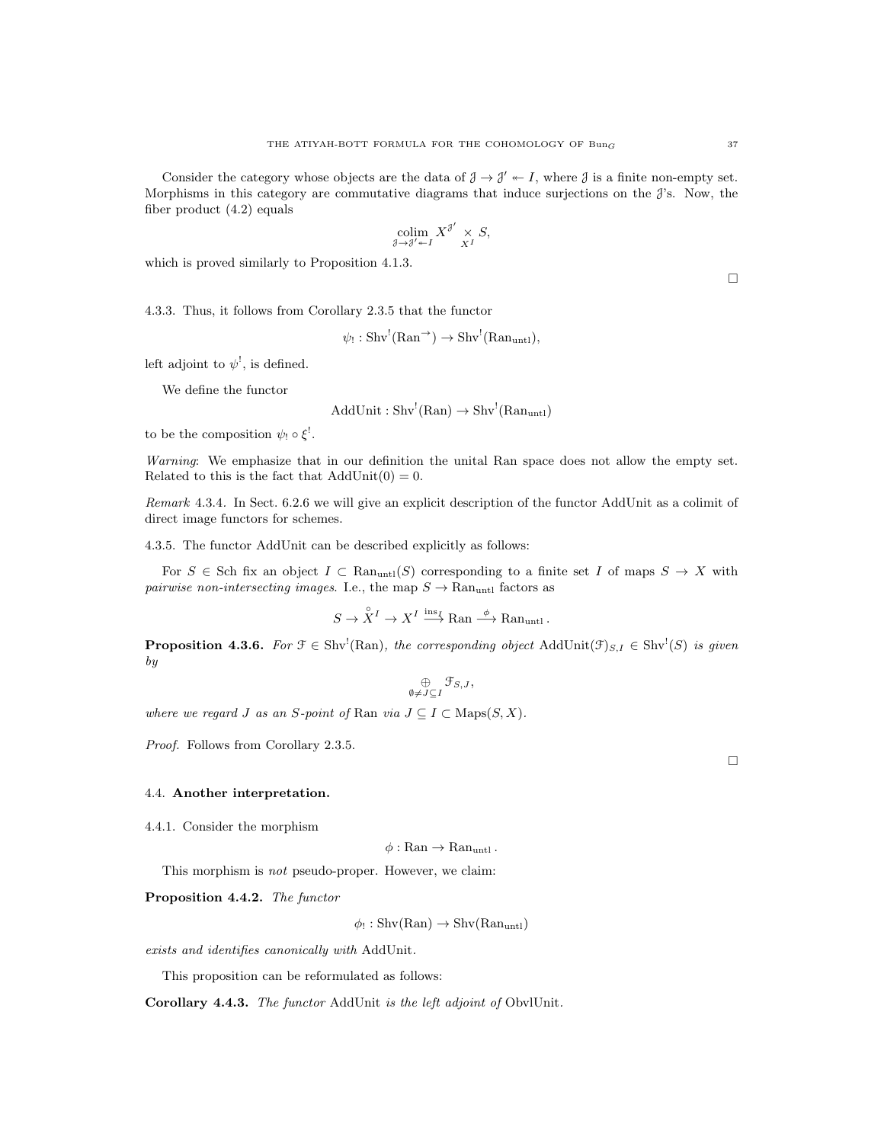Consider the category whose objects are the data of  $\mathcal{J} \to \mathcal{J}' \twoheadleftarrow I$ , where  $\mathcal{J}$  is a finite non-empty set. Morphisms in this category are commutative diagrams that induce surjections on the  $\mathcal{J}'s$ . Now, the fiber product (4.2) equals

$$
\operatornamewithlimits{colim}_{\mathcal J\to\mathcal J'\twoheadleftarrow I}X^{\mathcal J'}\underset{X^I}{\times}S,
$$

which is proved similarly to Proposition 4.1.3.

4.3.3. Thus, it follows from Corollary 2.3.5 that the functor

$$
\psi_! : Shv^!(\text{Ran}^+) \to Shv^!(\text{Ran}_{\text{untl}}),
$$

left adjoint to  $\psi^!,$  is defined.

We define the functor

$$
AddUnit: Shv!(Ran) \to Shv!(Ranuntl)
$$

to be the composition  $\psi_! \circ \xi^!$ .

Warning: We emphasize that in our definition the unital Ran space does not allow the empty set. Related to this is the fact that  $AddUnit(0) = 0$ .

Remark 4.3.4. In Sect. 6.2.6 we will give an explicit description of the functor AddUnit as a colimit of direct image functors for schemes.

4.3.5. The functor AddUnit can be described explicitly as follows:

For  $S \in$  Sch fix an object  $I \subset \text{Ran}_{\text{untl}}(S)$  corresponding to a finite set I of maps  $S \to X$  with  $pairwise$   $non-intersecting$   $images.$  I.e., the map  $S \rightarrow \mathrm{Ran}_{\mathrm{untl}}$  factors as

$$
S \to \overset{\circ}{X}^I \to X^I \overset{\text{ins}_I}{\longrightarrow} \text{Ran} \overset{\phi}{\longrightarrow} \text{Ran}_{\text{untl}}
$$
.

**Proposition 4.3.6.** For  $\mathcal{F} \in Shv^l(Ran)$ , the corresponding object  $AddUnit(\mathcal{F})_{S,I} \in Shv^l(S)$  is given by

$$
\mathop{\oplus}\limits_{\emptyset\neq J\subseteq I}\mathfrak{F}_{S,J},
$$

where we regard J as an S-point of Ran via  $J \subseteq I \subset \text{Maps}(S, X)$ .

Proof. Follows from Corollary 2.3.5.

# 4.4. Another interpretation.

4.4.1. Consider the morphism

 $\phi : \text{Ran} \to \text{Ran}_{\text{untl}}$ .

This morphism is not pseudo-proper. However, we claim:

Proposition 4.4.2. The functor

 $\phi$ !: Shv $(Ran) \rightarrow Shv(Ran_{untl})$ 

exists and identifies canonically with AddUnit.

This proposition can be reformulated as follows:

Corollary 4.4.3. The functor AddUnit is the left adjoint of ObvlUnit.

 $\Box$ 

 $\Box$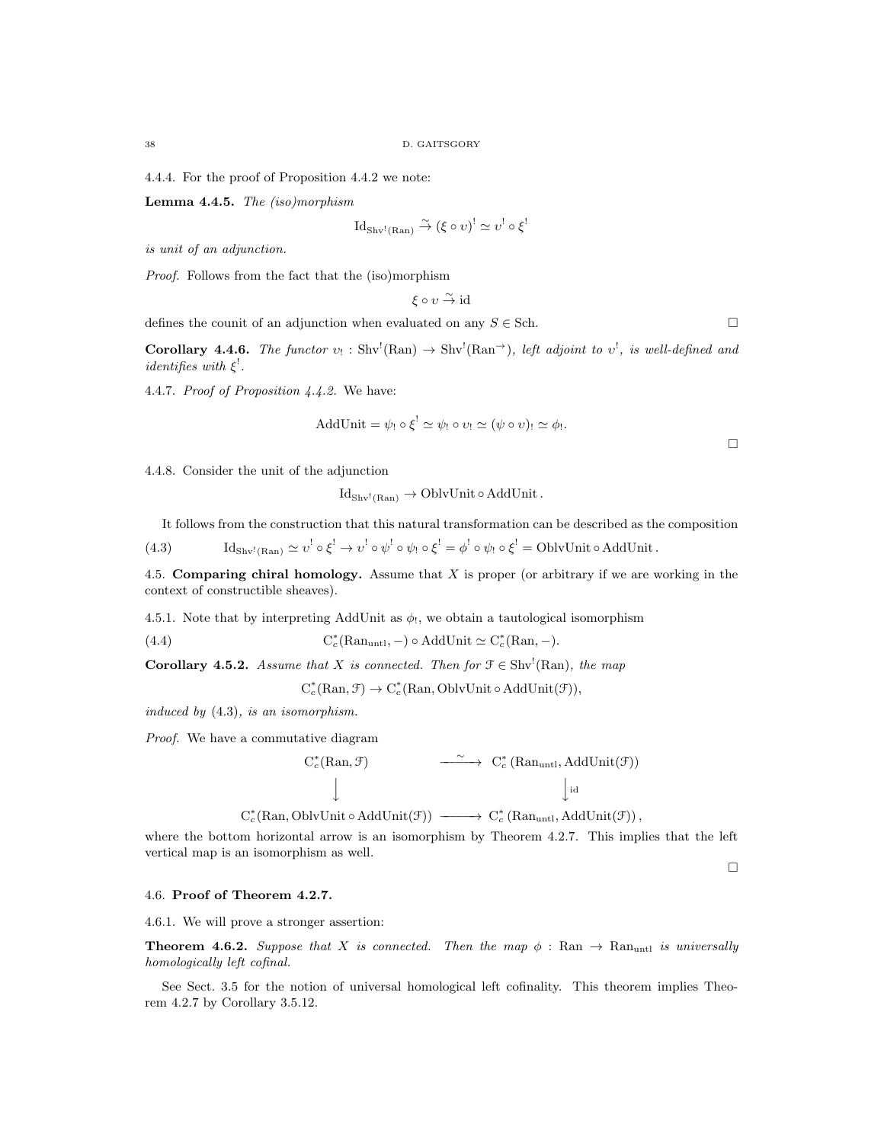4.4.4. For the proof of Proposition 4.4.2 we note:

Lemma 4.4.5. The (iso)morphism

$$
Id_{\mathrm{Shv}^!(\mathrm{Ran})} \overset{\sim}{\to} (\xi \circ v)^! \simeq v^! \circ \xi^!
$$

is unit of an adjunction.

Proof. Follows from the fact that the (iso)morphism

$$
\xi \circ \upsilon \overset{\sim}{\to} id
$$

defines the counit of an adjunction when evaluated on any  $S \in$  Sch.

**Corollary 4.4.6.** The functor  $v_! : Shv^!(\text{Ran}) \to Shv^!(\text{Ran}^+)$ , left adjoint to  $v^!,$  is well-defined and *identifies with*  $\xi^!$ .

4.4.7. Proof of Proposition 4.4.2. We have:

AddUnit = 
$$
\psi_!
$$
  $\circ \xi^!$   $\simeq \psi_!$   $\circ v_!$   $\simeq (\psi \circ v)_!$   $\simeq \phi_!$ .

4.4.8. Consider the unit of the adjunction

 $Id_{Shv^!(Ban)} \to OblvUnit \circ AddUnit.$ 

It follows from the construction that this natural transformation can be described as the composition

(4.3)  $\mathrm{Id}_{\mathrm{Shv}^1(\mathrm{Ran})} \simeq v^! \circ \xi^! \to v^! \circ \psi^! \circ \psi_! \circ \xi^! = \phi^! \circ \psi_! \circ \xi^! = \mathrm{OblvUnit} \circ \mathrm{AddUnit}$ .

4.5. Comparing chiral homology. Assume that  $X$  is proper (or arbitrary if we are working in the context of constructible sheaves).

4.5.1. Note that by interpreting AddUnit as  $\phi_!$ , we obtain a tautological isomorphism

 $(4.4)$  $c^*(\text{Ran}_{\text{unt1}}, -) \circ \text{AddUnit} \simeq C_c^*(\text{Ran}, -).$ 

**Corollary 4.5.2.** Assume that X is connected. Then for  $\mathcal{F} \in Shv^1(Ran)$ , the map

 $C_c^*(\mathrm{Ran}, \mathcal{F}) \to C_c^*(\mathrm{Ran}, \mathrm{OblvUnit} \circ \mathrm{AddUnit}(\mathcal{F})),$ 

induced by (4.3), is an isomorphism.

Proof. We have a commutative diagram



 $C_c^*(\text{Ran}, \text{OblvUnit} \circ \text{AddUnit}(\mathcal{F})) \longrightarrow C_c^*(\text{Ran}_{\text{unt1}}, \text{AddUnit}(\mathcal{F})),$ 

where the bottom horizontal arrow is an isomorphism by Theorem 4.2.7. This implies that the left vertical map is an isomorphism as well.

 $\Box$ 

 $\Box$ 

### 4.6. Proof of Theorem 4.2.7.

4.6.1. We will prove a stronger assertion:

**Theorem 4.6.2.** Suppose that X is connected. Then the map  $\phi$ : Ran  $\rightarrow$  Ran<sub>untl</sub> is universally homologically left cofinal.

See Sect. 3.5 for the notion of universal homological left cofinality. This theorem implies Theorem 4.2.7 by Corollary 3.5.12.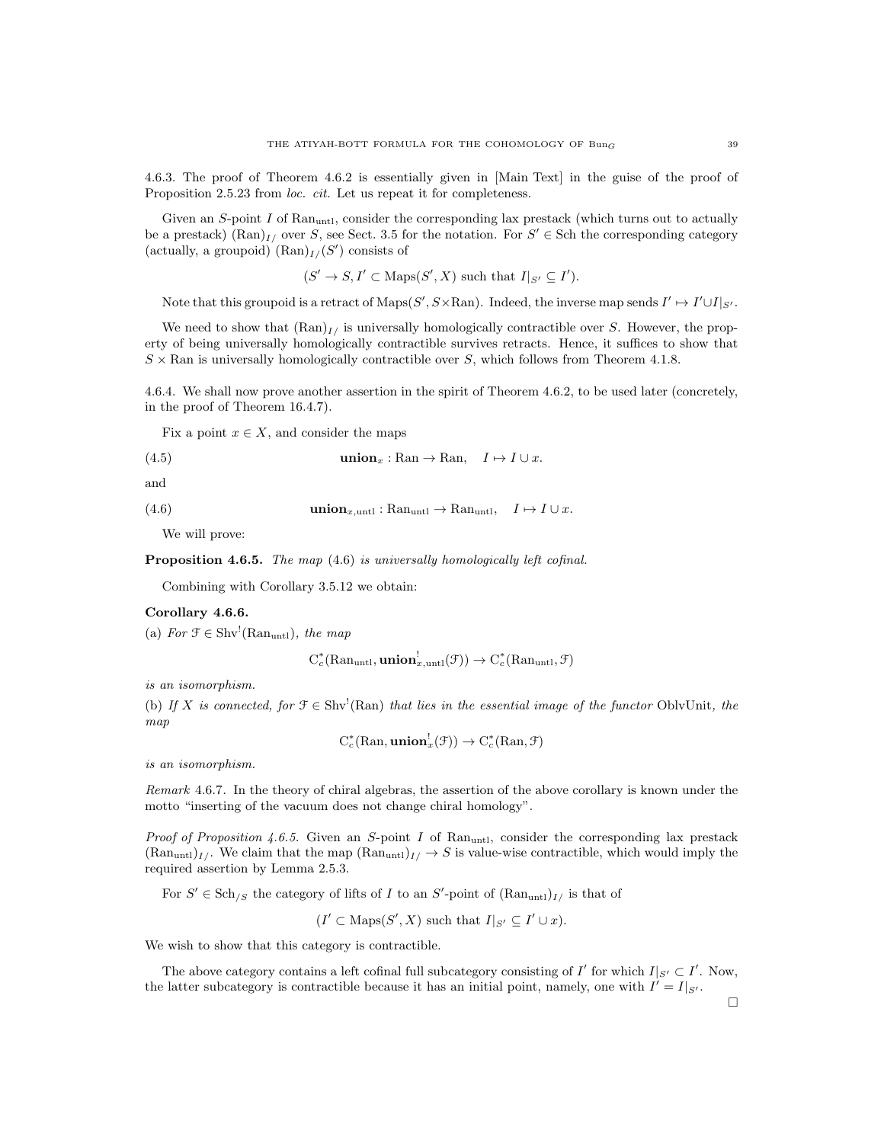4.6.3. The proof of Theorem 4.6.2 is essentially given in [Main Text] in the guise of the proof of Proposition 2.5.23 from *loc. cit.* Let us repeat it for completeness.

Given an  $S$ -point  $I$  of  $\text{Ran}_{\text{unt1}}$ , consider the corresponding lax prestack (which turns out to actually be a prestack)  $(\text{Ran})_{I}$  over S, see Sect. 3.5 for the notation. For  $S' \in$  Sch the corresponding category (actually, a groupoid)  $(\text{Ran})_{I}/(S')$  consists of

$$
(S' \to S, I' \subset \text{Maps}(S', X)
$$
 such that  $I|_{S'} \subseteq I'$ ).

Note that this groupoid is a retract of  $\text{Maps}(S', S \times \text{Ran})$ . Indeed, the inverse map sends  $I' \mapsto I' \cup I|_{S'}$ .

We need to show that  $(\text{Ran})_{I}$  is universally homologically contractible over S. However, the property of being universally homologically contractible survives retracts. Hence, it suffices to show that  $S \times$  Ran is universally homologically contractible over S, which follows from Theorem 4.1.8.

4.6.4. We shall now prove another assertion in the spirit of Theorem 4.6.2, to be used later (concretely, in the proof of Theorem 16.4.7).

Fix a point  $x \in X$ , and consider the maps

(4.5) 
$$
\text{union}_x : \text{Ran} \to \text{Ran}, \quad I \mapsto I \cup x.
$$

and

(4.6) 
$$
\text{union}_{x,\text{untl}} : \text{Ran}_{\text{untl}} \to \text{Ran}_{\text{untl}}, \quad I \mapsto I \cup x.
$$

We will prove:

Proposition 4.6.5. The map  $(4.6)$  is universally homologically left cofinal.

Combining with Corollary 3.5.12 we obtain:

## Corollary 4.6.6.

(a) For  $\mathcal{F} \in \text{Shv}^!(\text{Ran}_{\text{untl}})$ , the map

$$
C_c^*(\mathrm{Ran}_{\mathrm{untl}}, \mathbf{union}_{x,\mathrm{untl}}^!(\mathcal{F})) \to C_c^*(\mathrm{Ran}_{\mathrm{untl}}, \mathcal{F})
$$

is an isomorphism.

(b) If X is connected, for  $\mathcal{F} \in Shv^1(Ran)$  that lies in the essential image of the functor OblyUnit, the map

$$
C_c^*(\text{Ran}, \text{union}_x^!(\mathcal{F})) \to C_c^*(\text{Ran}, \mathcal{F})
$$

is an isomorphism.

Remark 4.6.7. In the theory of chiral algebras, the assertion of the above corollary is known under the motto "inserting of the vacuum does not change chiral homology".

*Proof of Proposition 4.6.5.* Given an S-point I of Ranuntl, consider the corresponding lax prestack  $(Ran_{unt})_{I}$ . We claim that the map  $(Ran_{unt})_{I}/ \rightarrow S$  is value-wise contractible, which would imply the required assertion by Lemma 2.5.3.

For  $S' \in Sch_{/S}$  the category of lifts of I to an  $S'$ -point of  $(Ran<sub>untl</sub>)_{I/J}$  is that of

 $(I' \subset \text{Maps}(S', X)$  such that  $I|_{S'} \subseteq I' \cup x$ .

We wish to show that this category is contractible.

The above category contains a left cofinal full subcategory consisting of  $I'$  for which  $I|_{S'} \subset I'$ . Now, the latter subcategory is contractible because it has an initial point, namely, one with  $I' = I|_{S'}$ .

 $\Box$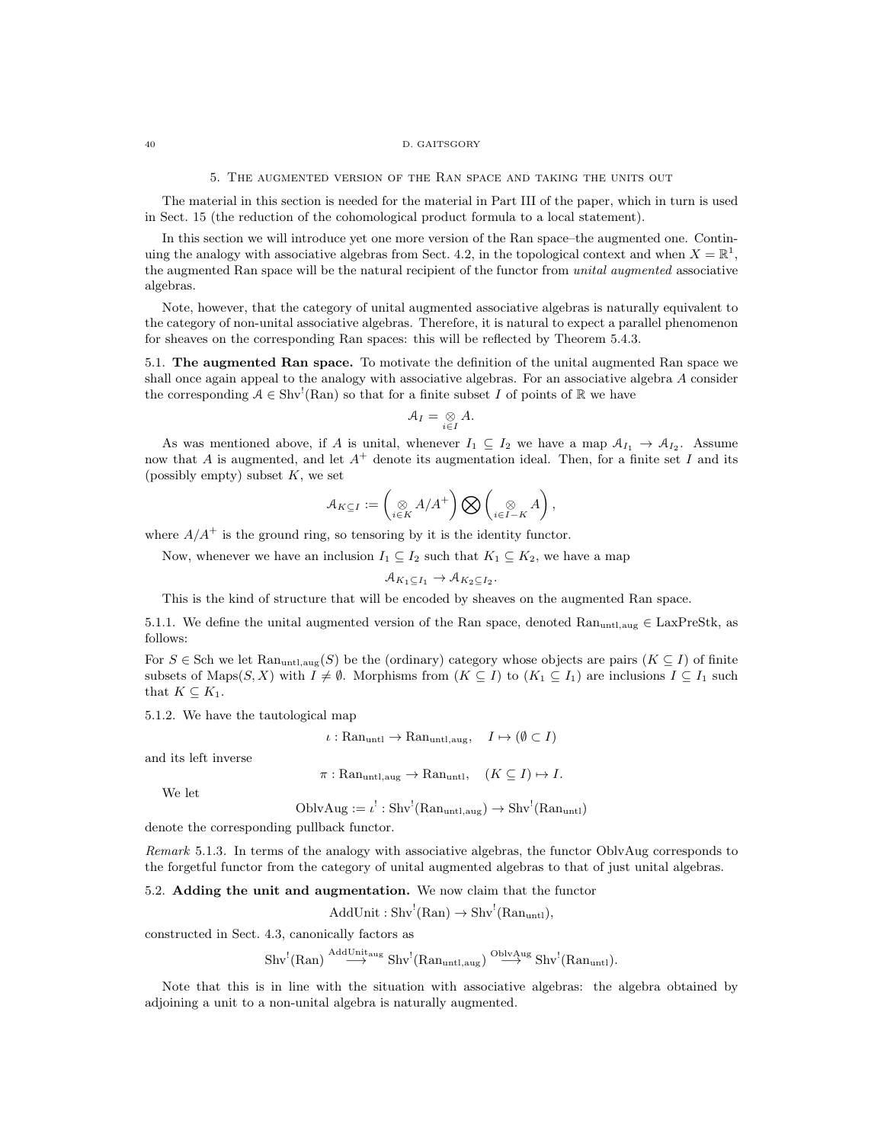#### 40 D. GAITSGORY

5. The augmented version of the Ran space and taking the units out

The material in this section is needed for the material in Part III of the paper, which in turn is used in Sect. 15 (the reduction of the cohomological product formula to a local statement).

In this section we will introduce yet one more version of the Ran space–the augmented one. Continuing the analogy with associative algebras from Sect. 4.2, in the topological context and when  $X = \mathbb{R}^1$ , the augmented Ran space will be the natural recipient of the functor from *unital augmented* associative algebras.

Note, however, that the category of unital augmented associative algebras is naturally equivalent to the category of non-unital associative algebras. Therefore, it is natural to expect a parallel phenomenon for sheaves on the corresponding Ran spaces: this will be reflected by Theorem 5.4.3.

5.1. The augmented Ran space. To motivate the definition of the unital augmented Ran space we shall once again appeal to the analogy with associative algebras. For an associative algebra A consider the corresponding  $A \in Shv^!(\text{Ran})$  so that for a finite subset I of points of R we have

$$
\mathcal{A}_I=\underset{i\in I}{\otimes}A.
$$

As was mentioned above, if A is unital, whenever  $I_1 \subseteq I_2$  we have a map  $\mathcal{A}_{I_1} \to \mathcal{A}_{I_2}$ . Assume now that A is augmented, and let  $A^+$  denote its augmentation ideal. Then, for a finite set I and its (possibly empty) subset  $K$ , we set

$$
\mathcal{A}_{K\subseteq I} := \left(\bigotimes_{i\in K} A/A^+\right)\bigotimes \left(\bigotimes_{i\in I-K} A\right),\,
$$

where  $A/A^+$  is the ground ring, so tensoring by it is the identity functor.

Now, whenever we have an inclusion  $I_1 \subseteq I_2$  such that  $K_1 \subseteq K_2$ , we have a map

$$
\mathcal{A}_{K_1 \subseteq I_1} \to \mathcal{A}_{K_2 \subseteq I_2}.
$$

This is the kind of structure that will be encoded by sheaves on the augmented Ran space.

5.1.1. We define the unital augmented version of the Ran space, denoted  $\text{Ran}_{\text{untl},\text{aug}} \in \text{LaxPreStk}$ , as follows:

For  $S \in \text{Sch}$  we let  $\text{Ran}_{\text{untl},\text{aug}}(S)$  be the (ordinary) category whose objects are pairs  $(K \subseteq I)$  of finite subsets of Maps $(S, X)$  with  $I \neq \emptyset$ . Morphisms from  $(K \subseteq I)$  to  $(K_1 \subseteq I_1)$  are inclusions  $I \subseteq I_1$  such that  $K \subseteq K_1$ .

5.1.2. We have the tautological map

$$
\iota: \mathrm{Ran}_{\mathrm{untl}} \to \mathrm{Ran}_{\mathrm{untl}, \mathrm{aug}}, \quad I \mapsto (\emptyset \subset I)
$$

and its left inverse

$$
\pi: \text{Ran}_{\text{untl},\text{aug}} \to \text{Ran}_{\text{untl}}, \quad (K \subseteq I) \mapsto I.
$$

We let

$$
OblvAug := \iota^! : Shv^! (Ran_{untl,aug}) \rightarrow Shv^! (Ran_{untl})
$$

denote the corresponding pullback functor.

Remark 5.1.3. In terms of the analogy with associative algebras, the functor OblvAug corresponds to the forgetful functor from the category of unital augmented algebras to that of just unital algebras.

5.2. Adding the unit and augmentation. We now claim that the functor

 $AddUnit : Shv<sup>!</sup>(Ran) \rightarrow Shv<sup>!</sup>(Ran<sub>untl</sub>),$ 

constructed in Sect. 4.3, canonically factors as

$$
\mathrm{Shv}^!(\mathrm{Ran}) \overset{\mathrm{AddUnit}_{\mathrm{aug}}}{\longrightarrow} \mathrm{Shv}^!(\mathrm{Ran}_{\mathrm{untl},\mathrm{aug}}) \overset{\mathrm{ObivAug}}{\longrightarrow} \mathrm{Shv}^!(\mathrm{Ran}_{\mathrm{untl}})
$$

Note that this is in line with the situation with associative algebras: the algebra obtained by adjoining a unit to a non-unital algebra is naturally augmented.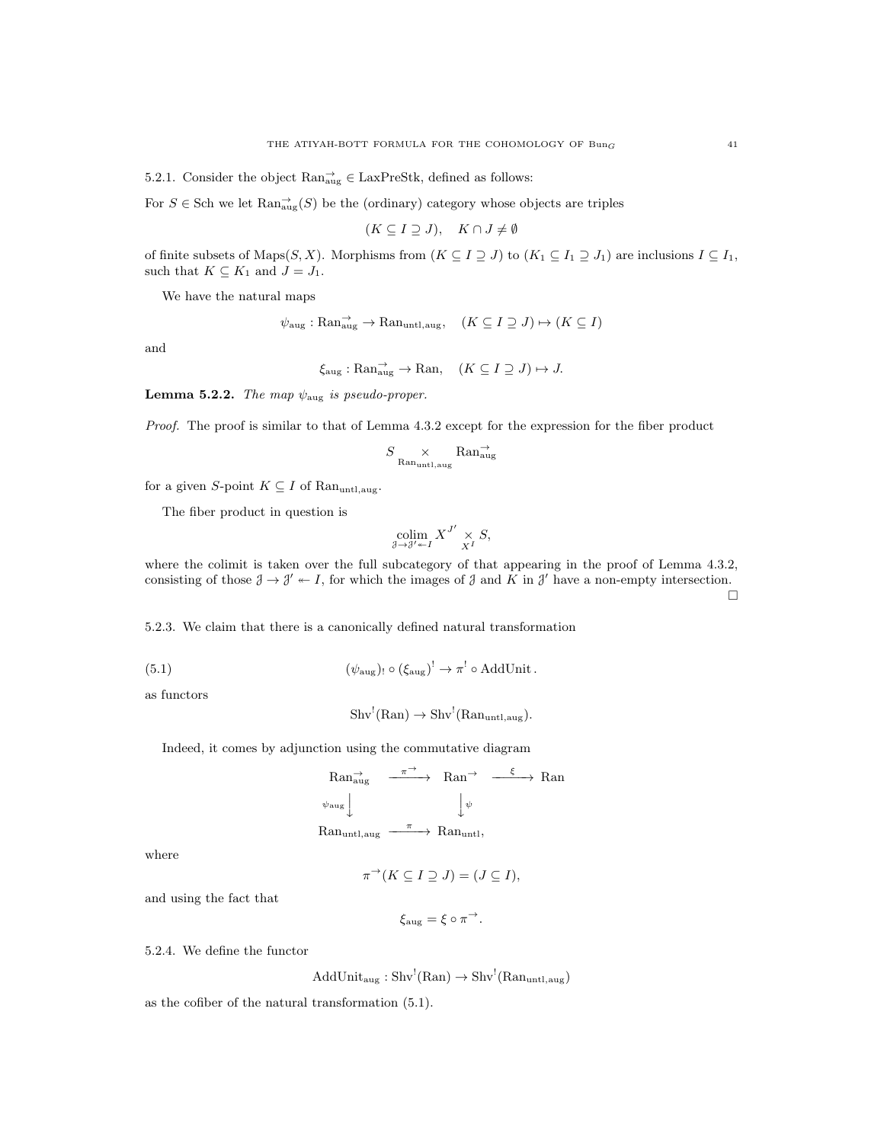5.2.1. Consider the object  $\text{Ran}^{\rightarrow}_{\text{aug}} \in \text{LaxPreStk}$ , defined as follows:

For  $S \in$  Sch we let  $\text{Ran}^{\rightarrow}_{\text{aug}}(S)$  be the (ordinary) category whose objects are triples

$$
(K \subseteq I \supseteq J), \quad K \cap J \neq \emptyset
$$

of finite subsets of Maps $(S, X)$ . Morphisms from  $(K \subseteq I \supseteq J)$  to  $(K_1 \subseteq I_1 \supseteq J_1)$  are inclusions  $I \subseteq I_1$ , such that  $K \subseteq K_1$  and  $J = J_1$ .

We have the natural maps

$$
\psi_{\text{aug}} : \text{Ran}_{\text{aug}}^{\rightarrow} \rightarrow \text{Ran}_{\text{untl}, \text{aug}}, \quad (K \subseteq I \supseteq J) \mapsto (K \subseteq I)
$$

and

$$
\xi_{\text{aug}} : \text{Ran}_{\text{aug}}^{\rightarrow} \rightarrow \text{Ran}, \quad (K \subseteq I \supseteq J) \mapsto J.
$$

**Lemma 5.2.2.** The map  $\psi_{\text{aug}}$  is pseudo-proper.

Proof. The proof is similar to that of Lemma 4.3.2 except for the expression for the fiber product

$$
S\underset{\rm Ran_{\rm untl,aug}}{\times} {\rm Ran}^{\rightarrow}_{\rm aug}
$$

for a given S-point  $K \subseteq I$  of Ranuntlaug.

The fiber product in question is

$$
\operatornamewithlimits{colim}_{\mathcal J \to \mathcal J' \twoheadleftarrow I} X^{J'} \underset{X^I}{\times} S,
$$

where the colimit is taken over the full subcategory of that appearing in the proof of Lemma 4.3.2, consisting of those  $\mathcal{J} \to \mathcal{J}' \twoheadleftarrow I$ , for which the images of  $\mathcal{J}$  and  $K$  in  $\mathcal{J}'$  have a non-empty intersection.

5.2.3. We claim that there is a canonically defined natural transformation

(5.1) 
$$
(\psi_{\text{aug}}) \circ (\xi_{\text{aug}})^! \to \pi^! \circ \text{AddUnit}.
$$

as functors

$$
\mathrm{Shv}^!(\mathrm{Ran}) \to \mathrm{Shv}^!(\mathrm{Ran}_{\mathrm{untl},\mathrm{aug}}).
$$

Indeed, it comes by adjunction using the commutative diagram

$$
\begin{array}{ccc}\n\text{Ran}^{\rightarrow}_{\text{aug}} & \xrightarrow{\pi \rightarrow} & \text{Ran}^{\rightarrow} & \xrightarrow{\xi} & \text{Ran} \\
\psi_{\text{aug}} & & \downarrow{\psi} & \\
\text{Ran}_{\text{untl},\text{aug}} & \xrightarrow{\pi} & \text{Ran}_{\text{untl}},\n\end{array}
$$

where

$$
\pi^{\rightarrow}(K \subseteq I \supseteq J) = (J \subseteq I),
$$

and using the fact that

$$
\xi_{\text{aug}} = \xi \circ \pi^{-\lambda}.
$$

5.2.4. We define the functor

 $AddUnit_{aug}: Shv<sup>!</sup>(Ran) \rightarrow Shv<sup>!</sup>(Ran<sub>untl,aug</sub>)$ 

as the cofiber of the natural transformation (5.1).

 $\Box$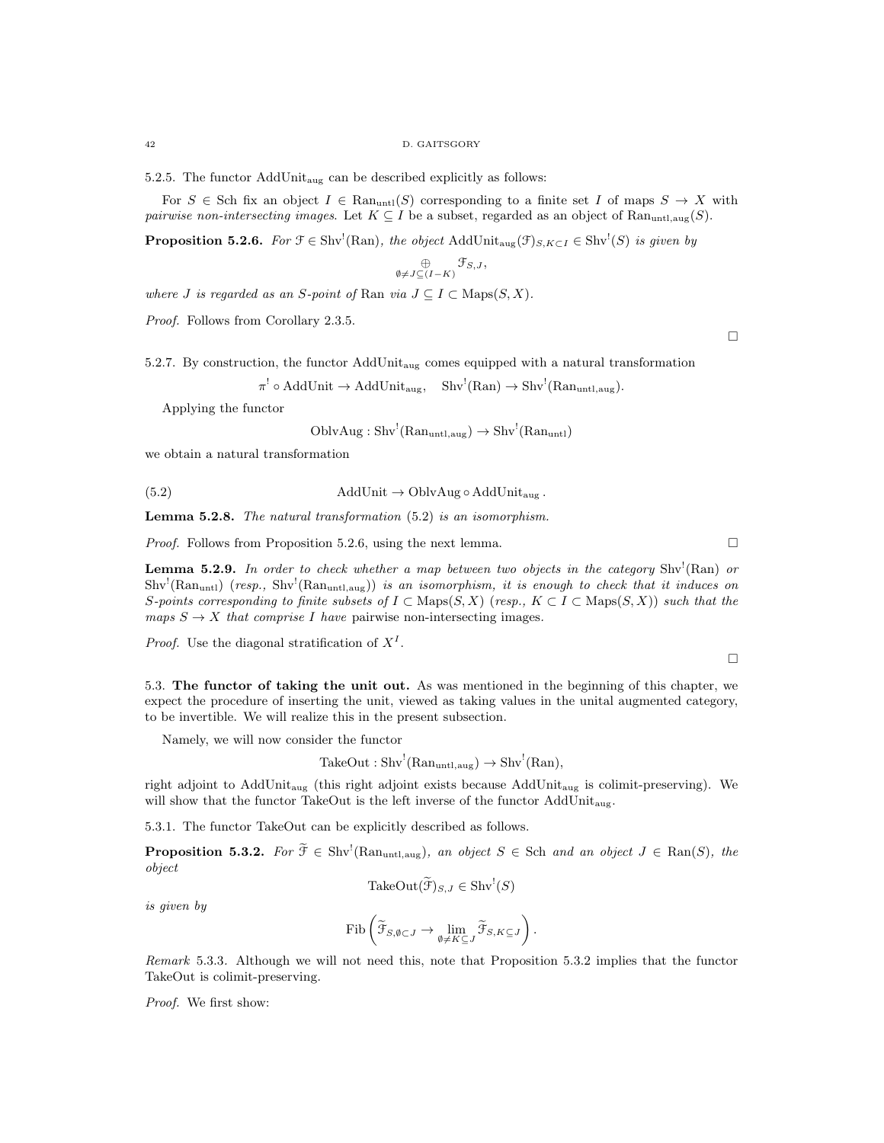5.2.5. The functor AddUnitaug can be described explicitly as follows:

For  $S \in$  Sch fix an object  $I \in \text{Ran}_{\text{untl}}(S)$  corresponding to a finite set I of maps  $S \to X$  with pairwise non-intersecting images. Let  $K \subseteq I$  be a subset, regarded as an object of Ranuntl, $a_{\text{u}}(S)$ .

**Proposition 5.2.6.** For  $\mathcal{F} \in \text{Shv}^1(\text{Ran})$ , the object  $\text{AddUnit}_{\text{aug}}(\mathcal{F})_{S,K \subset I} \in \text{Shv}^1(S)$  is given by

$$
\mathop{\oplus}\limits_{\emptyset\neq J\subseteq (I-K)}\mathfrak{F}_{S,J},
$$

where J is regarded as an S-point of Ran via  $J \subseteq I \subset \text{Maps}(S, X)$ .

Proof. Follows from Corollary 2.3.5.

 $\Box$ 

 $\Box$ 

5.2.7. By construction, the functor AddUnitaug comes equipped with a natural transformation

 $\pi^! \circ \text{AddUnit} \to \text{AddUnit}_{\text{aug}}, \quad \text{Shv}^!(\text{Ran}) \to \text{Shv}^!(\text{Ran}_{\text{untl},\text{aug}}).$ 

Applying the functor

$$
OblvAug: Shv!(Ranuntl,aug) \rightarrow Shv!(Ranuntl)
$$

we obtain a natural transformation

(5.2) AddUnit 
$$
\rightarrow
$$
 OblvAug  $\circ$  AddUnit<sub>aug</sub>.

Lemma 5.2.8. The natural transformation (5.2) is an isomorphism.

*Proof.* Follows from Proposition 5.2.6, using the next lemma.  $\square$ 

**Lemma 5.2.9.** In order to check whether a map between two objects in the category Shv<sup>1</sup>(Ran) or  $\text{Shv}^{\text{!`}}(\text{Ran}_{\text{unt1}})$  (resp.,  $\text{Shv}^{\text{!`}}(\text{Ran}_{\text{unt1},\text{aug}})$ ) is an isomorphism, it is enough to check that it induces on S-points corresponding to finite subsets of  $I \subset \text{Maps}(S, X)$  (resp.,  $K \subset I \subset \text{Maps}(S, X)$ ) such that the maps  $S \to X$  that comprise I have pairwise non-intersecting images.

*Proof.* Use the diagonal stratification of  $X<sup>I</sup>$ .

5.3. The functor of taking the unit out. As was mentioned in the beginning of this chapter, we expect the procedure of inserting the unit, viewed as taking values in the unital augmented category, to be invertible. We will realize this in the present subsection.

Namely, we will now consider the functor

$$
TakeOut: Shv!(Ranuntl,aug) \to Shv!(Ran),
$$

right adjoint to AddUnit<sub>aug</sub> (this right adjoint exists because AddUnit<sub>aug</sub> is colimit-preserving). We will show that the functor TakeOut is the left inverse of the functor  $\operatorname{AddUnit}_{\text{aug}}.$ 

5.3.1. The functor TakeOut can be explicitly described as follows.

**Proposition 5.3.2.** For  $\widetilde{\mathcal{F}} \in Shv^{\prime}(\text{Ran}_{untl,aug})$ , an object  $S \in Sch$  and an object  $J \in \text{Ran}(S)$ , the object

$$
TakeOut(\widetilde{\mathcal{F}})_{S,J} \in Shv^!(S)
$$

is given by

$$
\mathrm{Fib}\left(\widetilde{\mathcal{F}}_{S,\emptyset\subset J}\to\underset{\emptyset\neq K\subseteq J}{\mathrm{lim}}\widetilde{\mathcal{F}}_{S,K\subseteq J}\right).
$$

Remark 5.3.3. Although we will not need this, note that Proposition 5.3.2 implies that the functor TakeOut is colimit-preserving.

Proof. We first show: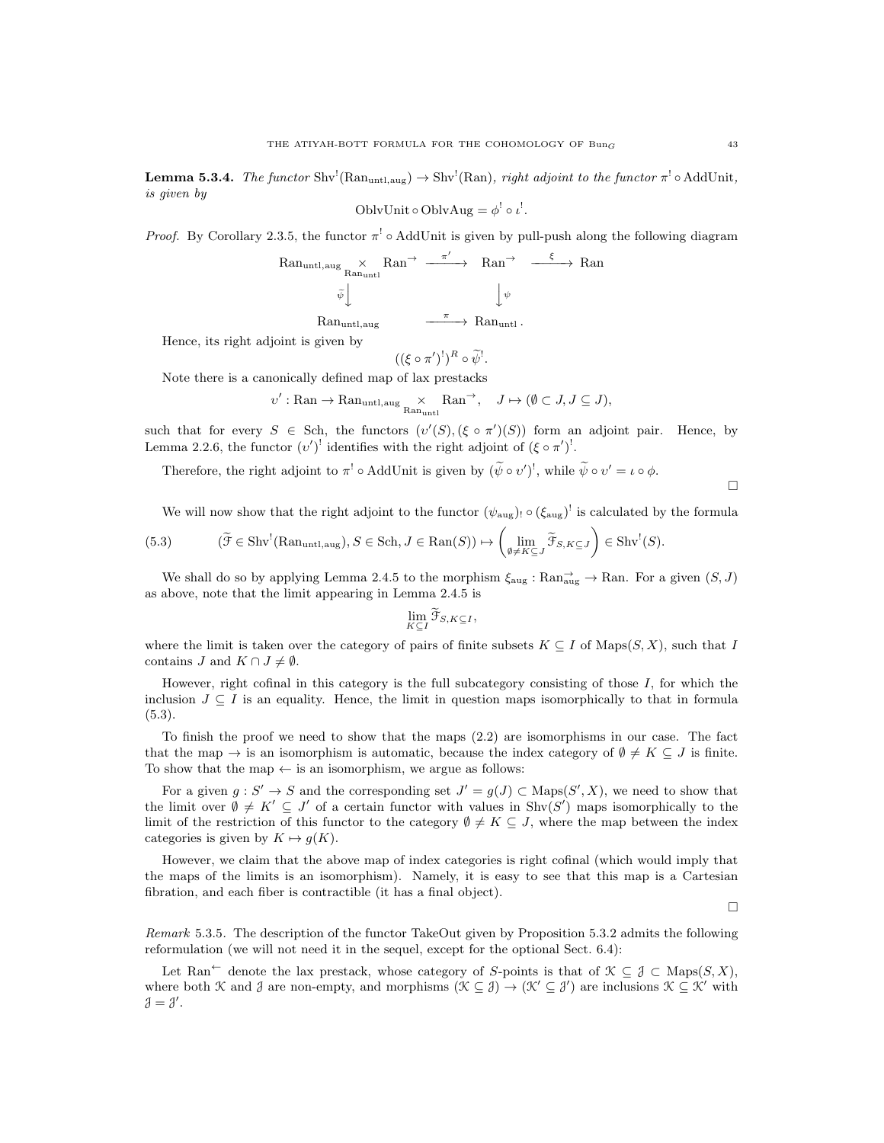**Lemma 5.3.4.** The functor Shv<sup>!</sup>(Ran<sub>untl,aug</sub>)  $\rightarrow$  Shv<sup>!</sup>(Ran), right adjoint to the functor  $\pi$ <sup>!</sup>  $\circ$  AddUnit, is given by

$$
OblvUnit \circ OblvAug = \phi^! \circ \iota^!.
$$

*Proof.* By Corollary 2.3.5, the functor  $\pi^!$   $\circ$  AddUnit is given by pull-push along the following diagram

$$
\begin{array}{ccc}\n\text{Ran}_{\text{untl},\text{aug}} & \times & \text{Ran}^{\rightarrow} & \xrightarrow{\pi'} & \text{Ran}^{\rightarrow} & \xrightarrow{\xi} & \text{Ran} \\
& \tilde{\psi} & & & \downarrow{\psi} \\
& & & & \downarrow{\psi} \\
& & \text{Ran}_{\text{untl},\text{aug}} & \xrightarrow{\pi} & \text{Ran}_{\text{untl}}.\n\end{array}
$$

Hence, its right adjoint is given by

$$
((\xi \circ \pi')^!)^R \circ \widetilde{\psi}^!.
$$

Note there is a canonically defined map of lax prestacks

$$
\upsilon': \mathrm{Ran} \to \mathrm{Ran}_{\mathrm{untl}, \mathrm{aug}} \underset{\mathrm{Ran}_{\mathrm{untl}}} \times \mathrm{Ran}^{\to}, \quad J \mapsto (\emptyset \subset J, J \subseteq J),
$$

such that for every  $S \in Sch$ , the functors  $(v'(S), (\xi \circ \pi')(S))$  form an adjoint pair. Hence, by Lemma 2.2.6, the functor  $(v')^!$  identifies with the right adjoint of  $(\xi \circ \pi')^!$ .

Therefore, the right adjoint to  $\pi^! \circ \text{AddUnit}$  is given by  $(\tilde{\psi} \circ v')^!$ , while  $\tilde{\psi} \circ v' = \iota \circ \phi$ .

We will now show that the right adjoint to the functor  $(\psi_{\text{aug}})$ !  $(\xi_{\text{aug}})^!$  is calculated by the formula

(5.3) 
$$
(\widetilde{\mathcal{F}} \in \mathrm{Shv}^!(\mathrm{Ran}_{\mathrm{untl},\mathrm{aug}}), S \in \mathrm{Sch}, J \in \mathrm{Ran}(S)) \mapsto \left(\lim_{\emptyset \neq K \subseteq J} \widetilde{\mathcal{F}}_{S,K \subseteq J}\right) \in \mathrm{Shv}^!(S).
$$

We shall do so by applying Lemma 2.4.5 to the morphism  $\xi_{\text{aug}} : \text{Ran}_{\text{aug}} \to \text{Ran}$ . For a given  $(S, J)$ as above, note that the limit appearing in Lemma 2.4.5 is

$$
\lim_{K\subseteq I}\widetilde{\mathcal{F}}_{S,K\subseteq I},
$$

where the limit is taken over the category of pairs of finite subsets  $K \subseteq I$  of  $\text{Maps}(S, X)$ , such that I contains J and  $K \cap J \neq \emptyset$ .

However, right cofinal in this category is the full subcategory consisting of those  $I$ , for which the inclusion  $J \subseteq I$  is an equality. Hence, the limit in question maps isomorphically to that in formula (5.3).

To finish the proof we need to show that the maps (2.2) are isomorphisms in our case. The fact that the map  $\rightarrow$  is an isomorphism is automatic, because the index category of  $\emptyset \neq K \subseteq J$  is finite. To show that the map  $\leftarrow$  is an isomorphism, we argue as follows:

For a given  $g: S' \to S$  and the corresponding set  $J' = g(J) \subset \text{Maps}(S', X)$ , we need to show that the limit over  $\emptyset \neq K' \subseteq J'$  of a certain functor with values in Shv $(S')$  maps isomorphically to the limit of the restriction of this functor to the category  $\emptyset \neq K \subseteq J$ , where the map between the index categories is given by  $K \mapsto q(K)$ .

However, we claim that the above map of index categories is right cofinal (which would imply that the maps of the limits is an isomorphism). Namely, it is easy to see that this map is a Cartesian fibration, and each fiber is contractible (it has a final object).

П

Remark 5.3.5. The description of the functor TakeOut given by Proposition 5.3.2 admits the following reformulation (we will not need it in the sequel, except for the optional Sect. 6.4):

Let Ran<sup>←</sup> denote the lax prestack, whose category of S-points is that of  $\mathcal{K} \subset \mathcal{J} \subset \text{Maps}(S, X)$ , where both K and J are non-empty, and morphisms  $(\mathcal{K} \subseteq \mathcal{J}) \to (\mathcal{K}' \subseteq \mathcal{J}')$  are inclusions  $\mathcal{K} \subseteq \mathcal{K}'$  with  $\mathcal{J}=\mathcal{J}'$ .

 $\Box$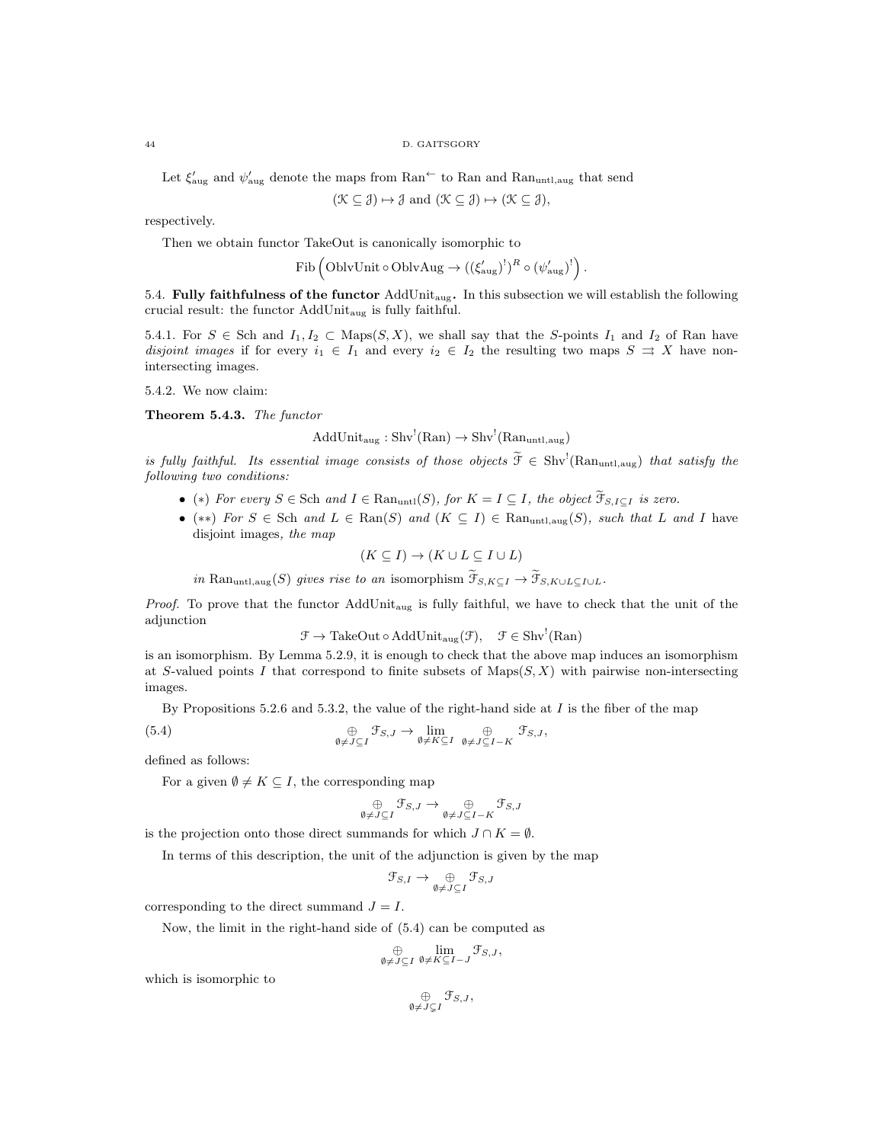Let  $\xi'_{\text{aug}}$  and  $\psi'_{\text{aug}}$  denote the maps from Ran<sup> $\leftarrow$ </sup> to Ran and Ran<sub>untl,aug</sub> that send

$$
(\mathcal{K} \subseteq \mathcal{J}) \mapsto \mathcal{J}
$$
 and  $(\mathcal{K} \subseteq \mathcal{J}) \mapsto (\mathcal{K} \subseteq \mathcal{J}),$ 

respectively.

Then we obtain functor TakeOut is canonically isomorphic to

$$
\text{Fib}\left(\text{OblvUnit}\circ\text{OblvAug} \to ((\xi'_{\text{aug}})^!)^R\circ(\psi'_{\text{aug}})^!\right).
$$

5.4. Fully faithfulness of the functor  $AddUnit_{aug}$ . In this subsection we will establish the following crucial result: the functor AddUnitaug is fully faithful.

5.4.1. For  $S \in$  Sch and  $I_1, I_2 \subset$  Maps $(S, X)$ , we shall say that the S-points  $I_1$  and  $I_2$  of Ran have disjoint images if for every  $i_1 \in I_1$  and every  $i_2 \in I_2$  the resulting two maps  $S \rightrightarrows X$  have nonintersecting images.

5.4.2. We now claim:

Theorem 5.4.3. The functor

 $AddUnit_{aug}: Shv<sup>!</sup>(Ran) \rightarrow Shv<sup>!</sup>(Ran<sub>untl,aug</sub>)$ 

is fully faithful. Its essential image consists of those objects  $\tilde{\mathcal{F}} \in Shv^!(\text{Ran}_{\text{untl},\text{aug}})$  that satisfy the following two conditions:

- (\*) For every  $S \in \text{Sch}$  and  $I \in \text{Ran}_{\text{untl}}(S)$ , for  $K = I \subseteq I$ , the object  $\widetilde{\mathcal{T}}_{S,I \subseteq I}$  is zero.
- (\*\*) For  $S \in$  Sch and  $L \in \text{Ran}(S)$  and  $(K \subseteq I) \in \text{Ran}_{untl,aug}(S)$ , such that L and I have disjoint images, the map

$$
(K \subseteq I) \to (K \cup L \subseteq I \cup L)
$$

in Ran<sub>untl,aug</sub>(S) gives rise to an isomorphism  $\widetilde{\mathcal{F}}_{S,K\subset I} \to \widetilde{\mathcal{F}}_{S,K\cup L\subset I\cup L}$ .

Proof. To prove that the functor AddUnit<sub>aug</sub> is fully faithful, we have to check that the unit of the adjunction

 $\mathcal{F} \to \text{TakeOut} \circ \text{AddUnit}_{\text{aug}}(\mathcal{F}), \quad \mathcal{F} \in \text{Shv}^!(\text{Ran})$ 

is an isomorphism. By Lemma 5.2.9, it is enough to check that the above map induces an isomorphism at S-valued points I that correspond to finite subsets of  $\text{Maps}(S, X)$  with pairwise non-intersecting images.

By Propositions 5.2.6 and 5.3.2, the value of the right-hand side at  $I$  is the fiber of the map

(5.4) 
$$
\bigoplus_{\emptyset \neq J \subseteq I} \mathcal{F}_{S,J} \to \lim_{\emptyset \neq K \subseteq I} \bigoplus_{\emptyset \neq J \subseteq I-K} \mathcal{F}_{S,J},
$$

defined as follows:

For a given  $\emptyset \neq K \subseteq I$ , the corresponding map

$$
\bigoplus_{\emptyset \neq J \subseteq I} \mathcal{F}_{S,J} \to \bigoplus_{\emptyset \neq J \subseteq I - K} \mathcal{F}_{S,J}
$$

is the projection onto those direct summands for which  $J \cap K = \emptyset$ .

In terms of this description, the unit of the adjunction is given by the map

$$
\mathfrak{F}_{S,I} \to \underset{\emptyset \neq J \subseteq I}{\oplus} \mathfrak{F}_{S,J}
$$

corresponding to the direct summand  $J = I$ .

Now, the limit in the right-hand side of (5.4) can be computed as

$$
\bigoplus_{\emptyset \neq J \subseteq I} \lim_{\emptyset \neq K \subseteq I-J} \mathcal{F}_{S,J},
$$

which is isomorphic to

$$
\mathop{\oplus}_{\emptyset \neq J \subsetneq I} \mathfrak{F}_{S,J},
$$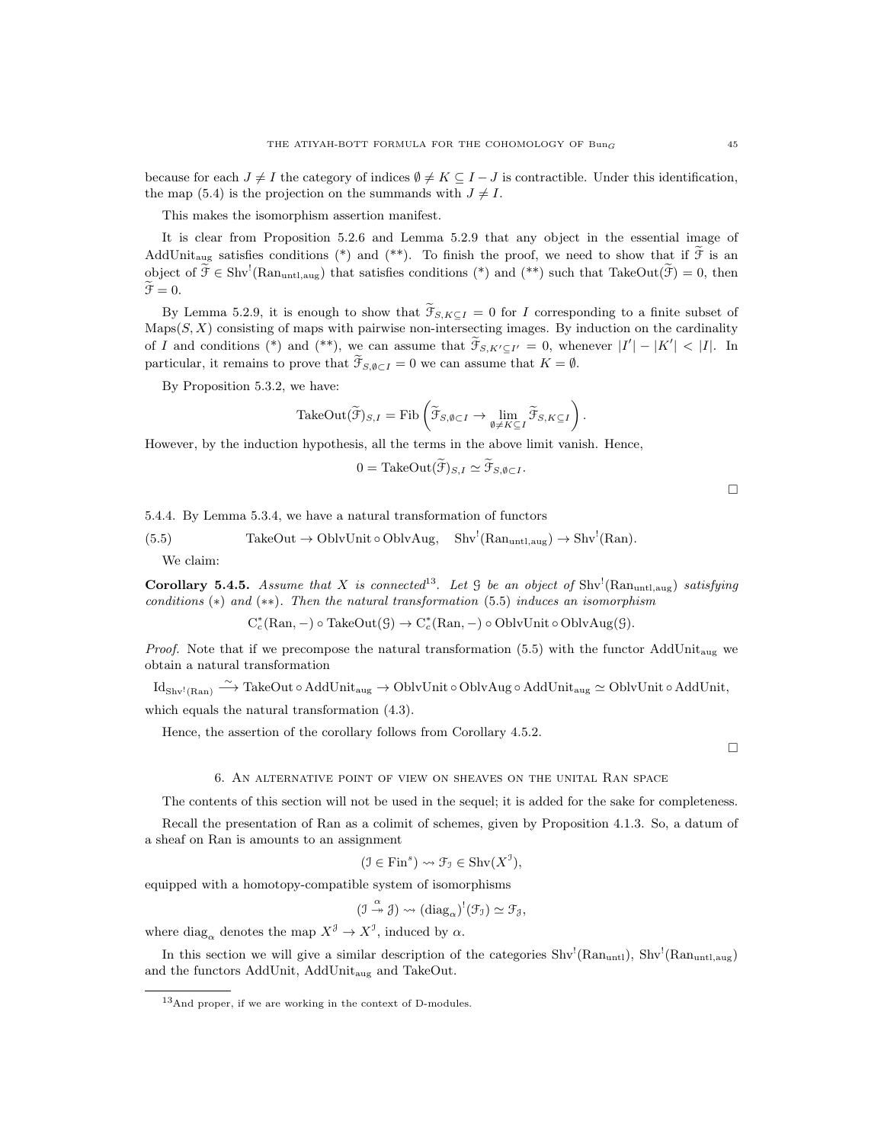because for each  $J \neq I$  the category of indices  $\emptyset \neq K \subseteq I - J$  is contractible. Under this identification, the map (5.4) is the projection on the summands with  $J \neq I$ .

This makes the isomorphism assertion manifest.

It is clear from Proposition 5.2.6 and Lemma 5.2.9 that any object in the essential image of AddUnit<sub>aug</sub> satisfies conditions (\*) and (\*\*). To finish the proof, we need to show that if  $\tilde{\mathcal{F}}$  is an object of  $\tilde{\mathcal{F}} \in Shv^!(\text{Ran}_{untl,aug})$  that satisfies conditions (\*) and (\*\*) such that TakeOut $(\tilde{\mathcal{F}})=0$ , then  $\mathfrak{F}=0.$ 

By Lemma 5.2.9, it is enough to show that  $\widetilde{\mathcal{T}}_{S,K\subset I} = 0$  for I corresponding to a finite subset of  $\text{Maps}(S, X)$  consisting of maps with pairwise non-intersecting images. By induction on the cardinality of I and conditions (\*) and (\*\*), we can assume that  $\widetilde{\mathcal{F}}_{S,K'\subseteq I'}=0$ , whenever  $|I'|-|K'|<|I|$ . In particular, it remains to prove that  $\mathcal{F}_{S,\emptyset \subset I} = 0$  we can assume that  $K = \emptyset$ .

By Proposition 5.3.2, we have:

$$
\mathrm{TakeOut}(\widetilde{\mathcal{F}})_{S,I} = \mathrm{Fib}\left(\widetilde{\mathcal{F}}_{S,\emptyset \subset I} \to \lim_{\emptyset \neq K \subseteq I} \widetilde{\mathcal{F}}_{S,K \subseteq I}\right).
$$

However, by the induction hypothesis, all the terms in the above limit vanish. Hence,

$$
0 = \text{TakeOut}(\mathcal{F})_{S,I} \simeq \mathcal{F}_{S,\emptyset \subset I}.
$$

5.4.4. By Lemma 5.3.4, we have a natural transformation of functors

(5.5) TakeOut  $\rightarrow$  OblvUnit  $\circ$  OblvAug, Shv<sup>!</sup>(Ran<sub>untl,aug</sub>)  $\rightarrow$  Shv<sup>!</sup>(Ran).

We claim:

**Corollary 5.4.5.** Assume that X is connected<sup>13</sup>. Let  $\mathcal G$  be an object of Shv<sup>1</sup>(Ran<sub>untl,aug</sub>) satisfying conditions  $(*)$  and  $(**)$ . Then the natural transformation (5.5) induces an isomorphism

$$
C_c^*(\text{Ran}, -) \circ \text{TakeOut}(\mathcal{G}) \to C_c^*(\text{Ran}, -) \circ \text{OblvUnit} \circ \text{OblvAug}(\mathcal{G}).
$$

*Proof.* Note that if we precompose the natural transformation  $(5.5)$  with the functor AddUnit<sub>aug</sub> we obtain a natural transformation

 ${\rm Id}_{\rm Shv^!(Ran)} \stackrel{\sim}{\longrightarrow} {\rm TakeOut} \circ {\rm AddUnit}_{\rm aug} \to {\rm OblvUnit} \circ {\rm OblvAug} \circ {\rm AddUnit}_{\rm aug} \simeq {\rm OblvUnit} \circ {\rm AddUnit},$ 

which equals the natural transformation (4.3).

Hence, the assertion of the corollary follows from Corollary 4.5.2.

 $\Box$ 

П

### 6. An alternative point of view on sheaves on the unital Ran space

The contents of this section will not be used in the sequel; it is added for the sake for completeness.

Recall the presentation of Ran as a colimit of schemes, given by Proposition 4.1.3. So, a datum of a sheaf on Ran is amounts to an assignment

$$
(\mathfrak{I} \in \text{Fin}^s) \rightsquigarrow \mathfrak{F}_\mathfrak{I} \in \text{Shv}(X^\mathfrak{I}),
$$

equipped with a homotopy-compatible system of isomorphisms

$$
(\mathcal{I} \stackrel{\alpha}{\twoheadrightarrow} \mathcal{J}) \rightsquigarrow (\mathrm{diag}_{\alpha})^!(\mathcal{F}_{\mathcal{I}}) \simeq \mathcal{F}_{\mathcal{J}},
$$

where  $\text{diag}_{\alpha}$  denotes the map  $X^{\mathcal{J}} \to X^{\mathcal{I}}$ , induced by  $\alpha$ .

In this section we will give a similar description of the categories  $\text{Shv}^!(\text{Ran}_{\text{untl}})$ ,  $\text{Shv}^!(\text{Ran}_{\text{untl},\text{aug}})$ and the functors AddUnit, AddUnit<sub>aug</sub> and TakeOut.

<sup>13</sup>And proper, if we are working in the context of D-modules.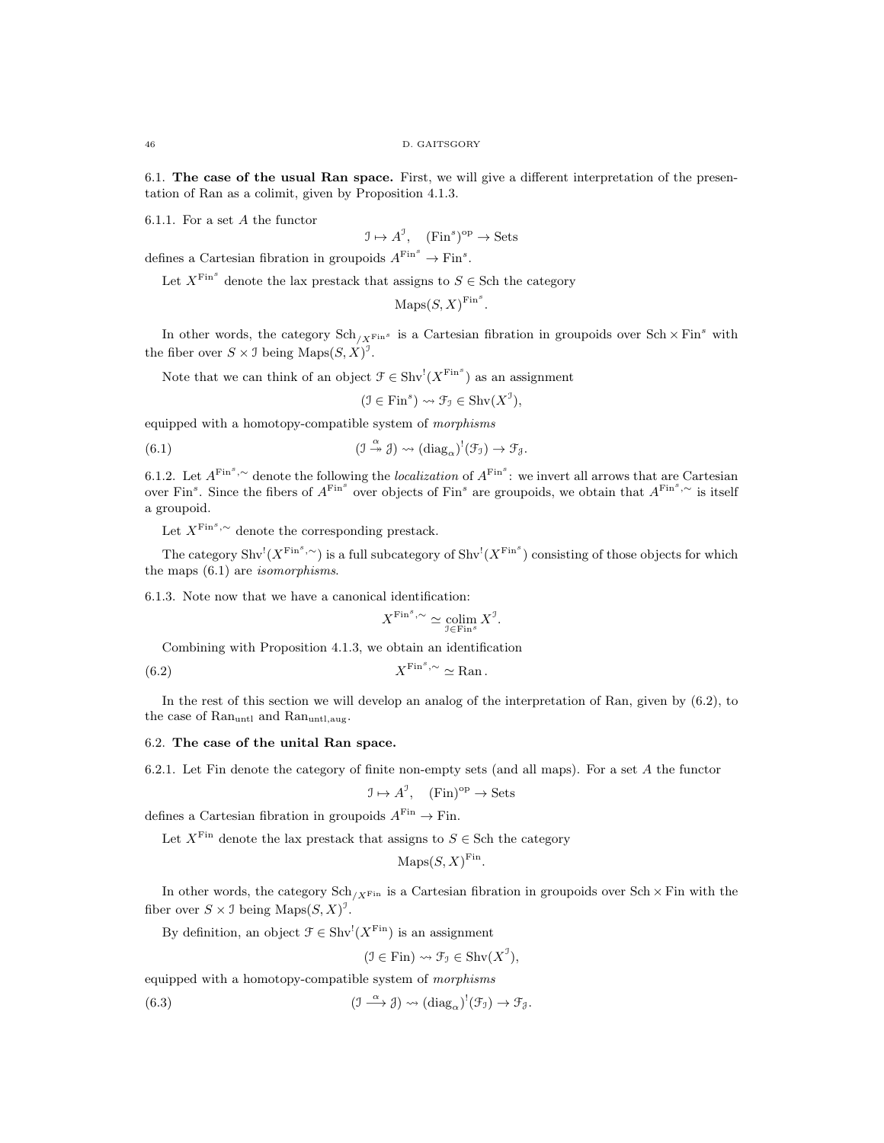6.1. The case of the usual Ran space. First, we will give a different interpretation of the presentation of Ran as a colimit, given by Proposition 4.1.3.

6.1.1. For a set A the functor

$$
\mathcal{I} \mapsto A^{\mathcal{I}}, \quad (\text{Fin}^s)^{\text{op}} \to \text{Sets}
$$

defines a Cartesian fibration in groupoids  $A^{\text{Fin}^s} \to \text{Fin}^s$ .

Let  $X^{\text{Fin}^s}$  denote the lax prestack that assigns to  $S \in \text{Sch}$  the category

$$
\operatorname{Maps}(S, X)^{\operatorname{Fin}^s}
$$

.

In other words, the category  $\text{Sch}_{/X^{\text{Fin}^s}}$  is a Cartesian fibration in groupoids over  $\text{Sch} \times \text{Fin}^s$  with the fiber over  $S \times \mathcal{I}$  being  $\text{Maps}(S, X)^{\mathcal{I}}$ .

Note that we can think of an object  $\mathcal{F} \in \text{Shv}^{!}(X^{\text{Fin}^{s}})$  as an assignment

$$
(\mathfrak{I} \in \text{Fin}^s) \rightsquigarrow \mathfrak{F}_{\mathfrak{I}} \in \text{Shv}(X^{\mathfrak{I}}),
$$

equipped with a homotopy-compatible system of morphisms

(6.1) 
$$
(\mathfrak{I} \xrightarrow{\alpha} \mathfrak{J}) \rightsquigarrow (\mathrm{diag}_{\alpha})^!(\mathfrak{F}_{\mathfrak{I}}) \rightarrow \mathfrak{F}_{\mathfrak{J}}.
$$

6.1.2. Let  $A^{\text{Fin}^s,\sim}$  denote the following the *localization* of  $A^{\text{Fin}^s}$ : we invert all arrows that are Cartesian over Fin<sup>s</sup>. Since the fibers of  $A^{\text{Fin}^s}$  over objects of Fin<sup>s</sup> are groupoids, we obtain that  $A^{\text{Fin}^s,\sim}$  is itself a groupoid.

Let  $X^{\text{Fin}^s,\sim}$  denote the corresponding prestack.

The category  $\text{Shv}^!(X^{\text{Fin}^s,\sim})$  is a full subcategory of  $\text{Shv}^!(X^{\text{Fin}^s})$  consisting of those objects for which the maps (6.1) are isomorphisms.

6.1.3. Note now that we have a canonical identification:

$$
X^{\text{Fin}^s,\sim} \simeq \operatornamewithlimits{colim}_{\mathfrak I \in \text{Fin}^s} X^{\mathfrak I}.
$$

Combining with Proposition 4.1.3, we obtain an identification

$$
(6.2) \t\t X^{\text{Fin}^s, \sim} \simeq \text{Ran}.
$$

In the rest of this section we will develop an analog of the interpretation of Ran, given by (6.2), to the case of  $\text{Ran}_{\text{untl.} \text{and}}$   $\text{Ran}_{\text{untl.} \text{aug.}}$ 

# 6.2. The case of the unital Ran space.

6.2.1. Let Fin denote the category of finite non-empty sets (and all maps). For a set  $A$  the functor

$$
\mathcal{I} \mapsto A^{\mathcal{I}}, \quad (\text{Fin})^{\text{op}} \to \text{Sets}
$$

defines a Cartesian fibration in groupoids  $A^{\text{Fin}} \to \text{Fin}$ .

Let  $X^{\text{Fin}}$  denote the lax prestack that assigns to  $S \in \text{Sch}$  the category

$$
Maps(S, X)^{Fin}.
$$

In other words, the category Sch<sub>/XFin</sub> is a Cartesian fibration in groupoids over Sch  $\times$  Fin with the fiber over  $S \times \mathcal{I}$  being  $\text{Maps}(S, X)^{\mathcal{I}}$ .

By definition, an object  $\mathcal{F} \in \text{Shv}^!(X^{\text{Fin}})$  is an assignment

$$
(\mathcal{I} \in \text{Fin}) \rightsquigarrow \mathcal{F}_{\mathcal{I}} \in \text{Shv}(X^{\mathcal{I}}),
$$

equipped with a homotopy-compatible system of morphisms

 $(6.3)$  $\stackrel{\alpha}{\longrightarrow} \mathcal{J}) \rightsquigarrow (\text{diag}_{\alpha})^!(\mathcal{F}_{\mathcal{I}}) \rightarrow \mathcal{F}_{\mathcal{J}}.$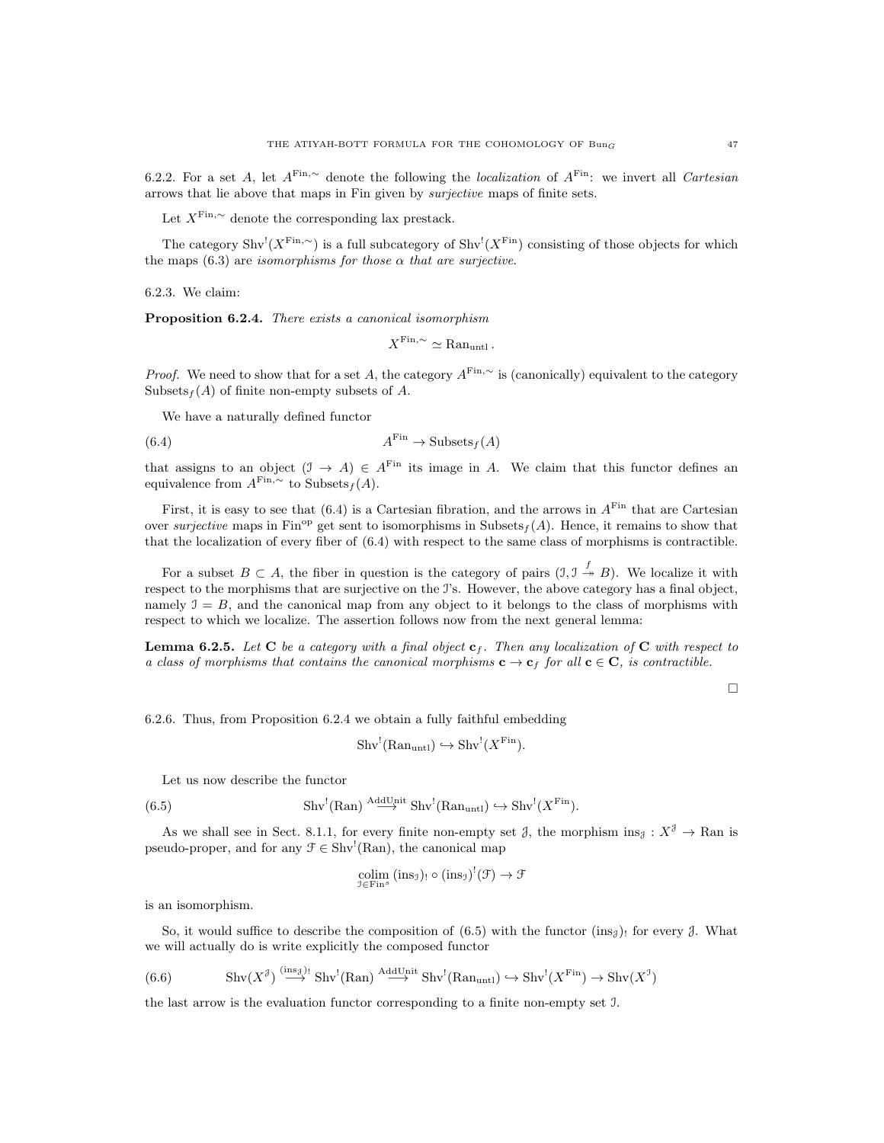6.2.2. For a set A, let  $A^{\text{Fin},\sim}$  denote the following the *localization* of  $A^{\text{Fin}}$ : we invert all *Cartesian* arrows that lie above that maps in Fin given by surjective maps of finite sets.

Let  $X^{\text{Fin},\sim}$  denote the corresponding lax prestack.

The category  $\text{Shv}^{l}(X^{\text{Fin},\sim})$  is a full subcategory of  $\text{Shv}^{l}(X^{\text{Fin}})$  consisting of those objects for which the maps (6.3) are *isomorphisms* for those  $\alpha$  that are surjective.

6.2.3. We claim:

Proposition 6.2.4. There exists a canonical isomorphism

$$
X^{\text{Fin},\sim} \simeq \text{Ran}_{\text{untl}}.
$$

*Proof.* We need to show that for a set A, the category  $A^{\text{Fin},\sim}$  is (canonically) equivalent to the category Subsets  $_f(A)$  of finite non-empty subsets of A.

We have a naturally defined functor

$$
(6.4) \t\t AFin \to \text{Subsets}_f(A)
$$

that assigns to an object  $(\mathcal{I} \to A) \in A^{\text{Fin}}$  its image in A. We claim that this functor defines an equivalence from  $A^{\text{Fin},\sim}$  to Subsets  $_f(A)$ .

First, it is easy to see that  $(6.4)$  is a Cartesian fibration, and the arrows in  $A<sup>Fin</sup>$  that are Cartesian over surjective maps in Fin<sup>op</sup> get sent to isomorphisms in Subsets<sub>f</sub>(A). Hence, it remains to show that that the localization of every fiber of (6.4) with respect to the same class of morphisms is contractible.

For a subset  $B \subset A$ , the fiber in question is the category of pairs  $(1, 1 \stackrel{f}{\twoheadrightarrow} B)$ . We localize it with respect to the morphisms that are surjective on the I's. However, the above category has a final object, namely  $I = B$ , and the canonical map from any object to it belongs to the class of morphisms with respect to which we localize. The assertion follows now from the next general lemma:

**Lemma 6.2.5.** Let C be a category with a final object  $c_f$ . Then any localization of C with respect to a class of morphisms that contains the canonical morphisms  $c \to c_f$  for all  $c \in \mathbb{C}$ , is contractible.

 $\Box$ 

6.2.6. Thus, from Proposition 6.2.4 we obtain a fully faithful embedding

$$
Shv^{!}(\text{Ran}_{\text{unt1}}) \hookrightarrow Shv^{!}(X^{\text{Fin}}).
$$

Let us now describe the functor

(6.5) 
$$
\text{Shv}^{!}(\text{Ran}) \stackrel{\text{AddUnit}}{\longrightarrow} \text{Shv}^{!}(\text{Ran}_{\text{unt1}}) \hookrightarrow \text{Shv}^{!}(X^{\text{Fin}}).
$$

As we shall see in Sect. 8.1.1, for every finite non-empty set  $\mathcal{J}$ , the morphism ins $\mathcal{J}: X^{\mathcal{J}} \to \text{Ran}$  is pseudo-proper, and for any  $\mathcal{F} \in \text{Shv}^!(\text{Ran})$ , the canonical map

$$
\underset{\mathbb{J}\in \text{Fin}^{s}}{\text{colim}}\left(\text{ins}_{\mathbb{J}}\right)_{!}\circ\left(\text{ins}_{\mathbb{J}}\right)^{!}(\mathbb{F})\to\mathbb{F}
$$

is an isomorphism.

So, it would suffice to describe the composition of (6.5) with the functor (ins<sub>4</sub>)! for every  $\beta$ . What we will actually do is write explicitly the composed functor

(6.6) \tShv(X<sup>3</sup>) 
$$
\xrightarrow{\text{(ins}_{3})^1} \text{Shv}^!(\text{Ran}) \xrightarrow{\text{AddUnit}} \text{Shv}^!(\text{Ran}_{\text{unt1}}) \hookrightarrow \text{Shv}^!(X^{\text{Fin}}) \to \text{Shv}(X^{\text{J}})
$$

the last arrow is the evaluation functor corresponding to a finite non-empty set I.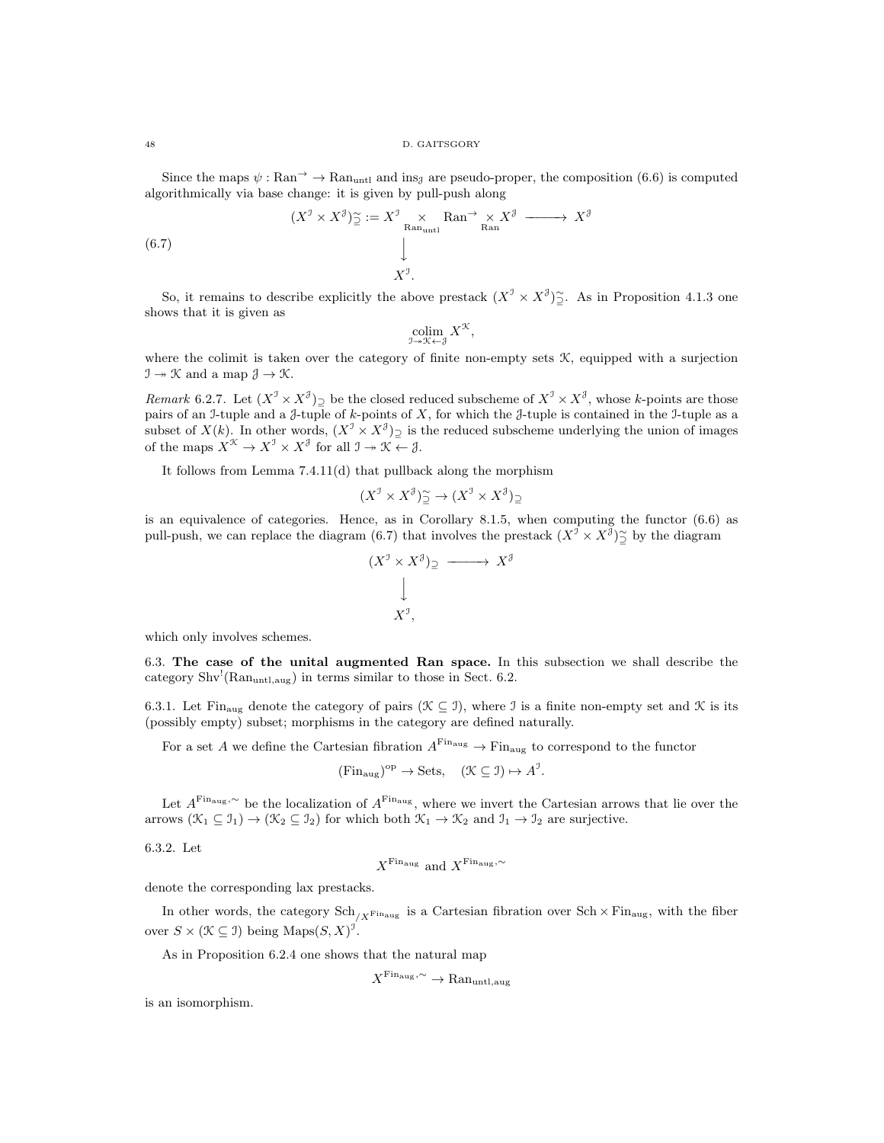Since the maps  $\psi : \text{Ran} \to \text{Ran}_{\text{untl}}$  and ins<sub>J</sub> are pseudo-proper, the composition (6.6) is computed algorithmically via base change: it is given by pull-push along

(6.7) 
$$
(X^{\mathcal{I}} \times X^{\mathcal{J}}) \tilde{\supseteq} := X^{\mathcal{I}} \times \operatorname{Ran}_{\text{natural}}^{\times} X^{\mathcal{J}} \xrightarrow{\qquad \qquad } X^{\mathcal{J}}
$$

$$
\downarrow \qquad \qquad X^{\mathcal{I}}.
$$

So, it remains to describe explicitly the above prestack  $(X^{\mathcal{I}} \times X^{\mathcal{J}})$   $\cong$ . As in Proposition 4.1.3 one shows that it is given as

$$
\operatornamewithlimits{colim}_{\mathfrak I\twoheadrightarrow \mathfrak X\leftarrow \mathfrak J}X^\mathfrak K,
$$

where the colimit is taken over the category of finite non-empty sets  $K$ , equipped with a surjection  $\mathcal{I} \rightarrow \mathcal{K}$  and a map  $\mathcal{J} \rightarrow \mathcal{K}$ .

Remark 6.2.7. Let  $(X^{\mathcal{I}} \times X^{\mathcal{J}})$  be the closed reduced subscheme of  $X^{\mathcal{I}} \times X^{\mathcal{J}}$ , whose k-points are those pairs of an I-tuple and a  $\beta$ -tuple of k-points of X, for which the  $\beta$ -tuple is contained in the I-tuple as a subset of  $X(k)$ . In other words,  $(X^{\mathcal{I}} \times X^{\mathcal{J}})$  is the reduced subscheme underlying the union of images of the maps  $X^{\mathcal{K}} \to X^{\mathcal{I}} \times X^{\mathcal{J}}$  for all  $\mathcal{I} \to \mathcal{K} \leftarrow \mathcal{J}$ .

It follows from Lemma 7.4.11(d) that pullback along the morphism

$$
(X^{\mathcal{I}} \times X^{\mathcal{J}}) \widetilde{\supseteq} \to (X^{\mathcal{I}} \times X^{\mathcal{J}})_{\supseteq}
$$

is an equivalence of categories. Hence, as in Corollary 8.1.5, when computing the functor (6.6) as pull-push, we can replace the diagram (6.7) that involves the prestack  $(X^{\mathcal{I}} \times X^{\mathcal{J}})$  by the diagram

$$
(X^{\mathcal{I}} \times X^{\mathcal{J}}) \supseteq \longrightarrow X^{\mathcal{J}}
$$

$$
\downarrow
$$

$$
X^{\mathcal{I}},
$$

which only involves schemes.

6.3. The case of the unital augmented Ran space. In this subsection we shall describe the category  $\text{Shv}^!(\text{Ran}_{\text{untl},\text{aug}})$  in terms similar to those in Sect. 6.2.

6.3.1. Let Fin<sub>aug</sub> denote the category of pairs ( $\mathcal{K} \subseteq \mathcal{I}$ ), where  $\mathcal{I}$  is a finite non-empty set and  $\mathcal{K}$  is its (possibly empty) subset; morphisms in the category are defined naturally.

For a set A we define the Cartesian fibration  $A^{\text{Fin}_{\text{aug}}} \to \text{Fin}_{\text{aug}}$  to correspond to the functor

$$
(\text{Fin}_{\text{aug}})^{\text{op}} \to \text{Sets}, \quad (\mathcal{K} \subseteq \mathcal{I}) \mapsto A^{\mathcal{I}}.
$$

Let  $A^{\text{Fin}_\text{aug},\sim}$  be the localization of  $A^{\text{Fin}_\text{aug}}$ , where we invert the Cartesian arrows that lie over the arrows  $(\mathcal{K}_1 \subseteq \mathcal{I}_1) \to (\mathcal{K}_2 \subseteq \mathcal{I}_2)$  for which both  $\mathcal{K}_1 \to \mathcal{K}_2$  and  $\mathcal{I}_1 \to \mathcal{I}_2$  are surjective.

6.3.2. Let

$$
X^{\operatorname{Fin_{\mathrm{aug}}}}
$$
 and  $X^{\operatorname{Fin_{\mathrm{aug}}},\sim}$ 

denote the corresponding lax prestacks.

In other words, the category  $\text{Sch}_{/X^{\text{Fin}_{\text{aug}}}}$  is a Cartesian fibration over  $\text{Sch}\times\text{Fin}_{\text{aug}}$ , with the fiber over  $S \times (\mathcal{K} \subseteq \mathcal{I})$  being Maps $(S, X)^{\mathcal{I}}$ .

As in Proposition 6.2.4 one shows that the natural map

$$
X^{\text{Fin}_{\text{aug}}, \sim} \to \text{Ran}_{\text{untl}, \text{aug}}
$$

is an isomorphism.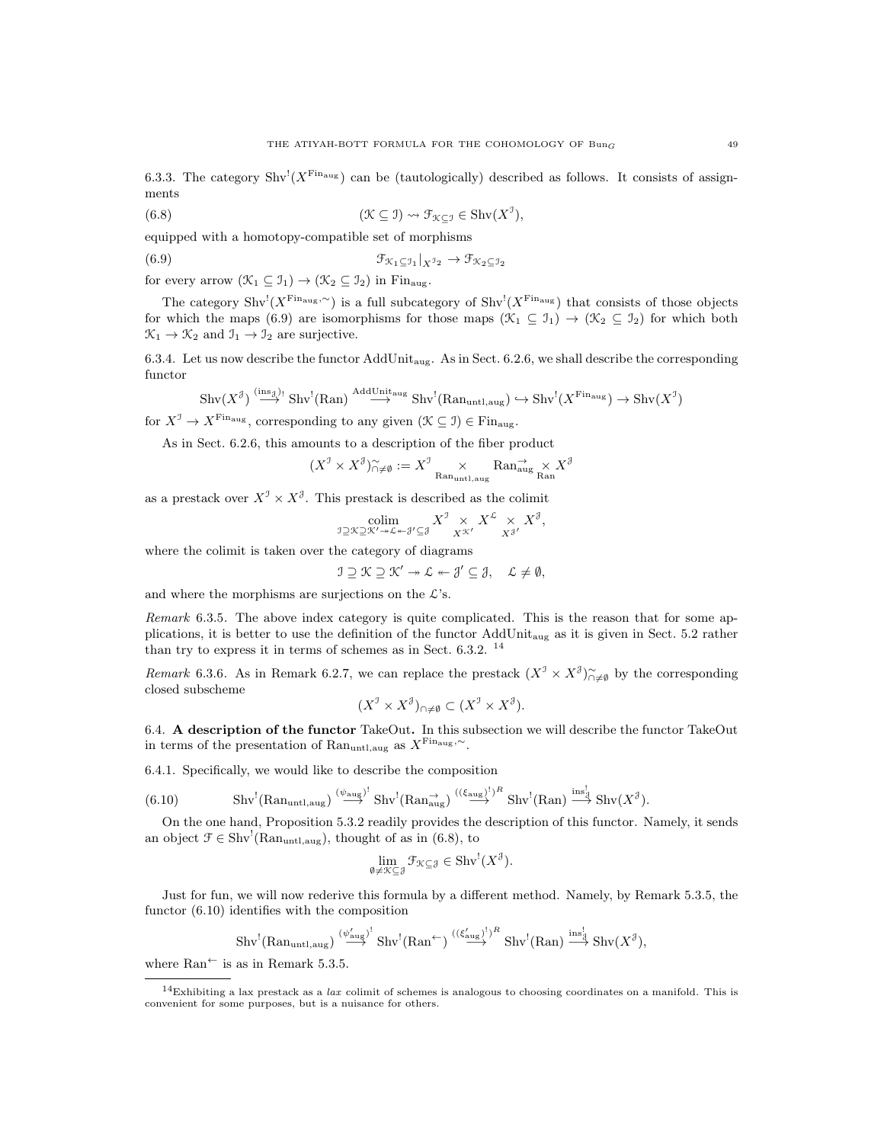6.3.3. The category  $\text{Shv}^{l}(X^{\text{Final}})$  can be (tautologically) described as follows. It consists of assignments

(6.8) 
$$
(\mathfrak{K}\subseteq \mathfrak{I})\rightsquigarrow \mathfrak{F}_{\mathfrak{K}\subseteq \mathfrak{I}}\in \mathrm{Shv}(X^{\mathfrak{I}}),
$$

equipped with a homotopy-compatible set of morphisms

(6.9)  $\mathfrak{F}_{\mathcal{K}_1 \subseteq \mathcal{I}_1} |_{X^{\mathcal{I}_2}} \to \mathfrak{F}_{\mathcal{K}_2 \subseteq \mathcal{I}_2}$ 

for every arrow  $(\mathcal{K}_1 \subseteq \mathcal{I}_1) \to (\mathcal{K}_2 \subseteq \mathcal{I}_2)$  in Fin<sub>aug</sub>.

The category  $\text{Shv}^{\text{I}}(X^{\text{Fin}}^{\text{aug},\sim})$  is a full subcategory of  $\text{Shv}^{\text{I}}(X^{\text{Fin}}^{\text{aug}})$  that consists of those objects for which the maps (6.9) are isomorphisms for those maps  $(\mathcal{K}_1 \subseteq \mathcal{I}_1) \to (\mathcal{K}_2 \subseteq \mathcal{I}_2)$  for which both  $\mathcal{K}_1 \rightarrow \mathcal{K}_2$  and  $\mathcal{I}_1 \rightarrow \mathcal{I}_2$  are surjective.

6.3.4. Let us now describe the functor  $AddUnit_{aug}$ . As in Sect. 6.2.6, we shall describe the corresponding functor

$$
\mathrm{Shv}(X^{\mathcal{J}}) \stackrel{\left(\mathrm{ins}_{\mathcal{J}}\right)}{\longrightarrow} \mathrm{Shv}^{!}(\mathrm{Ran}) \stackrel{\mathrm{AddUnit}_{\mathrm{aug}}}{\longrightarrow} \mathrm{Shv}^{!}(\mathrm{Ran}_{\mathrm{untl},\mathrm{aug}}) \hookrightarrow \mathrm{Shv}^{!}(X^{\mathrm{Fin}_{\mathrm{aug}}}) \to \mathrm{Shv}(X^{\mathcal{J}})
$$

for  $X^{\mathcal{I}} \to X^{\text{Fin}_{\text{aug}}},$  corresponding to any given  $(\mathcal{K} \subseteq \mathcal{I}) \in \text{Fin}_{\text{aug}}.$ 

As in Sect. 6.2.6, this amounts to a description of the fiber product

$$
(X^{\mathcal{I}} \times X^{\mathcal{J}})\widetilde{\cap}_{\neq \emptyset} := X^{\mathcal{I}} \underset{\text{Ran}_{\text{untl},\text{aug}}}{\times} \text{Ran}_{\text{aug}}^{\rightarrow} X^{\mathcal{J}}
$$

as a prestack over  $X^{\mathcal{I}} \times X^{\mathcal{J}}$ . This prestack is described as the colimit

$$
\underset{\substack{\mathfrak{I}\supseteq\mathfrak{X}\supseteq\mathfrak{X}'\to\mathcal{L}\twoheadrightarrow\mathcal{J}'\subseteq\mathcal{J}}{\text{colim}}} {\mathrm{X}^{\mathfrak{I}}\underset{X}{\times}X^{\mathcal{L}}\underset{X^{\mathcal{J}'}}{\times}X^{\mathcal{L}}},
$$

where the colimit is taken over the category of diagrams

$$
\mathfrak{I}\supseteq\mathfrak{K}\supseteq\mathfrak{K}'\twoheadrightarrow\mathcal{L}\twoheadleftarrow\mathfrak{J}'\subseteq\mathfrak{J},\quad\mathcal{L}\neq\emptyset,
$$

and where the morphisms are surjections on the  $\mathcal{L}$ 's.

Remark 6.3.5. The above index category is quite complicated. This is the reason that for some applications, it is better to use the definition of the functor AddUnitaug as it is given in Sect. 5.2 rather than try to express it in terms of schemes as in Sect. 6.3.2. <sup>14</sup>

Remark 6.3.6. As in Remark 6.2.7, we can replace the prestack  $(X^{\mathcal{I}} \times X^{\mathcal{J}})_{\cap \neq \emptyset}^{\sim}$  by the corresponding closed subscheme

$$
(X^{\mathcal{I}} \times X^{\mathcal{J}})_{\cap \neq \emptyset} \subset (X^{\mathcal{I}} \times X^{\mathcal{J}}).
$$

6.4. A description of the functor TakeOut. In this subsection we will describe the functor TakeOut in terms of the presentation of Ran<sub>untl,aug</sub> as  $X^{\text{Fin}_{\text{aug}},\sim}$ .

6.4.1. Specifically, we would like to describe the composition

(6.10) \tShv<sup>¹</sup>(Ran<sub>untl,aug</sub>) 
$$
\stackrel{(\psi_{\text{aug}})^{l}}{\longrightarrow}
$$
 Shv<sup>¹</sup>(Ran<sub>aug</sub>)  $\stackrel{((\xi_{\text{aug}})^{l})^R}{\longrightarrow}$  Shv<sup>¹</sup>(Ran)  $\stackrel{\text{ins}_d^l}{\longrightarrow}$  Shv( $X^{\beta}$ ).

On the one hand, Proposition 5.3.2 readily provides the description of this functor. Namely, it sends an object  $\mathcal{F} \in Shv^!(\text{Ran}_{untl,aug})$ , thought of as in (6.8), to

$$
\lim_{\emptyset \neq \mathcal{K} \subseteq \mathcal{J}} \mathcal{F}_{\mathcal{K} \subseteq \mathcal{J}} \in \text{Shv}^{!}(X^{\mathcal{J}}).
$$

Just for fun, we will now rederive this formula by a different method. Namely, by Remark 5.3.5, the functor (6.10) identifies with the composition

$$
\mathrm{Shv}^{!}(\mathrm{Ran}_{\mathrm{untl},\mathrm{aug}}) \stackrel{(\psi_{\mathrm{aug}}')^{!}}{\longrightarrow} \mathrm{Shv}^{!}(\mathrm{Ran}^{\leftarrow}) \stackrel{((\xi_{\mathrm{aug}}')^{!})^{R}}{\longrightarrow} \mathrm{Shv}^{!}(\mathrm{Ran}) \stackrel{\mathrm{ins}_{\mathcal{J}}^{!}}{\longrightarrow} \mathrm{Shv}(X^{\mathcal{J}}),
$$

where  $\text{Ran}^{\leftarrow}$  is as in Remark 5.3.5.

 $14$ Exhibiting a lax prestack as a lax colimit of schemes is analogous to choosing coordinates on a manifold. This is convenient for some purposes, but is a nuisance for others.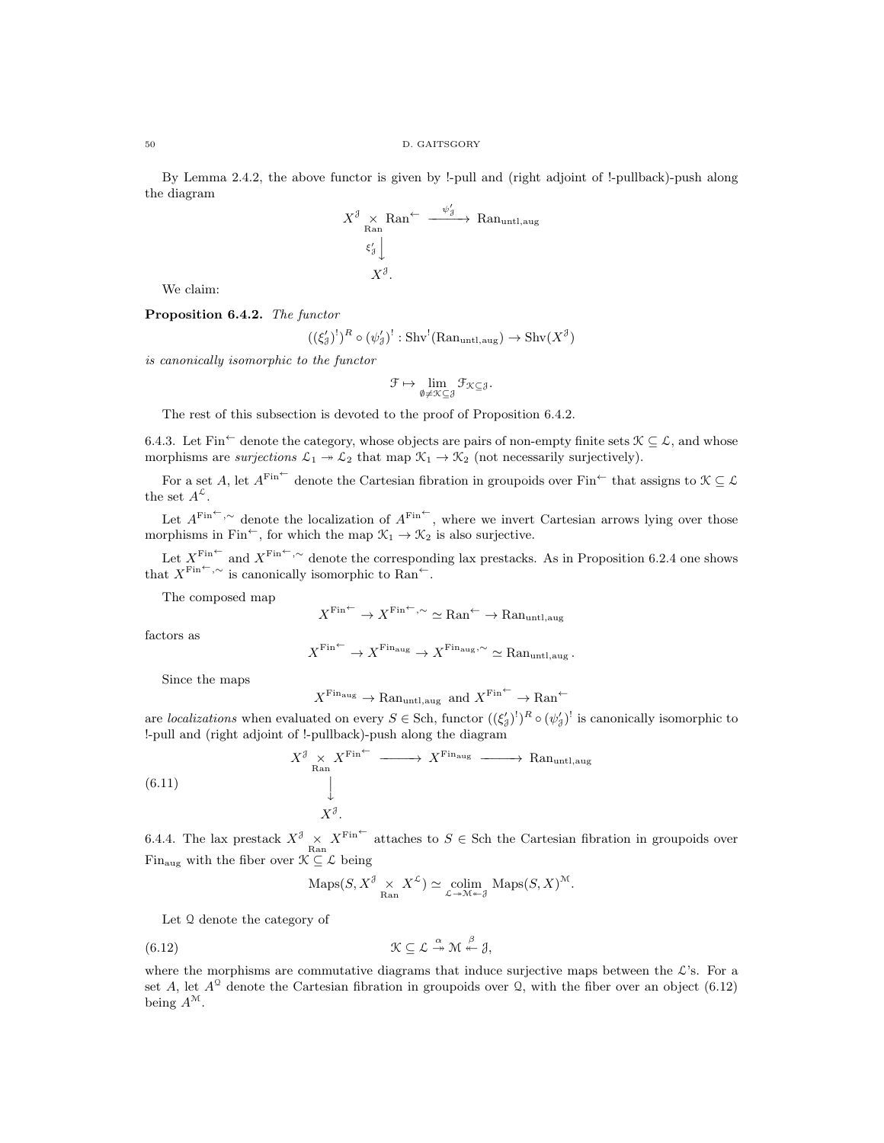By Lemma 2.4.2, the above functor is given by !-pull and (right adjoint of !-pullback)-push along the diagram

$$
X^{\mathcal{J}} \underset{\text{Ran}}{\times} \text{Ran}^{\leftarrow} \xrightarrow{\psi_{\mathcal{J}}^{\prime}} \text{Ran}_{\text{untl},\text{aug}}
$$

$$
\xi_{\mathcal{J}}^{\prime} \downarrow
$$

$$
X^{\mathcal{J}}.
$$

We claim:

Proposition 6.4.2. The functor

$$
((\xi_3')^!)^R \circ (\psi_3')^! : \mathrm{Shv}^! (\mathrm{Ran}_{\mathrm{untl},\mathrm{aug}}) \to \mathrm{Shv}(X^{\mathcal{J}})
$$

is canonically isomorphic to the functor

$$
\mathcal{F}\mapsto \lim_{\emptyset\neq \mathcal{K}\subseteq \mathcal{J}}\mathcal{F}_{\mathcal{K}\subseteq \mathcal{J}}.
$$

The rest of this subsection is devoted to the proof of Proposition 6.4.2.

6.4.3. Let Fin<sup>←</sup> denote the category, whose objects are pairs of non-empty finite sets  $\mathcal{K} \subseteq \mathcal{L}$ , and whose morphisms are surjections  $\mathcal{L}_1 \rightarrow \mathcal{L}_2$  that map  $\mathcal{K}_1 \rightarrow \mathcal{K}_2$  (not necessarily surjectively).

For a set A, let  $A^{\text{Fin}^+}$  denote the Cartesian fibration in groupoids over Fin<sup> $\leftarrow$ </sup> that assigns to  $\mathcal{K} \subseteq \mathcal{L}$ the set  $A^{\mathcal{L}}$ .

Let  $A^{\text{Fin}\leftarrow}$ ,∼ denote the localization of  $A^{\text{Fin}\leftarrow}$ , where we invert Cartesian arrows lying over those morphisms in Fin<sup>←</sup>, for which the map  $\mathcal{K}_1 \rightarrow \mathcal{K}_2$  is also surjective.

Let  $X^{\text{Fin}^{\leftarrow}}$  and  $X^{\text{Fin}^{\leftarrow},\sim}$  denote the corresponding lax prestacks. As in Proposition 6.2.4 one shows that  $X^{\text{Fin}^{\leftarrow},\sim}$  is canonically isomorphic to Ran<sup>←</sup>.

The composed map

$$
X^{\text{Fin}^{\leftarrow}} \to X^{\text{Fin}^{\leftarrow}, \sim} \simeq \text{Ran}^{\leftarrow} \to \text{Ran}_{\text{untl},\text{aug}}
$$

factors as

$$
X^{\text{Fin}^{\leftarrow}} \to X^{\text{Fin}_{\text{aug}}} \to X^{\text{Fin}_{\text{aug}}, \sim} \simeq \text{Ran}_{\text{until}, \text{aug}}.
$$

Since the maps

$$
X^{\text{Fin}_{\text{aug}}} \to \text{Ran}_{\text{untl},\text{aug}} \text{ and } X^{\text{Fin}^{\leftarrow}} \to \text{Ran}^{\leftarrow}
$$

are localizations when evaluated on every  $S \in$  Sch, functor  $((\xi_3')^1)^R \circ (\psi_3')^1$  is canonically isomorphic to !-pull and (right adjoint of !-pullback)-push along the diagram

$$
X^{\mathcal{J}} \underset{\text{Ran}}{\times} X^{\text{Fin}^{\leftarrow}} \xrightarrow{\qquad} X^{\text{Fin}_{\text{aug}}} \xrightarrow{\qquad} \text{Ran}_{\text{untl},\text{aug}}
$$

$$
\downarrow
$$

$$
X^{\mathcal{J}}.
$$

(6.11)

6.4.4. The lax prestack  $X^{\mathcal{J}} \times X^{\text{Fin}^{\leftarrow}}$  attaches to  $S \in$  Sch the Cartesian fibration in groupoids over Fin<sub>aug</sub> with the fiber over  $\mathcal{K} \subseteq \mathcal{L}$  being

$$
\operatorname{Maps}(S, X^{\mathcal{J}} \underset{\text{Ran}}{\times} X^{\mathcal{L}}) \simeq \underset{\mathcal{L} \to \mathcal{M} \twoheadleftarrow \mathcal{J}}{\operatorname{colim}} \operatorname{Maps}(S, X)^{\mathcal{M}}.
$$

Let Q denote the category of

$$
\mathfrak{K} \subseteq \mathcal{L} \stackrel{\alpha}{\twoheadrightarrow} \mathfrak{M} \stackrel{\beta}{\twoheadleftarrow} \mathfrak{Z},
$$

where the morphisms are commutative diagrams that induce surjective maps between the  $\mathcal{L}$ 's. For a set A, let  $A^{\circ}$  denote the Cartesian fibration in groupoids over Q, with the fiber over an object (6.12) being  $A^{\mathcal{M}}$ .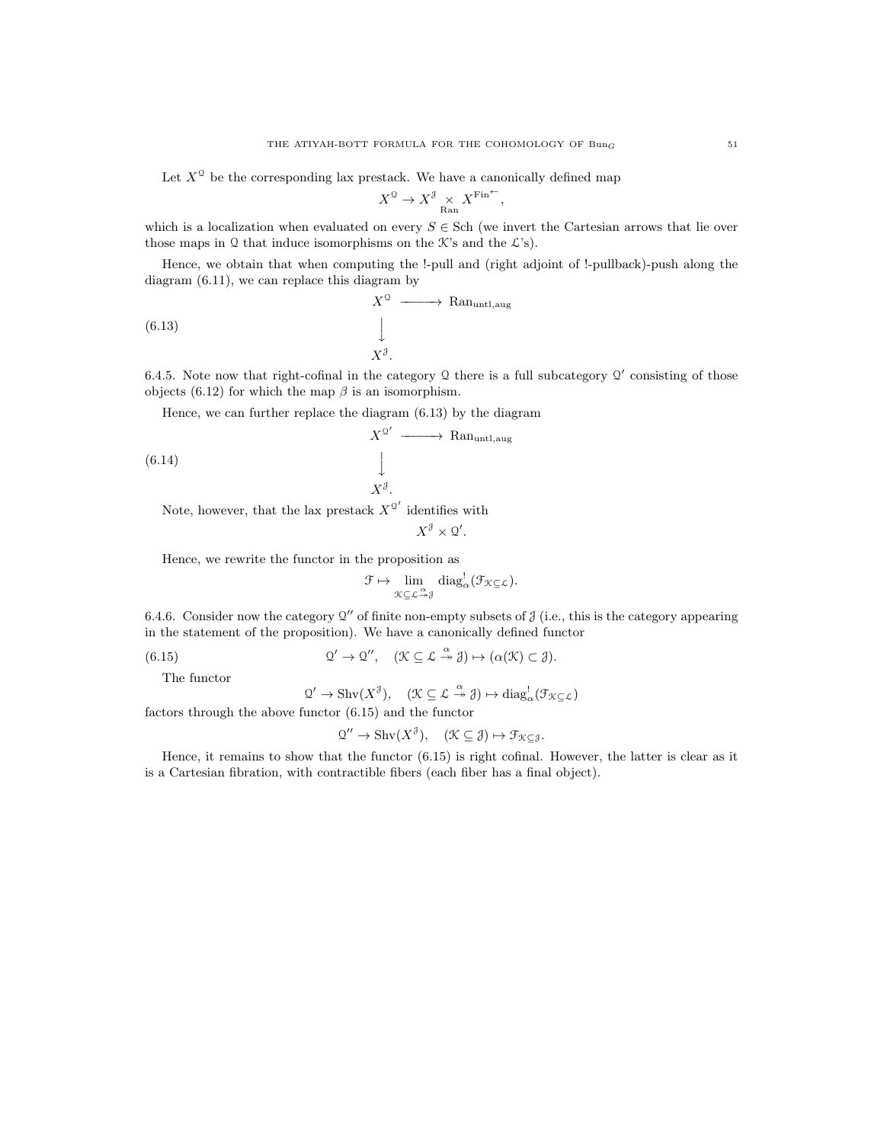Let  $X^{\mathbb{Q}}$  be the corresponding lax prestack. We have a canonically defined map

$$
X^{\mathfrak{Q}}\to X^{\mathfrak{F}}\underset{\text{Ran}}{\times} X^{\text{Fin}^{\leftarrow}}
$$

,

which is a localization when evaluated on every  $S \in$  Sch (we invert the Cartesian arrows that lie over those maps in Q that induce isomorphisms on the  $\mathcal{K}$ 's and the  $\mathcal{L}$ 's).

Hence, we obtain that when computing the !-pull and (right adjoint of !-pullback)-push along the diagram (6.11), we can replace this diagram by

(6.13) 
$$
X^{\mathcal{Q}} \longrightarrow \text{Ran}_{\text{untl},\text{aug}}
$$

$$
\downarrow
$$

$$
X^{\mathcal{J}}.
$$

6.4.5. Note now that right-cofinal in the category  $\mathcal Q$  there is a full subcategory  $\mathcal Q'$  consisting of those objects (6.12) for which the map  $\beta$  is an isomorphism.

Hence, we can further replace the diagram (6.13) by the diagram

$$
X^{\mathcal{Q}'} \longrightarrow \text{Ran}_{\text{untl},\text{aug}}
$$
\n(6.14) 
$$
\downarrow
$$
\n
$$
X^{\beta}.
$$
\nNote however that the law nested  $X^{\mathcal{Q}'}$  identifies with

Note, however, that the lax prestack  $X^{\mathcal{Q}'}$  identifies with

$$
X^{\mathcal{J}} \times \mathcal{Q}'.
$$

Hence, we rewrite the functor in the proposition as

$$
\mathcal{F} \mapsto \lim_{\mathcal{K} \subseteq \mathcal{L} \stackrel{\alpha}{\rightarrow} \mathcal{J}} \mathrm{diag}^!_{\alpha}(\mathcal{F}_{\mathcal{K} \subseteq \mathcal{L}}).
$$

6.4.6. Consider now the category  $Q''$  of finite non-empty subsets of  $\mathcal J$  (i.e., this is the category appearing in the statement of the proposition). We have a canonically defined functor

 $(6.15)$  $\prime \to \mathcal{Q}'', \quad (\mathcal{K} \subseteq \mathcal{L} \stackrel{\alpha}{\twoheadrightarrow} \mathcal{J}) \mapsto (\alpha(\mathcal{K}) \subset \mathcal{J}).$ 

The functor

$$
\mathfrak{Q}' \to \mathrm{Shv}(X^{\mathcal{J}}), \quad (\mathfrak{K} \subseteq \mathcal{L} \xrightarrow{\alpha} \mathcal{J}) \mapsto \mathrm{diag}^!_\alpha(\mathcal{F}_{\mathcal{K} \subseteq \mathcal{L}})
$$

factors through the above functor (6.15) and the functor

$$
\mathcal{Q}^{\prime\prime} \to \mathrm{Shv}(X^{\mathcal{J}}), \quad (\mathcal{K} \subseteq \mathcal{J}) \mapsto \mathcal{F}_{\mathcal{K} \subseteq \mathcal{J}}.
$$

Hence, it remains to show that the functor (6.15) is right cofinal. However, the latter is clear as it is a Cartesian fibration, with contractible fibers (each fiber has a final object).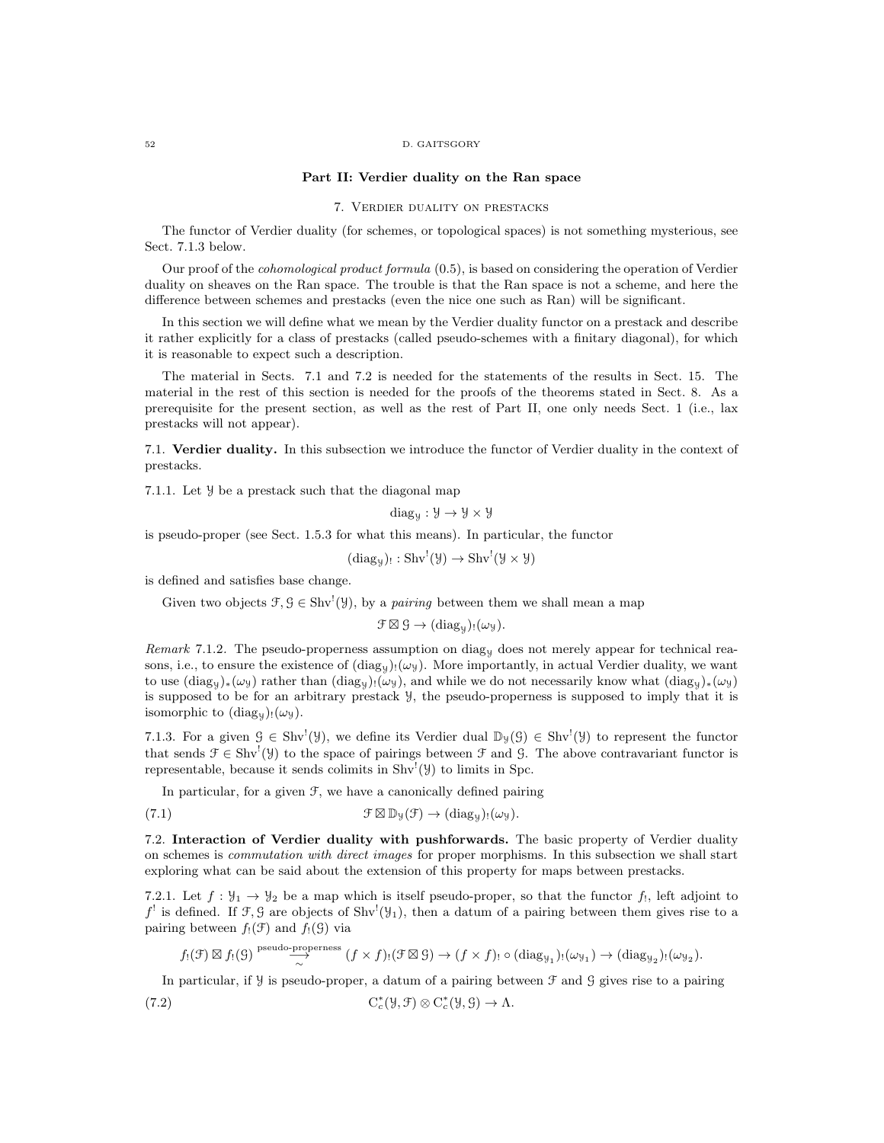#### 52 D. GAITSGORY

#### Part II: Verdier duality on the Ran space

### 7. Verdier duality on prestacks

The functor of Verdier duality (for schemes, or topological spaces) is not something mysterious, see Sect. 7.1.3 below.

Our proof of the cohomological product formula (0.5), is based on considering the operation of Verdier duality on sheaves on the Ran space. The trouble is that the Ran space is not a scheme, and here the difference between schemes and prestacks (even the nice one such as Ran) will be significant.

In this section we will define what we mean by the Verdier duality functor on a prestack and describe it rather explicitly for a class of prestacks (called pseudo-schemes with a finitary diagonal), for which it is reasonable to expect such a description.

The material in Sects. 7.1 and 7.2 is needed for the statements of the results in Sect. 15. The material in the rest of this section is needed for the proofs of the theorems stated in Sect. 8. As a prerequisite for the present section, as well as the rest of Part II, one only needs Sect. 1 (i.e., lax prestacks will not appear).

7.1. Verdier duality. In this subsection we introduce the functor of Verdier duality in the context of prestacks.

7.1.1. Let Y be a prestack such that the diagonal map

diag $y : Y \rightarrow Y \times Y$ 

is pseudo-proper (see Sect. 1.5.3 for what this means). In particular, the functor

$$
(\mathrm{diag}_y)_!: \mathrm{Shv}^!(\mathcal{Y}) \to \mathrm{Shv}^!(\mathcal{Y} \times \mathcal{Y})
$$

is defined and satisfies base change.

Given two objects  $f, \mathcal{G} \in \text{Shv}^1(\mathcal{Y})$ , by a *pairing* between them we shall mean a map

$$
\mathcal{F} \boxtimes \mathcal{G} \to (\mathrm{diag}_{\mathcal{Y}})_! (\omega_{\mathcal{Y}}).
$$

Remark 7.1.2. The pseudo-properness assumption on diag<sub>y</sub> does not merely appear for technical reasons, i.e., to ensure the existence of  $(\text{diag}_y)_! (\omega_y)$ . More importantly, in actual Verdier duality, we want to use  $(\text{diag}_y)_*(\omega_y)$  rather than  $(\text{diag}_y)_!(\omega_y)$ , and while we do not necessarily know what  $(\text{diag}_y)_*(\omega_y)$ is supposed to be for an arbitrary prestack Y, the pseudo-properness is supposed to imply that it is isomorphic to  $(\text{diag}_y)_! (\omega_y)$ .

7.1.3. For a given  $\mathcal{G} \in \text{Shv}^!(\mathcal{Y})$ , we define its Verdier dual  $\mathbb{D}_{\mathcal{Y}}(\mathcal{G}) \in \text{Shv}^!(\mathcal{Y})$  to represent the functor that sends  $\mathcal{F} \in \text{Shv}^1(\mathcal{Y})$  to the space of pairings between  $\mathcal{F}$  and  $\mathcal{G}$ . The above contravariant functor is representable, because it sends colimits in  $\text{Shv}^!(\mathcal{Y})$  to limits in Spc.

In particular, for a given  $\mathcal{F}$ , we have a canonically defined pairing

(7.1) 
$$
\mathcal{F} \boxtimes \mathbb{D}_{\mathcal{Y}}(\mathcal{F}) \to (\text{diag}_{\mathcal{Y}})!(\omega_{\mathcal{Y}}).
$$

7.2. Interaction of Verdier duality with pushforwards. The basic property of Verdier duality on schemes is commutation with direct images for proper morphisms. In this subsection we shall start exploring what can be said about the extension of this property for maps between prestacks.

7.2.1. Let  $f: \mathcal{Y}_1 \to \mathcal{Y}_2$  be a map which is itself pseudo-proper, so that the functor  $f_1$ , left adjoint to  $f'$  is defined. If  $\mathcal{F}, \mathcal{G}$  are objects of Shv<sup>!</sup>( $\mathcal{Y}_1$ ), then a datum of a pairing between them gives rise to a pairing between  $f_!(\mathcal{F})$  and  $f_!(\mathcal{G})$  via

$$
f_!(\mathcal{F}) \boxtimes f_!(\mathcal{G}) \stackrel{\text{pseudo-properness}}{\sim} (f \times f)_!(\mathcal{F} \boxtimes \mathcal{G}) \to (f \times f)_! \circ (\text{diag}_{\mathcal{Y}_1})_!(\omega_{\mathcal{Y}_1}) \to (\text{diag}_{\mathcal{Y}_2})_!(\omega_{\mathcal{Y}_2}).
$$

In particular, if  $\mathcal Y$  is pseudo-proper, a datum of a pairing between  $\mathcal F$  and  $\mathcal G$  gives rise to a pairing

(7.2) 
$$
C_c^*(\mathcal{Y}, \mathcal{F}) \otimes C_c^*(\mathcal{Y}, \mathcal{G}) \to \Lambda.
$$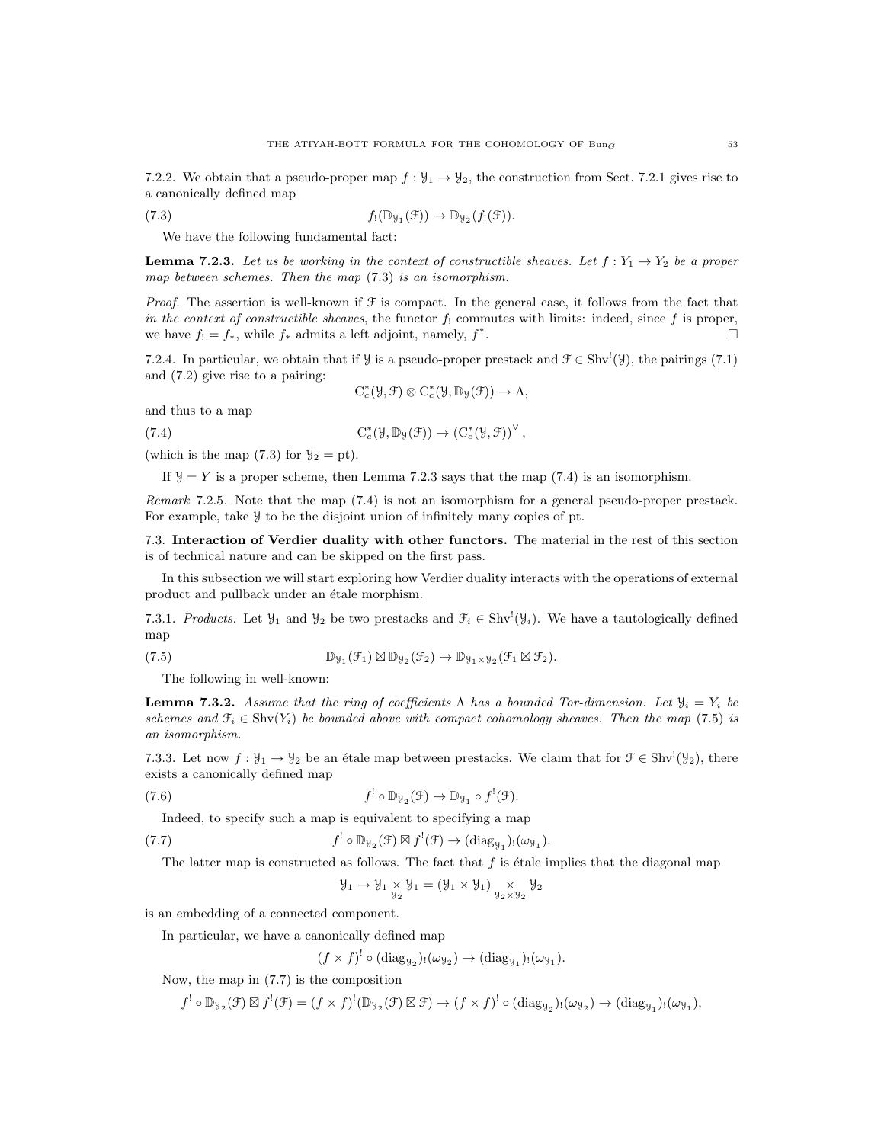7.2.2. We obtain that a pseudo-proper map  $f: \mathcal{Y}_1 \to \mathcal{Y}_2$ , the construction from Sect. 7.2.1 gives rise to a canonically defined map

(7.3) 
$$
f_!(\mathbb{D}_{\mathcal{Y}_1}(\mathcal{F})) \to \mathbb{D}_{\mathcal{Y}_2}(f_!(\mathcal{F})).
$$

We have the following fundamental fact:

**Lemma 7.2.3.** Let us be working in the context of constructible sheaves. Let  $f: Y_1 \to Y_2$  be a proper map between schemes. Then the map (7.3) is an isomorphism.

*Proof.* The assertion is well-known if  $\mathcal F$  is compact. In the general case, it follows from the fact that in the context of constructible sheaves, the functor  $f_!$  commutes with limits: indeed, since f is proper, we have  $f_! = f_*$ , while  $f_*$  admits a left adjoint, namely,  $f^*$ .

7.2.4. In particular, we obtain that if  $\mathcal{Y}$  is a pseudo-proper prestack and  $\mathcal{F} \in Shv'(\mathcal{Y})$ , the pairings (7.1) and (7.2) give rise to a pairing:

$$
C_c^*(\mathcal{Y}, \mathcal{F}) \otimes C_c^*(\mathcal{Y}, \mathbb{D}_{\mathcal{Y}}(\mathcal{F})) \to \Lambda,
$$

and thus to a map

(7.4) 
$$
C_c^*(\mathcal{Y}, \mathbb{D}_{\mathcal{Y}}(\mathcal{F})) \to (C_c^*(\mathcal{Y}, \mathcal{F}))^{\vee},
$$

(which is the map  $(7.3)$  for  $y_2 = pt$ ).

If  $y = Y$  is a proper scheme, then Lemma 7.2.3 says that the map (7.4) is an isomorphism.

Remark 7.2.5. Note that the map (7.4) is not an isomorphism for a general pseudo-proper prestack. For example, take Y to be the disjoint union of infinitely many copies of pt.

7.3. Interaction of Verdier duality with other functors. The material in the rest of this section is of technical nature and can be skipped on the first pass.

In this subsection we will start exploring how Verdier duality interacts with the operations of external product and pullback under an étale morphism.

7.3.1. Products. Let  $\mathcal{Y}_1$  and  $\mathcal{Y}_2$  be two prestacks and  $\mathcal{F}_i \in Shv'(\mathcal{Y}_i)$ . We have a tautologically defined map

(7.5) 
$$
\mathbb{D}_{\mathcal{Y}_1}(\mathcal{F}_1) \boxtimes \mathbb{D}_{\mathcal{Y}_2}(\mathcal{F}_2) \to \mathbb{D}_{\mathcal{Y}_1 \times \mathcal{Y}_2}(\mathcal{F}_1 \boxtimes \mathcal{F}_2).
$$

The following in well-known:

**Lemma 7.3.2.** Assume that the ring of coefficients  $\Lambda$  has a bounded Tor-dimension. Let  $\mathcal{Y}_i = Y_i$  be schemes and  $\mathcal{F}_i \in \text{Shv}(Y_i)$  be bounded above with compact cohomology sheaves. Then the map (7.5) is an isomorphism.

7.3.3. Let now  $f: \mathcal{Y}_1 \to \mathcal{Y}_2$  be an étale map between prestacks. We claim that for  $\mathcal{F} \in \text{Shv}^1(\mathcal{Y}_2)$ , there exists a canonically defined map

(7.6) 
$$
f' \circ \mathbb{D}_{\mathcal{Y}_2}(\mathcal{F}) \to \mathbb{D}_{\mathcal{Y}_1} \circ f'(\mathcal{F}).
$$

Indeed, to specify such a map is equivalent to specifying a map

(7.7) 
$$
f' \circ \mathbb{D}_{\mathcal{Y}_2}(\mathcal{F}) \boxtimes f'(\mathcal{F}) \to (\text{diag}_{\mathcal{Y}_1})_! (\omega_{\mathcal{Y}_1}).
$$

The latter map is constructed as follows. The fact that  $f$  is étale implies that the diagonal map

$$
\mathcal{Y}_1 \rightarrow \mathcal{Y}_1 \underset{\mathcal{Y}_2}{\times} \mathcal{Y}_1 = (\mathcal{Y}_1 \times \mathcal{Y}_1) \underset{\mathcal{Y}_2 \times \mathcal{Y}_2}{\times} \mathcal{Y}_2
$$

is an embedding of a connected component.

In particular, we have a canonically defined map

$$
(f \times f)^! \circ (\mathrm{diag}_{\mathcal{Y}_2})_! (\omega_{\mathcal{Y}_2}) \to (\mathrm{diag}_{\mathcal{Y}_1})_! (\omega_{\mathcal{Y}_1}).
$$

Now, the map in (7.7) is the composition

 $f' \circ \mathbb{D}_{\mathcal{Y}_2}(\mathcal{F}) \boxtimes f^{!}(\mathcal{F}) = (f \times f)^{!}(\mathbb{D}_{\mathcal{Y}_2}(\mathcal{F}) \boxtimes \mathcal{F}) \to (f \times f)^{!} \circ (\text{diag}_{\mathcal{Y}_2})_{!}(\omega_{\mathcal{Y}_2}) \to (\text{diag}_{\mathcal{Y}_1})_{!}(\omega_{\mathcal{Y}_1}),$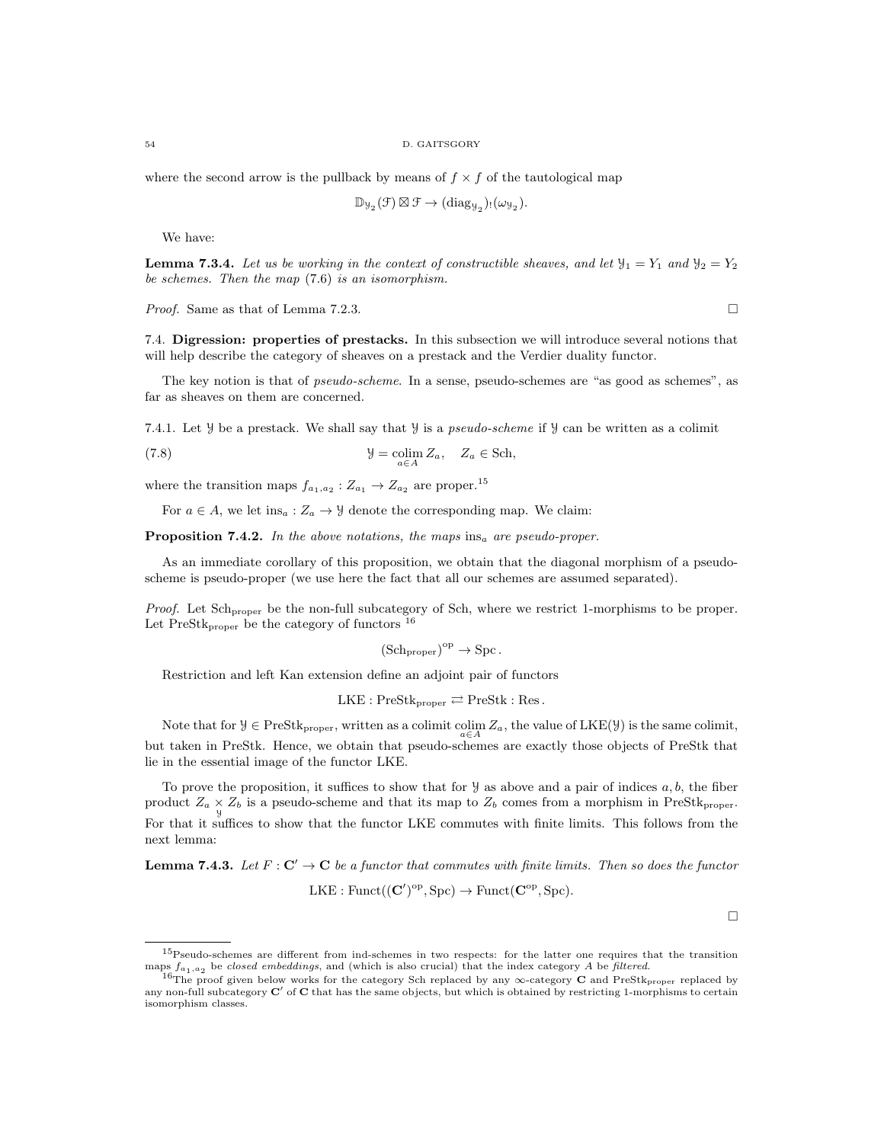where the second arrow is the pullback by means of  $f \times f$  of the tautological map

$$
\mathbb{D}_{\mathcal{Y}_{2}}(\mathcal{F})\boxtimes \mathcal{F} \rightarrow (\mathrm{diag}_{\mathcal{Y}_{2}})_{!}(\omega_{\mathcal{Y}_{2}}).
$$

We have:

**Lemma 7.3.4.** Let us be working in the context of constructible sheaves, and let  $\mathcal{Y}_1 = Y_1$  and  $\mathcal{Y}_2 = Y_2$ be schemes. Then the map (7.6) is an isomorphism.

*Proof.* Same as that of Lemma 7.2.3.

7.4. Digression: properties of prestacks. In this subsection we will introduce several notions that will help describe the category of sheaves on a prestack and the Verdier duality functor.

The key notion is that of pseudo-scheme. In a sense, pseudo-schemes are "as good as schemes", as far as sheaves on them are concerned.

7.4.1. Let  $\mathcal Y$  be a prestack. We shall say that  $\mathcal Y$  is a *pseudo-scheme* if  $\mathcal Y$  can be written as a colimit

(7.8) 
$$
\mathcal{Y} = \underset{a \in A}{\text{colim}} Z_a, \quad Z_a \in \text{Sch},
$$

where the transition maps  $f_{a_1,a_2}: Z_{a_1} \to Z_{a_2}$  are proper.<sup>15</sup>

For  $a \in A$ , we let ins<sub>a</sub> :  $Z_a \rightarrow \mathcal{Y}$  denote the corresponding map. We claim:

**Proposition 7.4.2.** In the above notations, the maps ins<sub>a</sub> are pseudo-proper.

As an immediate corollary of this proposition, we obtain that the diagonal morphism of a pseudoscheme is pseudo-proper (we use here the fact that all our schemes are assumed separated).

Proof. Let Sch<sub>proper</sub> be the non-full subcategory of Sch, where we restrict 1-morphisms to be proper. Let  $PreStk_{proper}$  be the category of functors  $^{16}$ 

$$
(\mathrm{Sch}_{\mathrm{proper}})^{\mathrm{op}} \to \mathrm{Spc}.
$$

Restriction and left Kan extension define an adjoint pair of functors

 $LKE : PreStk_{proper} \rightleftarrows PreStk : Res.$ 

Note that for  $\mathcal{Y} \in \text{PreStk}_{\text{proper}}$ , written as a colimit  $\operatorname{colim}_{a \in A} Z_a$ , the value of  $\text{LKE}(\mathcal{Y})$  is the same colimit, but taken in PreStk. Hence, we obtain that pseudo-schemes are exactly those objects of PreStk that lie in the essential image of the functor LKE.

To prove the proposition, it suffices to show that for  $\mathcal Y$  as above and a pair of indices  $a, b$ , the fiber product  $Z_a \times Z_b$  is a pseudo-scheme and that its map to  $Z_b$  comes from a morphism in PreStk<sub>proper</sub>. For that it suffices to show that the functor LKE commutes with finite limits. This follows from the next lemma:

**Lemma 7.4.3.** Let  $F: \mathbb{C}' \to \mathbb{C}$  be a functor that commutes with finite limits. Then so does the functor  $LKE : Funct((\mathbf{C}')^{\mathrm{op}}, \mathrm{Spc}) \to Funct(\mathbf{C}^{\mathrm{op}}, \mathrm{Spc}).$ 

 $\Box$ 

<sup>15</sup>Pseudo-schemes are different from ind-schemes in two respects: for the latter one requires that the transition maps  $f_{a_1,a_2}$  be closed embeddings, and (which is also crucial) that the index category A be filtered.

<sup>&</sup>lt;sup>16</sup>The proof given below works for the category Sch replaced by any ∞-category C and PreStk<sub>proper</sub> replaced by any non-full subcategory  $C'$  of  $C$  that has the same objects, but which is obtained by restricting 1-morphisms to certain isomorphism classes.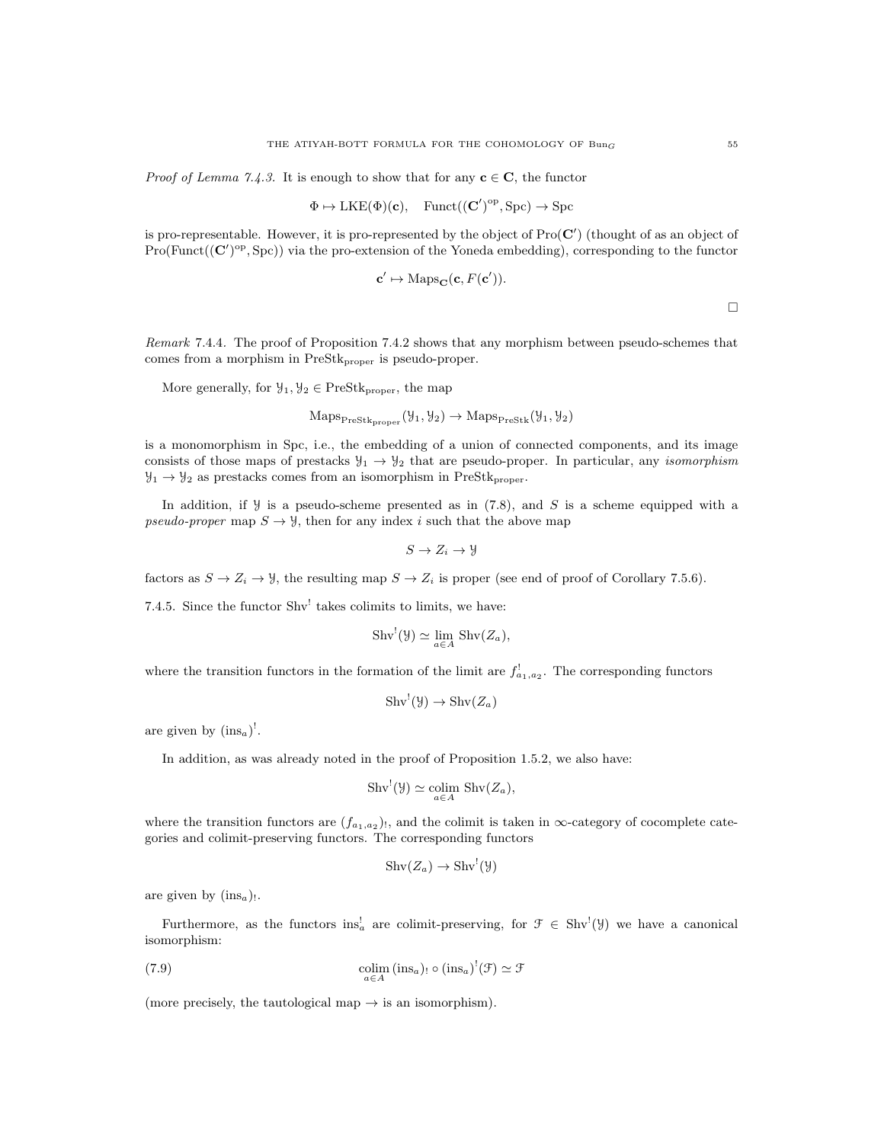*Proof of Lemma 7.4.3.* It is enough to show that for any  $c \in C$ , the functor

$$
\Phi \mapsto \text{LKE}(\Phi)(\mathbf{c}), \quad \text{Funct}((\mathbf{C}')^{\text{op}}, \text{Spc}) \to \text{Spc}
$$

is pro-representable. However, it is pro-represented by the object of  $\text{Pro}(\mathbf{C}')$  (thought of as an object of  $Pro(Funct((\mathbf{C}')^{\text{op}}, \text{Spc}))$  via the pro-extension of the Yoneda embedding), corresponding to the functor

$$
\mathbf{c}' \mapsto \mathrm{Maps}_{\mathbf{C}}(\mathbf{c}, F(\mathbf{c}')).
$$

 $\Box$ 

Remark 7.4.4. The proof of Proposition 7.4.2 shows that any morphism between pseudo-schemes that comes from a morphism in PreStk<sub>proper</sub> is pseudo-proper.

More generally, for  $\mathcal{Y}_1, \mathcal{Y}_2 \in \text{PreStk}_{\text{proper}}$ , the map

$$
\mathrm{Maps}_{\mathrm{PreStk}_{\mathrm{proper}}}(\mathcal{Y}_1, \mathcal{Y}_2) \to \mathrm{Maps}_{\mathrm{PreStk}}(\mathcal{Y}_1, \mathcal{Y}_2)
$$

is a monomorphism in Spc, i.e., the embedding of a union of connected components, and its image consists of those maps of prestacks  $y_1 \rightarrow y_2$  that are pseudo-proper. In particular, any *isomorphism*  $\mathcal{Y}_1 \rightarrow \mathcal{Y}_2$  as prestacks comes from an isomorphism in PreStk<sub>proper</sub>.

In addition, if  $\mathcal Y$  is a pseudo-scheme presented as in (7.8), and S is a scheme equipped with a pseudo-proper map  $S \to \mathcal{Y}$ , then for any index i such that the above map

$$
S \to Z_i \to \mathcal{Y}
$$

factors as  $S \to Z_i \to \mathcal{Y}$ , the resulting map  $S \to Z_i$  is proper (see end of proof of Corollary 7.5.6).

7.4.5. Since the functor  $Shv^!$  takes colimits to limits, we have:

$$
Shv^{!}(\mathcal{Y}) \simeq \lim_{a \in A} Shv(Z_{a}),
$$

where the transition functors in the formation of the limit are  $f_{a_1,a_2}^!$ . The corresponding functors

$$
Shv^{!}(\mathcal{Y})\to Shv(Z_a)
$$

are given by  $(\text{ins}_a)^!$ .

In addition, as was already noted in the proof of Proposition 1.5.2, we also have:

$$
Shv^{!}(\mathcal{Y}) \simeq \underset{a \in A}{\text{colim}} Shv(Z_a),
$$

where the transition functors are  $(f_{a_1,a_2})$ , and the colimit is taken in  $\infty$ -category of cocomplete categories and colimit-preserving functors. The corresponding functors

$$
Shv(Z_a) \to Shv^!(\mathcal{Y})
$$

are given by  $(\text{ins}_a)$ .

Furthermore, as the functors  $ins_a^!$  are colimit-preserving, for  $\mathcal{F} \in Shv^!(\mathcal{Y})$  we have a canonical isomorphism:

(7.9) 
$$
\underset{a \in A}{\text{colim}} (\text{ins}_a)_! \circ (\text{ins}_a)^! (\mathcal{F}) \simeq \mathcal{F}
$$

(more precisely, the tautological map  $\rightarrow$  is an isomorphism).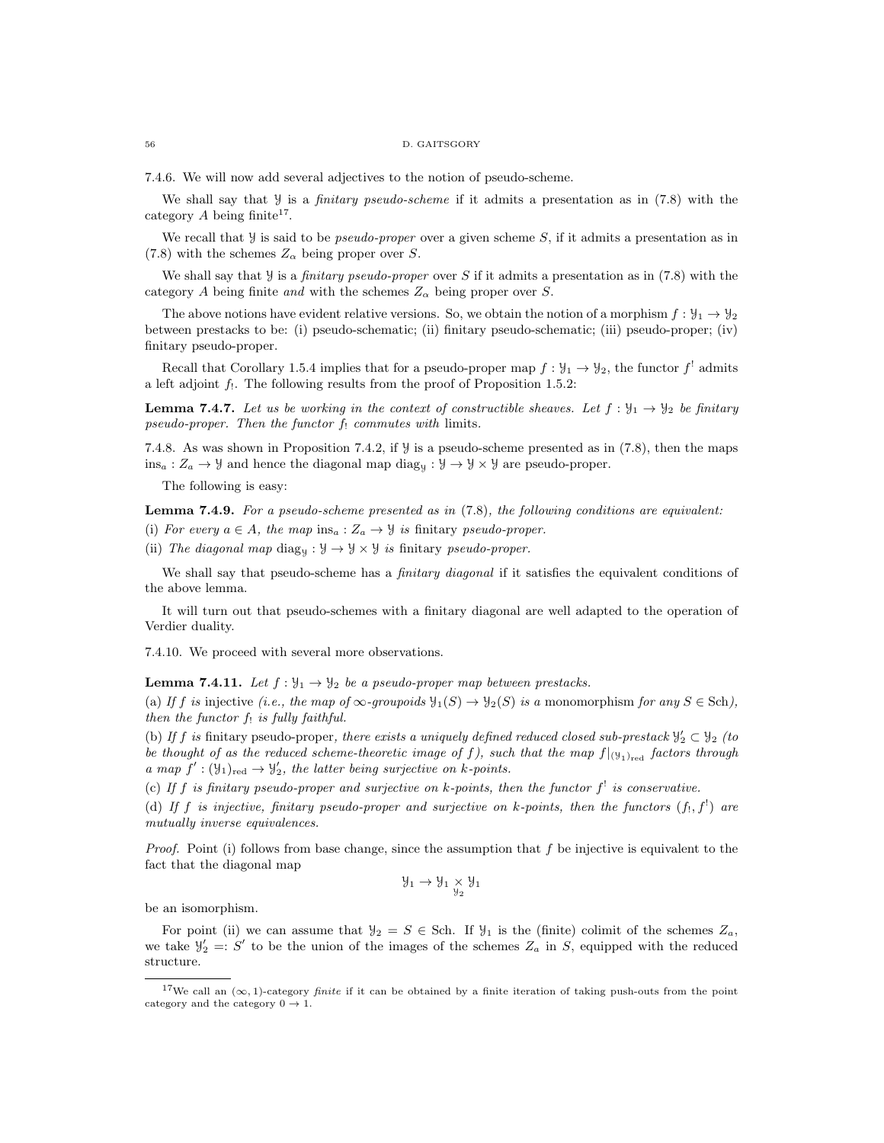#### 56 D. GAITSGORY

7.4.6. We will now add several adjectives to the notion of pseudo-scheme.

We shall say that  $\mathcal Y$  is a *finitary pseudo-scheme* if it admits a presentation as in  $(7.8)$  with the category  $A$  being finite<sup>17</sup>.

We recall that  $\mathcal Y$  is said to be *pseudo-proper* over a given scheme S, if it admits a presentation as in (7.8) with the schemes  $Z_{\alpha}$  being proper over S.

We shall say that  $\mathcal Y$  is a *finitary pseudo-proper* over S if it admits a presentation as in (7.8) with the category A being finite and with the schemes  $Z_{\alpha}$  being proper over S.

The above notions have evident relative versions. So, we obtain the notion of a morphism  $f : \mathcal{Y}_1 \to \mathcal{Y}_2$ between prestacks to be: (i) pseudo-schematic; (ii) finitary pseudo-schematic; (iii) pseudo-proper; (iv) finitary pseudo-proper.

Recall that Corollary 1.5.4 implies that for a pseudo-proper map  $f: \mathcal{Y}_1 \to \mathcal{Y}_2$ , the functor  $f'$  admits a left adjoint  $f_1$ . The following results from the proof of Proposition 1.5.2:

**Lemma 7.4.7.** Let us be working in the context of constructible sheaves. Let  $f : \mathcal{Y}_1 \to \mathcal{Y}_2$  be finitary pseudo-proper. Then the functor  $f_!$  commutes with limits.

7.4.8. As was shown in Proposition 7.4.2, if Y is a pseudo-scheme presented as in (7.8), then the maps  $ins_a: Z_a \to \mathcal{Y}$  and hence the diagonal map  $\text{diag}_\mathcal{Y}: \mathcal{Y} \to \mathcal{Y} \times \mathcal{Y}$  are pseudo-proper.

The following is easy:

**Lemma 7.4.9.** For a pseudo-scheme presented as in  $(7.8)$ , the following conditions are equivalent:

(i) For every  $a \in A$ , the map  $ins_a : Z_a \to Y$  is finitary pseudo-proper.

(ii) The diagonal map diag<sub>y</sub>:  $\mathcal{Y} \rightarrow \mathcal{Y} \times \mathcal{Y}$  is finitary pseudo-proper.

We shall say that pseudo-scheme has a *finitary diagonal* if it satisfies the equivalent conditions of the above lemma.

It will turn out that pseudo-schemes with a finitary diagonal are well adapted to the operation of Verdier duality.

7.4.10. We proceed with several more observations.

**Lemma 7.4.11.** Let  $f : \mathcal{Y}_1 \to \mathcal{Y}_2$  be a pseudo-proper map between prestacks.

(a) If f is injective (i.e., the map of  $\infty$ -groupoids  $\mathcal{Y}_1(S) \to \mathcal{Y}_2(S)$  is a monomorphism for any  $S \in Sch$ ), then the functor  $f_!$  is fully faithful.

(b) If f is finitary pseudo-proper, there exists a uniquely defined reduced closed sub-prestack  $\mathcal{Y}'_2 \subset \mathcal{Y}_2$  (to be thought of as the reduced scheme-theoretic image of f), such that the map  $f|_{(\mathcal{Y}_1)_{\text{red}}}$  factors through a map  $f' : (\mathcal{Y}_1)_{\text{red}} \to \mathcal{Y}'_2$ , the latter being surjective on k-points.

(c) If f is finitary pseudo-proper and surjective on k-points, then the functor  $f^{\dagger}$  is conservative.

(d) If f is injective, finitary pseudo-proper and surjective on k-points, then the functors  $(f_!, f^!)$  are mutually inverse equivalences.

*Proof.* Point (i) follows from base change, since the assumption that  $f$  be injective is equivalent to the fact that the diagonal map

$$
\mathcal{Y}_1 \to \mathcal{Y}_1 \underset{\mathcal{Y}_2}{\times} \mathcal{Y}_1
$$

be an isomorphism.

For point (ii) we can assume that  $y_2 = S \in$  Sch. If  $y_1$  is the (finite) colimit of the schemes  $Z_a$ , we take  $\mathcal{Y}'_2 =: S'$  to be the union of the images of the schemes  $Z_a$  in S, equipped with the reduced structure.

<sup>&</sup>lt;sup>17</sup>We call an  $(\infty, 1)$ -category *finite* if it can be obtained by a finite iteration of taking push-outs from the point category and the category  $0 \rightarrow 1$ .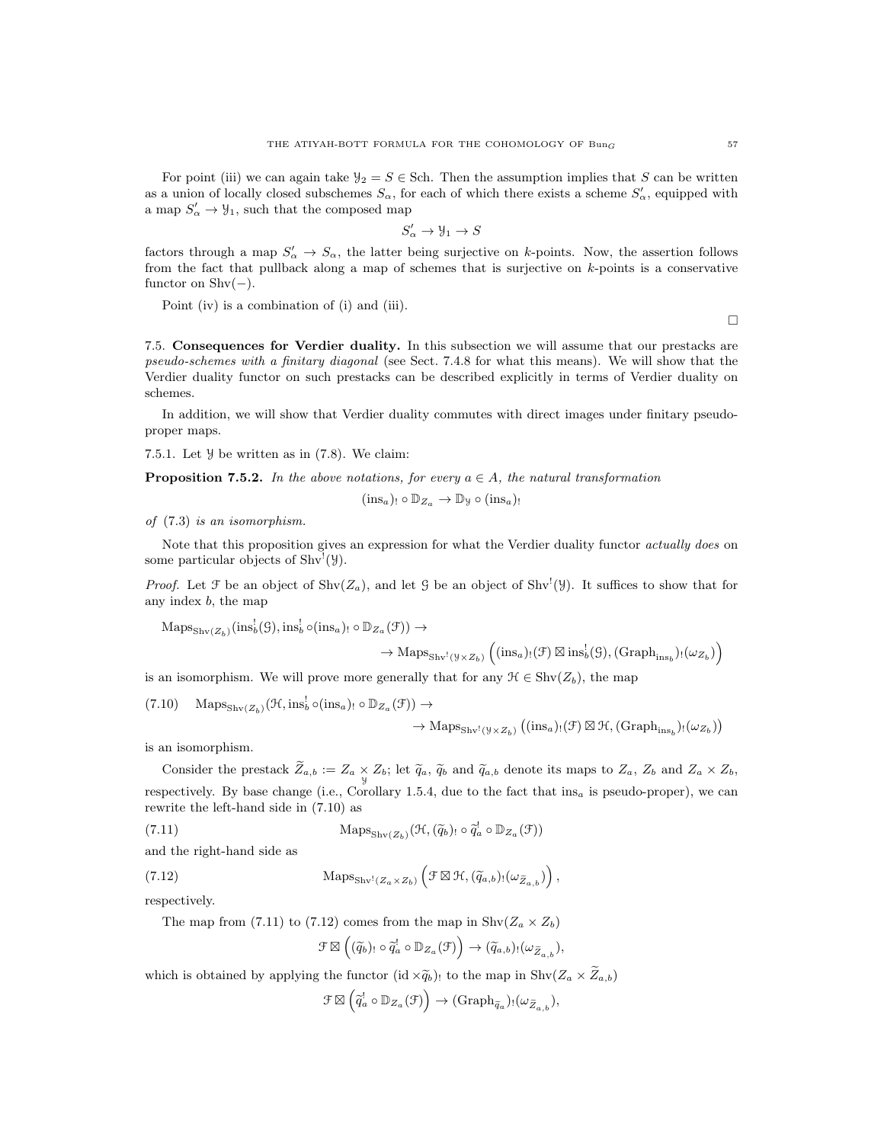For point (iii) we can again take  $\mathcal{Y}_2 = S \in$  Sch. Then the assumption implies that S can be written as a union of locally closed subschemes  $S_{\alpha}$ , for each of which there exists a scheme  $S'_{\alpha}$ , equipped with a map  $S'_\n\alpha \to \mathcal{Y}_1$ , such that the composed map

$$
S'_{\alpha} \to \mathcal{Y}_1 \to S
$$

factors through a map  $S'_\n\alpha \to S_\alpha$ , the latter being surjective on k-points. Now, the assertion follows from the fact that pullback along a map of schemes that is surjective on  $k$ -points is a conservative functor on  $\text{Shv}(-)$ .

Point (iv) is a combination of (i) and (iii).

7.5. Consequences for Verdier duality. In this subsection we will assume that our prestacks are pseudo-schemes with a finitary diagonal (see Sect. 7.4.8 for what this means). We will show that the Verdier duality functor on such prestacks can be described explicitly in terms of Verdier duality on schemes.

In addition, we will show that Verdier duality commutes with direct images under finitary pseudoproper maps.

7.5.1. Let  $\mathcal Y$  be written as in  $(7.8)$ . We claim:

**Proposition 7.5.2.** In the above notations, for every  $a \in A$ , the natural transformation

$$
(\text{ins}_a)_{!} \circ \mathbb{D}_{Z_a} \to \mathbb{D}_y \circ (\text{ins}_a)_{!}
$$

of (7.3) is an isomorphism.

Note that this proposition gives an expression for what the Verdier duality functor *actually does* on some particular objects of  $\text{Shv}^!(\mathcal{Y})$ .

*Proof.* Let  $\mathcal F$  be an object of  $\text{Shv}(Z_a)$ , and let  $\mathcal G$  be an object of  $\text{Shv}^{\text{l}}(\mathcal Y)$ . It suffices to show that for any index b, the map

 $\mathrm{Maps}_{\mathrm{Shv}(Z_b)}(\mathrm{ins}_b^!(\mathcal{G}),\mathrm{ins}_b^! \circ (\mathrm{ins}_a)_{!} \circ \mathbb{D}_{Z_a}(\mathcal{F})) \rightarrow$ 

$$
\to \mathrm{Maps}_{\mathrm{Shv}^!(\mathcal{Y}\times Z_b)}\left((\mathrm{ins}_a)_!(\mathcal{F})\boxtimes\mathrm{ins}_b^!(\mathcal{G}),(\mathrm{Graph}_{\mathrm{ins}_b})_!(\omega_{Z_b})\right)
$$

is an isomorphism. We will prove more generally that for any  $\mathcal{H} \in \text{Shv}(Z_b)$ , the map

(7.10) 
$$
\operatorname{Maps}_{\operatorname{Shv}(Z_b)}(\mathcal{H},\operatorname{ins}_b^! \circ (\operatorname{ins}_a)_! \circ \mathbb{D}_{Z_a}(\mathcal{F})) \to
$$

$$
\rightarrow \mathrm{Maps}_{\mathrm{Shv}^!(\mathcal{Y}\times Z_b)}\left((\mathrm{ins}_a)_!(\mathcal{F})\boxtimes \mathcal{H},(\mathrm{Graph}_{\mathrm{ins}_b})_!(\omega_{Z_b})\right)
$$

is an isomorphism.

Consider the prestack  $Z_{a,b} := Z_a \times Z_b$ ; let  $\widetilde{q}_a$ ,  $\widetilde{q}_b$  and  $\widetilde{q}_{a,b}$  denote its maps to  $Z_a$ ,  $Z_b$  and  $Z_a \times Z_b$ , respectively. By base change (i.e., Corollary 1.5.4, due to the fact that ins<sub>a</sub> is pseudo-proper), we can rewrite the left-hand side in (7.10) as

(7.11) 
$$
\operatorname{Maps}_{\operatorname{Shv}(Z_b)}(\mathcal{H}, (\widetilde{q}_b)_{!} \circ \widetilde{q}_a' \circ \mathbb{D}_{Z_a}(\mathcal{F}))
$$

and the right-hand side as

(7.12) 
$$
\operatorname{Maps}_{\operatorname{Shv}^1(Z_a \times Z_b)} \left( \mathcal{F} \boxtimes \mathcal{H}, (\widetilde{q}_{a,b})_! (\omega_{\widetilde{Z}_{a,b}}) \right),
$$

respectively.

The map from (7.11) to (7.12) comes from the map in  $\text{Shv}(Z_a \times Z_b)$ 

$$
\mathcal{F} \boxtimes \left( (\widetilde{q}_b)_! \circ \widetilde{q}_a^! \circ \mathbb{D}_{Z_a}(\mathcal{F}) \right) \to (\widetilde{q}_{a,b})_! (\omega_{\widetilde{Z}_{a,b}}),
$$

which is obtained by applying the functor  $(id \times \widetilde{q}_b)!$  to the map in  $\text{Shv}(Z_a \times \widetilde{Z}_{a,b})$ 

$$
\mathcal{F} \boxtimes \left( \widetilde{q}_a^! \circ \mathbb{D}_{Z_a}(\mathcal{F}) \right) \to (\mathrm{Graph}_{\widetilde{q}_a})_! (\omega_{\widetilde{Z}_{a,b}}),
$$

 $\Box$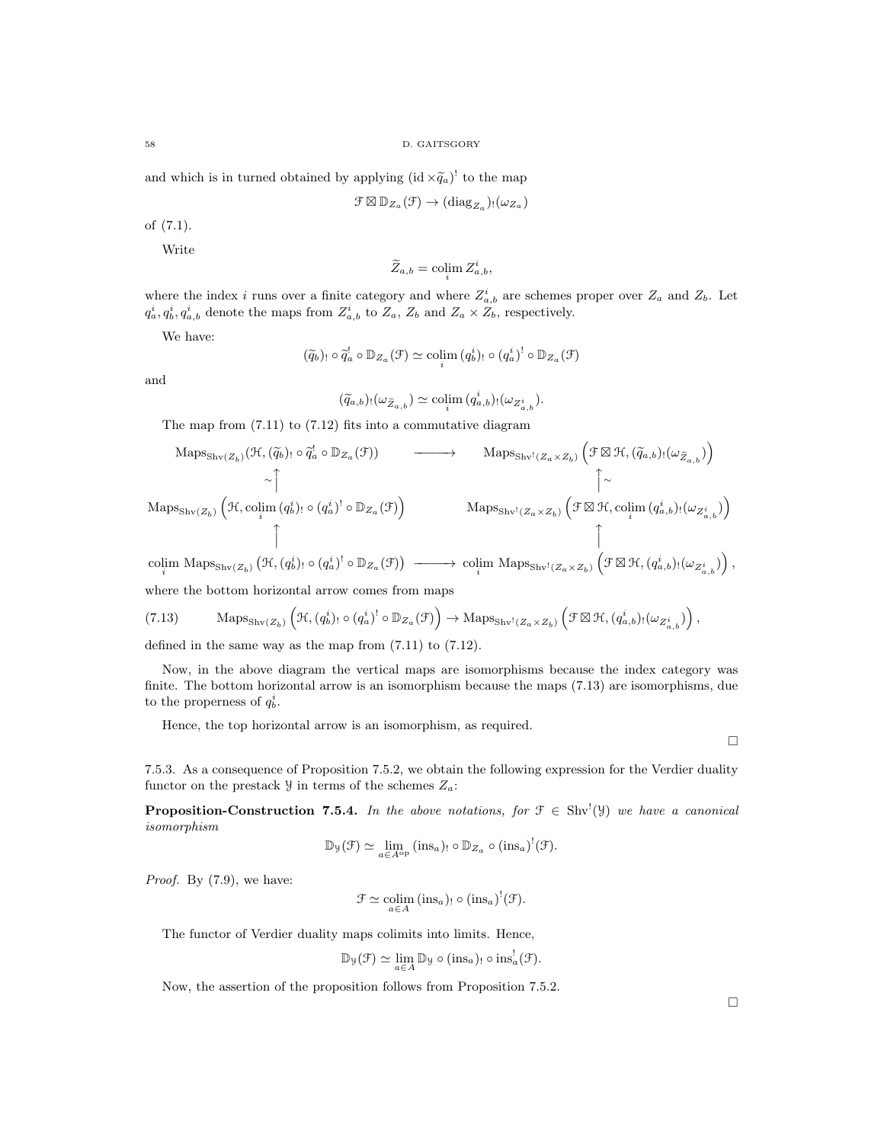and which is in turned obtained by applying  $(id \times \widetilde{q}_a)^!$  to the map

$$
\mathcal{F} \boxtimes \mathbb{D}_{Z_a}(\mathcal{F}) \to (\mathrm{diag}_{Z_a})_! (\omega_{Z_a})
$$

of (7.1).

Write

$$
\widetilde{Z}_{a,b} = \operatorname{colim}_i Z^i_{a,b},
$$

where the index i runs over a finite category and where  $Z_{a,b}^{i}$  are schemes proper over  $Z_a$  and  $Z_b$ . Let  $q_a^i, q_b^i, q_{a,b}^i$  denote the maps from  $Z_{a,b}^i$  to  $Z_a$ ,  $Z_b$  and  $Z_a \times Z_b$ , respectively.

We have:

$$
(\widetilde{q}_b)_! \circ \widetilde{q}_a^! \circ \mathbb{D}_{Z_a}(\mathcal{F}) \simeq \operatorname{colim}_i (q_b^i)_! \circ (q_a^i)^! \circ \mathbb{D}_{Z_a}(\mathcal{F})
$$

and

$$
(\widetilde{q}_{a,b})_!(\omega_{\widetilde{Z}_{a,b}}) \simeq \operatorname{colim}_{i} (q_{a,b}^i)_!(\omega_{Z_{a,b}^i}).
$$

The map from (7.11) to (7.12) fits into a commutative diagram

$$
\begin{array}{cccc}\n\text{Maps}_{\text{Shv}(Z_b)}(\mathcal{H}, (\widetilde{q}_b) \cap \widetilde{q}_a^l \circ \mathbb{D}_{Z_a}(\mathcal{F})) & \longrightarrow & \text{Maps}_{\text{Shv}^1(Z_a \times Z_b)} (\mathcal{F} \boxtimes \mathcal{H}, (\widetilde{q}_{a,b}) \cap (\omega_{\widetilde{Z}_{a,b}})) \\
& \sim \uparrow & & \uparrow & & \uparrow \\
\text{Maps}_{\text{Shv}(Z_b)} (\mathcal{H}, \text{colim}(q_b^i) \cap (q_a^i)^l \circ \mathbb{D}_{Z_a}(\mathcal{F})) & \text{Maps}_{\text{Shv}^1(Z_a \times Z_b)} (\mathcal{F} \boxtimes \mathcal{H}, \text{colim}(q_{a,b}^i) \cap (\omega_{Z_{a,b}^i})) \\
& & \uparrow & & \uparrow \\
\text{colim Maps}_{\text{Shv}(Z_b)} (\mathcal{H}, (q_b^i) \cap (q_a^i)^l \circ \mathbb{D}_{Z_a}(\mathcal{F})) & \longrightarrow & \text{colim Maps}_{\text{Shv}^1(Z_a \times Z_b)} (\mathcal{F} \boxtimes \mathcal{H}, (q_{a,b}^i) \cap (\omega_{Z_{a,b}^i}))\n\end{array}
$$

where the bottom horizontal arrow comes from maps

$$
(7.13) \qquad \text{Maps}_{\text{Shv}(Z_b)}\left(\mathcal{H}, (q_b^i) : \circ (q_a^i)^! \circ \mathbb{D}_{Z_a}(\mathcal{F})\right) \to \text{Maps}_{\text{Shv}^!(Z_a \times Z_b)}\left(\mathcal{F} \boxtimes \mathcal{H}, (q_{a,b}^i) : (\omega_{Z_{a,b}^i})\right),
$$

defined in the same way as the map from (7.11) to (7.12).

Now, in the above diagram the vertical maps are isomorphisms because the index category was finite. The bottom horizontal arrow is an isomorphism because the maps (7.13) are isomorphisms, due to the properness of  $q_b^i$ .

Hence, the top horizontal arrow is an isomorphism, as required.

 $\Box$ 

7.5.3. As a consequence of Proposition 7.5.2, we obtain the following expression for the Verdier duality functor on the prestack  $\mathcal{Y}$  in terms of the schemes  $Z_a$ :

**Proposition-Construction 7.5.4.** In the above notations, for  $\mathcal{F} \in Shv'(\mathcal{Y})$  we have a canonical isomorphism

$$
\mathbb{D}_{\mathcal{Y}}(\mathcal{F}) \simeq \lim_{a \in A^{\mathrm{op}}} (\text{ins}_a)_{!} \circ \mathbb{D}_{Z_a} \circ (\text{ins}_a)^!(\mathcal{F}).
$$

Proof. By  $(7.9)$ , we have:

$$
\mathcal{F} \simeq \underset{a \in A}{\text{colim}} (\text{ins}_a)_{!} \circ (\text{ins}_a)^! (\mathcal{F}).
$$

The functor of Verdier duality maps colimits into limits. Hence,

$$
\mathbb{D}_{\mathcal{Y}}(\mathcal{F}) \simeq \lim_{a \in A} \mathbb{D}_{\mathcal{Y}} \circ (\text{ins}_a)_{!} \circ \text{ins}_a^!(\mathcal{F}).
$$

Now, the assertion of the proposition follows from Proposition 7.5.2.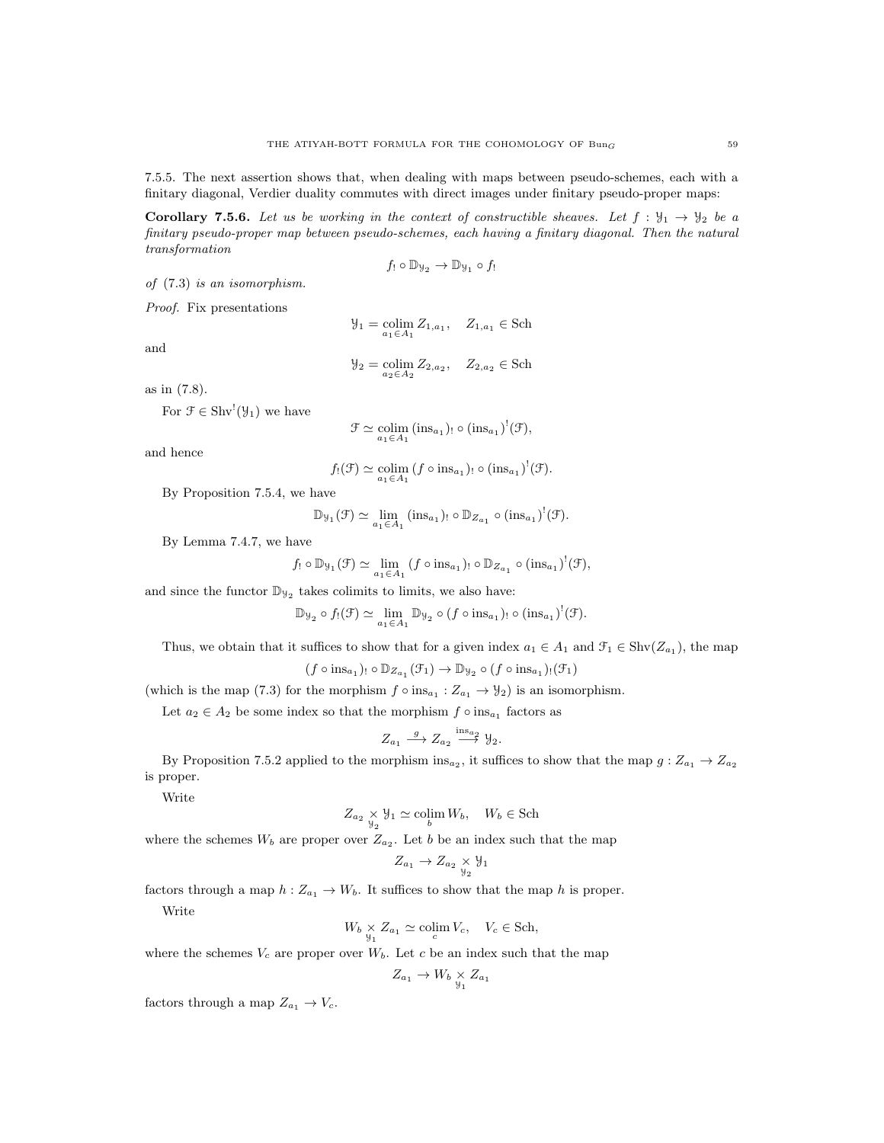7.5.5. The next assertion shows that, when dealing with maps between pseudo-schemes, each with a finitary diagonal, Verdier duality commutes with direct images under finitary pseudo-proper maps:

**Corollary 7.5.6.** Let us be working in the context of constructible sheaves. Let  $f : \mathcal{Y}_1 \to \mathcal{Y}_2$  be a finitary pseudo-proper map between pseudo-schemes, each having a finitary diagonal. Then the natural transformation

$$
f_! \circ \mathbb{D}_{\mathcal{Y}_2} \to \mathbb{D}_{\mathcal{Y}_1} \circ f_!
$$

of (7.3) is an isomorphism.

Proof. Fix presentations

and

$$
\mathcal{Y}_2 = \operatornamewithlimits{colim}_{a_2 \in A_2} Z_{2, a_2}, \quad Z_{2, a_2} \in \text{Sch}
$$

 $\mathcal{Y}_1 = \operatornamewithlimits{colim}_{a_1 \in A_1} Z_{1, a_1}, \quad Z_{1, a_1} \in \text{Sch}$ 

as in (7.8).

For  $\mathcal{F} \in \text{Shv}^!(\mathcal{Y}_1)$  we have

$$
\mathcal{F} \simeq \underset{a_1 \in A_1}{\text{colim}} (\text{ins}_{a_1})_! \circ (\text{ins}_{a_1})^!(\mathcal{F}),
$$

and hence

$$
f_!(\mathfrak{F}) \simeq \underset{a_1 \in A_1}{\text{colim}} (f \circ \text{ins}_{a_1})_! \circ (\text{ins}_{a_1})^!(\mathfrak{F}).
$$

By Proposition 7.5.4, we have

 $\mathbb{D}_{\mathcal{Y}_1}(\mathcal{F}) \simeq \lim_{a_1 \in A_1} (\text{ins}_{a_1})_! \circ \mathbb{D}_{Z_{a_1}} \circ (\text{ins}_{a_1})^!(\mathcal{F}).$ 

By Lemma 7.4.7, we have

$$
f_! \circ \mathbb{D}_{\mathcal{Y}_1}(\mathcal{F}) \simeq \lim_{a_1 \in A_1} (f \circ \text{ins}_{a_1})_! \circ \mathbb{D}_{Z_{a_1}} \circ (\text{ins}_{a_1})^!(\mathcal{F}),
$$

and since the functor  $\mathbb{D}_{\mathcal{Y}_2}$  takes colimits to limits, we also have:

$$
\mathbb{D}_{\mathcal{Y}_2} \circ f_!(\mathcal{F}) \simeq \lim_{a_1 \in A_1} \mathbb{D}_{\mathcal{Y}_2} \circ (f \circ \text{ins}_{a_1})_! \circ (\text{ins}_{a_1})^!(\mathcal{F}).
$$

Thus, we obtain that it suffices to show that for a given index  $a_1 \in A_1$  and  $\mathcal{F}_1 \in \text{Shv}(Z_{a_1})$ , the map

$$
(f \circ ins_{a_1})_! \circ \mathbb{D}_{Z_{a_1}}(\mathcal{F}_1) \to \mathbb{D}_{\mathcal{Y}_2} \circ (f \circ ins_{a_1})_! (\mathcal{F}_1)
$$

(which is the map (7.3) for the morphism  $f \circ ins_{a_1} : Z_{a_1} \to \mathcal{Y}_2$ ) is an isomorphism.

Let  $a_2 \in A_2$  be some index so that the morphism  $f \circ ins_{a_1}$  factors as

$$
Z_{a_1} \xrightarrow{g} Z_{a_2} \xrightarrow{\text{ins}_{a_2}} \mathcal{Y}_2.
$$

By Proposition 7.5.2 applied to the morphism ins<sub>a2</sub>, it suffices to show that the map  $g: Z_{a_1} \to Z_{a_2}$ is proper.

Write

$$
Z_{a_2} \underset{\mathcal{Y}_2}{\times} \mathcal{Y}_1 \simeq \operatorname{colim}_{b} W_b, \quad W_b \in \text{Sch}
$$

where the schemes  $W_b$  are proper over  $Z_{a_2}$ . Let b be an index such that the map

$$
Z_{a_1} \to Z_{a_2} \underset{\mathcal{Y}_2}{\times} \mathcal{Y}_1
$$

factors through a map  $h: Z_{a_1} \to W_b$ . It suffices to show that the map h is proper.

Write

$$
W_b \underset{y_1}{\times} Z_{a_1} \simeq \operatorname{colim}_c V_c, \quad V_c \in \text{Sch},
$$

where the schemes  $V_c$  are proper over  $W_b$ . Let c be an index such that the map

$$
Z_{a_1} \to W_b \underset{\mathcal{Y}_1}{\times} Z_{a_1}
$$

factors through a map  $Z_{a_1} \to V_c$ .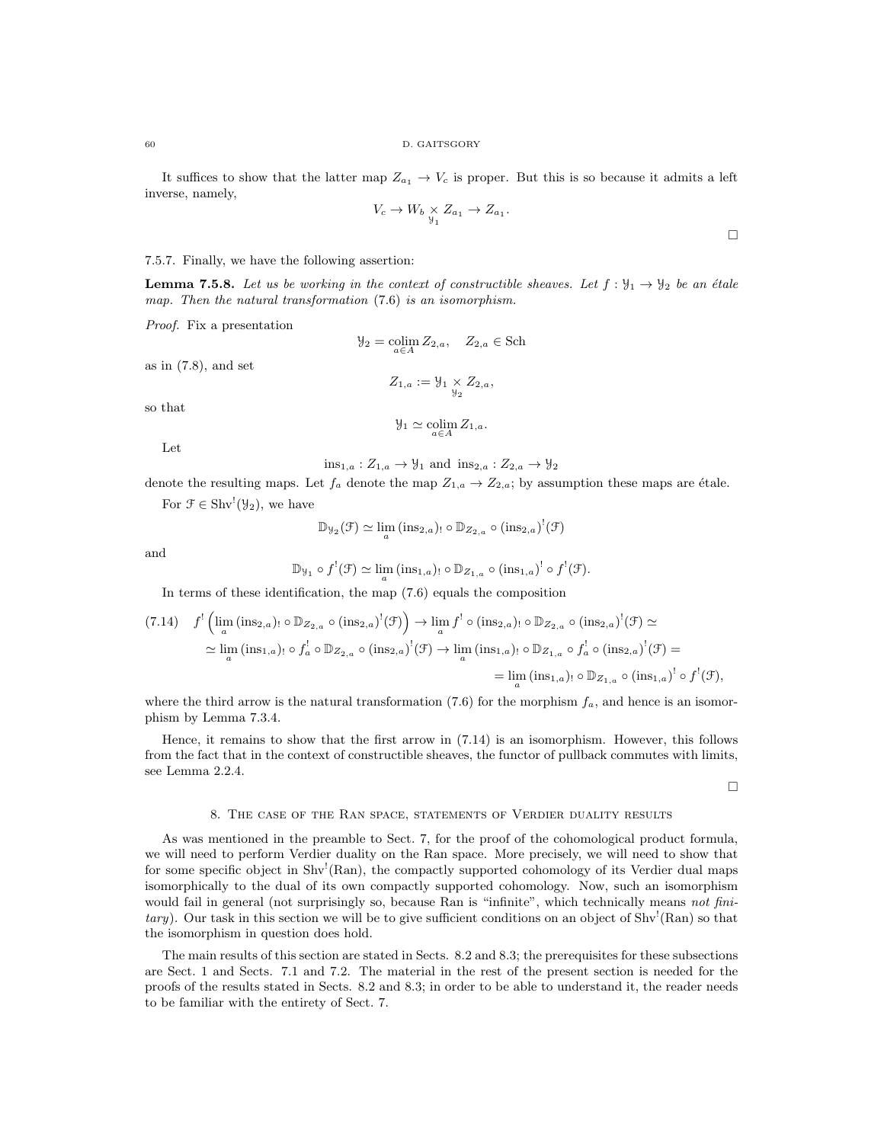It suffices to show that the latter map  $Z_{a_1} \to V_c$  is proper. But this is so because it admits a left inverse, namely,

$$
V_c \to W_b \underset{\mathcal{Y}_1}{\times} Z_{a_1} \to Z_{a_1}.
$$

# 7.5.7. Finally, we have the following assertion:

**Lemma 7.5.8.** Let us be working in the context of constructible sheaves. Let  $f : \mathcal{Y}_1 \to \mathcal{Y}_2$  be an étale map. Then the natural transformation  $(7.6)$  is an isomorphism.

Proof. Fix a presentation

as in  $(7.8)$ , and set

$$
\mathcal{Y}_2 = \underset{a \in A}{\text{colim}} Z_{2,a}, \quad Z_{2,a} \in \text{Sch}
$$
  

$$
Z_{1,a} := \mathcal{Y}_1 \times Z_{2,a},
$$

so that

$$
\mathcal{Y}_1 \simeq \operatornamewithlimits{colim}_{a \in A} Z_{1,a}.
$$

Let

 $ins_{1,a}: Z_{1,a} \rightarrow \mathcal{Y}_1$  and  $ins_{2,a}: Z_{2,a} \rightarrow \mathcal{Y}_2$ 

denote the resulting maps. Let  $f_a$  denote the map  $Z_{1,a} \to Z_{2,a}$ ; by assumption these maps are étale.

For  $\mathcal{F} \in \text{Shv}^!(\mathcal{Y}_2)$ , we have

$$
\mathbb{D}_{\mathcal{Y}_2}(\mathcal{F}) \simeq \lim_{a} (\text{ins}_{2,a})_! \circ \mathbb{D}_{Z_{2,a}} \circ (\text{ins}_{2,a})^!(\mathcal{F})
$$

and

$$
\mathbb{D}_{\mathcal{Y}_1} \circ f^!(\mathcal{F}) \simeq \lim_{a} (\text{ins}_{1,a})_! \circ \mathbb{D}_{Z_{1,a}} \circ (\text{ins}_{1,a})^! \circ f^!(\mathcal{F}).
$$

In terms of these identification, the map (7.6) equals the composition

$$
(7.14) \quad f^{!} \left( \lim_{a} (\text{ins}_{2,a})_! \circ \mathbb{D}_{Z_{2,a}} \circ (\text{ins}_{2,a})^! (\mathcal{F}) \right) \to \lim_{a} f^{!} \circ (\text{ins}_{2,a})_! \circ \mathbb{D}_{Z_{2,a}} \circ (\text{ins}_{2,a})^! (\mathcal{F}) \simeq
$$
  

$$
\simeq \lim_{a} (\text{ins}_{1,a})_! \circ f^{!}_{a} \circ \mathbb{D}_{Z_{2,a}} \circ (\text{ins}_{2,a})^! (\mathcal{F}) \to \lim_{a} (\text{ins}_{1,a})_! \circ \mathbb{D}_{Z_{1,a}} \circ f^{!}_{a} \circ (\text{ins}_{2,a})^! (\mathcal{F}) =
$$
  

$$
= \lim_{a} (\text{ins}_{1,a})_! \circ \mathbb{D}_{Z_{1,a}} \circ (\text{ins}_{1,a})^! \circ f^{!} (\mathcal{F}),
$$

where the third arrow is the natural transformation (7.6) for the morphism  $f_a$ , and hence is an isomorphism by Lemma 7.3.4.

Hence, it remains to show that the first arrow in (7.14) is an isomorphism. However, this follows from the fact that in the context of constructible sheaves, the functor of pullback commutes with limits, see Lemma 2.2.4.

 $\Box$ 

### 8. The case of the Ran space, statements of Verdier duality results

As was mentioned in the preamble to Sect. 7, for the proof of the cohomological product formula, we will need to perform Verdier duality on the Ran space. More precisely, we will need to show that for some specific object in  $\text{Shv}^{\text{!`}}(\text{Ran})$ , the compactly supported cohomology of its Verdier dual maps isomorphically to the dual of its own compactly supported cohomology. Now, such an isomorphism would fail in general (not surprisingly so, because Ran is "infinite", which technically means not finitary). Our task in this section we will be to give sufficient conditions on an object of  $Shv'(\text{Ran})$  so that the isomorphism in question does hold.

The main results of this section are stated in Sects. 8.2 and 8.3; the prerequisites for these subsections are Sect. 1 and Sects. 7.1 and 7.2. The material in the rest of the present section is needed for the proofs of the results stated in Sects. 8.2 and 8.3; in order to be able to understand it, the reader needs to be familiar with the entirety of Sect. 7.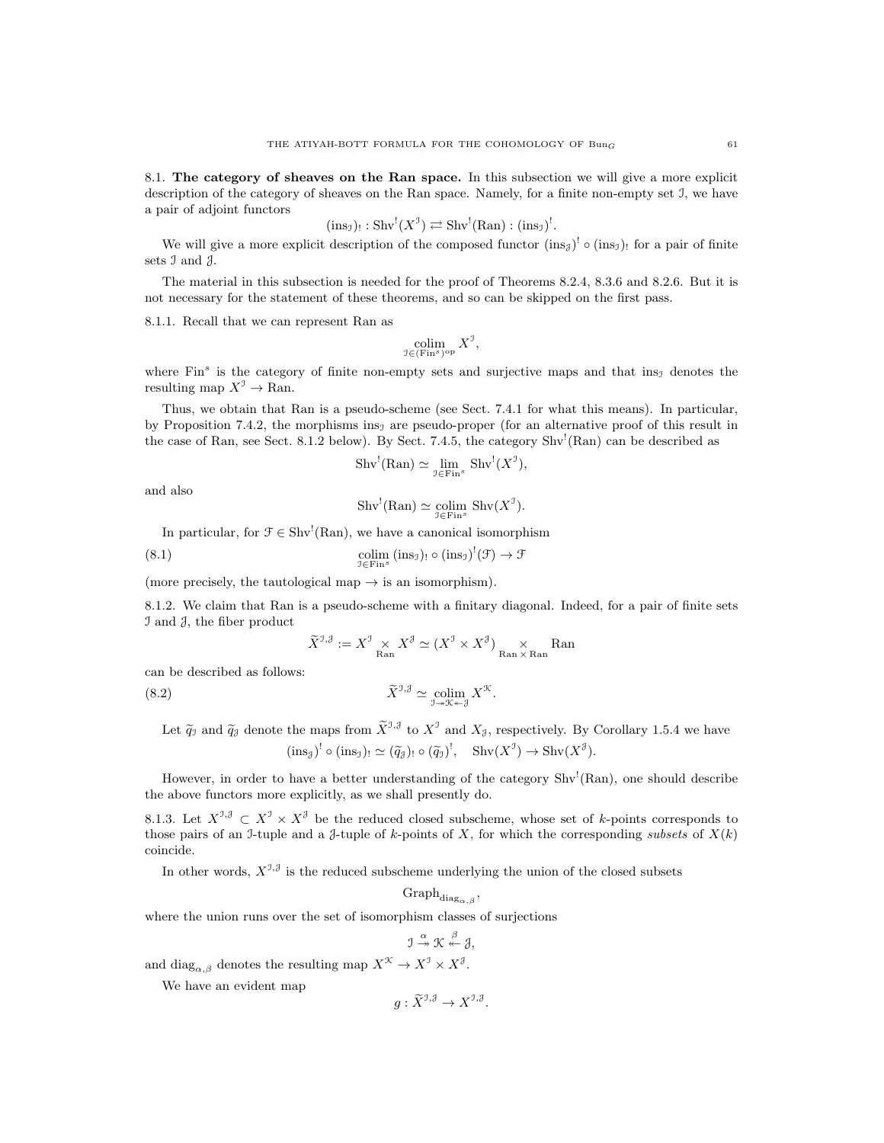8.1. The category of sheaves on the Ran space. In this subsection we will give a more explicit description of the category of sheaves on the Ran space. Namely, for a finite non-empty set I, we have a pair of adjoint functors

$$
(ins_{\mathfrak{I}})_{!}:Shv^{!}(X^{\mathfrak{I}})\rightleftarrows Shv^{!}(Ran):(ins_{\mathfrak{I}})^{!}.
$$

We will give a more explicit description of the composed functor  $(\text{ins}_{\mathcal{J}})^! \circ (\text{ins}_{\mathcal{J}})$  for a pair of finite sets I and J.

The material in this subsection is needed for the proof of Theorems 8.2.4, 8.3.6 and 8.2.6. But it is not necessary for the statement of these theorems, and so can be skipped on the first pass.

8.1.1. Recall that we can represent Ran as

$$
\operatornamewithlimits{colim}_{\mathfrak I\in(\operatorname{Fin}^s)^{\operatorname{op}}}X^{\mathfrak I},
$$

where  $\text{Fin}^s$  is the category of finite non-empty sets and surjective maps and that ins<sub>J</sub> denotes the resulting map  $X^{\mathcal{I}} \to \text{Ran}$ .

Thus, we obtain that Ran is a pseudo-scheme (see Sect. 7.4.1 for what this means). In particular, by Proposition 7.4.2, the morphisms ins<sub>1</sub> are pseudo-proper (for an alternative proof of this result in the case of Ran, see Sect. 8.1.2 below). By Sect. 7.4.5, the category  $Shv'(\text{Ran})$  can be described as

$$
\text{Shv}^!(\text{Ran}) \simeq \lim_{\mathcal{I} \in \text{Fin}^s} \text{Shv}^!(X^{\mathcal{I}}),
$$

and also

$$
Shv^{!}(\mathrm{Ran}) \simeq \underset{\mathcal{I} \in \mathrm{Fin}^s}{\mathrm{colim}} \mathrm{Shv}(X^{\mathcal{I}}).
$$

In particular, for  $\mathcal{F} \in \text{Shv}^!(\text{Ran})$ , we have a canonical isomorphism

(8.1) 
$$
\underset{\mathcal{I}\in\text{Fin}^s}{\text{colim}}\left(\text{ins}_{\mathcal{I}}\right)_{!}\circ\left(\text{ins}_{\mathcal{I}}\right)^{!}(\mathcal{F})\to\mathcal{F}
$$

(more precisely, the tautological map  $\rightarrow$  is an isomorphism).

8.1.2. We claim that Ran is a pseudo-scheme with a finitary diagonal. Indeed, for a pair of finite sets I and J, the fiber product

$$
\widetilde{X}^{\mathcal{I},\mathcal{J}}:=X^{\mathcal{I}}\underset{\mathrm{Ran}}{\times}X^{\mathcal{J}}\simeq(X^{\mathcal{I}}\times X^{\mathcal{J}})\underset{\mathrm{Ran}\,\times\,\mathrm{Ran}}{\times}\mathrm{Ran}
$$

can be described as follows:

(8.2)  $\widetilde{X}^{\mathcal{I},\mathcal{J}} \simeq \operatorname*{colim}_{\mathcal{I}\twoheadrightarrow\mathcal{K}\twoheadleftarrow\mathcal{J}} X^{\mathcal{K}}.$ 

Let  $\tilde{q}_j$  and  $\tilde{q}_j$  denote the maps from  $\tilde{X}^{J,\tilde{J}}$  to  $X^J$  and  $X_{\tilde{J}}$ , respectively. By Corollary 1.5.4 we have  $(\text{ins}_{\mathcal{J}})^! \circ (\text{ins}_{\mathcal{J}}) \cdot \simeq (\widetilde{q}_{\mathcal{J}})^! \circ (\widetilde{q}_{\mathcal{J}})^!, \quad \text{Shv}(X^{\mathcal{J}}) \to \text{Shv}(X^{\mathcal{J}}).$ 

However, in order to have a better understanding of the category Shv<sup>1</sup>(Ran), one should describe the above functors more explicitly, as we shall presently do.

8.1.3. Let  $X^{\mathcal{I},\mathcal{J}} \subset X^{\mathcal{I}} \times X^{\mathcal{J}}$  be the reduced closed subscheme, whose set of k-points corresponds to those pairs of an I-tuple and a J-tuple of k-points of X, for which the corresponding subsets of  $X(k)$ coincide.

In other words,  $X^{J,\mathcal{J}}$  is the reduced subscheme underlying the union of the closed subsets

$$
\mathrm{Graph}_{\mathrm{diag}_{\alpha,\beta}},
$$

where the union runs over the set of isomorphism classes of surjections

$$
\mathfrak{I}\stackrel{\alpha}{\twoheadrightarrow}\mathfrak{K}\stackrel{\beta}{\leftarrow}\mathfrak{J},
$$

and  $\text{diag}_{\alpha,\beta}$  denotes the resulting map  $X^{\mathcal{K}} \to X^{\mathcal{I}} \times X^{\mathcal{J}}$ .

We have an evident map

$$
g: \widetilde{X}^{\mathcal{I},\mathcal{J}} \to X^{\mathcal{I},\mathcal{J}}.
$$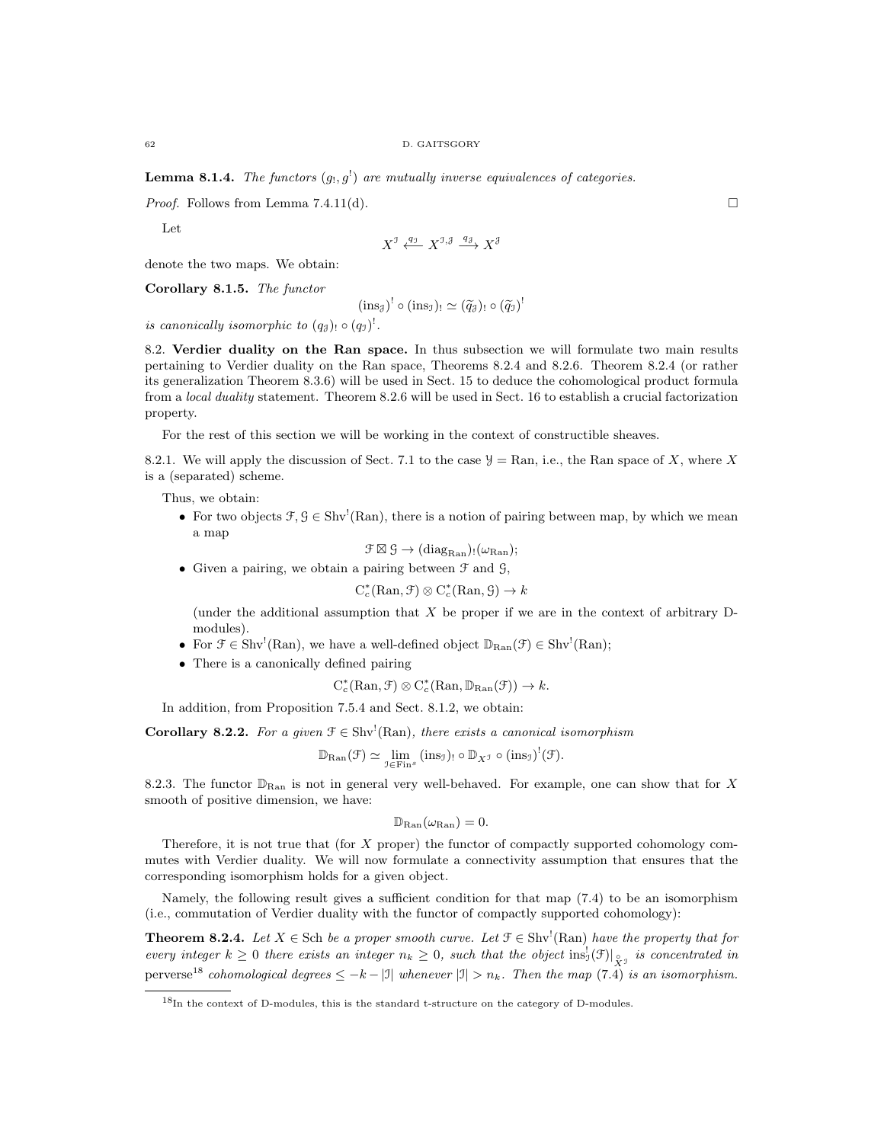**Lemma 8.1.4.** The functors  $(g_1, g_1)$  are mutually inverse equivalences of categories.

*Proof.* Follows from Lemma 7.4.11(d).

Let

$$
X^{\mathcal{I}} \xleftarrow{q_{\mathcal{I}}} X^{\mathcal{I}, \mathcal{J}} \xrightarrow{q_{\mathcal{J}}} X^{\mathcal{J}}
$$

denote the two maps. We obtain:

Corollary 8.1.5. The functor

$$
(\text{ins}_{\mathcal{J}})^! \circ (\text{ins}_{\mathcal{I}})_{!} \simeq (\widetilde{q}_{\mathcal{J}})_{!} \circ (\widetilde{q}_{\mathcal{I}})^!
$$

is canonically isomorphic to  $(q_3)$ ,  $\circ$   $(q_1)$ <sup>!</sup>.

8.2. Verdier duality on the Ran space. In thus subsection we will formulate two main results pertaining to Verdier duality on the Ran space, Theorems 8.2.4 and 8.2.6. Theorem 8.2.4 (or rather its generalization Theorem 8.3.6) will be used in Sect. 15 to deduce the cohomological product formula from a local duality statement. Theorem 8.2.6 will be used in Sect. 16 to establish a crucial factorization property.

For the rest of this section we will be working in the context of constructible sheaves.

8.2.1. We will apply the discussion of Sect. 7.1 to the case  $\mathcal{Y} = \text{Ran}$ , i.e., the Ran space of X, where X is a (separated) scheme.

Thus, we obtain:

• For two objects  $\mathcal{F}, \mathcal{G} \in Shv^{!}(Ran)$ , there is a notion of pairing between map, by which we mean a map

$$
\mathfrak{F}\boxtimes\mathfrak{G}\to(\mathrm{diag}_{\mathrm{Ran}})_!(\omega_{\mathrm{Ran}});
$$

• Given a pairing, we obtain a pairing between  $\mathcal F$  and  $\mathcal G$ ,

$$
C_c^*(\mathrm{Ran}, \mathcal{F}) \otimes C_c^*(\mathrm{Ran}, \mathcal{G}) \to k
$$

(under the additional assumption that  $X$  be proper if we are in the context of arbitrary  $D$ modules).

- For  $\mathcal{F} \in \text{Shv}^!(\text{Ran})$ , we have a well-defined object  $\mathbb{D}_{\text{Ran}}(\mathcal{F}) \in \text{Shv}^!(\text{Ran})$ ;
- There is a canonically defined pairing

$$
C_c^*(\mathrm{Ran}, \mathcal{F}) \otimes C_c^*(\mathrm{Ran}, \mathbb{D}_{\mathrm{Ran}}(\mathcal{F})) \to k.
$$

In addition, from Proposition 7.5.4 and Sect. 8.1.2, we obtain:

**Corollary 8.2.2.** For a given  $\mathcal{F} \in Shv^{\perp}(Ran)$ , there exists a canonical isomorphism

 $\mathbb{D}_{\text{Ran}}(\mathcal{F}) \simeq \lim_{\mathcal{I} \in \text{Fin}^s} (\text{ins}_{\mathcal{I}})_! \circ \mathbb{D}_{X^{\mathcal{I}}} \circ (\text{ins}_{\mathcal{I}})^!(\mathcal{F}).$ 

8.2.3. The functor  $\mathbb{D}_{\text{Ran}}$  is not in general very well-behaved. For example, one can show that for X smooth of positive dimension, we have:

$$
\mathbb{D}_{\mathrm{Ran}}(\omega_{\mathrm{Ran}})=0.
$$

Therefore, it is not true that (for X proper) the functor of compactly supported cohomology commutes with Verdier duality. We will now formulate a connectivity assumption that ensures that the corresponding isomorphism holds for a given object.

Namely, the following result gives a sufficient condition for that map (7.4) to be an isomorphism (i.e., commutation of Verdier duality with the functor of compactly supported cohomology):

**Theorem 8.2.4.** Let  $X \in \text{Sch}$  be a proper smooth curve. Let  $\mathcal{F} \in \text{Shv}^1(\text{Ran})$  have the property that for every integer  $k \geq 0$  there exists an integer  $n_k \geq 0$ , such that the object  $\text{ins}_J^1(\mathcal{F})|_{\hat{X}^{\mathcal{J}}}$  is concentrated in perverse<sup>18</sup> cohomological degrees  $\leq -k-|I|$  whenever  $|I| > n_k$ . Then the map (7.4) is an isomorphism.

 $18$ In the context of D-modules, this is the standard t-structure on the category of D-modules.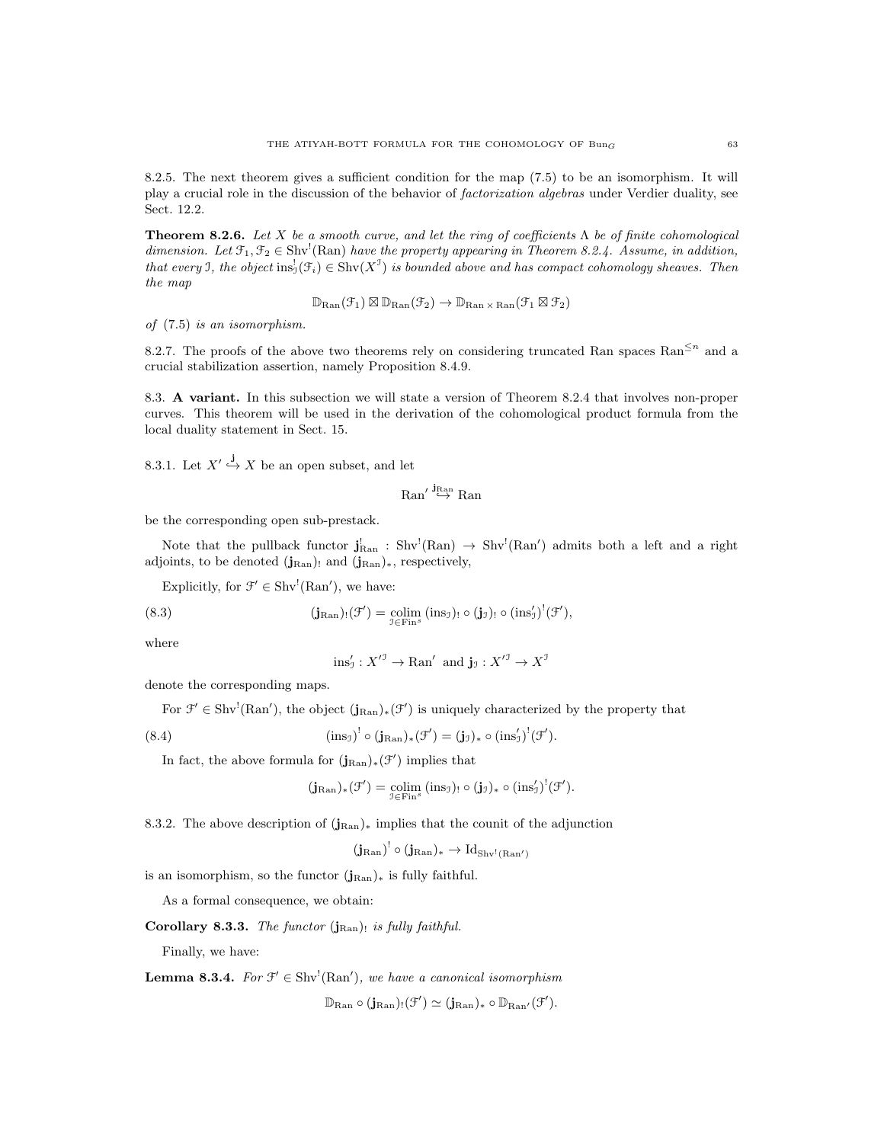8.2.5. The next theorem gives a sufficient condition for the map (7.5) to be an isomorphism. It will play a crucial role in the discussion of the behavior of factorization algebras under Verdier duality, see Sect. 12.2.

**Theorem 8.2.6.** Let X be a smooth curve, and let the ring of coefficients  $\Lambda$  be of finite cohomological dimension. Let  $\mathfrak{F}_1, \mathfrak{F}_2 \in \text{Shv}^!$  (Ran) have the property appearing in Theorem 8.2.4. Assume, in addition, that every I, the object  $\text{ins}_J^!(\mathcal{F}_i) \in \text{Shv}(X^J)$  is bounded above and has compact cohomology sheaves. Then the map

$$
\mathbb{D}_{\mathrm{Ran}}(\mathcal{F}_1) \boxtimes \mathbb{D}_{\mathrm{Ran}}(\mathcal{F}_2) \to \mathbb{D}_{\mathrm{Ran} \times \mathrm{Ran}}(\mathcal{F}_1 \boxtimes \mathcal{F}_2)
$$

of (7.5) is an isomorphism.

8.2.7. The proofs of the above two theorems rely on considering truncated Ran spaces  $\text{Ran}^{\leq n}$  and a crucial stabilization assertion, namely Proposition 8.4.9.

8.3. A variant. In this subsection we will state a version of Theorem 8.2.4 that involves non-proper curves. This theorem will be used in the derivation of the cohomological product formula from the local duality statement in Sect. 15.

8.3.1. Let  $X' \stackrel{j}{\hookrightarrow} X$  be an open subset, and let

 $\mathrm{Ran}' \overset{\mathbf{j}_{\mathrm{Ran}}}{\hookrightarrow} \mathrm{Ran}$ 

be the corresponding open sub-prestack.

Note that the pullback functor  $\mathbf{j}_{\text{Ran}}^! : \text{Shv}^!(\text{Ran}) \to \text{Shv}^!(\text{Ran}')$  admits both a left and a right adjoints, to be denoted  $(j_{\text{Ran}})$  and  $(j_{\text{Ran}})$ <sub>\*</sub>, respectively,

Explicitly, for  $\mathcal{F}' \in \text{Shv}^!(\text{Ran}')$ , we have:

(8.3) 
$$
(\mathbf{j}_{\text{Ran}})_{!}(\mathcal{F}') = \underset{\mathcal{I} \in \text{Fin}^{s}}{\text{colim}} (\text{ins}_{\mathcal{I}})_{!} \circ (\mathbf{j}_{\mathcal{I}})_{!} \circ (\text{ins}_{\mathcal{I}})^{!}(\mathcal{F}'),
$$

where

$$
\text{ins}'_J: \overline{X}'^{\mathcal{I}} \to \text{Ran}' \text{ and } \mathbf{j}_{\mathcal{I}}: \overline{X}'^{\mathcal{I}} \to \overline{X}^{\mathcal{I}}
$$

denote the corresponding maps.

For  $\mathcal{F}' \in \text{Shv}^!(\text{Ran}')$ , the object  $(j_{\text{Ran}})_*(\mathcal{F}')$  is uniquely characterized by the property that

(8.4) 
$$
(\text{ins}_{\mathfrak{I}})^! \circ (\mathbf{j}_{\text{Ran}})_*(\mathfrak{F}') = (\mathbf{j}_{\mathfrak{I}})_* \circ (\text{ins}'_{\mathfrak{I}})^!(\mathfrak{F}').
$$

In fact, the above formula for  $(j_{\text{Ran}})_*(\mathcal{F}')$  implies that

$$
(j_{\mathrm{Ran}})_*(\mathcal{F}') = \underset{\mathcal{I} \in \mathrm{Fin}^{\mathrm{s}}}{\mathrm{colim}} (\mathrm{ins}_{\mathcal{I}})_! \circ (j_{\mathcal{I}})_* \circ (\mathrm{ins}_{\mathcal{I}}')^!(\mathcal{F}').
$$

8.3.2. The above description of  $(j_{\text{Ran}})_*$  implies that the counit of the adjunction

$$
(\mathbf{j}_\mathrm{Ran})^!\circ(\mathbf{j}_\mathrm{Ran})_*\to \mathrm{Id}_{\mathrm{Shv}^!(\mathrm{Ran}')}
$$

is an isomorphism, so the functor  $(j_{\text{Ran}})_*$  is fully faithful.

As a formal consequence, we obtain:

Corollary 8.3.3. The functor  $(j_{\text{Ran}})$ ! is fully faithful.

Finally, we have:

**Lemma 8.3.4.** For  $\mathcal{F}' \in \text{Shv}^1(\text{Ran}')$ , we have a canonical isomorphism

 $\mathbb{D}_{\mathrm{Ran}}\circ(\mathbf{j}_{\mathrm{Ran}})_{!}(\mathcal{F}')\simeq(\mathbf{j}_{\mathrm{Ran}})_{*}\circ\mathbb{D}_{\mathrm{Ran}'}(\mathcal{F}').$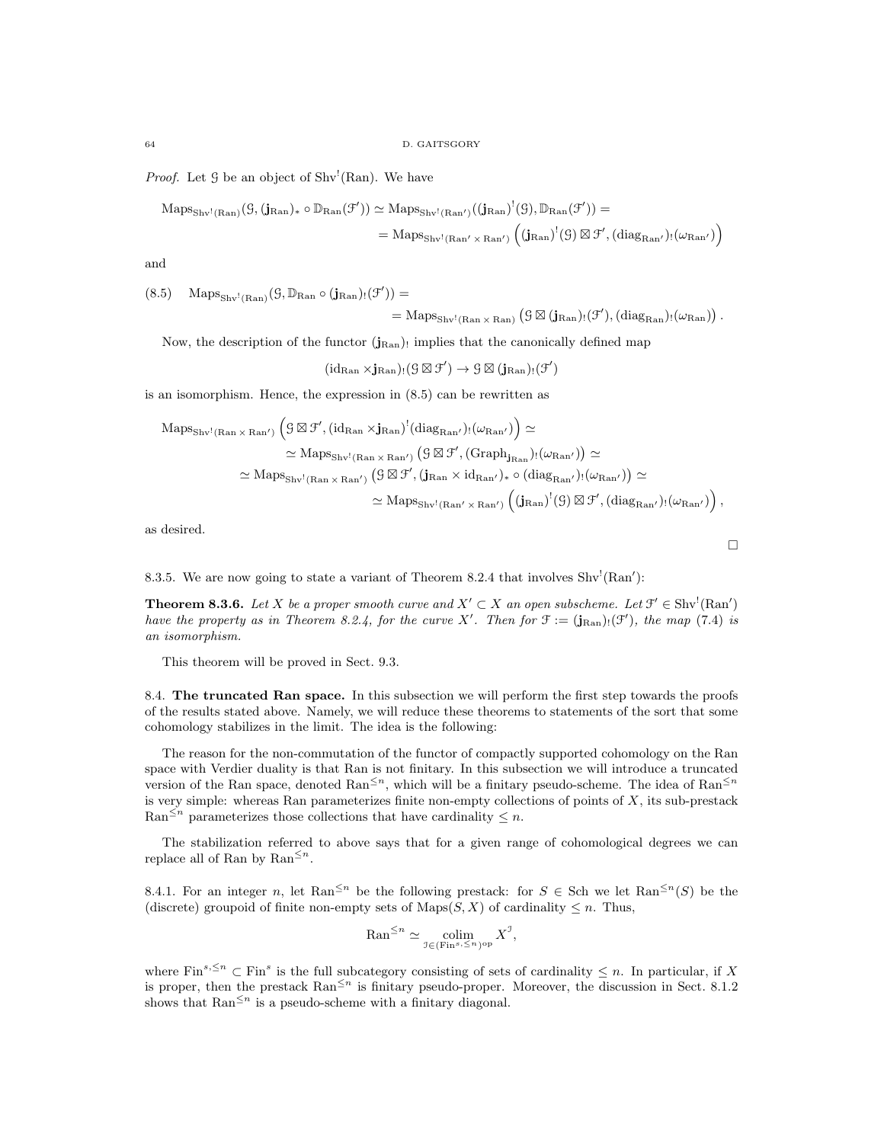*Proof.* Let  $\mathcal G$  be an object of Shv<sup>!</sup>(Ran). We have

$$
\begin{aligned} \mathrm{Maps}_{\mathrm{Shv}^1(\mathrm{Ran})}(\mathcal G, (\mathbf j_{\mathrm{Ran}})_* \circ \mathbb D_{\mathrm{Ran}}(\mathcal F')) &\simeq \mathrm{Maps}_{\mathrm{Shv}^1(\mathrm{Ran}')}((\mathbf j_{\mathrm{Ran}})^!(\mathcal G), \mathbb D_{\mathrm{Ran}}(\mathcal F')) = \\ & = \mathrm{Maps}_{\mathrm{Shv}^1(\mathrm{Ran}' \times \mathrm{Ran}')} \left( (\mathbf j_{\mathrm{Ran}})^!(\mathcal G) \boxtimes \mathcal F', (\mathrm{diag}_{\mathrm{Ran}'})_!(\omega_{\mathrm{Ran}'} ) \right) \end{aligned}
$$

and

 $(8.5)$  Maps<sub>Shv'(Ran</sub>) $(\mathcal{G}, \mathbb{D}_{\text{Ran}} \circ (\mathbf{j}_{\text{Ran}})_{!}(\mathcal{F}'))$  =

$$
= \mathrm{Maps}_{\mathrm{Shv}^1(\mathrm{Ran} \times \mathrm{Ran})} (\mathcal G \boxtimes (\mathbf j_{\mathrm{Ran}})_! (\mathcal F'), (\mathrm{diag}_{\mathrm{Ran}})_! (\omega_{\mathrm{Ran}}))\,.
$$

Now, the description of the functor  $(j_{\text{Ran}})$  implies that the canonically defined map

 $(id_{\text{Ran}} \times j_{\text{Ran}})$ ! $(\mathcal{G} \boxtimes \mathcal{F}') \rightarrow \mathcal{G} \boxtimes (j_{\text{Ran}})$ ! $(\mathcal{F}')$ 

is an isomorphism. Hence, the expression in (8.5) can be rewritten as

$$
\begin{aligned} \mathrm{Maps}_{\mathrm{Shv}^1(\mathrm{Ran}\times\mathrm{Ran'})}\left( \mathcal{G}\boxtimes\mathcal{F}', (\mathrm{id}_{\mathrm{Ran}}\times\mathbf{j}_{\mathrm{Ran}})^!(\mathrm{diag}_{\mathrm{Ran'}})_!(\omega_{\mathrm{Ran'}}) \right) &\simeq \\ &\simeq \mathrm{Maps}_{\mathrm{Shv}^1(\mathrm{Ran}\times\mathrm{Ran'})}\left( \mathcal{G}\boxtimes\mathcal{F}', (\mathrm{Graph}_{\mathbf{j}_{\mathrm{Ran}}})_!(\omega_{\mathrm{Ran'}}) \right) \simeq \\ &\simeq \mathrm{Maps}_{\mathrm{Shv}^1(\mathrm{Ran}\times\mathrm{Ran'})}\left( \mathcal{G}\boxtimes\mathcal{F}', (\mathbf{j}_{\mathrm{Ran}}\times\mathrm{id}_{\mathrm{Ran'}})_*\circ(\mathrm{diag}_{\mathrm{Ran'}})_!(\omega_{\mathrm{Ran'}}) \right) \simeq \\ &\simeq \mathrm{Maps}_{\mathrm{Shv}^1(\mathrm{Ran'}\times\mathrm{Ran'})}\left( (\mathbf{j}_{\mathrm{Ran}})^!(\mathcal{G})\boxtimes\mathcal{F}', (\mathrm{diag}_{\mathrm{Ran'}})_!(\omega_{\mathrm{Ran'}}) \right), \end{aligned}
$$

as desired.

8.3.5. We are now going to state a variant of Theorem 8.2.4 that involves  $\text{Shv}^!(\text{Ran}')$ :

**Theorem 8.3.6.** Let X be a proper smooth curve and  $X' \subset X$  an open subscheme. Let  $\mathcal{F}' \in Shv'(\text{Ran}')$ have the property as in Theorem 8.2.4, for the curve X'. Then for  $\mathfrak{F} := (\mathbf{j}_{\text{Ran}}) \cdot (\mathfrak{F}')$ , the map (7.4) is an isomorphism.

This theorem will be proved in Sect. 9.3.

8.4. The truncated Ran space. In this subsection we will perform the first step towards the proofs of the results stated above. Namely, we will reduce these theorems to statements of the sort that some cohomology stabilizes in the limit. The idea is the following:

The reason for the non-commutation of the functor of compactly supported cohomology on the Ran space with Verdier duality is that Ran is not finitary. In this subsection we will introduce a truncated version of the Ran space, denoted  $\text{Ran}^{\leq n}$ , which will be a finitary pseudo-scheme. The idea of  $\text{Ran}^{\leq n}$ is very simple: whereas Ran parameterizes finite non-empty collections of points of X, its sub-prestack Ran<sup> $\leq n$ </sup> parameterizes those collections that have cardinality  $\leq n$ .

The stabilization referred to above says that for a given range of cohomological degrees we can replace all of Ran by  $\text{Ran}^{\leq n}$ .

8.4.1. For an integer n, let Ran<sup> $\leq n$ </sup> be the following prestack: for  $S \in$  Sch we let Ran $\leq n(S)$  be the (discrete) groupoid of finite non-empty sets of  $\text{Maps}(S, X)$  of cardinality  $\leq n$ . Thus,

$$
\operatorname{Ran}^{\leq n} \simeq \underset{\mathcal{I} \in (\operatorname{Fin}^{s}, \leq n}{\operatorname{colim}} X^{\mathcal{I}},
$$

where Fin<sup>s, ≤n</sup>  $\subset$  Fin<sup>s</sup> is the full subcategory consisting of sets of cardinality  $\leq n$ . In particular, if X is proper, then the prestack  $\text{Ran}^{\leq n}$  is finitary pseudo-proper. Moreover, the discussion in Sect. 8.1.2 shows that  $\text{Ran}^{\leq n}$  is a pseudo-scheme with a finitary diagonal.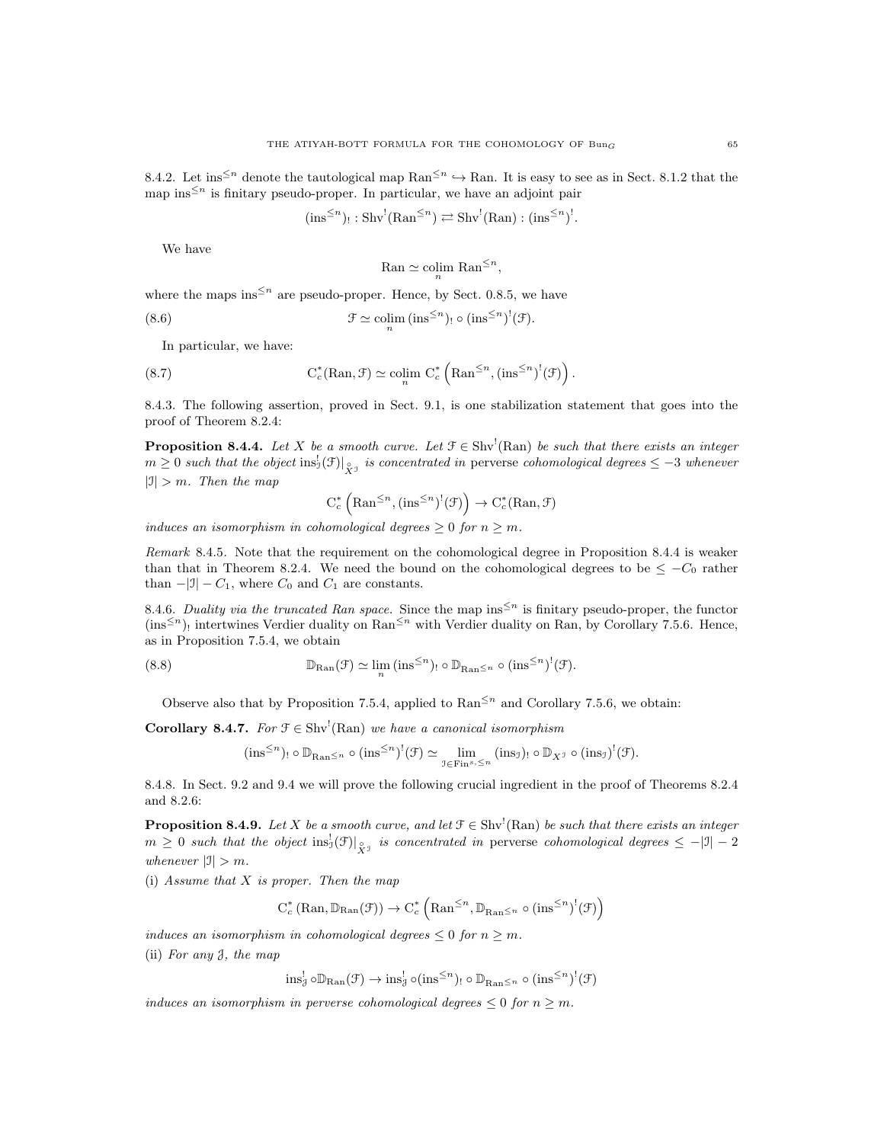8.4.2. Let ins<sup> $\leq n$ </sup> denote the tautological map Ran<sup> $\leq n$ </sup>  $\hookrightarrow$  Ran. It is easy to see as in Sect. 8.1.2 that the map ins<sup> $\leq n$ </sup> is finitary pseudo-proper. In particular, we have an adjoint pair

$$
(ins^{\leq n})_! : Shv^!(\text{Ran}^{\leq n}) \rightleftarrows Shv^!(\text{Ran}) : (ins^{\leq n})^!.
$$

We have

$$
\text{Ran} \simeq \operatorname{colim}_{n} \text{Ran}^{\leq n},
$$

where the maps ins<sup> $\leq n$ </sup> are pseudo-proper. Hence, by Sect. 0.8.5, we have

(8.6) 
$$
\mathcal{F} \simeq \operatorname{colim}_{n} (\operatorname{ins}^{\leq n})_! \circ (\operatorname{ins}^{\leq n})^! (\mathcal{F}).
$$

In particular, we have:

(8.7) 
$$
\mathrm{C}^*_c(\mathrm{Ran}, \mathcal{F}) \simeq \mathrm{colim}_{n} \mathrm{C}^*_c\left(\mathrm{Ran}^{\leq n}, (\mathrm{ins}^{\leq n})^!(\mathcal{F})\right).
$$

8.4.3. The following assertion, proved in Sect. 9.1, is one stabilization statement that goes into the proof of Theorem 8.2.4:

**Proposition 8.4.4.** Let X be a smooth curve. Let  $\mathcal{F} \in Shv^{\prime}(\text{Ran})$  be such that there exists an integer  $m \geq 0$  such that the object  $\text{ins}_J^!(\mathcal{F})|_{\hat{X}^{\mathcal{J}}}$  is concentrated in perverse cohomological degrees  $\leq -3$  whenever  $|J| > m$ . Then the map

$$
\mathrm{C}^*_c\left(\mathrm{Ran}^{\leq n}, (\mathrm{ins}^{\leq n})^!(\mathcal{F})\right) \to \mathrm{C}^*_c(\mathrm{Ran}, \mathcal{F})
$$

induces an isomorphism in cohomological degrees  $\geq 0$  for  $n \geq m$ .

Remark 8.4.5. Note that the requirement on the cohomological degree in Proposition 8.4.4 is weaker than that in Theorem 8.2.4. We need the bound on the cohomological degrees to be  $\leq -C_0$  rather than  $-|J| - C_1$ , where  $C_0$  and  $C_1$  are constants.

8.4.6. Duality via the truncated Ran space. Since the map ins<sup> $\leq n$ </sup> is finitary pseudo-proper, the functor  $(\text{ins}^{\leq n})$  intertwines Verdier duality on Ran<sup> $\leq n$ </sup> with Verdier duality on Ran, by Corollary 7.5.6. Hence, as in Proposition 7.5.4, we obtain

(8.8) 
$$
\mathbb{D}_{\text{Ran}}(\mathcal{F}) \simeq \lim_{n} (\text{ins}^{\leq n})_! \circ \mathbb{D}_{\text{Ran}^{\leq n}} \circ (\text{ins}^{\leq n})^!(\mathcal{F}).
$$

Observe also that by Proposition 7.5.4, applied to  $\text{Ran}^{\leq n}$  and Corollary 7.5.6, we obtain:

**Corollary 8.4.7.** For  $\mathcal{F} \in \text{Shv}^1(\text{Ran})$  we have a canonical isomorphism

$$
(\text{ins}^{\leq n})_! \circ \mathbb{D}_{\text{Ran}^{\leq n}} \circ (\text{ins}^{\leq n})^!(\mathcal{F}) \simeq \lim_{\mathcal{I} \in \text{Fin}^s, \leq n} (\text{ins}_{\mathcal{I}})_! \circ \mathbb{D}_{X^{\mathcal{I}}} \circ (\text{ins}_{\mathcal{I}})^!(\mathcal{F}).
$$

8.4.8. In Sect. 9.2 and 9.4 we will prove the following crucial ingredient in the proof of Theorems 8.2.4 and 8.2.6:

**Proposition 8.4.9.** Let X be a smooth curve, and let  $\mathcal{F} \in Shv^1(Ran)$  be such that there exists an integer  $m \geq 0$  such that the object  $\text{ins}_J^!(\mathcal{F})|_{\hat{X}^{\mathcal{J}}}$  is concentrated in perverse cohomological degrees  $\leq -|\mathcal{I}|-2$ whenever  $|J| > m$ .

(i) Assume that  $X$  is proper. Then the map

$$
C_c^* \left(Ran, \mathbb{D}_{\mathrm{Ran}}(\mathcal{F})\right) \to C_c^* \left(Ran^{\leq n}, \mathbb{D}_{\mathrm{Ran} \leq n} \circ (\mathrm{ins}^{\leq n})^!(\mathcal{F})\right)
$$

induces an isomorphism in cohomological degrees  $\leq 0$  for  $n \geq m$ .

(ii) For any J, the map

$$
\text{ins}_{\mathcal{J}}^! \circ \mathbb{D}_{\text{Ran}}(\mathcal{F}) \to \text{ins}_{\mathcal{J}}^! \circ (\text{ins}^{\leq n})_! \circ \mathbb{D}_{\text{Ran} \leq n} \circ (\text{ins}^{\leq n})^!(\mathcal{F})
$$

induces an isomorphism in perverse cohomological degrees  $\leq 0$  for  $n \geq m$ .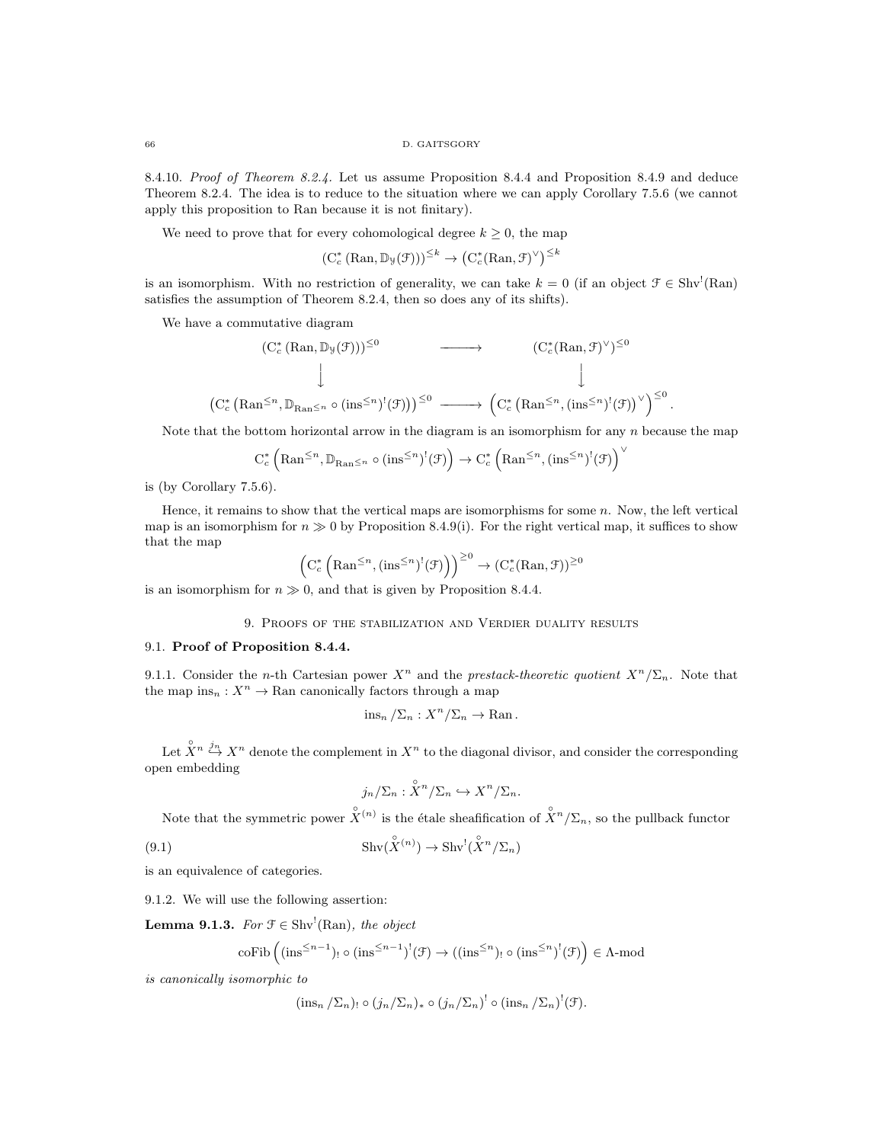8.4.10. Proof of Theorem 8.2.4. Let us assume Proposition 8.4.4 and Proposition 8.4.9 and deduce Theorem 8.2.4. The idea is to reduce to the situation where we can apply Corollary 7.5.6 (we cannot apply this proposition to Ran because it is not finitary).

We need to prove that for every cohomological degree  $k \geq 0$ , the map

$$
(\mathrm{C}^*_c(\mathrm{Ran}, \mathbb{D}_{\mathcal{Y}}(\mathcal{F})))^{\leq k} \to (\mathrm{C}^*_c(\mathrm{Ran}, \mathcal{F})^{\vee})^{\leq k}
$$

is an isomorphism. With no restriction of generality, we can take  $k = 0$  (if an object  $\mathcal{F} \in Shv'(\text{Ran})$ satisfies the assumption of Theorem 8.2.4, then so does any of its shifts).

We have a commutative diagram

$$
\begin{array}{ccc} & \left( \mathrm{C}^*_{c} \left( \mathrm{Ran}, \mathbb{D}_{\mathcal{Y}} (\mathcal{F}) \right) \right)^{\leq 0} & \longrightarrow & \left( \mathrm{C}^*_{c} \left( \mathrm{Ran}, \mathcal{F} \right)^{\vee} \right)^{\leq 0} \\ & & \downarrow & & \downarrow \\ & & \left( \mathrm{C}^*_{c} \left( \mathrm{Ran}^{\leq n}, \mathbb{D}_{\mathrm{Ran} \leq n} \circ (\mathrm{ins}^{\leq n})^!(\mathcal{F}) \right) \right)^{\leq 0} & \longrightarrow & \left( \mathrm{C}^*_{c} \left( \mathrm{Ran}^{\leq n}, (\mathrm{ins}^{\leq n})^!(\mathcal{F}) \right)^{\vee} \right)^{\leq 0} .\end{array}
$$

Note that the bottom horizontal arrow in the diagram is an isomorphism for any  $n$  because the map

$$
C_c^* \left( \mathrm{Ran}^{\leq n}, \mathbb{D}_{\mathrm{Ran} \leq n} \circ (\mathrm{ins}^{\leq n})^!(\mathcal{F}) \right) \to C_c^* \left( \mathrm{Ran}^{\leq n}, (\mathrm{ins}^{\leq n})^!(\mathcal{F}) \right)^{\vee}
$$

is (by Corollary 7.5.6).

Hence, it remains to show that the vertical maps are isomorphisms for some  $n$ . Now, the left vertical map is an isomorphism for  $n \gg 0$  by Proposition 8.4.9(i). For the right vertical map, it suffices to show that the map

$$
\left(C_c^*\left(\mathrm{Ran}^{\leq n}, \left(\mathrm{ins}^{\leq n}\right)^!(\mathcal{F})\right)\right)^{\geq 0} \to (C_c^*(\mathrm{Ran}, \mathcal{F}))^{\geq 0}
$$

is an isomorphism for  $n \gg 0$ , and that is given by Proposition 8.4.4.

## 9. Proofs of the stabilization and Verdier duality results

## 9.1. Proof of Proposition 8.4.4.

9.1.1. Consider the *n*-th Cartesian power  $X^n$  and the *prestack-theoretic quotient*  $X^n/\Sigma_n$ . Note that the map  $ins_n: X^n \to \text{Ran canonically factors through a map}$ 

$$
\lim_{n} / \sum_{n} :X^{n}/\sum_{n} \to \text{Ran}
$$
.

Let  $\hat{X}^n \stackrel{j_n}{\hookrightarrow} X^n$  denote the complement in  $X^n$  to the diagonal divisor, and consider the corresponding open embedding

$$
j_n/\Sigma_n: \overset{\circ}{X}{}^n/\Sigma_n \hookrightarrow X^n/\Sigma_n.
$$

Note that the symmetric power  $\hat{X}^{(n)}$  is the étale sheafification of  $\hat{X}^n/\Sigma_n$ , so the pullback functor

(9.1) 
$$
\operatorname{Shv}(\hat{X}^{(n)}) \to \operatorname{Shv}^!(\hat{X}^n/\Sigma_n)
$$

is an equivalence of categories.

9.1.2. We will use the following assertion:

**Lemma 9.1.3.** For  $\mathcal{F} \in \text{Shv}^{\perp}(\text{Ran})$ , the object

$$
\mathrm{coFib}\left((\mathrm{ins}^{\leq n-1})_!\circ(\mathrm{ins}^{\leq n-1})^!(\mathcal{F})\rightarrow((\mathrm{ins}^{\leq n})_!\circ(\mathrm{ins}^{\leq n})^!(\mathcal{F})\right)\in\Lambda\text{-}\mathrm{mod}
$$

is canonically isomorphic to

$$
(\text{ins}_n/\Sigma_n) \circ (j_n/\Sigma_n)_* \circ (j_n/\Sigma_n)^! \circ (\text{ins}_n/\Sigma_n)^! (\mathcal{F}).
$$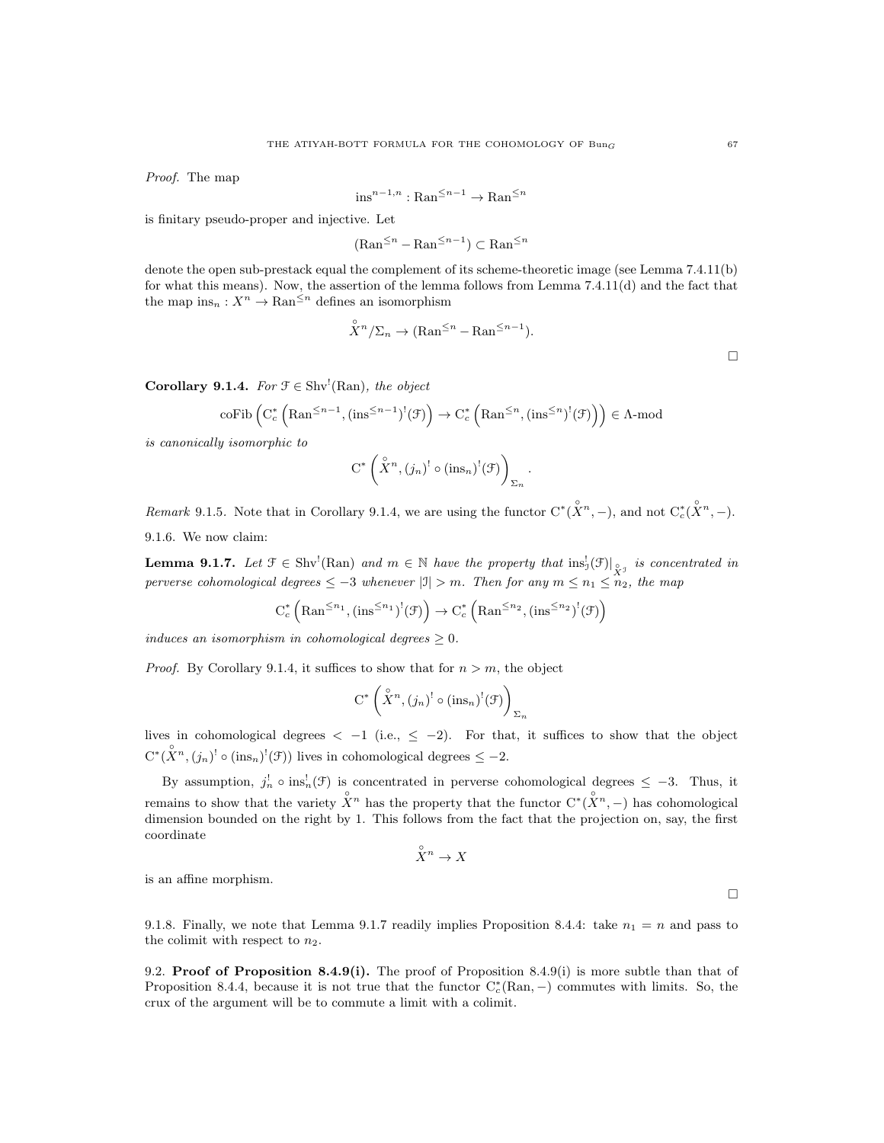Proof. The map

$$
\textup{ins}^{n-1,n}:\textup{Ran}^{\leq n-1}\to\textup{Ran}^{\leq n}
$$

is finitary pseudo-proper and injective. Let

$$
(\mathrm{Ran}^{\leq n} - \mathrm{Ran}^{\leq n-1}) \subset \mathrm{Ran}^{\leq n}
$$

denote the open sub-prestack equal the complement of its scheme-theoretic image (see Lemma 7.4.11(b) for what this means). Now, the assertion of the lemma follows from Lemma 7.4.11(d) and the fact that the map  $ins_n: X^n \to \text{Ran}^{\leq n}$  defines an isomorphism

$$
\hat{X}^n/\Sigma_n \to (\text{Ran}^{\leq n} - \text{Ran}^{\leq n-1}).
$$

.

**Corollary 9.1.4.** For  $\mathcal{F} \in \text{Shv}^1(\text{Ran})$ , the object

coFib 
$$
(C_c^* (Ran^{\leq n-1}, (\text{ins}^{\leq n-1})^!(\mathcal{F})) \to C_c^* (Ran^{\leq n}, (\text{ins}^{\leq n})^!(\mathcal{F}))
$$
  $\in \Lambda$ -mod

is canonically isomorphic to

$$
C^* \left( \overset{\circ}{X}^n, (j_n)^! \circ (\text{ins}_n)^! (\mathcal{F}) \right)_{\Sigma_n}
$$

Remark 9.1.5. Note that in Corollary 9.1.4, we are using the functor  $C^*(\overset{\circ}{X}^n,-)$ , and not  $C_c^*(\overset{\circ}{X}^n,-)$ . 9.1.6. We now claim:

**Lemma 9.1.7.** Let  $\mathcal{F} \in Shv^!(\text{Ran})$  and  $m \in \mathbb{N}$  have the property that  $ins^!_{\mathcal{J}}(\mathcal{F})|_{\overset{\circ}{X}^{\mathcal{J}}}$  is concentrated in perverse cohomological degrees  $\leq -3$  whenever  $|\mathfrak{I}| > m$ . Then for any  $m \leq n_1 \leq n_2$ , the map

$$
C_c^* \left( \mathrm{Ran}^{\leq n_1}, (\mathrm{ins}^{\leq n_1})^!(\mathcal{F}) \right) \to C_c^* \left( \mathrm{Ran}^{\leq n_2}, (\mathrm{ins}^{\leq n_2})^!(\mathcal{F}) \right)
$$

induces an isomorphism in cohomological degrees  $\geq 0$ .

*Proof.* By Corollary 9.1.4, it suffices to show that for  $n > m$ , the object

$$
\operatorname{C}^*\left(\overset{\circ}{X}^n,(j_n)^! \circ (\operatorname{ins}_n)^!(\mathfrak{F})\right)_{\Sigma_n}
$$

lives in cohomological degrees  $\langle -1 \rangle$  (i.e.,  $\leq -2$ ). For that, it suffices to show that the object  $C^*(\overset{\circ}{X}^n, (j_n)^! \circ (\text{ins}_n)^!(\mathcal{F}))$  lives in cohomological degrees  $\leq -2$ .

By assumption,  $j_n^! \circ \text{ins}_n^! (\mathcal{F})$  is concentrated in perverse cohomological degrees  $\leq -3$ . Thus, it remains to show that the variety  $\hat{X}^n$  has the property that the functor  $C^*(\hat{X}^n, -)$  has cohomological dimension bounded on the right by 1. This follows from the fact that the projection on, say, the first coordinate

$$
\overset{\circ}{X}{}^n\to X
$$

is an affine morphism.

9.1.8. Finally, we note that Lemma 9.1.7 readily implies Proposition 8.4.4: take  $n_1 = n$  and pass to the colimit with respect to  $n_2$ .

9.2. **Proof of Proposition 8.4.9(i).** The proof of Proposition 8.4.9(i) is more subtle than that of Proposition 8.4.4, because it is not true that the functor  $C_c^*(\text{Ran}, -)$  commutes with limits. So, the crux of the argument will be to commute a limit with a colimit.

 $\Box$ 

 $\Box$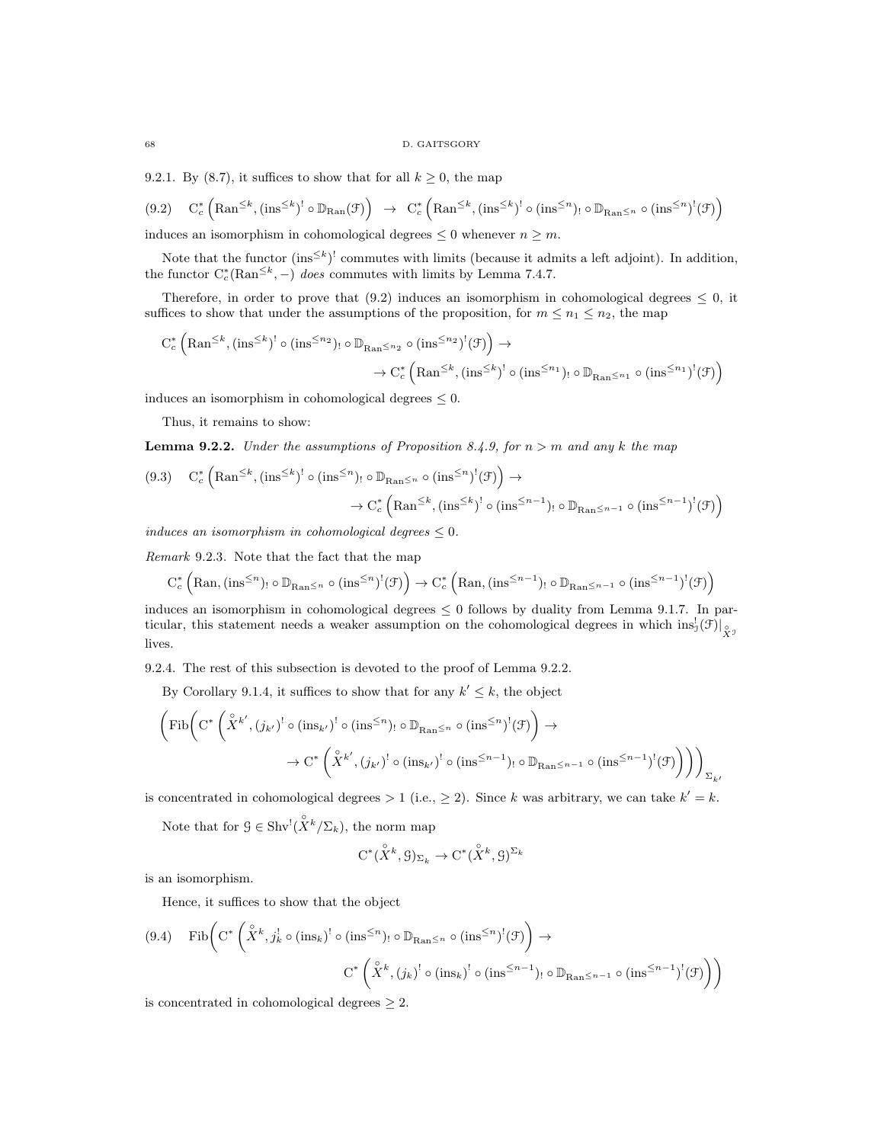9.2.1. By (8.7), it suffices to show that for all  $k \geq 0$ , the map

$$
(9.2) \quad C_c^* \left( \text{Ran}^{\leq k}, (\text{ins}^{\leq k})^! \circ \mathbb{D}_{\text{Ran}}(\mathcal{F}) \right) \rightarrow C_c^* \left( \text{Ran}^{\leq k}, (\text{ins}^{\leq k})^! \circ (\text{ins}^{\leq n})_! \circ \mathbb{D}_{\text{Ran} \leq n} \circ (\text{ins}^{\leq n})^! (\mathcal{F}) \right)
$$

induces an isomorphism in cohomological degrees  $\leq 0$  whenever  $n \geq m$ .

Note that the functor  $(\text{ins}^{\leq k})^!$  commutes with limits (because it admits a left adjoint). In addition, the functor  $C_c^*(\text{Ran}^{\leq k}, -)$  does commutes with limits by Lemma 7.4.7.

Therefore, in order to prove that  $(9.2)$  induces an isomorphism in cohomological degrees  $\leq 0$ , it suffices to show that under the assumptions of the proposition, for  $m \leq n_1 \leq n_2$ , the map

$$
C_c^* \left( \mathrm{Ran}^{\leq k}, (\mathrm{ins}^{\leq k})^! \circ (\mathrm{ins}^{\leq n_2})_! \circ \mathbb{D}_{\mathrm{Ran}^{\leq n_2}} \circ (\mathrm{ins}^{\leq n_2})^! (\mathcal{F}) \right) \to \\ \to C_c^* \left( \mathrm{Ran}^{\leq k}, (\mathrm{ins}^{\leq k})^! \circ (\mathrm{ins}^{\leq n_1})_! \circ \mathbb{D}_{\mathrm{Ran}^{\leq n_1}} \circ (\mathrm{ins}^{\leq n_1})^! (\mathcal{F}) \right)
$$

induces an isomorphism in cohomological degrees  $\leq 0$ .

Thus, it remains to show:

**Lemma 9.2.2.** Under the assumptions of Proposition 8.4.9, for  $n > m$  and any k the map

$$
(9.3) \quad C_c^* \left( \mathrm{Ran}^{\leq k}, (\mathrm{ins}^{\leq k})^! \circ (\mathrm{ins}^{\leq n})_! \circ \mathbb{D}_{\mathrm{Ran}^{\leq n}} \circ (\mathrm{ins}^{\leq n})^! (\mathcal{F}) \right) \to \\ \rightarrow C_c^* \left( \mathrm{Ran}^{\leq k}, (\mathrm{ins}^{\leq k})^! \circ (\mathrm{ins}^{\leq n-1})_! \circ \mathbb{D}_{\mathrm{Ran}^{\leq n-1}} \circ (\mathrm{ins}^{\leq n-1})^! (\mathcal{F}) \right)
$$

induces an isomorphism in cohomological degrees  $\leq 0$ .

Remark 9.2.3. Note that the fact that the map

$$
C_c^* \left( \text{Ran}, (\text{ins}^{\leq n})_! \circ \mathbb{D}_{\text{Ran}} \leq n \circ (\text{ins}^{\leq n})^!(\mathcal{F}) \right) \to C_c^* \left( \text{Ran}, (\text{ins}^{\leq n-1})_! \circ \mathbb{D}_{\text{Ran}} \leq n-1 \circ (\text{ins}^{\leq n-1})^!(\mathcal{F}) \right)
$$

induces an isomorphism in cohomological degrees  $\leq 0$  follows by duality from Lemma 9.1.7. In particular, this statement needs a weaker assumption on the cohomological degrees in which  $\text{ins}_J^!(\mathcal{F})|_{\overset{\circ}{X}^J}$ lives.

9.2.4. The rest of this subsection is devoted to the proof of Lemma 9.2.2.

By Corollary 9.1.4, it suffices to show that for any  $k' \leq k$ , the object

$$
\left(\mathrm{Fib}\bigg(\mathrm{C}^*\left(\overset{\circ}{X}^{k'},(j_{k'})^!\circ(\mathrm{ins}_{k'})^!\circ(\mathrm{ins}^{\leq n})_!\circ\mathbb{D}_{\mathrm{Ran}^{\leq n}}\circ(\mathrm{ins}^{\leq n})^!(\mathcal{F})\right)\to\right.\rightarrow\mathrm{C}^*\left(\overset{\circ}{X}^{k'},(j_{k'})^!\circ(\mathrm{ins}_{k'})^!\circ(\mathrm{ins}^{\leq n-1})_!\circ\mathbb{D}_{\mathrm{Ran}^{\leq n-1}}\circ(\mathrm{ins}^{\leq n-1})^!(\mathcal{F})\right)\right)\Big)_{\Sigma_{k'}}
$$

is concentrated in cohomological degrees  $> 1$  (i.e.,  $\geq 2$ ). Since k was arbitrary, we can take  $k' = k$ .

Note that for  $\mathcal{G} \in \text{Shv}^!(\overset{\circ}{X}^k/\Sigma_k)$ , the norm map

$$
C^*(\overset{\circ}{X}^k, \mathcal{G})_{\Sigma_k} \to C^*(\overset{\circ}{X}^k, \mathcal{G})^{\Sigma_k}
$$

is an isomorphism.

Hence, it suffices to show that the object

$$
(9.4) \quad \text{Fib}\bigg(C^*\left(\overset{\circ}{X}^k, j^!_k \circ (\text{ins}_k)^! \circ (\text{ins}^{\leq n})_! \circ \mathbb{D}_{\text{Ran} \leq n} \circ (\text{ins}^{\leq n})^! (\mathcal{F})\right) \to
$$

$$
C^*\left(\overset{\circ}{X}^k, (j_k)^! \circ (\text{ins}_k)^! \circ (\text{ins}^{\leq n-1})_! \circ \mathbb{D}_{\text{Ran} \leq n-1} \circ (\text{ins}^{\leq n-1})^! (\mathcal{F})\right)\bigg)
$$

is concentrated in cohomological degrees  $\geq 2$ .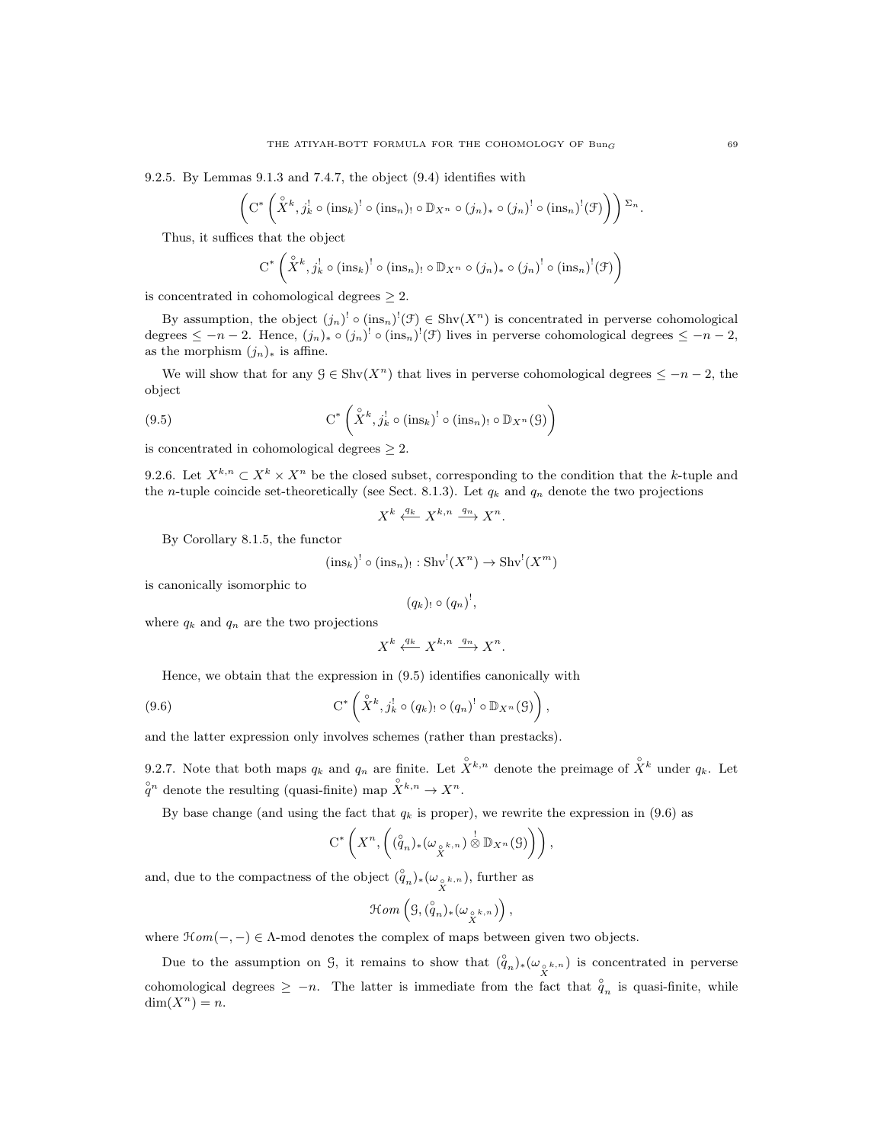9.2.5. By Lemmas 9.1.3 and 7.4.7, the object (9.4) identifies with

$$
\left(\mathrm{C}^*\left(\overset{\circ}{X}^k,j^!_k\circ(\mathrm{ins}_k)^!\circ(\mathrm{ins}_n)_! \circ \mathbb{D}_{X^n}\circ(j_n)_*\circ(j_n)^! \circ(\mathrm{ins}_n)^!(\mathfrak{F})\right)\right)\Sigma_n
$$

Thus, it suffices that the object

$$
C^* \left( \overset{\circ}{X}^k, j^!_k \circ (\text{ins}_k)^! \circ (\text{ins}_n)_! \circ \mathbb{D}_{X^n} \circ (j_n)_* \circ (j_n)^! \circ (\text{ins}_n)^! (\mathcal{F}) \right)
$$

is concentrated in cohomological degrees  $\geq 2$ .

By assumption, the object  $(j_n)^{!} \circ (ins_n)^{!}(\mathcal{F}) \in Shv(X^n)$  is concentrated in perverse cohomological degrees  $\leq -n-2$ . Hence,  $(j_n)_* \circ (j_n)^! \circ (\text{ins}_n)^! (\mathcal{F})$  lives in perverse cohomological degrees  $\leq -n-2$ , as the morphism  $(j_n)_*$  is affine.

We will show that for any  $\mathcal{G} \in \text{Shv}(X^n)$  that lives in perverse cohomological degrees  $\leq -n-2$ , the object

(9.5) 
$$
C^* \left( \overset{\circ}{X}^k, j^!_k \circ (\text{ins}_k)^! \circ (\text{ins}_n)_! \circ \mathbb{D}_{X^n}(G) \right)
$$

is concentrated in cohomological degrees  $\geq 2$ .

9.2.6. Let  $X^{k,n} \subset X^k \times X^n$  be the closed subset, corresponding to the condition that the k-tuple and the *n*-tuple coincide set-theoretically (see Sect. 8.1.3). Let  $q_k$  and  $q_n$  denote the two projections

$$
X^k \xleftarrow{q_k} X^{k,n} \xrightarrow{q_n} X^n.
$$

By Corollary 8.1.5, the functor

$$
(\text{ins}_k)^! \circ (\text{ins}_n)_{!} : \text{Shv}^!(X^n) \to \text{Shv}^!(X^m)
$$

is canonically isomorphic to

$$
(q_k)_! \circ (q_n)^!,
$$

where  $q_k$  and  $q_n$  are the two projections

$$
X^k \xleftarrow{q_k} X^{k,n} \xrightarrow{q_n} X^n.
$$

Hence, we obtain that the expression in (9.5) identifies canonically with

(9.6) 
$$
\mathrm{C}^*\left(\overset{\circ}{X}^k,j^!_k\circ(q_k)_! \circ (q_n)^! \circ \mathbb{D}_{X^n}(9)\right),
$$

and the latter expression only involves schemes (rather than prestacks).

9.2.7. Note that both maps  $q_k$  and  $q_n$  are finite. Let  $\hat{X}^{k,n}$  denote the preimage of  $\hat{X}^k$  under  $q_k$ . Let  $g^n$  denote the resulting (quasi-finite) map  $\chi^{k,n} \to X^n$ .

By base change (and using the fact that  $q_k$  is proper), we rewrite the expression in (9.6) as

$$
C^*\left(X^n,\left((\overset{\circ}{q}_n)_*(\omega_{\overset{\circ}{X}}{}^{k,n})\overset{!}{\otimes} \mathbb{D}_{X^n}(\mathcal{G})\right)\right),\right
$$

and, due to the compactness of the object  $(\overset{\circ}{q}_n)_*(\omega_{\overset{\circ}{X}}{}^{k,n})$ , further as

$$
\mathcal{H}om\left(\mathcal{G},(\overset{\circ}{q}_n)_*(\omega_{\overset{\circ}{X}}{}^{k,n})\right),
$$

where  $\mathcal{H}om(-, -) \in \Lambda$ -mod denotes the complex of maps between given two objects.

Due to the assumption on G, it remains to show that  $({\overset{\circ}{q}}_n)_*({\omega}_{{}_{\stackrel{\circ}{X}}^{k,n}})$  is concentrated in perverse cohomological degrees  $\geq -n$ . The latter is immediate from the fact that  $\hat{q}_n$  is quasi-finite, while  $dim(X^n) = n.$ 

.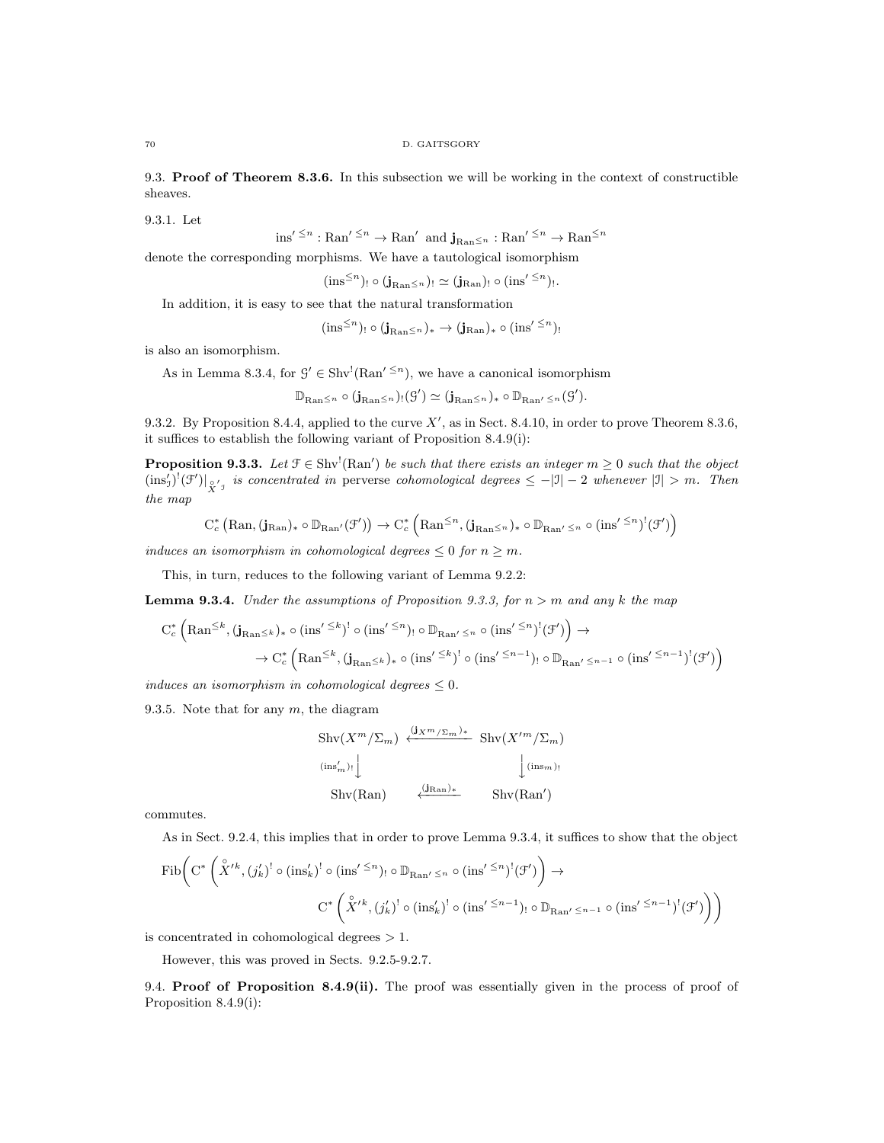9.3. Proof of Theorem 8.3.6. In this subsection we will be working in the context of constructible sheaves.

9.3.1. Let

ins' 
$$
\leq^n
$$
: Ran'  $\leq^n$   $\rightarrow$  Ran' and  $\mathbf{j}_{\text{Ran}} \leq_n$ : Ran'  $\leq^n$   $\rightarrow$  Ran $\leq^n$ 

denote the corresponding morphisms. We have a tautological isomorphism

$$
(\text{ins}^{\leq n})_! \circ (\mathbf{j}_{\text{Ran} \leq n})_! \simeq (\mathbf{j}_{\text{Ran}})_! \circ (\text{ins}'^{\leq n})_!.
$$

In addition, it is easy to see that the natural transformation

$$
(\text{ins}^{\leq n})_! \circ (\mathbf{j}_{\text{Ran}} \leq n)_* \to (\mathbf{j}_{\text{Ran}})_* \circ (\text{ins}'^{\leq n})_!
$$

is also an isomorphism.

As in Lemma 8.3.4, for  $\mathcal{G}' \in \text{Shv}^!(\text{Ran}'^{\leq n})$ , we have a canonical isomorphism

$$
\mathbb{D}_{\text{Ran}}\leq n\circ(\mathbf{j}_{\text{Ran}}\leq n)_{!}(\mathcal{G}')\simeq(\mathbf{j}_{\text{Ran}}\leq n)_{*}\circ\mathbb{D}_{\text{Ran}'}\leq n(\mathcal{G}').
$$

9.3.2. By Proposition 8.4.4, applied to the curve  $X'$ , as in Sect. 8.4.10, in order to prove Theorem 8.3.6, it suffices to establish the following variant of Proposition 8.4.9(i):

**Proposition 9.3.3.** Let  $\mathcal{F} \in Shv^{!}(Ran')$  be such that there exists an integer  $m \geq 0$  such that the object  $(\text{ins}'_j)'(\mathcal{F}')|_{\hat{X}'}$  is concentrated in perverse cohomological degrees  $\leq -|\mathfrak{I}|-2$  whenever  $|\mathfrak{I}| > m$ . Then the map

$$
C_c^*\left(Ran,(\mathbf{j}_{Ran})_*\circ \mathbb{D}_{Ran'}(\mathcal{F}')\right)\rightarrow C_c^*\left(Ran^{\leq n},(\mathbf{j}_{Ran^{\leq n}})_*\circ \mathbb{D}_{Ran'\leq n}\circ (ins'^{\leq n})^!(\mathcal{F}')\right)
$$

induces an isomorphism in cohomological degrees  $\leq 0$  for  $n \geq m$ .

This, in turn, reduces to the following variant of Lemma 9.2.2:

**Lemma 9.3.4.** Under the assumptions of Proposition 9.3.3, for  $n > m$  and any k the map

$$
C_c^* \left( \mathrm{Ran}^{\leq k}, (\mathbf{j}_{\mathrm{Ran}} \leq k)_* \circ (\mathrm{ins}'^{\leq k})^! \circ (\mathrm{ins}'^{\leq n})_! \circ \mathbb{D}_{\mathrm{Ran}' \leq n} \circ (\mathrm{ins}'^{\leq n})^! (\mathcal{F}') \right) \to
$$
  

$$
\rightarrow C_c^* \left( \mathrm{Ran}^{\leq k}, (\mathbf{j}_{\mathrm{Ran}} \leq k)_* \circ (\mathrm{ins}'^{\leq k})^! \circ (\mathrm{ins}'^{\leq n-1})_! \circ \mathbb{D}_{\mathrm{Ran}' \leq n-1} \circ (\mathrm{ins}'^{\leq n-1})^! (\mathcal{F}') \right)
$$

induces an isomorphism in cohomological degrees  $\leq 0$ .

9.3.5. Note that for any  $m$ , the diagram

$$
\operatorname{Shv}(X^{m}/\Sigma_{m}) \xleftarrow{\left(\mathbf{j}_{X^{m}/\Sigma_{m}}\right)_{*}} \operatorname{Shv}(X^{\prime m}/\Sigma_{m})
$$
\n
$$
\left(\mathbf{j}_{\operatorname{ins}_{m}^{j}}\right)_{!}
$$
\n
$$
\operatorname{Shv}(\operatorname{Ran}) \xleftarrow{\left(\mathbf{j}_{\operatorname{Ran}}\right)_{*}} \operatorname{Shv}(\operatorname{Ran}^{\prime})
$$

commutes.

As in Sect. 9.2.4, this implies that in order to prove Lemma 9.3.4, it suffices to show that the object

$$
\mathrm{Fib}\bigg(C^*\left(\overset{\circ}{X}'^k,(j'_k)^!\circ(\mathrm{ins}'_k)^!\circ(\mathrm{ins}'^{\leq n})_!\circ\mathbb{D}_{\mathrm{Ran}'\leq n}\circ(\mathrm{ins}'^{\leq n})^!(\mathcal{F}')\right)\to
$$

$$
C^*\left(\overset{\circ}{X}'^k,(j'_k)^!\circ(\mathrm{ins}'_k)^!\circ(\mathrm{ins}'^{\leq n-1})_!\circ\mathbb{D}_{\mathrm{Ran}'\leq n-1}\circ(\mathrm{ins}'^{\leq n-1})^!(\mathcal{F}')\right)\bigg)
$$

is concentrated in cohomological degrees > 1.

However, this was proved in Sects. 9.2.5-9.2.7.

9.4. Proof of Proposition 8.4.9(ii). The proof was essentially given in the process of proof of Proposition 8.4.9(i):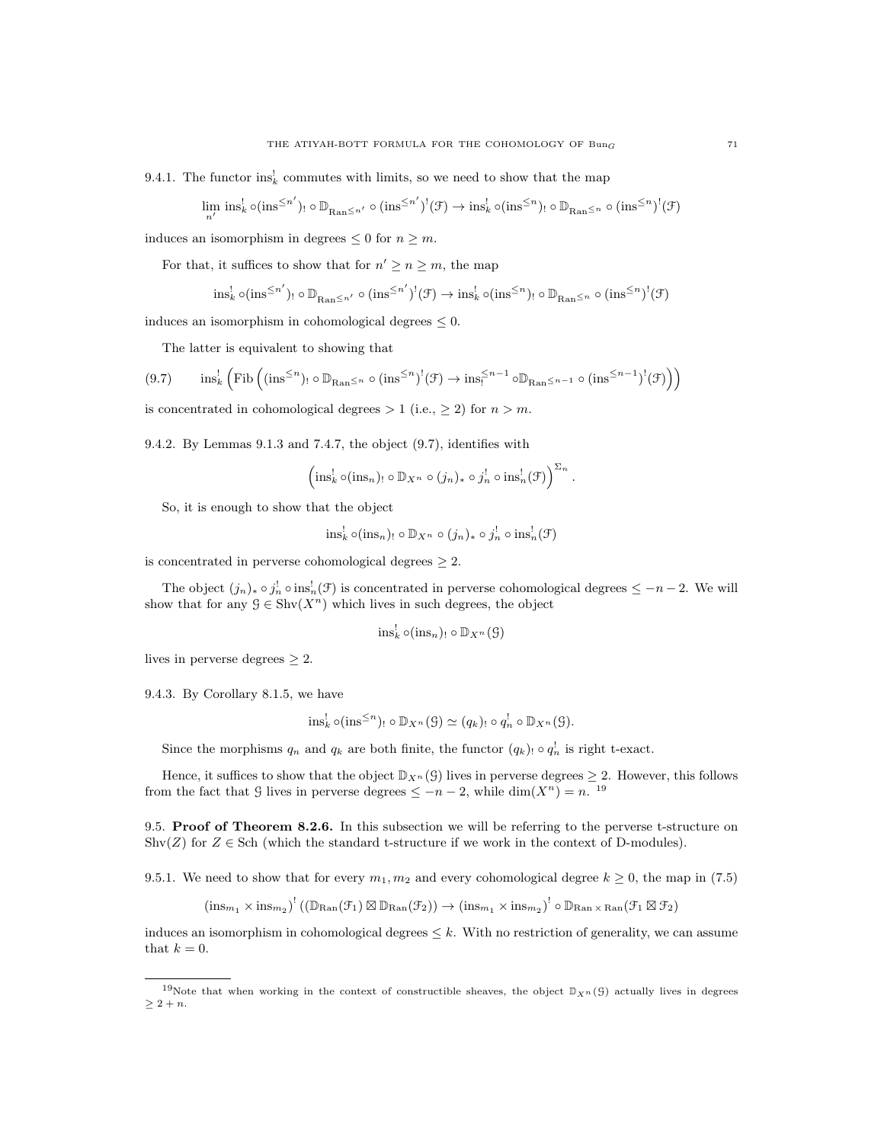9.4.1. The functor  $\text{ins}_k^!$  commutes with limits, so we need to show that the map

$$
\lim_{n'} \text{ins}_k^! \circ (\text{ins}^{\leq n'})_! \circ \mathbb{D}_{\text{Ran}^{\leq n'}} \circ (\text{ins}^{\leq n'})^! (\mathcal{F}) \to \text{ins}_k^! \circ (\text{ins}^{\leq n})_! \circ \mathbb{D}_{\text{Ran}^{\leq n}} \circ (\text{ins}^{\leq n})^! (\mathcal{F})
$$

induces an isomorphism in degrees  $\leq 0$  for  $n \geq m$ .

For that, it suffices to show that for  $n' \geq n \geq m$ , the map

$$
\text{ins}_k^! \circ (\text{ins}^{\leq n'})_! \circ \mathbb{D}_{\text{Ran}^{\leq n'}} \circ (\text{ins}^{\leq n'})^!(\mathcal{F}) \to \text{ins}_k^! \circ (\text{ins}^{\leq n})_! \circ \mathbb{D}_{\text{Ran}^{\leq n}} \circ (\text{ins}^{\leq n})^!(\mathcal{F})
$$

induces an isomorphism in cohomological degrees  $\leq 0$ .

The latter is equivalent to showing that

$$
(9.7) \qquad \text{ins}_{k}^{!} \left( \text{Fib} \left( (\text{ins}^{\leq n})_{!} \circ \mathbb{D}_{\text{Ran} \leq n} \circ (\text{ins}^{\leq n})^{!} (\mathcal{F}) \to \text{ins}_{!}^{\leq n-1} \circ \mathbb{D}_{\text{Ran} \leq n-1} \circ (\text{ins}^{\leq n-1})^{!} (\mathcal{F}) \right) \right)
$$

is concentrated in cohomological degrees  $> 1$  (i.e.,  $\geq 2$ ) for  $n > m$ .

9.4.2. By Lemmas 9.1.3 and 7.4.7, the object (9.7), identifies with

$$
\left(\operatorname{ins}_k^! \circ (\operatorname{ins}_n)_! \circ \mathbb{D}_{X^n} \circ (j_n)_* \circ j_n^! \circ \operatorname{ins}_n^! (\mathcal{F})\right)^{\Sigma_n}.
$$

So, it is enough to show that the object

$$
\operatorname{ins}_k^! \circ (\operatorname{ins}_n)_! \circ \mathbb{D}_{X^n} \circ (j_n)_* \circ j_n^! \circ \operatorname{ins}_n^! (\mathcal{F})
$$

is concentrated in perverse cohomological degrees  $\geq 2$ .

The object  $(j_n)_* \circ j_n^! \circ \text{ins}_n^! (\mathcal{F})$  is concentrated in perverse cohomological degrees  $\leq -n-2$ . We will show that for any  $\mathcal{G} \in \text{Shv}(X^n)$  which lives in such degrees, the object

$$
\operatorname{ins}_k^! \circ (\operatorname{ins}_n)_! \circ \mathbb{D}_{X^n}(\mathcal{G})
$$

lives in perverse degrees  $\geq 2$ .

9.4.3. By Corollary 8.1.5, we have

$$
\text{ins}_k^! \circ (\text{ins}^{\leq n})_! \circ \mathbb{D}_{X^n}(\mathcal{G}) \simeq (q_k)_! \circ q_n^! \circ \mathbb{D}_{X^n}(\mathcal{G}).
$$

Since the morphisms  $q_n$  and  $q_k$  are both finite, the functor  $(q_k)$  or  $q_n^{\dagger}$  is right t-exact.

Hence, it suffices to show that the object  $\mathbb{D}_{X^n}(G)$  lives in perverse degrees  $\geq 2$ . However, this follows from the fact that G lives in perverse degrees  $\leq -n-2$ , while  $\dim(X^n) = n$ . <sup>19</sup>

9.5. Proof of Theorem 8.2.6. In this subsection we will be referring to the perverse t-structure on Shv $(Z)$  for  $Z \in$  Sch (which the standard t-structure if we work in the context of D-modules).

9.5.1. We need to show that for every  $m_1, m_2$  and every cohomological degree  $k \ge 0$ , the map in (7.5)

 $(\text{ins}_{m_1} \times \text{ins}_{m_2})^! ((\mathbb{D}_{\text{Ran}}(\mathcal{F}_1) \boxtimes \mathbb{D}_{\text{Ran}}(\mathcal{F}_2)) \to (\text{ins}_{m_1} \times \text{ins}_{m_2})^! \circ \mathbb{D}_{\text{Ran} \times \text{Ran}}(\mathcal{F}_1 \boxtimes \mathcal{F}_2)$ 

induces an isomorphism in cohomological degrees  $\leq k$ . With no restriction of generality, we can assume that  $k = 0$ .

<sup>&</sup>lt;sup>19</sup>Note that when working in the context of constructible sheaves, the object  $\mathbb{D}_{X^n}(S)$  actually lives in degrees  $> 2 + n$ .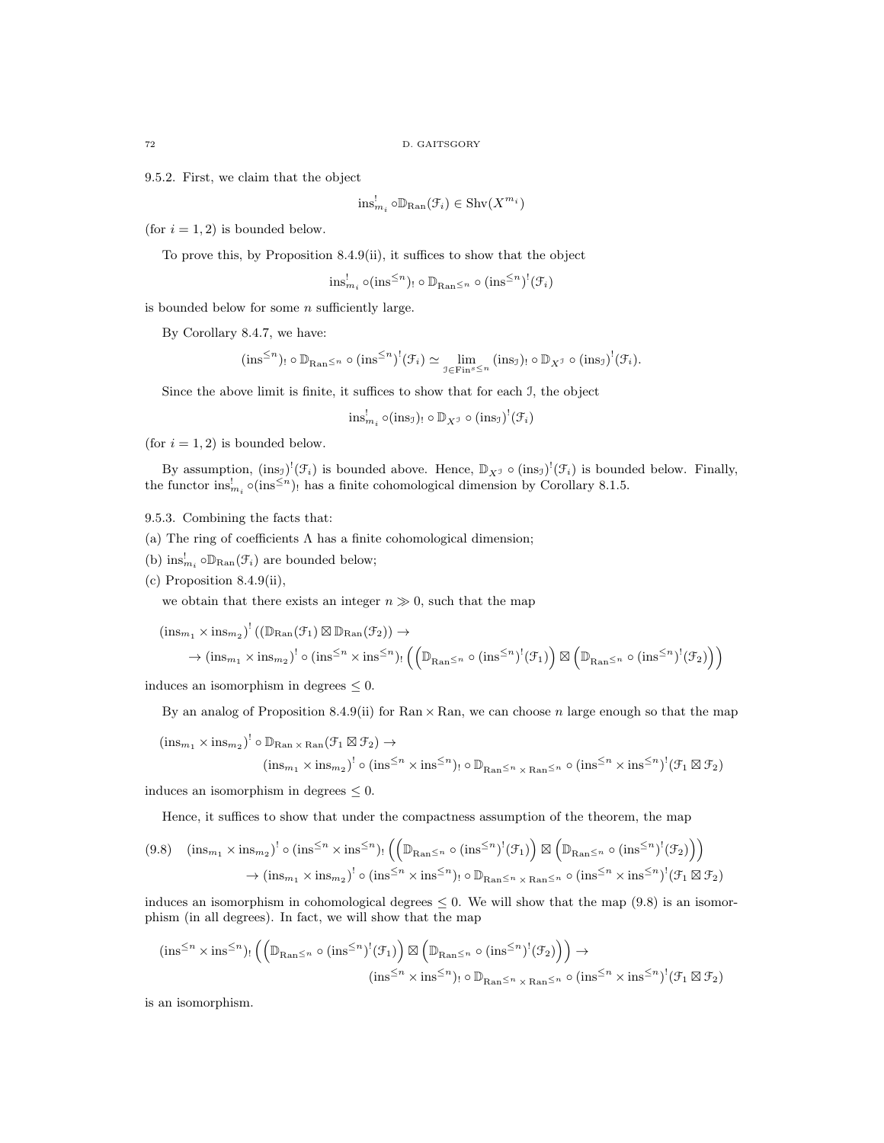9.5.2. First, we claim that the object

$$
\text{ins}_{m_i}^! \circ \mathbb{D}_{\text{Ran}}(\mathcal{F}_i) \in \text{Shv}(X^{m_i})
$$

(for  $i = 1, 2$ ) is bounded below.

To prove this, by Proposition 8.4.9(ii), it suffices to show that the object

$$
\text{ins}_{m_i}^! \circ (\text{ins}^{\leq n})_! \circ \mathbb{D}_{\text{Ran}^{\leq n}} \circ (\text{ins}^{\leq n})^! (\mathcal{F}_i)
$$

is bounded below for some  $n$  sufficiently large.

By Corollary 8.4.7, we have:

$$
(\text{ins}^{\leq n})_! \circ \mathbb{D}_{\text{Ran}^{\leq n}} \circ (\text{ins}^{\leq n})^!(\mathcal{F}_i) \simeq \lim_{\mathcal{I} \in \text{Fin}^s \leq n} (\text{ins}_{\mathcal{I}})_! \circ \mathbb{D}_{X^{\mathcal{I}}} \circ (\text{ins}_{\mathcal{I}})^!(\mathcal{F}_i).
$$

Since the above limit is finite, it suffices to show that for each I, the object

$$
\text{ins}_{m_i}^! \circ (\text{ins}_\mathfrak{I})_! \circ \mathbb{D}_{X^\mathfrak{I}} \circ (\text{ins}_\mathfrak{I})^!(\mathfrak{F}_i)
$$

(for  $i = 1, 2$ ) is bounded below.

By assumption,  $(\text{ins}_\mathfrak{I})^!(\mathfrak{F}_i)$  is bounded above. Hence,  $\mathbb{D}_{X^{\mathfrak{I}}} \circ (\text{ins}_\mathfrak{I})^!(\mathfrak{F}_i)$  is bounded below. Finally, the functor  $\text{ins}_{m_i}^! \circ (\text{ins}^{\leq n})$ , has a finite cohomological dimension by Corollary 8.1.5.

# 9.5.3. Combining the facts that:

- (a) The ring of coefficients  $\Lambda$  has a finite cohomological dimension;
- (b)  $\text{ins}_{m_i}^! \circ \mathbb{D}_{\text{Ran}}(\mathcal{F}_i)$  are bounded below;
- (c) Proposition 8.4.9(ii),

we obtain that there exists an integer  $n \gg 0$ , such that the map

$$
(\text{ins}_{m_1} \times \text{ins}_{m_2})^! (\left(\mathbb{D}_{\text{Ran}}(\mathcal{F}_1) \boxtimes \mathbb{D}_{\text{Ran}}(\mathcal{F}_2)\right) \to \\
 \to (\text{ins}_{m_1} \times \text{ins}_{m_2})^! \circ (\text{ins}^{\leq n} \times \text{ins}^{\leq n})_! \left( \left(\mathbb{D}_{\text{Ran}} \leq n \circ (\text{ins}^{\leq n})^! (\mathcal{F}_1) \right) \boxtimes \left(\mathbb{D}_{\text{Ran}} \leq n \circ (\text{ins}^{\leq n})^! (\mathcal{F}_2) \right) \right)
$$

induces an isomorphism in degrees  $\leq 0$ .

By an analog of Proposition 8.4.9(ii) for Ran  $\times$  Ran, we can choose n large enough so that the map

$$
(\text{ins}_{m_1} \times \text{ins}_{m_2})^! \circ \mathbb{D}_{\text{Ran} \times \text{Ran}}(\mathcal{F}_1 \boxtimes \mathcal{F}_2) \to
$$
  

$$
(\text{ins}_{m_1} \times \text{ins}_{m_2})^! \circ (\text{ins}^{\leq n} \times \text{ins}^{\leq n})_! \circ \mathbb{D}_{\text{Ran}^{\leq n} \times \text{Ran}^{\leq n}} \circ (\text{ins}^{\leq n} \times \text{ins}^{\leq n})^! (\mathcal{F}_1 \boxtimes \mathcal{F}_2)
$$

induces an isomorphism in degrees  $\leq 0$ .

Hence, it suffices to show that under the compactness assumption of the theorem, the map

$$
(9.8) \quad (\text{ins}_{m_1} \times \text{ins}_{m_2})^! \circ (\text{ins}^{\leq n} \times \text{ins}^{\leq n})_! \left( \left( \mathbb{D}_{\text{Ran} \leq n} \circ (\text{ins}^{\leq n})^! (\mathcal{F}_1) \right) \boxtimes \left( \mathbb{D}_{\text{Ran} \leq n} \circ (\text{ins}^{\leq n})^! (\mathcal{F}_2) \right) \right)
$$

$$
\rightarrow (\text{ins}_{m_1} \times \text{ins}_{m_2})^! \circ (\text{ins}^{\leq n} \times \text{ins}^{\leq n})_! \circ \mathbb{D}_{\text{Ran} \leq n} \times \text{Ran} \leq n \circ (\text{ins}^{\leq n} \times \text{ins}^{\leq n})^! (\mathcal{F}_1 \boxtimes \mathcal{F}_2)
$$

induces an isomorphism in cohomological degrees  $\leq 0$ . We will show that the map (9.8) is an isomorphism (in all degrees). In fact, we will show that the map

$$
(\text{ins}^{\leq n} \times \text{ins}^{\leq n})_! \left( \left( \mathbb{D}_{\text{Ran} \leq n} \circ (\text{ins}^{\leq n})^!(\mathcal{F}_1) \right) \boxtimes \left( \mathbb{D}_{\text{Ran} \leq n} \circ (\text{ins}^{\leq n})^!(\mathcal{F}_2) \right) \right) \to \n(\text{ins}^{\leq n} \times \text{ins}^{\leq n})_! \circ \mathbb{D}_{\text{Ran} \leq n} \times_{\text{Ran} \leq n} \circ (\text{ins}^{\leq n} \times \text{ins}^{\leq n})^!(\mathcal{F}_1 \boxtimes \mathcal{F}_2)
$$

is an isomorphism.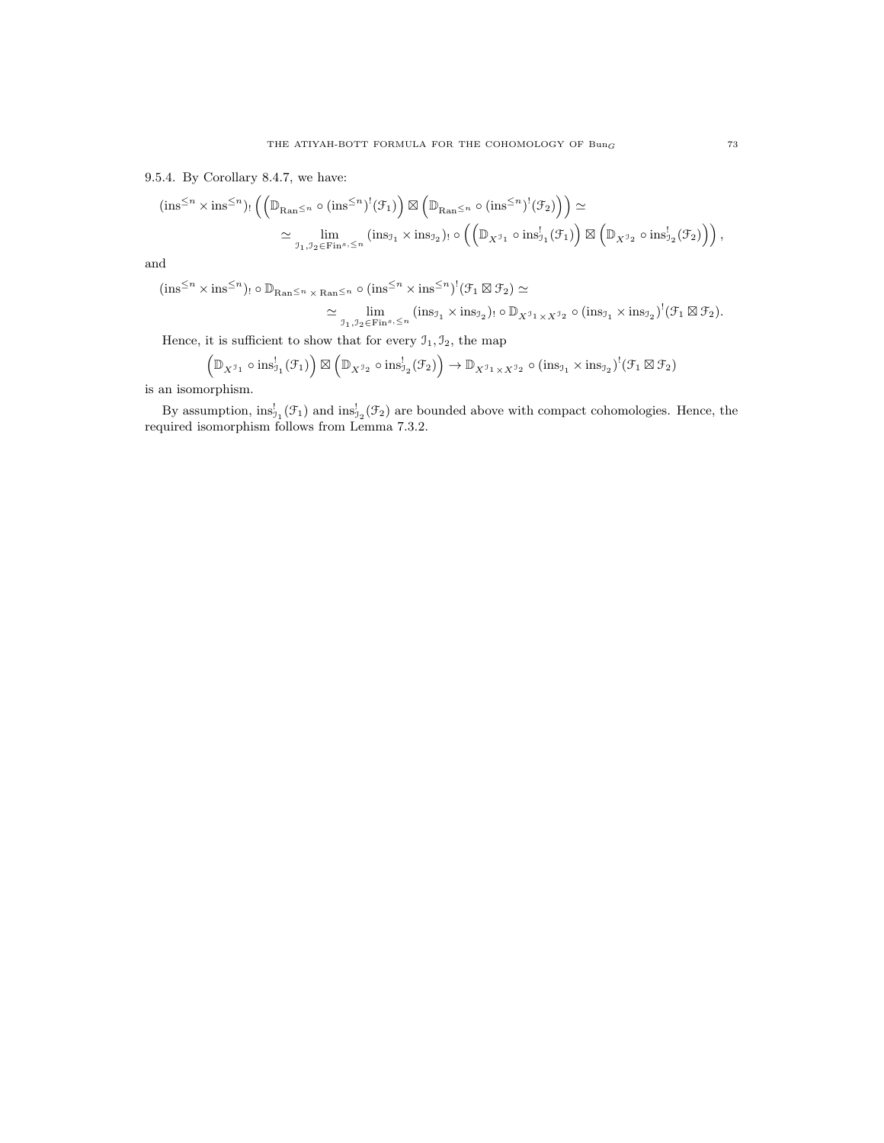9.5.4. By Corollary 8.4.7, we have:

$$
(\text{ins}^{\leq n} \times \text{ins}^{\leq n})_! \left( \left( \mathbb{D}_{\text{Ran}^{\leq n}} \circ (\text{ins}^{\leq n})^!(\mathcal{F}_1) \right) \boxtimes \left( \mathbb{D}_{\text{Ran}^{\leq n}} \circ (\text{ins}^{\leq n})^!(\mathcal{F}_2) \right) \right) \simeq
$$
  

$$
\simeq \lim_{\mathfrak{I}_1, \mathfrak{I}_2 \in \text{Fin}^{s}, \leq n} (\text{ins}_{\mathfrak{I}_1} \times \text{ins}_{\mathfrak{I}_2})_! \circ \left( \left( \mathbb{D}_{X^{\mathfrak{I}_1}} \circ \text{ins}_{\mathfrak{I}_1}^!(\mathcal{F}_1) \right) \boxtimes \left( \mathbb{D}_{X^{\mathfrak{I}_2}} \circ \text{ins}_{\mathfrak{I}_2}^!(\mathcal{F}_2) \right) \right),
$$

and

$$
(\text{ins}^{\leq n} \times \text{ins}^{\leq n})_! \circ \mathbb{D}_{\text{Ran}^{\leq n} \times \text{Ran}^{\leq n}} \circ (\text{ins}^{\leq n} \times \text{ins}^{\leq n})^! (\mathcal{F}_1 \boxtimes \mathcal{F}_2) \simeq
$$
  

$$
\simeq \lim_{\mathcal{I}_1, \mathcal{I}_2 \in \text{Fin}^s, \leq n} (\text{ins}_{\mathcal{I}_1} \times \text{ins}_{\mathcal{I}_2})_! \circ \mathbb{D}_{X^{\mathcal{I}_1} \times X^{\mathcal{I}_2}} \circ (\text{ins}_{\mathcal{I}_1} \times \text{ins}_{\mathcal{I}_2})^! (\mathcal{F}_1 \boxtimes \mathcal{F}_2).
$$

Hence, it is sufficient to show that for every  $\mathfrak{I}_1, \mathfrak{I}_2$ , the map

$$
\left(\mathbb{D}_{X^{\mathcal{I}_{1}}}\circ\text{ins}_{\mathcal{I}_{1}}^{!}(\mathcal{F}_{1})\right)\boxtimes\left(\mathbb{D}_{X^{\mathcal{I}_{2}}}\circ\text{ins}_{\mathcal{I}_{2}}^{!}(\mathcal{F}_{2})\right)\rightarrow\mathbb{D}_{X^{\mathcal{I}_{1}}\times X^{\mathcal{I}_{2}}}\circ(\text{ins}_{\mathcal{I}_{1}}\times\text{ins}_{\mathcal{I}_{2}})^{!}(\mathcal{F}_{1}\boxtimes\mathcal{F}_{2})
$$

is an isomorphism.

By assumption,  $ins_{\mathfrak{I}_1}^!(\mathfrak{F}_1)$  and  $ins_{\mathfrak{I}_2}^!(\mathfrak{F}_2)$  are bounded above with compact cohomologies. Hence, the required isomorphism follows from Lemma 7.3.2.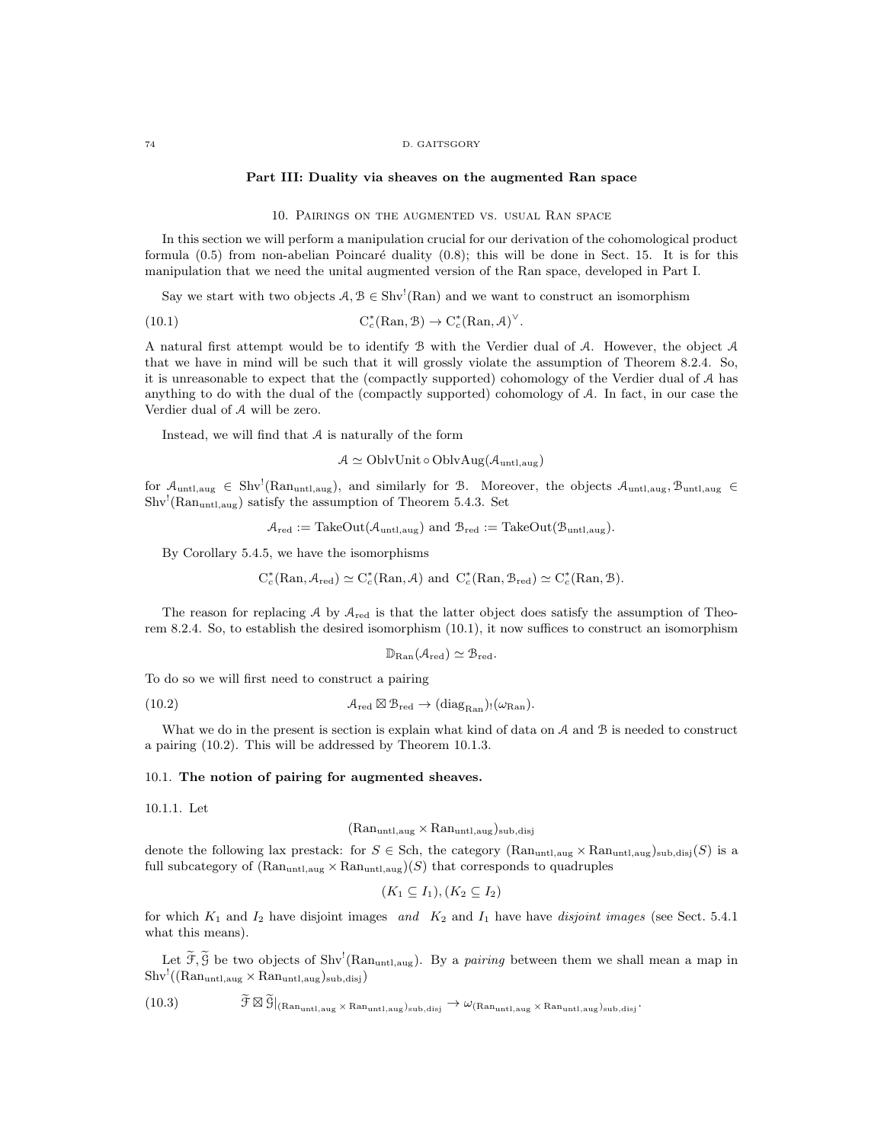#### 74 D. GAITSGORY

#### Part III: Duality via sheaves on the augmented Ran space

### 10. Pairings on the augmented vs. usual Ran space

In this section we will perform a manipulation crucial for our derivation of the cohomological product formula  $(0.5)$  from non-abelian Poincaré duality  $(0.8)$ ; this will be done in Sect. 15. It is for this manipulation that we need the unital augmented version of the Ran space, developed in Part I.

Say we start with two objects  $A, B \in Shv^!(\text{Ran})$  and we want to construct an isomorphism

(10.1) 
$$
C_c^*(\mathrm{Ran}, \mathcal{B}) \to C_c^*(\mathrm{Ran}, \mathcal{A})^{\vee}.
$$

A natural first attempt would be to identify B with the Verdier dual of A. However, the object A that we have in mind will be such that it will grossly violate the assumption of Theorem 8.2.4. So, it is unreasonable to expect that the (compactly supported) cohomology of the Verdier dual of A has anything to do with the dual of the (compactly supported) cohomology of A. In fact, in our case the Verdier dual of A will be zero.

Instead, we will find that  $A$  is naturally of the form

 $A \simeq \text{OblvUnit} \circ \text{OblvAug}(\mathcal{A}_{\text{untl},\text{aug}})$ 

for  $\mathcal{A}_{\text{untl,aug}} \in Shv^{!}(Ran_{\text{untl,aug}})$ , and similarly for B. Moreover, the objects  $\mathcal{A}_{\text{untl,aug}}$ ,  $\mathcal{B}_{\text{untl,aug}} \in$  $\text{Shv}^!$ (Ran<sub>untl,aug</sub>) satisfy the assumption of Theorem 5.4.3. Set

$$
\mathcal{A}_{red} := \text{TakeOut}(\mathcal{A}_{untl,aug}) \text{ and } \mathcal{B}_{red} := \text{TakeOut}(\mathcal{B}_{untl,aug}).
$$

By Corollary 5.4.5, we have the isomorphisms

$$
C_c^*(\mathrm{Ran}, \mathcal{A}_{\mathrm{red}}) \simeq C_c^*(\mathrm{Ran}, \mathcal{A})
$$
 and  $C_c^*(\mathrm{Ran}, \mathcal{B}_{\mathrm{red}}) \simeq C_c^*(\mathrm{Ran}, \mathcal{B}).$ 

The reason for replacing A by  $A_{\text{red}}$  is that the latter object does satisfy the assumption of Theorem 8.2.4. So, to establish the desired isomorphism (10.1), it now suffices to construct an isomorphism

$$
\mathbb{D}_{\mathrm{Ran}}(\mathcal{A}_{\mathrm{red}})\simeq \mathcal{B}_{\mathrm{red}}.
$$

To do so we will first need to construct a pairing

(10.2) 
$$
\mathcal{A}_{\text{red}} \boxtimes \mathcal{B}_{\text{red}} \to (\text{diag}_{\text{Ran}})_{!}(\omega_{\text{Ran}}).
$$

What we do in the present is section is explain what kind of data on A and B is needed to construct a pairing (10.2). This will be addressed by Theorem 10.1.3.

## 10.1. The notion of pairing for augmented sheaves.

10.1.1. Let

 $(Ran_{untl,aug} \times Ran_{untl,aug})$ sub,disj

denote the following lax prestack: for  $S \in \text{Sch}$ , the category  $(\text{Ran}_{\text{untl},\text{aug}} \times \text{Ran}_{\text{untl},\text{aug}})_{\text{sub},\text{disj}}(S)$  is a full subcategory of  $(Ran<sub>untl,aug</sub> \times Ran<sub>untl,aug</sub>)(S)$  that corresponds to quadruples

$$
(K_1 \subseteq I_1), (K_2 \subseteq I_2)
$$

for which  $K_1$  and  $I_2$  have disjoint images and  $K_2$  and  $I_1$  have have disjoint images (see Sect. 5.4.1) what this means).

Let  $\widetilde{\mathcal{F}}, \widetilde{\mathcal{G}}$  be two objects of  $\text{Shv}^!(\text{Ran}_{\text{untl},\text{aug}})$ . By a *pairing* between them we shall mean a map in  $\text{Shv}^{!}((\text{Ran}_{\text{untl},\text{aug}} \times \text{Ran}_{\text{untl},\text{aug}})_{\text{sub},\text{disj}})$ 

 $(10.3)$   $\widetilde{\mathcal{F}} \boxtimes \widetilde{\mathcal{G}}|_{(Ran_{\text{untl},\text{aug}} \times \text{Ran}_{\text{untl},\text{aug}})_{\text{sub,disj}} \rightarrow \omega_{(Ran_{\text{untl},\text{aug}} \times \text{Ran}_{\text{untl},\text{aug}})_{\text{sub,disj}}}.$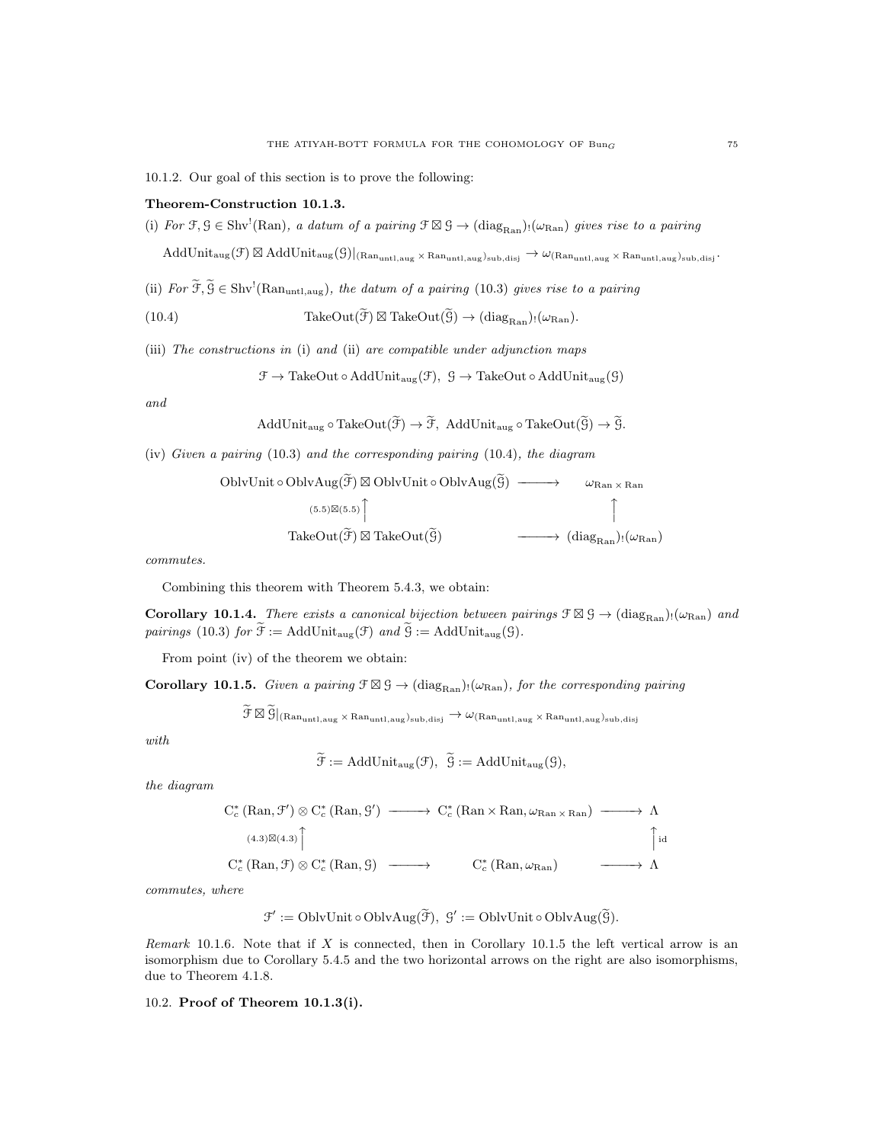## Theorem-Construction 10.1.3.

(i) For  $\mathfrak{F}, \mathfrak{G} \in \text{Shv}^!(\text{Ran})$ , a datum of a pairing  $\mathfrak{F} \boxtimes \mathfrak{G} \to (\text{diag}_{\text{Ran}})_!(\omega_{\text{Ran}})$  gives rise to a pairing

 $\text{AddUnit}_{\text{aug}}(\mathcal{F})\boxtimes \text{AddUnit}_{\text{aug}}(\mathcal{G})|_{(\text{Ran}_{\text{untl},\text{aug}}\times\text{Ran}_{\text{untl},\text{aug}})_{\text{sub}},\text{disj}}\cdot \text{Ran}_{\text{untl},\text{aug}}\times\text{Ran}_{\text{untl},\text{aug}})_{\text{sub},\text{disj}}\cdot \text{Ran}_{\text{untl},\text{aug}}\cdot \text{Ran}_{\text{untl},\text{aug}}\cdot \text{Ran}_{\text{untl},\text{aug}}\cdot \text{Ran}_{\text{untl},\text{aug}}\cdot \text{$ 

(ii) For  $\widetilde{\mathfrak{F}}, \widetilde{\mathfrak{G}} \in \text{Shv}^1(\text{Ran}_{\text{untl},\text{aug}})$ , the datum of a pairing (10.3) gives rise to a pairing

(10.4) TakeOut(
$$
\tilde{\mathcal{F}}
$$
)  $\boxtimes$  TakeOut( $\tilde{\mathcal{G}}$ )  $\rightarrow$  (diag<sub>Ran</sub>):( $\omega_{Ran}$ ).

(iii) The constructions in (i) and (ii) are compatible under adjunction maps

$$
\mathcal{F} \to \text{TakeOut} \circ \text{AddUnit}_{\text{aug}}(\mathcal{F}), \ \mathcal{G} \to \text{TakeOut} \circ \text{AddUnit}_{\text{aug}}(\mathcal{G})
$$

and

AddUnit<sub>aug</sub> o TakeOut(
$$
\widetilde{\mathcal{F}}
$$
)  $\rightarrow \widetilde{\mathcal{F}}$ , AddUnit<sub>aug</sub> o TakeOut( $\widetilde{\mathcal{G}}$ )  $\rightarrow \widetilde{\mathcal{G}}$ .

(iv) Given a pairing (10.3) and the corresponding pairing (10.4), the diagram

OblvUnit o OblvAug(
$$
\widetilde{\mathcal{F}}
$$
) ⊠ OblvUnit o OblvAug( $\widetilde{\mathcal{G}}$ ) —→ →  $\omega_{\text{Ran} \times \text{Ran}}$ 

\n(5.5)⊠(5.5)  $\uparrow$ 

\nTakeOut( $\widetilde{\mathcal{F}}$ ) ⊆ TakeOut( $\widetilde{\mathcal{G}}$ ) —→ (diag<sub>Ran</sub>):( $\omega_{\text{Ran}}$ ) $\downarrow$ 

commutes.

Combining this theorem with Theorem 5.4.3, we obtain:

**Corollary 10.1.4.** There exists a canonical bijection between pairings  $\mathcal{F} \boxtimes \mathcal{G} \to (\text{diag}_{\text{Ran}}) \cdot (\omega_{\text{Ran}})$  and pairings (10.3) for  $\widetilde{\mathfrak{F}} := \text{AddUnit}_{\text{aug}}(\mathfrak{F})$  and  $\widetilde{\mathfrak{G}} := \text{AddUnit}_{\text{aug}}(\mathfrak{G})$ .

From point (iv) of the theorem we obtain:

**Corollary 10.1.5.** Given a pairing  $\mathcal{F} \boxtimes \mathcal{G} \to (\text{diag}_{\text{Ran}}) \cup (\omega_{\text{Ran}})$ , for the corresponding pairing

 $\widetilde{\mathcal{F}} \boxtimes \widetilde{\mathcal{G}}|_{\text{(Ran}_{\text{untl},\text{aug}} \times \text{Ran}_{\text{untl},\text{aug}})_{\text{sub}},\text{disj}} \rightarrow \omega_{\text{(Ran}_{\text{untl},\text{aug}} \times \text{Ran}_{\text{untl},\text{aug}})_{\text{sub}},\text{disj}}$ 

with

$$
\mathcal{F} := \mathrm{AddUnit}_{\mathrm{aug}}(\mathcal{F}), \ \ \mathcal{G} := \mathrm{AddUnit}_{\mathrm{aug}}(\mathcal{G}),
$$

the diagram

$$
C_c^*(\text{Ran}, \mathcal{F}') \otimes C_c^*(\text{Ran}, \mathcal{G}') \longrightarrow C_c^*(\text{Ran} \times \text{Ran}, \omega_{\text{Ran} \times \text{Ran}}) \longrightarrow \Lambda
$$
  
\n
$$
(4.3) \boxtimes (4.3) \uparrow \qquad (4.3) \otimes C_c^*(\text{Ran}, \mathcal{G}) \longrightarrow C_c^*(\text{Ran}, \omega_{\text{Ran}}) \longrightarrow \Lambda
$$

commutes, where

$$
\mathcal{F}' := \text{OblvUnit} \circ \text{OblvAug}(\widetilde{\mathcal{F}}), \ \mathcal{G}' := \text{OblvUnit} \circ \text{OblvAug}(\widetilde{\mathcal{G}}).
$$

Remark 10.1.6. Note that if X is connected, then in Corollary 10.1.5 the left vertical arrow is an isomorphism due to Corollary 5.4.5 and the two horizontal arrows on the right are also isomorphisms, due to Theorem 4.1.8.

10.2. Proof of Theorem 10.1.3(i).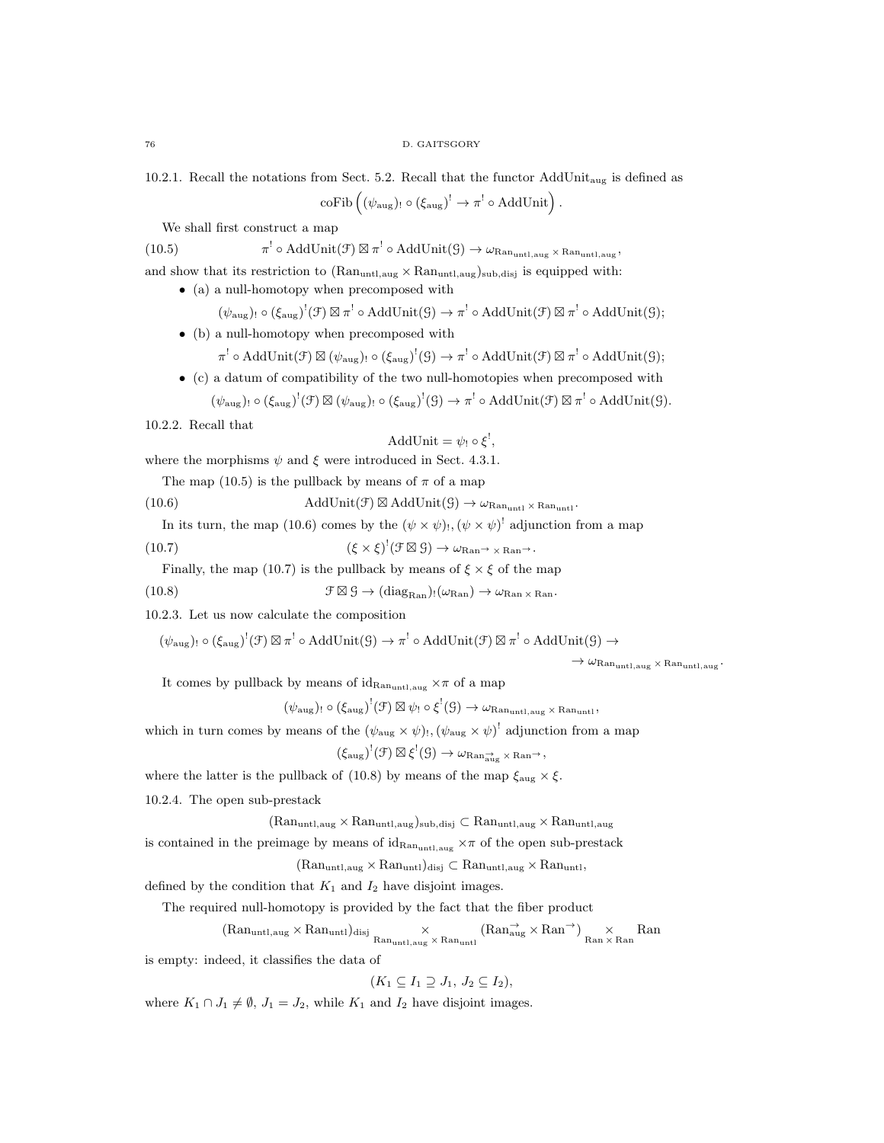10.2.1. Recall the notations from Sect. 5.2. Recall that the functor  $AddUnit_{aug}$  is defined as

 $\mathrm{coFib}\left((\psi_{\mathrm{aug}}) \colon \circ (\xi_{\mathrm{aug}}) \right]^! \to \pi^! \circ \mathrm{AddUnit} \right).$ 

We shall first construct a map

 $(10.5)$  $\cdot^! \circ \text{AddUnit}(\mathcal{F}) \boxtimes \pi^! \circ \text{AddUnit}(\mathcal{G}) \to \omega_{\text{Ran}_{\text{untl},\text{aug}}} \times \text{Ran}_{\text{untl},\text{aug}} \, ,$ and show that its restriction to  $(Ran_{untl,aug} \times Ran_{untl,aug})$ <sub>sub,disj</sub> is equipped with:

• (a) a null-homotopy when precomposed with

 $(\psi_{\text{aug}})$ !  $\circ$   $(\xi_{\text{aug}})^!(\mathcal{F}) \boxtimes \pi^! \circ \text{AddUnit}(\mathcal{G}) \rightarrow \pi^! \circ \text{AddUnit}(\mathcal{F}) \boxtimes \pi^! \circ \text{AddUnit}(\mathcal{G});$ 

• (b) a null-homotopy when precomposed with

 $\pi^! \circ \operatorname{AddUnit}(\mathcal{F}) \boxtimes (\psi_{\text{aug}})_! \circ (\xi_{\text{aug}})^!(\mathcal{G}) \to \pi^! \circ \operatorname{AddUnit}(\mathcal{F}) \boxtimes \pi^! \circ \operatorname{AddUnit}(\mathcal{G});$ 

- (c) a datum of compatibility of the two null-homotopies when precomposed with
	- $(\psi_{\text{aug}})$ !  $\circ$   $(\xi_{\text{aug}})^!(\mathcal{F}) \boxtimes (\psi_{\text{aug}})^!(\mathcal{G}) \rightarrow \pi^! \circ \text{AddUnit}(\mathcal{F}) \boxtimes \pi^! \circ \text{AddUnit}(\mathcal{G}).$

10.2.2. Recall that

$$
AddUnit = \psi_! \circ \xi^!,
$$

where the morphisms  $\psi$  and  $\xi$  were introduced in Sect. 4.3.1.

The map (10.5) is the pullback by means of  $\pi$  of a map

(10.6) AddUnit(
$$
\mathcal{F}
$$
)  $\boxtimes$  AddUnit( $\mathcal{G}$ )  $\rightarrow \omega_{\text{Ran}_{\text{unt1}} \times \text{Ran}_{\text{unt1}}}.$ 

In its turn, the map (10.6) comes by the  $(\psi \times \psi)$ ,  $(\psi \times \psi)$ <sup>!</sup> adjunction from a map

(10.7)  $(\xi \times \xi)^{!} (\mathcal{F} \boxtimes \mathcal{G}) \rightarrow \omega_{\text{Ran}} \rightarrow \chi_{\text{Ran}} \rightarrow$ .

Finally, the map (10.7) is the pullback by means of  $\xi \times \xi$  of the map

 $(10.8)$  $\mathcal{F} \boxtimes \mathcal{G} \to (\text{diag}_{\text{Ran}})_{!}(\omega_{\text{Ran}}) \to \omega_{\text{Ran}} \times \text{Ran}}.$ 

10.2.3. Let us now calculate the composition

$$
(\psi_{\text{aug}})_{!} \circ (\xi_{\text{aug}})^!(\mathcal{F}) \boxtimes \pi^! \circ \text{AddUnit}(\mathcal{G}) \to \pi^! \circ \text{AddUnit}(\mathcal{F}) \boxtimes \pi^! \circ \text{AddUnit}(\mathcal{G}) \to
$$

 $\rightarrow \omega_{\rm Ran_{untl,aug}} \times \rm Ran_{untl,aug}$ .

It comes by pullback by means of  $id_{\mathrm{Ran}_{\text{untl},\text{aug}}} \times \pi$  of a map

 $(\psi_{\text{aug}})$ !  $\circ$   $(\xi_{\text{aug}})^!(\mathcal{F}) \boxtimes \psi$ !  $\circ \xi^!(\mathcal{G}) \rightarrow \omega_{\text{Ran}_{\text{untl}, \text{aug}}} \times \text{Ran}_{\text{untl}},$ 

which in turn comes by means of the  $(\psi_{\text{aug}} \times \psi)$ ,  $(\psi_{\text{aug}} \times \psi)^{!}$  adjunction from a map

 $(\xi_{\text{aug}})^!(\mathcal{F}) \boxtimes \xi^!(\mathcal{G}) \rightarrow \omega_{\text{Ran}^{\rightarrow}_{\text{aug}} \times \text{Ran}^{\rightarrow}},$ 

where the latter is the pullback of (10.8) by means of the map  $\xi_{\text{aug}} \times \xi$ .

10.2.4. The open sub-prestack

 $(Ran_{untl,aug} \times Ran_{untl,aug})$ sub,disj ⊂  $Ran_{untl,aug} \times Ran_{untl,aug}$ 

is contained in the preimage by means of  $id_{\text{Ran}_{\text{untl,aug}}} \times \pi$  of the open sub-prestack

 $(Ran_{untl,aug} \times Ran_{untl})_{disj} \subset Ran_{untl,aug} \times Ran_{untl},$ 

defined by the condition that  $K_1$  and  $I_2$  have disjoint images.

The required null-homotopy is provided by the fact that the fiber product

$$
(\mathrm{Ran}_{\mathrm{untl},\mathrm{aug}}\times \mathrm{Ran}_{\mathrm{untl}})_{\mathrm{disj}}\underset{\mathrm{Ran}_{\mathrm{untl},\mathrm{aug}}\times \mathrm{Ran}_{\mathrm{untl}}}{\times} (\mathrm{Ran}_{\mathrm{aug}}^{\rightarrow}\times \mathrm{Ran}^{\rightarrow})\underset{\mathrm{Ran}\times \mathrm{Ran}}{\times} \mathrm{Ran}
$$

is empty: indeed, it classifies the data of

$$
(K_1 \subseteq I_1 \supseteq J_1, J_2 \subseteq I_2),
$$

where  $K_1 \cap J_1 \neq \emptyset$ ,  $J_1 = J_2$ , while  $K_1$  and  $I_2$  have disjoint images.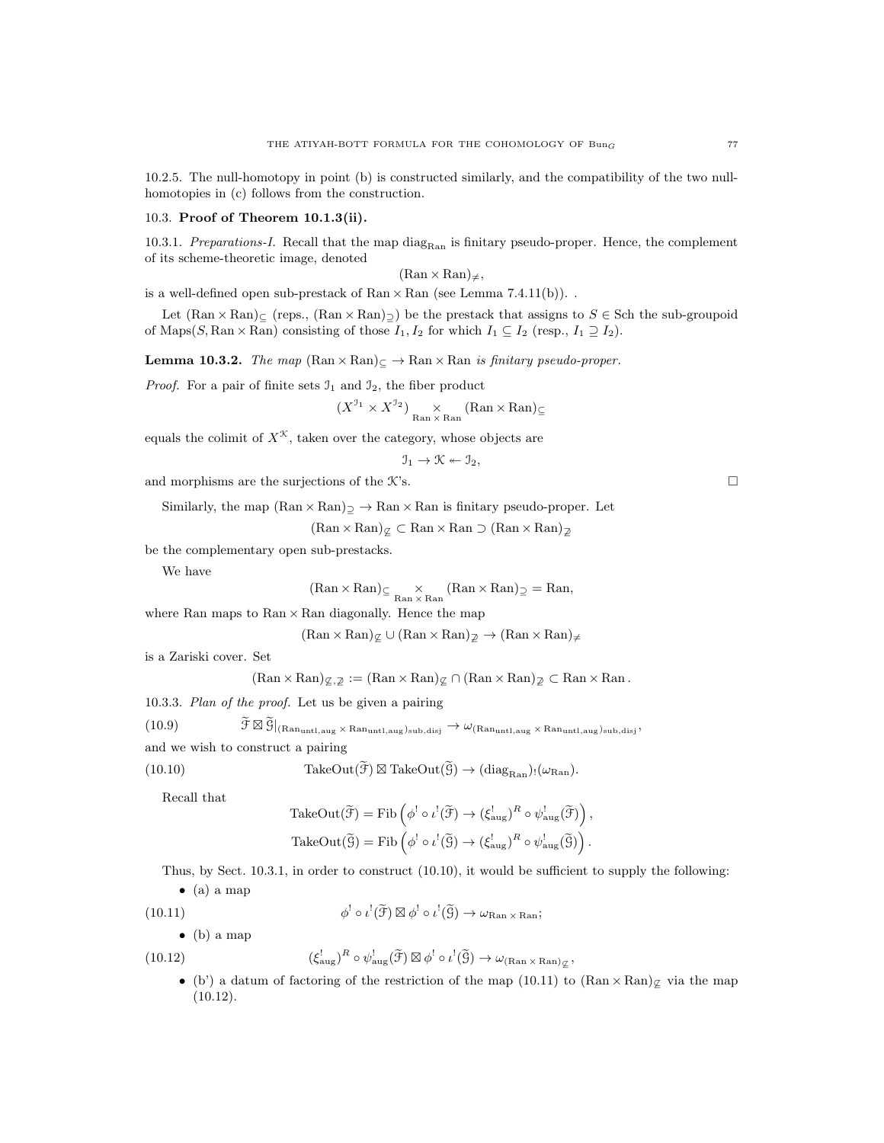10.2.5. The null-homotopy in point (b) is constructed similarly, and the compatibility of the two nullhomotopies in (c) follows from the construction.

# 10.3. Proof of Theorem 10.1.3(ii).

10.3.1. Preparations-I. Recall that the map diag<sub>Ran</sub> is finitary pseudo-proper. Hence, the complement of its scheme-theoretic image, denoted

 $(Ran \times Ran)_{\neq}$ ,

is a well-defined open sub-prestack of  $\text{Ran} \times \text{Ran}$  (see Lemma 7.4.11(b)).

Let  $(\text{Ran} \times \text{Ran})_{\subset}$  (reps.,  $(\text{Ran} \times \text{Ran})_{\supset}$ ) be the prestack that assigns to  $S \in$  Sch the sub-groupoid of Maps(S, Ran × Ran) consisting of those  $I_1, I_2$  for which  $I_1 \subseteq I_2$  (resp.,  $I_1 \supseteq I_2$ ).

**Lemma 10.3.2.** The map  $(\text{Ran} \times \text{Ran}) \subset \rightarrow \text{Ran} \times \text{Ran}$  is finitary pseudo-proper.

*Proof.* For a pair of finite sets  $\mathcal{I}_1$  and  $\mathcal{I}_2$ , the fiber product

$$
(X^{J_1} \times X^{J_2})
$$
<sub>Ran</sub>  $\times$  Ran (Ran  $\times$  Ran)  $\subseteq$ 

equals the colimit of  $X^{\mathcal{K}}$ , taken over the category, whose objects are

$$
\mathfrak{I}_1 \to \mathfrak{K} \leftarrow \mathfrak{I}_2,
$$

and morphisms are the surjections of the K's.  $\Box$ 

Similarly, the map  $(Ran \times Ran)$   $\rightarrow Ran \times Ran$  is finitary pseudo-proper. Let

 $(Ran \times Ran)_{\mathcal{Q}} \subset Ran \times Ran \supset (Ran \times Ran)_{\mathcal{Q}}$ 

be the complementary open sub-prestacks.

We have

$$
(\text{Ran} \times \text{Ran})_{\subseteq} \underset{\text{Ran} \times \text{Ran}}{\times} (\text{Ran} \times \text{Ran})_{\supseteq} = \text{Ran},
$$

where Ran maps to  $\text{Ran} \times \text{Ran}$  diagonally. Hence the map

$$
(\text{Ran} \times \text{Ran})_{\mathcal{Z}} \cup (\text{Ran} \times \text{Ran})_{\mathcal{Z}} \rightarrow (\text{Ran} \times \text{Ran})_{\neq}
$$

is a Zariski cover. Set

 $(\text{Ran} \times \text{Ran})_{\mathcal{Z},\mathcal{Z}} := (\text{Ran} \times \text{Ran})_{\mathcal{Z}} \cap (\text{Ran} \times \text{Ran})_{\mathcal{Z}} \subset \text{Ran} \times \text{Ran}$ .

10.3.3. Plan of the proof. Let us be given a pairing

(10.9) 
$$
\widetilde{\mathcal{F}} \boxtimes \widetilde{\mathcal{G}}|_{(Ran_{untl,aug} \times Ran_{untl,aug})_{sub,disj}} \rightarrow \omega_{(Ran_{untl,aug} \times Ran_{untl,aug})_{sub,disj}},
$$
 and we wish to construct a pairing

(10.10) TakeOut(
$$
\tilde{\mathcal{F}}
$$
)  $\boxtimes$  TakeOut( $\tilde{\mathcal{G}}$ )  $\rightarrow$  (diag<sub>Ran</sub>):( $\omega_{\text{Ran}}$ )

Recall that

$$
\begin{aligned} \operatorname{TakeOut}(\widetilde{\mathcal{F}}) &= \operatorname{Fib}\left(\phi^! \circ \iota^! (\widetilde{\mathcal{F}}) \to (\xi_{\text{aug}}^!)^R \circ \psi_{\text{aug}}^! (\widetilde{\mathcal{F}})\right), \\ \operatorname{TakeOut}(\widetilde{\mathcal{G}}) &= \operatorname{Fib}\left(\phi^! \circ \iota^! (\widetilde{\mathcal{G}}) \to (\xi_{\text{aug}}^!)^R \circ \psi_{\text{aug}}^! (\widetilde{\mathcal{G}})\right). \end{aligned}
$$

Thus, by Sect. 10.3.1, in order to construct (10.10), it would be sufficient to supply the following:

 $\bullet$  (a) a map

(10.11) 
$$
\phi^! \circ \iota^! (\widetilde{\mathfrak{H}}) \boxtimes \phi^! \circ \iota^! (\widetilde{\mathfrak{H}}) \to \omega_{\text{Ran} \times \text{Ran}};
$$

 $\bullet$  (b) a map

(10.12) 
$$
(\xi_{\text{aug}}^{\text{l}})^R \circ \psi_{\text{aug}}^{\text{l}}(\widetilde{\mathcal{F}}) \boxtimes \phi^{\text{l}} \circ \iota^{\text{l}}(\widetilde{\mathcal{G}}) \to \omega_{(\text{Ran} \times \text{Ran})_{\mathcal{L}}},
$$

• (b') a datum of factoring of the restriction of the map (10.11) to  $(\text{Ran} \times \text{Ran})\mathcal{L}$  via the map (10.12).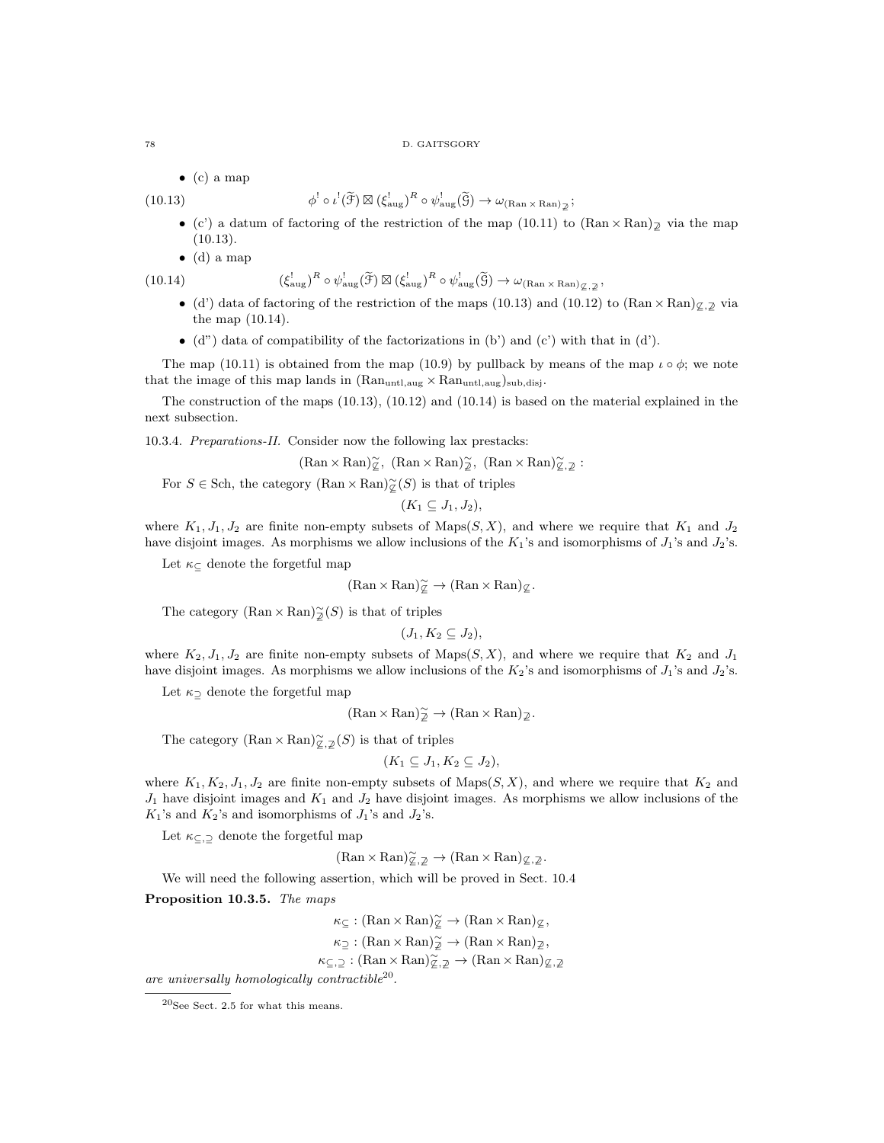$\bullet$  (c) a map

 $(10.13)$ 

- $\psi^! \circ \iota^! (\widetilde{\mathcal{F}}) \boxtimes (\xi_{\text{aug}}^! )^R \circ \psi_{\text{aug}}^! (\widetilde{\mathcal{G}}) \to \omega_{(\text{Ran} \times \text{Ran})_{\mathcal{Z}}};$
- (c') a datum of factoring of the restriction of the map (10.11) to  $(\text{Ran} \times \text{Ran})_{\mathbb{Z}}$  via the map (10.13).
- $\bullet$  (d) a map

 $(10.14)$ 

$$
(\xi_{\text{aug}}^!)^R \circ \psi_{\text{aug}}^! (\widetilde{\mathcal{F}}) \boxtimes (\xi_{\text{aug}}^!)^R \circ \psi_{\text{aug}}^! (\widetilde{\mathcal{G}}) \to \omega_{(\text{Ran} \times \text{Ran})_{\mathcal{L}, \mathcal{Z}}},
$$

- (d') data of factoring of the restriction of the maps (10.13) and (10.12) to (Ran × Ran) $\varphi$ , $\varphi$  via the map (10.14).
- $\bullet$  (d") data of compatibility of the factorizations in (b') and (c') with that in (d').

The map (10.11) is obtained from the map (10.9) by pullback by means of the map  $\iota \circ \phi$ ; we note that the image of this map lands in  $(\mathrm{Ran}_\mathrm{untl,aug} \times \mathrm{Ran}_\mathrm{untl,aug})_\mathrm{sub,disj}.$ 

The construction of the maps (10.13), (10.12) and (10.14) is based on the material explained in the next subsection.

10.3.4. Preparations-II. Consider now the following lax prestacks:

 $(\text{Ran} \times \text{Ran})\widetilde{\varphi}, \ (\text{Ran} \times \text{Ran})\widetilde{\varphi}, \ \text{(Ran} \times \text{Ran})\widetilde{\varphi}, \varphi:$ 

For  $S \in$  Sch, the category  $(\text{Ran} \times \text{Ran})\tilde{\varphi}(S)$  is that of triples

$$
(K_1\subseteq J_1,J_2),
$$

where  $K_1, J_1, J_2$  are finite non-empty subsets of Maps(S, X), and where we require that  $K_1$  and  $J_2$ have disjoint images. As morphisms we allow inclusions of the  $K_1$ 's and isomorphisms of  $J_1$ 's and  $J_2$ 's.

Let  $\kappa_{\subseteq}$  denote the forgetful map

$$
(\text{Ran} \times \text{Ran})\tilde{\varphi} \to (\text{Ran} \times \text{Ran})\tilde{\varphi}.
$$

The category  $(\text{Ran} \times \text{Ran})\widetilde{\phi}(S)$  is that of triples

$$
(J_1, K_2 \subseteq J_2),
$$

where  $K_2, J_1, J_2$  are finite non-empty subsets of Maps $(S, X)$ , and where we require that  $K_2$  and  $J_1$ have disjoint images. As morphisms we allow inclusions of the  $K_2$ 's and isomorphisms of  $J_1$ 's and  $J_2$ 's.

Let  $\kappa_{\supset}$  denote the forgetful map

$$
(\text{Ran} \times \text{Ran})^{\sim}_{\mathcal{D}} \to (\text{Ran} \times \text{Ran})_{\mathcal{Z}}.
$$

The category  $(\text{Ran} \times \text{Ran})\widetilde{\underline{\varphi}}, \underline{\bar{\varphi}}(S)$  is that of triples

$$
(K_1 \subseteq J_1, K_2 \subseteq J_2),
$$

where  $K_1, K_2, J_1, J_2$  are finite non-empty subsets of Maps $(S, X)$ , and where we require that  $K_2$  and  $J_1$  have disjoint images and  $K_1$  and  $J_2$  have disjoint images. As morphisms we allow inclusions of the  $K_1$ 's and  $K_2$ 's and isomorphisms of  $J_1$ 's and  $J_2$ 's.

Let  $\kappa_{\subseteq, \supseteq}$  denote the forgetful map

$$
(\text{Ran} \times \text{Ran})^{\sim}_{\mathbb{Z}, \mathbb{Z}} \to (\text{Ran} \times \text{Ran})_{\mathbb{Z}, \mathbb{Z}}.
$$

We will need the following assertion, which will be proved in Sect. 10.4

Proposition 10.3.5. The maps

$$
\kappa_{\subseteq} : (\text{Ran} \times \text{Ran})_{\cong}^{\sim} \to (\text{Ran} \times \text{Ran})_{\subseteq},
$$

$$
\kappa_{\supseteq} : (\text{Ran} \times \text{Ran})_{\supseteq}^{\sim} \to (\text{Ran} \times \text{Ran})_{\supseteq},
$$

$$
\kappa_{\subseteq, \supseteq} : (\text{Ran} \times \text{Ran})_{\supseteq, \supseteq}^{\sim} \to (\text{Ran} \times \text{Ran})_{\supseteq, \supseteq}
$$

are universally homologically contractible<sup>20</sup>.

 $^{20}\rm{See}$  Sect. 2.5 for what this means.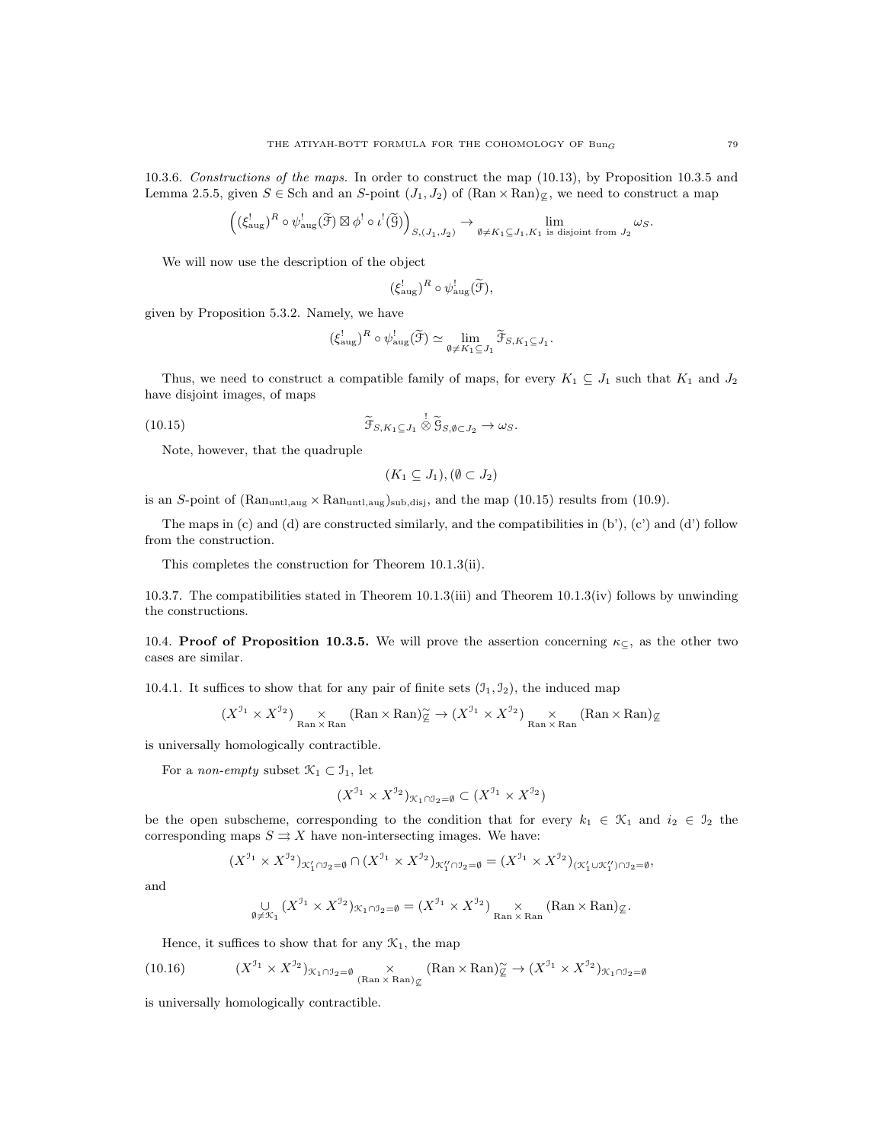10.3.6. Constructions of the maps. In order to construct the map (10.13), by Proposition 10.3.5 and Lemma 2.5.5, given  $S \in$  Sch and an S-point  $(J_1, J_2)$  of  $(\text{Ran} \times \text{Ran})_{\mathcal{Z}}$ , we need to construct a map

$$
\left( (\xi_{\text{aug}}^!)^R \circ \psi_{\text{aug}}^! (\widetilde{\mathcal{F}}) \boxtimes \phi^! \circ \iota^! (\widetilde{\mathcal{G}}) \right)_{S,(J_1,J_2)} \to \lim_{\emptyset \neq K_1 \subseteq J_1, K_1 \text{ is disjoint from } J_2} \omega_S.
$$

We will now use the description of the object

$$
(\xi_{\text{aug}}^!)^R \circ \psi_{\text{aug}}^! (\widetilde{\mathcal{F}}),
$$

given by Proposition 5.3.2. Namely, we have

$$
(\xi_{\text{aug}}^!)^R \circ \psi_{\text{aug}}^! (\widetilde{\mathcal{F}}) \simeq \lim_{\emptyset \neq K_1 \subseteq J_1} \widetilde{\mathcal{F}}_{S, K_1 \subseteq J_1}.
$$

Thus, we need to construct a compatible family of maps, for every  $K_1 \subseteq J_1$  such that  $K_1$  and  $J_2$ have disjoint images, of maps

(10.15) 
$$
\widetilde{\mathfrak{F}}_{S,K_1 \subseteq J_1} \overset{!}{\otimes} \widetilde{\mathfrak{G}}_{S,\emptyset \subset J_2} \to \omega_S.
$$

Note, however, that the quadruple

$$
(K_1 \subseteq J_1), (\emptyset \subset J_2)
$$

is an S-point of  $(Ran_{untl,aug} \times Ran_{untl,aug})$ sub,disj, and the map (10.15) results from (10.9).

The maps in (c) and (d) are constructed similarly, and the compatibilities in (b'), (c') and (d') follow from the construction.

This completes the construction for Theorem 10.1.3(ii).

10.3.7. The compatibilities stated in Theorem 10.1.3(iii) and Theorem 10.1.3(iv) follows by unwinding the constructions.

10.4. **Proof of Proposition 10.3.5.** We will prove the assertion concerning  $\kappa_{\subseteq}$ , as the other two cases are similar.

10.4.1. It suffices to show that for any pair of finite sets  $(\mathfrak{I}_1, \mathfrak{I}_2)$ , the induced map

$$
(X^{J_1} \times X^{J_2})
$$
<sub>Ran × Ran</sub> (Ran × Ran) $\widetilde{g}$   $\rightarrow (X^{J_1} \times X^{J_2})$ <sub>Ran × Ran</sub> (Ran × Ran) $\mathbb{g}$ 

is universally homologically contractible.

For a non-empty subset  $\mathcal{K}_1 \subset \mathcal{I}_1$ , let

$$
(X^{\mathfrak{I}_{1}} \times X^{\mathfrak{I}_{2}})_{\mathcal{K}_{1} \cap \mathcal{I}_{2} = \emptyset} \subset (X^{\mathfrak{I}_{1}} \times X^{\mathfrak{I}_{2}})
$$

be the open subscheme, corresponding to the condition that for every  $k_1 \in \mathcal{K}_1$  and  $i_2 \in \mathcal{I}_2$  the corresponding maps  $S \rightrightarrows X$  have non-intersecting images. We have:

$$
(X^{J_1} \times X^{J_2})_{\mathcal{K}_1' \cap J_2 = \emptyset} \cap (X^{J_1} \times X^{J_2})_{\mathcal{K}_1'' \cap J_2 = \emptyset} = (X^{J_1} \times X^{J_2})_{(\mathcal{K}_1' \cup \mathcal{K}_1'') \cap J_2 = \emptyset},
$$

and

$$
\bigcup_{\emptyset \neq \mathcal{K}_1} (X^{J_1} \times X^{J_2})_{\mathcal{K}_1 \cap J_2 = \emptyset} = (X^{J_1} \times X^{J_2})_{\mathrm{Ran} \times \mathrm{Ran}} \times (\mathrm{Ran} \times \mathrm{Ran})_{\mathcal{L}}.
$$

Hence, it suffices to show that for any  $\mathcal{K}_1$ , the map

(10.16) 
$$
(X^{J_1} \times X^{J_2})_{\mathcal{K}_1 \cap J_2 = \emptyset} \underset{(\text{Ran} \times \text{Ran})_{\mathcal{L}}}{\times} (\text{Ran} \times \text{Ran})_{\mathcal{L}}^{\sim} \to (X^{J_1} \times X^{J_2})_{\mathcal{K}_1 \cap J_2 = \emptyset}
$$

is universally homologically contractible.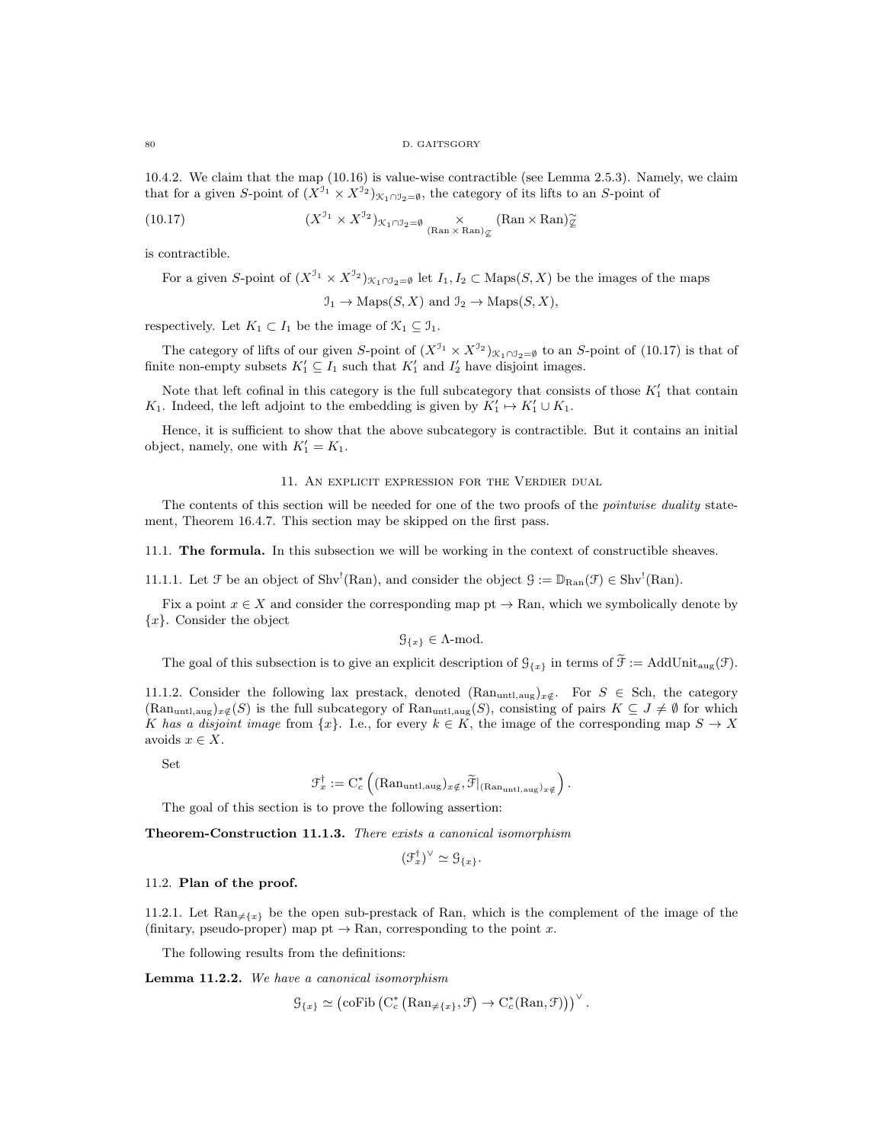80 D. GAITSGORY

10.4.2. We claim that the map (10.16) is value-wise contractible (see Lemma 2.5.3). Namely, we claim that for a given S-point of  $(X^{J_1} \times X^{J_2})_{\mathcal{K}_1 \cap J_2 = \emptyset}$ , the category of its lifts to an S-point of

(10.17) 
$$
(X^{J_1} \times X^{J_2})_{\mathcal{K}_1 \cap J_2 = \emptyset} \underset{(\text{Ran} \times \text{Ran})_{\mathcal{L}}}{\times} (\text{Ran} \times \text{Ran})_{\mathcal{L}}^{\sim}
$$

is contractible.

For a given S-point of  $(X^{J_1} \times X^{J_2})_{\mathcal{K}_1 \cap J_2 = \emptyset}$  let  $I_1, I_2 \subset \text{Maps}(S, X)$  be the images of the maps

$$
\mathcal{I}_1 \to \text{Maps}(S, X)
$$
 and  $\mathcal{I}_2 \to \text{Maps}(S, X)$ ,

respectively. Let  $K_1 \subset I_1$  be the image of  $\mathcal{K}_1 \subseteq \mathcal{I}_1$ .

The category of lifts of our given S-point of  $(X^{J_1} \times X^{J_2})_{\mathcal{K}_1 \cap J_2 = \emptyset}$  to an S-point of (10.17) is that of finite non-empty subsets  $K_1' \subseteq I_1$  such that  $K_1'$  and  $I_2'$  have disjoint images.

Note that left cofinal in this category is the full subcategory that consists of those  $K_1'$  that contain K<sub>1</sub>. Indeed, the left adjoint to the embedding is given by  $K'_1 \mapsto K'_1 \cup K_1$ .

Hence, it is sufficient to show that the above subcategory is contractible. But it contains an initial object, namely, one with  $K'_1 = K_1$ .

## 11. An explicit expression for the Verdier dual

The contents of this section will be needed for one of the two proofs of the *pointwise duality* statement, Theorem 16.4.7. This section may be skipped on the first pass.

11.1. The formula. In this subsection we will be working in the context of constructible sheaves.

11.1.1. Let  $\mathcal F$  be an object of Shv<sup>!</sup>(Ran), and consider the object  $\mathcal G := \mathbb{D}_{\text{Ran}}(\mathcal F) \in \text{Shv}^!(\text{Ran})$ .

Fix a point  $x \in X$  and consider the corresponding map pt  $\rightarrow$  Ran, which we symbolically denote by  ${x}$ . Consider the object

$$
\mathcal{G}_{\{x\}} \in \Lambda\text{-mod.}
$$

The goal of this subsection is to give an explicit description of  $\mathcal{G}_{\{x\}}$  in terms of  $\widetilde{\mathcal{F}} := \text{AddUnit}_{\text{aug}}(\mathcal{F})$ .

11.1.2. Consider the following lax prestack, denoted  $(Ran<sub>untl,aug</sub>)<sub>x</sub>$ <sub>∉</sub>. For S ∈ Sch, the category  $(\text{Ran}_{\text{untl},\text{aug}})_{x \notin S}$  is the full subcategory of  $\text{Ran}_{\text{untl},\text{aug}}(S)$ , consisting of pairs  $K \subseteq J \neq \emptyset$  for which K has a disjoint image from  $\{x\}$ . I.e., for every  $k \in K$ , the image of the corresponding map  $S \to X$ avoids  $x \in X$ .

Set

$$
\mathcal{F}_x^{\dagger} := \mathrm{C}_c^* \left( (\mathrm{Ran}_{\mathrm{untl},\mathrm{aug}})_{x \notin}, \widetilde{\mathcal{F}}|_{(\mathrm{Ran}_{\mathrm{untl},\mathrm{aug}})_{x \notin}} \right).
$$

The goal of this section is to prove the following assertion:

Theorem-Construction 11.1.3. There exists a canonical isomorphism

$$
(\mathfrak{F}_x^{\dagger})^{\vee} \simeq \mathfrak{G}_{\{x\}}.
$$

### 11.2. Plan of the proof.

11.2.1. Let  $\text{Ran}_{\neq \{x\}}$  be the open sub-prestack of Ran, which is the complement of the image of the (finitary, pseudo-proper) map pt  $\rightarrow$  Ran, corresponding to the point x.

The following results from the definitions:

Lemma 11.2.2. We have a canonical isomorphism

$$
\mathcal{G}_{\{x\}} \simeq \left(\text{coFib}\left(\mathcal{C}_c^*\left(\text{Ran}_{\neq \{x\}}, \mathcal{F}\right) \to \mathcal{C}_c^*(\text{Ran}, \mathcal{F})\right)\right)^\vee.
$$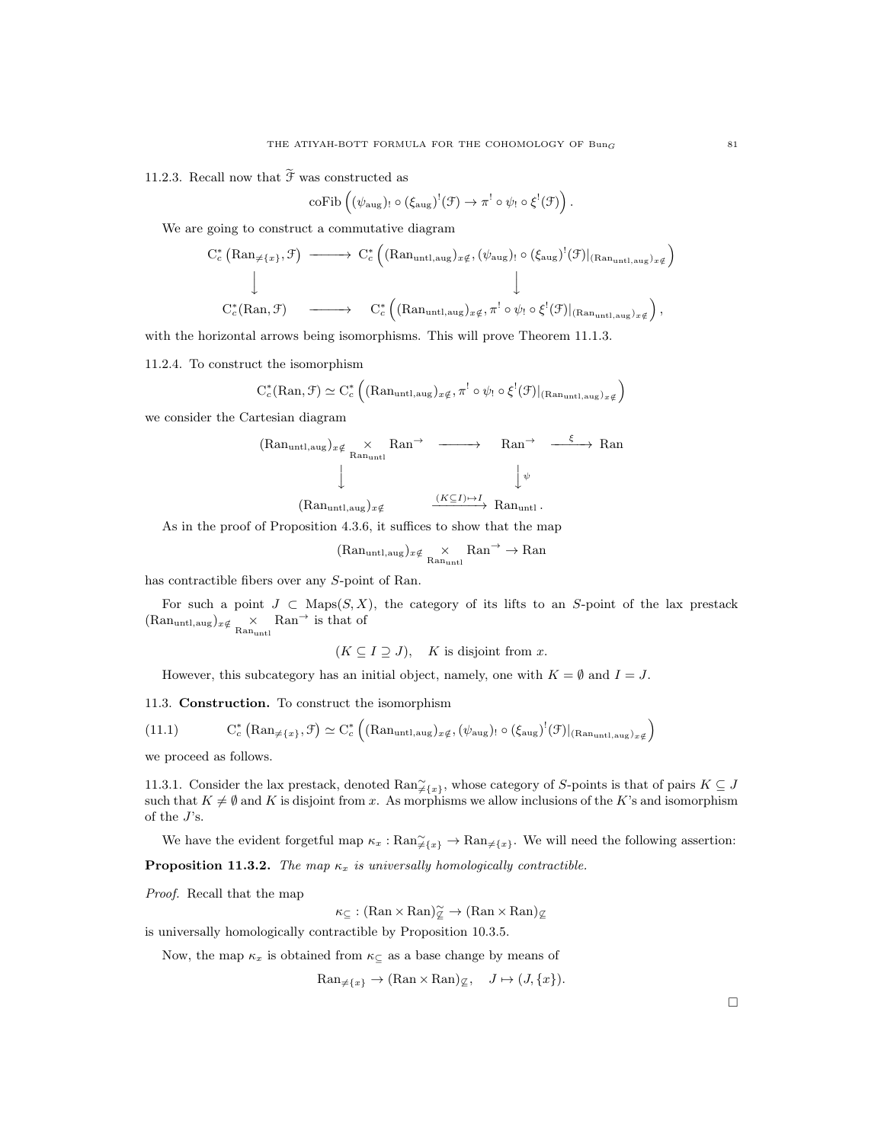11.2.3. Recall now that  $\widetilde{\mathcal{F}}$  was constructed as

$$
\mathrm{coFib}\left((\psi_{\mathrm{aug}})_{!}\circ(\xi_{\mathrm{aug}})^!(\mathcal{F})\to\pi^!\circ\psi_{!}\circ\xi^!(\mathcal{F})\right).
$$

We are going to construct a commutative diagram

$$
C_c^* \left( \mathrm{Ran}_{\neq \{x\}}, \mathcal{F} \right) \longrightarrow C_c^* \left( (\mathrm{Ran}_{\mathrm{untl},\mathrm{aug}})_{x \notin}, (\psi_{\mathrm{aug}})_{!} \circ (\xi_{\mathrm{aug}})^!(\mathcal{F})|_{(\mathrm{Ran}_{\mathrm{untl},\mathrm{aug}})_{x \notin}} \right)
$$
  

$$
C_c^* \left( \mathrm{Ran}, \mathcal{F} \right) \longrightarrow C_c^* \left( (\mathrm{Ran}_{\mathrm{untl},\mathrm{aug}})_{x \notin}, \pi^! \circ \psi_! \circ \xi^!(\mathcal{F})|_{(\mathrm{Ran}_{\mathrm{untl},\mathrm{aug}})_{x \notin}} \right),
$$

with the horizontal arrows being isomorphisms. This will prove Theorem 11.1.3.

11.2.4. To construct the isomorphism

$$
C_c^*(\mathrm{Ran}, \mathcal{F}) \simeq C_c^* \left( (\mathrm{Ran}_{\mathrm{untl},\mathrm{aug}})_{x \notin} , \pi^! \circ \psi_! \circ \xi^! (\mathcal{F})|_{(\mathrm{Ran}_{\mathrm{untl},\mathrm{aug}})_{x \notin}} \right)
$$

we consider the Cartesian diagram

$$
\begin{array}{cccc}\n(\text{Ran}_{\text{untl},\text{aug}})_{x \notin} & \times & \text{Ran}^{\rightarrow} & \xrightarrow{\text{Ran}^{\rightarrow}} & \text{Ran}^{\rightarrow} & \xrightarrow{\xi} & \text{Ran} \\
 & \downarrow & & \downarrow^{\psi} & \\
 & & \downarrow^{\psi} & & \\
 & & (\text{Ran}_{\text{untl},\text{aug}})_{x \notin} & \xrightarrow{(K \subseteq I) \mapsto I} \text{Ran}_{\text{untl}}.\n\end{array}
$$

As in the proof of Proposition 4.3.6, it suffices to show that the map

$$
(\text{Ran}_{\text{untl},\text{aug}})_{x \notin} \underset{\text{Ran}_{\text{untl}}} {\times} \text{Ran} \rightarrow \text{Ran}
$$

has contractible fibers over any S-point of Ran.

For such a point  $J \subset \text{Maps}(S, X)$ , the category of its lifts to an S-point of the lax prestack  $(\text{Ran}_{\text{untl},\text{aug}})_{x \notin \mathcal{K}}$   $\underset{\text{Ran}_{\text{untl}}}{\times}$  Ran<sup>→</sup> is that of

 $(K \subseteq I \supseteq J),$  K is disjoint from x.

However, this subcategory has an initial object, namely, one with  $K = \emptyset$  and  $I = J$ .

11.3. Construction. To construct the isomorphism

(11.1) 
$$
C_c^* \left( \text{Ran}_{\neq \{x\}}, \mathcal{F} \right) \simeq C_c^* \left( (\text{Ran}_{\text{untl},\text{aug}})_{x \notin}, (\psi_{\text{aug}})_{!} \circ (\xi_{\text{aug}})^!(\mathcal{F})|_{(\text{Ran}_{\text{untl},\text{aug}})_{x \notin}} \right)
$$

we proceed as follows.

11.3.1. Consider the lax prestack, denoted  $\text{Ran}_{\neq \{x\}}^{\sim}$ , whose category of S-points is that of pairs  $K \subseteq J$ such that  $K \neq \emptyset$  and K is disjoint from x. As morphisms we allow inclusions of the K's and isomorphism of the  $J$ 's.

We have the evident forgetful map  $\kappa_x : \text{Ran}_{\neq \{x\}} \to \text{Ran}_{\neq \{x\}}$ . We will need the following assertion:

**Proposition 11.3.2.** The map  $\kappa_x$  is universally homologically contractible.

Proof. Recall that the map

 $\kappa_{\subseteq} : (\text{Ran} \times \text{Ran})_{\subseteq}^{\sim} \to (\text{Ran} \times \text{Ran})_{\subseteq}$ 

is universally homologically contractible by Proposition 10.3.5.

Now, the map  $\kappa_x$  is obtained from  $\kappa_{\text{C}}$  as a base change by means of

 $\text{Ran}_{\neq \{x\}} \to (\text{Ran} \times \text{Ran})_{\nsubseteq}, \quad J \mapsto (J, \{x\}).$ 

 $\Box$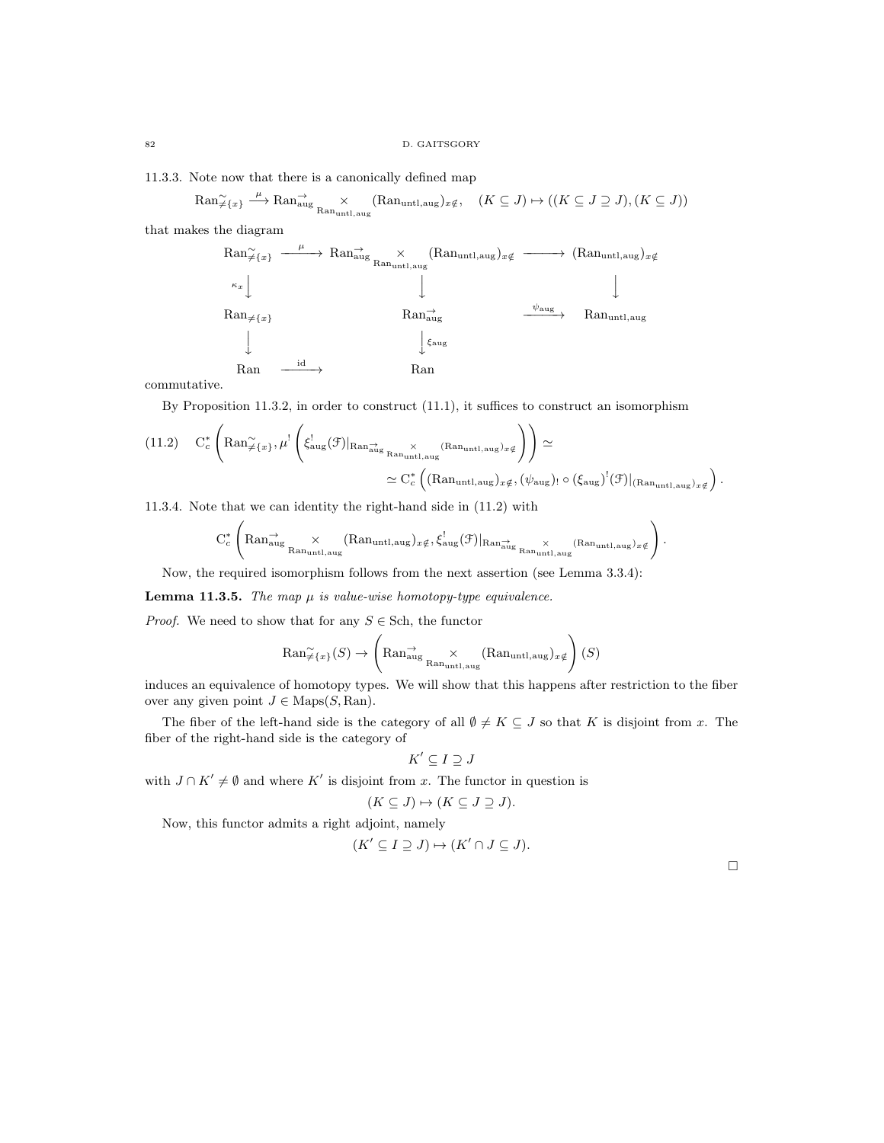11.3.3. Note now that there is a canonically defined map

$$
\mathrm{Ran} \xrightarrow{\mu} \mathrm{Ran}^{\rightarrow}_{\mathrm{aug}} \xrightarrow{\mu} \mathrm{Ran}_{\mathrm{unat},\mathrm{aug}} (\mathrm{Ran}_{\mathrm{unt},\mathrm{aug}})_{x \notin} , \quad (K \subseteq J) \mapsto ((K \subseteq J \supseteq J), (K \subseteq J))
$$

that makes the diagram

$$
\begin{array}{ccc}\n\text{Ran}_{\neq\{x\}} & \xrightarrow{\mu} & \text{Ran}_{\text{aug}}^{\rightarrow} \times & (\text{Ran}_{\text{untl},\text{aug}})_{x \notin} & \xrightarrow{\kappa_x} & (\text{Ran}_{\text{untl},\text{aug}})_{x \notin} \\
\downarrow^{\kappa_x} & & \downarrow & & \downarrow & & \downarrow \\
\text{Ran}_{\neq\{x\}} & & \text{Ran}_{\text{aug}}^{\rightarrow} & & \text{Ran}_{\text{untl},\text{aug}} \\
 & & \downarrow^{\xi_{\text{aug}}} & & \xrightarrow{\psi_{\text{aug}}} & \text{Ran}_{\text{untl},\text{aug}} \\
 & & \downarrow^{\xi_{\text{aug}}} & & \text{Ran} & \\
\end{array}
$$

commutative.

By Proposition 11.3.2, in order to construct (11.1), it suffices to construct an isomorphism

$$
(11.2) \quad C_c^* \left( \mathrm{Ran}_{\neq \{x\}}^{\sim}, \mu^! \left( \xi_{\mathrm{aug}}^! (\mathcal{F})|_{\mathrm{Ran}_{\mathrm{aug}}} \underset{\mathrm{Ran}_{\mathrm{untl}, \mathrm{aug}}}^{\times} \right)_{x \notin \mathcal{F}} \right) \right) \simeq
$$
  

$$
\simeq C_c^* \left( (\mathrm{Ran}_{\mathrm{untl}, \mathrm{aug}})_{x \notin}, (\psi_{\mathrm{aug}})_{\circ} (\xi_{\mathrm{aug}})^! (\mathcal{F})|_{(\mathrm{Ran}_{\mathrm{untl}, \mathrm{aug}})_{x \notin \mathcal{F}}}\right).
$$

11.3.4. Note that we can identity the right-hand side in (11.2) with

$$
C_c^*\left( Ran_{aug}^{\rightarrow}\underset{Ran_{untl,aug}}{\times}(Ran_{untl,aug})_{x\notin}, \xi_{aug}^!(\mathcal{F})|_{Ran_{aug}^{\rightarrow}}\underset{Ran_{untl,aug}}{\times}(Ran_{untl,aug})_{x\notin}\right).
$$

Now, the required isomorphism follows from the next assertion (see Lemma 3.3.4):

**Lemma 11.3.5.** The map  $\mu$  is value-wise homotopy-type equivalence.

*Proof.* We need to show that for any  $S \in$  Sch, the functor

$$
\text{Ran}_{\neq \{x\}}^{\sim}(S) \to \left(\text{Ran}_{\text{aug}}^{\rightarrow} \underset{\text{Ran}_{\text{untl},\text{aug}}}{\times} (\text{Ran}_{\text{untl},\text{aug}})_{x \notin} \right)(S)
$$

induces an equivalence of homotopy types. We will show that this happens after restriction to the fiber over any given point  $J \in \text{Maps}(S, \text{Ran})$ .

The fiber of the left-hand side is the category of all  $\emptyset \neq K \subseteq J$  so that K is disjoint from x. The fiber of the right-hand side is the category of

$$
K' \subseteq I \supseteq J
$$

with  $J \cap K' \neq \emptyset$  and where K' is disjoint from x. The functor in question is

$$
(K \subseteq J) \mapsto (K \subseteq J \supseteq J).
$$

Now, this functor admits a right adjoint, namely

$$
(K' \subseteq I \supseteq J) \mapsto (K' \cap J \subseteq J).
$$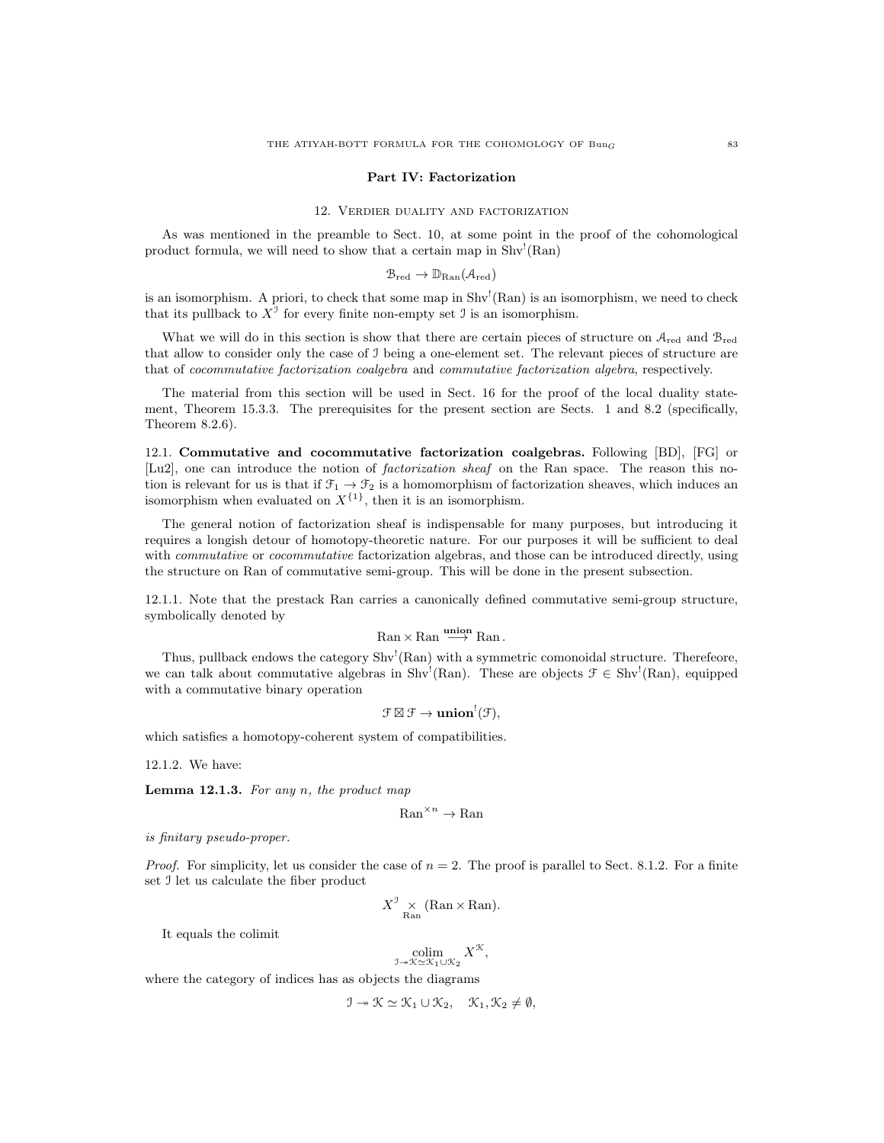#### Part IV: Factorization

#### 12. Verdier duality and factorization

As was mentioned in the preamble to Sect. 10, at some point in the proof of the cohomological product formula, we will need to show that a certain map in  $\text{Shv}^!(\text{Ran})$ 

$$
\mathcal{B}_{\mathrm{red}} \to \mathbb{D}_{\mathrm{Ran}}(\mathcal{A}_{\mathrm{red}})
$$

is an isomorphism. A priori, to check that some map in  $Shv^!(Ran)$  is an isomorphism, we need to check that its pullback to  $X^{\mathcal{I}}$  for every finite non-empty set  $\mathcal{I}$  is an isomorphism.

What we will do in this section is show that there are certain pieces of structure on  $A_{\text{red}}$  and  $B_{\text{red}}$ that allow to consider only the case of I being a one-element set. The relevant pieces of structure are that of cocommutative factorization coalgebra and commutative factorization algebra, respectively.

The material from this section will be used in Sect. 16 for the proof of the local duality statement, Theorem 15.3.3. The prerequisites for the present section are Sects. 1 and 8.2 (specifically, Theorem 8.2.6).

12.1. Commutative and cocommutative factorization coalgebras. Following [BD], [FG] or [Lu2], one can introduce the notion of *factorization sheaf* on the Ran space. The reason this notion is relevant for us is that if  $\mathfrak{F}_1 \to \mathfrak{F}_2$  is a homomorphism of factorization sheaves, which induces an isomorphism when evaluated on  $X^{\{1\}}$ , then it is an isomorphism.

The general notion of factorization sheaf is indispensable for many purposes, but introducing it requires a longish detour of homotopy-theoretic nature. For our purposes it will be sufficient to deal with *commutative* or *cocommutative* factorization algebras, and those can be introduced directly, using the structure on Ran of commutative semi-group. This will be done in the present subsection.

12.1.1. Note that the prestack Ran carries a canonically defined commutative semi-group structure, symbolically denoted by

$$
\mathrm{Ran}\times\mathrm{Ran}\stackrel{\mathbf{union}}{\longrightarrow}\mathrm{Ran}\,.
$$

Thus, pullback endows the category Shv<sup>1</sup>(Ran) with a symmetric comonoidal structure. Therefeore, we can talk about commutative algebras in Shv<sup>1</sup>(Ran). These are objects  $\mathcal{F} \in Shv^1(Ran)$ , equipped with a commutative binary operation

 $\mathfrak{F}\boxtimes\mathfrak{F}\to\mathbf{union}^!(\mathfrak{F}),$ 

which satisfies a homotopy-coherent system of compatibilities.

12.1.2. We have:

**Lemma 12.1.3.** For any  $n$ , the product map

$$
\mathrm{Ran}^{\times n} \to \mathrm{Ran}
$$

is finitary pseudo-proper.

*Proof.* For simplicity, let us consider the case of  $n = 2$ . The proof is parallel to Sect. 8.1.2. For a finite set I let us calculate the fiber product

$$
X_{\mathrm{Ran}}^{\mathrm{J}}\left(\mathrm{Ran}\times\mathrm{Ran}\right).
$$

It equals the colimit

$$
\underset{\mathbb{J}\twoheadrightarrow \mathcal{K}\simeq \mathcal{K}_1\cup \mathcal{K}_2}{\operatorname{colim}} X^{\mathcal{K}},
$$

where the category of indices has as objects the diagrams

$$
\mathcal{I} \twoheadrightarrow \mathcal{K} \simeq \mathcal{K}_1 \cup \mathcal{K}_2, \quad \mathcal{K}_1, \mathcal{K}_2 \neq \emptyset,
$$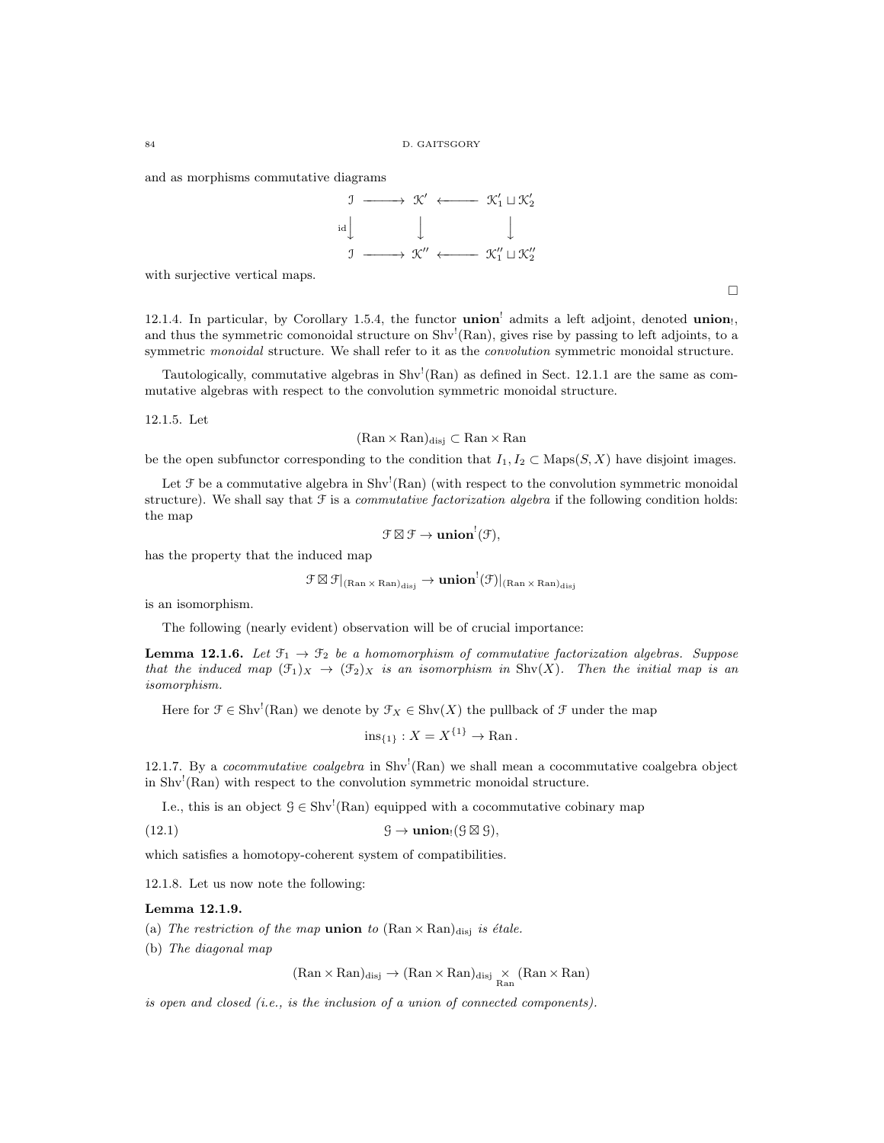and as morphisms commutative diagrams



with surjective vertical maps.

12.1.4. In particular, by Corollary 1.5.4, the functor union<sup>!</sup> admits a left adjoint, denoted union!, and thus the symmetric comonoidal structure on  $\text{Shv}^{\text{!}}(\text{Ran})$ , gives rise by passing to left adjoints, to a symmetric monoidal structure. We shall refer to it as the *convolution* symmetric monoidal structure.

Tautologically, commutative algebras in  $\text{Shv}^{\text{I}}(\text{Ran})$  as defined in Sect. 12.1.1 are the same as commutative algebras with respect to the convolution symmetric monoidal structure.

12.1.5. Let

 $(Ran \times Ran)_{disi} \subset Ran \times Ran$ 

be the open subfunctor corresponding to the condition that  $I_1, I_2 \subset \text{Maps}(S, X)$  have disjoint images.

Let  $\mathcal F$  be a commutative algebra in  $\text{Shv}^{\text{I}}(\text{Ran})$  (with respect to the convolution symmetric monoidal structure). We shall say that  $\mathcal F$  is a *commutative factorization algebra* if the following condition holds: the map

$$
\mathcal{F} \boxtimes \mathcal{F} \to \mathbf{union}^!(\mathcal{F}),
$$

has the property that the induced map

$$
\mathfrak{F}\boxtimes\mathfrak{F}|_{(\text{Ran}\times\text{Ran})_{\text{disj}}}\to\textbf{union}^!(\mathfrak{F})|_{(\text{Ran}\times\text{Ran})_{\text{disj}}}
$$

is an isomorphism.

The following (nearly evident) observation will be of crucial importance:

**Lemma 12.1.6.** Let  $\mathcal{F}_1 \to \mathcal{F}_2$  be a homomorphism of commutative factorization algebras. Suppose that the induced map  $(\mathfrak{F}_1)_X \to (\mathfrak{F}_2)_X$  is an isomorphism in  $\text{Shv}(X)$ . Then the initial map is an isomorphism.

Here for  $\mathcal{F} \in \text{Shv}^!(\text{Ran})$  we denote by  $\mathcal{F}_X \in \text{Shv}(X)$  the pullback of  $\mathcal{F}$  under the map

$$
ins_{\{1\}}: X = X^{\{1\}} \to Ran.
$$

12.1.7. By a *cocommutative coalgebra* in Shv<sup>1</sup>(Ran) we shall mean a cocommutative coalgebra object in Shv! (Ran) with respect to the convolution symmetric monoidal structure.

I.e., this is an object  $\mathcal{G} \in \text{Shv}^!(\text{Ran})$  equipped with a cocommutative cobinary map

(12.1)  $\qquad \qquad \mathcal{G} \to \textbf{union}_!(\mathcal{G} \boxtimes \mathcal{G}),$ 

which satisfies a homotopy-coherent system of compatibilities.

12.1.8. Let us now note the following:

## Lemma 12.1.9.

- (a) The restriction of the map **union** to  $(Ran \times Ran)_{disj}$  is étale.
- (b) The diagonal map

 $(\text{Ran} \times \text{Ran})_{\text{disj}} \to (\text{Ran} \times \text{Ran})_{\text{disj}} \times_{\text{Ran}} (\text{Ran} \times \text{Ran})$ 

is open and closed (i.e., is the inclusion of a union of connected components).

 $\Box$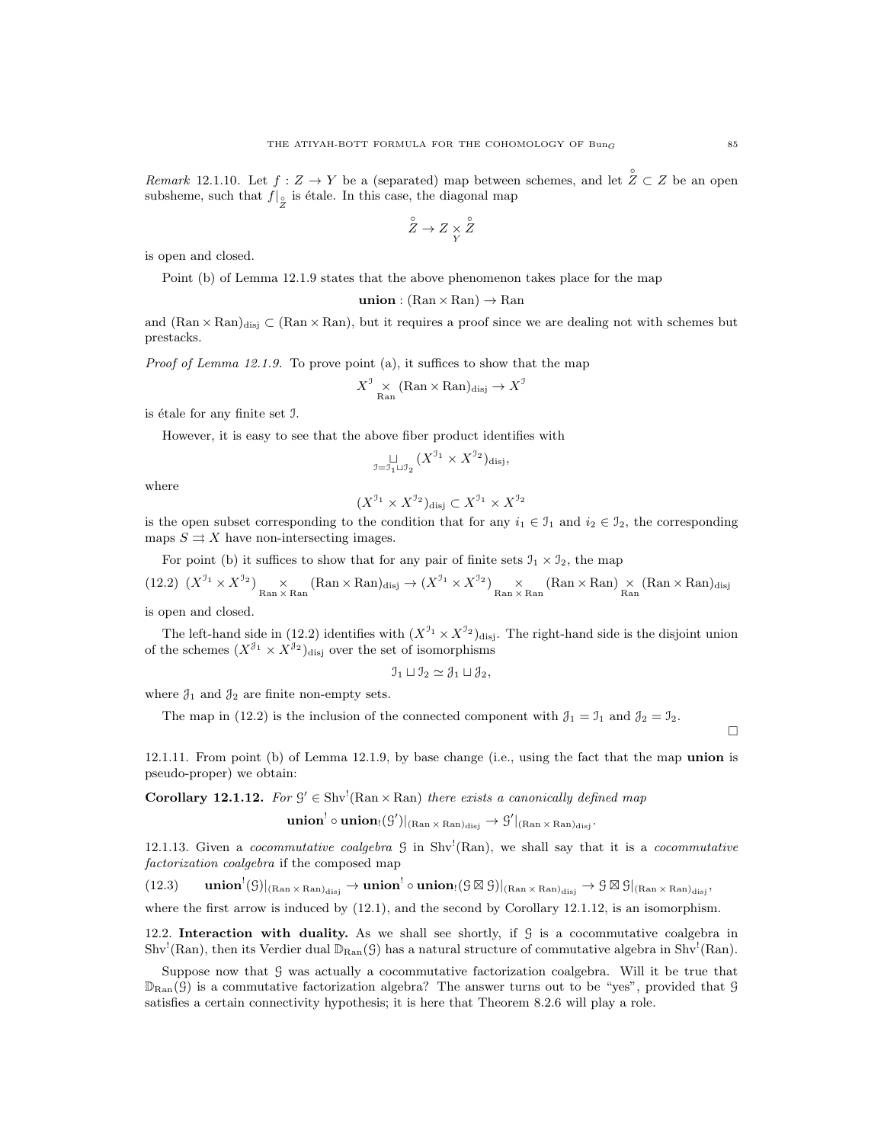Remark 12.1.10. Let  $f: Z \to Y$  be a (separated) map between schemes, and let  $\hat{Z} \subset Z$  be an open subsheme, such that  $f|_{\overset{\circ}{Z}}$  is étale. In this case, the diagonal map

$$
\overset{\circ}{Z} \to Z \underset{Y}{\times} \overset{\circ}{Z}
$$

is open and closed.

Point (b) of Lemma 12.1.9 states that the above phenomenon takes place for the map

union :  $(Ran \times Ran) \rightarrow Ran$ 

and  $(Ran \times Ran)_{disj} \subset (Ran \times Ran)$ , but it requires a proof since we are dealing not with schemes but prestacks.

Proof of Lemma 12.1.9. To prove point (a), it suffices to show that the map

$$
X^{\text{I}} \underset{\text{Ran}}{\times} (\text{Ran} \times \text{Ran})_{\text{disj}} \to X^{\text{I}}
$$

is étale for any finite set J.

However, it is easy to see that the above fiber product identifies with

$$
\underset{\mathfrak{I}=\mathfrak{I}_1\sqcup\mathfrak{I}_2}{\sqcup}(X^{\mathfrak{I}_1}\times X^{\mathfrak{I}_2})_{\mathrm{disj}},
$$

where

$$
(X^{\mathcal{I}_1} \times X^{\mathcal{I}_2})_{\text{disj}} \subset X^{\mathcal{I}_1} \times X^{\mathcal{I}_2}
$$

is the open subset corresponding to the condition that for any  $i_1 \in \mathcal{I}_1$  and  $i_2 \in \mathcal{I}_2$ , the corresponding maps  $S \rightrightarrows X$  have non-intersecting images.

For point (b) it suffices to show that for any pair of finite sets  $\mathfrak{I}_1 \times \mathfrak{I}_2$ , the map

(12.2) 
$$
(X^{\mathcal{I}_1} \times X^{\mathcal{I}_2}) \underset{\text{Ran} \times \text{Ran}}{\times} (\text{Ran} \times \text{Ran})_{\text{disj}} \to (X^{\mathcal{I}_1} \times X^{\mathcal{I}_2}) \underset{\text{Ran} \times \text{Ran}}{\times} (\text{Ran} \times \text{Ran}) \underset{\text{Ran}}{\times} (\text{Ran} \times \text{Ran})_{\text{disj}}
$$

is open and closed.

The left-hand side in (12.2) identifies with  $(X^{J_1} \times X^{J_2})_{\text{disj}}$ . The right-hand side is the disjoint union of the schemes  $(X^{\mathcal{J}_1} \times X^{\mathcal{J}_2})_{\text{disj}}$  over the set of isomorphisms

$$
\mathcal{I}_1 \sqcup \mathcal{I}_2 \simeq \mathcal{J}_1 \sqcup \mathcal{J}_2,
$$

where  $\mathcal{J}_1$  and  $\mathcal{J}_2$  are finite non-empty sets.

The map in (12.2) is the inclusion of the connected component with  $\mathcal{J}_1 = \mathcal{J}_1$  and  $\mathcal{J}_2 = \mathcal{J}_2$ .

 $\Box$ 

12.1.11. From point (b) of Lemma 12.1.9, by base change (i.e., using the fact that the map union is pseudo-proper) we obtain:

**Corollary 12.1.12.** For  $\mathcal{G}' \in \text{Shv}^!(\text{Ran} \times \text{Ran})$  there exists a canonically defined map

 $\mathbf{union}^! \circ \mathbf{union}_! (\mathcal{G}')|_{(\mathrm{Ran} \times \mathrm{Ran})_{\text{disj}}} \to \mathcal{G}'|_{(\mathrm{Ran} \times \mathrm{Ran})_{\text{disj}}}.$ 

12.1.13. Given a cocommutative coalgebra  $\beta$  in Shv<sup>1</sup>(Ran), we shall say that it is a cocommutative factorization coalgebra if the composed map

 $(12.3) \qquad \mathbf{union}^!(\mathcal{G})|_{(\mathrm{Ran}\times \mathrm{Ran})_{\text{disj}}} \to \mathbf{union}^!\circ\mathbf{union}_!(\mathcal{G}\boxtimes \mathcal{G})|_{(\mathrm{Ran}\times \mathrm{Ran})_{\text{disj}}} \to \mathcal{G}\boxtimes \mathcal{G}|_{(\mathrm{Ran}\times \mathrm{Ran})_{\text{disj}}},$ 

where the first arrow is induced by  $(12.1)$ , and the second by Corollary 12.1.12, is an isomorphism.

12.2. Interaction with duality. As we shall see shortly, if G is a cocommutative coalgebra in  $\text{Shv}^!(\text{Ran})$ , then its Verdier dual  $\mathbb{D}_{\text{Ran}}(\mathcal{G})$  has a natural structure of commutative algebra in  $\text{Shv}^!(\text{Ran})$ .

Suppose now that G was actually a cocommutative factorization coalgebra. Will it be true that  $\mathbb{D}_{\text{Ran}}(\mathcal{G})$  is a commutative factorization algebra? The answer turns out to be "yes", provided that  $\mathcal{G}$ satisfies a certain connectivity hypothesis; it is here that Theorem 8.2.6 will play a role.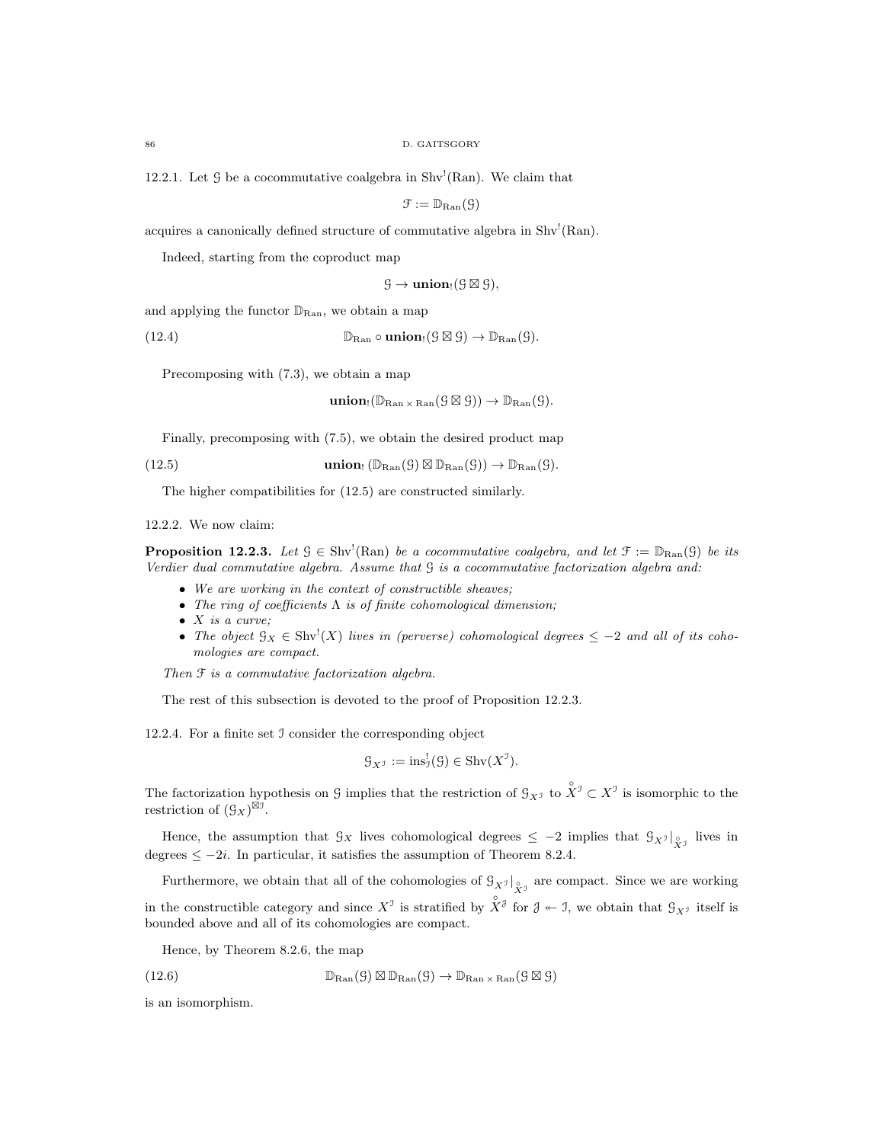12.2.1. Let  $\mathcal G$  be a cocommutative coalgebra in Shv<sup>!</sup>(Ran). We claim that

$$
\mathfrak{F}:=\mathbb{D}_{\mathrm{Ran}}(\mathfrak{G})
$$

acquires a canonically defined structure of commutative algebra in Shv<sup>!</sup>(Ran).

Indeed, starting from the coproduct map

 $\mathcal{G} \to \textbf{union}_!(\mathcal{G} \boxtimes \mathcal{G}),$ 

and applying the functor  $\mathbb{D}_{\text{Ran}}$ , we obtain a map

(12.4)  $\mathbb{D}_{\text{Ran}} \circ \text{union}_{!}(S \boxtimes S) \to \mathbb{D}_{\text{Ran}}(S).$ 

Precomposing with (7.3), we obtain a map

 $\mathbf{union}_{!}(\mathbb{D}_{\mathrm{Ran}\times \mathrm{Ran}}(\mathcal{G}\boxtimes \mathcal{G}))\to \mathbb{D}_{\mathrm{Ran}}(\mathcal{G}).$ 

Finally, precomposing with (7.5), we obtain the desired product map

(12.5) **union** 
$$
(\mathbb{D}_{\text{Ran}}(G) \boxtimes \mathbb{D}_{\text{Ran}}(G)) \to \mathbb{D}_{\text{Ran}}(G)
$$
.

The higher compatibilities for (12.5) are constructed similarly.

12.2.2. We now claim:

**Proposition 12.2.3.** Let  $\mathcal{G} \in Shv^!(\text{Ran})$  be a cocommutative coalgebra, and let  $\mathcal{F} := \mathbb{D}_{\text{Ran}}(\mathcal{G})$  be its Verdier dual commutative algebra. Assume that G is a cocommutative factorization algebra and:

- We are working in the context of constructible sheaves;
- The ring of coefficients  $\Lambda$  is of finite cohomological dimension;
- $\bullet$  X is a curve;
- The object  $\mathcal{G}_X \in \text{Shv}^!(X)$  lives in (perverse) cohomological degrees  $\leq -2$  and all of its cohomologies are compact.

Then  $\mathfrak F$  is a commutative factorization algebra.

The rest of this subsection is devoted to the proof of Proposition 12.2.3.

12.2.4. For a finite set I consider the corresponding object

$$
\mathcal{G}_{X^{\mathcal{I}}} := \text{ins}_{\mathcal{I}}^!(\mathcal{G}) \in \text{Shv}(X^{\mathcal{I}}).
$$

The factorization hypothesis on G implies that the restriction of  $\mathcal{G}_{X^{\mathcal{I}}}$  to  $\overset{\circ}{X}^{\mathcal{I}} \subset X^{\mathcal{I}}$  is isomorphic to the restriction of  $(\mathcal{G}_X)^{\boxtimes \hat{\mathcal{I}}}.$ 

Hence, the assumption that  $\mathcal{G}_X$  lives cohomological degrees  $\leq -2$  implies that  $\mathcal{G}_{X^{\mathcal{J}}}|_{X^{\mathcal{J}}}$  lives in degrees  $\leq -2i$ . In particular, it satisfies the assumption of Theorem 8.2.4.

Furthermore, we obtain that all of the cohomologies of  $\mathcal{G}_{X^{\mathcal{I}}}|_{\overset{\circ}{X}^{\mathcal{I}}}$  are compact. Since we are working

in the constructible category and since  $X^{\mathcal{I}}$  is stratified by  $\hat{X}^{\mathcal{J}}$  for  $\mathcal{J} \twoheadleftarrow \mathcal{I}$ , we obtain that  $\mathcal{G}_{X^{\mathcal{I}}}$  itself is bounded above and all of its cohomologies are compact.

Hence, by Theorem 8.2.6, the map

(12.6) 
$$
\mathbb{D}_{\text{Ran}}(\mathcal{G}) \boxtimes \mathbb{D}_{\text{Ran}}(\mathcal{G}) \to \mathbb{D}_{\text{Ran} \times \text{Ran}}(\mathcal{G} \boxtimes \mathcal{G})
$$

is an isomorphism.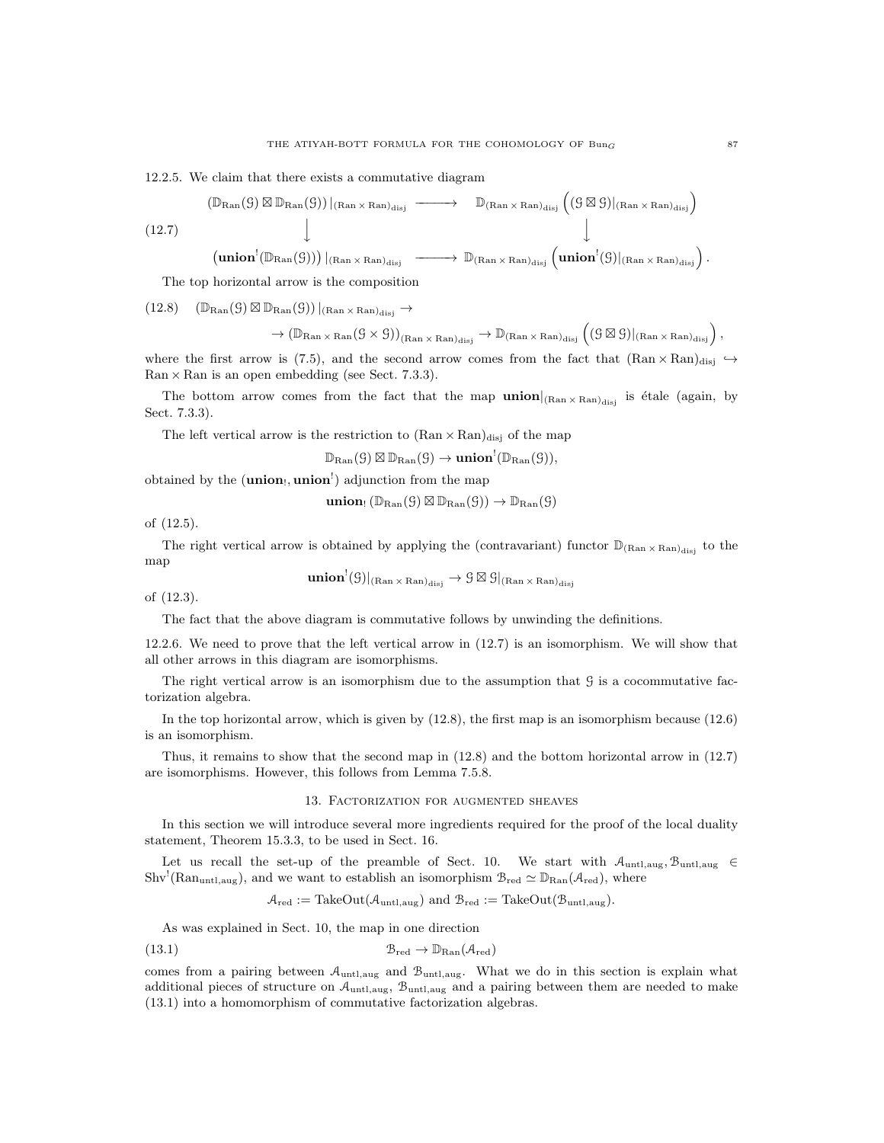12.2.5. We claim that there exists a commutative diagram

$$
(12.7)
$$
\n
$$
(12.7)
$$
\n
$$
\downarrow
$$
\n
$$
(12.7)
$$
\n
$$
\downarrow
$$
\n
$$
(12.8)
$$
\n
$$
\downarrow
$$
\n
$$
(12.9)
$$
\n
$$
\downarrow
$$
\n
$$
(12.9)
$$
\n
$$
\downarrow
$$
\n
$$
(12.9)
$$
\n
$$
\downarrow
$$
\n
$$
(12.9)
$$
\n
$$
\downarrow
$$
\n
$$
(12.9)
$$
\n
$$
\downarrow
$$
\n
$$
(12.9)
$$
\n
$$
\downarrow
$$
\n
$$
(12.9)
$$
\n
$$
\downarrow
$$
\n
$$
(12.9)
$$
\n
$$
\downarrow
$$
\n
$$
(12.9)
$$
\n
$$
\downarrow
$$
\n
$$
(12.9)
$$
\n
$$
\downarrow
$$
\n
$$
(12.9)
$$
\n
$$
\downarrow
$$
\n
$$
(12.9)
$$
\n
$$
\downarrow
$$
\n
$$
(12.9)
$$
\n
$$
\downarrow
$$
\n
$$
(12.9)
$$
\n
$$
\downarrow
$$
\n
$$
(12.9)
$$
\n
$$
\downarrow
$$
\n
$$
(12.9)
$$
\n
$$
\downarrow
$$
\n
$$
(12.9)
$$
\n
$$
\downarrow
$$
\n
$$
(12.9)
$$
\n
$$
\downarrow
$$
\n
$$
(12.9)
$$
\n
$$
\downarrow
$$
\n
$$
(12.9)
$$
\n
$$
\downarrow
$$
\n
$$
(12.9)
$$
\n
$$
\downarrow
$$
\n
$$
(12.9)
$$
\n
$$
\downarrow
$$
\n
$$
(12.9)
$$
\n
$$
\downarrow
$$
\n
$$
(12.9)
$$
\n
$$
\downarrow
$$
\n
$$
(12.9)
$$
\n
$$
\downarrow
$$
\n
$$
(12.9)
$$
\n
$$
\downarrow
$$

The top horizontal arrow is the composition

$$
(12.8) \quad (\mathbb{D}_{\mathrm{Ran}}( \mathcal{G} ) \boxtimes \mathbb{D}_{\mathrm{Ran}}( \mathcal{G} ))\,|_{(\mathrm{Ran}\times \mathrm{Ran})_{\mathrm{disj}}} \to
$$

$$
\to (\mathbb{D}_{\operatorname{Ran} \times \operatorname{Ran}}(\mathcal{G} \times \mathcal{G}))_{(\operatorname{Ran} \times \operatorname{Ran})_{\operatorname{disj}}} \to \mathbb{D}_{(\operatorname{Ran} \times \operatorname{Ran})_{\operatorname{disj}}}\left((\mathcal{G} \boxtimes \mathcal{G})|_{(\operatorname{Ran} \times \operatorname{Ran})_{\operatorname{disj}}}\right),
$$

where the first arrow is (7.5), and the second arrow comes from the fact that  $(Ran \times Ran)_{disj} \rightarrow$  $\text{Ran} \times \text{Ran}$  is an open embedding (see Sect. 7.3.3).

The bottom arrow comes from the fact that the map  $\text{union}|_{(Ran \times Ran)_{disj}}$  is étale (again, by Sect. 7.3.3).

The left vertical arrow is the restriction to  $(Ran \times Ran)_{disj}$  of the map

 $\mathbb{D}_{\mathrm{Ran}}(\mathfrak{G}) \boxtimes \mathbb{D}_{\mathrm{Ran}}(\mathfrak{G}) \rightarrow \mathbf{union}^!(\mathbb{D}_{\mathrm{Ran}}(\mathfrak{G})),$ 

obtained by the (**union**!, **union**<sup>!</sup>) adjunction from the map

$$
\mathbf{union}_{!}\left(\mathbb{D}_{\mathrm{Ran}}(G)\boxtimes \mathbb{D}_{\mathrm{Ran}}(G)\right)\to \mathbb{D}_{\mathrm{Ran}}(G)
$$

of (12.5).

The right vertical arrow is obtained by applying the (contravariant) functor  $\mathbb{D}_{(Ran \times Ran)_{disj}}$  to the map

 $\mathbf{union}^!(\mathcal{G})|_{(\mathrm{Ran}\times \mathrm{Ran})_{\mathrm{disj}}} \to \mathcal{G}\boxtimes \mathcal{G}|_{(\mathrm{Ran}\times \mathrm{Ran})_{\mathrm{disj}}}$ 

of (12.3).

The fact that the above diagram is commutative follows by unwinding the definitions.

12.2.6. We need to prove that the left vertical arrow in (12.7) is an isomorphism. We will show that all other arrows in this diagram are isomorphisms.

The right vertical arrow is an isomorphism due to the assumption that  $\mathcal G$  is a cocommutative factorization algebra.

In the top horizontal arrow, which is given by (12.8), the first map is an isomorphism because (12.6) is an isomorphism.

Thus, it remains to show that the second map in (12.8) and the bottom horizontal arrow in (12.7) are isomorphisms. However, this follows from Lemma 7.5.8.

## 13. Factorization for augmented sheaves

In this section we will introduce several more ingredients required for the proof of the local duality statement, Theorem 15.3.3, to be used in Sect. 16.

Let us recall the set-up of the preamble of Sect. 10. We start with  $A_{\text{untl,aug}}$ ,  $B_{\text{untl,aug}}$  $\text{Shv}^!$ (Ran<sub>untl,aug</sub>), and we want to establish an isomorphism  $\mathcal{B}_{red} \simeq \mathbb{D}_{\text{Ran}}(\mathcal{A}_{red})$ , where

$$
\mathcal{A}_{red} := \text{TakeOut}(\mathcal{A}_{untl,aug}) \text{ and } \mathcal{B}_{red} := \text{TakeOut}(\mathcal{B}_{untl,aug}).
$$

As was explained in Sect. 10, the map in one direction

(13.1) Bred → DRan(Ared)

comes from a pairing between  $A_{\text{untl,aug}}$  and  $B_{\text{untl,aug}}$ . What we do in this section is explain what additional pieces of structure on  $A_{untl,aug}$ ,  $B_{untl,aug}$  and a pairing between them are needed to make (13.1) into a homomorphism of commutative factorization algebras.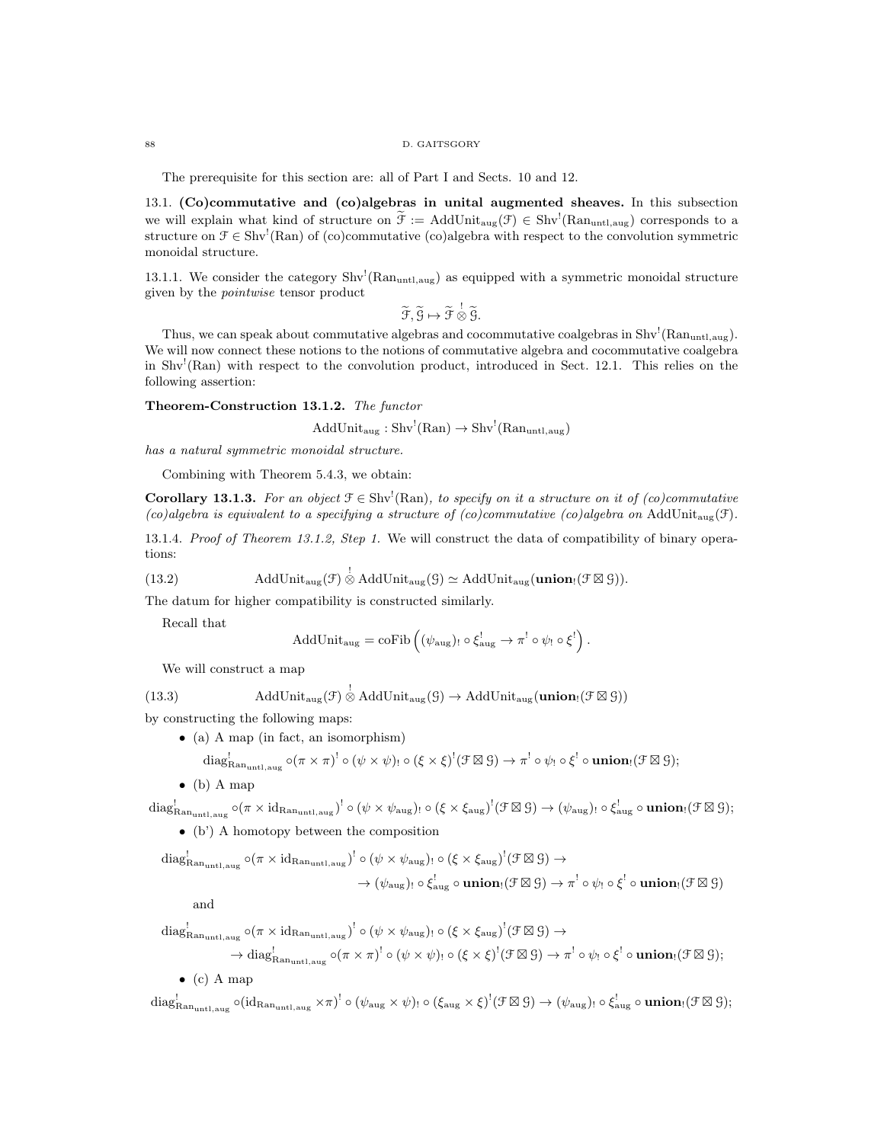#### 88 D. GAITSGORY

The prerequisite for this section are: all of Part I and Sects. 10 and 12.

13.1. (Co)commutative and (co)algebras in unital augmented sheaves. In this subsection we will explain what kind of structure on  $\tilde{\mathcal{F}} := \text{AddUnit}_{\text{aug}}(\mathcal{F}) \in \text{Shv}^{\text{!}}(\text{Ran}_{\text{untl},\text{aug}})$  corresponds to a structure on  $\mathcal{F} \in Shv^!(\text{Ran})$  of (co)commutative (co)algebra with respect to the convolution symmetric monoidal structure.

13.1.1. We consider the category  $\text{Shv}^!$  (Ran<sub>untl,aug</sub>) as equipped with a symmetric monoidal structure given by the pointwise tensor product

 $\widetilde{\mathfrak{F}}, \widetilde{\mathfrak{G}} \mapsto \widetilde{\mathfrak{F}} \overset{!}{\otimes} \widetilde{\mathfrak{G}}.$ 

Thus, we can speak about commutative algebras and cocommutative coalgebras in  $\text{Shv}^!$  (Ran<sub>untl,aug</sub>). We will now connect these notions to the notions of commutative algebra and cocommutative coalgebra in Shv<sup>1</sup>(Ran) with respect to the convolution product, introduced in Sect. 12.1. This relies on the following assertion:

Theorem-Construction 13.1.2. The functor

 $AddUnit_{aug}: Shv<sup>!</sup>(Ran) \rightarrow Shv<sup>!</sup>(Ran<sub>untl,aug</sub>)$ 

has a natural symmetric monoidal structure.

Combining with Theorem 5.4.3, we obtain:

**Corollary 13.1.3.** For an object  $\mathcal{F} \in Shv^{\dagger}(\text{Ran})$ , to specify on it a structure on it of (co)commutative (co)algebra is equivalent to a specifying a structure of (co)commutative (co)algebra on AddUnit<sub>aug</sub>(f).

13.1.4. Proof of Theorem 13.1.2, Step 1. We will construct the data of compatibility of binary operations:

(13.2) AddUnit<sub>aug</sub>(
$$
\mathcal{F}
$$
)  $\stackrel{!}{\otimes}$  AddUnit<sub>aug</sub>( $\mathcal{G}$ )  $\simeq$  AddUnit<sub>aug</sub>(**union**<sub>1</sub>( $\mathcal{F} \boxtimes \mathcal{G}$ )).

The datum for higher compatibility is constructed similarly.

Recall that

$$
\text{AddUnit}_{\text{aug}} = \text{coFib}\left((\psi_{\text{aug}})_! \circ \xi_{\text{aug}}^! \to \pi^! \circ \psi_! \circ \xi^! \right).
$$

We will construct a map

(13.3) AddUnit<sub>aug</sub> $(\mathcal{F}) \overset{!}{\otimes}$  AddUnit<sub>aug</sub> $(\mathcal{G}) \rightarrow$  AddUnit<sub>aug</sub>(union<sub>!</sub> $(\mathcal{F} \boxtimes \mathcal{G})$ )

by constructing the following maps:

• (a) A map (in fact, an isomorphism)

diag<sub>Ran<sub>untl,aug</sub></sub> 
$$
\circ (\pi \times \pi)^!
$$
  $\circ (\psi \times \psi)_!$   $\circ (\xi \times \xi)^!(\mathcal{F} \boxtimes \mathcal{G}) \rightarrow \pi^!$   $\circ \psi_!$   $\circ \xi^!$   $\circ$  union<sub>!</sub>  $(\mathcal{F} \boxtimes \mathcal{G})$ ;

 $\bullet$  (b) A map

 $\mathrm{diag}^!_{\mathrm{Ran}_{\text{untl,aug}}}\circ (\pi\times \mathrm{id}_{\mathrm{Ran}_{\text{untl,aug}}})^!\circ (\psi\times \psi_{\mathrm{aug}})_! \circ (\xi\times \xi_{\mathrm{aug}})^!(\mathfrak{F}\boxtimes \mathfrak{G})\to (\psi_{\mathrm{aug}})_! \circ \xi_{\mathrm{aug}}^! \circ \textbf{union}_!(\mathfrak{F}\boxtimes \mathfrak{G});$ 

• (b') A homotopy between the composition

$$
\mathrm{diag}^!_{\mathrm{Ran}_{\mathrm{untl},\mathrm{aug}}}\circ (\pi\times \mathrm{id}_{\mathrm{Ran}_{\mathrm{untl},\mathrm{aug}}})^!\circ (\psi\times \psi_{\mathrm{aug}})_{!}\circ (\xi\times \xi_{\mathrm{aug}})^!(\mathcal{F}\boxtimes \mathcal{G})\to \\ \to (\psi_{\mathrm{aug}})_{!}\circ \xi_{\mathrm{aug}}^!\circ \mathbf{union}_{!}(\mathcal{F}\boxtimes \mathcal{G})\to \pi^!\circ \psi_{!}\circ \xi^!\circ \mathbf{union}_{!}(\mathcal{F}\boxtimes \mathcal{G})
$$

and

$$
\mathrm{diag}_{\mathrm{Ran}_{\mathrm{untl},\mathrm{aug}}}^! \circ (\pi \times \mathrm{id}_{\mathrm{Ran}_{\mathrm{untl},\mathrm{aug}}})^! \circ (\psi \times \psi_{\mathrm{aug}})_! \circ (\xi \times \xi_{\mathrm{aug}})^! (\mathcal{F} \boxtimes \mathcal{G}) \rightarrow \\
 \rightarrow \mathrm{diag}_{\mathrm{Ran}_{\mathrm{untl},\mathrm{aug}}}^! \circ (\pi \times \pi)^! \circ (\psi \times \psi)_! \circ (\xi \times \xi)^! (\mathcal{F} \boxtimes \mathcal{G}) \rightarrow \pi^! \circ \psi_! \circ \xi^! \circ \mathbf{union}_! (\mathcal{F} \boxtimes \mathcal{G});
$$
\n
$$
\bullet \text{ (c) A map}
$$

 $\mathrm{diag}^!_{\mathrm{Ran}_{\text{untl,aug}}}\circ(\mathrm{id}_{\mathrm{Ran}_{\text{untl,aug}}}\times\pi)^!\circ(\psi_{\mathrm{aug}}\times\psi)_!\circ(\xi_{\mathrm{aug}}\times\xi)^!(\mathfrak{F}\boxtimes\mathfrak{G})\to(\psi_{\mathrm{aug}})_!\circ\xi_{\mathrm{aug}}^!\circ\mathbf{union}_!(\mathfrak{F}\boxtimes\mathfrak{G});$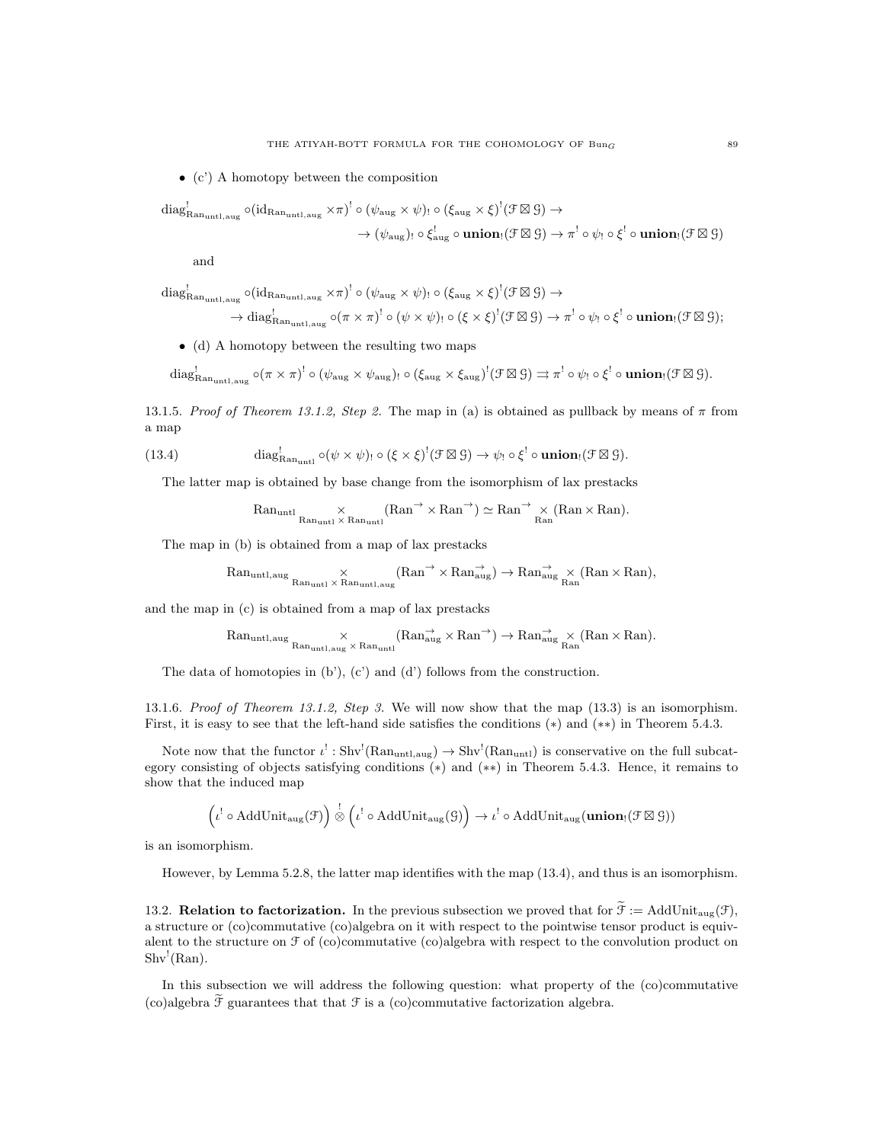• (c') A homotopy between the composition

$$
\mathrm{diag}_{\mathrm{Ran}_{\mathrm{untl},\mathrm{aug}}}^! \circ (\mathrm{id}_{\mathrm{Ran}_{\mathrm{untl},\mathrm{aug}}} \times \pi)^! \circ (\psi_{\mathrm{aug}} \times \psi) \circ (\xi_{\mathrm{aug}} \times \xi)^! (\mathcal{F} \boxtimes \mathcal{G}) \to \to (\psi_{\mathrm{aug}}) \circ \xi_{\mathrm{aug}}^! \circ \mathbf{union}_! (\mathcal{F} \boxtimes \mathcal{G}) \to \pi^! \circ \psi_! \circ \xi^! \circ \mathbf{union}_! (\mathcal{F} \boxtimes \mathcal{G})
$$

and

$$
\mathrm{diag}^!_{\mathrm{Ran}_{\mathrm{untl},\mathrm{aug}}}\circ (\mathrm{id}_{\mathrm{Ran}_{\mathrm{untl},\mathrm{aug}}}\times \pi)^! \circ (\psi_{\mathrm{aug}}\times \psi)_{!}\circ (\xi_{\mathrm{aug}}\times \xi)^!(\mathcal{F}\boxtimes \mathcal{G})\rightarrow \\
\rightarrow \mathrm{diag}^!_{\mathrm{Ran}_{\mathrm{untl},\mathrm{aug}}}\circ (\pi\times \pi)^! \circ (\psi\times \psi)_{!}\circ (\xi\times \xi)^!(\mathcal{F}\boxtimes \mathcal{G})\rightarrow \pi^! \circ \psi_{!}\circ \xi^! \circ \textbf{union}_{!}(\mathcal{F}\boxtimes \mathcal{G});
$$

• (d) A homotopy between the resulting two maps

$$
\mathrm{diag}_{\mathrm{Ran}_{\mathrm{untl},\mathrm{aug}}}^! \circ (\pi \times \pi)^! \circ (\psi_{\mathrm{aug}} \times \psi_{\mathrm{aug}}) \circ (\xi_{\mathrm{aug}} \times \xi_{\mathrm{aug}})^! (\mathcal{F} \boxtimes \mathcal{G}) \rightrightarrows \pi^! \circ \psi_! \circ \xi^! \circ \mathbf{union}_! (\mathcal{F} \boxtimes \mathcal{G}).
$$

13.1.5. Proof of Theorem 13.1.2, Step 2. The map in (a) is obtained as pullback by means of  $\pi$  from a map

(13.4) 
$$
\operatorname{diag}_{\text{Ran}_{\text{unt1}}}^! \circ (\psi \times \psi) \circ (\xi \times \xi)^! (\mathcal{F} \boxtimes \mathcal{G}) \to \psi_! \circ \xi^! \circ \text{union}_! (\mathcal{F} \boxtimes \mathcal{G}).
$$

The latter map is obtained by base change from the isomorphism of lax prestacks

$$
\mathrm{Ran}_{\mathrm{untl}}\underset{\mathrm{Ran}_{\mathrm{untl}}\times\mathrm{Ran}_{\mathrm{untl}}}{\times}\mathrm{Ran}^{\rightarrow}\times\mathrm{Ran}^{\rightarrow})\simeq\mathrm{Ran}^{\rightarrow}\underset{\mathrm{Ran}}{\times}(\mathrm{Ran}\times\mathrm{Ran}).
$$

The map in (b) is obtained from a map of lax prestacks

$$
\operatorname{Ran}_{\operatorname{untl},\operatorname{aug}}\underset{\operatorname{Ran}_{\operatorname{untl}}\times \operatorname{Ran}_{\operatorname{untl},\operatorname{aug}}} {\times} \left(\operatorname{Ran}^{\to} \times \operatorname{Ran}_{\operatorname{aug}}^{\to}\right) \to \operatorname{Ran}_{\operatorname{aug}}^{\to} \times \left(\operatorname{Ran} \times \operatorname{Ran}\right),
$$

and the map in (c) is obtained from a map of lax prestacks

$$
\mathrm{Ran}_{\mathrm{untl},\mathrm{aug}}\underset{\mathrm{Ran}_{\mathrm{untl},\mathrm{aug}}\times\mathrm{Ran}_{\mathrm{untl}}}{\times}(\mathrm{Ran}_{\mathrm{aug}}^{\rightarrow}\times\mathrm{Ran}^{\rightarrow})\rightarrow \mathrm{Ran}_{\mathrm{aug}}^{\rightarrow}\times(\mathrm{Ran}\times\mathrm{Ran}).
$$

The data of homotopies in  $(b')$ ,  $(c')$  and  $(d')$  follows from the construction.

13.1.6. Proof of Theorem 13.1.2, Step 3. We will now show that the map  $(13.3)$  is an isomorphism. First, it is easy to see that the left-hand side satisfies the conditions (∗) and (∗∗) in Theorem 5.4.3.

Note now that the functor  $\iota^! : Shv^!(\text{Ran}_{untl,aug}) \to Shv^!(\text{Ran}_{untl})$  is conservative on the full subcategory consisting of objects satisfying conditions (∗) and (∗∗) in Theorem 5.4.3. Hence, it remains to show that the induced map

$$
\left(\iota^!\circ\mathop{\rm AddUnit}\nolimits_{\rm aug}({\mathcal F})\right) \stackrel{!}{\otimes} \left(\iota^!\circ\mathop{\rm AddUnit}\nolimits_{\rm aug}({\mathcal G})\right) \to \iota^!\circ\mathop{\rm AddUnit}\nolimits_{\rm aug}({\bf union}_!( {\mathcal F} \boxtimes {\mathcal G}))
$$

is an isomorphism.

However, by Lemma 5.2.8, the latter map identifies with the map (13.4), and thus is an isomorphism.

13.2. **Relation to factorization.** In the previous subsection we proved that for  $\tilde{\mathcal{F}} := \text{AddUnit}_{\text{aug}}(\mathcal{F})$ , a structure or (co)commutative (co)algebra on it with respect to the pointwise tensor product is equivalent to the structure on  $\mathcal F$  of (co)commutative (co)algebra with respect to the convolution product on  $\text{Shv}^!(\text{Ran}).$ 

In this subsection we will address the following question: what property of the (co)commutative (co)algebra  $\tilde{\mathcal{F}}$  guarantees that that  $\mathcal F$  is a (co)commutative factorization algebra.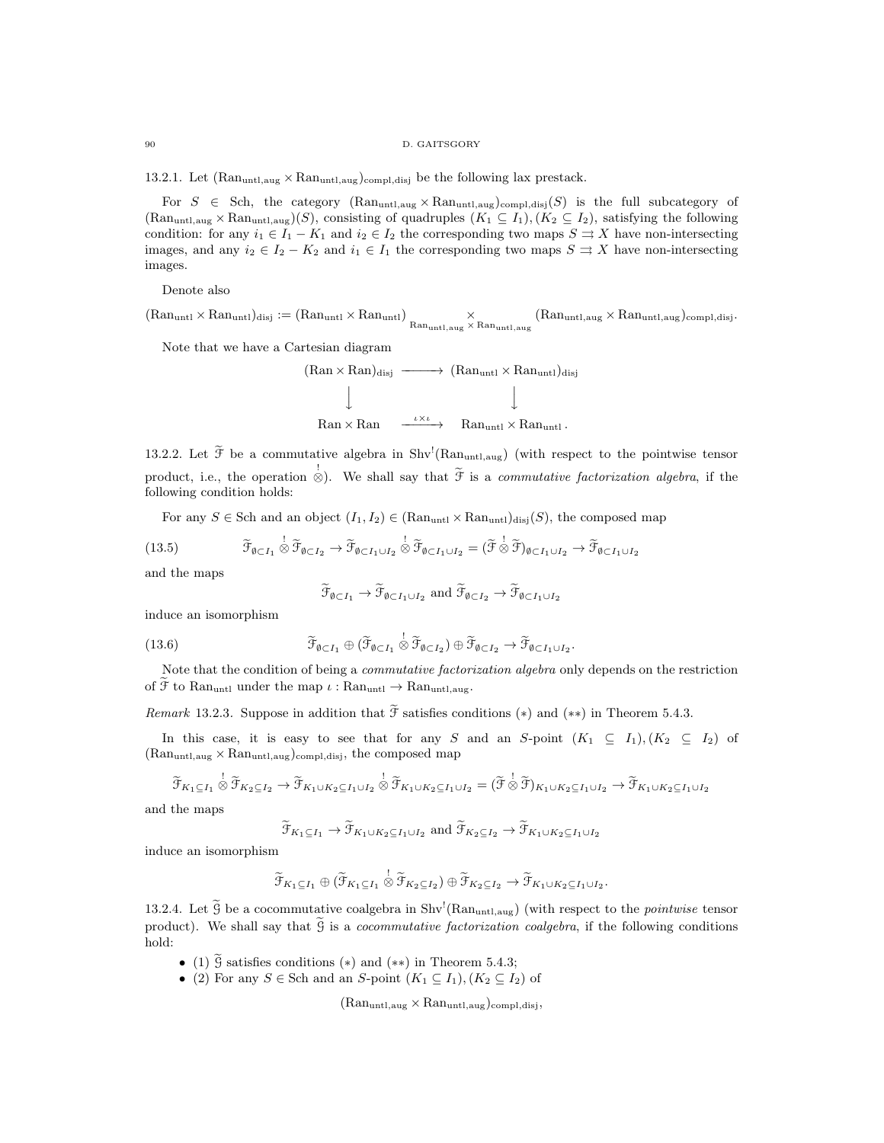90 D. GAITSGORY

13.2.1. Let  $(Ran<sub>untl,aug</sub> \times Ran<sub>untl,aug</sub>)<sub>compl,disj</sub>$  be the following lax prestack.

For  $S \in \text{Sch}$ , the category  $(\text{Ran}_{\text{untl},\text{aug}} \times \text{Ran}_{\text{untl},\text{aug}})_{\text{compl},\text{disj}}(S)$  is the full subcategory of  $(Ran<sub>untl,aug</sub> × Ran<sub>untl,aug</sub>)(S)$ , consisting of quadruples  $(K_1 \subseteq I_1), (K_2 \subseteq I_2)$ , satisfying the following condition: for any  $i_1 \in I_1 - K_1$  and  $i_2 \in I_2$  the corresponding two maps  $S \rightrightarrows X$  have non-intersecting images, and any  $i_2 \in I_2 - K_2$  and  $i_1 \in I_1$  the corresponding two maps  $S \rightrightarrows X$  have non-intersecting images.

Denote also

 $(\text{Ran}_{\text{unt1}} \times \text{Ran}_{\text{unt1}})_{\text{disj}} := (\text{Ran}_{\text{unt1}} \times \text{Ran}_{\text{unt1,aug}} \times \text{Ran}_{\text{unt1,aug}} \times \text{Ran}_{\text{unt1,aug}} \times \text{Ran}_{\text{unt1,aug}})_{\text{compl,disj}}.$ 

Note that we have a Cartesian diagram

$$
\begin{array}{ccc}\n(\text{Ran} \times \text{Ran})_{\text{disj}} & \xrightarrow{\hspace{0.5cm}} (\text{Ran}_{\text{unt1}} \times \text{Ran}_{\text{unt1}})_{\text{disj}} \\
\downarrow & & \downarrow \\
\text{Ran} \times \text{Ran} & \xrightarrow{\hspace{0.5cm}\iota \times \iota} & \text{Ran}_{\text{unt1}} \times \text{Ran}_{\text{unt1}}.\n\end{array}
$$

13.2.2. Let  $\tilde{\mathcal{F}}$  be a commutative algebra in Shv<sup>!</sup>(Ran<sub>untl,aug</sub>) (with respect to the pointwise tensor product, i.e., the operation  $\stackrel{!}{\otimes}$ . We shall say that  $\widetilde{\mathcal{F}}$  is a *commutative factorization algebra*, if the following condition holds:

For any  $S \in$  Sch and an object  $(I_1, I_2) \in (Ran<sub>untl</sub> \times Ran<sub>untl</sub>)_{disj}(S)$ , the composed map

(13.5) 
$$
\widetilde{\mathcal{F}}_{\emptyset \subset I_1} \overset{!}{\otimes} \widetilde{\mathcal{F}}_{\emptyset \subset I_2} \to \widetilde{\mathcal{F}}_{\emptyset \subset I_1 \cup I_2} \overset{!}{\otimes} \widetilde{\mathcal{F}}_{\emptyset \subset I_1 \cup I_2} = (\widetilde{\mathcal{F}} \overset{!}{\otimes} \widetilde{\mathcal{F}})_{\emptyset \subset I_1 \cup I_2} \to \widetilde{\mathcal{F}}_{\emptyset \subset I_1 \cup I_2}
$$

and the maps

$$
\widetilde{\mathcal{F}}_{\emptyset \subset I_1} \to \widetilde{\mathcal{F}}_{\emptyset \subset I_1 \cup I_2}
$$
 and  $\widetilde{\mathcal{F}}_{\emptyset \subset I_2} \to \widetilde{\mathcal{F}}_{\emptyset \subset I_1 \cup I_2}$ 

induce an isomorphism

(13.6) 
$$
\widetilde{\mathcal{F}}_{\emptyset \subset I_1} \oplus (\widetilde{\mathcal{F}}_{\emptyset \subset I_1} \overset{!}{\otimes} \widetilde{\mathcal{F}}_{\emptyset \subset I_2}) \oplus \widetilde{\mathcal{F}}_{\emptyset \subset I_2} \to \widetilde{\mathcal{F}}_{\emptyset \subset I_1 \cup I_2}.
$$

Note that the condition of being a *commutative factorization algebra* only depends on the restriction of  $\widetilde{\mathcal{F}}$  to Ran<sub>untl</sub> under the map  $\iota : \mathrm{Ran}_{\mathrm{untl}} \to \mathrm{Ran}_{\mathrm{untl},\mathrm{aug}}$ .

Remark 13.2.3. Suppose in addition that  $\tilde{\mathcal{F}}$  satisfies conditions (\*) and (\*\*) in Theorem 5.4.3.

In this case, it is easy to see that for any S and an S-point  $(K_1 \subseteq I_1), (K_2 \subseteq I_2)$  of  $(Ran<sub>untl,aug</sub> \times Ran<sub>untl,aug</sub>)<sub>compl,disj</sub>$ , the composed map

$$
\widetilde{\mathcal{F}}_{K_1 \subseteq I_1} \overset{!}{\otimes} \widetilde{\mathcal{F}}_{K_2 \subseteq I_2} \to \widetilde{\mathcal{F}}_{K_1 \cup K_2 \subseteq I_1 \cup I_2} \overset{!}{\otimes} \widetilde{\mathcal{F}}_{K_1 \cup K_2 \subseteq I_1 \cup I_2} = (\widetilde{\mathcal{F}} \overset{!}{\otimes} \widetilde{\mathcal{F}})_{K_1 \cup K_2 \subseteq I_1 \cup I_2} \to \widetilde{\mathcal{F}}_{K_1 \cup K_2 \subseteq I_1 \cup I_2}
$$

and the maps

$$
\widetilde{\mathcal{F}}_{K_1 \subseteq I_1} \to \widetilde{\mathcal{F}}_{K_1 \cup K_2 \subseteq I_1 \cup I_2}
$$
 and  $\widetilde{\mathcal{F}}_{K_2 \subseteq I_2} \to \widetilde{\mathcal{F}}_{K_1 \cup K_2 \subseteq I_1 \cup I_2}$ 

induce an isomorphism

$$
\widetilde{\mathcal{F}}_{K_1 \subseteq I_1} \oplus (\widetilde{\mathcal{F}}_{K_1 \subseteq I_1} \overset{!}{\otimes} \widetilde{\mathcal{F}}_{K_2 \subseteq I_2}) \oplus \widetilde{\mathcal{F}}_{K_2 \subseteq I_2} \rightarrow \widetilde{\mathcal{F}}_{K_1 \cup K_2 \subseteq I_1 \cup I_2}.
$$

13.2.4. Let  $\widetilde{G}$  be a cocommutative coalgebra in Shv<sup>1</sup>(Ran<sub>untl,aug</sub>) (with respect to the *pointwise* tensor product). We shall say that  $\hat{g}$  is a *cocommutative factorization coalgebra*, if the following conditions hold:

- (1)  $\widetilde{G}$  satisfies conditions (\*) and (\*\*) in Theorem 5.4.3;
- (2) For any  $S \in$  Sch and an S-point  $(K_1 \subseteq I_1), (K_2 \subseteq I_2)$  of

 $(\mathrm{Ran}_{\mathrm{untl},\mathrm{aug}}\times\mathrm{Ran}_{\mathrm{untl},\mathrm{aug}})_{\mathrm{compl},\mathrm{disj}},$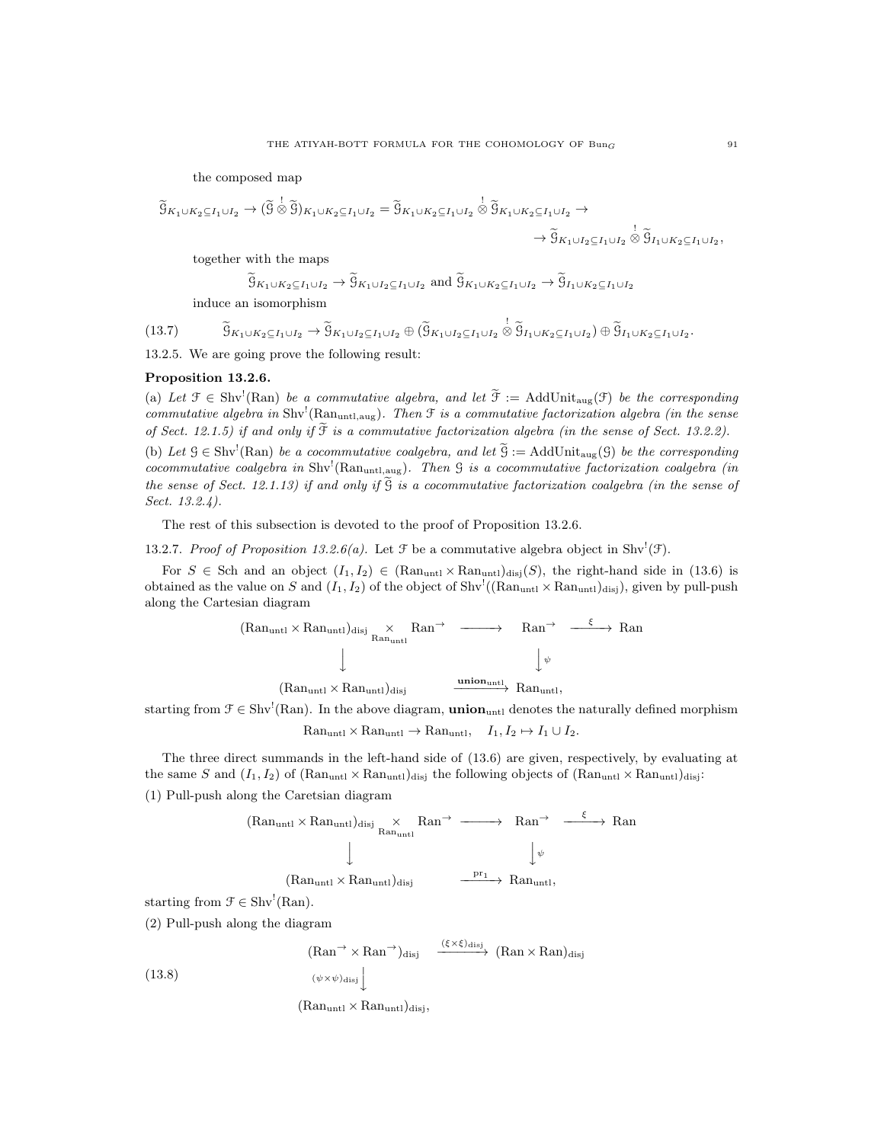the composed map

$$
\begin{aligned} \widetilde{g}_{K_1\cup K_2\subseteq I_1\cup I_2}&\to (\widetilde{g}\overset{!}{\otimes}\widetilde{g})_{K_1\cup K_2\subseteq I_1\cup I_2}=\widetilde{g}_{K_1\cup K_2\subseteq I_1\cup I_2}\overset{!}{\otimes}\widetilde{g}_{K_1\cup K_2\subseteq I_1\cup I_2}\to\\ &\to \widetilde{g}_{K_1\cup I_2\subseteq I_1\cup I_2}\overset{!}{\otimes}\widetilde{g}_{I_1\cup K_2\subseteq I_1\cup I_2},\end{aligned}
$$

together with the maps

$$
\widetilde{\mathfrak{G}}_{K_1 \cup K_2 \subseteq I_1 \cup I_2} \to \widetilde{\mathfrak{G}}_{K_1 \cup I_2 \subseteq I_1 \cup I_2}
$$
 and 
$$
\widetilde{\mathfrak{G}}_{K_1 \cup K_2 \subseteq I_1 \cup I_2} \to \widetilde{\mathfrak{G}}_{I_1 \cup K_2 \subseteq I_1 \cup I_2}
$$
 induce an isomorphism

(13.7)  $\tilde{g}_{K_1 \cup K_2 \subseteq I_1 \cup I_2} \rightarrow \tilde{g}_{K_1 \cup I_2 \subseteq I_1 \cup I_2} \oplus \tilde{g}_{K_1 \cup I_2 \subseteq I_1 \cup I_2} \otimes \tilde{g}_{I_1 \cup K_2 \subseteq I_1 \cup I_2} \oplus \tilde{g}_{I_1 \cup K_2 \subseteq I_1 \cup I_2}.$ 

13.2.5. We are going prove the following result:

## Proposition 13.2.6.

(a) Let  $\mathcal{F} \in Shv^1(Ran)$  be a commutative algebra, and let  $\widetilde{\mathcal{F}} := \text{AddUnit}_{\text{aug}}(\mathcal{F})$  be the corresponding commutative algebra in  $\text{Shv}^!$  (Ran<sub>untl,aug</sub>). Then  $\mathfrak F$  is a commutative factorization algebra (in the sense of Sect. 12.1.5) if and only if  $\widetilde{\mathfrak{F}}$  is a commutative factorization algebra (in the sense of Sect. 13.2.2). (b) Let  $G \in Shv^!(\text{Ran})$  be a cocommutative coalgebra, and let  $\widetilde{G} := \text{AddUnit}_{\text{aug}}(G)$  be the corresponding cocommutative coalgebra in  $\text{Shv}^{\text{!}}(\text{Ran}_{\text{untl},\text{aug}})$ . Then  $\text{G}$  is a cocommutative factorization coalgebra (in

the sense of Sect. 12.1.13) if and only if  $\tilde{g}$  is a cocommutative factorization coalgebra (in the sense of Sect. 13.2.4).

The rest of this subsection is devoted to the proof of Proposition 13.2.6.

13.2.7. Proof of Proposition 13.2.6(a). Let  $\mathcal F$  be a commutative algebra object in Shv<sup>!</sup>( $\mathcal F$ ).

For  $S \in$  Sch and an object  $(I_1, I_2) \in (Ran_{untl} \times Ran_{untl})_{disj}(S)$ , the right-hand side in (13.6) is obtained as the value on S and  $(I_1, I_2)$  of the object of Shv<sup>!</sup>((Ran<sub>untl</sub> × Ran<sub>untl</sub>)<sub>disj</sub>), given by pull-push along the Cartesian diagram

$$
\begin{array}{cccc}\n(\mathrm{Ran}_{\mathrm{unt1}} \times \mathrm{Ran}_{\mathrm{unt1}})_{\mathrm{disj}} & \times & \mathrm{Ran}^{\rightarrow} & \xrightarrow{\hspace{0.5cm}} & \mathrm{Ran}^{\rightarrow} & \xrightarrow{\hspace{0.5cm}\xi \rightarrow} \mathrm{Ran} \\
 & & \downarrow & & \downarrow & \\
 & & \downarrow & & \downarrow & \\
 & & (\mathrm{Ran}_{\mathrm{unt1}} \times \mathrm{Ran}_{\mathrm{unt1}})_{\mathrm{disj}} & \xrightarrow{\mathrm{union}_{\mathrm{unt1}}} & \mathrm{Ran}_{\mathrm{unt1}},\n\end{array}
$$

starting from  $\mathcal{F} \in \text{Shv}^!$  (Ran). In the above diagram, **union**<sub>untl</sub> denotes the naturally defined morphism  $\text{Ran}_{\text{unt1}} \times \text{Ran}_{\text{unt1}} \to \text{Ran}_{\text{unt1}}, \quad I_1, I_2 \mapsto I_1 \cup I_2.$ 

The three direct summands in the left-hand side of (13.6) are given, respectively, by evaluating at the same S and  $(I_1, I_2)$  of  $(Ran<sub>untl</sub> \times Ran<sub>untl</sub>)$ disj the following objects of  $(Ran<sub>untl</sub> \times Ran<sub>untl</sub>)$ disj: (1) Pull-push along the Caretsian diagram

$$
\begin{array}{ccc}\n(\mathrm{Ran}_{\mathrm{untl}} \times \mathrm{Ran}_{\mathrm{untl}})_{\mathrm{disj}} & \times & \mathrm{Ran}^{\rightarrow} & \xrightarrow{\hspace{0.5cm}} \mathrm{Ran}^{\rightarrow} & \xrightarrow{\hspace{0.5cm}\xi\hspace{0.5cm}} \mathrm{Ran}\\ \downarrow & & & \downarrow^{\psi}\\ \textcolor{blue}{(\mathrm{Ran}_{\mathrm{untl}} \times \mathrm{Ran}_{\mathrm{untl}})_{\mathrm{disj}}} & \xrightarrow{\hspace{0.5cm} \mathrm{pr}_{1} \hspace{0.5cm} \longrightarrow} \mathrm{Ran}_{\mathrm{untl}},\n\end{array}
$$

starting from  $\mathcal{F} \in \text{Shv}^!(\text{Ran})$ .

(2) Pull-push along the diagram

(13.8)  $(\text{Ran}^{\rightarrow} \times \text{Ran}^{\rightarrow})_{\text{disj}} \xrightarrow{(\xi \times \xi)_{\text{disj}}} (\text{Ran} \times \text{Ran})_{\text{disj}}$  $(\psi \times \psi)_{\text{disj}}\Bigg\downarrow$ 

 $(Ran<sub>untl</sub> \times Ran<sub>untl</sub>)<sub>disj</sub>$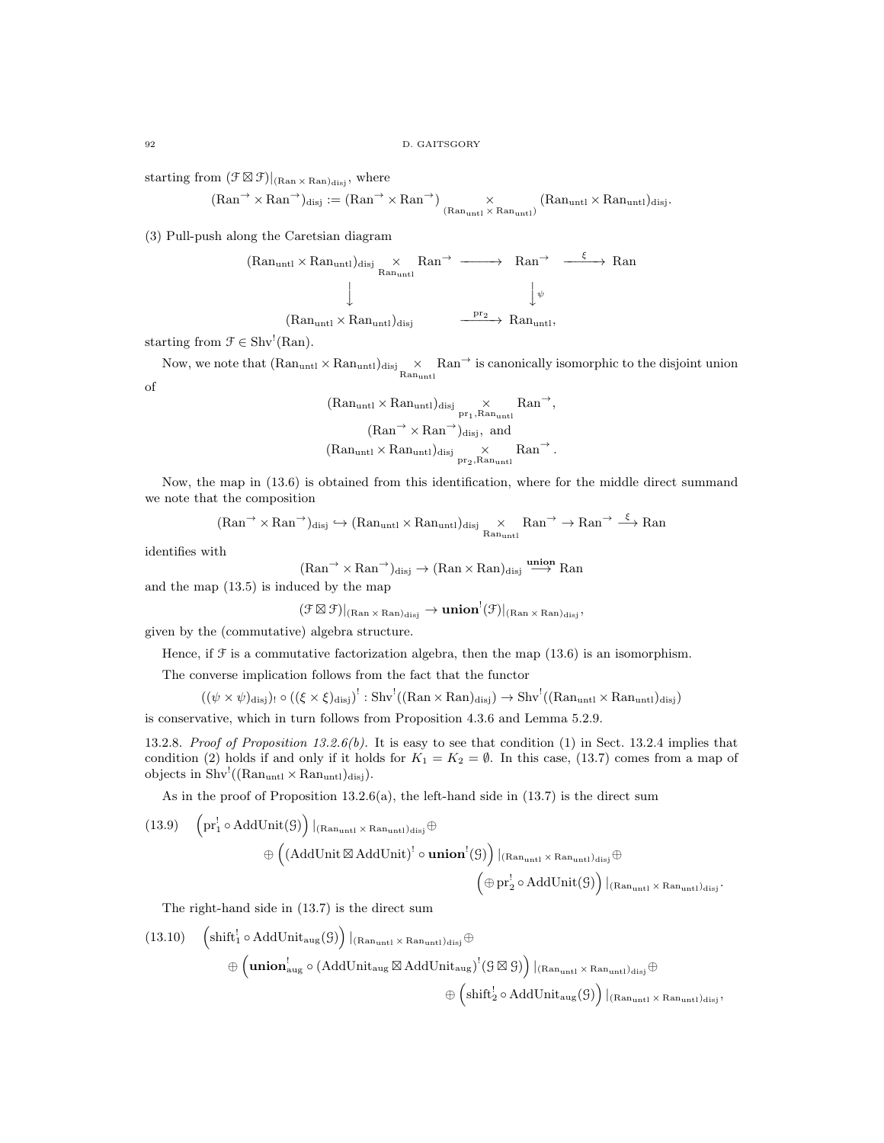starting from  $(\mathcal{F} \boxtimes \mathcal{F})|_{(Ran \times Ran)_{disj}}$ , where

$$
(\mathrm{Ran}^{\rightarrow} \times \mathrm{Ran}^{\rightarrow})_{\text{disj}} := (\mathrm{Ran}^{\rightarrow} \times \mathrm{Ran}^{\rightarrow})_{\substack{(\mathrm{Ran}_{\mathrm{unt1}} \times \mathrm{Ran}_{\mathrm{unt1}})\\(\mathrm{Ran}_{\mathrm{unt1}} \times \mathrm{Ran}_{\mathrm{unt1}})}}
$$

(3) Pull-push along the Caretsian diagram

$$
\begin{array}{cccc}\n(\mathrm{Ran}_{\mathrm{untl}}\times\mathrm{Ran}_{\mathrm{untl}})_{\mathrm{disj}}&\times&\mathrm{Ran}^{\rightarrow}&\xrightarrow{\hspace{15pt}-\!\!\!\!\!\!\!\!\!\!\!\ {} & & & & & \\ & &\downarrow&&&&&\downarrow\\ &&&&\downarrow&&&&\downarrow\\ &&&&\downarrow&&&&\downarrow\\ &&&&(\mathrm{Ran}_{\mathrm{untl}}\times\mathrm{Ran}_{\mathrm{untl}})_{\mathrm{disj}}&\xrightarrow{\hspace{15pt}-\mathrm{pr}_{2}}\mathrm{Ran}_{\mathrm{untl}},\\ \end{array}
$$

starting from  $\mathcal{F} \in \text{Shv}^!(\text{Ran})$ .

Now, we note that  $(Ran_{untl} \times Ran_{untl})_{disj} \times Ran_{untl}$  is canonically isomorphic to the disjoint union of

$$
\begin{aligned}(\mathrm{Ran}_{\mathrm{untl}}\times\mathrm{Ran}_{\mathrm{untl}})_{\mathrm{disj}}&\underset{\mathrm{pr}_1,\mathrm{Ran}_{\mathrm{untl}}}{\times}\mathrm{Ran}^{\rightarrow},\\(\mathrm{Ran}^{\rightarrow}\times\mathrm{Ran}^{\rightarrow})_{\mathrm{disj}},\ \mathrm{and}\\(\mathrm{Ran}_{\mathrm{untl}}\times\mathrm{Ran}_{\mathrm{untl}})_{\mathrm{disj}}&\underset{\mathrm{pr}_2,\mathrm{Ran}_{\mathrm{untl}}}{\times}\mathrm{Ran}^{\rightarrow}.\end{aligned}
$$

Now, the map in (13.6) is obtained from this identification, where for the middle direct summand we note that the composition

$$
(\mathrm{Ran}^{\rightarrow}\times\mathrm{Ran}^{\rightarrow})_{\mathrm{disj}}\hookrightarrow(\mathrm{Ran}_{\mathrm{untl}}\times\mathrm{Ran}_{\mathrm{untl}})_{\mathrm{disj}}\underset{\mathrm{Ran}_{\mathrm{untl}}}{\times}\mathrm{Ran}^{\rightarrow}\rightarrow\mathrm{Ran}^{\rightarrow}\overset{\xi}{\longrightarrow}\mathrm{Ran}
$$

identifies with

$$
(\text{Ran}^{\rightarrow} \times \text{Ran}^{\rightarrow})_{\text{disj}} \rightarrow (\text{Ran} \times \text{Ran})_{\text{disj}} \stackrel{\text{union}}{\longrightarrow} \text{Ran}
$$

and the map (13.5) is induced by the map

 $(\mathfrak{F}\boxtimes\mathfrak{F})|_{\text{(Ran}\,\times\,\text{Ran})_{\text{disj}}}\to\textbf{union}^!(\mathfrak{F})|_{\text{(Ran}\,\times\,\text{Ran})_{\text{disj}}},$ 

given by the (commutative) algebra structure.

Hence, if  $\mathcal F$  is a commutative factorization algebra, then the map (13.6) is an isomorphism.

The converse implication follows from the fact that the functor

$$
((\psi \times \psi)_{\text{disj}}) \cdot \circ ((\xi \times \xi)_{\text{disj}})^!: \text{Shv}^!((\text{Ran} \times \text{Ran})_{\text{disj}}) \to \text{Shv}^!((\text{Ran}_{\text{unt1}} \times \text{Ran}_{\text{unt1}})_{\text{disj}})
$$

is conservative, which in turn follows from Proposition 4.3.6 and Lemma 5.2.9.

13.2.8. Proof of Proposition 13.2.6(b). It is easy to see that condition (1) in Sect. 13.2.4 implies that condition (2) holds if and only if it holds for  $K_1 = K_2 = \emptyset$ . In this case, (13.7) comes from a map of objects in  $\text{Shv}^!((\text{Ran}_{\text{unt1}}) \times \text{Ran}_{\text{unt1}})_{\text{disj}}).$ 

As in the proof of Proposition  $13.2.6(a)$ , the left-hand side in  $(13.7)$  is the direct sum

$$
(13.9)\quad \begin{pmatrix}pr_1^!\circ AddUnit(\mathcal{G})\end{pmatrix}\vert_{(Ran_{unt1}\times Ran_{unt1})_{disj}}\oplus
$$
  

$$
\oplus \left((AddUnit \boxtimes AddUnit)^! \circ union^!(\mathcal{G})\right)\vert_{(Ran_{unt1}\times Ran_{unt1})_{disj}}\oplus
$$
  

$$
\left(\oplus pr_2^!\circ AddUnit(\mathcal{G})\right)\vert_{(Ran_{unt1}\times Ran_{unt1})_{disj}}.
$$

The right-hand side in (13.7) is the direct sum

$$
\begin{array}{ll}\left(13.10\right) & \left(\text{shift}_{1}^{!} \circ \text{AddUnit}_{\text{aug}}(\mathcal{G})\right)|_{\left(\text{Ran}_{\text{unt1}} \times \text{Ran}_{\text{unt1}}\right) \text{disj}} \oplus\\ & \\ & \quad \oplus \left(\textbf{union}_{\text{aug}}^{!} \circ (\text{AddUnit}_{\text{aug}} \boxtimes \text{AddUnit}_{\text{aug}})^{!}(\mathcal{G} \boxtimes \mathcal{G})\right)|_{\left(\text{Ran}_{\text{unt1}} \times \text{Ran}_{\text{unt1}}\right) \text{disj}} \oplus\\ & \\ & \quad \oplus \left(\text{shift}_{2}^{!} \circ \text{AddUnit}_{\text{aug}}(\mathcal{G})\right)|_{\left(\text{Ran}_{\text{unt1}} \times \text{Ran}_{\text{unt1}}\right) \text{disj}},\end{array}
$$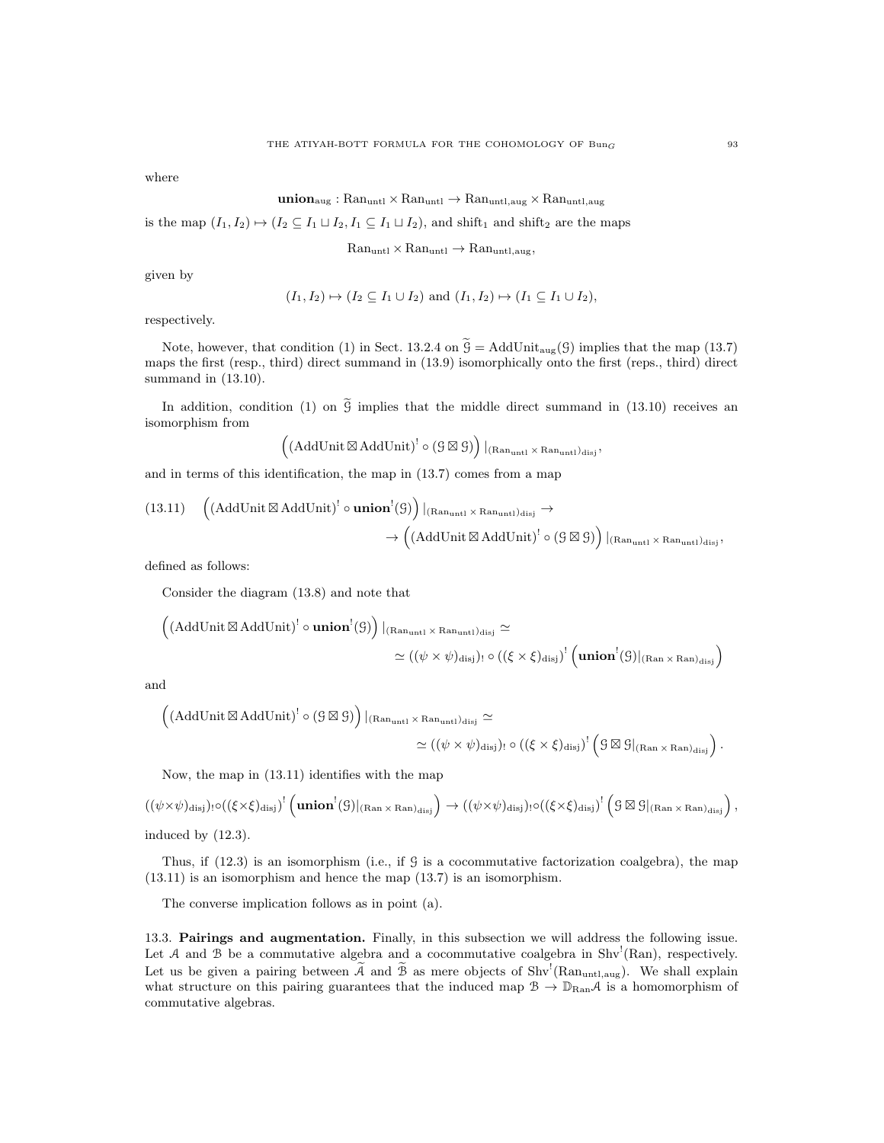where

$$
\mathbf{union}_{aug}: \mathrm{Ran}_{untl} \times \mathrm{Ran}_{untl} \rightarrow \mathrm{Ran}_{untl,aug} \times \mathrm{Ran}_{untl,aug}
$$

is the map  $(I_1, I_2) \mapsto (I_2 \subseteq I_1 \sqcup I_2, I_1 \subseteq I_1 \sqcup I_2)$ , and shift<sub>1</sub> and shift<sub>2</sub> are the maps

 $\text{Ran}_{\text{untl}} \times \text{Ran}_{\text{untl}} \rightarrow \text{Ran}_{\text{untl},\text{aug}},$ 

given by

$$
(I_1, I_2) \mapsto (I_2 \subseteq I_1 \cup I_2)
$$
 and  $(I_1, I_2) \mapsto (I_1 \subseteq I_1 \cup I_2)$ ,

respectively.

Note, however, that condition (1) in Sect. 13.2.4 on  $\tilde{G} = \text{AddUnit}_{\text{aug}}(G)$  implies that the map (13.7) maps the first (resp., third) direct summand in (13.9) isomorphically onto the first (reps., third) direct summand in (13.10).

In addition, condition (1) on  $\tilde{g}$  implies that the middle direct summand in (13.10) receives an isomorphism from

$$
\left((AddUnit \boxtimes AddUnit)^! \circ ( \mathcal{G} \boxtimes \mathcal{G} )\right)|_{(Ran_{untl} \times Ran_{untl})_{disj}},
$$

and in terms of this identification, the map in (13.7) comes from a map

$$
(13.11) \quad \left((\mathrm{AddUnit}\boxtimes\mathrm{AddUnit})^! \circ \mathbf{union}^!(\mathcal{G})\right)|_{(\mathrm{Ran}_{\mathrm{unt1}}\times\mathrm{Ran}_{\mathrm{unt1}})\mathrm{disj}} \rightarrow \\ \rightarrow \left((\mathrm{AddUnit}\boxtimes\mathrm{AddUnit})^! \circ (\mathcal{G}\boxtimes\mathcal{G})\right)|_{(\mathrm{Ran}_{\mathrm{unt1}}\times\mathrm{Ran}_{\mathrm{unt1}})\mathrm{disj}},
$$

defined as follows:

Consider the diagram (13.8) and note that

$$
\left((\text{AddUnit}\boxtimes\text{AddUnit})^! \circ \textbf{union}^!(\mathcal{G})\right)|_{(\text{Ran}_{\text{unt1}}\times\text{Ran}_{\text{unt1}})\text{disj}} \simeq \\[2mm] \simeq ((\psi\times\psi)_{\text{disj}})_! \circ ((\xi\times\xi)_{\text{disj}})^! \left(\textbf{union}^!(\mathcal{G})|_{(\text{Ran}\times\text{Ran})_{\text{disj}}}\right)
$$

and

$$
\left((\text{AddUnit}\boxtimes \text{AddUnit})^!\circ ( \mathcal{G}\boxtimes \mathcal{G})\right)|_{(\text{Ran}_{\text{unt1}}\times \text{Ran}_{\text{unt1}})\text{disj}}\simeq \\qquad \qquad \simeq ((\psi\times \psi)_{\text{disj}})_{!}\circ ((\xi\times \xi)_{\text{disj}})^! \left(\mathcal{G}\boxtimes \mathcal{G}|_{(\text{Ran}\times \text{Ran})_{\text{disj}}}\right).
$$

Now, the map in (13.11) identifies with the map

$$
((\psi \times \psi)_{\text{disj}}) \cdot o((\xi \times \xi)_{\text{disj}})^{!} (\text{union}^!(\mathcal{G})|_{(\text{Ran} \times \text{Ran})_{\text{disj}}}) \rightarrow ((\psi \times \psi)_{\text{disj}}) \cdot o((\xi \times \xi)_{\text{disj}})^{!} (\mathcal{G} \boxtimes \mathcal{G}|_{(\text{Ran} \times \text{Ran})_{\text{disj}}}),
$$
  
induced by (12.3).

Thus, if  $(12.3)$  is an isomorphism (i.e., if  $\mathcal G$  is a cocommutative factorization coalgebra), the map (13.11) is an isomorphism and hence the map (13.7) is an isomorphism.

The converse implication follows as in point (a).

13.3. Pairings and augmentation. Finally, in this subsection we will address the following issue. Let A and B be a commutative algebra and a cocommutative coalgebra in  $\text{Shv}^1(\text{Ran})$ , respectively. Let us be given a pairing between  $\widetilde{A}$  and  $\widetilde{B}$  as mere objects of Shv<sup>!</sup>(Ran<sub>untl,aug</sub>). We shall explain what structure on this pairing guarantees that the induced map  $\mathcal{B} \to \mathbb{D}_{\text{Ran}}\mathcal{A}$  is a homomorphism of commutative algebras.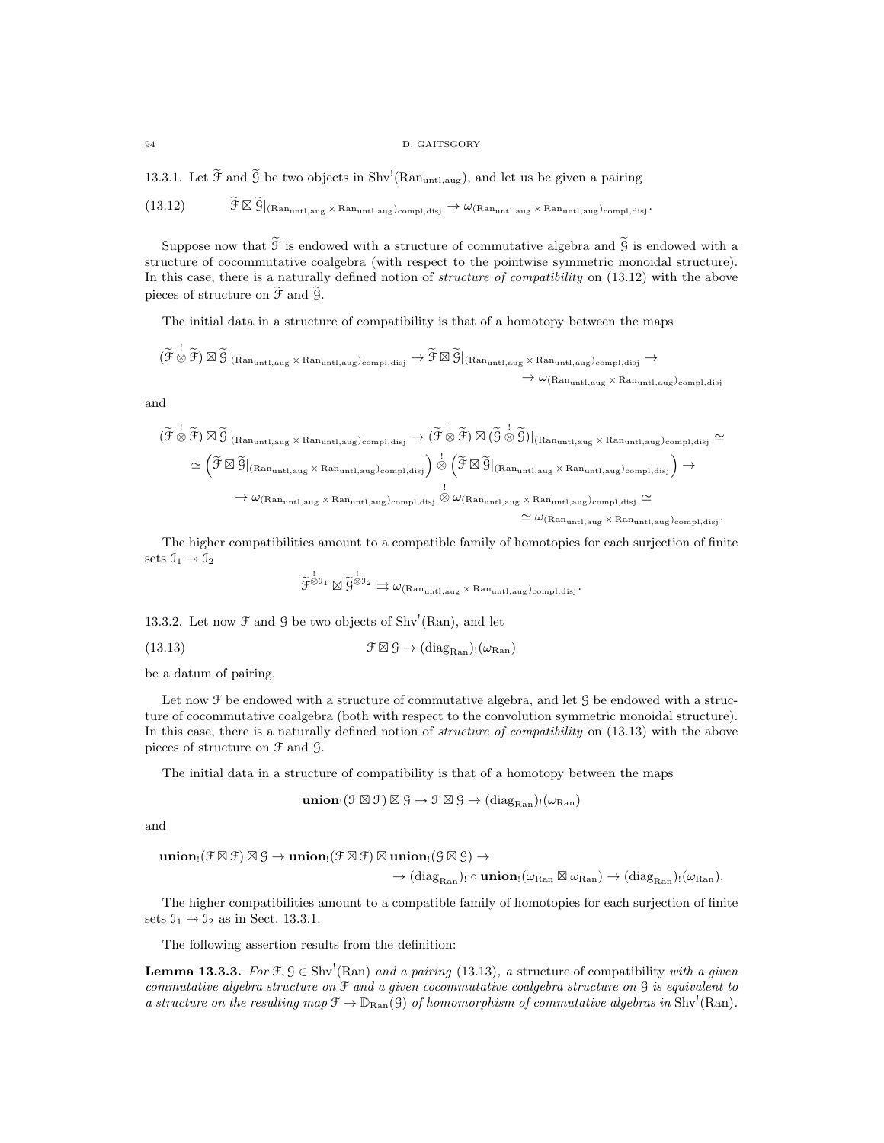#### 94 D. GAITSGORY

13.3.1. Let  $\tilde{\mathcal{F}}$  and  $\tilde{\mathcal{G}}$  be two objects in Shv<sup>!</sup>(Ran<sub>untl,aug</sub>), and let us be given a pairing

 $(13.12)$  $\widetilde{\mathcal{F}} \boxtimes \widetilde{\mathcal{G}}|_{(Ran_{untl,aug} \times Ran_{untl,aug})_{compl,disj}} \rightarrow \omega_{(Ran_{untl,aug} \times Ran_{untl,aug})_{compl,disj}}.$ 

Suppose now that  $\widetilde{\mathcal{F}}$  is endowed with a structure of commutative algebra and  $\widetilde{\mathcal{G}}$  is endowed with a structure of cocommutative coalgebra (with respect to the pointwise symmetric monoidal structure). In this case, there is a naturally defined notion of *structure of compatibility* on (13.12) with the above pieces of structure on  $\widetilde{\mathfrak{F}}$  and  $\widetilde{\mathfrak{G}}$ .

The initial data in a structure of compatibility is that of a homotopy between the maps

$$
(\widetilde{\mathcal{F}} \overset{!}{\otimes} \widetilde{\mathcal{F}}) \boxtimes \widetilde{\mathcal{G}}|_{(Ran_{untl,aug} \times Ran_{untl,aug})_{compl,disj}} \rightarrow \widetilde{\mathcal{F}} \boxtimes \widetilde{\mathcal{G}}|_{(Ran_{untl,aug} \times Ran_{untl,aug})_{compl,disj}} \rightarrow \\ \rightarrow \omega_{(Ran_{untl,aug} \times Ran_{untl,aug})_{compl,disj}}
$$

and

$$
(\widetilde{\mathcal{F}} \overset{!}{\otimes} \widetilde{\mathcal{F}}) \boxtimes \widetilde{\mathcal{G}}|_{(Ran_{untl,aug} \times Ran_{untl,aug})comp1,disj} \rightarrow (\widetilde{\mathcal{F}} \overset{!}{\otimes} \widetilde{\mathcal{F}}) \boxtimes (\widetilde{\mathcal{G}} \overset{!}{\otimes} \widetilde{\mathcal{G}})|_{(Ran_{untl,aug} \times Ran_{untl,aug})comp1,disj} \simeq \simeq (\widetilde{\mathcal{F}} \boxtimes \widetilde{\mathcal{G}}|_{(Ran_{untl,aug} \times Ran_{untl,aug})comp1,disj}) \overset{!}{\otimes} (\widetilde{\mathcal{F}} \boxtimes \widetilde{\mathcal{G}}|_{(Ran_{untl,aug} \times Ran_{untl,aug})comp1,disj}) \rightarrow \rightarrow \omega_{(Ran_{untl,aug} \times Ran_{untl,aug}) comp1,disj} \otimes \omega_{(Ran_{untl,aug} \times Ran_{untl,aug}) comp1,disj} \simeq \simeq \omega_{(Ran_{untl,aug} \times Ran_{untl,aug}) comp1,disj}.
$$

The higher compatibilities amount to a compatible family of homotopies for each surjection of finite sets  $\mathfrak{I}_1 \rightarrow \mathfrak{I}_2$ 

$$
\widetilde{\mathcal{F}}^{\overset{!}{\otimes} \mathcal{I}_1} \boxtimes \widetilde{\mathcal{G}}^{\overset{!}{\otimes} \mathcal{I}_2} \rightrightarrows \omega_{(Ran_{\text{untl},\text{aug}} \times Ran_{\text{untl},\text{aug}})_{\text{compl,disj}}}.
$$

13.3.2. Let now  $\mathcal F$  and  $\mathcal G$  be two objects of Shv<sup>!</sup>(Ran), and let

(13.13) 
$$
\mathcal{F} \boxtimes \mathcal{G} \to (\text{diag}_{\text{Ran}})_{!}(\omega_{\text{Ran}})
$$

be a datum of pairing.

Let now  $\mathcal F$  be endowed with a structure of commutative algebra, and let  $\mathcal G$  be endowed with a structure of cocommutative coalgebra (both with respect to the convolution symmetric monoidal structure). In this case, there is a naturally defined notion of *structure of compatibility* on (13.13) with the above pieces of structure on F and G.

The initial data in a structure of compatibility is that of a homotopy between the maps

$$
\mathop{\mathbf{union_{!}}}(\mathcal{F}\boxtimes\mathcal{F})\boxtimes\mathcal{G}\rightarrow\mathcal{F}\boxtimes\mathcal{G}\rightarrow(\mathrm{diag}_{\mathrm{Ran}})_{!}(\omega_{\mathrm{Ran}})
$$

and

 $\mathbf{union}_{!}(\mathcal{F}\boxtimes\mathcal{F})\boxtimes\mathcal{G}\to\mathbf{union}_{!}(\mathcal{F}\boxtimes\mathcal{F})\boxtimes\mathbf{union}_{!}(\mathcal{G}\boxtimes\mathcal{G})\to$ 

 $\rightarrow$   $(\text{diag}_{\text{Ran}})$ !  $\circ$  union! $(\omega_{\text{Ran}} \boxtimes \omega_{\text{Ran}}) \rightarrow (\text{diag}_{\text{Ran}})$ ! $(\omega_{\text{Ran}})$ .

The higher compatibilities amount to a compatible family of homotopies for each surjection of finite sets  $\mathfrak{I}_1 \rightarrow \mathfrak{I}_2$  as in Sect. 13.3.1.

The following assertion results from the definition:

**Lemma 13.3.3.** For  $\mathcal{F}, \mathcal{G} \in Shv^1(Ran)$  and a pairing (13.13), a structure of compatibility with a given commutative algebra structure on F and a given cocommutative coalgebra structure on G is equivalent to a structure on the resulting map  $\mathfrak{F} \to \mathbb{D}_{\text{Ran}}(\mathfrak{G})$  of homomorphism of commutative algebras in Shv<sup>!</sup>(Ran).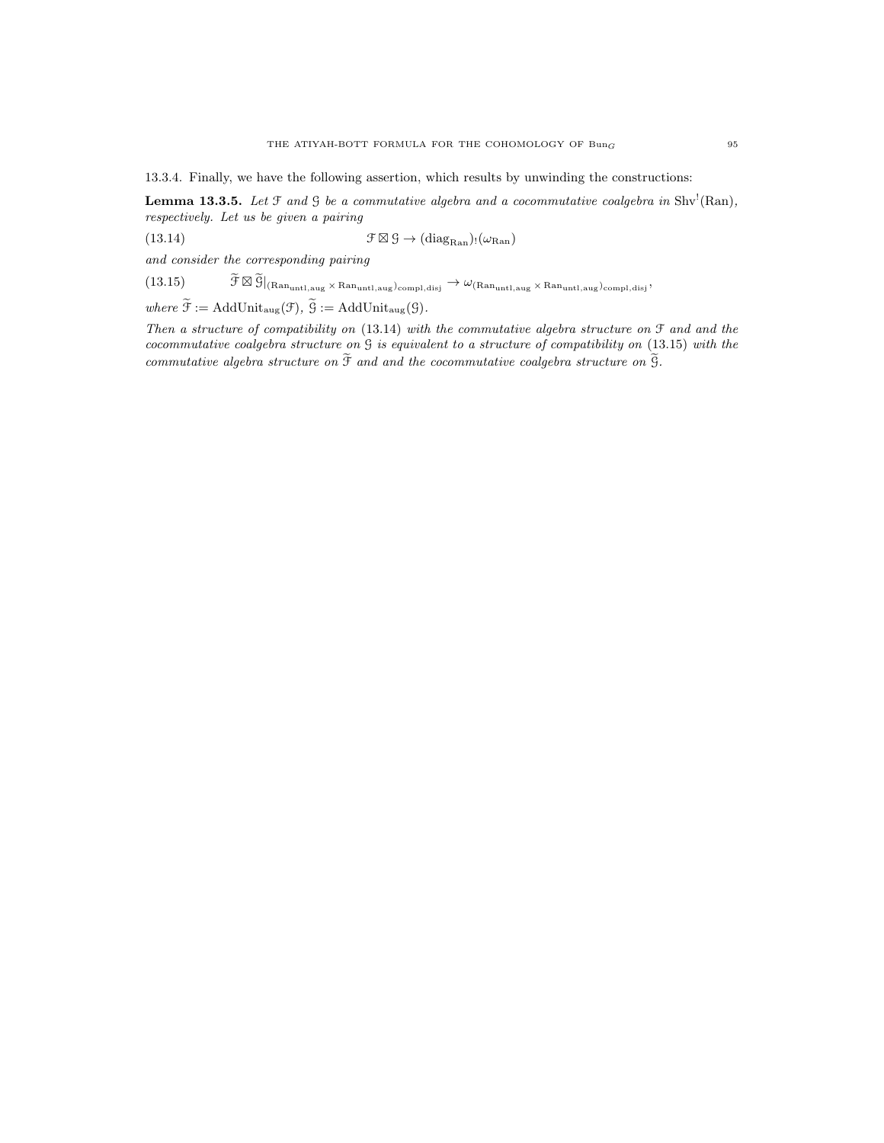13.3.4. Finally, we have the following assertion, which results by unwinding the constructions:

**Lemma 13.3.5.** Let  $\mathcal{F}$  and  $\mathcal{G}$  be a commutative algebra and a cocommutative coalgebra in Shv<sup>1</sup>(Ran), respectively. Let us be given a pairing

 $(13.14)$  $\mathcal{F} \boxtimes \mathcal{G} \rightarrow (\text{diag}_{\text{Ran}}) \cdot (\omega_{\text{Ran}})$ 

and consider the corresponding pairing

 $(13.15)$  $\widetilde{\mathcal{F}} \boxtimes \widetilde{\mathcal{G}}\vert_{(Ran_{untl,aug} \times Ran_{untl,aug})_{compl,disj}} \rightarrow \omega_{(Ran_{untl,aug} \times Ran_{untl,aug})_{compl,disj}},$ 

where  $\widetilde{\mathfrak{F}} := \text{AddUnit}_{\text{aug}}(\mathfrak{F}), \widetilde{\mathfrak{G}} := \text{AddUnit}_{\text{aug}}(\mathfrak{G}).$ 

Then a structure of compatibility on (13.14) with the commutative algebra structure on F and and the cocommutative coalgebra structure on G is equivalent to a structure of compatibility on (13.15) with the commutative algebra structure on  $\widetilde{\mathfrak{F}}$  and and the cocommutative coalgebra structure on  $\widetilde{\mathfrak{G}}$ .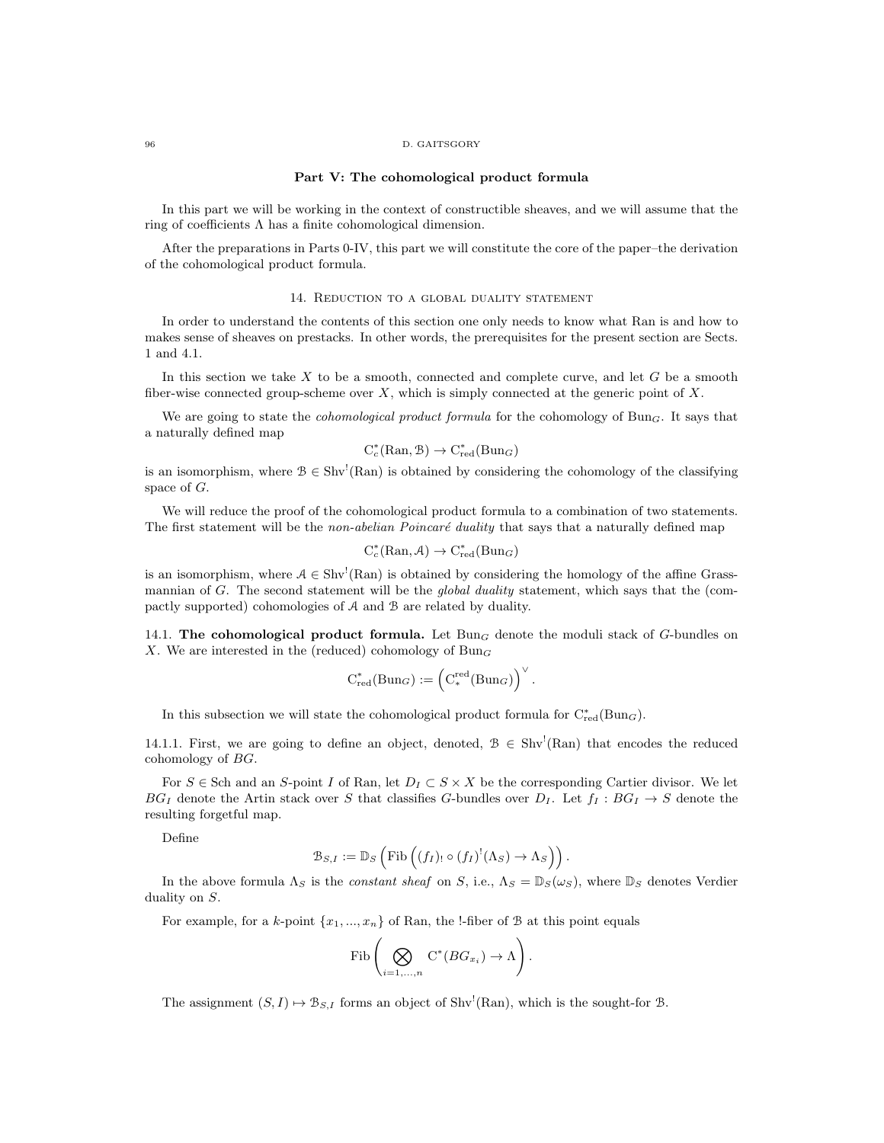#### 96 D. GAITSGORY

#### Part V: The cohomological product formula

In this part we will be working in the context of constructible sheaves, and we will assume that the ring of coefficients Λ has a finite cohomological dimension.

After the preparations in Parts 0-IV, this part we will constitute the core of the paper–the derivation of the cohomological product formula.

### 14. Reduction to a global duality statement

In order to understand the contents of this section one only needs to know what Ran is and how to makes sense of sheaves on prestacks. In other words, the prerequisites for the present section are Sects. 1 and 4.1.

In this section we take  $X$  to be a smooth, connected and complete curve, and let  $G$  be a smooth fiber-wise connected group-scheme over  $X$ , which is simply connected at the generic point of  $X$ .

We are going to state the *cohomological product formula* for the cohomology of Bun<sub>G</sub>. It says that a naturally defined map

$$
C_c^*(\mathrm{Ran}, \mathcal{B}) \to C_{\mathrm{red}}^*(\mathrm{Bun}_G)
$$

is an isomorphism, where  $\mathcal{B} \in Shv^{'}(Ran)$  is obtained by considering the cohomology of the classifying space of G.

We will reduce the proof of the cohomological product formula to a combination of two statements. The first statement will be the non-abelian Poincaré duality that says that a naturally defined map

$$
C_c^*(\mathrm{Ran}, \mathcal{A}) \to C_{red}^*(\mathrm{Bun}_G)
$$

is an isomorphism, where  $A \in Shv'(\text{Ran})$  is obtained by considering the homology of the affine Grassmannian of G. The second statement will be the *global duality* statement, which says that the (compactly supported) cohomologies of A and B are related by duality.

14.1. The cohomological product formula. Let  $Bun<sub>G</sub>$  denote the moduli stack of G-bundles on X. We are interested in the (reduced) cohomology of  $Bun_G$ 

$$
C^*_{red}(Bun_G) := \left(C_*^{red}(Bun_G)\right)^{\vee}.
$$

In this subsection we will state the cohomological product formula for  $C^*_{red}(Bun_G)$ .

14.1.1. First, we are going to define an object, denoted,  $\mathcal{B} \in Shv^{'}(Ran)$  that encodes the reduced cohomology of BG.

For  $S \in$  Sch and an S-point I of Ran, let  $D_I \subset S \times X$  be the corresponding Cartier divisor. We let  $BG_I$  denote the Artin stack over S that classifies G-bundles over  $D_I$ . Let  $f_I : BG_I \rightarrow S$  denote the resulting forgetful map.

Define

$$
\mathcal{B}_{S,I} := \mathbb{D}_S \left( \mathrm{Fib} \left( (f_I)_! \circ (f_I)^! (\Lambda_S) \to \Lambda_S \right) \right).
$$

In the above formula  $\Lambda_S$  is the *constant sheaf* on S, i.e.,  $\Lambda_S = \mathbb{D}_S(\omega_S)$ , where  $\mathbb{D}_S$  denotes Verdier duality on S.

For example, for a k-point  $\{x_1, ..., x_n\}$  of Ran, the !-fiber of B at this point equals

$$
\mathrm{Fib}\left(\bigotimes_{i=1,\ldots,n} \mathrm{C}^*(BG_{x_i}) \to \Lambda\right).
$$

The assignment  $(S, I) \mapsto \mathcal{B}_{S, I}$  forms an object of Shv<sup>!</sup>(Ran), which is the sought-for  $\mathcal{B}$ .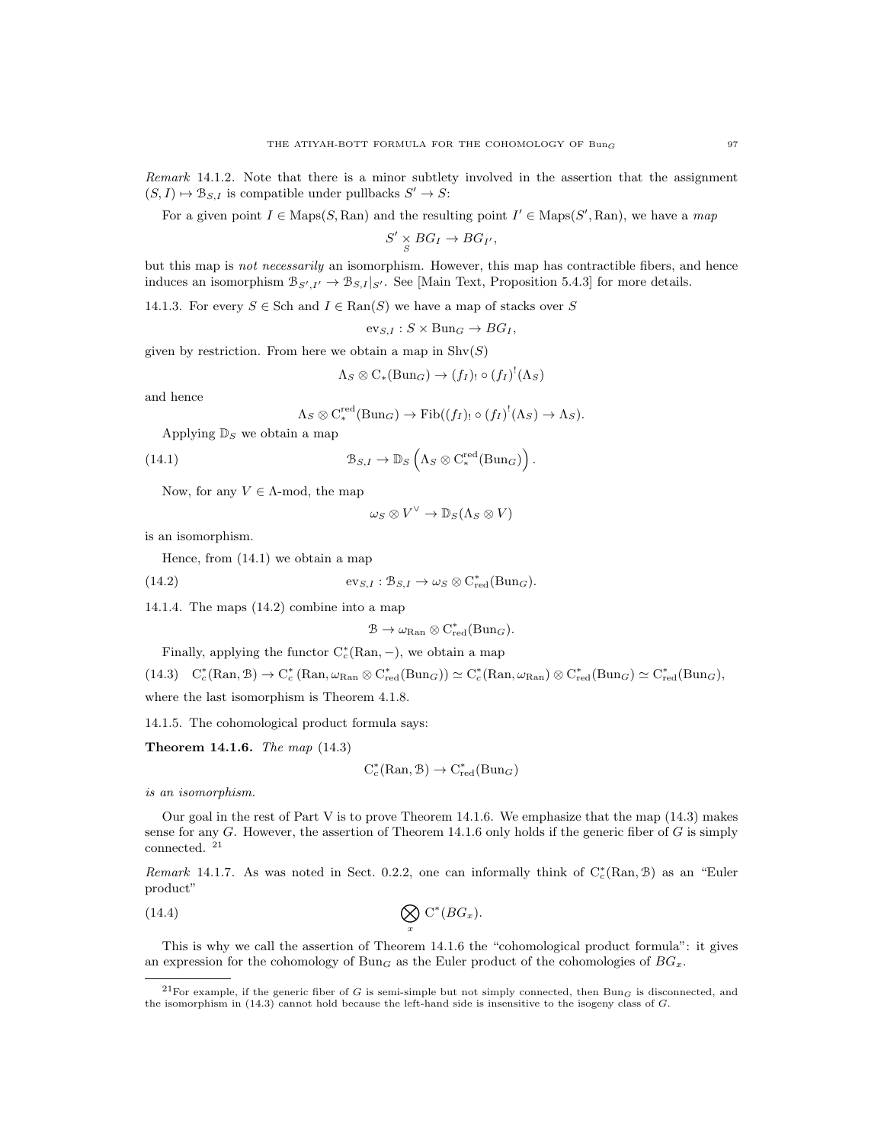Remark 14.1.2. Note that there is a minor subtlety involved in the assertion that the assignment  $(S, I) \mapsto \mathcal{B}_{S, I}$  is compatible under pullbacks  $S' \to S$ :

For a given point  $I \in \text{Maps}(S, \text{Ran})$  and the resulting point  $I' \in \text{Maps}(S', \text{Ran})$ , we have a map

$$
S' \underset{S}{\times} BG_I \rightarrow BG_{I'},
$$

but this map is not necessarily an isomorphism. However, this map has contractible fibers, and hence induces an isomorphism  $\mathcal{B}_{S',I'} \to \mathcal{B}_{S,I}|_{S'}$ . See [Main Text, Proposition 5.4.3] for more details.

14.1.3. For every  $S \in Sch$  and  $I \in Ran(S)$  we have a map of stacks over S

 $ev_{S,I}$ :  $S \times Bun_G \rightarrow BG_I$ ,

given by restriction. From here we obtain a map in  $\text{Shv}(S)$ 

$$
\Lambda_S \otimes C_*(Bun_G) \to (f_I)_! \circ (f_I)^!(\Lambda_S)
$$

and hence

$$
\Lambda_S \otimes \mathrm{C}^{\mathrm{red}}_*(\mathrm{Bun}_G) \to \mathrm{Fib}((f_I)_! \circ (f_I)^!(\Lambda_S) \to \Lambda_S).
$$

.

Applying  $\mathbb{D}_S$  we obtain a map

(14.1) 
$$
\mathcal{B}_{S,I} \to \mathbb{D}_S \left( \Lambda_S \otimes C_*^{\text{red}}(\text{Bun}_G) \right)
$$

Now, for any  $V \in \Lambda$ -mod, the map

$$
\omega_S \otimes V^\vee \to \mathbb{D}_S(\Lambda_S \otimes V)
$$

is an isomorphism.

Hence, from (14.1) we obtain a map

(14.2)  $ev_{S,I} : \mathcal{B}_{S,I} \to \omega_S \otimes C^*_{red}(\text{Bun}_G).$ 

14.1.4. The maps (14.2) combine into a map

$$
\mathcal{B}\to \omega_{\mathrm{Ran}}\otimes C^*_{\mathrm{red}}(\mathrm{Bun}_G).
$$

Finally, applying the functor  $C_c^*(\text{Ran}, -)$ , we obtain a map

 $(14.3)$   $C_c^*(\text{Ran}, \mathcal{B}) \to C_c^*(\text{Ran}, \omega_{\text{Ran}} \otimes C_{\text{red}}^*(\text{Bun}_G)) \simeq C_c^*(\text{Ran}, \omega_{\text{Ran}}) \otimes C_{\text{red}}^*(\text{Bun}_G) \simeq C_{\text{red}}^*(\text{Bun}_G),$ 

where the last isomorphism is Theorem 4.1.8.

14.1.5. The cohomological product formula says:

Theorem 14.1.6. The map (14.3)

$$
C_c^*(\mathrm{Ran}, \mathcal{B}) \to C_{\mathrm{red}}^*(\mathrm{Bun}_G)
$$

is an isomorphism.

Our goal in the rest of Part V is to prove Theorem 14.1.6. We emphasize that the map (14.3) makes sense for any  $G$ . However, the assertion of Theorem 14.1.6 only holds if the generic fiber of  $G$  is simply connected. <sup>21</sup>

Remark 14.1.7. As was noted in Sect. 0.2.2, one can informally think of  $C_c^*(\text{Ran}, \mathcal{B})$  as an "Euler product"

(14.4) 
$$
\bigotimes_x \mathrm{C}^*(BG_x).
$$

This is why we call the assertion of Theorem 14.1.6 the "cohomological product formula": it gives an expression for the cohomology of  $Bun_G$  as the Euler product of the cohomologies of  $BG_x$ .

<sup>&</sup>lt;sup>21</sup>For example, if the generic fiber of G is semi-simple but not simply connected, then Bun<sub>G</sub> is disconnected, and the isomorphism in (14.3) cannot hold because the left-hand side is insensitive to the isogeny class of G.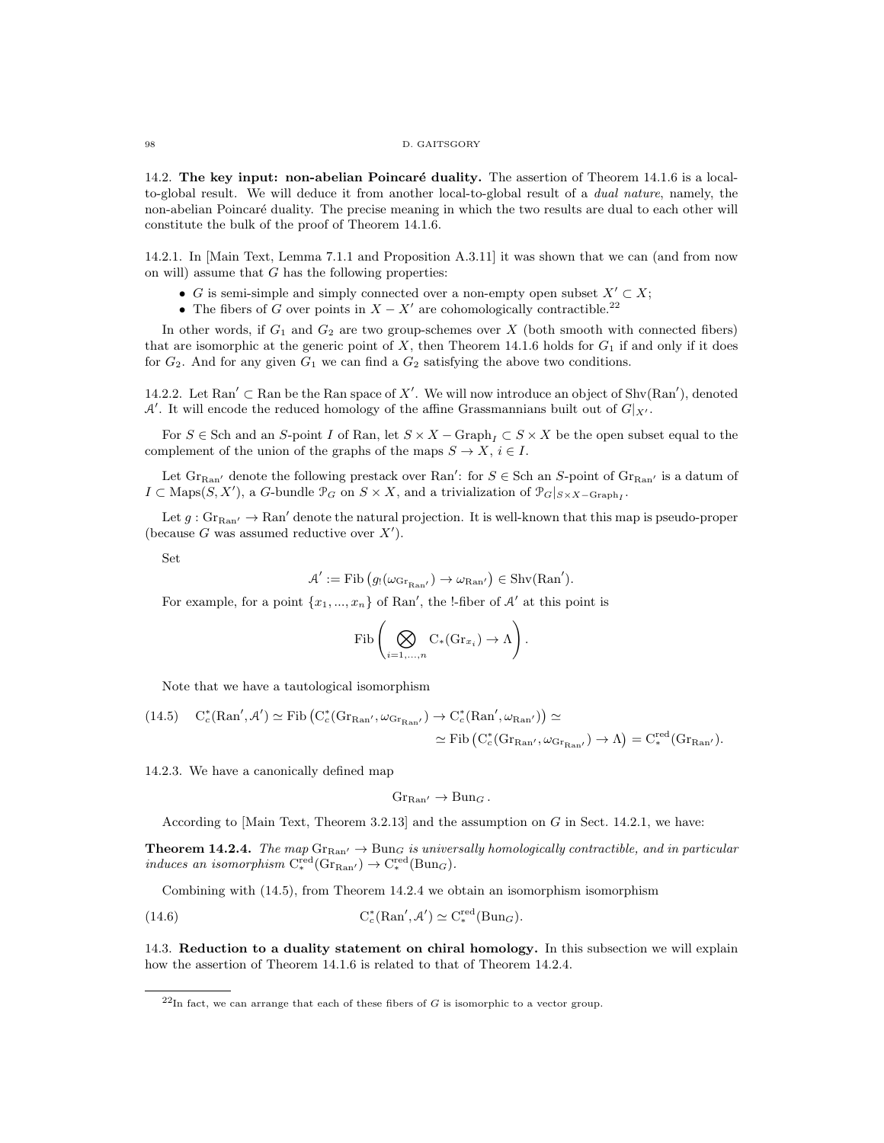14.2. The key input: non-abelian Poincaré duality. The assertion of Theorem 14.1.6 is a localto-global result. We will deduce it from another local-to-global result of a dual nature, namely, the non-abelian Poincaré duality. The precise meaning in which the two results are dual to each other will constitute the bulk of the proof of Theorem 14.1.6.

14.2.1. In [Main Text, Lemma 7.1.1 and Proposition A.3.11] it was shown that we can (and from now on will) assume that  $G$  has the following properties:

- G is semi-simple and simply connected over a non-empty open subset  $X' \subset X$ ;
- The fibers of G over points in  $X X'$  are cohomologically contractible.<sup>22</sup>

In other words, if  $G_1$  and  $G_2$  are two group-schemes over X (both smooth with connected fibers) that are isomorphic at the generic point of X, then Theorem 14.1.6 holds for  $G_1$  if and only if it does for  $G_2$ . And for any given  $G_1$  we can find a  $G_2$  satisfying the above two conditions.

14.2.2. Let Ran'  $\subset$  Ran be the Ran space of X'. We will now introduce an object of Shv(Ran'), denoted  $\mathcal{A}'$ . It will encode the reduced homology of the affine Grassmannians built out of  $G|_{X'}$ .

For  $S \in$  Sch and an S-point I of Ran, let  $S \times X$  – Graph<sub>I</sub>  $\subset S \times X$  be the open subset equal to the complement of the union of the graphs of the maps  $S \to X$ ,  $i \in I$ .

Let  $\text{Gr}_{\text{Ran}'}$  denote the following prestack over  $\text{Ran}'$ : for  $S \in \text{Sch}$  an S-point of  $\text{Gr}_{\text{Ran}'}$  is a datum of  $I \subset \text{Maps}(S, X'),$  a G-bundle  $\mathcal{P}_G$  on  $S \times X$ , and a trivialization of  $\mathcal{P}_G|_{S \times X - \text{Graph}_I}$ .

Let  $g: \text{Gr}_{\text{Ran}'} \to \text{Ran}'$  denote the natural projection. It is well-known that this map is pseudo-proper (because  $G$  was assumed reductive over  $X'$ ).

Set

$$
\mathcal{A}' := \mathrm{Fib} \left( g_! (\omega_{\mathrm{Gr}_{\mathrm{Ran}'}}) \to \omega_{\mathrm{Ran}'} \right) \in \mathrm{Shv}(\mathrm{Ran}').
$$

For example, for a point  $\{x_1, ..., x_n\}$  of Ran', the !-fiber of A' at this point is

$$
\mathrm{Fib}\left(\bigotimes_{i=1,\ldots,n} C_*(\mathrm{Gr}_{x_i}) \to \Lambda\right).
$$

Note that we have a tautological isomorphism

$$
\begin{aligned} \text{(14.5)} \quad & \mathrm{C}^*_c(\mathrm{Ran}',\mathcal{A}') \simeq \mathrm{Fib}\left(\mathrm{C}^*_c(\mathrm{Gr}_{\mathrm{Ran}'},\omega_{\mathrm{Gr}_{\mathrm{Ran}'}}) \to \mathrm{C}^*_c(\mathrm{Ran}',\omega_{\mathrm{Ran}'})\right) \simeq \\ &\simeq \mathrm{Fib}\left(\mathrm{C}^*_c(\mathrm{Gr}_{\mathrm{Ran}'},\omega_{\mathrm{Gr}_{\mathrm{Ran}'}}) \to \Lambda\right) = \mathrm{C}^{\mathrm{red}}_*(\mathrm{Gr}_{\mathrm{Ran}'}). \end{aligned}
$$

14.2.3. We have a canonically defined map

 $Gr_{\mathbf{B}_{2n'}} \to \mathrm{Bun}_G$ .

According to [Main Text, Theorem 3.2.13] and the assumption on  $G$  in Sect. 14.2.1, we have:

**Theorem 14.2.4.** The map  $\text{Gr}_{\text{Ran}'} \to \text{Bun}_G$  is universally homologically contractible, and in particular induces an isomorphism  $C_*^{\text{red}}(\text{Gr}_{\text{Ran}'}) \to C_*^{\text{red}}(\text{Bun}_G)$ .

Combining with (14.5), from Theorem 14.2.4 we obtain an isomorphism isomorphism

(14.6) 
$$
C_c^*(\text{Ran}', A') \simeq C_*^{\text{red}}(\text{Bun}_G).
$$

14.3. Reduction to a duality statement on chiral homology. In this subsection we will explain how the assertion of Theorem 14.1.6 is related to that of Theorem 14.2.4.

 $^{22}$ In fact, we can arrange that each of these fibers of G is isomorphic to a vector group.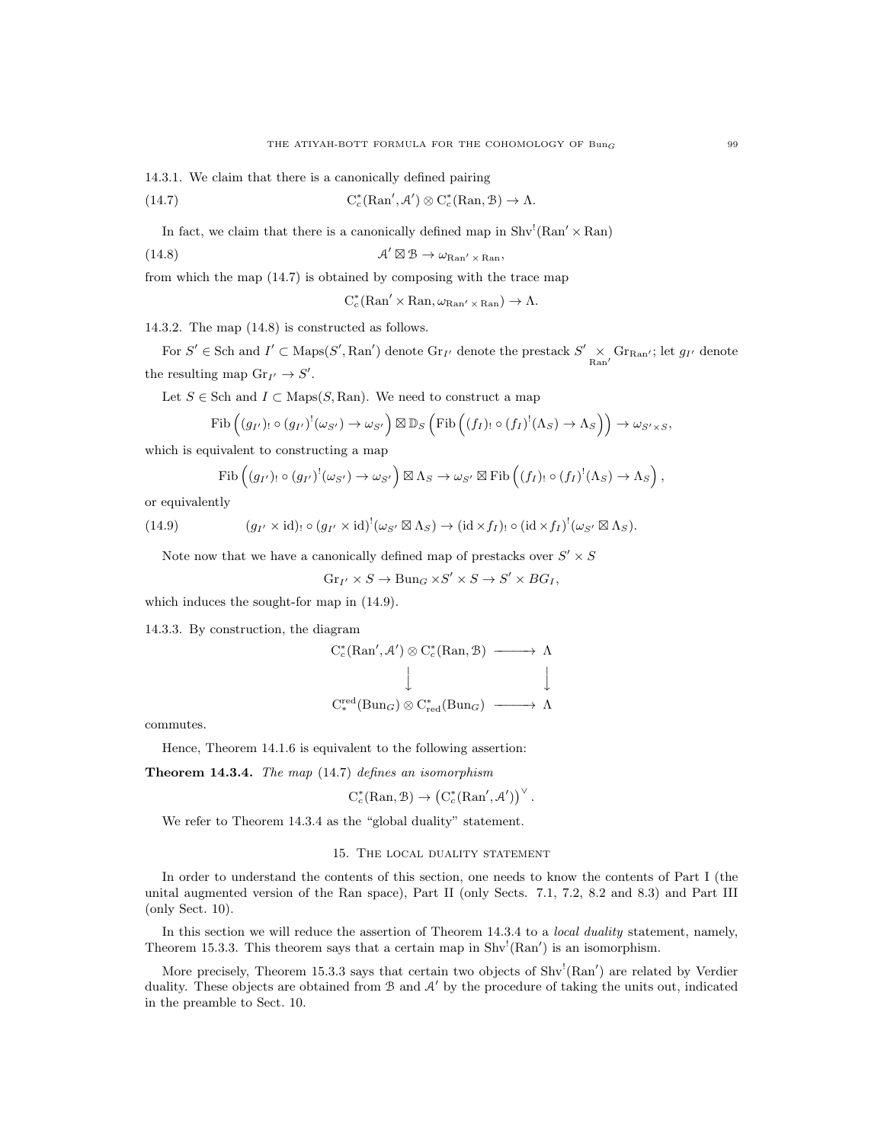14.3.1. We claim that there is a canonically defined pairing

 $(14.7)$  $c_c^*(\text{Ran}', A') \otimes C_c^*(\text{Ran}, \mathcal{B}) \to \Lambda.$ 

In fact, we claim that there is a canonically defined map in  $\text{Shv}^!(\text{Ran}' \times \text{Ran})$ 

(14.8) 
$$
\mathcal{A}' \boxtimes \mathcal{B} \to \omega_{\text{Ran}'} \times_{\text{Ran}}
$$

from which the map (14.7) is obtained by composing with the trace map

$$
C_c^*(\mathrm{Ran}' \times \mathrm{Ran}, \omega_{\mathrm{Ran}'} \times \mathrm{Ran}) \to \Lambda.
$$

14.3.2. The map (14.8) is constructed as follows.

For  $S' \in \text{Sch}$  and  $I' \subset \text{Maps}(S', \text{Ran}')$  denote  $\text{Gr}_{I'}$  denote the prestack  $S' \times \text{Gr}_{\text{Ran'}}$ ; let  $g_{I'}$  denote the resulting map  $\text{Gr}_{I'} \to S'.$ 

Let  $S \in$  Sch and  $I \subset$  Maps $(S, \text{Ran})$ . We need to construct a map

$$
\mathrm{Fib}\left(\left(g_{I'}\right)_{!}\circ\left(g_{I'}\right)^{!}\left(\omega_{S'}\right)\to\omega_{S'}\right)\boxtimes\mathbb{D}_{S}\left(\mathrm{Fib}\left(\left(f_{I}\right)_{!}\circ\left(f_{I}\right)^{!}\left(\Lambda_{S}\right)\to\Lambda_{S}\right)\right)\to\omega_{S'\times S},
$$

which is equivalent to constructing a map

$$
\mathrm{Fib}\left(\left(g_{I'}\right)_{!}\circ\left(g_{I'}\right)^{!}(\omega_{S'})\to\omega_{S'}\right)\boxtimes\Lambda_{S}\to\omega_{S'}\boxtimes\mathrm{Fib}\left(\left(f_{I}\right)_{!}\circ\left(f_{I}\right)^{!}(\Lambda_{S})\to\Lambda_{S}\right),\right
$$

or equivalently

(14.9) 
$$
(g_{I'} \times id)_{!} \circ (g_{I'} \times id)^{!}(\omega_{S'} \boxtimes \Lambda_S) \to (id \times f_I)_{!} \circ (id \times f_I)^{!}(\omega_{S'} \boxtimes \Lambda_S).
$$

Note now that we have a canonically defined map of prestacks over  $S' \times S$ 

$$
Gr_{I'} \times S \to \text{Bun}_G \times S' \times S \to S' \times BG_I,
$$

which induces the sought-for map in (14.9).

14.3.3. By construction, the diagram

$$
C_c^*(\mathrm{Ran}', A') \otimes C_c^*(\mathrm{Ran}, \mathcal{B}) \longrightarrow \Lambda
$$
  
\n
$$
\downarrow \qquad \qquad \downarrow
$$
  
\n
$$
C_c^{\mathrm{red}}(\mathrm{Bun}_G) \otimes C_{\mathrm{red}}^*(\mathrm{Bun}_G) \longrightarrow \Lambda
$$

commutes.

Hence, Theorem 14.1.6 is equivalent to the following assertion:

Theorem 14.3.4. The map (14.7) defines an isomorphism

$$
C_c^*(\mathrm{Ran}, \mathcal{B}) \to \left(C_c^*(\mathrm{Ran}', \mathcal{A}')\right)^{\vee}.
$$

We refer to Theorem 14.3.4 as the "global duality" statement.

## 15. The local duality statement

In order to understand the contents of this section, one needs to know the contents of Part I (the unital augmented version of the Ran space), Part II (only Sects. 7.1, 7.2, 8.2 and 8.3) and Part III (only Sect. 10).

In this section we will reduce the assertion of Theorem 14.3.4 to a *local duality* statement, namely, Theorem 15.3.3. This theorem says that a certain map in  $\text{Shv}^!(\text{Ran}')$  is an isomorphism.

More precisely, Theorem 15.3.3 says that certain two objects of  $Shv'(\text{Ran}')$  are related by Verdier duality. These objects are obtained from  $\mathcal B$  and  $\mathcal A'$  by the procedure of taking the units out, indicated in the preamble to Sect. 10.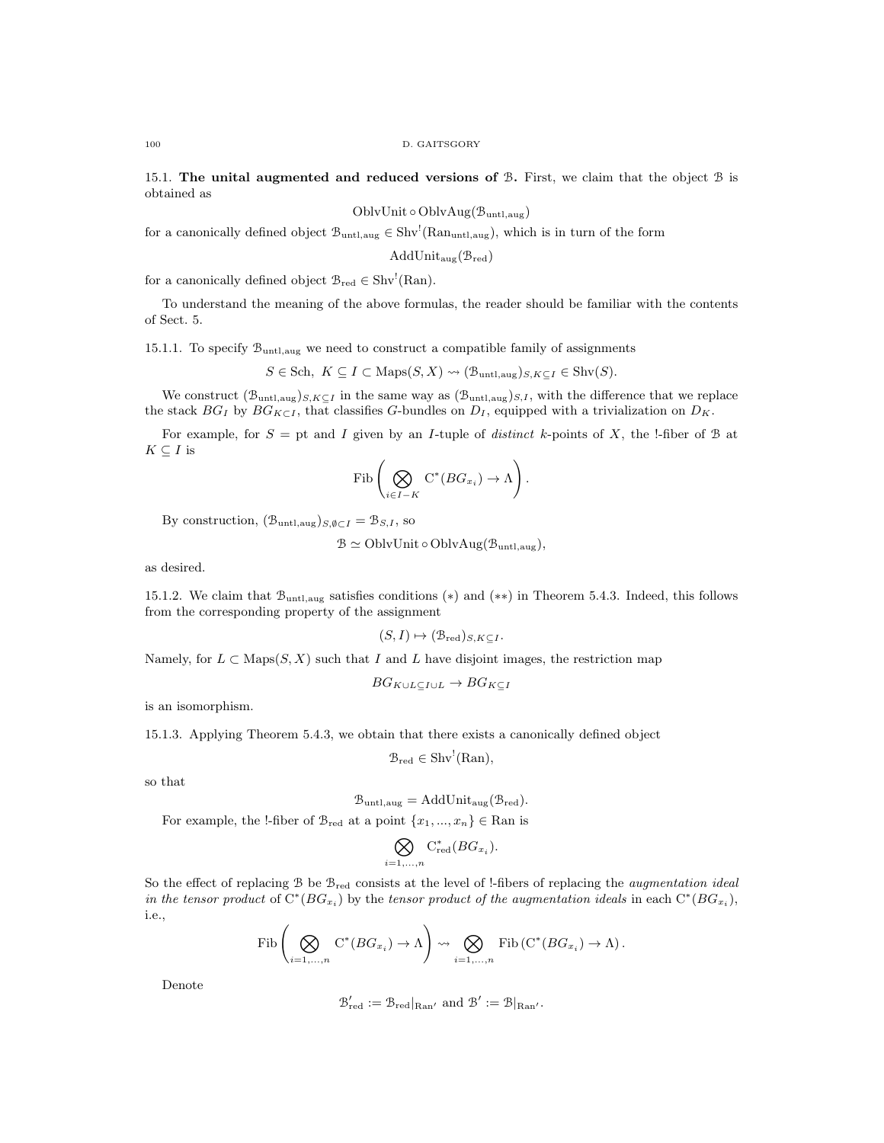15.1. The unital augmented and reduced versions of  $\mathcal{B}$ . First, we claim that the object  $\mathcal{B}$  is obtained as

OblvUnit ◦ OblvAug(Buntl,aug)

for a canonically defined object  $\mathcal{B}_{\text{untl,aug}} \in Shv^{!}(Ran_{\text{untl,aug}})$ , which is in turn of the form

 $AddUnit_{aug}(\mathcal{B}_{red})$ 

for a canonically defined object  $\mathcal{B}_{red} \in Shv^!(\text{Ran})$ .

To understand the meaning of the above formulas, the reader should be familiar with the contents of Sect. 5.

15.1.1. To specify Buntl,aug we need to construct a compatible family of assignments

$$
S \in Sch, \ K \subseteq I \subset \text{Maps}(S, X) \rightsquigarrow (\mathcal{B}_{\text{untl},\text{aug}})_{S,K \subseteq I} \in \text{Shv}(S).
$$

We construct  $(\mathcal{B}_{\text{untl,aug}})_{S,K\subseteq I}$  in the same way as  $(\mathcal{B}_{\text{untl,aug}})_{S,I}$ , with the difference that we replace the stack  $BG_I$  by  $BG_{K\subset I}$ , that classifies G-bundles on  $D_I$ , equipped with a trivialization on  $D_K$ .

For example, for  $S =$  pt and I given by an I-tuple of *distinct* k-points of X, the !-fiber of B at  $K\subseteq I$  is

$$
\mathrm{Fib}\left(\bigotimes_{i\in I-K} \mathrm{C}^*(BG_{x_i}) \to \Lambda\right).
$$

By construction,  $(\mathcal{B}_{\text{untl},\text{aug}})_{S,\emptyset \subset I} = \mathcal{B}_{S,I}$ , so

 $\mathcal{B} \simeq \text{OblvUnit} \circ \text{OblvAug}(\mathcal{B}_{\text{untl},\text{aug}}),$ 

as desired.

15.1.2. We claim that Buntl,aug satisfies conditions (∗) and (∗∗) in Theorem 5.4.3. Indeed, this follows from the corresponding property of the assignment

$$
(S, I) \mapsto (\mathcal{B}_{\mathrm{red}})_{S, K \subseteq I}.
$$

Namely, for  $L \subset \text{Maps}(S, X)$  such that I and L have disjoint images, the restriction map

$$
BG_{K\cup L\subseteq I\cup L}\to BG_{K\subseteq I}
$$

is an isomorphism.

15.1.3. Applying Theorem 5.4.3, we obtain that there exists a canonically defined object

$$
\mathcal{B}_{red} \in Shv^!(\text{Ran}),
$$

so that

$$
\mathcal{B}_{\text{untl},\text{aug}} = \text{AddUnit}_{\text{aug}}(\mathcal{B}_{\text{red}}).
$$

For example, the !-fiber of  $\mathcal{B}_{red}$  at a point  $\{x_1, ..., x_n\} \in \text{Ran}$  is

$$
\bigotimes_{i=1,\ldots,n} \mathrm{C}^*_{\mathrm{red}}(BG_{x_i}).
$$

So the effect of replacing B be  $\mathcal{B}_{red}$  consists at the level of !-fibers of replacing the *augmentation ideal* in the tensor product of  $C^*(BG_{x_i})$  by the tensor product of the augmentation ideals in each  $C^*(BG_{x_i})$ , i.e.,

$$
\mathrm{Fib}\left(\bigotimes_{i=1,\ldots,n} \mathrm{C}^*(BG_{x_i}) \to \Lambda\right) \rightsquigarrow \bigotimes_{i=1,\ldots,n} \mathrm{Fib}\left(\mathrm{C}^*(BG_{x_i}) \to \Lambda\right).
$$

Denote

$$
\mathcal{B}'_{\text{red}} := \mathcal{B}_{\text{red}}|_{\text{Ran}'}
$$
 and  $\mathcal{B}' := \mathcal{B}|_{\text{Ran}'}$ .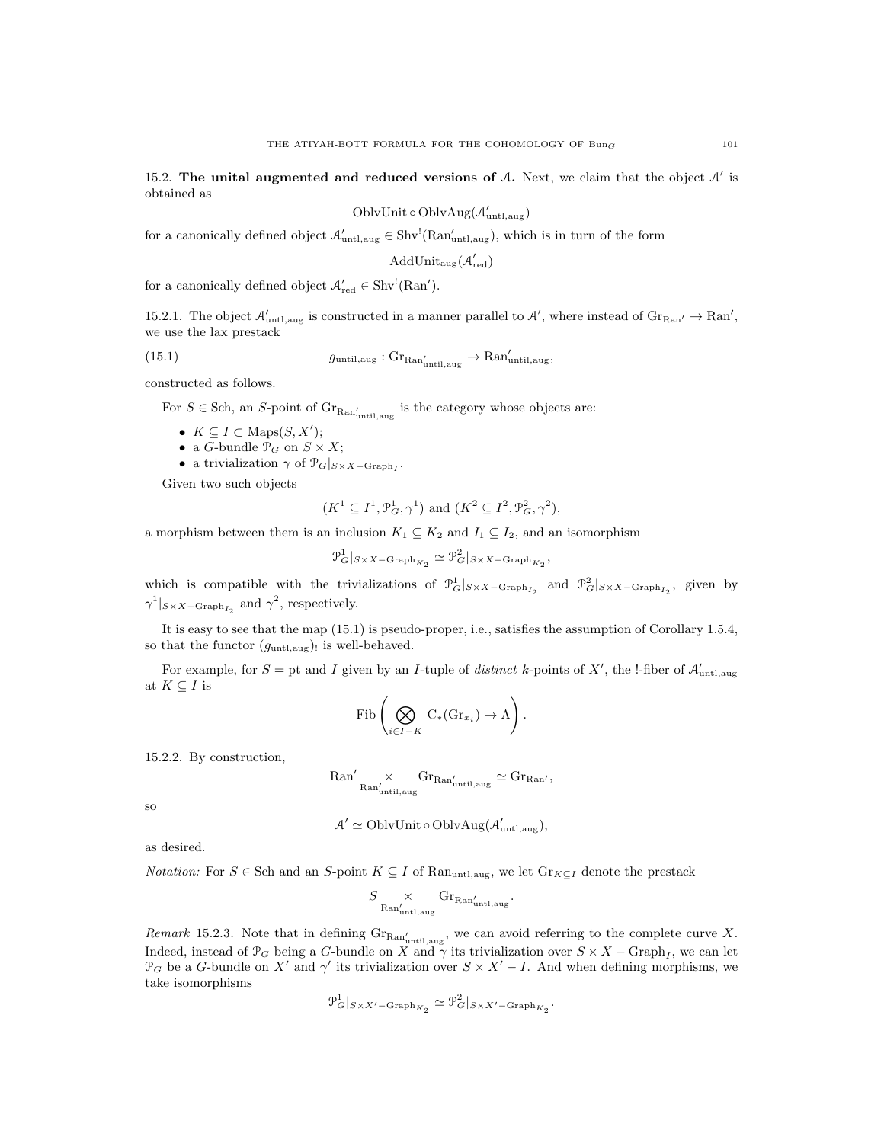15.2. The unital augmented and reduced versions of  $A$ . Next, we claim that the object  $A'$  is obtained as

$$
OblvUnit \circ OblvAug(\mathcal{A}'_{untl,aug})
$$

for a canonically defined object  $\mathcal{A}'_{\text{untl,aug}} \in Shv^!(\text{Ran}'_{\text{untl,aug}})$ , which is in turn of the form

AddUnit<sub>aug</sub> $(\mathcal{A}'_{\text{red}})$ 

for a canonically defined object  $\mathcal{A}'_{red} \in Shv^!(Ran')$ .

15.2.1. The object  $\mathcal{A}'_{\text{untl,aug}}$  is constructed in a manner parallel to  $\mathcal{A}'$ , where instead of  $\text{Gr}_{\text{Ran}'} \to \text{Ran}'$ , we use the lax prestack

(15.1) 
$$
g_{\text{until,aug}}: \text{Gr}_{\text{Ran}'_{\text{until,aug}}} \to \text{Ran}'_{\text{until,aug}},
$$

constructed as follows.

For  $S \in$  Sch, an S-point of  $\text{Gr}_{\text{Ran}_{\text{until},\text{aug}}'}$  is the category whose objects are:

- $K \subseteq I \subset \text{Maps}(S, X');$
- a *G*-bundle  $\mathcal{P}_G$  on  $S \times X$ ;
- a trivialization  $\gamma$  of  $\mathcal{P}_G|_{S \times X \text{Graph}_I}$ .

Given two such objects

$$
(K^1 \subseteq I^1, \mathcal{P}_G^1, \gamma^1)
$$
 and  $(K^2 \subseteq I^2, \mathcal{P}_G^2, \gamma^2)$ ,

a morphism between them is an inclusion  $K_1 \subseteq K_2$  and  $I_1 \subseteq I_2$ , and an isomorphism

$$
\mathcal{P}_G^1|_{S\times X-\mathrm{Graph}_{K_2}} \simeq \mathcal{P}_G^2|_{S\times X-\mathrm{Graph}_{K_2}},
$$

which is compatible with the trivializations of  $\mathcal{P}_G^1|_{S\times X-\text{Graph}_{I_2}}$  and  $\mathcal{P}_G^2|_{S\times X-\text{Graph}_{I_2}}$ , given by  $\gamma^1|_{S \times X - \text{Graph}_{I_2}}$  and  $\gamma^2$ , respectively.

It is easy to see that the map (15.1) is pseudo-proper, i.e., satisfies the assumption of Corollary 1.5.4, so that the functor  $(g_{\text{untl,aug}})$  is well-behaved.

For example, for  $S =$  pt and I given by an I-tuple of distinct k-points of X', the !-fiber of  $\mathcal{A}'_{\text{untl,aug}}$ at  $K \subset I$  is

$$
\mathrm{Fib}\left(\bigotimes_{i\in I-K} \mathrm{C}_*(\mathrm{Gr}_{x_i})\to \Lambda\right).
$$

15.2.2. By construction,

$$
\mathrm{Ran}'\underset{\mathrm{Ran}'_{\mathrm{until,aug}}}{\times} \mathrm{Gr}_{\mathrm{Ran}'_{\mathrm{until,aug}}}\simeq \mathrm{Gr}_{\mathrm{Ran}'},
$$

so

$$
A' \simeq \text{OblvUnit} \circ \text{OblvAug}(\mathcal{A}'_{\text{untl,aug}}),
$$

as desired.

*Notation:* For  $S \in \text{Sch}$  and an S-point  $K \subseteq I$  of Ran<sub>untl,aug</sub>, we let  $\text{Gr}_{K \subseteq I}$  denote the prestack

$$
S \underset{\text{Ran}'_{\text{untl,aug}}}{\times} \text{Gr}_{\text{Ran}'_{\text{untl,aug}}}.
$$

Remark 15.2.3. Note that in defining  $\text{Gr}_{\text{Ran}_{\text{until},\text{aug}}'}$ , we can avoid referring to the complete curve X. Indeed, instead of  $\mathcal{P}_G$  being a G-bundle on X and  $\gamma$  its trivialization over  $S \times X - \text{Graph}_I$ , we can let  $\mathcal{P}_G$  be a G-bundle on X' and  $\gamma'$  its trivialization over  $S \times X' - I$ . And when defining morphisms, we take isomorphisms

$$
\mathcal{P}_G^1|_{S\times X'-\mathrm{Graph}_{K_2}} \simeq \mathcal{P}_G^2|_{S\times X'-\mathrm{Graph}_{K_2}}.
$$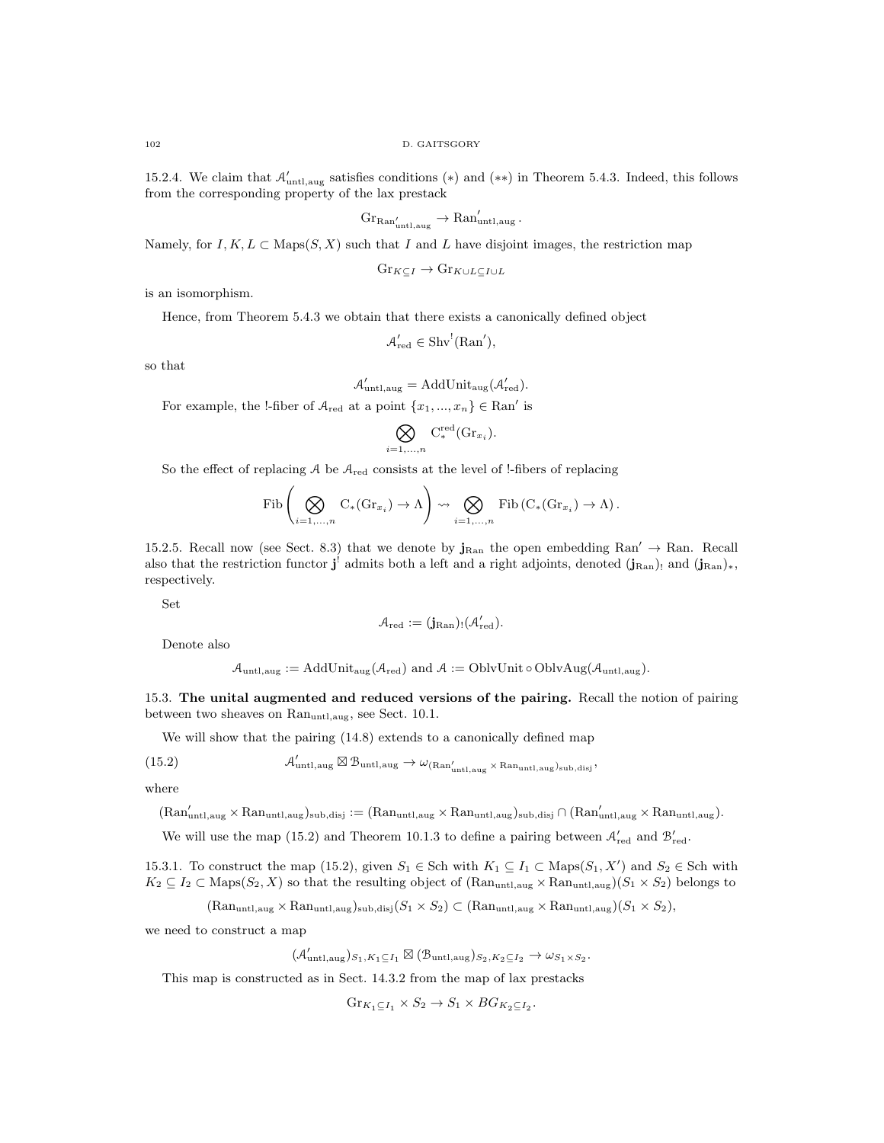15.2.4. We claim that  $\mathcal{A}'_{\text{untl,aug}}$  satisfies conditions (\*) and (\*\*) in Theorem 5.4.3. Indeed, this follows from the corresponding property of the lax prestack

$$
Gr_{\text{Ran}'_{\text{untl},\text{aug}}} \to \text{Ran}'_{\text{untl},\text{aug}}.
$$

Namely, for  $I, K, L \subset \text{Maps}(S, X)$  such that I and L have disjoint images, the restriction map

$$
\mathrm{Gr}_{K \subseteq I} \to \mathrm{Gr}_{K \cup L \subseteq I \cup L}
$$

is an isomorphism.

Hence, from Theorem 5.4.3 we obtain that there exists a canonically defined object

$$
\mathcal{A}'_{\mathrm{red}} \in \mathrm{Shv}^!(\mathrm{Ran}'),
$$

so that

$$
\mathcal{A}'_{\text{untl},\text{aug}} = \text{AddUnit}_{\text{aug}}(\mathcal{A}'_{\text{red}}).
$$

For example, the !-fiber of  $A_{\text{red}}$  at a point  $\{x_1, ..., x_n\} \in \text{Ran}'$  is

$$
\bigotimes_{i=1,\ldots,n} \mathrm{C}^{\mathrm{red}}_*(\mathrm{Gr}_{x_i}).
$$

So the effect of replacing  $A$  be  $A_{\text{red}}$  consists at the level of !-fibers of replacing

$$
\mathrm{Fib}\left(\bigotimes_{i=1,\ldots,n} C_*(\mathrm{Gr}_{x_i}) \to \Lambda\right) \rightsquigarrow \bigotimes_{i=1,\ldots,n} \mathrm{Fib}\left(C_*(\mathrm{Gr}_{x_i}) \to \Lambda\right).
$$

15.2.5. Recall now (see Sect. 8.3) that we denote by  $j_{\text{Ran}}$  the open embedding  $\text{Ran}' \to \text{Ran}$ . Recall also that the restriction functor  $\mathbf{j}^!$  admits both a left and a right adjoints, denoted  $(\mathbf{j}_{\text{Ran}})$ <sub>1</sub> and  $(\mathbf{j}_{\text{Ran}})_*,$ respectively.

Set

$$
\mathcal{A}_{\mathrm{red}}:=(\mathbf{j}_{\mathrm{Ran}})_! (\mathcal{A}'_{\mathrm{red}}).
$$

Denote also

$$
\mathcal{A}_{untl,aug} := AddUnit_{aug}(\mathcal{A}_{red}) \text{ and } \mathcal{A} := OblvUnit \circ OblvAug(\mathcal{A}_{untl,aug}).
$$

15.3. The unital augmented and reduced versions of the pairing. Recall the notion of pairing between two sheaves on Ranuntl,aug, see Sect. 10.1.

We will show that the pairing (14.8) extends to a canonically defined map

(15.2) 
$$
\mathcal{A}'_{\text{untl,aug}} \boxtimes \mathcal{B}_{\text{untl,aug}} \rightarrow \omega_{(\text{Ran}'_{\text{untl,aug}} \times \text{Ran}_{\text{untl,aug}})_{\text{sub,disj}}},
$$

 $\overline{a}$ 

where

 $(Ran'_{untl,aug} \times Ran_{untl,aug})_{sub,disj} := (Ran_{untl,aug} \times Ran_{untl,aug})_{sub,disj} \cap (Ran'_{untl,aug} \times Ran_{untl,aug}).$ 

We will use the map (15.2) and Theorem 10.1.3 to define a pairing between  $\mathcal{A}'_{red}$  and  $\mathcal{B}'_{red}$ .

15.3.1. To construct the map (15.2), given  $S_1 \in$  Sch with  $K_1 \subseteq I_1 \subset$  Maps $(S_1, X')$  and  $S_2 \in$  Sch with  $K_2 \subseteq I_2 \subset \text{Maps}(S_2, X)$  so that the resulting object of  $(\text{Ran}_{\text{untl},\text{aug}} \times \text{Ran}_{\text{untl},\text{aug}})(S_1 \times S_2)$  belongs to

$$
(\text{Ran}_{\text{untl},\text{aug}} \times \text{Ran}_{\text{untl},\text{aug}})_{\text{sub},\text{disj}} (S_1 \times S_2) \subset (\text{Ran}_{\text{untl},\text{aug}} \times \text{Ran}_{\text{untl},\text{aug}}) (S_1 \times S_2),
$$

we need to construct a map

$$
(\mathcal{A}'_{\mathrm{untl},\mathrm{aug}})_{S_1,K_1\subseteq I_1}\boxtimes(\mathcal{B}_{\mathrm{untl},\mathrm{aug}})_{S_2,K_2\subseteq I_2}\to \omega_{S_1\times S_2}.
$$

This map is constructed as in Sect. 14.3.2 from the map of lax prestacks

$$
Gr_{K_1 \subseteq I_1} \times S_2 \to S_1 \times BG_{K_2 \subseteq I_2}.
$$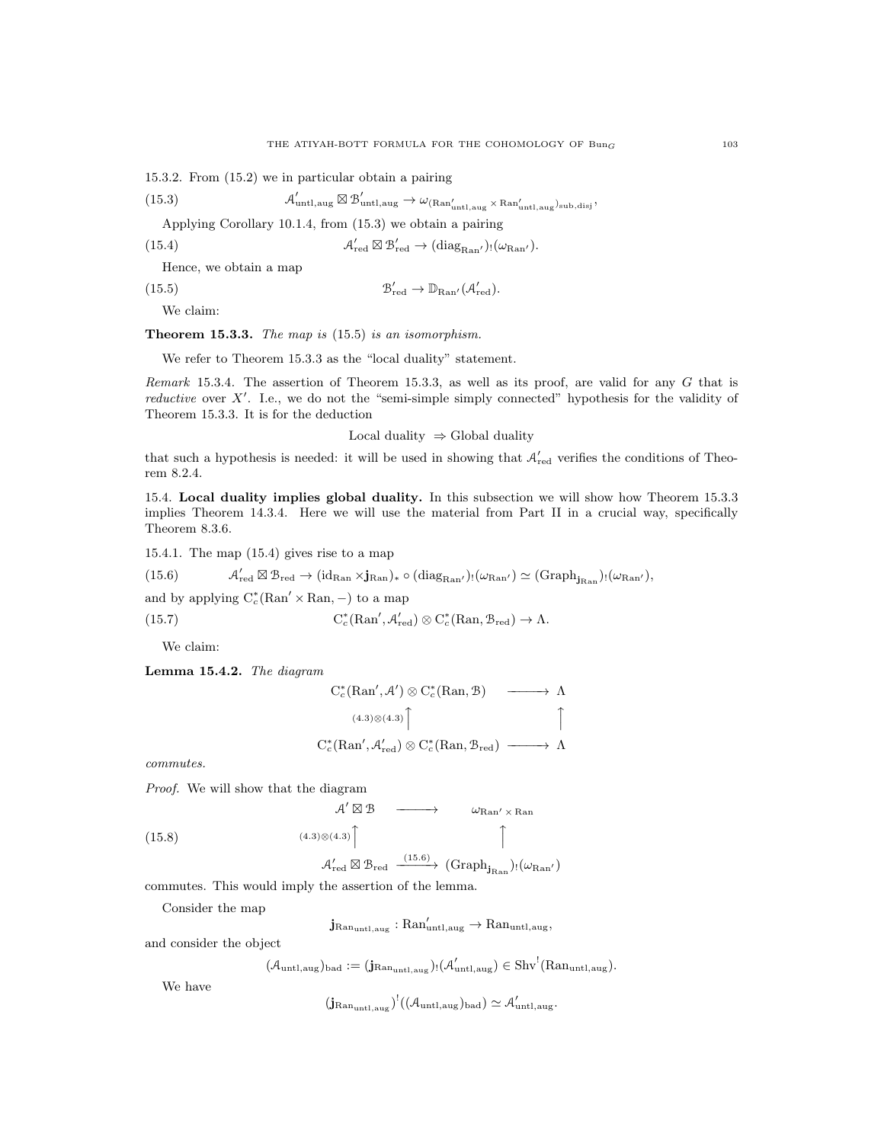15.3.2. From (15.2) we in particular obtain a pairing

(15.3) 
$$
\mathcal{A}'_{\text{untl,aug}} \boxtimes \mathcal{B}'_{\text{untl,aug}} \rightarrow \omega_{(\text{Ran}'_{\text{untl,aug}} \times \text{Ran}'_{\text{untl,aug}})_{\text{sub,disj}}},
$$

Applying Corollary 10.1.4, from (15.3) we obtain a pairing

(15.4) 
$$
\mathcal{A}'_{\text{red}} \boxtimes \mathcal{B}'_{\text{red}} \to (\text{diag}_{\text{Ran}}')_{!}(\omega_{\text{Ran'}}).
$$

Hence, we obtain a map

 $(15.5)$  $v'_{\text{red}} \to \mathbb{D}_{\text{Ran}'}(\mathcal{A}'_{\text{red}}).$ 

We claim:

Theorem 15.3.3. The map is (15.5) is an isomorphism.

We refer to Theorem 15.3.3 as the "local duality" statement.

Remark 15.3.4. The assertion of Theorem 15.3.3, as well as its proof, are valid for any  $G$  that is reductive over  $X'$ . I.e., we do not the "semi-simple simply connected" hypothesis for the validity of Theorem 15.3.3. It is for the deduction

Local duality ⇒ Global duality

that such a hypothesis is needed: it will be used in showing that  $\mathcal{A}'_{red}$  verifies the conditions of Theorem 8.2.4.

15.4. Local duality implies global duality. In this subsection we will show how Theorem 15.3.3 implies Theorem 14.3.4. Here we will use the material from Part II in a crucial way, specifically Theorem 8.3.6.

15.4.1. The map (15.4) gives rise to a map

 $(15.6)$  $C'_{\text{red}} \boxtimes B_{\text{red}} \to (\text{id}_{\text{Ran}} \times j_{\text{Ran}})_* \circ (\text{diag}_{\text{Ran}}')_! (\omega_{\text{Ran}}') \simeq (\text{Graph}_{j_{\text{Ran}}})_! (\omega_{\text{Ran}}'),$ 

and by applying  $C_c^*(\text{Ran}' \times \text{Ran}, -)$  to a map

(15.7) 
$$
C_c^*(\mathrm{Ran}', \mathcal{A}'_{\mathrm{red}}) \otimes C_c^*(\mathrm{Ran}, \mathcal{B}_{\mathrm{red}}) \to \Lambda.
$$

We claim:

Lemma 15.4.2. The diagram

$$
C_c^*(\text{Ran}', A') \otimes C_c^*(\text{Ran}, \mathcal{B}) \longrightarrow \Lambda
$$
  
\n
$$
(4.3) \otimes (4.3) \uparrow \uparrow \uparrow
$$
  
\n
$$
C_c^*(\text{Ran}', A'_{\text{red}}) \otimes C_c^*(\text{Ran}, \mathcal{B}_{\text{red}}) \longrightarrow \Lambda
$$

commutes.

Proof. We will show that the diagram

$$
\mathcal{A}' \boxtimes \mathcal{B} \longrightarrow \omega_{\text{Ran}' \times \text{Ran}}
$$
  
(4.3)

$$
(15.8)
$$

 $\mathbf{I}$  and  $\mathbf{I}$  and  $\mathbf{I}$  and  $\mathbf{I}$  $\mathcal{A}'_{\text{red}} \boxtimes \mathcal{B}_{\text{red}} \xrightarrow{(15.6)} (\text{Graph}_{\textbf{j}_{\text{Ran}}})_! (\omega_{\text{Ran}'} )$ 

 $\overline{1}$ 

commutes. This would imply the assertion of the lemma.

Consider the map

 $\mathbf{j}_{\mathrm{Ran}_{\mathrm{untl},\mathrm{aug}}} : \mathrm{Ran}'_{\mathrm{untl},\mathrm{aug}} \to \mathrm{Ran}_{\mathrm{untl},\mathrm{aug}},$ 

and consider the object

 $(\mathcal{A}_{\text{untl,aug}})_{\text{bad}} := (\mathbf{j}_{\text{Ran}_{\text{untl,aug}}})_! (\mathcal{A}'_{\text{untl,aug}}) \in \text{Shv}^! (\text{Ran}_{\text{untl,aug}}).$ 

We have

 $(j_{\text{Ran}_{\text{untl},\text{aug}}})^!((\mathcal{A}_{\text{untl},\text{aug}})_{\text{bad}}) \simeq \mathcal{A}_{\text{untl},\text{aug}}'.$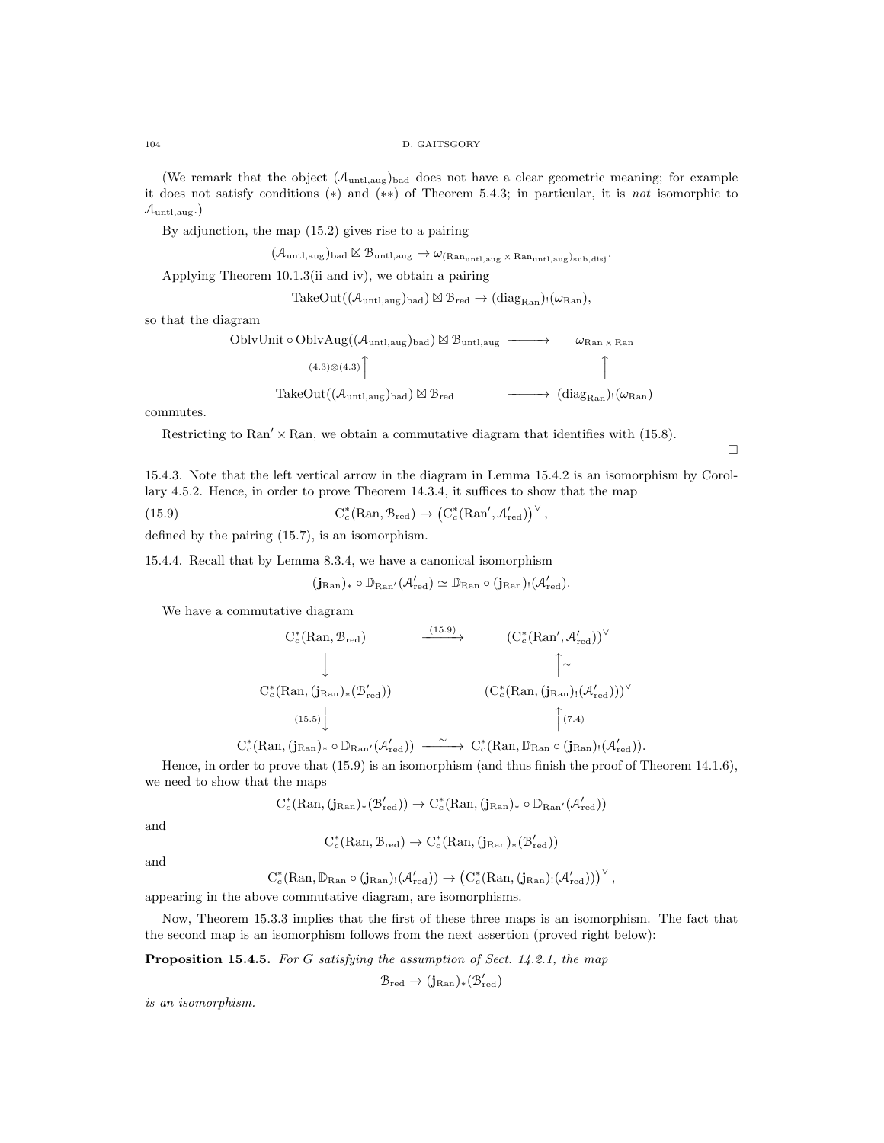#### 104 D. GAITSGORY

(We remark that the object  $(\mathcal{A}_{\text{untl},\text{aug}})_{\text{bad}}$  does not have a clear geometric meaning; for example it does not satisfy conditions (∗) and (∗∗) of Theorem 5.4.3; in particular, it is not isomorphic to  $\mathcal{A}_{\text{untl},\text{aug}}$ .

By adjunction, the map (15.2) gives rise to a pairing

 $(\mathcal{A}_{\text{untl},\text{aug}})_{\text{bad}} \boxtimes \mathcal{B}_{\text{untl},\text{aug}} \rightarrow \omega_{(\text{Ran}_{\text{untl},\text{aug}} \times \text{Ran}_{\text{untl},\text{aug}})_{\text{sub},\text{disj}}}.$ 

Applying Theorem 10.1.3(ii and iv), we obtain a pairing

 $\text{TakeOut}((\mathcal{A}_{\text{untl,aug}})_{\text{bad}}) \boxtimes \mathcal{B}_{\text{red}} \rightarrow (\text{diag}_{\text{Ran}})_{!}(\omega_{\text{Ran}}),$ 

so that the diagram

OblvUnit ∘ OblvAug( $(\mathcal{A}_{\text{untl,aug}})_{\text{bad}})$   $\boxtimes$  B<sub>untl,aug</sub> ––––→  $\omega_{\text{Ran}\times\text{Ran}}$  $(4.3)$ ⊗ $(4.3)$  $\begin{array}{c} \bigcap \\ \hline \end{array}$  $\text{TakeOut}((\mathcal{A}_{\text{untl,aug}})_{\text{bad}}) \boxtimes \mathcal{B}_{\text{red}}$   $\longrightarrow$   $(\text{diag}_{\text{Ran}})_{!}(\omega_{\text{Ran}})$ 

commutes.

Restricting to Ran'  $\times$  Ran, we obtain a commutative diagram that identifies with (15.8).

 $\Box$ 

15.4.3. Note that the left vertical arrow in the diagram in Lemma 15.4.2 is an isomorphism by Corollary 4.5.2. Hence, in order to prove Theorem 14.3.4, it suffices to show that the map

(15.9) 
$$
C_c^*(\text{Ran}, \mathcal{B}_{red}) \to (C_c^*(\text{Ran}', \mathcal{A}'_{red}))^{\vee},
$$

defined by the pairing (15.7), is an isomorphism.

15.4.4. Recall that by Lemma 8.3.4, we have a canonical isomorphism

$$
( \mathbf{j}_{\mathrm{Ran}})_* \circ \mathbb{D}_{\mathrm{Ran}'} ( \mathcal{A}'_{\mathrm{red}}) \simeq \mathbb{D}_{\mathrm{Ran}} \circ ( \mathbf{j}_{\mathrm{Ran}})_! ( \mathcal{A}'_{\mathrm{red}}).
$$

We have a commutative diagram

$$
C_c^*(\text{Ran}, \mathcal{B}_{red}) \longrightarrow (C_c^*(\text{Ran}', \mathcal{A}'_{red}))^{\vee}
$$
  
\n
$$
\downarrow \qquad \qquad \uparrow \sim
$$
  
\n
$$
C_c^*(\text{Ran}, (\mathbf{j}_{\text{Ran}})_*(\mathcal{B}'_{red})) \qquad (C_c^*(\text{Ran}, (\mathbf{j}_{\text{Ran}})_!(\mathcal{A}'_{red})))^{\vee}
$$
  
\n
$$
(15.5)
$$
\n
$$
\uparrow (7.4)
$$

 $C_c^*(\mathrm{Ran},(\mathbf{j}_{\mathrm{Ran}})_*\circ \mathbb{D}_{\mathrm{Ran}'}(\mathcal{A}'_{\mathrm{red}})) \longrightarrow C_c^*(\mathrm{Ran},\mathbb{D}_{\mathrm{Ran}}\circ(\mathbf{j}_{\mathrm{Ran}})_! (\mathcal{A}'_{\mathrm{red}})).$ 

Hence, in order to prove that (15.9) is an isomorphism (and thus finish the proof of Theorem 14.1.6), we need to show that the maps

$$
\mathrm{C}^*_c(\mathrm{Ran},(\mathbf{j}_{\mathrm{Ran}})_*(\mathcal{B}'_{\mathrm{red}}))\rightarrow \mathrm{C}^*_c(\mathrm{Ran},(\mathbf{j}_{\mathrm{Ran}})_*\circ \mathbb{D}_{\mathrm{Ran}'}(\mathcal{A}'_{\mathrm{red}}))
$$

and

$$
C_c^*(\mathrm{Ran}, \mathcal{B}_{red}) \to C_c^*(\mathrm{Ran}, (\mathbf{j}_{\mathrm{Ran}})_*(\mathcal{B}_{red}'))
$$

and

$$
C^*_c(\mathrm{Ran},\mathbb{D}_{\mathrm{Ran}}\circ (\mathbf{j}_{\mathrm{Ran}})_!({\mathcal{A}}'_{\mathrm{red}}))\to \left(C^*_c(\mathrm{Ran}, (\mathbf{j}_{\mathrm{Ran}})_!({\mathcal{A}}'_{\mathrm{red}}))\right)^\vee,
$$

appearing in the above commutative diagram, are isomorphisms.

Now, Theorem 15.3.3 implies that the first of these three maps is an isomorphism. The fact that the second map is an isomorphism follows from the next assertion (proved right below):

Proposition 15.4.5. For G satisfying the assumption of Sect. 14.2.1, the map

$$
\mathcal{B}_{\mathrm{red}} \to (\mathbf{j}_{\mathrm{Ran}})_* (\mathcal{B}'_{\mathrm{red}})
$$

is an isomorphism.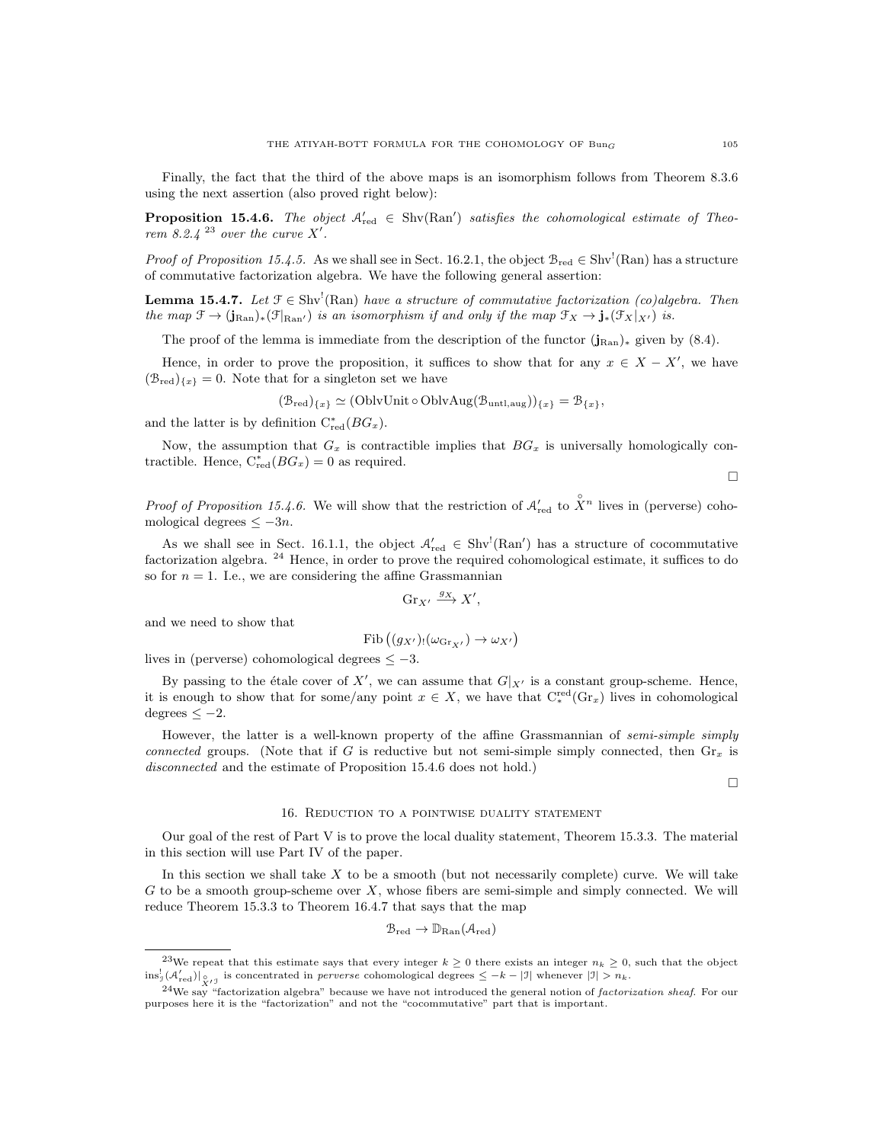Finally, the fact that the third of the above maps is an isomorphism follows from Theorem 8.3.6 using the next assertion (also proved right below):

**Proposition 15.4.6.** The object  $A'_{red} \in Shv(Ran')$  satisfies the cohomological estimate of Theorem 8.2.4  $^{23}$  over the curve X'.

*Proof of Proposition 15.4.5.* As we shall see in Sect. 16.2.1, the object  $B_{red} \in Shv^1(Ran)$  has a structure of commutative factorization algebra. We have the following general assertion:

**Lemma 15.4.7.** Let  $\mathcal{F} \in \text{Shv}^1(\text{Ran})$  have a structure of commutative factorization (co)algebra. Then the map  $\mathfrak{F} \to (\mathbf{j}_{\text{Ran}})_*(\mathfrak{F}_{\text{Ran}}')$  is an isomorphism if and only if the map  $\mathfrak{F}_X \to \mathbf{j}_*(\mathfrak{F}_X|_{X'})$  is.

The proof of the lemma is immediate from the description of the functor  $(j_{\text{Ran}})_*$  given by (8.4).

Hence, in order to prove the proposition, it suffices to show that for any  $x \in X - X'$ , we have  $(\mathcal{B}_{red})_{\{x\}} = 0$ . Note that for a singleton set we have

$$
(\mathcal{B}_{\text{red}})_{\{x\}} \simeq (\text{OblvUnit} \circ \text{OblvAug}(\mathcal{B}_{\text{untl},\text{aug}}))_{\{x\}} = \mathcal{B}_{\{x\}},
$$

and the latter is by definition  $C^*_{red}(BG_x)$ .

Now, the assumption that  $G_x$  is contractible implies that  $BG_x$  is universally homologically contractible. Hence,  $C_{red}^*(BG_x) = 0$  as required.

 $\Box$ 

*Proof of Proposition 15.4.6.* We will show that the restriction of  $\mathcal{A}'_{red}$  to  $\hat{X}^n$  lives in (perverse) cohomological degrees  $\leq -3n$ .

As we shall see in Sect. 16.1.1, the object  $A'_{red} \in Shv^l(Ran')$  has a structure of cocommutative factorization algebra. <sup>24</sup> Hence, in order to prove the required cohomological estimate, it suffices to do so for  $n = 1$ . I.e., we are considering the affine Grassmannian

$$
\operatorname{Gr}_{X'} \xrightarrow{g_X} X',
$$

and we need to show that

$$
\mathrm{Fib}\left((g_{X'})_!(\omega_{\mathrm{Gr}_{X'}})\to \omega_{X'}\right)
$$

lives in (perverse) cohomological degrees  $\leq -3$ .

By passing to the étale cover of X', we can assume that  $G|_{X'}$  is a constant group-scheme. Hence, it is enough to show that for some/any point  $x \in X$ , we have that  $C_*^{\text{red}}(Gr_x)$  lives in cohomological  $degrees < -2$ .

However, the latter is a well-known property of the affine Grassmannian of semi-simple simply connected groups. (Note that if G is reductive but not semi-simple simply connected, then  $\mathrm{Gr}_x$  is disconnected and the estimate of Proposition 15.4.6 does not hold.)

 $\Box$ 

#### 16. Reduction to a pointwise duality statement

Our goal of the rest of Part V is to prove the local duality statement, Theorem 15.3.3. The material in this section will use Part IV of the paper.

In this section we shall take  $X$  to be a smooth (but not necessarily complete) curve. We will take G to be a smooth group-scheme over  $X$ , whose fibers are semi-simple and simply connected. We will reduce Theorem 15.3.3 to Theorem 16.4.7 that says that the map

$$
\mathcal{B}_{\mathrm{red}} \to \mathbb{D}_{\mathrm{Ran}}(\mathcal{A}_{\mathrm{red}})
$$

<sup>&</sup>lt;sup>23</sup>We repeat that this estimate says that every integer  $k \geq 0$  there exists an integer  $n_k \geq 0$ , such that the object  $\text{ins}_{\mathcal{I}}^{\dagger}(\mathcal{A}'_{\text{red}})|_{\mathcal{Q}_{I}\mathcal{I}}$  is concentrated in *perverse* cohomological degrees  $\leq -k-|\mathcal{I}|$  whenever  $|\mathcal{I}| > n_k$ .

<sup>&</sup>lt;sup>24</sup>We say "factorization algebra" because we have not introduced the general notion of *factorization sheaf*. For our purposes here it is the "factorization" and not the "cocommutative" part that is important.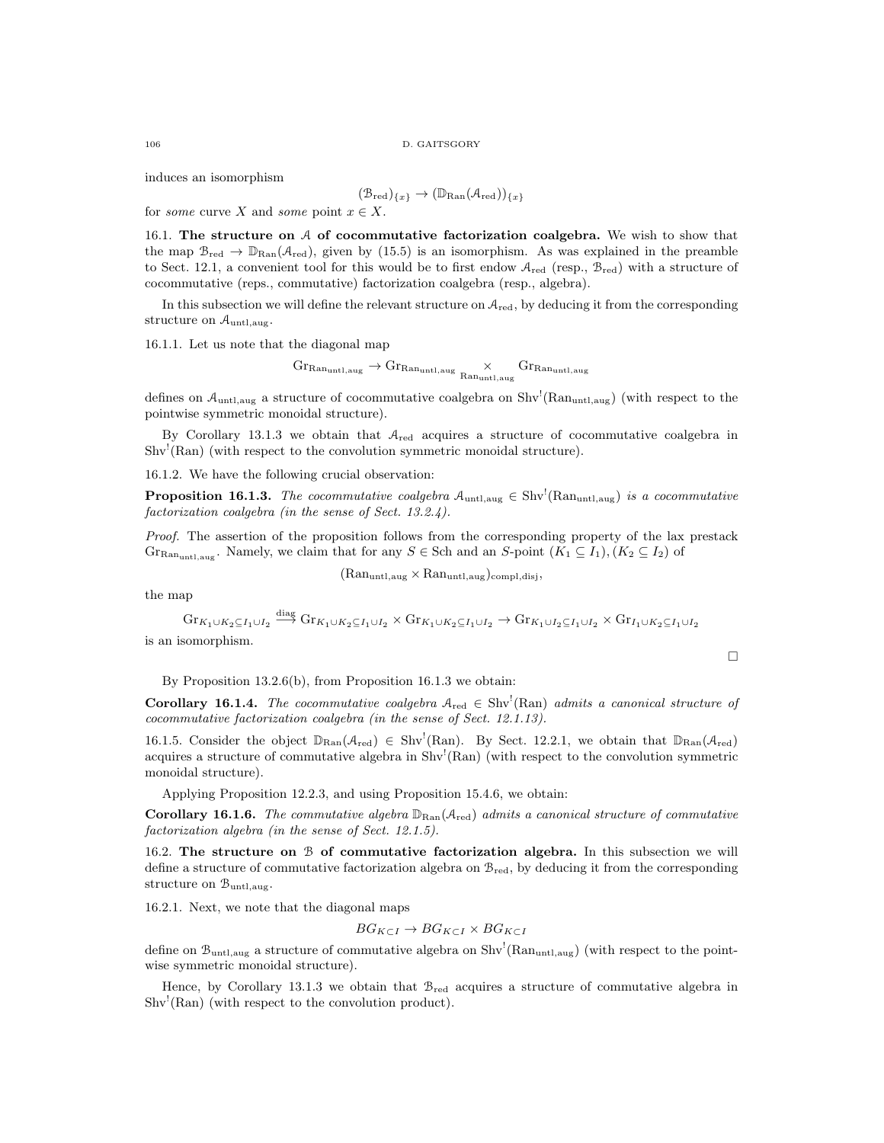induces an isomorphism

$$
(\mathcal{B}_{\mathrm{red}})_{\{x\}} \to (\mathbb{D}_{\mathrm{Ran}}(\mathcal{A}_{\mathrm{red}}))_{\{x\}}
$$

for some curve X and some point  $x \in X$ .

16.1. The structure on  $A$  of cocommutative factorization coalgebra. We wish to show that the map  $B_{red} \to \mathbb{D}_{\text{Ran}}(\mathcal{A}_{red})$ , given by (15.5) is an isomorphism. As was explained in the preamble to Sect. 12.1, a convenient tool for this would be to first endow  $A_{\text{red}}$  (resp.,  $B_{\text{red}}$ ) with a structure of cocommutative (reps., commutative) factorization coalgebra (resp., algebra).

In this subsection we will define the relevant structure on  $A_{\text{red}}$ , by deducing it from the corresponding structure on  $\mathcal{A}_{\text{untl,aug}}$ .

16.1.1. Let us note that the diagonal map

$$
\mathrm{Gr}_{\mathrm{Ran}_{\mathrm{untl},\mathrm{aug}}}\rightarrow \mathrm{Gr}_{\mathrm{Ran}_{\mathrm{untl},\mathrm{aug}}}\times \mathrm{Gr}_{\mathrm{Ran}_{\mathrm{untl},\mathrm{aug}}}
$$

defines on  $A_{\text{untl,aug}}$  a structure of cocommutative coalgebra on  $\text{Shv}^{\text{l}}(\text{Ran}_{\text{untl,aug}})$  (with respect to the pointwise symmetric monoidal structure).

By Corollary 13.1.3 we obtain that  $A_{\text{red}}$  acquires a structure of cocommutative coalgebra in Shv<sup>!</sup>(Ran) (with respect to the convolution symmetric monoidal structure).

16.1.2. We have the following crucial observation:

**Proposition 16.1.3.** The cocommutative coalgebra  $\mathcal{A}_{\text{untl,aug}} \in Shv^1(\text{Ran}_{\text{untl,aug}})$  is a cocommutative factorization coalgebra (in the sense of Sect. 13.2.4).

Proof. The assertion of the proposition follows from the corresponding property of the lax prestack Gr<sub>Ran<sub>untl,aug</sub>. Namely, we claim that for any  $S \in$  Sch and an S-point  $(K_1 \subseteq I_1), (K_2 \subseteq I_2)$  of</sub>

 $(Ran_{untl,aug} \times Ran_{untl,aug})_{compl,disj},$ 

the map

 $\text{Gr}_{K_1\cup K_2\subseteq I_1\cup I_2}\stackrel{\text{diag}}{\longrightarrow}\text{Gr}_{K_1\cup K_2\subseteq I_1\cup I_2}\times\text{Gr}_{K_1\cup K_2\subseteq I_1\cup I_2}\to\text{Gr}_{K_1\cup I_2\subseteq I_1\cup I_2}\times\text{Gr}_{I_1\cup K_2\subseteq I_1\cup I_2}$ is an isomorphism.

By Proposition 13.2.6(b), from Proposition 16.1.3 we obtain:

**Corollary 16.1.4.** The cocommutative coalgebra  $A_{\text{red}} \in Shv^{\dagger}(\text{Ran})$  admits a canonical structure of cocommutative factorization coalgebra (in the sense of Sect. 12.1.13).

 $\Box$ 

16.1.5. Consider the object  $\mathbb{D}_{\text{Ran}}(\mathcal{A}_{\text{red}}) \in \text{Shv}^!(\text{Ran})$ . By Sect. 12.2.1, we obtain that  $\mathbb{D}_{\text{Ran}}(\mathcal{A}_{\text{red}})$ acquires a structure of commutative algebra in  $Shv^{!}(Ran)$  (with respect to the convolution symmetric monoidal structure).

Applying Proposition 12.2.3, and using Proposition 15.4.6, we obtain:

**Corollary 16.1.6.** The commutative algebra  $\mathbb{D}_{\text{Ran}}(\mathcal{A}_{\text{red}})$  admits a canonical structure of commutative factorization algebra (in the sense of Sect. 12.1.5).

16.2. The structure on  $\mathcal B$  of commutative factorization algebra. In this subsection we will define a structure of commutative factorization algebra on  $\mathcal{B}_{red}$ , by deducing it from the corresponding structure on  $\mathcal{B}_{\text{untl,aug}}$ .

16.2.1. Next, we note that the diagonal maps

$$
BG_{K\subset I} \to BG_{K\subset I} \times BG_{K\subset I}
$$

define on  $\mathcal{B}_{\text{untl,aug}}$  a structure of commutative algebra on  $\text{Shv}^!(\text{Ran}_{\text{untl,aug}})$  (with respect to the pointwise symmetric monoidal structure).

Hence, by Corollary 13.1.3 we obtain that  $\mathcal{B}_{\text{red}}$  acquires a structure of commutative algebra in Shv<sup>!</sup>(Ran) (with respect to the convolution product).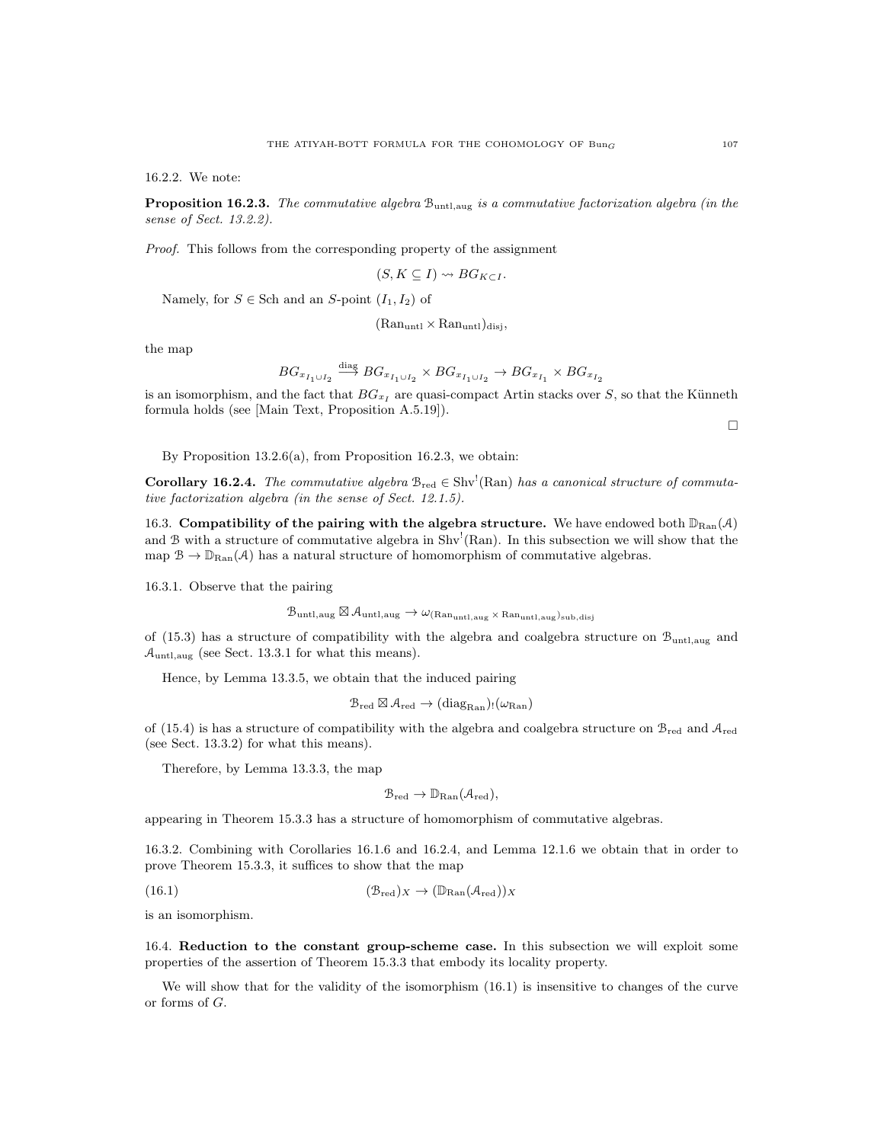16.2.2. We note:

**Proposition 16.2.3.** The commutative algebra  $B_{\text{untl,aug}}$  is a commutative factorization algebra (in the sense of Sect. 13.2.2).

Proof. This follows from the corresponding property of the assignment

 $\ddot{\phantom{a}}$ 

$$
(S, K \subseteq I) \rightsquigarrow BG_{K \subset I}.
$$

Namely, for  $S \in$  Sch and an S-point  $(I_1, I_2)$  of

 $(Ran_{untl} \times Ran_{untl})_{disi}$ 

the map

$$
BG_{x_{I_1 \cup I_2}} \xrightarrow{\text{diag}} BG_{x_{I_1 \cup I_2}} \times BG_{x_{I_1 \cup I_2}} \to BG_{x_{I_1}} \times BG_{x_{I_2}}
$$

is an isomorphism, and the fact that  $BG_{x_I}$  are quasi-compact Artin stacks over S, so that the Künneth formula holds (see [Main Text, Proposition A.5.19]).

 $\Box$ 

By Proposition 13.2.6(a), from Proposition 16.2.3, we obtain:

**Corollary 16.2.4.** The commutative algebra  $B_{red} \in Shv^1(Ran)$  has a canonical structure of commutative factorization algebra (in the sense of Sect. 12.1.5).

16.3. Compatibility of the pairing with the algebra structure. We have endowed both  $\mathbb{D}_{\text{Ran}}(\mathcal{A})$ and B with a structure of commutative algebra in  $Shv^{!}(Ran)$ . In this subsection we will show that the map  $\mathcal{B} \to \mathbb{D}_{\text{Ran}}(\mathcal{A})$  has a natural structure of homomorphism of commutative algebras.

16.3.1. Observe that the pairing

$$
\mathcal{B}_{\rm untl,aug} \boxtimes \mathcal{A}_{\rm untl,aug} \rightarrow \omega_{\rm (Ran_{\rm untl,aug} \times Ran_{\rm untl,aug})_{{\rm sub,disj}}}
$$

of (15.3) has a structure of compatibility with the algebra and coalgebra structure on Buntl,aug and  $\mathcal{A}_{\text{untl,aug}}$  (see Sect. 13.3.1 for what this means).

Hence, by Lemma 13.3.5, we obtain that the induced pairing

$$
\mathcal{B}_{\mathrm{red}} \boxtimes \mathcal{A}_{\mathrm{red}} \to (\mathrm{diag}_{\mathrm{Ran}})_! (\omega_{\mathrm{Ran}})
$$

of (15.4) is has a structure of compatibility with the algebra and coalgebra structure on  $\mathcal{B}_{\text{red}}$  and  $\mathcal{A}_{\text{red}}$ (see Sect. 13.3.2) for what this means).

Therefore, by Lemma 13.3.3, the map

$$
\mathcal{B}_{\mathrm{red}} \to \mathbb{D}_{\mathrm{Ran}}(\mathcal{A}_{\mathrm{red}}),
$$

appearing in Theorem 15.3.3 has a structure of homomorphism of commutative algebras.

16.3.2. Combining with Corollaries 16.1.6 and 16.2.4, and Lemma 12.1.6 we obtain that in order to prove Theorem 15.3.3, it suffices to show that the map

(16.1) 
$$
(\mathcal{B}_{red})_X \to (\mathbb{D}_{\text{Ran}}(\mathcal{A}_{red}))_X
$$

is an isomorphism.

16.4. Reduction to the constant group-scheme case. In this subsection we will exploit some properties of the assertion of Theorem 15.3.3 that embody its locality property.

We will show that for the validity of the isomorphism  $(16.1)$  is insensitive to changes of the curve or forms of G.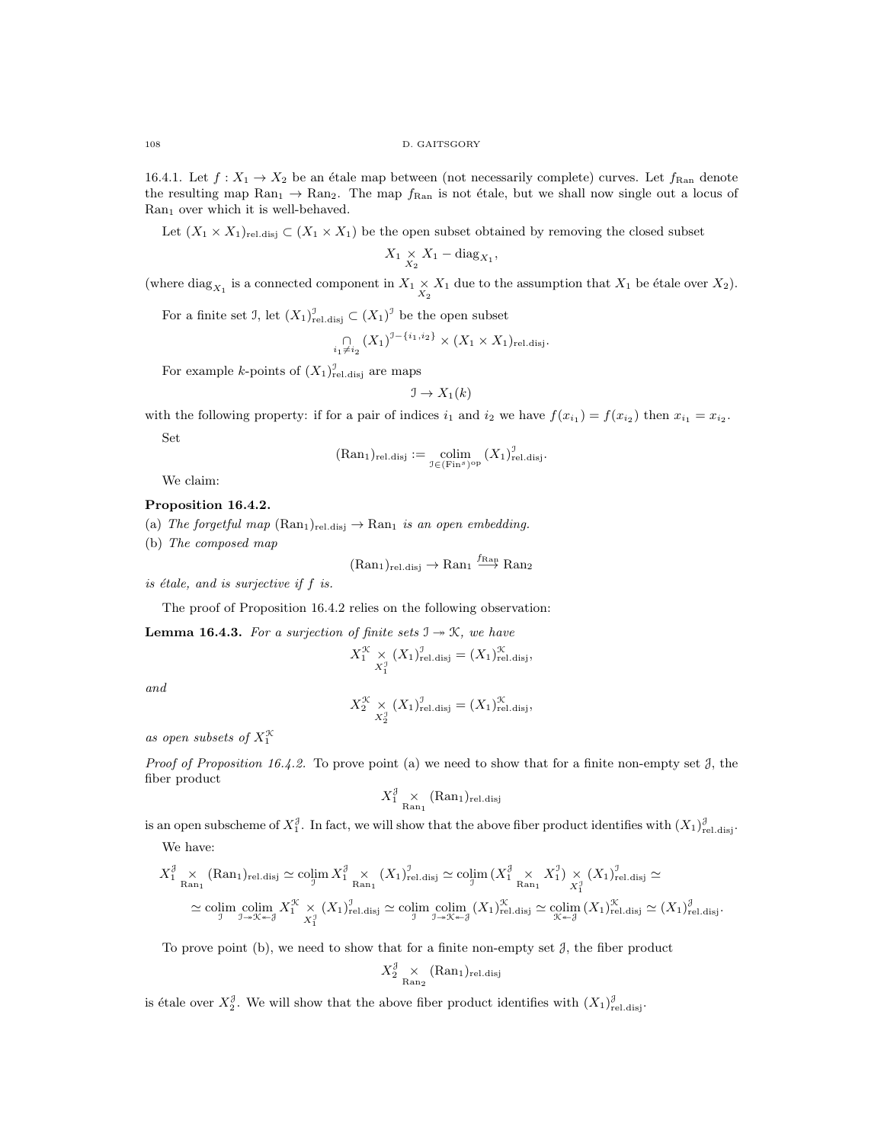16.4.1. Let  $f: X_1 \to X_2$  be an étale map between (not necessarily complete) curves. Let  $f_{\text{Ran}}$  denote the resulting map  $\text{Ran}_1 \to \text{Ran}_2$ . The map  $f_{\text{Ran}}$  is not étale, but we shall now single out a locus of  $\text{Ran}_1$  over which it is well-behaved.

Let  $(X_1 \times X_1)_{\text{rel.disj}} \subset (X_1 \times X_1)$  be the open subset obtained by removing the closed subset

$$
X_1 \underset{X_2}{\times} X_1 - \text{diag}_{X_1},
$$

(where  $\text{diag}_{X_1}$  is a connected component in  $X_1 \times X_1$  due to the assumption that  $X_1$  be étale over  $X_2$ ).

For a finite set J, let  $(X_1)_{rel. \text{disj}}^{\mathcal{I}} \subset (X_1)^{\mathcal{I}}$  be the open subset

$$
\bigcap_{i_1 \neq i_2} (X_1)^{J - \{i_1, i_2\}} \times (X_1 \times X_1)_{\text{rel.disj}}.
$$

For example *k*-points of  $(X_1)_{\text{rel.disj}}^{\mathcal{I}}$  are maps

$$
\mathfrak{I} \to X_1(k)
$$

with the following property: if for a pair of indices  $i_1$  and  $i_2$  we have  $f(x_{i_1}) = f(x_{i_2})$  then  $x_{i_1} = x_{i_2}$ . Set

$$
(\mathrm{Ran}_1)_{\mathrm{rel.disj}} := \operatorname*{colim}_{\mathfrak{I} \in (\mathrm{Fin}^s)^{\mathrm{op}}} (X_1)_{\mathrm{rel.disj}}^{\mathfrak{I}}.
$$

We claim:

## Proposition 16.4.2.

- (a) The forgetful map  $(Ran_1)_{rel. \text{disj}} \rightarrow Ran_1$  is an open embedding.
- (b) The composed map

 $(\text{Ran}_1)_{\text{rel.disj}} \to \text{Ran}_1 \xrightarrow{f_{\text{Ran}}} \text{Ran}_2$ 

is étale, and is surjective if  $f$  is.

The proof of Proposition 16.4.2 relies on the following observation:

**Lemma 16.4.3.** For a surjection of finite sets  $\mathbb{I} \rightarrow \mathbb{K}$ , we have

$$
X_1^{\mathcal{K}} \underset{X_1^{\mathcal{I}}}{\times} (X_1)_{\text{rel.disj}}^{\mathcal{I}} = (X_1)_{\text{rel.disj}}^{\mathcal{K}},
$$

and

$$
X_2^{\mathcal{K}} \underset{X_2^{\mathcal{I}}} {\times} (X_1)_{\text{rel.disj}}^{\mathcal{I}} = (X_1)_{\text{rel.disj}}^{\mathcal{K}},
$$

as open subsets of  $X_1^{\mathfrak{X}}$ 

*Proof of Proposition 16.4.2.* To prove point (a) we need to show that for a finite non-empty set  $\mathcal{J}$ , the fiber product

$$
X_1^{\mathcal{J}} \underset{\text{Ran}_1}{\times} (\text{Ran}_1)_{\text{rel.disj}}
$$

is an open subscheme of  $X_1^{\mathcal{J}}$ . In fact, we will show that the above fiber product identifies with  $(X_1)_{\text{rel.disj}}^{\mathcal{J}}$ .

We have:

$$
X_1^{\mathcal{J}} \underset{\text{Ran}_1}{\times} (\text{Ran}_1)_{\text{rel.dis}j} \simeq \operatorname{colim}_{\mathcal{J}} X_1^{\mathcal{J}} \underset{\text{Ran}_1}{\times} (X_1)_{\text{rel.dis}j}^{\mathcal{J}} \simeq \operatorname{colim}_{\mathcal{J}} (X_1^{\mathcal{J}} \underset{\text{Ran}_1}{\times} X_1^{\mathcal{J}}) \underset{\text{Ran}_1}{\times} (X_1)_{\text{rel.dis}j}^{\mathcal{J}} \simeq
$$
  

$$
\simeq \operatorname{colim}_{\mathcal{J}} \operatorname{colim}_{\mathcal{J} \to \mathcal{K} \to \mathcal{J}} X_1^{\mathcal{K}} \underset{\text{Ran}_1}{\times} (X_1)_{\text{rel.dis}j}^{\mathcal{J}} \simeq \operatorname{colim}_{\mathcal{J} \to \mathcal{K} \to \mathcal{J}} (X_1)_{\text{rel.dis}j}^{\mathcal{K}} \simeq \operatorname{colim}_{\mathcal{K} \to \mathcal{J}} (X_1)_{\text{rel.dis}j}^{\mathcal{K}} \simeq (X_1)_{\text{rel.dis}j}^{\mathcal{J}}.
$$

To prove point (b), we need to show that for a finite non-empty set  $\mathcal{J}$ , the fiber product

$$
X_2^{\mathcal{J}} \underset{\text{Ran}_2}{\times} (\text{Ran}_1)_{\text{rel.disj}}
$$

is étale over  $X_2^{\mathcal{J}}$ . We will show that the above fiber product identifies with  $(X_1)_{\text{rel.disj}}^{\mathcal{J}}$ .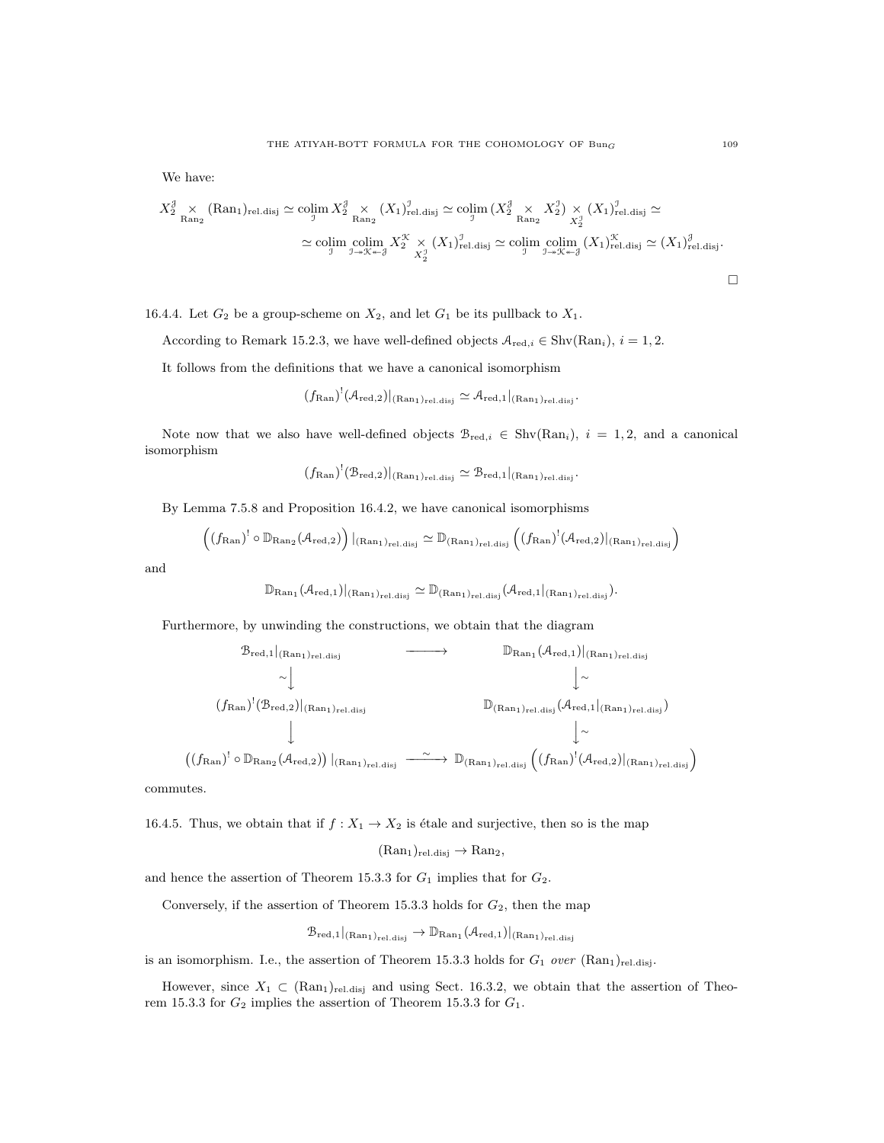We have:

$$
X_2^{\mathcal{J}} \underset{\text{Ran}_2}{\times} (\text{Ran}_1)_{\text{rel.dis}j} \simeq \operatorname{colim}_{\mathcal{J}} X_2^{\mathcal{J}} \underset{\text{Ran}_2}{\times} (X_1)_{\text{rel.dis}j}^{\mathcal{J}} \simeq \operatorname{colim}_{\mathcal{J}} (X_2^{\mathcal{J}} \underset{\text{Ran}_2}{\times} X_2^{\mathcal{J}}) \underset{\text{Ran}_2}{\times} (X_1)_{\text{rel.dis}j}^{\mathcal{J}} \simeq
$$
  

$$
\simeq \operatorname{colim}_{\mathcal{J}} \operatorname{colim}_{\mathcal{J} \twoheadrightarrow \mathcal{K} \twoheadrightarrow \mathcal{J}} X_2^{\mathcal{K}} \underset{\text{Ran}_2}{\times} (X_1)_{\text{rel.dis}j}^{\mathcal{J}} \simeq \operatorname{colim}_{\mathcal{J} \twoheadrightarrow \mathcal{K} \twoheadrightarrow \mathcal{J}} (\text{Ran}_1)_{\text{rel.dis}j}^{\mathcal{K}} \simeq (X_1)_{\text{rel.dis}j}^{\mathcal{J}}.
$$

16.4.4. Let  $G_2$  be a group-scheme on  $X_2$ , and let  $G_1$  be its pullback to  $X_1$ .

According to Remark 15.2.3, we have well-defined objects  $A_{\text{red},i} \in \text{Shv}(\text{Ran}_i), i = 1, 2$ .

It follows from the definitions that we have a canonical isomorphism

$$
(f_{\mathrm{Ran}})^!(\mathcal{A}_{\mathrm{red},2})|_{(\mathrm{Ran}_1)_{\mathrm{rel.disj}}}\simeq \mathcal{A}_{\mathrm{red},1}|_{(\mathrm{Ran}_1)_{\mathrm{rel.disj}}}.
$$

Note now that we also have well-defined objects  $\mathcal{B}_{red,i} \in Shv(Ran_i), i = 1, 2$ , and a canonical isomorphism

$$
(f_{\mathrm{Ran}})^!(\mathcal{B}_{\mathrm{red},2})|_{(\mathrm{Ran}_1)_{\mathrm{rel.disj}}}\simeq \mathcal{B}_{\mathrm{red},1}|_{(\mathrm{Ran}_1)_{\mathrm{rel.disj}}}.
$$

By Lemma 7.5.8 and Proposition 16.4.2, we have canonical isomorphisms

$$
\left((f_{\mathrm{Ran}})^! \circ \mathbb{D}_{\mathrm{Ran}_2}(\mathcal{A}_{\mathrm{red},2})\right)|_{(\mathrm{Ran}_1)_{\mathrm{rel.disj}}} \simeq \mathbb{D}_{(\mathrm{Ran}_1)_{\mathrm{rel.disj}}}\left((f_{\mathrm{Ran}})^! (\mathcal{A}_{\mathrm{red},2})|_{(\mathrm{Ran}_1)_{\mathrm{rel.disj}}}\right)
$$

and

$$
\mathbb{D}_{\mathrm{Ran}_1}(\mathcal{A}_{\mathrm{red},1})|_{(\mathrm{Ran}_1)_{\mathrm{rel.disj}}}\simeq \mathbb{D}_{(\mathrm{Ran}_1)_{\mathrm{rel.disj}}}(\mathcal{A}_{\mathrm{red},1}|_{(\mathrm{Ran}_1)_{\mathrm{rel.disj}}}).
$$

Furthermore, by unwinding the constructions, we obtain that the diagram

$$
\mathcal{B}_{red,1}|_{(Ran_1)_{rel.disj}} \longrightarrow \mathbb{D}_{Ran_1}(\mathcal{A}_{red,1})|_{(Ran_1)_{rel.disj}}
$$
  
\n
$$
\downarrow \sim \downarrow
$$
  
\n
$$
(f_{Ran})^!(\mathcal{B}_{red,2})|_{(Ran_1)_{rel.disj}} \longrightarrow \mathbb{D}_{(Ran_1)_{rel.disj}}(\mathcal{A}_{red,1}|_{(Ran_1)_{rel.disj}})
$$
  
\n
$$
\downarrow \sim
$$
  
\n
$$
(f_{Ran})^! \circ \mathbb{D}_{Ran_2}(\mathcal{A}_{red,2})|_{(Ran_1)_{rel.disj}} \longrightarrow \mathbb{D}_{(Ran_1)_{rel.disj}}((f_{Ran})^!(\mathcal{A}_{red,2})|_{(Ran_1)_{rel.disj}})
$$

commutes.

 $\overline{ }$ 

16.4.5. Thus, we obtain that if  $f : X_1 \to X_2$  is étale and surjective, then so is the map

$$
(\mathrm{Ran}_1)_{\mathrm{rel.disj}} \to \mathrm{Ran}_2,
$$

and hence the assertion of Theorem 15.3.3 for  $G_1$  implies that for  $G_2$ .

Conversely, if the assertion of Theorem 15.3.3 holds for  $G_2$ , then the map

$$
\mathcal{B}_{\mathrm{red},1}|_{(Ran_1)_{\mathrm{rel.disj}}}\to \mathbb{D}_{\mathrm{Ran}_1}(\mathcal{A}_{\mathrm{red},1})|_{(Ran_1)_{\mathrm{rel.disj}}}
$$

is an isomorphism. I.e., the assertion of Theorem 15.3.3 holds for  $G_1$  over  $(Ran_1)_{rel. \text{disj}}$ .

However, since  $X_1 \subset (\text{Ran}_1)_{\text{rel.disj}}$  and using Sect. 16.3.2, we obtain that the assertion of Theorem 15.3.3 for  $G_2$  implies the assertion of Theorem 15.3.3 for  $G_1$ .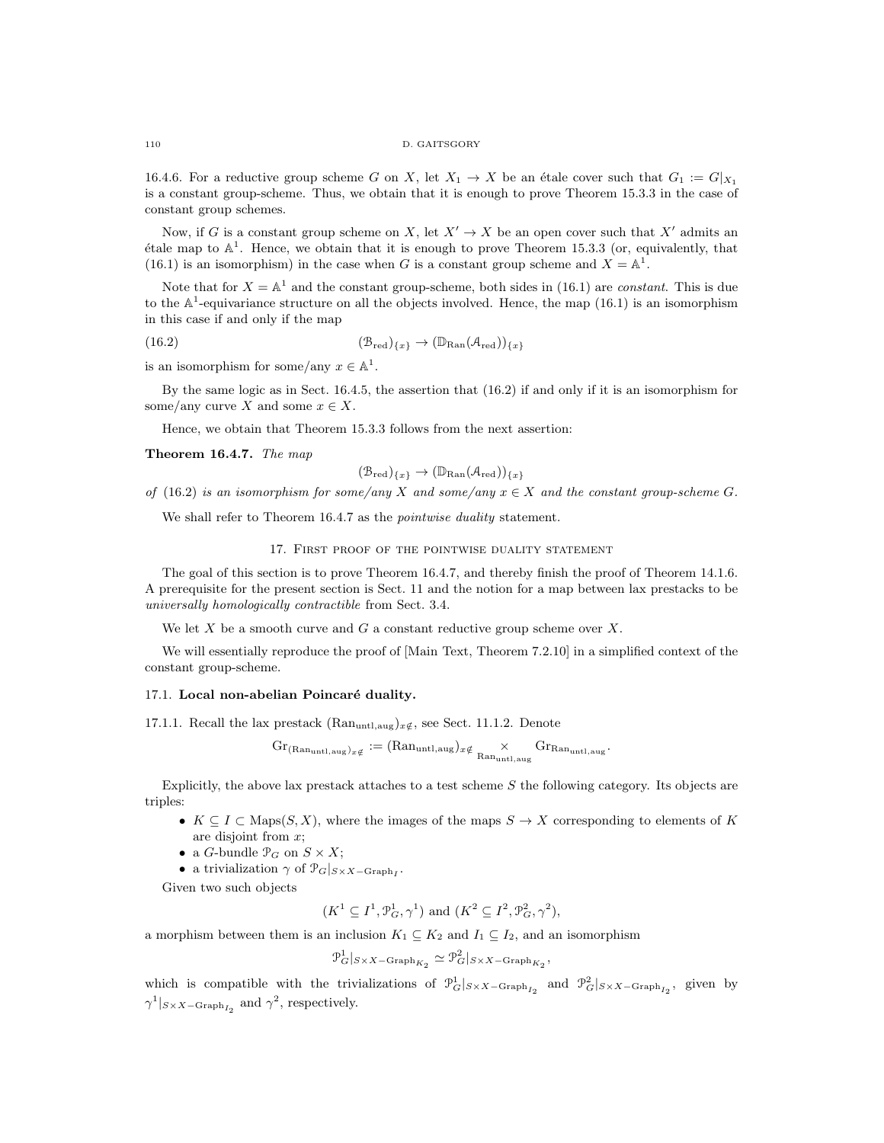16.4.6. For a reductive group scheme G on X, let  $X_1 \to X$  be an étale cover such that  $G_1 := G|_{X_1}$ is a constant group-scheme. Thus, we obtain that it is enough to prove Theorem 15.3.3 in the case of constant group schemes.

Now, if G is a constant group scheme on X, let  $X' \to X$  be an open cover such that X' admits an étale map to  $\mathbb{A}^1$ . Hence, we obtain that it is enough to prove Theorem 15.3.3 (or, equivalently, that (16.1) is an isomorphism) in the case when G is a constant group scheme and  $X = \mathbb{A}^1$ .

Note that for  $X = \mathbb{A}^1$  and the constant group-scheme, both sides in (16.1) are *constant*. This is due to the  $\mathbb{A}^1$ -equivariance structure on all the objects involved. Hence, the map (16.1) is an isomorphism in this case if and only if the map

(16.2) 
$$
(\mathcal{B}_{red})_{\{x\}} \to (\mathbb{D}_{\text{Ran}}(\mathcal{A}_{red}))_{\{x\}}
$$

is an isomorphism for some/any  $x \in \mathbb{A}^1$ .

By the same logic as in Sect. 16.4.5, the assertion that (16.2) if and only if it is an isomorphism for some/any curve X and some  $x \in X$ .

Hence, we obtain that Theorem 15.3.3 follows from the next assertion:

Theorem 16.4.7. The map

$$
(\mathcal{B}_{\mathrm{red}})_{\{x\}} \to (\mathbb{D}_{\mathrm{Ran}}(\mathcal{A}_{\mathrm{red}}))_{\{x\}}
$$

of (16.2) is an isomorphism for some/any X and some/any  $x \in X$  and the constant group-scheme G.

We shall refer to Theorem 16.4.7 as the *pointwise duality* statement.

## 17. First proof of the pointwise duality statement

The goal of this section is to prove Theorem 16.4.7, and thereby finish the proof of Theorem 14.1.6. A prerequisite for the present section is Sect. 11 and the notion for a map between lax prestacks to be universally homologically contractible from Sect. 3.4.

We let  $X$  be a smooth curve and  $G$  a constant reductive group scheme over  $X$ .

We will essentially reproduce the proof of [Main Text, Theorem 7.2.10] in a simplified context of the constant group-scheme.

# 17.1. Local non-abelian Poincaré duality.

17.1.1. Recall the lax prestack  $(Ran_{untl,aug})_{x \notin S}$ , see Sect. 11.1.2. Denote

$$
\operatorname{Gr}_{(\operatorname{Ran}_{\text{untl},\text{aug}})_{x\notin}}:=(\operatorname{Ran}_{\text{untl},\text{aug}})_{x\notin}\underset{\operatorname{Ran}_{\text{untl},\text{aug}}}{\times}\operatorname{Gr}_{\operatorname{Ran}_{\text{untl},\text{aug}}}.
$$

Explicitly, the above lax prestack attaches to a test scheme  $S$  the following category. Its objects are triples:

- $K \subseteq I \subseteq \text{Maps}(S, X)$ , where the images of the maps  $S \to X$  corresponding to elements of K are disjoint from x;
- a *G*-bundle  $\mathcal{P}_G$  on  $S \times X$ ;
- a trivialization  $\gamma$  of  $\mathcal{P}_G|_{S \times X \text{Graph}_I}$ .

Given two such objects

$$
(K^1 \subseteq I^1, \mathcal{P}_G^1, \gamma^1)
$$
 and  $(K^2 \subseteq I^2, \mathcal{P}_G^2, \gamma^2)$ ,

a morphism between them is an inclusion  $K_1 \subseteq K_2$  and  $I_1 \subseteq I_2$ , and an isomorphism

$$
\mathcal{P}_G^1|_{S \times X - \text{Graph}_{K_2}} \simeq \mathcal{P}_G^2|_{S \times X - \text{Graph}_{K_2}},
$$

which is compatible with the trivializations of  $\mathcal{P}_G^1|_{S \times X-\text{Graph}_{I_2}}$  and  $\mathcal{P}_G^2|_{S \times X-\text{Graph}_{I_2}}$ , given by  $\gamma^1|_{S \times X - \text{Graph}_{I_2}}$  and  $\gamma^2$ , respectively.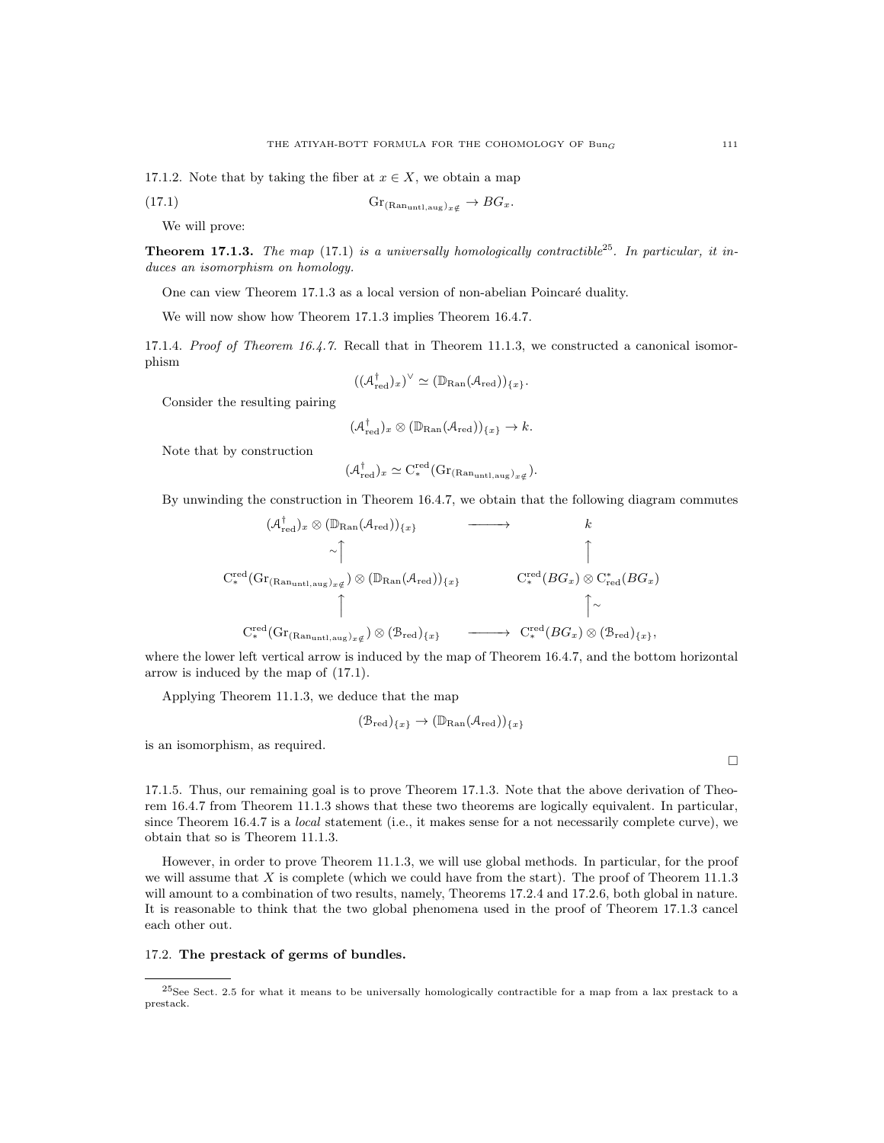17.1.2. Note that by taking the fiber at  $x \in X$ , we obtain a map

$$
(17.1) \t\t\t Gr_{(Ran_{untl,aug})_{x}\notin} \to BG_x.
$$

We will prove:

**Theorem 17.1.3.** The map (17.1) is a universally homologically contractible<sup>25</sup>. In particular, it induces an isomorphism on homology.

One can view Theorem 17.1.3 as a local version of non-abelian Poincaré duality.

We will now show how Theorem 17.1.3 implies Theorem 16.4.7.

17.1.4. Proof of Theorem 16.4.7. Recall that in Theorem 11.1.3, we constructed a canonical isomorphism

$$
((\mathcal{A}^{\dagger}_{\mathrm{red}})_x)^{\vee} \simeq (\mathbb{D}_{\mathrm{Ran}}(\mathcal{A}_{\mathrm{red}}))_{\{x\}}.
$$

Consider the resulting pairing

$$
(\mathcal{A}^\dagger_{\mathrm{red}})_x \otimes (\mathbb{D}_{\mathrm{Ran}}(\mathcal{A}_{\mathrm{red}}))_{\{x\}} \to k.
$$

Note that by construction

$$
(\mathcal{A}_{\mathrm{red}}^{\dagger})_x \simeq C_*^{\mathrm{red}}(\mathrm{Gr}_{(\mathrm{Ran}_{\mathrm{untl},\mathrm{aug}})_{x\notin}}).
$$

By unwinding the construction in Theorem 16.4.7, we obtain that the following diagram commutes

$$
(\mathcal{A}_{red}^{\dagger})_{x} \otimes (\mathbb{D}_{\text{Ran}}(\mathcal{A}_{red}))_{\{x\}} \longrightarrow k
$$
  
\n
$$
\sim \uparrow \qquad \qquad \uparrow
$$
  
\n
$$
C_{*}^{\text{red}}(\text{Gr}_{(\text{Ran}_{\text{unt1},\text{aug}})_{x\notin}}) \otimes (\mathbb{D}_{\text{Ran}}(\mathcal{A}_{red}))_{\{x\}} \qquad C_{*}^{\text{red}}(BG_{x}) \otimes C_{red}^{*}(BG_{x})
$$
  
\n
$$
\uparrow \qquad \qquad \uparrow \qquad \qquad \uparrow
$$
  
\n
$$
C_{*}^{\text{red}}(\text{Gr}_{(\text{Ran}_{\text{unt1},\text{aug}})_{x\notin}}) \otimes (\mathcal{B}_{\text{red}})_{\{x\}} \qquad \longrightarrow C_{*}^{\text{red}}(BG_{x}) \otimes (\mathcal{B}_{\text{red}})_{\{x\}},
$$

where the lower left vertical arrow is induced by the map of Theorem 16.4.7, and the bottom horizontal arrow is induced by the map of (17.1).

Applying Theorem 11.1.3, we deduce that the map

$$
(\mathcal{B}_{red})_{\{x\}} \to (\mathbb{D}_{\mathrm{Ran}}(\mathcal{A}_{red}))_{\{x\}}
$$

is an isomorphism, as required.

17.1.5. Thus, our remaining goal is to prove Theorem 17.1.3. Note that the above derivation of Theorem 16.4.7 from Theorem 11.1.3 shows that these two theorems are logically equivalent. In particular, since Theorem 16.4.7 is a *local* statement (i.e., it makes sense for a not necessarily complete curve), we obtain that so is Theorem 11.1.3.

However, in order to prove Theorem 11.1.3, we will use global methods. In particular, for the proof we will assume that  $X$  is complete (which we could have from the start). The proof of Theorem 11.1.3 will amount to a combination of two results, namely, Theorems 17.2.4 and 17.2.6, both global in nature. It is reasonable to think that the two global phenomena used in the proof of Theorem 17.1.3 cancel each other out.

#### 17.2. The prestack of germs of bundles.

 $^{25}$ See Sect. 2.5 for what it means to be universally homologically contractible for a map from a lax prestack to a prestack.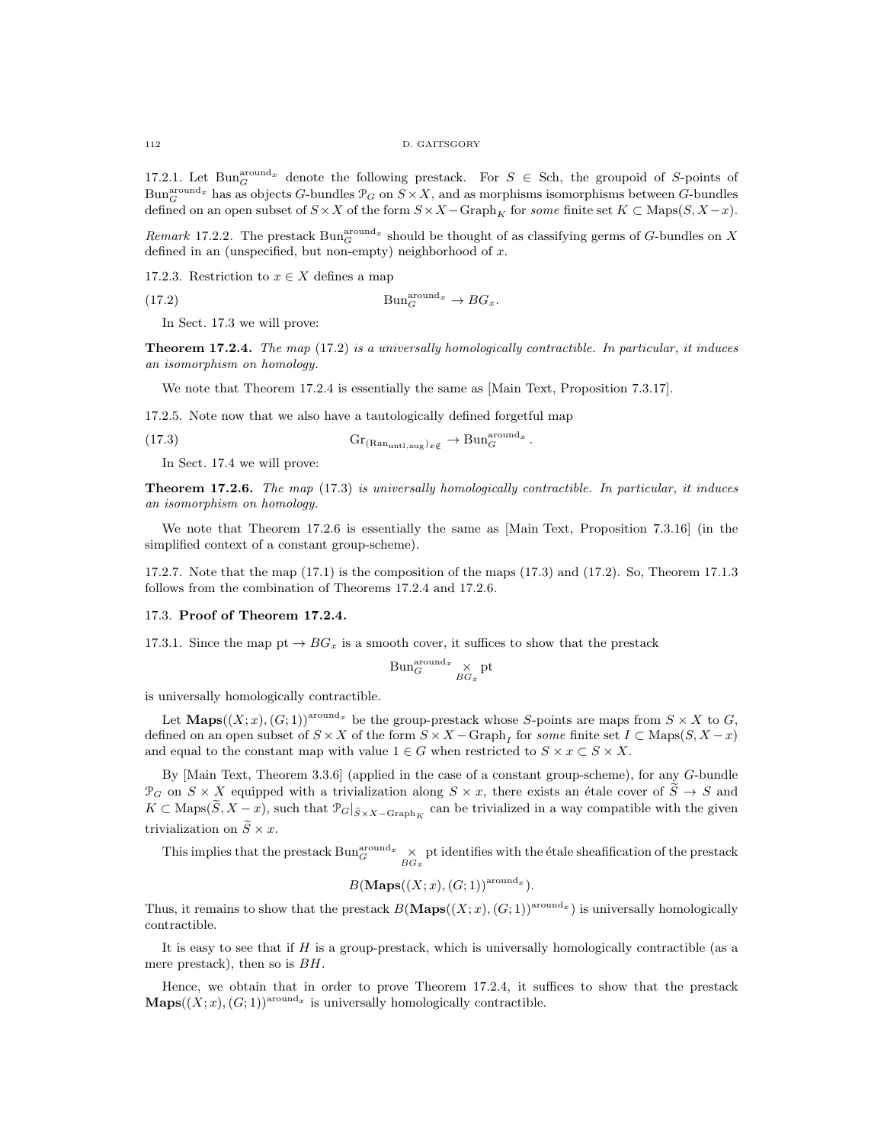17.2.1. Let Bun<sub>G</sub><sup>round<sub>x</sub></sup> denote the following prestack. For  $S \in$  Sch, the groupoid of S-points of  $Bun_{G}^{around_x}$  has as objects G-bundles  $\mathcal{P}_G$  on  $S \times X$ , and as morphisms isomorphisms between G-bundles defined on an open subset of  $S \times X$  of the form  $S \times X$  –  $Graph_K$  for some finite set  $K \subset \text{Maps}(S, X - x)$ .

Remark 17.2.2. The prestack  $Bun_G^{around_x}$  should be thought of as classifying germs of G-bundles on X defined in an (unspecified, but non-empty) neighborhood of  $x$ .

17.2.3. Restriction to  $x \in X$  defines a map

(17.2)  $\text{Bun}_G^{\text{around}_x} \to BG_x.$ 

In Sect. 17.3 we will prove:

Theorem 17.2.4. The map (17.2) is a universally homologically contractible. In particular, it induces an isomorphism on homology.

We note that Theorem 17.2.4 is essentially the same as [Main Text, Proposition 7.3.17].

17.2.5. Note now that we also have a tautologically defined forgetful map

(17.3)  $\mathrm{Gr}_{(\mathrm{Ran}_{\mathrm{untl},\mathrm{aug}})_x_{\notin}} \to \mathrm{Bun}_G^{\mathrm{around}_x}.$ 

In Sect. 17.4 we will prove:

**Theorem 17.2.6.** The map (17.3) is universally homologically contractible. In particular, it induces an isomorphism on homology.

We note that Theorem 17.2.6 is essentially the same as [Main Text, Proposition 7.3.16] (in the simplified context of a constant group-scheme).

17.2.7. Note that the map  $(17.1)$  is the composition of the maps  $(17.3)$  and  $(17.2)$ . So, Theorem 17.1.3 follows from the combination of Theorems 17.2.4 and 17.2.6.

#### 17.3. Proof of Theorem 17.2.4.

17.3.1. Since the map pt  $\rightarrow BG_x$  is a smooth cover, it suffices to show that the prestack

$$
\operatorname{Bun}_G^{\operatorname{around}_x} \underset{BG_x}{\times} \operatorname{pt}
$$

is universally homologically contractible.

Let  $\mathbf{Maps}((X; x), (G; 1))^{\text{around } x}$  be the group-prestack whose S-points are maps from  $S \times X$  to G, defined on an open subset of  $S \times X$  of the form  $S \times X$  –  $Graph<sub>I</sub>$  for some finite set  $I \subset \text{Maps}(S, X - x)$ and equal to the constant map with value  $1 \in G$  when restricted to  $S \times x \subset S \times X$ .

By [Main Text, Theorem 3.3.6] (applied in the case of a constant group-scheme), for any G-bundle  $\mathcal{P}_G$  on  $S \times X$  equipped with a trivialization along  $S \times x$ , there exists an étale cover of  $\tilde{S} \to S$  and  $K \subset \text{Maps}(S, X - x)$ , such that  $\mathcal{P}_G|_{\widetilde{S} \times X - \text{Graph}_K}$  can be trivialized in a way compatible with the given trivialization on  $\widetilde{S} \times x$ .

This implies that the prestack  $\text{Bun}_G^{\text{around}_x} \times_{BG_x}$  pt identifies with the étale sheafification of the prestack

$$
B(\mathbf{Maps}((X; x), (G; 1))^{\text{around}_x}).
$$

Thus, it remains to show that the prestack  $B(\mathbf{Maps}((X; x), (G; 1))^{\text{around } x})$  is universally homologically contractible.

It is easy to see that if  $H$  is a group-prestack, which is universally homologically contractible (as a mere prestack), then so is BH.

Hence, we obtain that in order to prove Theorem 17.2.4, it suffices to show that the prestack  $\mathbf{Mass}((X;x),(G;1))^{\text{around }x}$  is universally homologically contractible.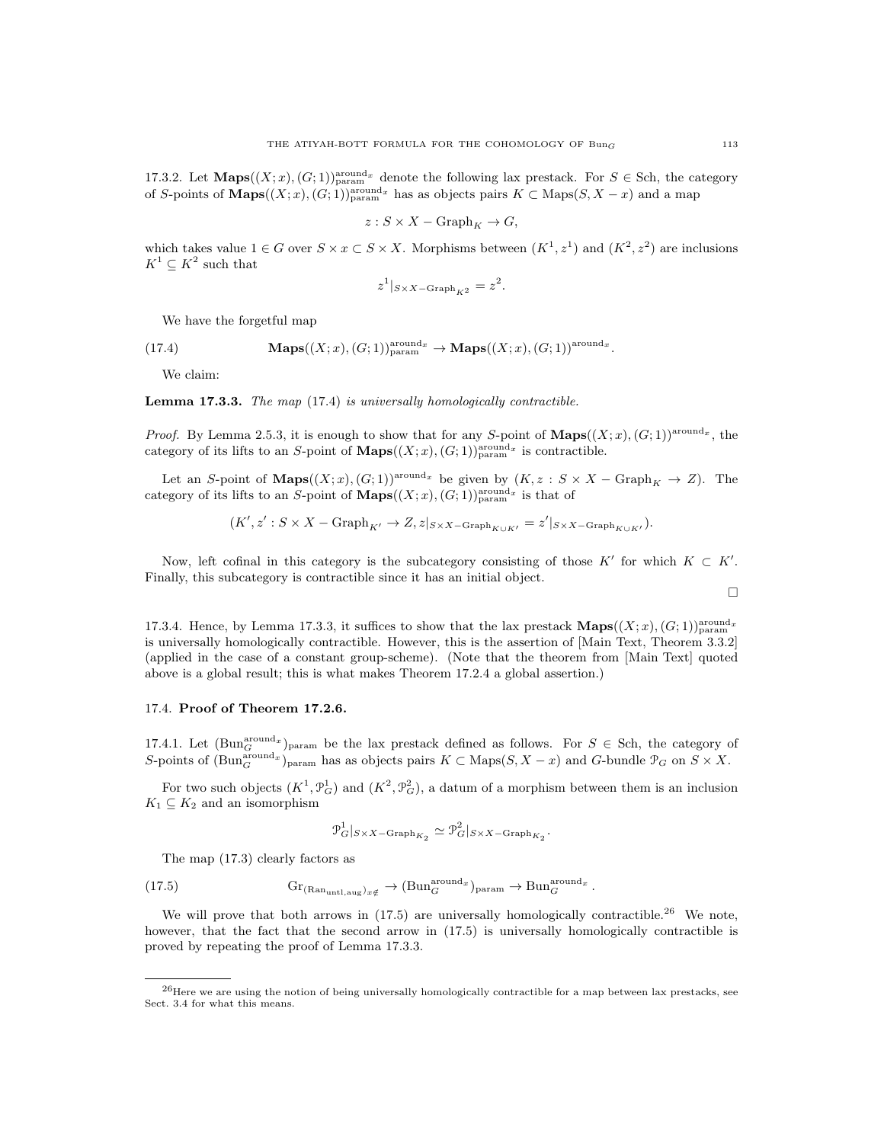17.3.2. Let  $\mathbf{Maps}((X; x), (G; 1))_{\text{param}}^{\text{around } x}$  denote the following lax prestack. For  $S \in \mathbf{Sch}$ , the category of S-points of  $\mathbf{Maps}((X; x), (G; 1))_{\text{param}}^{\text{around } x}$  has as objects pairs  $K \subset \text{Maps}(S, X - x)$  and a map

$$
z: S \times X - \mathrm{Graph}_K \to G,
$$

which takes value  $1 \in G$  over  $S \times x \subset S \times X$ . Morphisms between  $(K^1, z^1)$  and  $(K^2, z^2)$  are inclusions  $K^1 \subseteq K^2$  such that

$$
z^1|_{S \times X - \text{Graph}_{K^2}} = z^2.
$$

We have the forgetful map

(17.4) 
$$
\mathbf{Maps}((X;x),(G;1))_{\text{param}}^{\text{around }x} \to \mathbf{Maps}((X;x),(G;1))^{\text{around }x}.
$$

We claim:

Lemma 17.3.3. The map (17.4) is universally homologically contractible.

*Proof.* By Lemma 2.5.3, it is enough to show that for any S-point of  $\mathbf{Maps}((X; x), (G; 1))^{\text{around } x}$ , the category of its lifts to an S-point of  $\mathbf{Maps}((X; x), (G; 1))_{\text{param}}^{\text{around } x}$  is contractible.

Let an S-point of **Maps** $((X; x), (G; 1))^{around_x}$  be given by  $(K, z : S \times X - Graph_K \to Z)$ . The category of its lifts to an S-point of  $\mathbf{Maps}((X; x), (G; 1))_{\text{param}}^{\text{around}_x}$  is that of

$$
(K', z' : S \times X - \mathrm{Graph}_{K'} \to Z, z|_{S \times X - \mathrm{Graph}_{K \cup K'}} = z'|_{S \times X - \mathrm{Graph}_{K \cup K'}}).
$$

Now, left cofinal in this category is the subcategory consisting of those K' for which  $K \subset K'$ . Finally, this subcategory is contractible since it has an initial object.

17.3.4. Hence, by Lemma 17.3.3, it suffices to show that the lax prestack  $\mathbf{Maps}((X; x), (G; 1))_{\text{param}}^{\text{around } x}$ is universally homologically contractible. However, this is the assertion of [Main Text, Theorem 3.3.2] (applied in the case of a constant group-scheme). (Note that the theorem from [Main Text] quoted above is a global result; this is what makes Theorem 17.2.4 a global assertion.)

## 17.4. Proof of Theorem 17.2.6.

17.4.1. Let  $(\text{Bun}_G^{\text{around}_x})_{\text{param}}$  be the lax prestack defined as follows. For  $S \in$  Sch, the category of S-points of  $(\text{Bun}_G^{\text{around }x})_{\text{param}}$  has as objects pairs  $K \subset \text{Maps}(S, X - x)$  and G-bundle  $\mathcal{P}_G$  on  $S \times X$ .

For two such objects  $(K^1, \mathcal{P}_G^1)$  and  $(K^2, \mathcal{P}_G^2)$ , a datum of a morphism between them is an inclusion  $K_1 \subseteq K_2$  and an isomorphism

$$
\mathcal{P}_G^1|_{S \times X - \text{Graph}_{K_2}} \simeq \mathcal{P}_G^2|_{S \times X - \text{Graph}_{K_2}}.
$$

The map (17.3) clearly factors as

(17.5) 
$$
\mathrm{Gr}_{(\mathrm{Ran}_{\mathrm{untl},\mathrm{aug}})_{x}\notin} \to (\mathrm{Bun}_G^{\mathrm{around}_x})_{\mathrm{param}} \to \mathrm{Bun}_G^{\mathrm{around}_x}.
$$

We will prove that both arrows in  $(17.5)$  are universally homologically contractible.<sup>26</sup> We note, however, that the fact that the second arrow in (17.5) is universally homologically contractible is proved by repeating the proof of Lemma 17.3.3.

 $^{26}$ Here we are using the notion of being universally homologically contractible for a map between lax prestacks, see Sect. 3.4 for what this means.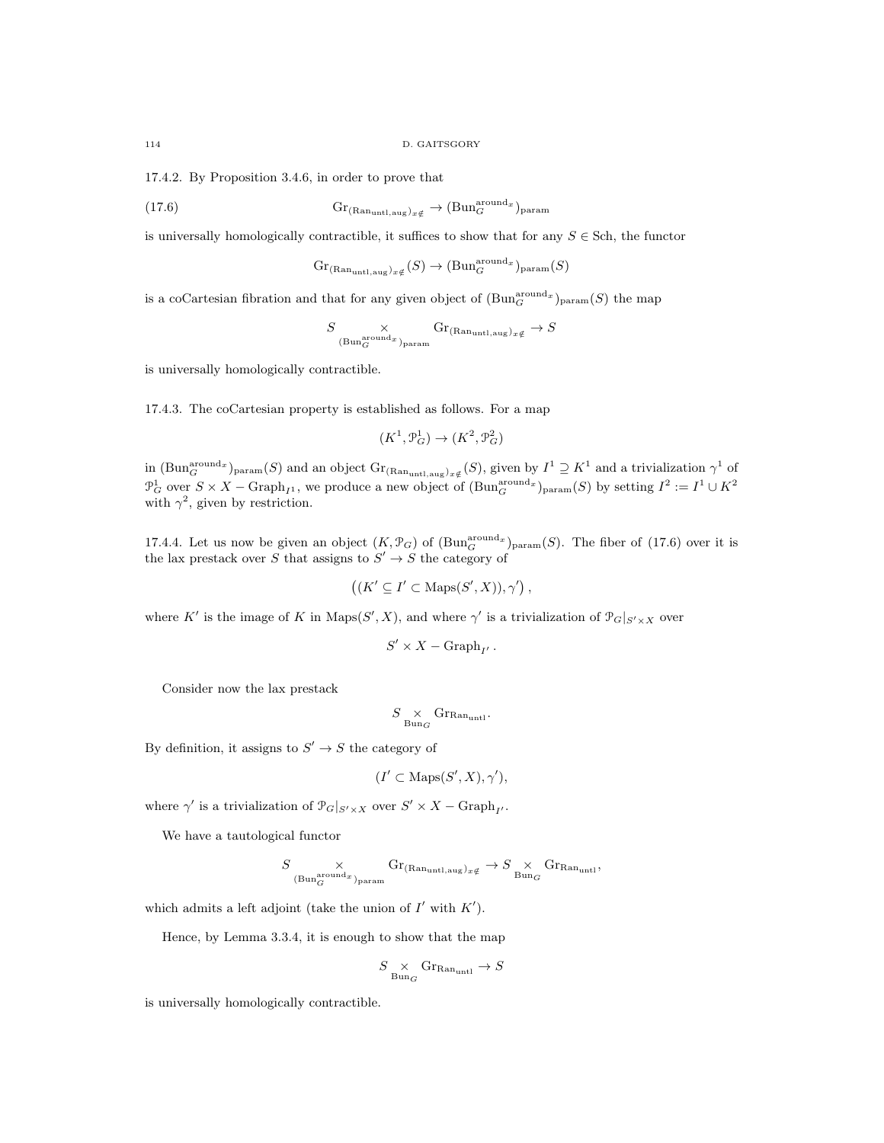17.4.2. By Proposition 3.4.6, in order to prove that

(17.6) 
$$
\mathrm{Gr}_{(\mathrm{Ran}_{\mathrm{untl},\mathrm{aug}})_{x\xi}} \to (\mathrm{Bun}_G^{\mathrm{around}_x})_{\mathrm{param}}
$$

is universally homologically contractible, it suffices to show that for any  $S \in$  Sch, the functor

$$
\mathrm{Gr}_{(\mathrm{Ran}_{\mathrm{untl},\mathrm{aug}})_{x\notin}}(S)\rightarrow (\mathrm{Bun}_G^{\mathrm{around}_x})_{\mathrm{param}}(S)
$$

is a coCartesian fibration and that for any given object of  $(\text{Bun}_G^{\text{around}_x})_{\text{param}}(S)$  the map

$$
S \underset{\text{(Bun}_G^{\text{around}_x})_{\text{param}}} \times \text{Gr}_{(\text{Ran}_{\text{untl},\text{aug}})_{x \notin}} \to S
$$

is universally homologically contractible.

17.4.3. The coCartesian property is established as follows. For a map

$$
(K^1, \mathcal{P}_G^1) \to (K^2, \mathcal{P}_G^2)
$$

in  $(\text{Bun}_G^{\text{around}_x})_{\text{param}}(S)$  and an object  $\text{Gr}_{(\text{Ran}_{\text{untl,aug}})_{x \notin}}(S)$ , given by  $I^1 \supseteq K^1$  and a trivialization  $\gamma^1$  of  $\mathcal{P}_G^1$  over  $S \times X$  – Graph<sub>I1</sub>, we produce a new object of  $(\text{Bun}_G^{\text{around}_x})_{\text{param}}(S)$  by setting  $I^2 := I^1 \cup K^2$ with  $\gamma^2$ , given by restriction.

17.4.4. Let us now be given an object  $(K, \mathcal{P}_G)$  of  $(\text{Bun}_G^{\text{around}_x})_{\text{param}}(S)$ . The fiber of (17.6) over it is the lax prestack over S that assigns to  $S' \to S$  the category of

$$
((K' \subseteq I' \subset \text{Maps}(S', X)), \gamma')
$$

where K' is the image of K in  $\text{Maps}(S', X)$ , and where  $\gamma'$  is a trivialization of  $\mathcal{P}_G|_{S' \times X}$  over

$$
S' \times X - \mathrm{Graph}_{I'}.
$$

Consider now the lax prestack

$$
S \underset{\mathrm{Bun}_G}{\times} \mathrm{Gr}_{\mathrm{Ran}_{\mathrm{untl}}}.
$$

By definition, it assigns to  $S' \to S$  the category of

$$
(I' \subset \text{Maps}(S', X), \gamma'),
$$

where  $\gamma'$  is a trivialization of  $\mathcal{P}_G|_{S' \times X}$  over  $S' \times X - \text{Graph}_{I'}$ .

We have a tautological functor

$$
S \underset{(\text{Bun}_G^{\text{around}} x)_{\text{param}}}{\times} \text{Gr}_{(\text{Ran}_{\text{unt1,aug}})_{x \notin}} \rightarrow S \underset{ \text{Bun}_G}{\times} \text{Gr}_{\text{Ran}_{\text{unt1}}},
$$

which admits a left adjoint (take the union of  $I'$  with  $K'$ ).

Hence, by Lemma 3.3.4, it is enough to show that the map

$$
S \underset{\mathrm{Bun}_G}{\times} \mathrm{Gr}_{\mathrm{Ran}_{\mathrm{unt}1}} \to S
$$

is universally homologically contractible.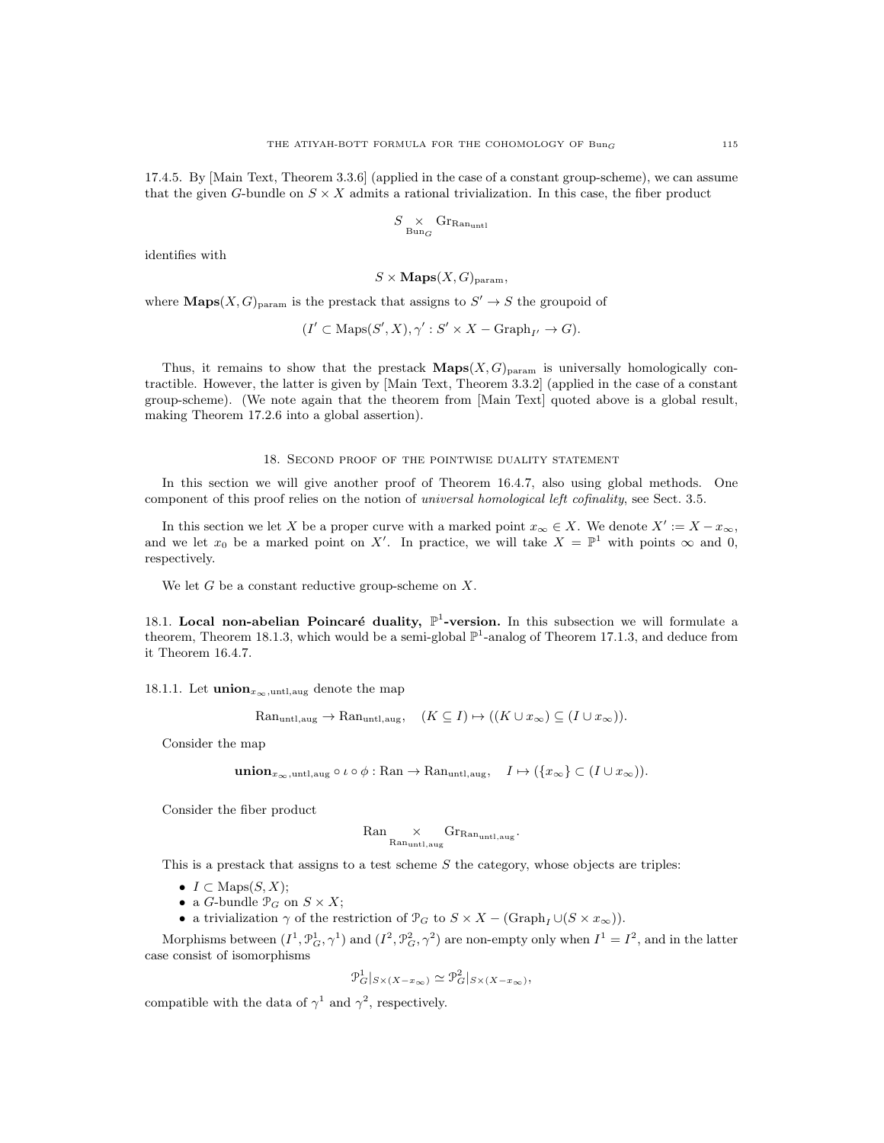17.4.5. By [Main Text, Theorem 3.3.6] (applied in the case of a constant group-scheme), we can assume that the given G-bundle on  $S \times X$  admits a rational trivialization. In this case, the fiber product

$$
S\underset{\mathrm{Bun}_G}{\times}\mathrm{Gr_{\mathrm{Ran}_{\mathrm{unt1}}}}
$$

identifies with

$$
S \times \mathbf{Maps}(X, G)_{\text{param}},
$$

where **Maps** $(X, G)$ <sub>param</sub> is the prestack that assigns to  $S' \to S$  the groupoid of

$$
(I' \subset \text{Maps}(S', X), \gamma' : S' \times X - \text{Graph}_{I'} \to G).
$$

Thus, it remains to show that the prestack  $\mathbf{Maps}(X, G)_{\text{param}}$  is universally homologically contractible. However, the latter is given by [Main Text, Theorem 3.3.2] (applied in the case of a constant group-scheme). (We note again that the theorem from [Main Text] quoted above is a global result, making Theorem 17.2.6 into a global assertion).

#### 18. Second proof of the pointwise duality statement

In this section we will give another proof of Theorem 16.4.7, also using global methods. One component of this proof relies on the notion of universal homological left cofinality, see Sect. 3.5.

In this section we let X be a proper curve with a marked point  $x_{\infty} \in X$ . We denote  $X' := X - x_{\infty}$ , and we let  $x_0$  be a marked point on X'. In practice, we will take  $X = \mathbb{P}^1$  with points  $\infty$  and 0, respectively.

We let  $G$  be a constant reductive group-scheme on  $X$ .

18.1. Local non-abelian Poincaré duality,  $\mathbb{P}^1$ -version. In this subsection we will formulate a theorem, Theorem 18.1.3, which would be a semi-global  $\mathbb{P}^1$ -analog of Theorem 17.1.3, and deduce from it Theorem 16.4.7.

18.1.1. Let **union**<sub> $x_{\infty}$ </sub>, untit, aug denote the map

$$
\text{Ran}_{\text{untl},\text{aug}} \to \text{Ran}_{\text{untl},\text{aug}}, \quad (K \subseteq I) \mapsto ((K \cup x_{\infty}) \subseteq (I \cup x_{\infty})).
$$

Consider the map

$$
\mathbf{union}_{x_{\infty},\text{untl},\text{aug}} \circ \iota \circ \phi : \text{Ran} \to \text{Ran}_{\text{untl},\text{aug}}, \quad I \mapsto (\{x_{\infty}\} \subset (I \cup x_{\infty})).
$$

Consider the fiber product

$$
{\rm Ran}_{\rm Ran_{untl,aug}} \times {\rm Gr}_{\rm Ran_{untl,aug}}.
$$

This is a prestack that assigns to a test scheme  $S$  the category, whose objects are triples:

- $I \subset \text{Maps}(S, X);$
- a *G*-bundle  $\mathcal{P}_G$  on  $S \times X$ ;
- a trivialization  $\gamma$  of the restriction of  $\mathcal{P}_G$  to  $S \times X (\text{Graph}_I \cup (S \times x_{\infty}))$ .

Morphisms between  $(I^1, \mathcal{P}_G^1, \gamma^1)$  and  $(I^2, \mathcal{P}_G^2, \gamma^2)$  are non-empty only when  $I^1 = I^2$ , and in the latter case consist of isomorphisms

$$
\mathcal{P}_G^1|_{S \times (X - x_\infty)} \simeq \mathcal{P}_G^2|_{S \times (X - x_\infty)},
$$

compatible with the data of  $\gamma^1$  and  $\gamma^2$ , respectively.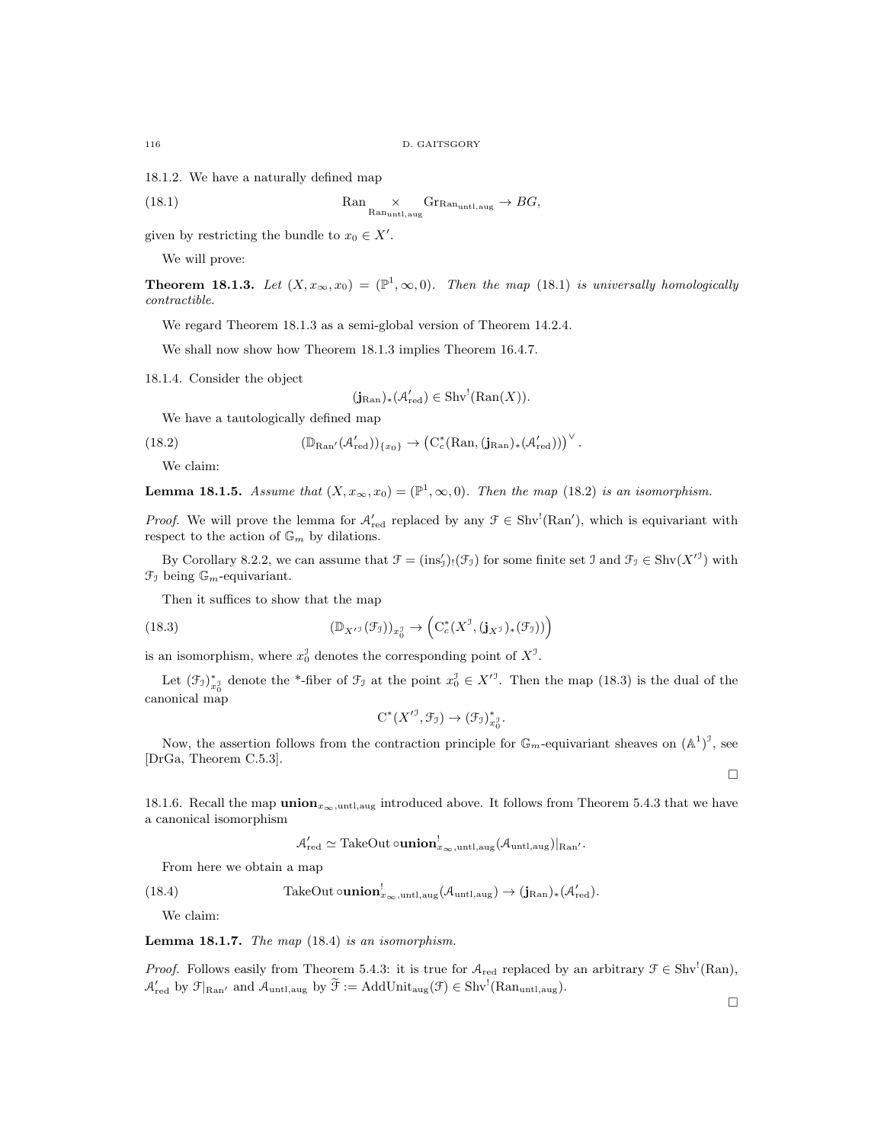18.1.2. We have a naturally defined map

(18.1) 
$$
\text{Ran}_{\text{Ran}_{\text{untl},\text{aug}}} \times \text{Gr}_{\text{Ran}_{\text{untl},\text{aug}}} \to BG,
$$

given by restricting the bundle to  $x_0 \in X'$ .

We will prove:

**Theorem 18.1.3.** Let  $(X, x_\infty, x_0) = (\mathbb{P}^1, \infty, 0)$ . Then the map (18.1) is universally homologically contractible.

We regard Theorem 18.1.3 as a semi-global version of Theorem 14.2.4.

We shall now show how Theorem 18.1.3 implies Theorem 16.4.7.

18.1.4. Consider the object

$$
(\mathbf{j}_{\mathrm{Ran}})_*(\mathcal{A}'_{\mathrm{red}}) \in \mathrm{Shv}^!(\mathrm{Ran}(X)).
$$

We have a tautologically defined map

(18.2) 
$$
(\mathbb{D}_{\mathrm{Ran}'}(\mathcal{A}'_{\mathrm{red}}))_{\{x_0\}} \to (\mathrm{C}^*_c(\mathrm{Ran},(\mathbf{j}_{\mathrm{Ran}})_*(\mathcal{A}'_{\mathrm{red}})))^\vee.
$$

We claim:

**Lemma 18.1.5.** Assume that  $(X, x_\infty, x_0) = (\mathbb{P}^1, \infty, 0)$ . Then the map (18.2) is an isomorphism.

*Proof.* We will prove the lemma for  $A'_{red}$  replaced by any  $\mathcal{F} \in Shv^{\perp}(Ran')$ , which is equivariant with respect to the action of  $\mathbb{G}_m$  by dilations.

By Corollary 8.2.2, we can assume that  $\mathcal{F} = (\text{ins}_\mathcal{I}')( \mathcal{F}_\mathcal{I})$  for some finite set  $\mathcal{I}$  and  $\mathcal{F}_\mathcal{I} \in \text{Shv}(X'^\mathcal{I})$  with  $\mathfrak{F}_{\mathfrak{I}}$  being  $\mathbb{G}_m$ -equivariant.

Then it suffices to show that the map

(18.3) 
$$
(\mathbb{D}_{X'^\mathfrak{I}}(\mathcal{F}_{\mathfrak{I}}))_{x_0^{\mathfrak{I}}}\to \left(\mathrm{C}^*_c(X^{\mathfrak{I}}, (\mathbf{j}_{X^{\mathfrak{I}}})_*(\mathcal{F}_{\mathfrak{I}}))\right)
$$

is an isomorphism, where  $x_0^{\mathcal{I}}$  denotes the corresponding point of  $X^{\mathcal{I}}$ .

Let  $(\mathcal{F}_{J})_{x_0}^*$  denote the \*-fiber of  $\mathcal{F}_{J}$  at the point  $x_0^J \in X'^J$ . Then the map (18.3) is the dual of the canonical map

$$
C^*(X^{\prime 1}, \mathcal{F}_\mathfrak{I}) \to (\mathcal{F}_\mathfrak{I})_{x_0^{\mathfrak{I}}}^*
$$

Now, the assertion follows from the contraction principle for  $\mathbb{G}_m$ -equivariant sheaves on  $(\mathbb{A}^1)^3$ , see [DrGa, Theorem C.5.3].

 $\Box$ 

18.1.6. Recall the map  $\text{union}_{x_{\infty},\text{unt},\text{aug}}$  introduced above. It follows from Theorem 5.4.3 that we have a canonical isomorphism

$$
\mathcal{A}'_{\text{red}} \simeq \text{TakeOut} \circ \textbf{union}_{x_{\infty}, \text{untl}, \text{aug}}^! (\mathcal{A}_{\text{untl}, \text{aug}})|_{\text{Ran}'}.
$$

From here we obtain a map

(18.4) TakeOut 
$$
\text{ounion}_{x_{\infty}, \text{untl}, \text{aug}}^! (\mathcal{A}_{\text{untl}, \text{aug}}) \to (\mathbf{j}_{\text{Ran}})_* (\mathcal{A}_{\text{red}}').
$$

We claim:

**Lemma 18.1.7.** The map  $(18.4)$  is an isomorphism.

*Proof.* Follows easily from Theorem 5.4.3: it is true for  $A_{\text{red}}$  replaced by an arbitrary  $\mathcal{F} \in \text{Shv}^!(\text{Ran})$ ,  $\mathcal{A}'_{\text{red}}$  by  $\mathcal{F}|_{\text{Ran}'}$  and  $\mathcal{A}_{\text{untl,aug}}$  by  $\widetilde{\mathcal{F}} := \text{AddUnit}_{\text{aug}}(\mathcal{F}) \in \text{Shv}^!(\text{Ran}_{\text{untl,aug}})$ .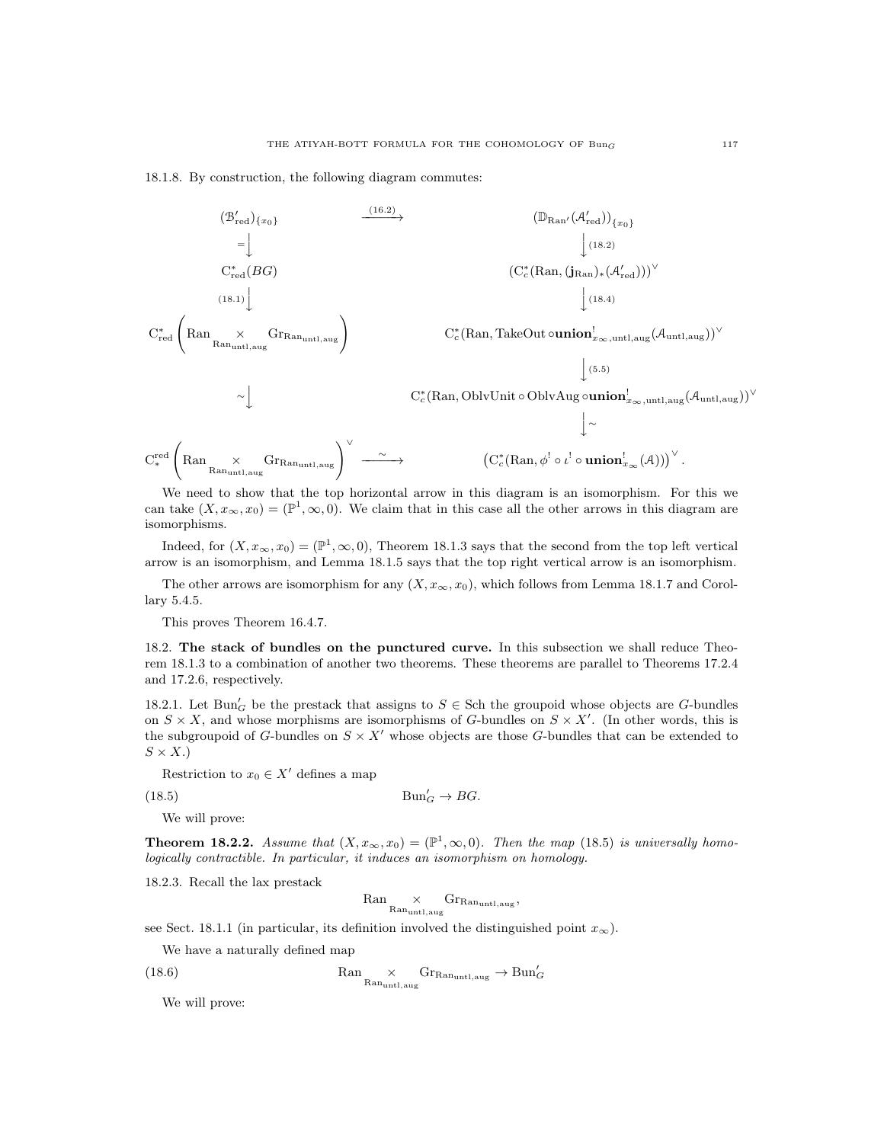### 18.1.8. By construction, the following diagram commutes:



We need to show that the top horizontal arrow in this diagram is an isomorphism. For this we can take  $(X, x_\infty, x_0) = (\mathbb{P}^1, \infty, 0)$ . We claim that in this case all the other arrows in this diagram are isomorphisms.

Indeed, for  $(X, x_{\infty}, x_0) = (\mathbb{P}^1, \infty, 0)$ , Theorem 18.1.3 says that the second from the top left vertical arrow is an isomorphism, and Lemma 18.1.5 says that the top right vertical arrow is an isomorphism.

The other arrows are isomorphism for any  $(X, x<sub>\infty</sub>, x<sub>0</sub>)$ , which follows from Lemma 18.1.7 and Corollary 5.4.5.

This proves Theorem 16.4.7.

18.2. The stack of bundles on the punctured curve. In this subsection we shall reduce Theorem 18.1.3 to a combination of another two theorems. These theorems are parallel to Theorems 17.2.4 and 17.2.6, respectively.

18.2.1. Let  $\text{Bun}'_G$  be the prestack that assigns to  $S \in$  Sch the groupoid whose objects are G-bundles on  $S \times X$ , and whose morphisms are isomorphisms of G-bundles on  $S \times X'$ . (In other words, this is the subgroupoid of G-bundles on  $S \times X'$  whose objects are those G-bundles that can be extended to  $S \times X.$ 

Restriction to  $x_0 \in X'$  defines a map

 $(18.5)$  Bun<sup>2</sup>  $Bun'_{G} \to BG.$ 

We will prove:

**Theorem 18.2.2.** Assume that  $(X, x_{\infty}, x_0) = (\mathbb{P}^1, \infty, 0)$ . Then the map (18.5) is universally homologically contractible. In particular, it induces an isomorphism on homology.

18.2.3. Recall the lax prestack

$$
\mathrm{Ran} \underset{\mathrm{Ran}_{\mathrm{untl},\mathrm{aug}}} \times \mathrm{Gr}_{\mathrm{Ran}_{\mathrm{untl},\mathrm{aug}}},
$$

see Sect. 18.1.1 (in particular, its definition involved the distinguished point  $x_{\infty}$ ).

We have a naturally defined map

 $(18.6)$ 

$$
\mathrm{Ran} \underset{\mathrm{Ran}_{\mathrm{unt1},\mathrm{aug}}} \times \mathrm{Gr}_{\mathrm{Ran}_{\mathrm{unt1},\mathrm{aug}}} \to \mathrm{Bun}_{G}'
$$

We will prove: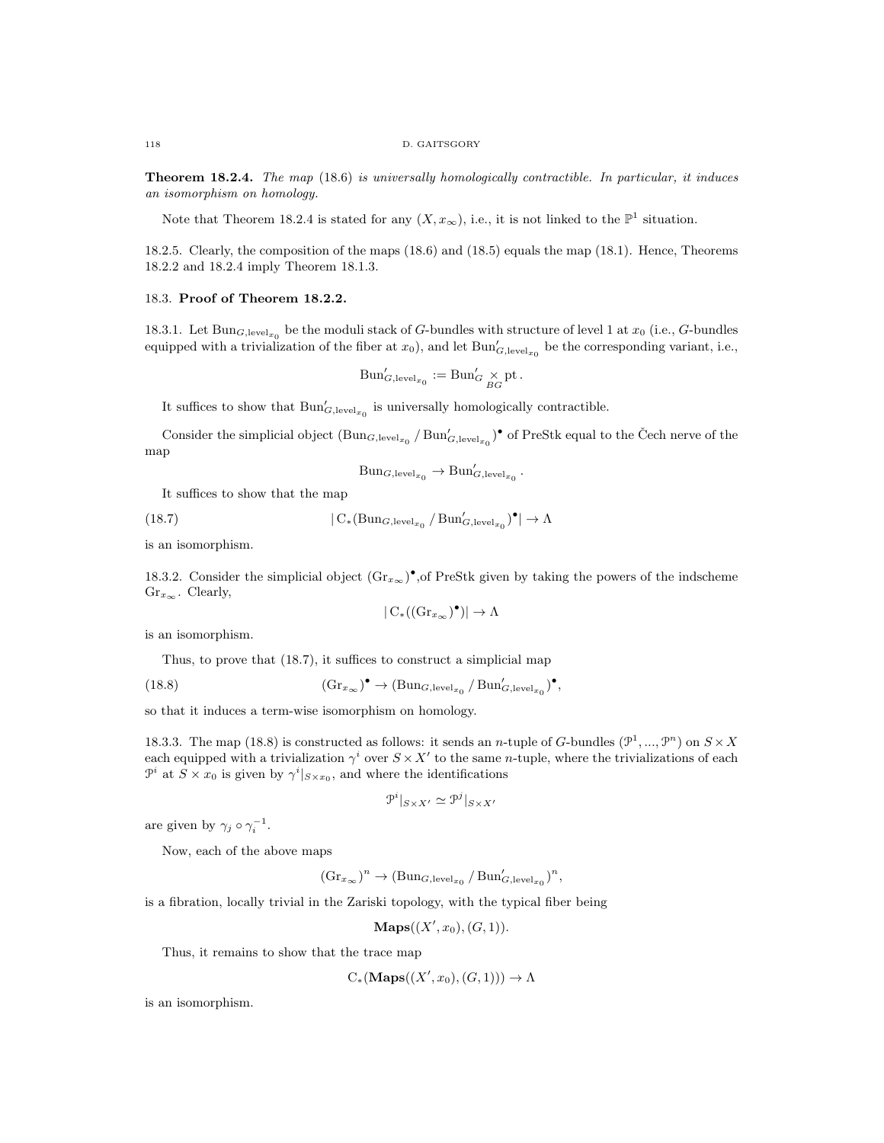Theorem 18.2.4. The map (18.6) is universally homologically contractible. In particular, it induces an isomorphism on homology.

Note that Theorem 18.2.4 is stated for any  $(X, x_{\infty})$ , i.e., it is not linked to the  $\mathbb{P}^1$  situation.

18.2.5. Clearly, the composition of the maps (18.6) and (18.5) equals the map (18.1). Hence, Theorems 18.2.2 and 18.2.4 imply Theorem 18.1.3.

### 18.3. Proof of Theorem 18.2.2.

18.3.1. Let  $\text{Bun}_{G,\text{level}_{x_0}}$  be the moduli stack of G-bundles with structure of level 1 at  $x_0$  (i.e., G-bundles equipped with a trivialization of the fiber at  $x_0$ ), and let  $\text{Bun}'_{G,\text{level}_{x_0}}$  be the corresponding variant, i.e.,

$$
Bun'_{G,\text{level}_{x_0}} := \text{Bun}'_{G} \underset{BG}{\times} \text{pt}.
$$

It suffices to show that  $\mathrm{Bun}'_{G,\text{level}_{x_0}}$  is universally homologically contractible.

Consider the simplicial object  $(\text{Bun}_{G,\text{level}_{x_0}}/\text{Bun}'_{G,\text{level}_{x_0}})$ <sup>o</sup> of PreStk equal to the Čech nerve of the map

$$
Bun_{G,level_{x_0}} \to Bun'_{G,level_{x_0}}
$$

.

,

It suffices to show that the map

(18.7)  $|\mathcal{C}_*(\text{Bun}_{G,\text{level}_{x_0}}/\text{Bun}'_{G,\text{level}_{x_0}})^\bullet| \to \Lambda$ 

is an isomorphism.

18.3.2. Consider the simplicial object  $(\text{Gr}_{x_{\infty}})^{\bullet}$ , of PreStk given by taking the powers of the indscheme  $\mathrm{Gr}_{x_{\infty}}$ . Clearly,

$$
|\operatorname{C}_*((\operatorname{Gr}_{x_{\infty}})^{\bullet})| \to \Lambda
$$

is an isomorphism.

Thus, to prove that (18.7), it suffices to construct a simplicial map

(18.8) 
$$
(\text{Gr}_{x_{\infty}})^{\bullet} \to (\text{Bun}_{G,\text{level}_{x_0}} / \text{Bun}'_{G,\text{level}_{x_0}})^{\bullet},
$$

so that it induces a term-wise isomorphism on homology.

18.3.3. The map (18.8) is constructed as follows: it sends an *n*-tuple of G-bundles ( $\mathcal{P}^1, ..., \mathcal{P}^n$ ) on  $S \times X$ each equipped with a trivialization  $\gamma^i$  over  $S \times X'$  to the same n-tuple, where the trivializations of each  $\mathcal{P}^i$  at  $S \times x_0$  is given by  $\gamma^i|_{S \times x_0}$ , and where the identifications

$$
\mathcal{P}^i|_{S \times X'} \simeq \mathcal{P}^j|_{S \times X'}
$$

are given by  $\gamma_j \circ \gamma_i^{-1}$ .

Now, each of the above maps

$$
(\mathrm{Gr}_{x_{\infty}})^n \to (\mathrm{Bun}_{G,\mathrm{level}_{x_0}} / \mathrm{Bun}'_{G,\mathrm{level}_{x_0}})^n
$$

is a fibration, locally trivial in the Zariski topology, with the typical fiber being

 $\mathbf{Maps}((X', x_0), (G, 1)).$ 

Thus, it remains to show that the trace map

 $C_*(\mathbf{Maps}((X', x_0), (G, 1))) \to \Lambda$ 

is an isomorphism.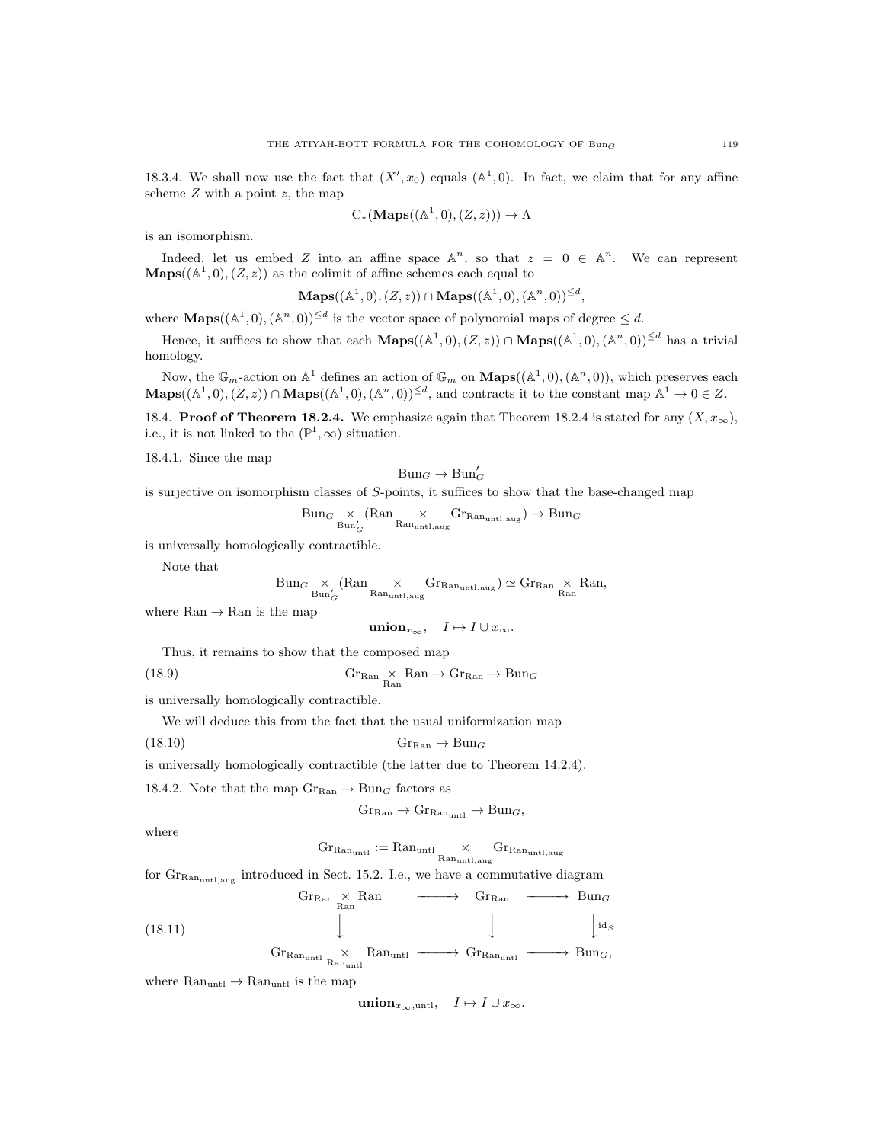18.3.4. We shall now use the fact that  $(X', x_0)$  equals  $(\mathbb{A}^1, 0)$ . In fact, we claim that for any affine scheme  $Z$  with a point  $z$ , the map

$$
C_*(\mathbf{Maps}((\mathbb{A}^1,0),(Z,z))) \to \Lambda
$$

is an isomorphism.

Indeed, let us embed Z into an affine space  $\mathbb{A}^n$ , so that  $z = 0 \in \mathbb{A}^n$ . We can represent  $\mathbf{Maps}((\mathbb{A}^1, 0), (Z, z))$  as the colimit of affine schemes each equal to

$$
\mathbf{Maps}((\mathbb{A}^1,0),(Z,z))\cap\mathbf{Maps}((\mathbb{A}^1,0),(\mathbb{A}^n,0))^{\le d},
$$

where  $\mathbf{Maps}((\mathbb{A}^1, 0), (\mathbb{A}^n, 0))^{\leq d}$  is the vector space of polynomial maps of degree  $\leq d$ .

Hence, it suffices to show that each  $\mathbf{Maps}((\mathbb{A}^1, 0), (Z, z)) \cap \mathbf{Maps}((\mathbb{A}^1, 0), (\mathbb{A}^n, 0))^{\le d}$  has a trivial homology.

Now, the  $\mathbb{G}_m$ -action on  $\mathbb{A}^1$  defines an action of  $\mathbb{G}_m$  on  $\mathbf{Maps}((\mathbb{A}^1,0),(\mathbb{A}^n,0))$ , which preserves each  $\mathbf{Maps}((\mathbb{A}^1,0),(Z,z)) \cap \mathbf{Maps}((\mathbb{A}^1,0),(\mathbb{A}^n,0))^{\leq d}$ , and contracts it to the constant map  $\mathbb{A}^1 \to 0 \in Z$ .

18.4. **Proof of Theorem 18.2.4.** We emphasize again that Theorem 18.2.4 is stated for any  $(X, x_{\infty})$ , i.e., it is not linked to the  $(\mathbb{P}^1, \infty)$  situation.

18.4.1. Since the map

 $Bun_G \to Bun'_G$ 

is surjective on isomorphism classes of S-points, it suffices to show that the base-changed map

$$
\text{Bun}_G \underset{\text{Bun}_G'}{\times} (\text{Ran} \underset{\text{Ran}_{\text{unt1},\text{aug}}}{\times} \text{Gr}_{\text{Ran}_{\text{unt1},\text{aug}}}) \to \text{Bun}_G
$$

is universally homologically contractible.

Note that

$$
\text{Bun}_G\underset{\text{Bun}_G'}{\times}(\text{Ran}\underset{\text{Ran}_{\text{untl},\text{aug}}}{\times}\text{Gr}_{\text{Ran}_{\text{untl},\text{aug}}})\simeq \text{Gr}_{\text{Ran}}\underset{\text{Ran}}{\times}\text{Ran},
$$

where  $\text{Ran} \to \text{Ran}$  is the map

$$
\mathbf{union}_{x_{\infty}}, \quad I \mapsto I \cup x_{\infty}.
$$

Thus, it remains to show that the composed map

(18.9) Gran  $\chi$  Ran  $\rightarrow$  Gr<sub>Ran</sub>  $\rightarrow$  Bun<sub>G</sub>

is universally homologically contractible.

We will deduce this from the fact that the usual uniformization map

(18.10) GrRan → Bun<sup>G</sup>

is universally homologically contractible (the latter due to Theorem 14.2.4).

18.4.2. Note that the map  $\text{Gr}_{\text{Ran}} \to \text{Bun}_G$  factors as

$$
Gr_{\text{Ran}} \to Gr_{\text{Ran}_{\text{unt1}}} \to \text{Bun}_G,
$$

where

$$
\text{Gr}_\text{Ran_{untl}} := \text{Ran}_{\text{untl}} \underset{\text{Ran}_{\text{untl},\text{aug}}} \times \text{Gr}_{\text{Ran}_{\text{untl},\text{aug}}}
$$

for Gr<sub>Ran<sub>untl,aug</sub> introduced in Sect. 15.2. I.e., we have a commutative diagram</sub>

(18.11) 
$$
\begin{array}{cccc}\n\text{Gr}_{\text{Ran}} & \times \text{Ran} & \xrightarrow{\qquad} & \text{Gr}_{\text{Ran}} & \xrightarrow{\qquad} & \text{Bun}_G \\
& & \downarrow & & \downarrow & & \downarrow^{\text{id}_S} \\
& & \text{Gr}_{\text{Ran}_{\text{unt1}}} & \times & \text{Ran}_{\text{unt1}} & \xrightarrow{\qquad} & \text{Gr}_{\text{Ran}_{\text{unt1}}} & \xrightarrow{\qquad} & \text{Bun}_G,\n\end{array}
$$

where  $\text{Ran}_{\text{untl}} \to \text{Ran}_{\text{untl}}$  is the map

union<sub> $x_{\infty}$ ,untl,  $I \mapsto I \cup x_{\infty}$ .</sub>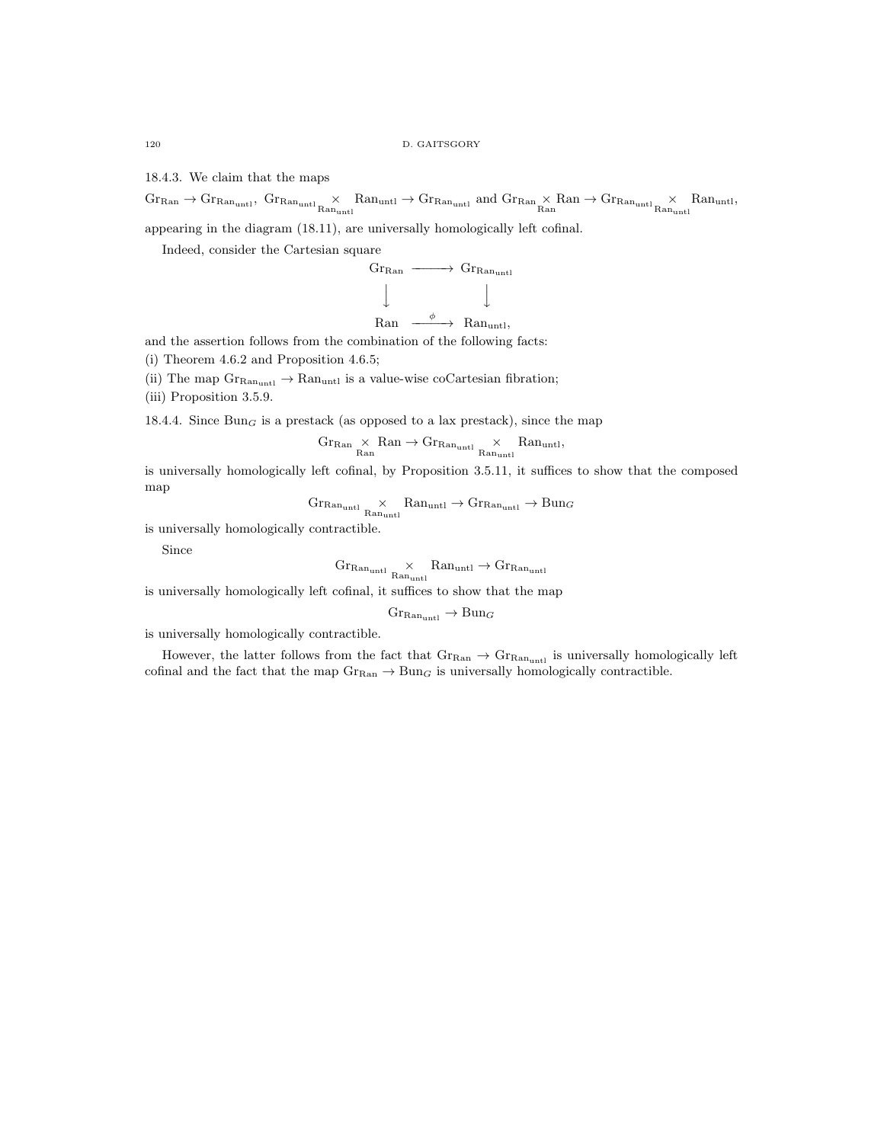18.4.3. We claim that the maps

 $\text{Gr}_{\text{Ran}_{\text{untl}}}, \text{ Gr}_{\text{Ran}_{\text{untl}}} \times \text{Ran}_{\text{untl}} \rightarrow \text{Gr}_{\text{Ran}_{\text{untl}}}$  and  $\text{Gr}_{\text{Ran}} \times \text{Ran} \rightarrow \text{Gr}_{\text{Ran}_{\text{untl}}} \times \text{Ran}_{\text{unul}},$ 

appearing in the diagram (18.11), are universally homologically left cofinal.

Indeed, consider the Cartesian square

$$
\begin{array}{ccc}\n\text{Gr}_{\text{Ran}} & \xrightarrow{\hspace{15mm}} & \text{Gr}_{\text{Ran}_{\text{unt1}}} \\
\downarrow \qquad & \downarrow \qquad & \downarrow \qquad \\
\downarrow \qquad & \qquad \downarrow \qquad\n\end{array}
$$

$$
\text{Ran} \quad \xrightarrow{\phi} \quad \text{Ran}_{\text{untl}},
$$

and the assertion follows from the combination of the following facts:

- (i) Theorem 4.6.2 and Proposition 4.6.5;
- (ii) The map  $\text{Gr}_\text{Ran_{untl}} \to \text{Ran}_{untl}$  is a value-wise coCartesian fibration;
- (iii) Proposition 3.5.9.

18.4.4. Since  $Bun<sub>G</sub>$  is a prestack (as opposed to a lax prestack), since the map

$$
\operatorname{Gr}_\mathrm{Ran} \underset{\mathrm{Ran}}{\times} \mathrm{Ran} \to \operatorname{Gr}_{\mathrm{Ran}_{\mathrm{unt1}}} \underset{\mathrm{Ran}_{\mathrm{unt1}}}{\times} \mathrm{Ran}_{\mathrm{unt1}},
$$

is universally homologically left cofinal, by Proposition 3.5.11, it suffices to show that the composed map

$$
\mathrm{Gr}_\mathrm{Ran_{untl}}\underset{\mathrm{Ran}_{untl}}{\times}\mathrm{Ran}_{untl}\rightarrow\mathrm{Gr}_{\mathrm{Ran}_{untl}}\rightarrow\mathrm{Bun}_{G}
$$

is universally homologically contractible.

Since

$$
\mathrm{Gr}_\mathrm{Ran_{untl}} \underset{\mathrm{Ran}_{untl}}{\times} \mathrm{Ran}_{untl} \rightarrow \mathrm{Gr}_{\mathrm{Ran}_{untl}}
$$

is universally homologically left cofinal, it suffices to show that the map

$$
\mathrm{Gr}_{\mathrm{Ran}_{\mathrm{unt}l}} \to \mathrm{Bun}_G
$$

is universally homologically contractible.

However, the latter follows from the fact that  $\text{Gr}_{\text{Ran}} \to \text{Gr}_{\text{Ran}_{\text{unt1}}}$  is universally homologically left cofinal and the fact that the map  $\text{Gr}_{\text{Ran}} \to \text{Bun}_G$  is universally homologically contractible.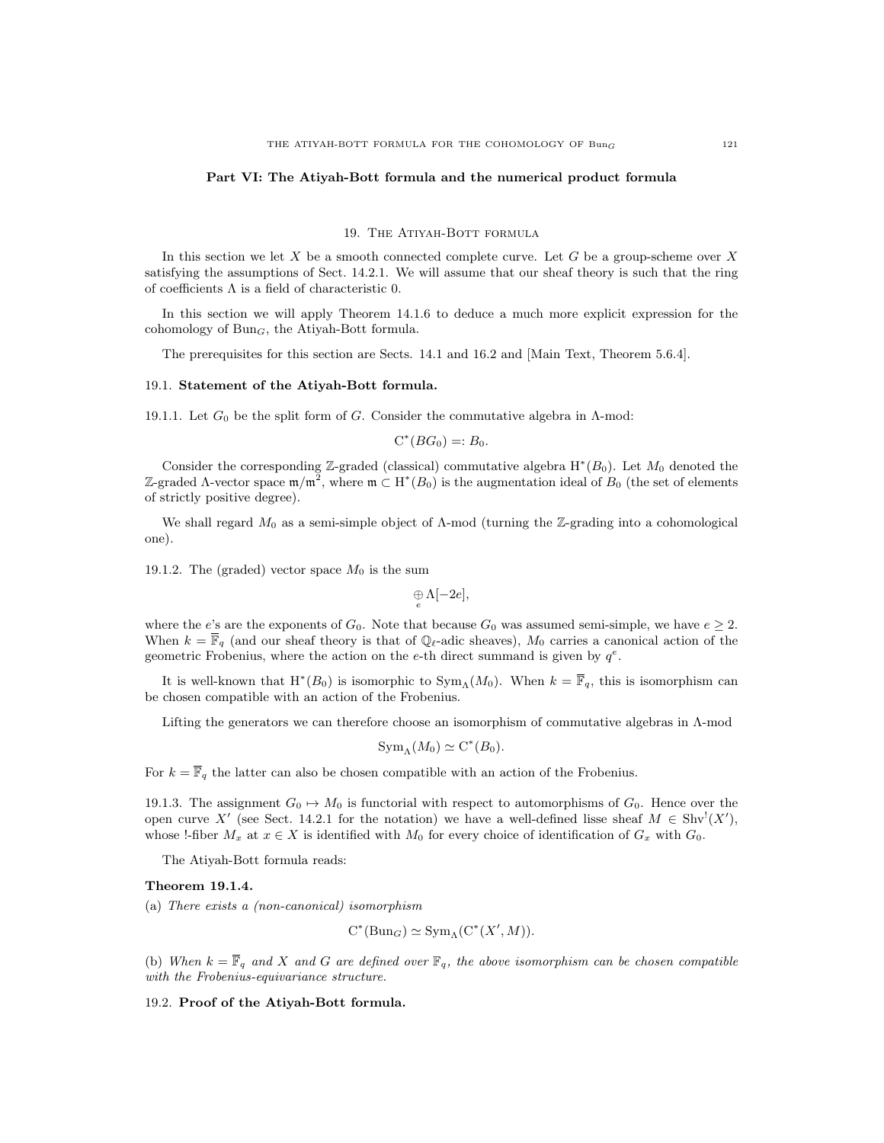### Part VI: The Atiyah-Bott formula and the numerical product formula

#### 19. The Atiyah-Bott formula

In this section we let  $X$  be a smooth connected complete curve. Let  $G$  be a group-scheme over  $X$ satisfying the assumptions of Sect. 14.2.1. We will assume that our sheaf theory is such that the ring of coefficients Λ is a field of characteristic 0.

In this section we will apply Theorem 14.1.6 to deduce a much more explicit expression for the cohomology of  $Bun<sub>G</sub>$ , the Atiyah-Bott formula.

The prerequisites for this section are Sects. 14.1 and 16.2 and [Main Text, Theorem 5.6.4].

### 19.1. Statement of the Atiyah-Bott formula.

19.1.1. Let  $G_0$  be the split form of G. Consider the commutative algebra in  $\Lambda$ -mod:

$$
C^*(BG_0)=:B_0.
$$

Consider the corresponding  $\mathbb{Z}$ -graded (classical) commutative algebra  $H^*(B_0)$ . Let  $M_0$  denoted the Z-graded Λ-vector space  $\mathfrak{m}/\mathfrak{m}^2$ , where  $\mathfrak{m} \subset H^*(B_0)$  is the augmentation ideal of  $B_0$  (the set of elements of strictly positive degree).

We shall regard  $M_0$  as a semi-simple object of  $\Lambda$ -mod (turning the Z-grading into a cohomological one).

19.1.2. The (graded) vector space  $M_0$  is the sum

 $\underset{e}{\oplus} \Lambda[-2e],$ 

where the e's are the exponents of  $G_0$ . Note that because  $G_0$  was assumed semi-simple, we have  $e \geq 2$ . When  $k = \overline{\mathbb{F}}_q$  (and our sheaf theory is that of  $\mathbb{Q}_\ell$ -adic sheaves),  $M_0$  carries a canonical action of the geometric Frobenius, where the action on the e-th direct summand is given by  $q^e$ .

It is well-known that  $H^*(B_0)$  is isomorphic to  $Sym_\Lambda(M_0)$ . When  $k = \overline{\mathbb{F}}_q$ , this is isomorphism can be chosen compatible with an action of the Frobenius.

Lifting the generators we can therefore choose an isomorphism of commutative algebras in Λ-mod

$$
\mathrm{Sym}_\Lambda(M_0)\simeq \mathrm{C}^*(B_0).
$$

For  $k = \overline{\mathbb{F}}_q$  the latter can also be chosen compatible with an action of the Frobenius.

19.1.3. The assignment  $G_0 \rightarrow M_0$  is functorial with respect to automorphisms of  $G_0$ . Hence over the open curve X' (see Sect. 14.2.1 for the notation) we have a well-defined lisse sheaf  $M \in Shv^1(X')$ , whose !-fiber  $M_x$  at  $x \in X$  is identified with  $M_0$  for every choice of identification of  $G_x$  with  $G_0$ .

The Atiyah-Bott formula reads:

## Theorem 19.1.4.

(a) There exists a (non-canonical) isomorphism

$$
C^*(Bun_G) \simeq Sym_{\Lambda}(C^*(X',M)).
$$

(b) When  $k = \overline{\mathbb{F}}_q$  and X and G are defined over  $\mathbb{F}_q$ , the above isomorphism can be chosen compatible with the Frobenius-equivariance structure.

19.2. Proof of the Atiyah-Bott formula.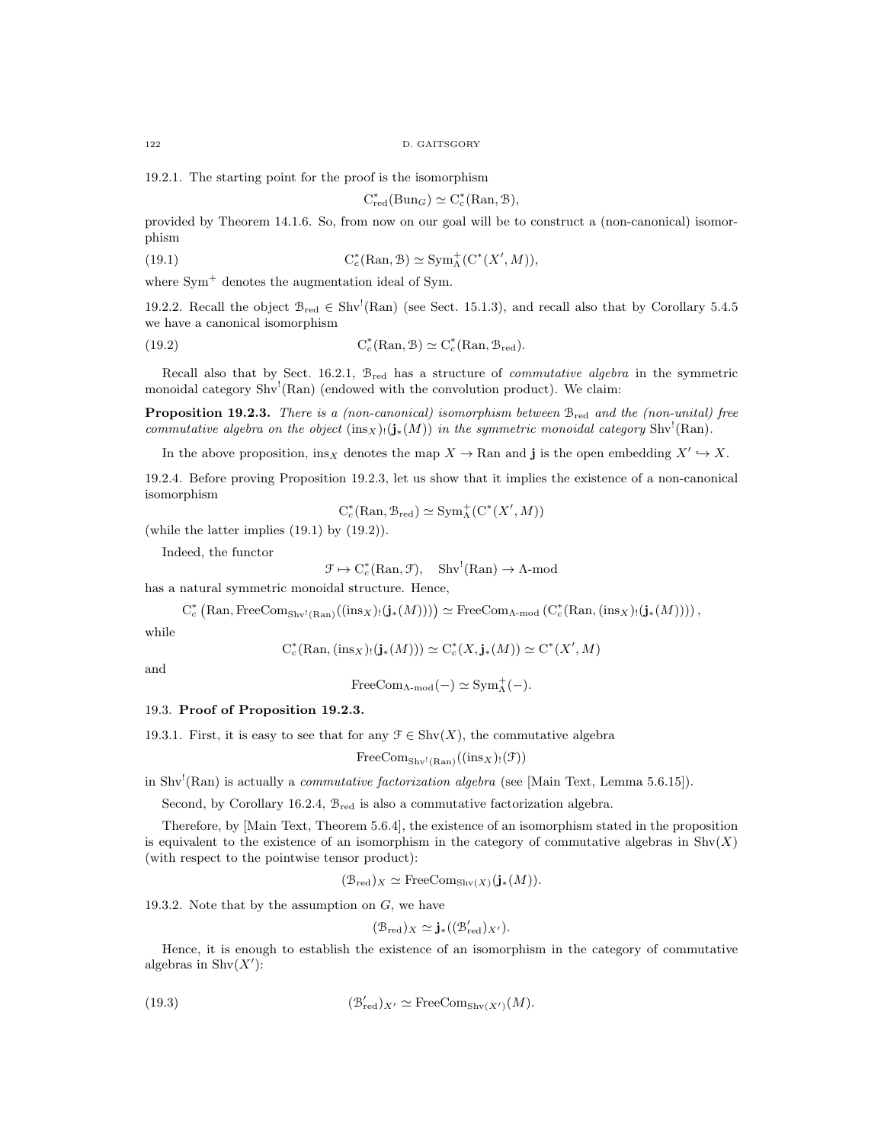19.2.1. The starting point for the proof is the isomorphism

$$
C_{red}^*(Bun_G) \simeq C_c^*(Ran, \mathcal{B}),
$$

provided by Theorem 14.1.6. So, from now on our goal will be to construct a (non-canonical) isomorphism

(19.1) 
$$
C_c^*(\mathrm{Ran}, \mathcal{B}) \simeq \mathrm{Sym}^+_{\Lambda}(C^*(X', M)),
$$

where  $Sym<sup>+</sup>$  denotes the augmentation ideal of Sym.

19.2.2. Recall the object  $\mathcal{B}_{red} \in Shv^!(\text{Ran})$  (see Sect. 15.1.3), and recall also that by Corollary 5.4.5 we have a canonical isomorphism

(19.2) 
$$
C_c^*(\text{Ran}, \mathcal{B}) \simeq C_c^*(\text{Ran}, \mathcal{B}_{red}).
$$

Recall also that by Sect. 16.2.1,  $B_{\text{red}}$  has a structure of *commutative algebra* in the symmetric monoidal category Shv<sup>!</sup>(Ran) (endowed with the convolution product). We claim:

Proposition 19.2.3. There is a (non-canonical) isomorphism between  $B_{red}$  and the (non-unital) free commutative algebra on the object  $(\text{ins}_X)(j_*(M))$  in the symmetric monoidal category Shv<sup>!</sup>(Ran).

In the above proposition, insx denotes the map  $X \to \text{Ran}$  and j is the open embedding  $X' \hookrightarrow X$ .

19.2.4. Before proving Proposition 19.2.3, let us show that it implies the existence of a non-canonical isomorphism

$$
C_c^*(\mathrm{Ran}, \mathcal{B}_{red}) \simeq \mathrm{Sym}^+_\Lambda(C^*(X', M))
$$

(while the latter implies (19.1) by (19.2)).

Indeed, the functor

 $\mathcal{F} \mapsto C_c^*(\text{Ran}, \mathcal{F}), \quad \text{Shv}^!(\text{Ran}) \to \Lambda\text{-mod}$ 

has a natural symmetric monoidal structure. Hence,

 $C_c^*$  (Ran, FreeCom<sub>Shv</sub>!<sub>(Ran)</sub>((ins<sub>X</sub>)!(**j**<sub>\*</sub>(*M*))))  $\simeq$  FreeCom<sub>A-mod</sub> ( $C_c^*$ (Ran, (ins<sub>X</sub>)!(**j**<sub>\*</sub>(*M*)))),

while

$$
C_c^*(\text{Ran}, (\text{ins}_X)_!(\mathbf{j}_*(M))) \simeq C_c^*(X, \mathbf{j}_*(M)) \simeq C^*(X', M)
$$

and

$$
\mathrm{FreeCom}_{\Lambda\text{-}\mathrm{mod}}(-)\simeq \mathrm{Sym}^+_\Lambda(-).
$$

### 19.3. Proof of Proposition 19.2.3.

19.3.1. First, it is easy to see that for any  $\mathcal{F} \in \text{Shv}(X)$ , the commutative algebra

$$
\text{FreeCom}_{\text{Shv}^!(\text{Ran})}((\text{ins}_X)_!(\mathfrak{F}))
$$

in Shv<sup>1</sup>(Ran) is actually a *commutative factorization algebra* (see [Main Text, Lemma 5.6.15]).

Second, by Corollary 16.2.4, Bred is also a commutative factorization algebra.

Therefore, by [Main Text, Theorem 5.6.4], the existence of an isomorphism stated in the proposition is equivalent to the existence of an isomorphism in the category of commutative algebras in  $\text{Shv}(X)$ (with respect to the pointwise tensor product):

$$
(\mathcal{B}_{red})_X \simeq \text{FreeCom}_{\text{Shv}(X)}(\mathbf{j}_*(M)).
$$

19.3.2. Note that by the assumption on  $G$ , we have

$$
(\mathcal{B}_{\mathrm{red}})_X \simeq \mathbf{j}_{*}((\mathcal{B}'_{\mathrm{red}})_{X'}).
$$

Hence, it is enough to establish the existence of an isomorphism in the category of commutative algebras in  $\text{Shv}(X')$ :

(19.3) 
$$
(\mathcal{B}'_{\text{red}})_{X'} \simeq \text{FreeCom}_{\text{Shv}(X')}(M).
$$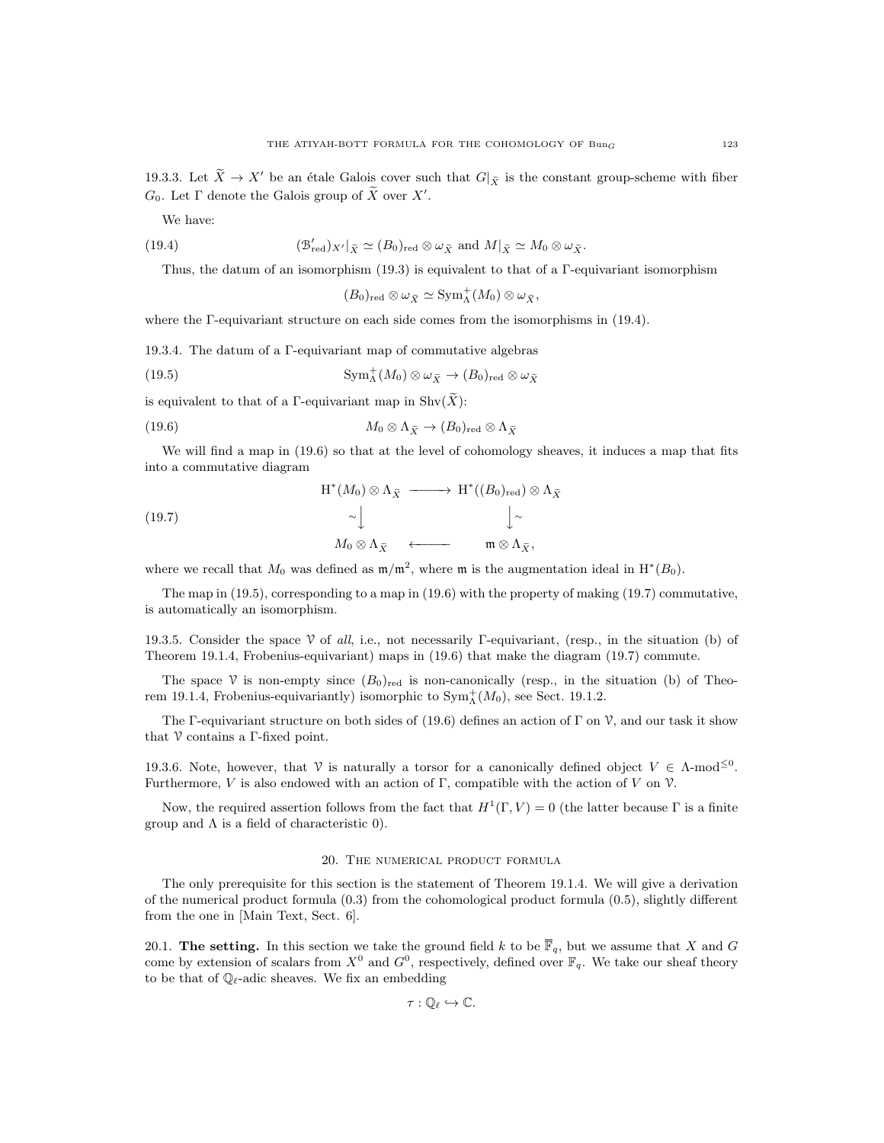We have:

(19.4) 
$$
(\mathcal{B}'_{\text{red}})_{X'}|_{\tilde{X}} \simeq (B_0)_{\text{red}} \otimes \omega_{\tilde{X}} \text{ and } M|_{\tilde{X}} \simeq M_0 \otimes \omega_{\tilde{X}}.
$$

Thus, the datum of an isomorphism (19.3) is equivalent to that of a Γ-equivariant isomorphism

$$
(B_0)_{\mathrm{red}} \otimes \omega_{\widetilde{X}} \simeq \mathrm{Sym}^+_{\Lambda}(M_0) \otimes \omega_{\widetilde{X}},
$$

where the Γ-equivariant structure on each side comes from the isomorphisms in (19.4).

19.3.4. The datum of a Γ-equivariant map of commutative algebras

(19.5) 
$$
\mathrm{Sym}_{\Lambda}^{+}(M_0) \otimes \omega_{\widetilde{X}} \to (B_0)_{\mathrm{red}} \otimes \omega_{\widetilde{X}}
$$

is equivalent to that of a Γ-equivariant map in  $\text{Shv}(\widetilde{X})$ :

(19.6) 
$$
M_0 \otimes \Lambda_{\widetilde{X}} \to (B_0)_{\text{red}} \otimes \Lambda_{\widetilde{X}}
$$

We will find a map in (19.6) so that at the level of cohomology sheaves, it induces a map that fits into a commutative diagram

(19.7)  
\n
$$
H^*(M_0) \otimes \Lambda_{\tilde{X}} \longrightarrow H^*((B_0)_{red}) \otimes \Lambda_{\tilde{X}}
$$
\n
$$
\sim \downarrow \qquad \qquad \downarrow \sim
$$
\n
$$
M_0 \otimes \Lambda_{\tilde{X}} \longleftarrow \qquad \mathfrak{m} \otimes \Lambda_{\tilde{X}},
$$

where we recall that  $M_0$  was defined as  $m/m^2$ , where m is the augmentation ideal in  $H^*(B_0)$ .

The map in (19.5), corresponding to a map in (19.6) with the property of making (19.7) commutative, is automatically an isomorphism.

19.3.5. Consider the space V of all, i.e., not necessarily Γ-equivariant, (resp., in the situation (b) of Theorem 19.1.4, Frobenius-equivariant) maps in (19.6) that make the diagram (19.7) commute.

The space V is non-empty since  $(B_0)_{\text{red}}$  is non-canonically (resp., in the situation (b) of Theorem 19.1.4, Frobenius-equivariantly) isomorphic to  $\text{Sym}^+_{\Lambda}(M_0)$ , see Sect. 19.1.2.

The Γ-equivariant structure on both sides of (19.6) defines an action of Γ on  $\mathcal V$ , and our task it show that  $\mathcal V$  contains a Γ-fixed point.

19.3.6. Note, however, that V is naturally a torsor for a canonically defined object  $V \in \Lambda$ -mod<sup> $\leq 0$ </sup>. Furthermore, V is also endowed with an action of  $\Gamma$ , compatible with the action of V on V.

Now, the required assertion follows from the fact that  $H^1(\Gamma, V) = 0$  (the latter because  $\Gamma$  is a finite group and  $\Lambda$  is a field of characteristic 0).

#### 20. The numerical product formula

The only prerequisite for this section is the statement of Theorem 19.1.4. We will give a derivation of the numerical product formula (0.3) from the cohomological product formula (0.5), slightly different from the one in [Main Text, Sect. 6].

20.1. The setting. In this section we take the ground field k to be  $\overline{\mathbb{F}}_q$ , but we assume that X and G come by extension of scalars from  $X^0$  and  $G^0$ , respectively, defined over  $\mathbb{F}_q$ . We take our sheaf theory to be that of  $\mathbb{Q}_\ell$ -adic sheaves. We fix an embedding

$$
\tau: \mathbb{Q}_{\ell} \hookrightarrow \mathbb{C}.
$$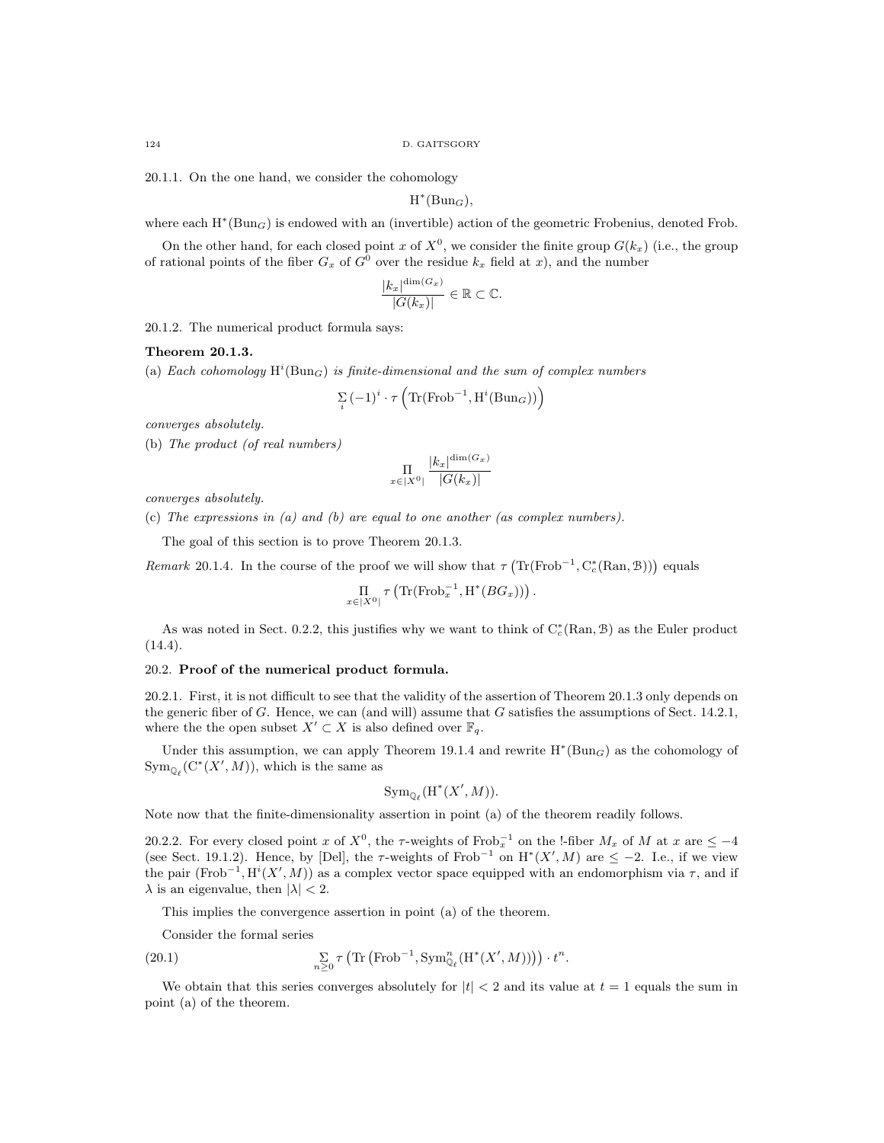20.1.1. On the one hand, we consider the cohomology

 $H^*(Bun_G),$ 

where each  $H^*(Bun_G)$  is endowed with an (invertible) action of the geometric Frobenius, denoted Frob.

On the other hand, for each closed point x of  $X^0$ , we consider the finite group  $G(k_x)$  (i.e., the group of rational points of the fiber  $G_x$  of  $G^0$  over the residue  $k_x$  field at x), and the number

$$
\frac{|k_x|^{\dim(G_x)}}{|G(k_x)|} \in \mathbb{R} \subset \mathbb{C}.
$$

20.1.2. The numerical product formula says:

## Theorem 20.1.3.

(a) Each cohomology  $H^i(Bun_G)$  is finite-dimensional and the sum of complex numbers

$$
\sum_{i} (-1)^{i} \cdot \tau \left( \text{Tr}(\text{Frob}^{-1}, \text{H}^{i}(\text{Bun}_{G})) \right)
$$

converges absolutely.

(b) The product (of real numbers)

$$
\prod_{x \in |X^0|} \frac{|k_x|^{\dim(G_x)}}{|G(k_x)|}
$$

converges absolutely.

(c) The expressions in (a) and (b) are equal to one another (as complex numbers).

The goal of this section is to prove Theorem 20.1.3.

Remark 20.1.4. In the course of the proof we will show that  $\tau(\text{Tr}(\text{Frob}^{-1}, C_c^*(\text{Ran}, \mathcal{B})))$  equals

$$
\underset{x \in |X^{0}|}{\Pi} \tau \left( \text{Tr}(\text{Frob}_x^{-1}, \text{H}^*(BG_x)) \right)
$$

.

As was noted in Sect. 0.2.2, this justifies why we want to think of  $C_c^*(\text{Ran}, \mathcal{B})$  as the Euler product  $(14.4).$ 

#### 20.2. Proof of the numerical product formula.

20.2.1. First, it is not difficult to see that the validity of the assertion of Theorem 20.1.3 only depends on the generic fiber of G. Hence, we can (and will) assume that G satisfies the assumptions of Sect. 14.2.1, where the the open subset  $X' \subset X$  is also defined over  $\mathbb{F}_q$ .

Under this assumption, we can apply Theorem 19.1.4 and rewrite  $H^*(Bun_G)$  as the cohomology of  $\text{Sym}_{\mathbb{Q}_{\ell}}(\mathrm{C}^*(X',M)),$  which is the same as

$$
\operatorname{Sym}_{\mathbb{Q}_{\ell}}(\operatorname{H}^{*}(X',M)).
$$

Note now that the finite-dimensionality assertion in point (a) of the theorem readily follows.

20.2.2. For every closed point x of  $X^0$ , the  $\tau$ -weights of Frob<sub>x</sub><sup>-1</sup> on the !-fiber  $M_x$  of M at x are  $\leq -4$ (see Sect. 19.1.2). Hence, by [Del], the  $\tau$ -weights of Frob<sup>-1</sup> on H<sup>\*</sup>(X', M) are  $\leq -2$ . I.e., if we view the pair (Frob<sup>-1</sup>, H<sup>i</sup>(X', M)) as a complex vector space equipped with an endomorphism via  $\tau$ , and if  $\lambda$  is an eigenvalue, then  $|\lambda| < 2$ .

This implies the convergence assertion in point (a) of the theorem.

Consider the formal series

(20.1) 
$$
\sum_{n\geq 0} \tau \left( \text{Tr} \left( \text{Frob}^{-1}, \text{Sym}^n_{\mathbb{Q}_\ell}(\text{H}^*(X', M)) \right) \right) \cdot t^n.
$$

We obtain that this series converges absolutely for  $|t| < 2$  and its value at  $t = 1$  equals the sum in point (a) of the theorem.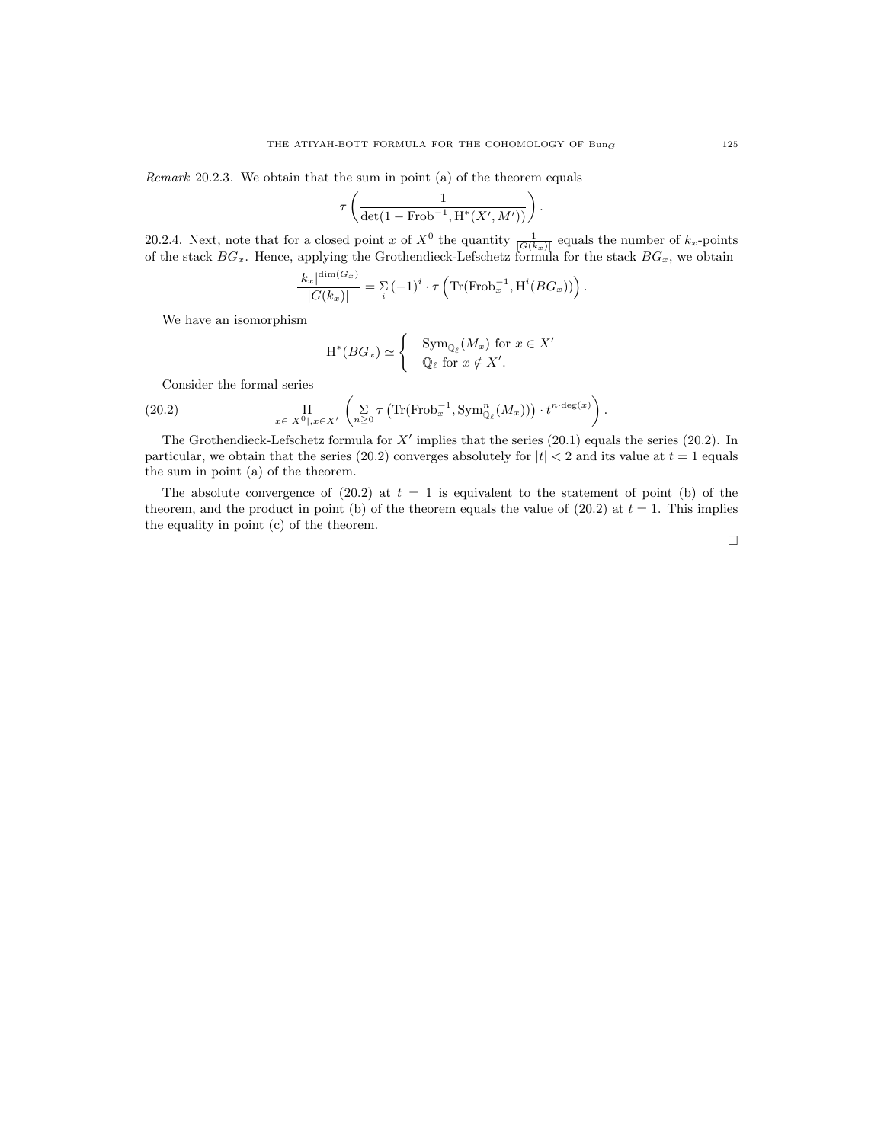Remark 20.2.3. We obtain that the sum in point (a) of the theorem equals

$$
\tau\left(\frac{1}{\det(1-\mathrm{Frob}^{-1},\mathrm{H}^*(X',M'))}\right).
$$

20.2.4. Next, note that for a closed point x of  $X^0$  the quantity  $\frac{1}{|G(k_x)|}$  equals the number of  $k_x$ -points of the stack  $BG_x$ . Hence, applying the Grothendieck-Lefschetz formula for the stack  $BG_x$ , we obtain

$$
\frac{|k_x|^{\dim(G_x)}}{|G(k_x)|} = \sum_i \left(-1\right)^i \cdot \tau \left(\text{Tr}(\text{Frob}_x^{-1}, \text{H}^i(BG_x))\right).
$$

We have an isomorphism

$$
H^*(BG_x) \simeq \begin{cases} \operatorname{Sym}_{\mathbb{Q}_{\ell}}(M_x) \text{ for } x \in X' \\ \mathbb{Q}_{\ell} \text{ for } x \notin X'. \end{cases}
$$

Consider the formal series

(20.2) 
$$
\prod_{x \in |X^0|, x \in X'} \left( \sum_{n \geq 0} \tau \left( \text{Tr}(\text{Frob}_x^{-1}, \text{Sym}^n_{\mathbb{Q}_\ell}(M_x)) \right) \cdot t^{n \cdot \text{deg}(x)} \right).
$$

The Grothendieck-Lefschetz formula for  $X'$  implies that the series (20.1) equals the series (20.2). In particular, we obtain that the series (20.2) converges absolutely for  $|t| < 2$  and its value at  $t = 1$  equals the sum in point (a) of the theorem.

The absolute convergence of  $(20.2)$  at  $t = 1$  is equivalent to the statement of point (b) of the theorem, and the product in point (b) of the theorem equals the value of  $(20.2)$  at  $t = 1$ . This implies the equality in point (c) of the theorem.